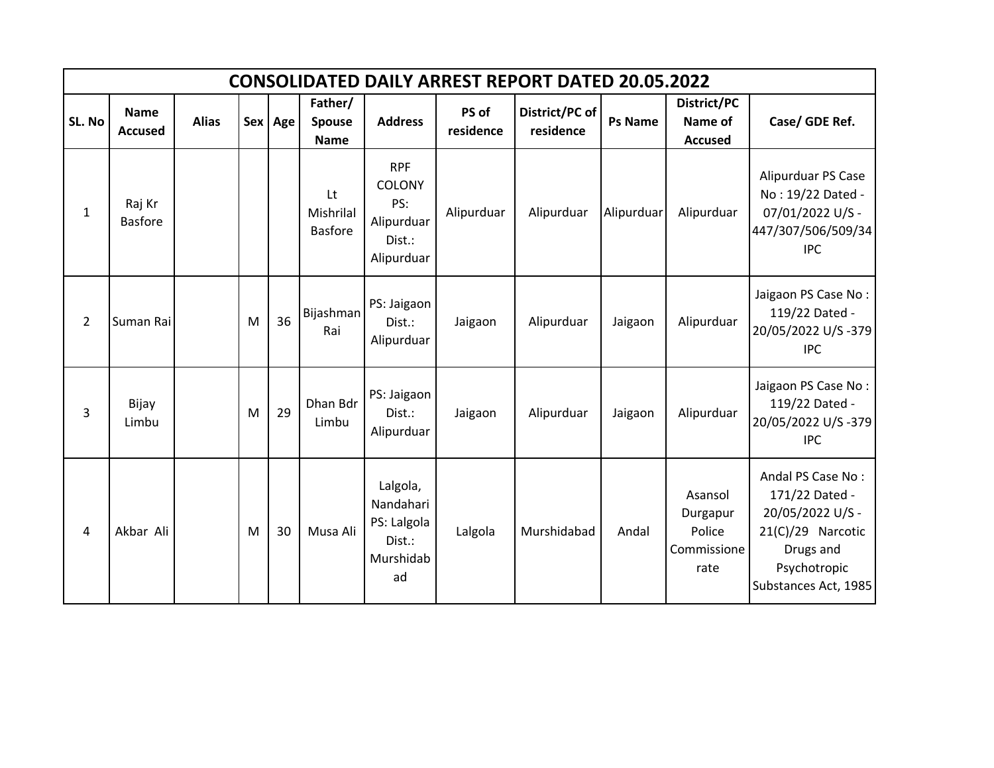|                | <b>CONSOLIDATED DAILY ARREST REPORT DATED 20.05.2022</b> |              |   |         |                                         |                                                                          |                    |                             |                |                                                      |                                                                                                                                   |  |  |  |
|----------------|----------------------------------------------------------|--------------|---|---------|-----------------------------------------|--------------------------------------------------------------------------|--------------------|-----------------------------|----------------|------------------------------------------------------|-----------------------------------------------------------------------------------------------------------------------------------|--|--|--|
| SL. No         | <b>Name</b><br><b>Accused</b>                            | <b>Alias</b> |   | Sex Age | Father/<br><b>Spouse</b><br><b>Name</b> | <b>Address</b>                                                           | PS of<br>residence | District/PC of<br>residence | <b>Ps Name</b> | <b>District/PC</b><br>Name of<br><b>Accused</b>      | Case/ GDE Ref.                                                                                                                    |  |  |  |
| $\mathbf{1}$   | Raj Kr<br><b>Basfore</b>                                 |              |   |         | Lt<br>Mishrilal<br><b>Basfore</b>       | <b>RPF</b><br><b>COLONY</b><br>PS:<br>Alipurduar<br>Dist.:<br>Alipurduar | Alipurduar         | Alipurduar                  | Alipurduar     | Alipurduar                                           | Alipurduar PS Case<br>No: 19/22 Dated -<br>07/01/2022 U/S -<br>447/307/506/509/34<br><b>IPC</b>                                   |  |  |  |
| $\overline{2}$ | Suman Rai                                                |              | M | 36      | Bijashman<br>Rai                        | PS: Jaigaon<br>Dist.:<br>Alipurduar                                      | Jaigaon            | Alipurduar                  | Jaigaon        | Alipurduar                                           | Jaigaon PS Case No:<br>119/22 Dated -<br>20/05/2022 U/S-379<br><b>IPC</b>                                                         |  |  |  |
| 3              | Bijay<br>Limbu                                           |              | M | 29      | Dhan Bdr<br>Limbu                       | PS: Jaigaon<br>Dist.:<br>Alipurduar                                      | Jaigaon            | Alipurduar                  | Jaigaon        | Alipurduar                                           | Jaigaon PS Case No:<br>119/22 Dated -<br>20/05/2022 U/S-379<br><b>IPC</b>                                                         |  |  |  |
| $\overline{4}$ | Akbar Ali                                                |              | M | 30      | Musa Ali                                | Lalgola,<br>Nandahari<br>PS: Lalgola<br>Dist.:<br>Murshidab<br>ad        | Lalgola            | Murshidabad                 | Andal          | Asansol<br>Durgapur<br>Police<br>Commissione<br>rate | Andal PS Case No:<br>171/22 Dated -<br>20/05/2022 U/S -<br>21(C)/29 Narcotic<br>Drugs and<br>Psychotropic<br>Substances Act, 1985 |  |  |  |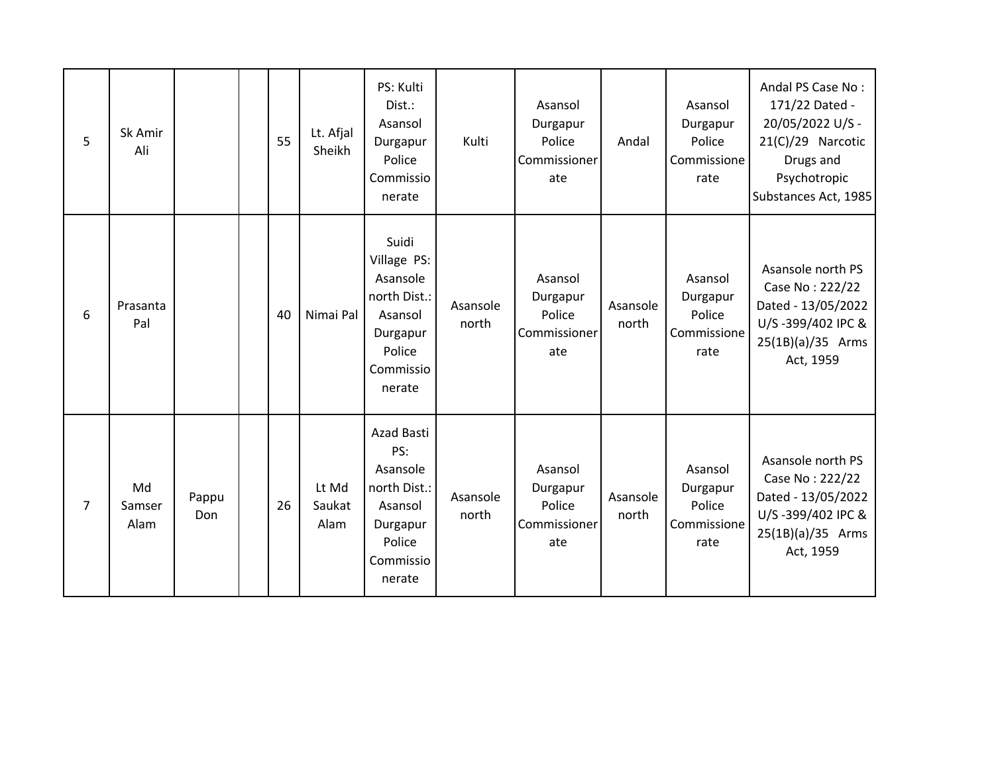| 5              | Sk Amir<br>Ali       |              | 55 | Lt. Afjal<br>Sheikh     | PS: Kulti<br>Dist.:<br>Asansol<br>Durgapur<br>Police<br>Commissio<br>nerate                              | Kulti             | Asansol<br>Durgapur<br>Police<br>Commissioner<br>ate | Andal             | Asansol<br>Durgapur<br>Police<br>Commissione<br>rate | Andal PS Case No:<br>171/22 Dated -<br>20/05/2022 U/S -<br>21(C)/29 Narcotic<br>Drugs and<br>Psychotropic<br>Substances Act, 1985 |
|----------------|----------------------|--------------|----|-------------------------|----------------------------------------------------------------------------------------------------------|-------------------|------------------------------------------------------|-------------------|------------------------------------------------------|-----------------------------------------------------------------------------------------------------------------------------------|
| 6              | Prasanta<br>Pal      |              | 40 | Nimai Pal               | Suidi<br>Village PS:<br>Asansole<br>north Dist.:<br>Asansol<br>Durgapur<br>Police<br>Commissio<br>nerate | Asansole<br>north | Asansol<br>Durgapur<br>Police<br>Commissioner<br>ate | Asansole<br>north | Asansol<br>Durgapur<br>Police<br>Commissione<br>rate | Asansole north PS<br>Case No: 222/22<br>Dated - 13/05/2022<br>U/S-399/402 IPC &<br>25(1B)(a)/35 Arms<br>Act, 1959                 |
| $\overline{7}$ | Md<br>Samser<br>Alam | Pappu<br>Don | 26 | Lt Md<br>Saukat<br>Alam | Azad Basti<br>PS:<br>Asansole<br>north Dist.:<br>Asansol<br>Durgapur<br>Police<br>Commissio<br>nerate    | Asansole<br>north | Asansol<br>Durgapur<br>Police<br>Commissioner<br>ate | Asansole<br>north | Asansol<br>Durgapur<br>Police<br>Commissione<br>rate | Asansole north PS<br>Case No: 222/22<br>Dated - 13/05/2022<br>U/S-399/402 IPC &<br>25(1B)(a)/35 Arms<br>Act, 1959                 |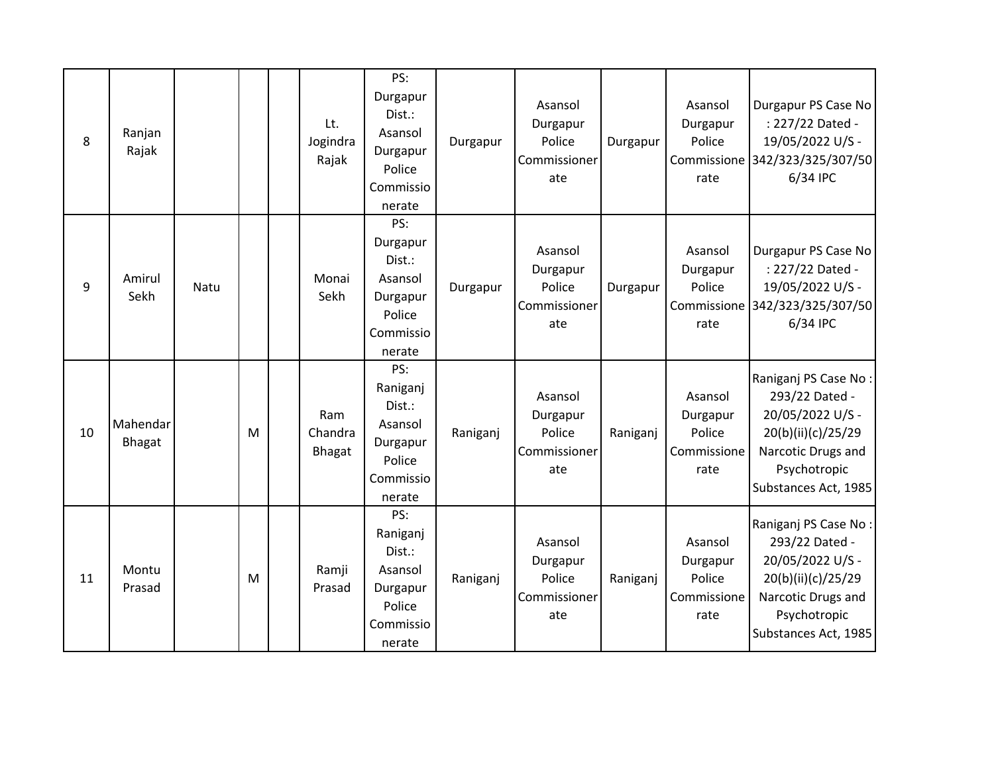| 8  | Ranjan<br>Rajak           |      |   | Lt.<br>Jogindra<br>Rajak | PS:<br>Durgapur<br>Dist.:<br>Asansol<br>Durgapur<br>Police<br>Commissio<br>nerate | Durgapur | Asansol<br>Durgapur<br>Police<br>Commissioner<br>ate | Durgapur | Asansol<br>Durgapur<br>Police<br>rate                | Durgapur PS Case No<br>: 227/22 Dated -<br>19/05/2022 U/S -<br>Commissione 342/323/325/307/50<br>6/34 IPC                                      |
|----|---------------------------|------|---|--------------------------|-----------------------------------------------------------------------------------|----------|------------------------------------------------------|----------|------------------------------------------------------|------------------------------------------------------------------------------------------------------------------------------------------------|
| 9  | Amirul<br>Sekh            | Natu |   | Monai<br>Sekh            | PS:<br>Durgapur<br>Dist.:<br>Asansol<br>Durgapur<br>Police<br>Commissio<br>nerate | Durgapur | Asansol<br>Durgapur<br>Police<br>Commissioner<br>ate | Durgapur | Asansol<br>Durgapur<br>Police<br>rate                | Durgapur PS Case No<br>: 227/22 Dated -<br>19/05/2022 U/S -<br>Commissione 342/323/325/307/50<br>6/34 IPC                                      |
| 10 | Mahendar<br><b>Bhagat</b> |      | M | Ram<br>Chandra<br>Bhagat | PS:<br>Raniganj<br>Dist.:<br>Asansol<br>Durgapur<br>Police<br>Commissio<br>nerate | Raniganj | Asansol<br>Durgapur<br>Police<br>Commissioner<br>ate | Raniganj | Asansol<br>Durgapur<br>Police<br>Commissione<br>rate | Raniganj PS Case No:<br>293/22 Dated -<br>20/05/2022 U/S -<br>20(b)(ii)(c)/25/29<br>Narcotic Drugs and<br>Psychotropic<br>Substances Act, 1985 |
| 11 | Montu<br>Prasad           |      | M | Ramji<br>Prasad          | PS:<br>Raniganj<br>Dist.:<br>Asansol<br>Durgapur<br>Police<br>Commissio<br>nerate | Raniganj | Asansol<br>Durgapur<br>Police<br>Commissioner<br>ate | Raniganj | Asansol<br>Durgapur<br>Police<br>Commissione<br>rate | Raniganj PS Case No:<br>293/22 Dated -<br>20/05/2022 U/S -<br>20(b)(ii)(c)/25/29<br>Narcotic Drugs and<br>Psychotropic<br>Substances Act, 1985 |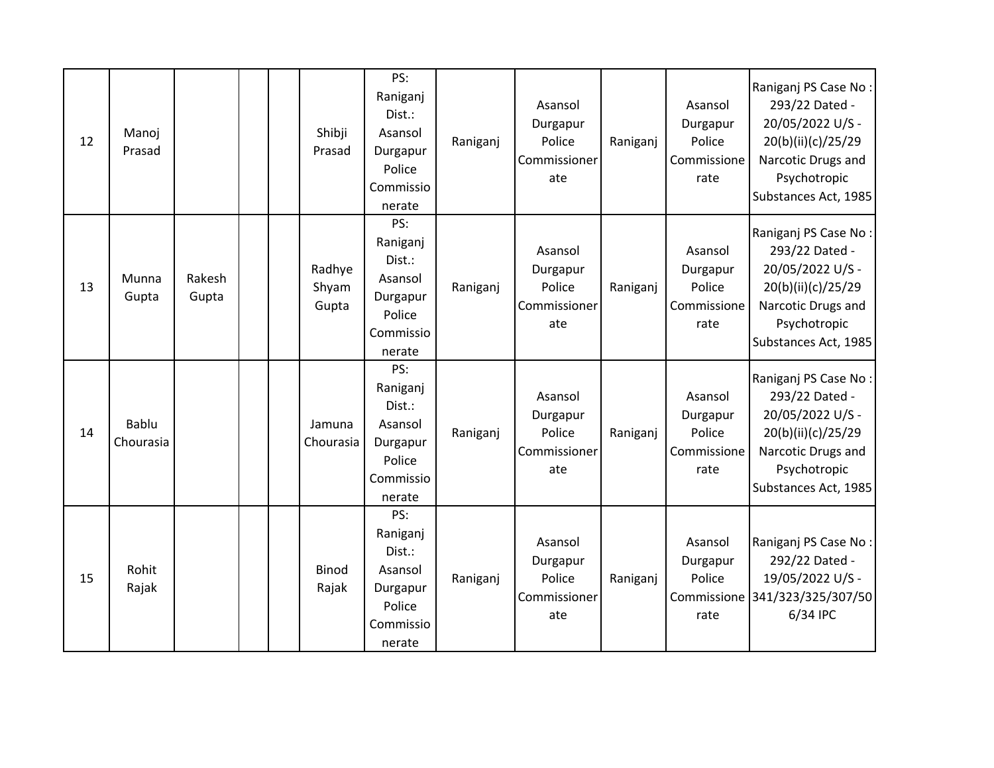| 12 | Manoj<br>Prasad           |                 | Shibji<br>Prasad         | PS:<br>Raniganj<br>Dist.:<br>Asansol<br>Durgapur<br>Police<br>Commissio<br>nerate | Raniganj | Asansol<br>Durgapur<br>Police<br>Commissioner<br>ate | Raniganj | Asansol<br>Durgapur<br>Police<br>Commissione<br>rate | Raniganj PS Case No:<br>293/22 Dated -<br>20/05/2022 U/S -<br>20(b)(ii)(c)/25/29<br>Narcotic Drugs and<br>Psychotropic<br>Substances Act, 1985 |
|----|---------------------------|-----------------|--------------------------|-----------------------------------------------------------------------------------|----------|------------------------------------------------------|----------|------------------------------------------------------|------------------------------------------------------------------------------------------------------------------------------------------------|
| 13 | Munna<br>Gupta            | Rakesh<br>Gupta | Radhye<br>Shyam<br>Gupta | PS:<br>Raniganj<br>Dist.:<br>Asansol<br>Durgapur<br>Police<br>Commissio<br>nerate | Raniganj | Asansol<br>Durgapur<br>Police<br>Commissioner<br>ate | Raniganj | Asansol<br>Durgapur<br>Police<br>Commissione<br>rate | Raniganj PS Case No:<br>293/22 Dated -<br>20/05/2022 U/S -<br>20(b)(ii)(c)/25/29<br>Narcotic Drugs and<br>Psychotropic<br>Substances Act, 1985 |
| 14 | <b>Bablu</b><br>Chourasia |                 | Jamuna<br>Chourasia      | PS:<br>Raniganj<br>Dist.:<br>Asansol<br>Durgapur<br>Police<br>Commissio<br>nerate | Raniganj | Asansol<br>Durgapur<br>Police<br>Commissioner<br>ate | Raniganj | Asansol<br>Durgapur<br>Police<br>Commissione<br>rate | Raniganj PS Case No:<br>293/22 Dated -<br>20/05/2022 U/S -<br>20(b)(ii)(c)/25/29<br>Narcotic Drugs and<br>Psychotropic<br>Substances Act, 1985 |
| 15 | Rohit<br>Rajak            |                 | <b>Binod</b><br>Rajak    | PS:<br>Raniganj<br>Dist.:<br>Asansol<br>Durgapur<br>Police<br>Commissio<br>nerate | Raniganj | Asansol<br>Durgapur<br>Police<br>Commissioner<br>ate | Raniganj | Asansol<br>Durgapur<br>Police<br>rate                | Raniganj PS Case No:<br>292/22 Dated -<br>19/05/2022 U/S -<br>Commissione 341/323/325/307/50<br>6/34 IPC                                       |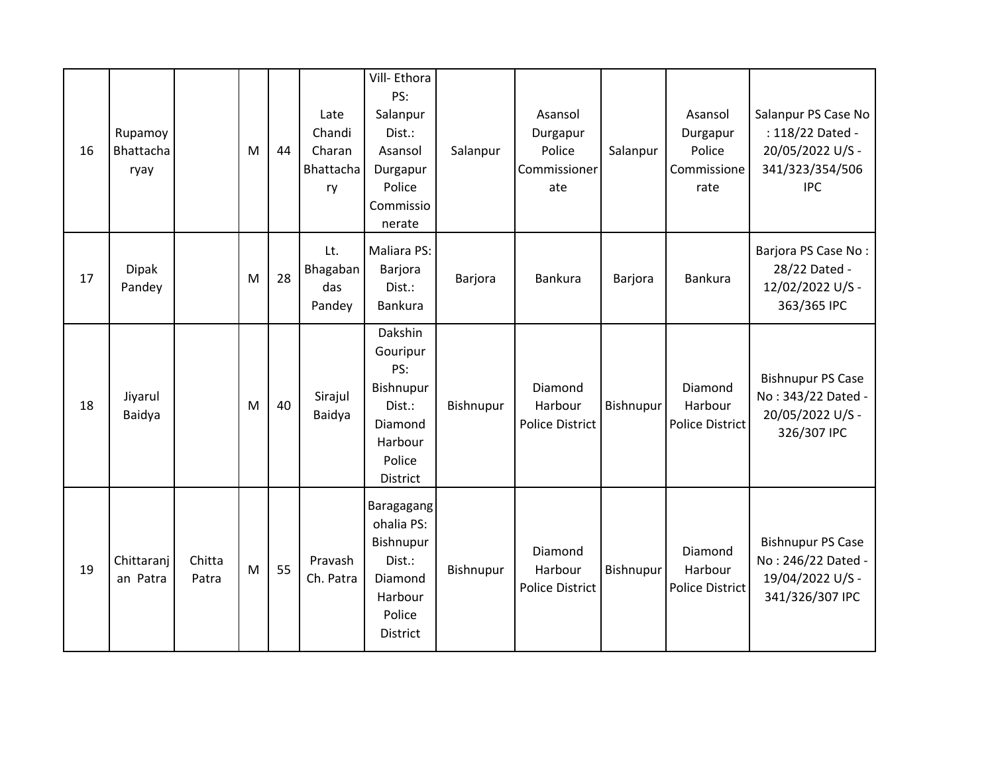| 16 | Rupamoy<br>Bhattacha<br>ryay |                 | M | 44 | Late<br>Chandi<br>Charan<br>Bhattacha<br>ry | Vill-Ethora<br>PS:<br>Salanpur<br>Dist.:<br>Asansol<br>Durgapur<br>Police<br>Commissio<br>nerate   | Salanpur  | Asansol<br>Durgapur<br>Police<br>Commissioner<br>ate | Salanpur  | Asansol<br>Durgapur<br>Police<br>Commissione<br>rate | Salanpur PS Case No<br>: 118/22 Dated -<br>20/05/2022 U/S -<br>341/323/354/506<br><b>IPC</b> |
|----|------------------------------|-----------------|---|----|---------------------------------------------|----------------------------------------------------------------------------------------------------|-----------|------------------------------------------------------|-----------|------------------------------------------------------|----------------------------------------------------------------------------------------------|
| 17 | <b>Dipak</b><br>Pandey       |                 | M | 28 | Lt.<br>Bhagaban<br>das<br>Pandey            | Maliara PS:<br>Barjora<br>Dist.:<br>Bankura                                                        | Barjora   | Bankura                                              | Barjora   | <b>Bankura</b>                                       | Barjora PS Case No:<br>28/22 Dated -<br>12/02/2022 U/S -<br>363/365 IPC                      |
| 18 | Jiyarul<br>Baidya            |                 | M | 40 | Sirajul<br>Baidya                           | Dakshin<br>Gouripur<br>PS:<br>Bishnupur<br>Dist.:<br>Diamond<br>Harbour<br>Police<br>District      | Bishnupur | Diamond<br>Harbour<br><b>Police District</b>         | Bishnupur | Diamond<br>Harbour<br>Police District                | <b>Bishnupur PS Case</b><br>No: 343/22 Dated -<br>20/05/2022 U/S -<br>326/307 IPC            |
| 19 | Chittaranj<br>an Patra       | Chitta<br>Patra | M | 55 | Pravash<br>Ch. Patra                        | Baragagang<br>ohalia PS:<br>Bishnupur<br>Dist.:<br>Diamond<br>Harbour<br>Police<br><b>District</b> | Bishnupur | Diamond<br>Harbour<br><b>Police District</b>         | Bishnupur | Diamond<br>Harbour<br><b>Police District</b>         | <b>Bishnupur PS Case</b><br>No: 246/22 Dated -<br>19/04/2022 U/S -<br>341/326/307 IPC        |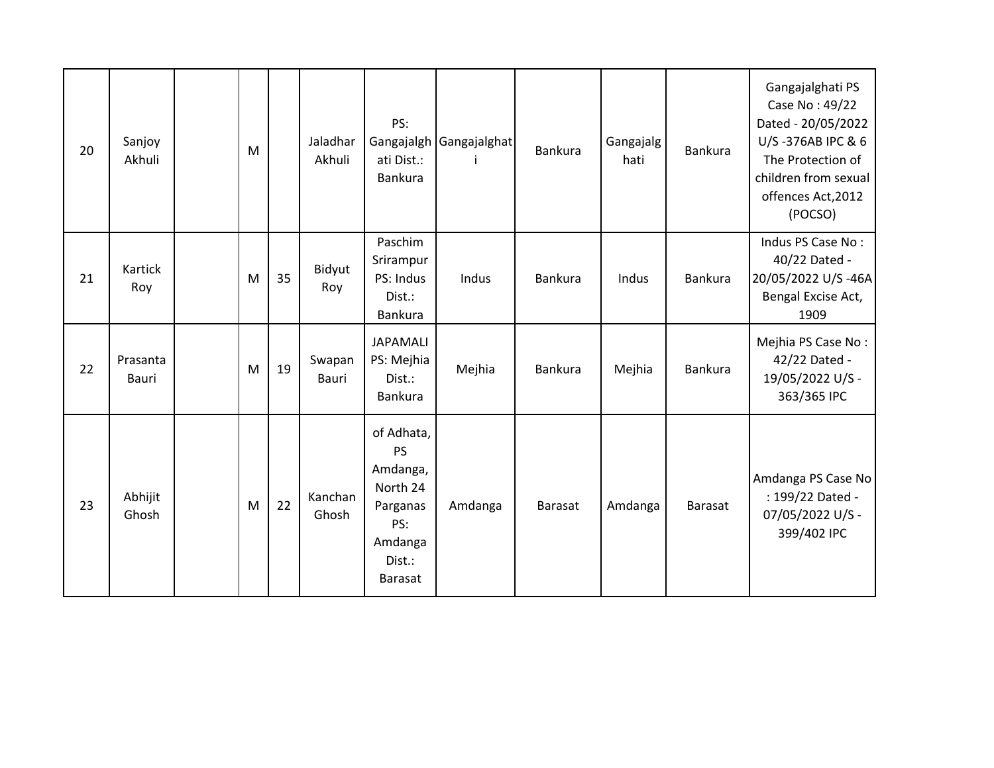| 20 | Sanjoy<br>Akhuli  | M |    | Jaladhar<br>Akhuli     | PS:<br>Gangajalgh<br>ati Dist.:<br>Bankura                                                         | Gangajalghat | Bankura        | Gangajalg<br>hati | Bankura        | Gangajalghati PS<br>Case No: 49/22<br>Dated - 20/05/2022<br>U/S-376AB IPC & 6<br>The Protection of<br>children from sexual<br>offences Act, 2012<br>(POCSO) |
|----|-------------------|---|----|------------------------|----------------------------------------------------------------------------------------------------|--------------|----------------|-------------------|----------------|-------------------------------------------------------------------------------------------------------------------------------------------------------------|
| 21 | Kartick<br>Roy    | M | 35 | Bidyut<br>Roy          | Paschim<br>Srirampur<br>PS: Indus<br>Dist.:<br>Bankura                                             | Indus        | Bankura        | Indus             | Bankura        | Indus PS Case No:<br>40/22 Dated -<br>20/05/2022 U/S-46A<br>Bengal Excise Act,<br>1909                                                                      |
| 22 | Prasanta<br>Bauri | M | 19 | Swapan<br><b>Bauri</b> | <b>JAPAMALI</b><br>PS: Mejhia<br>Dist.:<br><b>Bankura</b>                                          | Mejhia       | Bankura        | Mejhia            | <b>Bankura</b> | Mejhia PS Case No:<br>42/22 Dated -<br>19/05/2022 U/S -<br>363/365 IPC                                                                                      |
| 23 | Abhijit<br>Ghosh  | M | 22 | Kanchan<br>Ghosh       | of Adhata,<br>PS<br>Amdanga,<br>North 24<br>Parganas<br>PS:<br>Amdanga<br>Dist.:<br><b>Barasat</b> | Amdanga      | <b>Barasat</b> | Amdanga           | <b>Barasat</b> | Amdanga PS Case No<br>: 199/22 Dated -<br>07/05/2022 U/S -<br>399/402 IPC                                                                                   |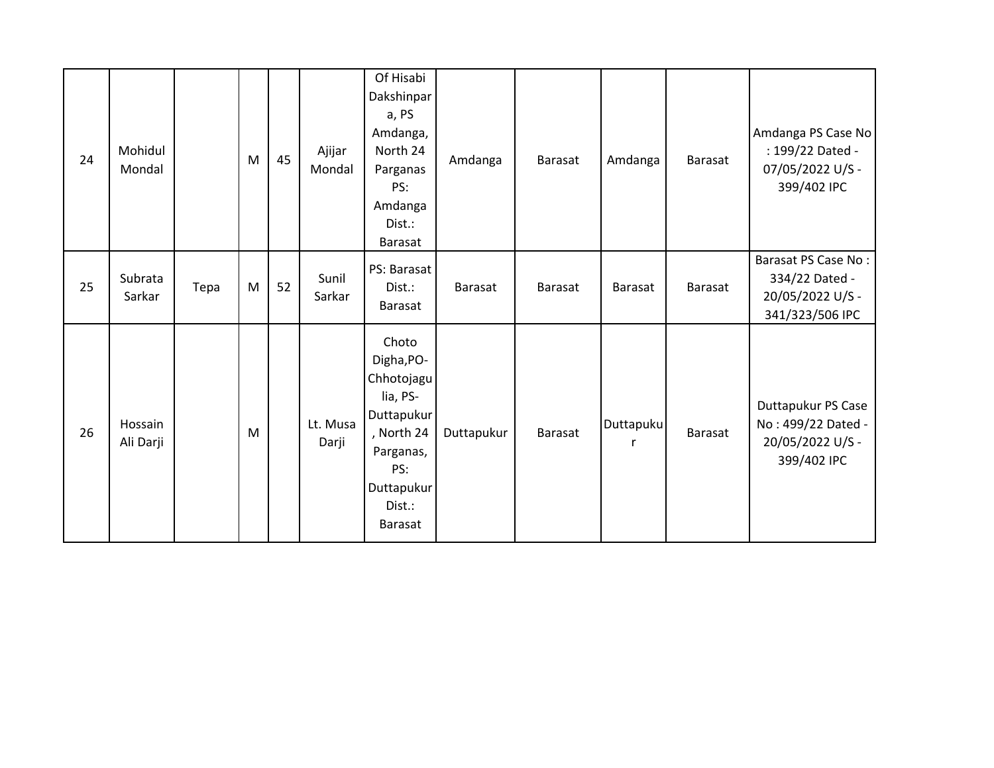| 24 | Mohidul<br>Mondal    |      | M | 45 | Ajijar<br>Mondal  | Of Hisabi<br>Dakshinpar<br>a, PS<br>Amdanga,<br>North 24<br>Parganas<br>PS:<br>Amdanga<br>Dist.:<br>Barasat                             | Amdanga        | Barasat        | Amdanga        | <b>Barasat</b> | Amdanga PS Case No<br>: 199/22 Dated -<br>07/05/2022 U/S -<br>399/402 IPC    |
|----|----------------------|------|---|----|-------------------|-----------------------------------------------------------------------------------------------------------------------------------------|----------------|----------------|----------------|----------------|------------------------------------------------------------------------------|
| 25 | Subrata<br>Sarkar    | Tepa | M | 52 | Sunil<br>Sarkar   | PS: Barasat<br>Dist.:<br>Barasat                                                                                                        | <b>Barasat</b> | <b>Barasat</b> | Barasat        | <b>Barasat</b> | Barasat PS Case No:<br>334/22 Dated -<br>20/05/2022 U/S -<br>341/323/506 IPC |
| 26 | Hossain<br>Ali Darji |      | M |    | Lt. Musa<br>Darji | Choto<br>Digha, PO-<br>Chhotojagu<br>lia, PS-<br>Duttapukur<br>, North 24<br>Parganas,<br>PS:<br>Duttapukur<br>Dist.:<br><b>Barasat</b> | Duttapukur     | <b>Barasat</b> | Duttapuku<br>r | <b>Barasat</b> | Duttapukur PS Case<br>No: 499/22 Dated -<br>20/05/2022 U/S -<br>399/402 IPC  |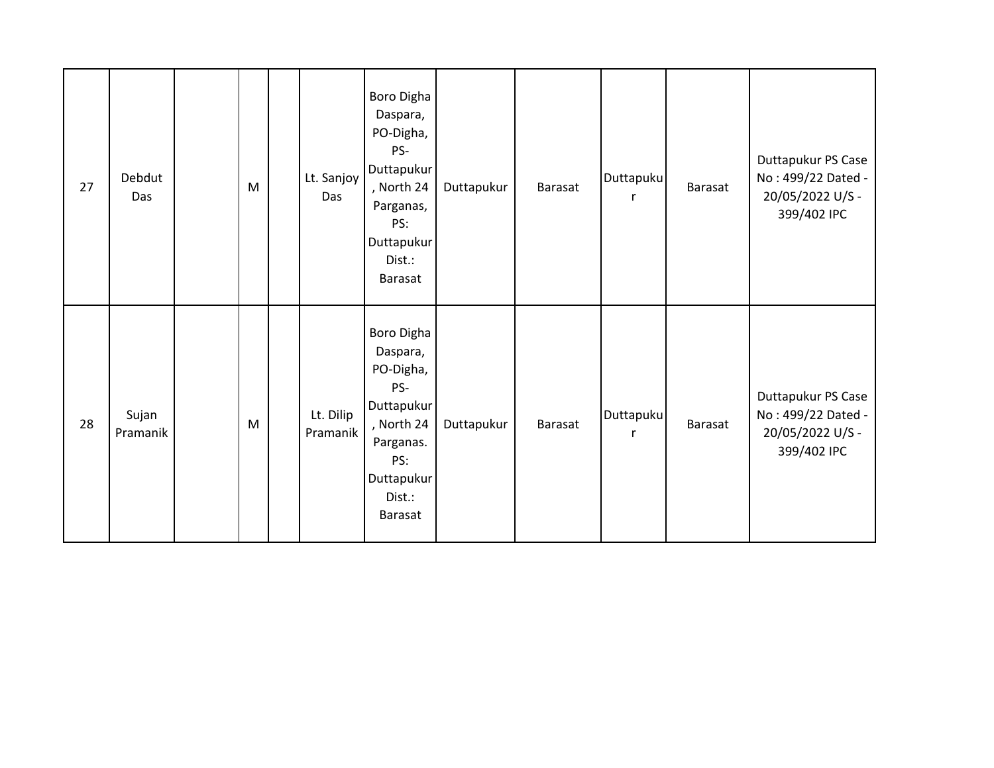| 27 | Debdut<br>Das     | ${\sf M}$ | Lt. Sanjoy<br>Das     | Boro Digha<br>Daspara,<br>PO-Digha,<br>PS-<br>Duttapukur<br>, North 24<br>Parganas,<br>PS:<br>Duttapukur<br>Dist.:<br>Barasat | Duttapukur | Barasat | <b>Duttapuku</b><br>$\mathsf{r}$ | Barasat | Duttapukur PS Case<br>No: 499/22 Dated -<br>20/05/2022 U/S -<br>399/402 IPC |
|----|-------------------|-----------|-----------------------|-------------------------------------------------------------------------------------------------------------------------------|------------|---------|----------------------------------|---------|-----------------------------------------------------------------------------|
| 28 | Sujan<br>Pramanik | M         | Lt. Dilip<br>Pramanik | Boro Digha<br>Daspara,<br>PO-Digha,<br>PS-<br>Duttapukur<br>, North 24<br>Parganas.<br>PS:<br>Duttapukur<br>Dist.:<br>Barasat | Duttapukur | Barasat | Duttapuku<br>$\mathsf{r}$        | Barasat | Duttapukur PS Case<br>No: 499/22 Dated -<br>20/05/2022 U/S -<br>399/402 IPC |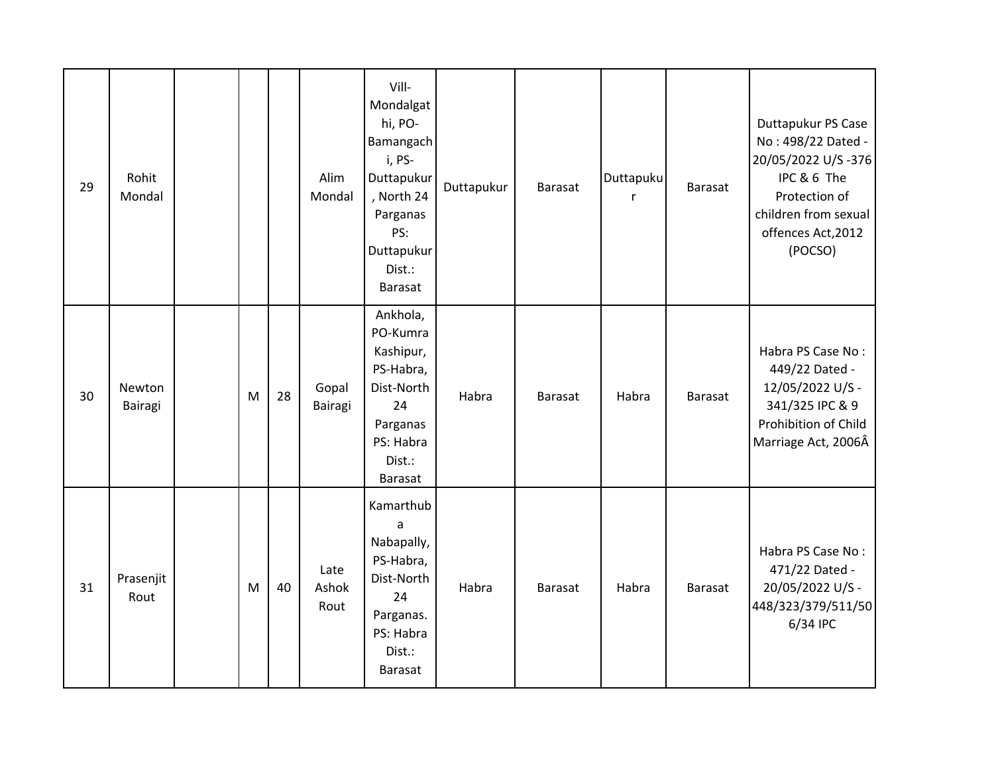| 29 | Rohit<br>Mondal   |   |    | Alim<br>Mondal        | Vill-<br>Mondalgat<br>hi, PO-<br>Bamangach<br>i, PS-<br>Duttapukur<br>, North 24<br>Parganas<br>PS:<br>Duttapukur<br>Dist.:<br>Barasat | Duttapukur | <b>Barasat</b> | Duttapuku<br>r | Barasat        | Duttapukur PS Case<br>No: 498/22 Dated -<br>20/05/2022 U/S-376<br>IPC & 6 The<br>Protection of<br>children from sexual<br>offences Act, 2012<br>(POCSO) |
|----|-------------------|---|----|-----------------------|----------------------------------------------------------------------------------------------------------------------------------------|------------|----------------|----------------|----------------|---------------------------------------------------------------------------------------------------------------------------------------------------------|
| 30 | Newton<br>Bairagi | M | 28 | Gopal<br>Bairagi      | Ankhola,<br>PO-Kumra<br>Kashipur,<br>PS-Habra,<br>Dist-North<br>24<br>Parganas<br>PS: Habra<br>Dist.:<br>Barasat                       | Habra      | <b>Barasat</b> | Habra          | Barasat        | Habra PS Case No:<br>449/22 Dated -<br>12/05/2022 U/S -<br>341/325 IPC & 9<br>Prohibition of Child<br>Marriage Act, 2006Â                               |
| 31 | Prasenjit<br>Rout | M | 40 | Late<br>Ashok<br>Rout | Kamarthub<br>a<br>Nabapally,<br>PS-Habra,<br>Dist-North<br>24<br>Parganas.<br>PS: Habra<br>Dist.:<br><b>Barasat</b>                    | Habra      | <b>Barasat</b> | Habra          | <b>Barasat</b> | Habra PS Case No:<br>471/22 Dated -<br>20/05/2022 U/S -<br>448/323/379/511/50<br>6/34 IPC                                                               |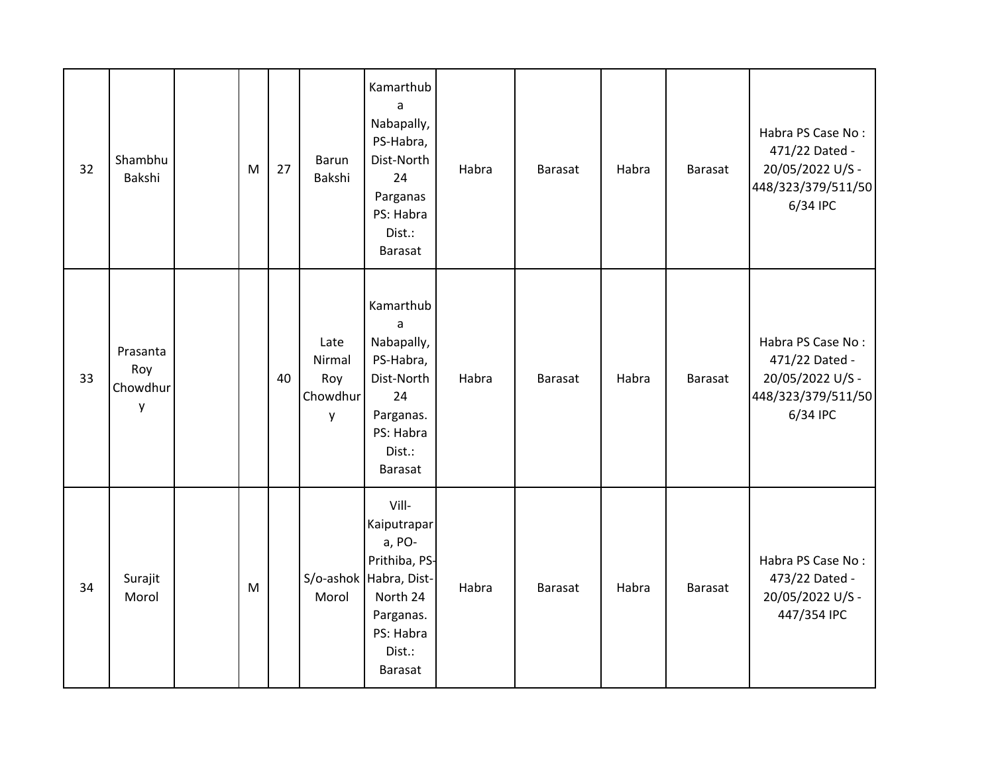| 32 | Shambhu<br>Bakshi                | M | 27 | Barun<br>Bakshi                        | Kamarthub<br>a<br>Nabapally,<br>PS-Habra,<br>Dist-North<br>24<br>Parganas<br>PS: Habra<br>Dist.:<br><b>Barasat</b>                          | Habra | <b>Barasat</b> | Habra | Barasat        | Habra PS Case No:<br>471/22 Dated -<br>20/05/2022 U/S -<br>448/323/379/511/50<br>6/34 IPC |
|----|----------------------------------|---|----|----------------------------------------|---------------------------------------------------------------------------------------------------------------------------------------------|-------|----------------|-------|----------------|-------------------------------------------------------------------------------------------|
| 33 | Prasanta<br>Roy<br>Chowdhur<br>у |   | 40 | Late<br>Nirmal<br>Roy<br>Chowdhur<br>y | Kamarthub<br>a<br>Nabapally,<br>PS-Habra,<br>Dist-North<br>24<br>Parganas.<br>PS: Habra<br>Dist.:<br>Barasat                                | Habra | <b>Barasat</b> | Habra | Barasat        | Habra PS Case No:<br>471/22 Dated -<br>20/05/2022 U/S -<br>448/323/379/511/50<br>6/34 IPC |
| 34 | Surajit<br>Morol                 | M |    | Morol                                  | Vill-<br>Kaiputrapar<br>a, PO-<br>Prithiba, PS-<br>S/o-ashok Habra, Dist-<br>North 24<br>Parganas.<br>PS: Habra<br>Dist.:<br><b>Barasat</b> | Habra | <b>Barasat</b> | Habra | <b>Barasat</b> | Habra PS Case No:<br>473/22 Dated -<br>20/05/2022 U/S -<br>447/354 IPC                    |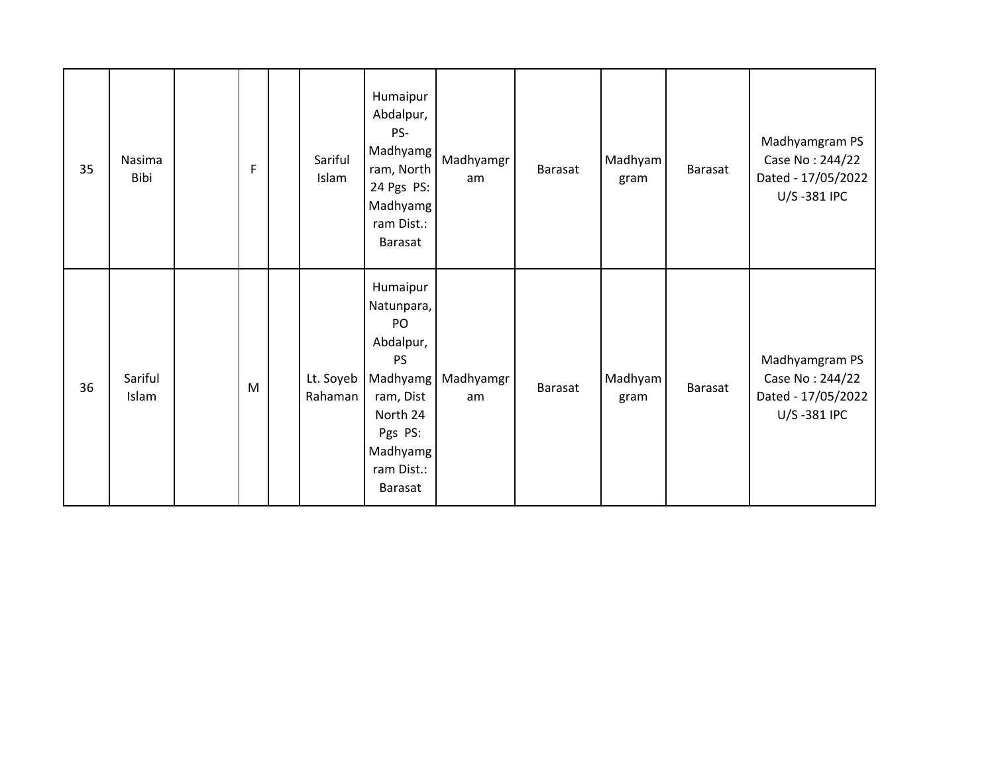| 35 | Nasima<br>Bibi   | F | Sariful<br>Islam     | Humaipur<br>Abdalpur,<br>PS-<br>Madhyamg<br>ram, North<br>24 Pgs PS:<br>Madhyamg<br>ram Dist.:<br>Barasat                                          | Madhyamgr<br>am | Barasat        | Madhyam<br>gram | Barasat | Madhyamgram PS<br>Case No: 244/22<br>Dated - 17/05/2022<br>U/S-381 IPC |
|----|------------------|---|----------------------|----------------------------------------------------------------------------------------------------------------------------------------------------|-----------------|----------------|-----------------|---------|------------------------------------------------------------------------|
| 36 | Sariful<br>Islam | M | Lt. Soyeb<br>Rahaman | Humaipur<br>Natunpara,<br>PO<br>Abdalpur,<br><b>PS</b><br>Madhyamg<br>ram, Dist<br>North 24<br>Pgs PS:<br>Madhyamg<br>ram Dist.:<br><b>Barasat</b> | Madhyamgr<br>am | <b>Barasat</b> | Madhyam<br>gram | Barasat | Madhyamgram PS<br>Case No: 244/22<br>Dated - 17/05/2022<br>U/S-381 IPC |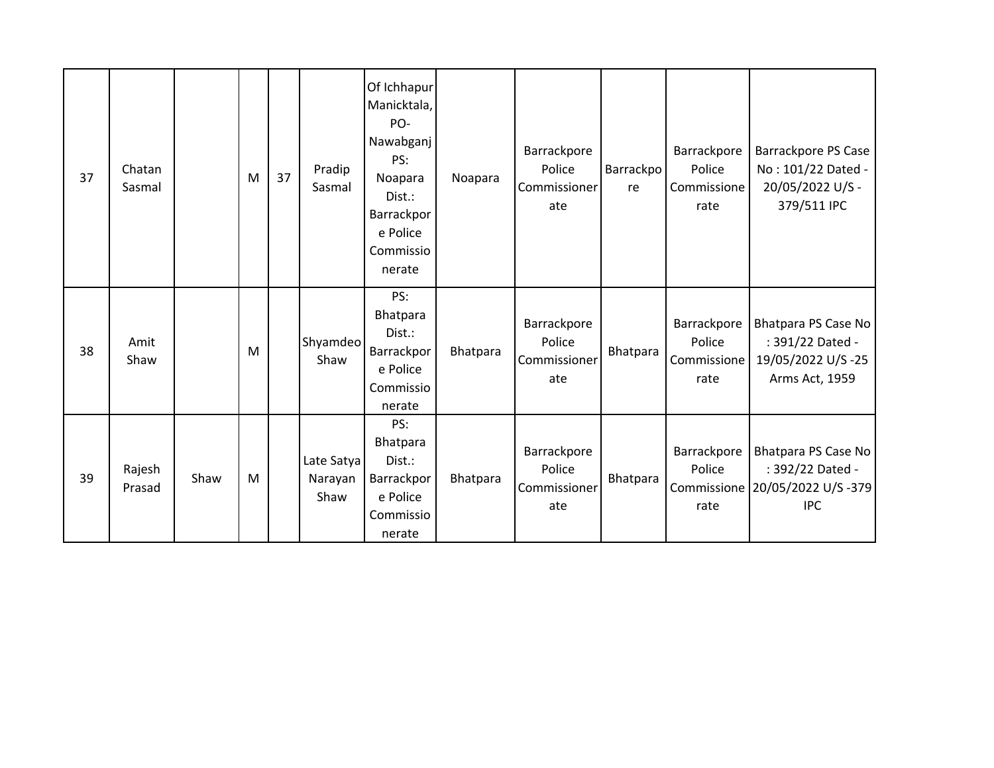| 37 | Chatan<br>Sasmal |      | M | 37 | Pradip<br>Sasmal              | Of Ichhapur<br>Manicktala,<br>PO-<br>Nawabganj<br>PS:<br>Noapara<br>Dist.:<br>Barrackpor<br>e Police<br>Commissio<br>nerate | Noapara  | Barrackpore<br>Police<br>Commissioner<br>ate | Barrackpo<br>re | Barrackpore<br>Police<br>Commissione<br>rate | <b>Barrackpore PS Case</b><br>No: 101/22 Dated -<br>20/05/2022 U/S -<br>379/511 IPC      |
|----|------------------|------|---|----|-------------------------------|-----------------------------------------------------------------------------------------------------------------------------|----------|----------------------------------------------|-----------------|----------------------------------------------|------------------------------------------------------------------------------------------|
| 38 | Amit<br>Shaw     |      | M |    | Shyamdeo<br>Shaw              | PS:<br>Bhatpara<br>Dist.:<br>Barrackpor<br>e Police<br>Commissio<br>nerate                                                  | Bhatpara | Barrackpore<br>Police<br>Commissioner<br>ate | Bhatpara        | Barrackpore<br>Police<br>Commissione<br>rate | Bhatpara PS Case No<br>: 391/22 Dated -<br>19/05/2022 U/S-25<br>Arms Act, 1959           |
| 39 | Rajesh<br>Prasad | Shaw | M |    | Late Satya<br>Narayan<br>Shaw | PS:<br>Bhatpara<br>Dist.:<br>Barrackpor<br>e Police<br>Commissio<br>nerate                                                  | Bhatpara | Barrackpore<br>Police<br>Commissioner<br>ate | Bhatpara        | Barrackpore<br>Police<br>rate                | Bhatpara PS Case No<br>: 392/22 Dated -<br>Commissione 20/05/2022 U/S -379<br><b>IPC</b> |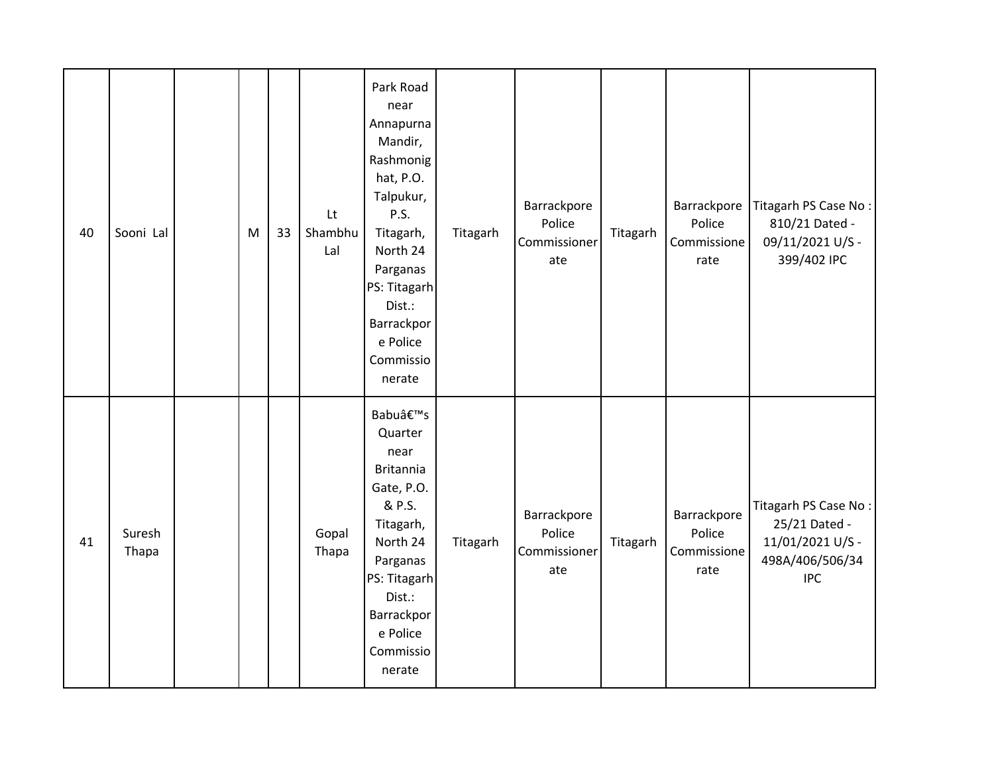| 40 | Sooni Lal       | M | 33 | Lt<br>Shambhu<br>Lal | Park Road<br>near<br>Annapurna<br>Mandir,<br>Rashmonig<br>hat, P.O.<br>Talpukur,<br>P.S.<br>Titagarh,<br>North 24<br>Parganas<br>PS: Titagarh<br>Dist.:<br>Barrackpor<br>e Police<br>Commissio<br>nerate | Titagarh | Barrackpore<br>Police<br>Commissioner<br>ate | Titagarh | Barrackpore<br>Police<br>Commissione<br>rate | Titagarh PS Case No:<br>810/21 Dated -<br>09/11/2021 U/S -<br>399/402 IPC                  |
|----|-----------------|---|----|----------------------|----------------------------------------------------------------------------------------------------------------------------------------------------------------------------------------------------------|----------|----------------------------------------------|----------|----------------------------------------------|--------------------------------------------------------------------------------------------|
| 41 | Suresh<br>Thapa |   |    | Gopal<br>Thapa       | Babu's<br>Quarter<br>near<br><b>Britannia</b><br>Gate, P.O.<br>& P.S.<br>Titagarh,<br>North 24<br>Parganas<br>PS: Titagarh<br>Dist.:<br>Barrackpor<br>e Police<br>Commissio<br>nerate                    | Titagarh | Barrackpore<br>Police<br>Commissioner<br>ate | Titagarh | Barrackpore<br>Police<br>Commissione<br>rate | Titagarh PS Case No:<br>25/21 Dated -<br>11/01/2021 U/S -<br>498A/406/506/34<br><b>IPC</b> |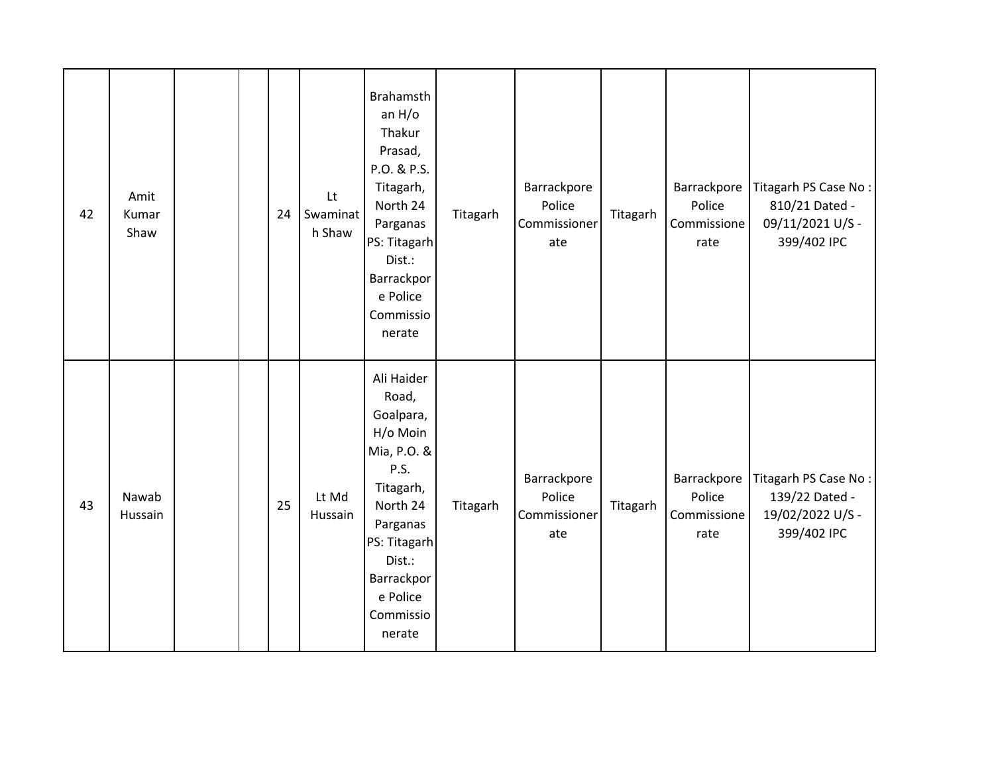| 42 | Amit<br>Kumar<br>Shaw |  | 24 | Lt<br>Swaminat<br>h Shaw | <b>Brahamsth</b><br>an $H/O$<br>Thakur<br>Prasad,<br>P.O. & P.S.<br>Titagarh,<br>North 24<br>Parganas<br>PS: Titagarh<br>Dist.:<br>Barrackpor<br>e Police<br>Commissio<br>nerate    | Titagarh | Barrackpore<br>Police<br>Commissioner<br>ate | Titagarh | Police<br>Commissione<br>rate                | Barrackpore   Titagarh PS Case No :<br>810/21 Dated -<br>09/11/2021 U/S -<br>399/402 IPC |
|----|-----------------------|--|----|--------------------------|-------------------------------------------------------------------------------------------------------------------------------------------------------------------------------------|----------|----------------------------------------------|----------|----------------------------------------------|------------------------------------------------------------------------------------------|
| 43 | Nawab<br>Hussain      |  | 25 | Lt Md<br>Hussain         | Ali Haider<br>Road,<br>Goalpara,<br>H/o Moin<br>Mia, P.O. &<br>P.S.<br>Titagarh,<br>North 24<br>Parganas<br>PS: Titagarh<br>Dist.:<br>Barrackpor<br>e Police<br>Commissio<br>nerate | Titagarh | Barrackpore<br>Police<br>Commissioner<br>ate | Titagarh | Barrackpore<br>Police<br>Commissione<br>rate | Titagarh PS Case No:<br>139/22 Dated -<br>19/02/2022 U/S -<br>399/402 IPC                |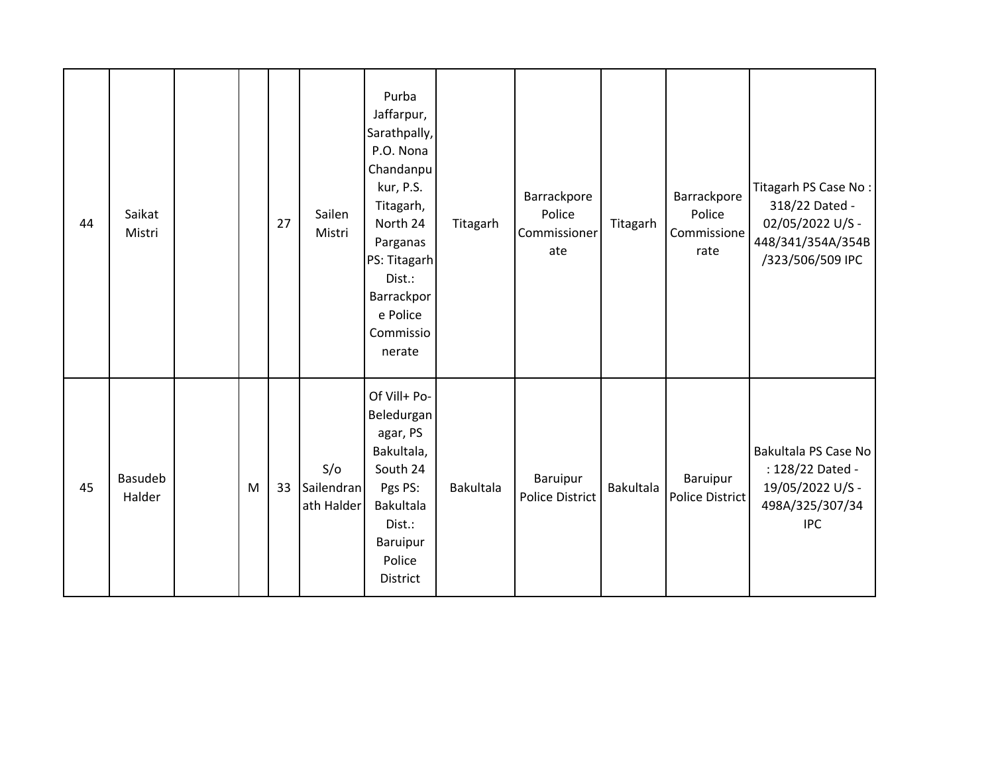| 44 | Saikat<br>Mistri  |   | 27 | Sailen<br>Mistri                | Purba<br>Jaffarpur,<br>Sarathpally,<br>P.O. Nona<br>Chandanpu<br>kur, P.S.<br>Titagarh,<br>North 24<br>Parganas<br>PS: Titagarh<br>Dist.:<br>Barrackpor<br>e Police<br>Commissio<br>nerate | Titagarh  | Barrackpore<br>Police<br>Commissioner<br>ate | Titagarh         | Barrackpore<br>Police<br>Commissione<br>rate | Titagarh PS Case No:<br>318/22 Dated -<br>02/05/2022 U/S -<br>448/341/354A/354B<br>/323/506/509 IPC |
|----|-------------------|---|----|---------------------------------|--------------------------------------------------------------------------------------------------------------------------------------------------------------------------------------------|-----------|----------------------------------------------|------------------|----------------------------------------------|-----------------------------------------------------------------------------------------------------|
| 45 | Basudeb<br>Halder | M | 33 | S/O<br>Sailendran<br>ath Halder | Of Vill+ Po-<br>Beledurgan<br>agar, PS<br>Bakultala,<br>South 24<br>Pgs PS:<br><b>Bakultala</b><br>Dist.:<br>Baruipur<br>Police<br><b>District</b>                                         | Bakultala | Baruipur<br><b>Police District</b>           | <b>Bakultala</b> | Baruipur<br>Police District                  | Bakultala PS Case No<br>: 128/22 Dated -<br>19/05/2022 U/S -<br>498A/325/307/34<br><b>IPC</b>       |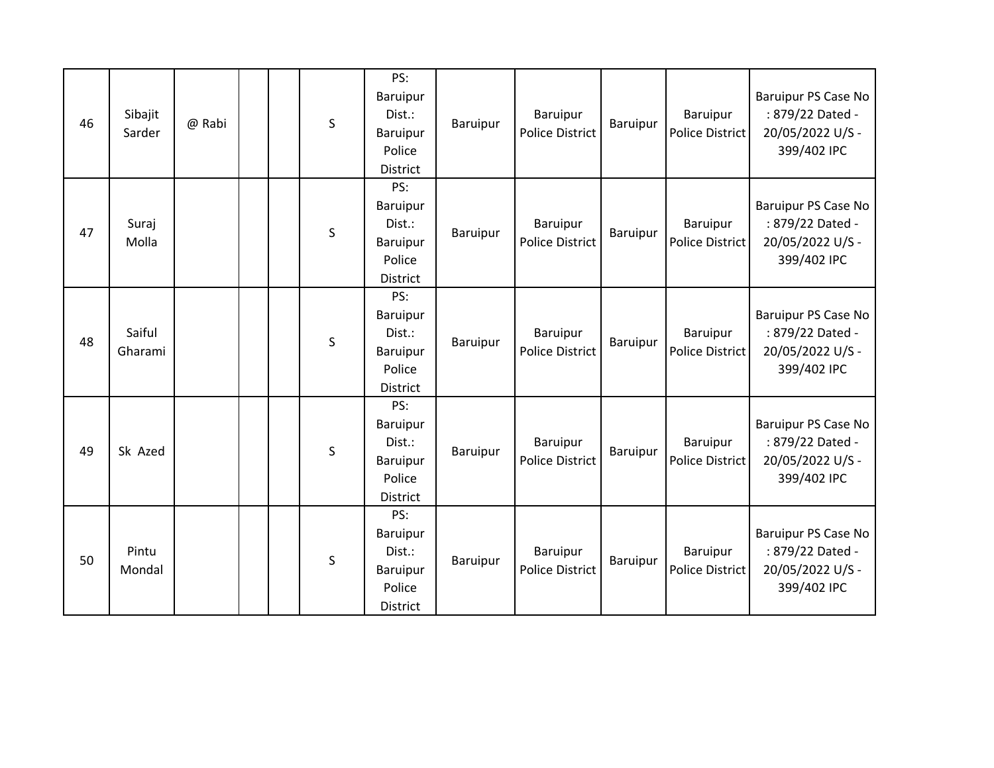| 46 | Sibajit<br>Sarder | @ Rabi |  | S            | PS:<br>Baruipur<br>Dist.:<br>Baruipur<br>Police<br><b>District</b> | Baruipur        | Baruipur<br><b>Police District</b> | Baruipur | Baruipur<br><b>Police District</b> | <b>Baruipur PS Case No</b><br>: 879/22 Dated -<br>20/05/2022 U/S -<br>399/402 IPC |
|----|-------------------|--------|--|--------------|--------------------------------------------------------------------|-----------------|------------------------------------|----------|------------------------------------|-----------------------------------------------------------------------------------|
| 47 | Suraj<br>Molla    |        |  | S            | PS:<br>Baruipur<br>Dist.:<br>Baruipur<br>Police<br><b>District</b> | Baruipur        | Baruipur<br><b>Police District</b> | Baruipur | Baruipur<br>Police District        | Baruipur PS Case No<br>: 879/22 Dated -<br>20/05/2022 U/S -<br>399/402 IPC        |
| 48 | Saiful<br>Gharami |        |  | S            | PS:<br>Baruipur<br>Dist.:<br>Baruipur<br>Police<br>District        | Baruipur        | Baruipur<br><b>Police District</b> | Baruipur | Baruipur<br>Police District        | Baruipur PS Case No<br>: 879/22 Dated -<br>20/05/2022 U/S -<br>399/402 IPC        |
| 49 | Sk Azed           |        |  | S            | PS:<br>Baruipur<br>Dist.:<br>Baruipur<br>Police<br><b>District</b> | <b>Baruipur</b> | Baruipur<br><b>Police District</b> | Baruipur | Baruipur<br><b>Police District</b> | Baruipur PS Case No<br>: 879/22 Dated -<br>20/05/2022 U/S -<br>399/402 IPC        |
| 50 | Pintu<br>Mondal   |        |  | $\mathsf{S}$ | PS:<br>Baruipur<br>Dist.:<br>Baruipur<br>Police<br><b>District</b> | Baruipur        | Baruipur<br><b>Police District</b> | Baruipur | Baruipur<br><b>Police District</b> | Baruipur PS Case No<br>: 879/22 Dated -<br>20/05/2022 U/S -<br>399/402 IPC        |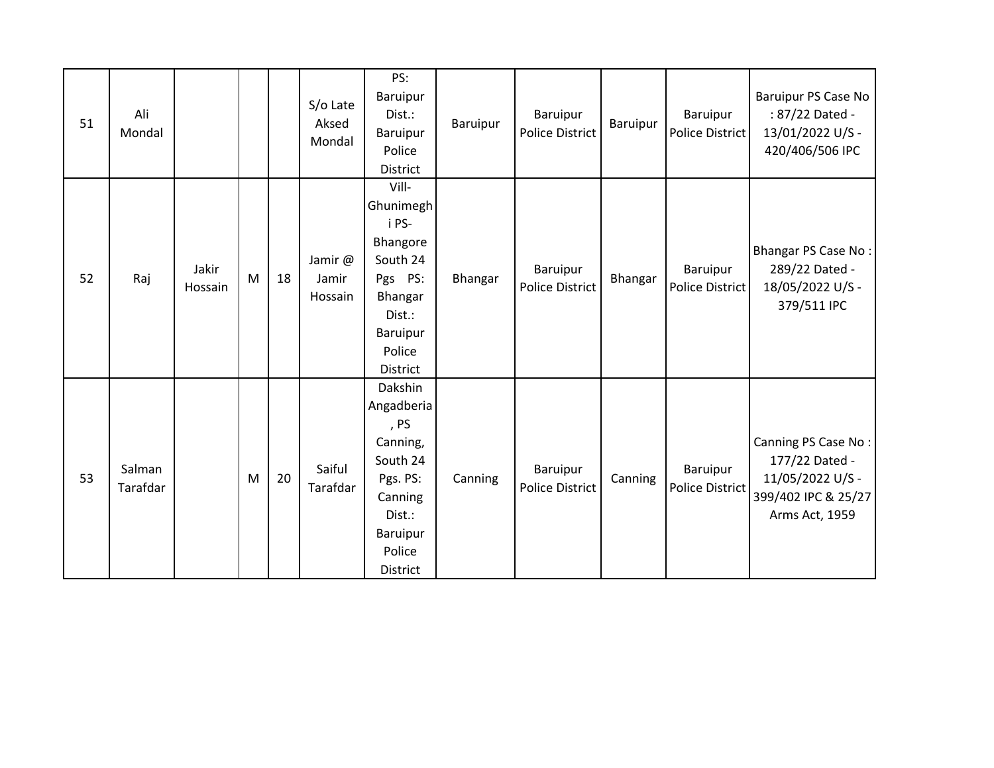| 51 | Ali<br>Mondal      |                  |   |    | S/o Late<br>Aksed<br>Mondal | PS:<br>Baruipur<br>Dist.:<br>Baruipur<br>Police<br>District                                                                     | Baruipur | Baruipur<br><b>Police District</b> | Baruipur | Baruipur<br><b>Police District</b> | <b>Baruipur PS Case No</b><br>: 87/22 Dated -<br>13/01/2022 U/S -<br>420/406/506 IPC               |
|----|--------------------|------------------|---|----|-----------------------------|---------------------------------------------------------------------------------------------------------------------------------|----------|------------------------------------|----------|------------------------------------|----------------------------------------------------------------------------------------------------|
| 52 | Raj                | Jakir<br>Hossain | M | 18 | Jamir @<br>Jamir<br>Hossain | Vill-<br>Ghunimegh<br>i PS-<br>Bhangore<br>South 24<br>Pgs PS:<br>Bhangar<br>Dist.:<br>Baruipur<br>Police<br>District           | Bhangar  | Baruipur<br><b>Police District</b> | Bhangar  | Baruipur<br><b>Police District</b> | Bhangar PS Case No:<br>289/22 Dated -<br>18/05/2022 U/S -<br>379/511 IPC                           |
| 53 | Salman<br>Tarafdar |                  | M | 20 | Saiful<br>Tarafdar          | Dakshin<br>Angadberia<br>, PS<br>Canning,<br>South 24<br>Pgs. PS:<br>Canning<br>Dist.:<br><b>Baruipur</b><br>Police<br>District | Canning  | Baruipur<br><b>Police District</b> | Canning  | Baruipur<br><b>Police District</b> | Canning PS Case No:<br>177/22 Dated -<br>11/05/2022 U/S -<br>399/402 IPC & 25/27<br>Arms Act, 1959 |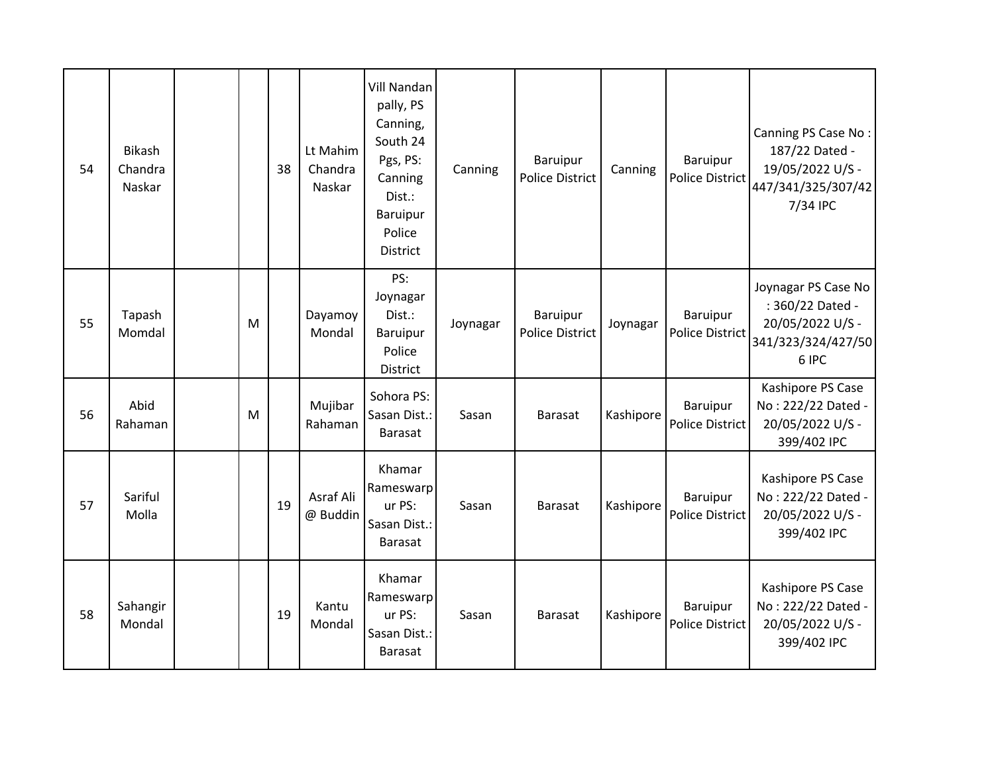| 54 | <b>Bikash</b><br>Chandra<br>Naskar |   | 38 | Lt Mahim<br>Chandra<br>Naskar | <b>Vill Nandan</b><br>pally, PS<br>Canning,<br>South 24<br>Pgs, PS:<br>Canning<br>Dist.:<br>Baruipur<br>Police<br>District | Canning  | Baruipur<br><b>Police District</b> | Canning   | <b>Baruipur</b><br><b>Police District</b> | Canning PS Case No:<br>187/22 Dated -<br>19/05/2022 U/S -<br>447/341/325/307/42<br>7/34 IPC |
|----|------------------------------------|---|----|-------------------------------|----------------------------------------------------------------------------------------------------------------------------|----------|------------------------------------|-----------|-------------------------------------------|---------------------------------------------------------------------------------------------|
| 55 | Tapash<br>Momdal                   | M |    | Dayamoy<br>Mondal             | PS:<br>Joynagar<br>Dist.:<br><b>Baruipur</b><br>Police<br>District                                                         | Joynagar | Baruipur<br><b>Police District</b> | Joynagar  | Baruipur<br><b>Police District</b>        | Joynagar PS Case No<br>: 360/22 Dated -<br>20/05/2022 U/S -<br>341/323/324/427/50<br>6 IPC  |
| 56 | Abid<br>Rahaman                    | M |    | Mujibar<br>Rahaman            | Sohora PS:<br>Sasan Dist.:<br><b>Barasat</b>                                                                               | Sasan    | <b>Barasat</b>                     | Kashipore | Baruipur<br><b>Police District</b>        | Kashipore PS Case<br>No: 222/22 Dated -<br>20/05/2022 U/S -<br>399/402 IPC                  |
| 57 | Sariful<br>Molla                   |   | 19 | Asraf Ali<br>@ Buddin         | Khamar<br>Rameswarp<br>ur PS:<br>Sasan Dist.:<br><b>Barasat</b>                                                            | Sasan    | <b>Barasat</b>                     | Kashipore | <b>Baruipur</b><br><b>Police District</b> | Kashipore PS Case<br>No: 222/22 Dated -<br>20/05/2022 U/S -<br>399/402 IPC                  |
| 58 | Sahangir<br>Mondal                 |   | 19 | Kantu<br>Mondal               | Khamar<br>Rameswarp<br>ur PS:<br>Sasan Dist.:<br><b>Barasat</b>                                                            | Sasan    | <b>Barasat</b>                     | Kashipore | Baruipur<br><b>Police District</b>        | Kashipore PS Case<br>No: 222/22 Dated -<br>20/05/2022 U/S -<br>399/402 IPC                  |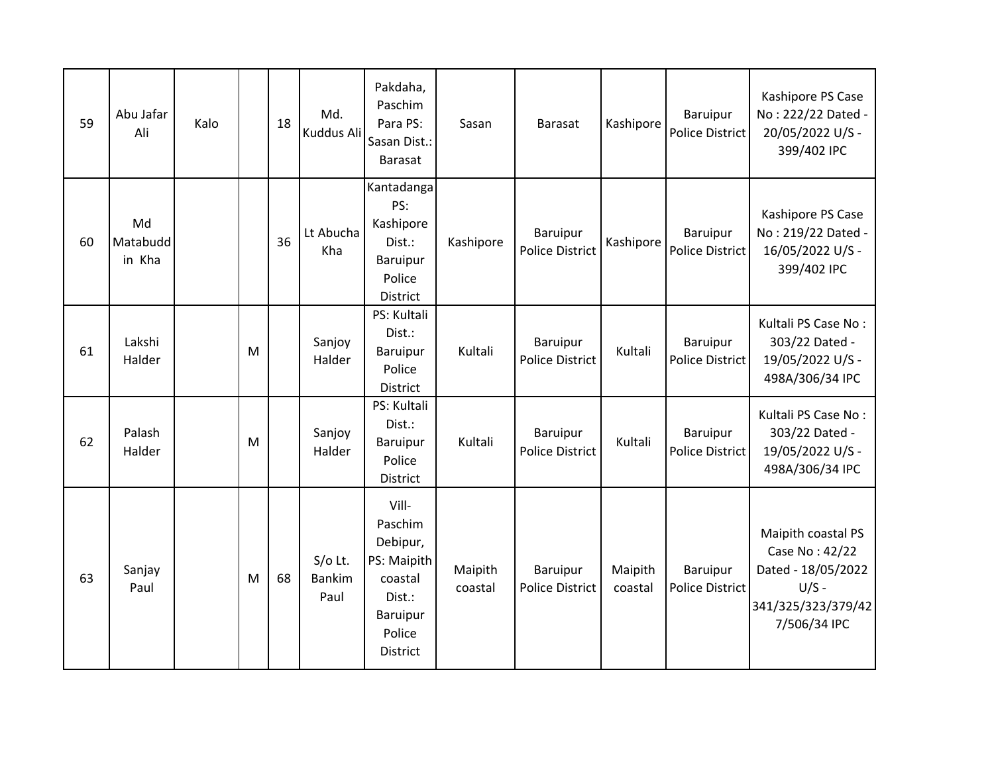| 59 | Abu Jafar<br>Ali         | Kalo |   | 18 | Md.<br>Kuddus Ali                  | Pakdaha,<br>Paschim<br>Para PS:<br>Sasan Dist.:<br><b>Barasat</b>                                  | Sasan              | <b>Barasat</b>                     | Kashipore          | Baruipur<br><b>Police District</b> | Kashipore PS Case<br>No: 222/22 Dated -<br>20/05/2022 U/S -<br>399/402 IPC                                  |
|----|--------------------------|------|---|----|------------------------------------|----------------------------------------------------------------------------------------------------|--------------------|------------------------------------|--------------------|------------------------------------|-------------------------------------------------------------------------------------------------------------|
| 60 | Md<br>Matabudd<br>in Kha |      |   | 36 | Lt Abucha<br>Kha                   | Kantadanga<br>PS:<br>Kashipore<br>Dist.:<br><b>Baruipur</b><br>Police<br>District                  | Kashipore          | Baruipur<br><b>Police District</b> | Kashipore          | Baruipur<br>Police District        | Kashipore PS Case<br>No: 219/22 Dated -<br>16/05/2022 U/S -<br>399/402 IPC                                  |
| 61 | Lakshi<br>Halder         |      | M |    | Sanjoy<br>Halder                   | PS: Kultali<br>Dist.:<br>Baruipur<br>Police<br>District                                            | Kultali            | Baruipur<br><b>Police District</b> | Kultali            | Baruipur<br><b>Police District</b> | Kultali PS Case No:<br>303/22 Dated -<br>19/05/2022 U/S -<br>498A/306/34 IPC                                |
| 62 | Palash<br>Halder         |      | M |    | Sanjoy<br>Halder                   | PS: Kultali<br>Dist.:<br>Baruipur<br>Police<br>District                                            | Kultali            | Baruipur<br><b>Police District</b> | Kultali            | Baruipur<br><b>Police District</b> | Kultali PS Case No:<br>303/22 Dated -<br>19/05/2022 U/S -<br>498A/306/34 IPC                                |
| 63 | Sanjay<br>Paul           |      | M | 68 | $S/O$ Lt.<br><b>Bankim</b><br>Paul | Vill-<br>Paschim<br>Debipur,<br>PS: Maipith<br>coastal<br>Dist.:<br>Baruipur<br>Police<br>District | Maipith<br>coastal | Baruipur<br><b>Police District</b> | Maipith<br>coastal | Baruipur<br>Police District        | Maipith coastal PS<br>Case No: 42/22<br>Dated - 18/05/2022<br>$U/S -$<br>341/325/323/379/42<br>7/506/34 IPC |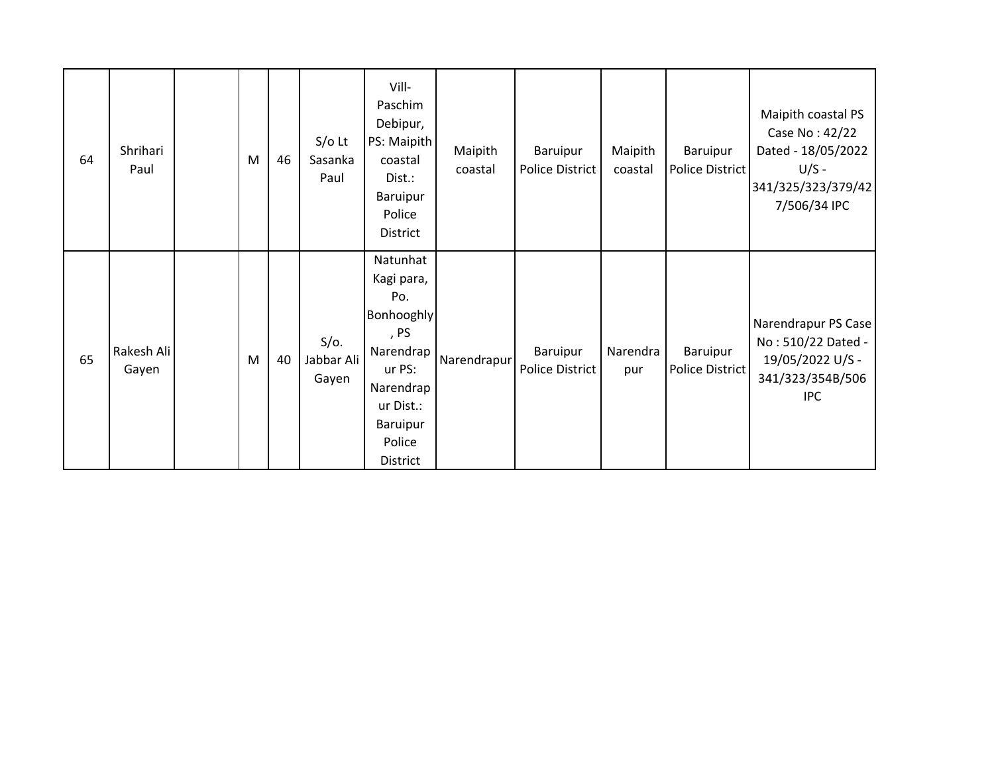| 64 | Shrihari<br>Paul    | M | 46 | $S/O$ Lt<br>Sasanka<br>Paul    | Vill-<br>Paschim<br>Debipur,<br>PS: Maipith<br>coastal<br>Dist.:<br><b>Baruipur</b><br>Police<br>District                                     | Maipith<br>coastal | Baruipur<br><b>Police District</b> | Maipith<br>coastal | Baruipur<br>Police District | Maipith coastal PS<br>Case No: 42/22<br>Dated - 18/05/2022<br>$U/S -$<br>341/325/323/379/42<br>7/506/34 IPC |
|----|---------------------|---|----|--------------------------------|-----------------------------------------------------------------------------------------------------------------------------------------------|--------------------|------------------------------------|--------------------|-----------------------------|-------------------------------------------------------------------------------------------------------------|
| 65 | Rakesh Ali<br>Gayen | M | 40 | $S/O$ .<br>Jabbar Ali<br>Gayen | Natunhat<br>Kagi para,<br>Po.<br>Bonhooghly<br>, PS<br>Narendrap<br>ur PS:<br>Narendrap<br>ur Dist.:<br><b>Baruipur</b><br>Police<br>District | Narendrapur        | Baruipur<br><b>Police District</b> | Narendra<br>pur    | Baruipur<br>Police District | Narendrapur PS Case<br>No: 510/22 Dated -<br>19/05/2022 U/S -<br>341/323/354B/506<br><b>IPC</b>             |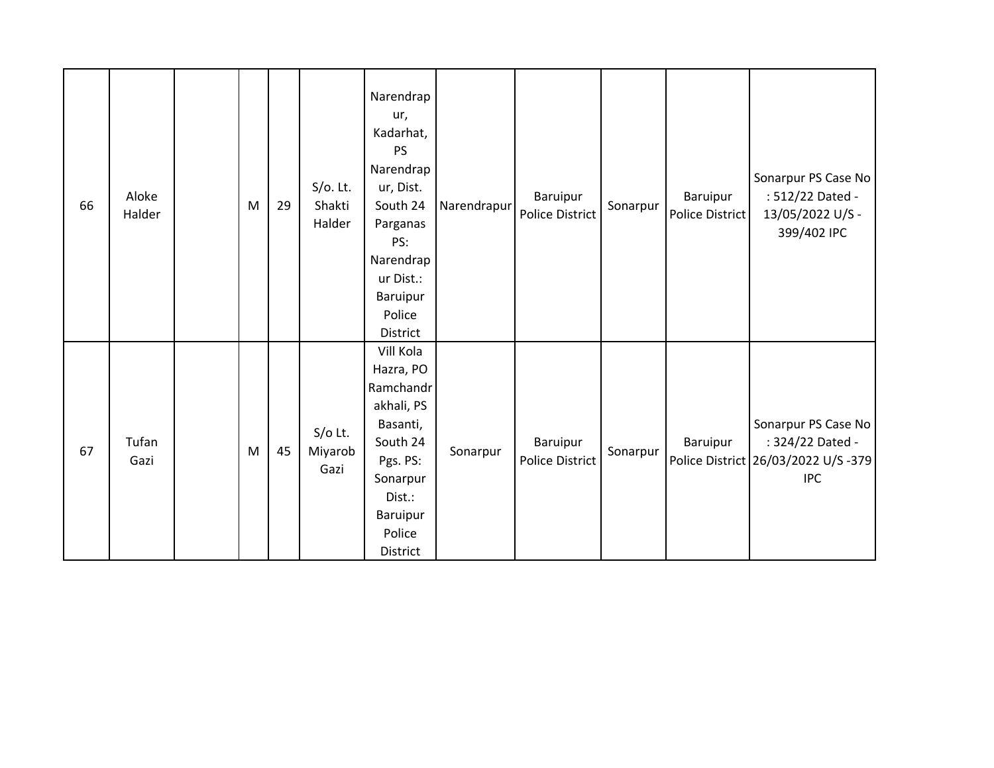| 66 | Aloke<br>Halder | M | 29 | $S/O$ . Lt.<br>Shakti<br>Halder | Narendrap<br>ur,<br>Kadarhat,<br><b>PS</b><br>Narendrap<br>ur, Dist.<br>South 24<br>Parganas<br>PS:<br>Narendrap<br>ur Dist.:<br>Baruipur<br>Police<br>District | Narendrapur | Baruipur<br><b>Police District</b> | Sonarpur | Baruipur<br><b>Police District</b> | Sonarpur PS Case No<br>: 512/22 Dated -<br>13/05/2022 U/S -<br>399/402 IPC                   |
|----|-----------------|---|----|---------------------------------|-----------------------------------------------------------------------------------------------------------------------------------------------------------------|-------------|------------------------------------|----------|------------------------------------|----------------------------------------------------------------------------------------------|
| 67 | Tufan<br>Gazi   | M | 45 | $S/O$ Lt.<br>Miyarob<br>Gazi    | Vill Kola<br>Hazra, PO<br>Ramchandr<br>akhali, PS<br>Basanti,<br>South 24<br>Pgs. PS:<br>Sonarpur<br>Dist.:<br>Baruipur<br>Police<br>District                   | Sonarpur    | Baruipur<br><b>Police District</b> | Sonarpur | Baruipur                           | Sonarpur PS Case No<br>: 324/22 Dated -<br>Police District 26/03/2022 U/S -379<br><b>IPC</b> |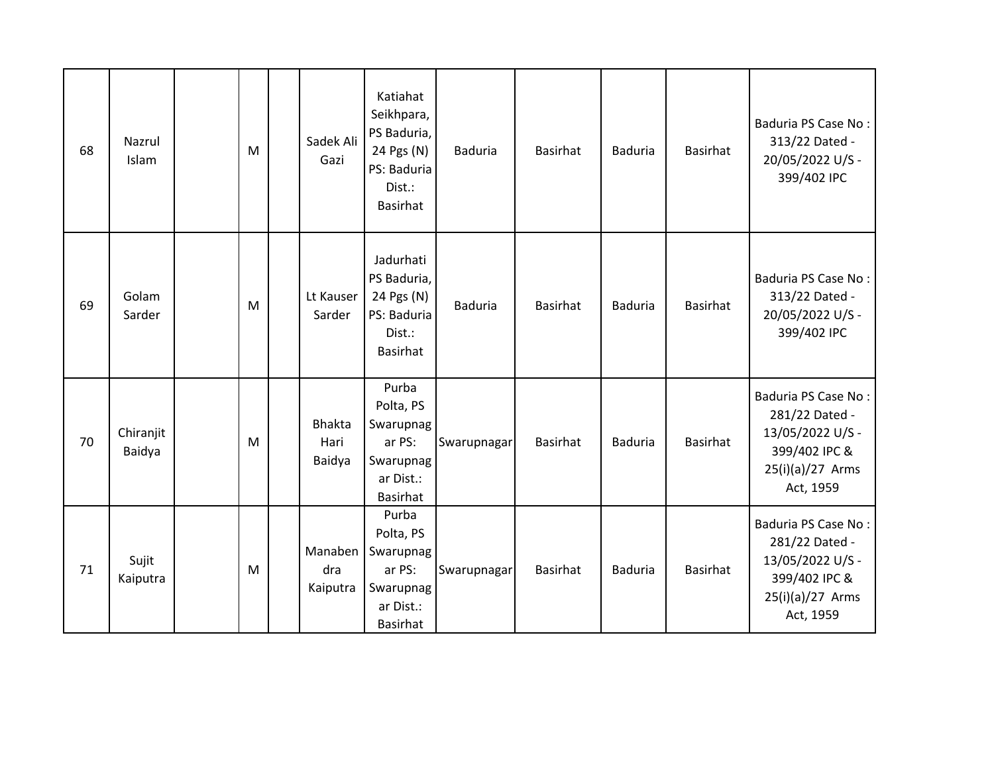| 68 | Nazrul<br>Islam     | M | Sadek Ali<br>Gazi               | Katiahat<br>Seikhpara,<br>PS Baduria,<br>24 Pgs (N)<br>PS: Baduria<br>Dist.:<br>Basirhat | <b>Baduria</b> | Basirhat        | <b>Baduria</b> | Basirhat        | Baduria PS Case No:<br>313/22 Dated -<br>20/05/2022 U/S -<br>399/402 IPC                                           |
|----|---------------------|---|---------------------------------|------------------------------------------------------------------------------------------|----------------|-----------------|----------------|-----------------|--------------------------------------------------------------------------------------------------------------------|
| 69 | Golam<br>Sarder     | M | Lt Kauser<br>Sarder             | Jadurhati<br>PS Baduria,<br>24 Pgs (N)<br>PS: Baduria<br>Dist.:<br>Basirhat              | <b>Baduria</b> | <b>Basirhat</b> | <b>Baduria</b> | <b>Basirhat</b> | Baduria PS Case No:<br>313/22 Dated -<br>20/05/2022 U/S -<br>399/402 IPC                                           |
| 70 | Chiranjit<br>Baidya | M | <b>Bhakta</b><br>Hari<br>Baidya | Purba<br>Polta, PS<br>Swarupnag<br>ar PS:<br>Swarupnag<br>ar Dist.:<br><b>Basirhat</b>   | Swarupnagar    | Basirhat        | <b>Baduria</b> | <b>Basirhat</b> | Baduria PS Case No:<br>281/22 Dated -<br>13/05/2022 U/S -<br>399/402 IPC &<br>25(i)(a)/27 Arms<br>Act, 1959        |
| 71 | Sujit<br>Kaiputra   | M | Manaben<br>dra<br>Kaiputra      | Purba<br>Polta, PS<br>Swarupnag<br>ar PS:<br>Swarupnag<br>ar Dist.:<br><b>Basirhat</b>   | Swarupnagar    | Basirhat        | <b>Baduria</b> | <b>Basirhat</b> | <b>Baduria PS Case No:</b><br>281/22 Dated -<br>13/05/2022 U/S -<br>399/402 IPC &<br>25(i)(a)/27 Arms<br>Act, 1959 |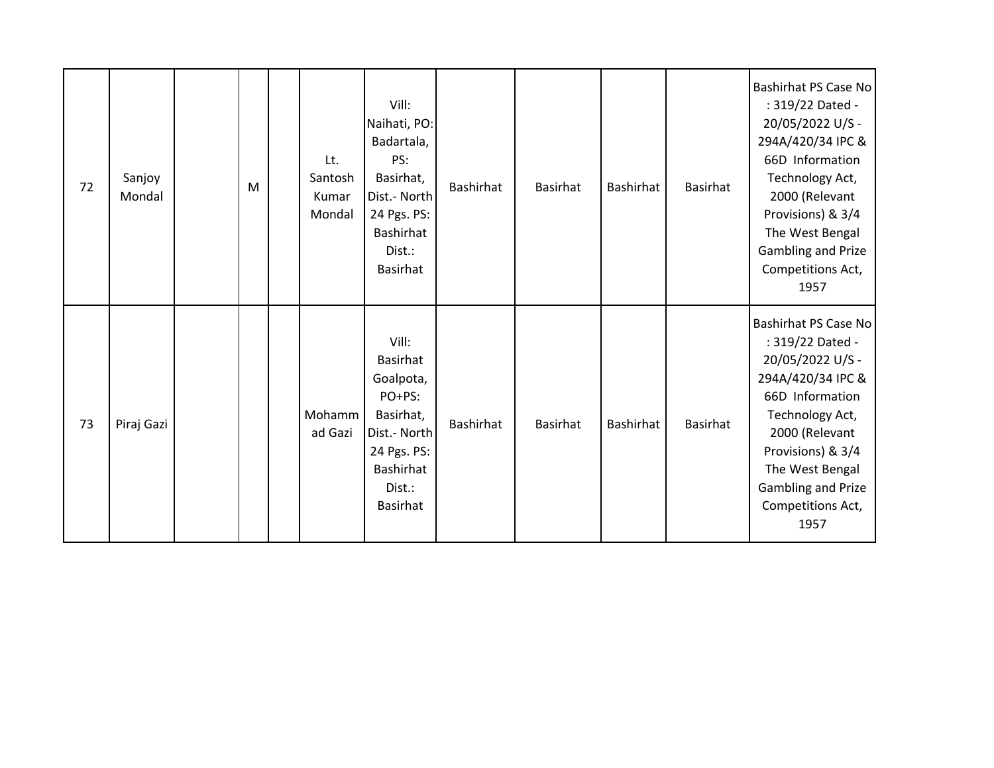| 72 | Sanjoy<br>Mondal | M | Lt.<br>Santosh<br>Kumar<br>Mondal | Vill:<br>Naihati, PO:<br>Badartala,<br>PS:<br>Basirhat,<br>Dist.- North<br>24 Pgs. PS:<br>Bashirhat<br>Dist.:<br><b>Basirhat</b>      | Bashirhat        | Basirhat        | Bashirhat        | Basirhat | <b>Bashirhat PS Case No</b><br>: 319/22 Dated -<br>20/05/2022 U/S -<br>294A/420/34 IPC &<br>66D Information<br>Technology Act,<br>2000 (Relevant<br>Provisions) & 3/4<br>The West Bengal<br>Gambling and Prize<br>Competitions Act,<br>1957 |
|----|------------------|---|-----------------------------------|---------------------------------------------------------------------------------------------------------------------------------------|------------------|-----------------|------------------|----------|---------------------------------------------------------------------------------------------------------------------------------------------------------------------------------------------------------------------------------------------|
| 73 | Piraj Gazi       |   | Mohamm<br>ad Gazi                 | Vill:<br><b>Basirhat</b><br>Goalpota,<br>PO+PS:<br>Basirhat,<br>Dist.- North<br>24 Pgs. PS:<br>Bashirhat<br>Dist.:<br><b>Basirhat</b> | <b>Bashirhat</b> | <b>Basirhat</b> | <b>Bashirhat</b> | Basirhat | <b>Bashirhat PS Case No</b><br>: 319/22 Dated -<br>20/05/2022 U/S -<br>294A/420/34 IPC &<br>66D Information<br>Technology Act,<br>2000 (Relevant<br>Provisions) & 3/4<br>The West Bengal<br>Gambling and Prize<br>Competitions Act,<br>1957 |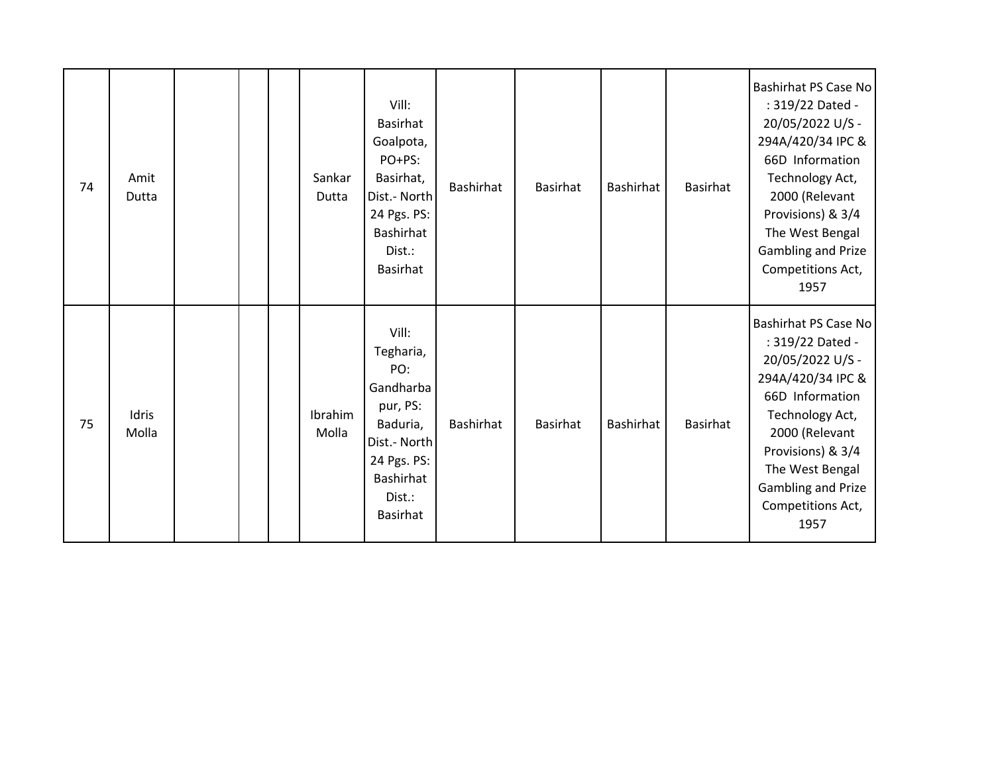| 74 | Amit<br>Dutta  |  | Sankar<br>Dutta  | Vill:<br><b>Basirhat</b><br>Goalpota,<br>PO+PS:<br>Basirhat,<br>Dist.- North<br>24 Pgs. PS:<br>Bashirhat<br>Dist.:<br><b>Basirhat</b>   | <b>Bashirhat</b> | Basirhat        | <b>Bashirhat</b> | Basirhat | <b>Bashirhat PS Case No</b><br>: 319/22 Dated -<br>20/05/2022 U/S -<br>294A/420/34 IPC &<br>66D Information<br>Technology Act,<br>2000 (Relevant<br>Provisions) & 3/4<br>The West Bengal<br>Gambling and Prize<br>Competitions Act,<br>1957 |
|----|----------------|--|------------------|-----------------------------------------------------------------------------------------------------------------------------------------|------------------|-----------------|------------------|----------|---------------------------------------------------------------------------------------------------------------------------------------------------------------------------------------------------------------------------------------------|
| 75 | Idris<br>Molla |  | Ibrahim<br>Molla | Vill:<br>Tegharia,<br>PO:<br>Gandharba<br>pur, PS:<br>Baduria,<br>Dist.- North<br>24 Pgs. PS:<br>Bashirhat<br>Dist.:<br><b>Basirhat</b> | <b>Bashirhat</b> | <b>Basirhat</b> | <b>Bashirhat</b> | Basirhat | <b>Bashirhat PS Case No</b><br>: 319/22 Dated -<br>20/05/2022 U/S -<br>294A/420/34 IPC &<br>66D Information<br>Technology Act,<br>2000 (Relevant<br>Provisions) & 3/4<br>The West Bengal<br>Gambling and Prize<br>Competitions Act,<br>1957 |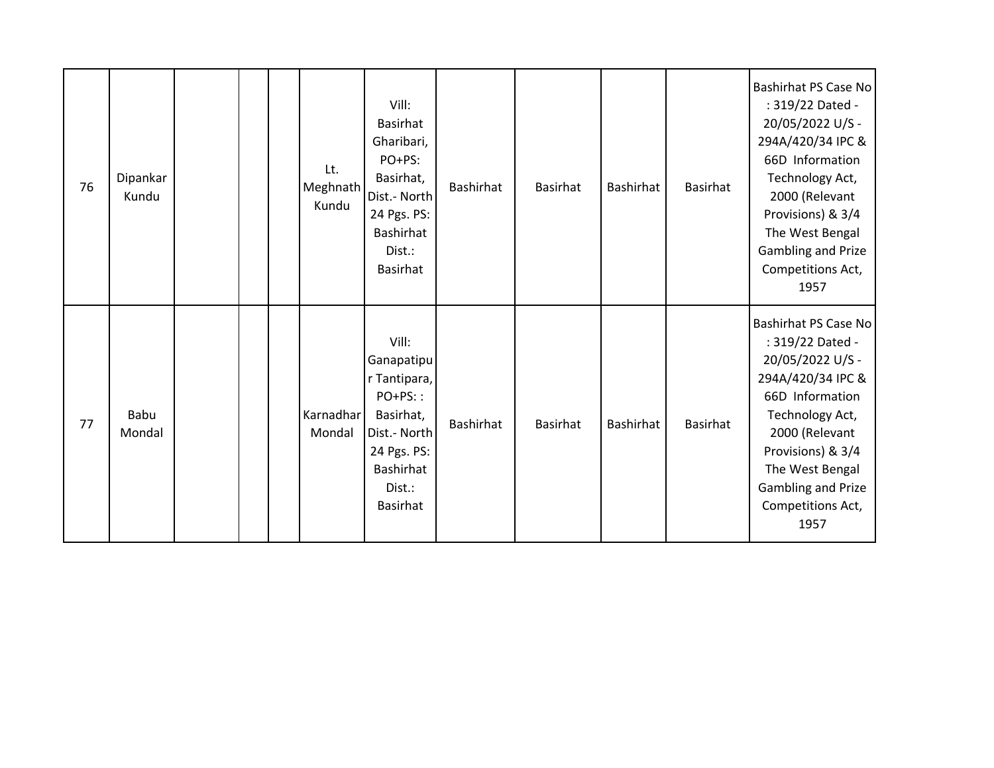| 76 | Dipankar<br>Kundu |  | Lt.<br>Meghnath<br>Kundu | Vill:<br><b>Basirhat</b><br>Gharibari,<br>PO+PS:<br>Basirhat,<br>Dist.- North<br>24 Pgs. PS:<br>Bashirhat<br>Dist.:<br><b>Basirhat</b> | Bashirhat        | <b>Basirhat</b> | <b>Bashirhat</b> | Basirhat | <b>Bashirhat PS Case No</b><br>: 319/22 Dated -<br>20/05/2022 U/S -<br>294A/420/34 IPC &<br>66D Information<br>Technology Act,<br>2000 (Relevant<br>Provisions) & 3/4<br>The West Bengal<br>Gambling and Prize<br>Competitions Act,<br>1957 |
|----|-------------------|--|--------------------------|----------------------------------------------------------------------------------------------------------------------------------------|------------------|-----------------|------------------|----------|---------------------------------------------------------------------------------------------------------------------------------------------------------------------------------------------------------------------------------------------|
| 77 | Babu<br>Mondal    |  | Karnadhar<br>Mondal      | Vill:<br>Ganapatipu<br>r Tantipara,<br>PO+PS::<br>Basirhat,<br>Dist.- North<br>24 Pgs. PS:<br>Bashirhat<br>Dist.:<br><b>Basirhat</b>   | <b>Bashirhat</b> | <b>Basirhat</b> | <b>Bashirhat</b> | Basirhat | <b>Bashirhat PS Case No</b><br>: 319/22 Dated -<br>20/05/2022 U/S -<br>294A/420/34 IPC &<br>66D Information<br>Technology Act,<br>2000 (Relevant<br>Provisions) & 3/4<br>The West Bengal<br>Gambling and Prize<br>Competitions Act,<br>1957 |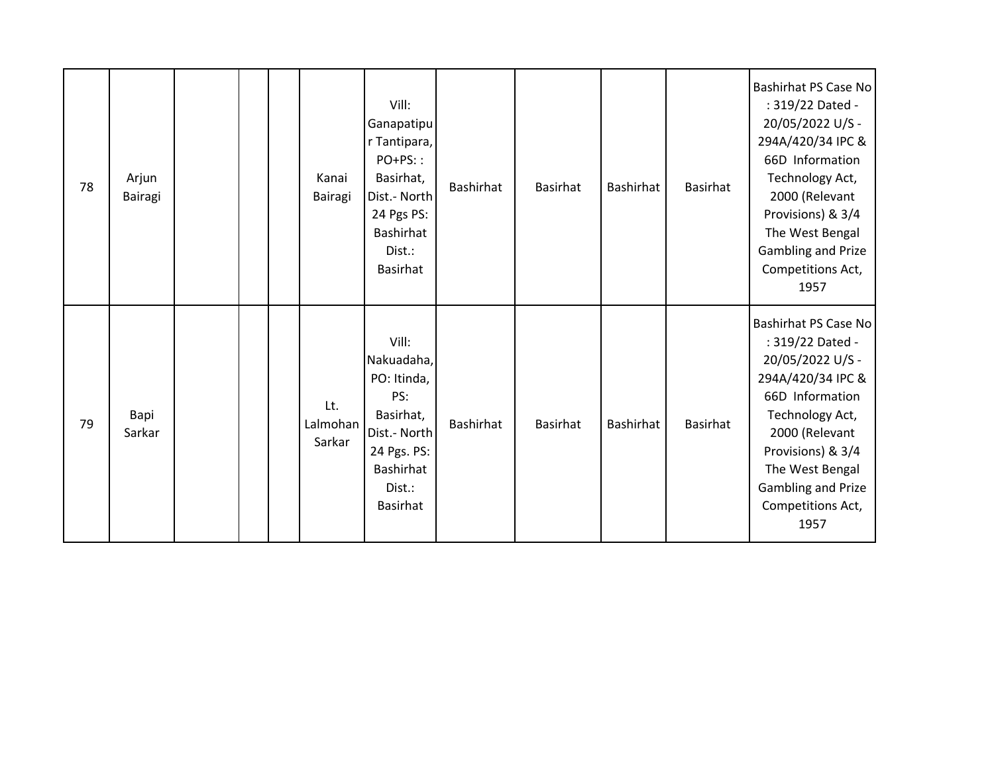| 78 | Arjun<br>Bairagi |  | Kanai<br>Bairagi          | Vill:<br>Ganapatipu<br>r Tantipara,<br>PO+PS::<br>Basirhat,<br>Dist.- North<br>24 Pgs PS:<br>Bashirhat<br>Dist.:<br><b>Basirhat</b> | Bashirhat | Basirhat        | Bashirhat        | Basirhat | <b>Bashirhat PS Case No</b><br>: 319/22 Dated -<br>20/05/2022 U/S -<br>294A/420/34 IPC &<br>66D Information<br>Technology Act,<br>2000 (Relevant<br>Provisions) & 3/4<br>The West Bengal<br>Gambling and Prize<br>Competitions Act,<br>1957 |
|----|------------------|--|---------------------------|-------------------------------------------------------------------------------------------------------------------------------------|-----------|-----------------|------------------|----------|---------------------------------------------------------------------------------------------------------------------------------------------------------------------------------------------------------------------------------------------|
| 79 | Bapi<br>Sarkar   |  | Lt.<br>Lalmohan<br>Sarkar | Vill:<br>Nakuadaha,<br>PO: Itinda,<br>PS:<br>Basirhat,<br>Dist.- North<br>24 Pgs. PS:<br>Bashirhat<br>Dist.:<br><b>Basirhat</b>     | Bashirhat | <b>Basirhat</b> | <b>Bashirhat</b> | Basirhat | <b>Bashirhat PS Case No</b><br>: 319/22 Dated -<br>20/05/2022 U/S -<br>294A/420/34 IPC &<br>66D Information<br>Technology Act,<br>2000 (Relevant<br>Provisions) & 3/4<br>The West Bengal<br>Gambling and Prize<br>Competitions Act,<br>1957 |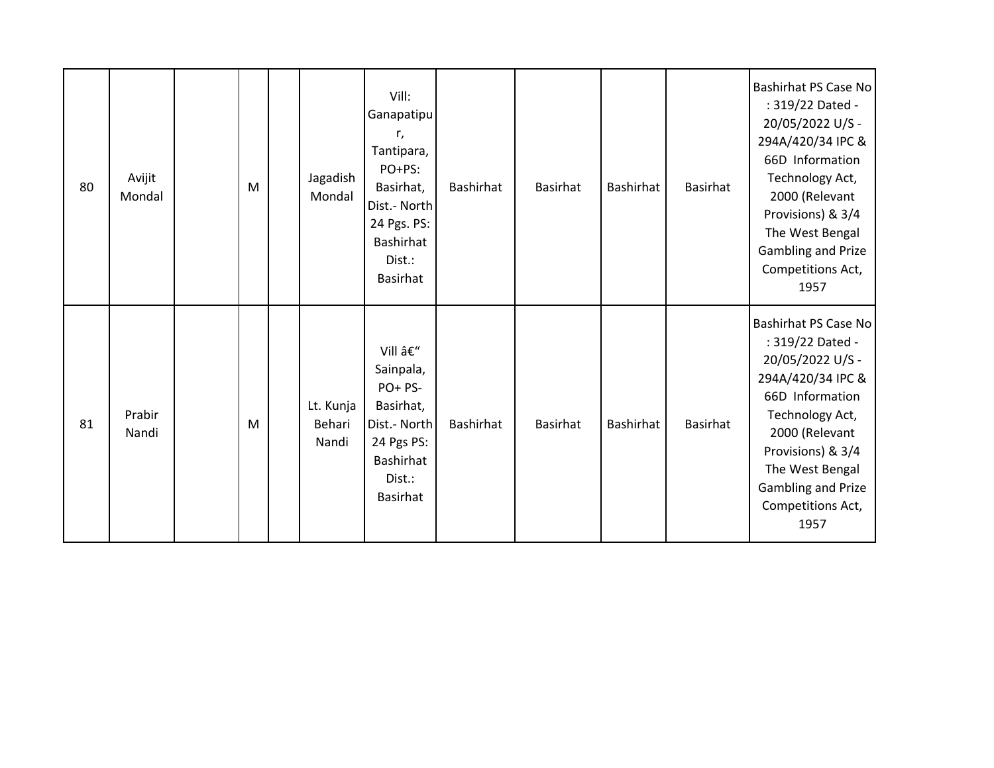| 80 | Avijit<br>Mondal | M | Jagadish<br>Mondal           | Vill:<br>Ganapatipu<br>r,<br>Tantipara,<br>PO+PS:<br>Basirhat,<br>Dist.- North<br>24 Pgs. PS:<br>Bashirhat<br>Dist.:<br><b>Basirhat</b> | Bashirhat        | Basirhat | Bashirhat        | Basirhat | <b>Bashirhat PS Case No</b><br>: 319/22 Dated -<br>20/05/2022 U/S -<br>294A/420/34 IPC &<br>66D Information<br>Technology Act,<br>2000 (Relevant<br>Provisions) & 3/4<br>The West Bengal<br>Gambling and Prize<br>Competitions Act,<br>1957 |
|----|------------------|---|------------------------------|-----------------------------------------------------------------------------------------------------------------------------------------|------------------|----------|------------------|----------|---------------------------------------------------------------------------------------------------------------------------------------------------------------------------------------------------------------------------------------------|
| 81 | Prabir<br>Nandi  | M | Lt. Kunja<br>Behari<br>Nandi | Vill –<br>Sainpala,<br>PO+ PS-<br>Basirhat,<br>Dist.- North<br>24 Pgs PS:<br>Bashirhat<br>Dist.:<br>Basirhat                            | <b>Bashirhat</b> | Basirhat | <b>Bashirhat</b> | Basirhat | <b>Bashirhat PS Case No</b><br>: 319/22 Dated -<br>20/05/2022 U/S -<br>294A/420/34 IPC &<br>66D Information<br>Technology Act,<br>2000 (Relevant<br>Provisions) & 3/4<br>The West Bengal<br>Gambling and Prize<br>Competitions Act,<br>1957 |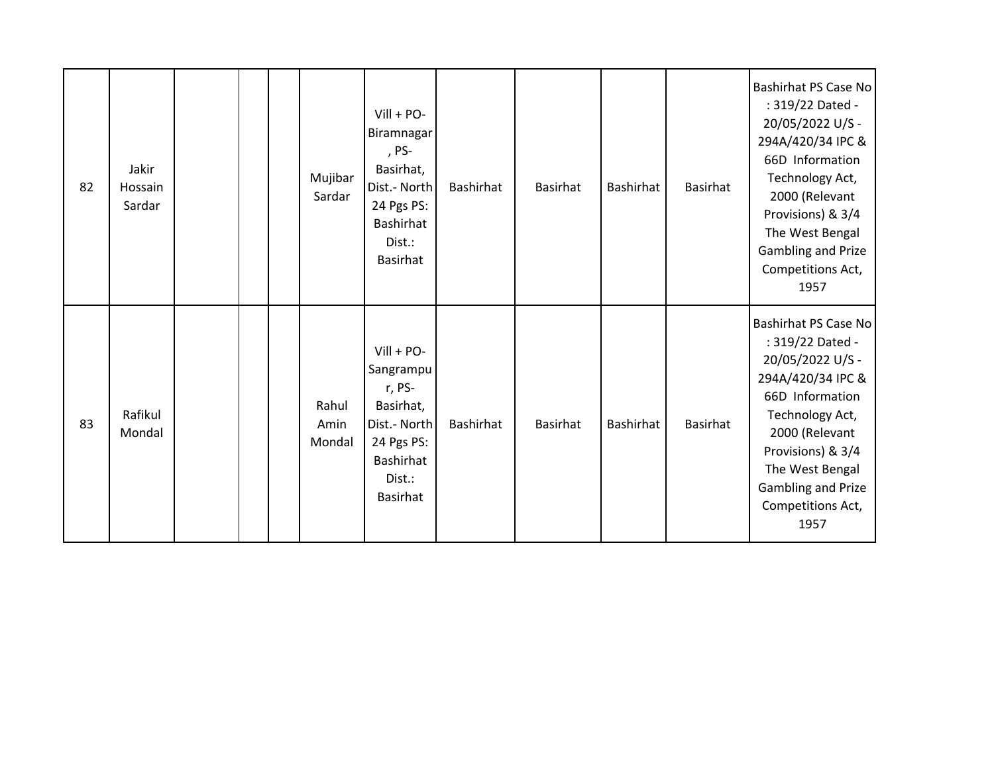| 82 | Jakir<br>Hossain<br>Sardar |  | Mujibar<br>Sardar       | $Vill + PO-$<br>Biramnagar<br>, PS-<br>Basirhat,<br>Dist.- North<br>24 Pgs PS:<br>Bashirhat<br>Dist.:<br><b>Basirhat</b> | Bashirhat | <b>Basirhat</b> | Bashirhat        | Basirhat | <b>Bashirhat PS Case No</b><br>: 319/22 Dated -<br>20/05/2022 U/S -<br>294A/420/34 IPC &<br>66D Information<br>Technology Act,<br>2000 (Relevant<br>Provisions) & 3/4<br>The West Bengal<br>Gambling and Prize<br>Competitions Act,<br>1957 |
|----|----------------------------|--|-------------------------|--------------------------------------------------------------------------------------------------------------------------|-----------|-----------------|------------------|----------|---------------------------------------------------------------------------------------------------------------------------------------------------------------------------------------------------------------------------------------------|
| 83 | Rafikul<br>Mondal          |  | Rahul<br>Amin<br>Mondal | $Vill + PO-$<br>Sangrampu<br>r, PS-<br>Basirhat,<br>Dist.- North<br>24 Pgs PS:<br>Bashirhat<br>Dist.:<br>Basirhat        | Bashirhat | Basirhat        | <b>Bashirhat</b> | Basirhat | <b>Bashirhat PS Case No</b><br>: 319/22 Dated -<br>20/05/2022 U/S -<br>294A/420/34 IPC &<br>66D Information<br>Technology Act,<br>2000 (Relevant<br>Provisions) & 3/4<br>The West Bengal<br>Gambling and Prize<br>Competitions Act,<br>1957 |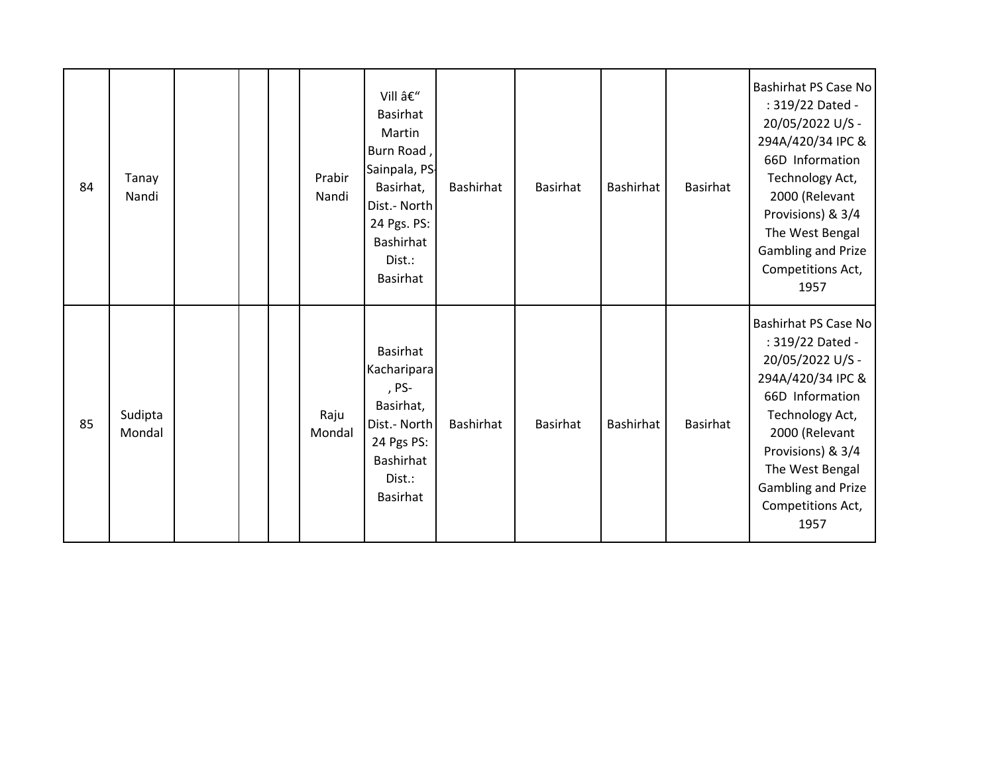| 84 | Tanay<br>Nandi    |  | Prabir<br>Nandi | Vill –<br><b>Basirhat</b><br>Martin<br>Burn Road,<br>Sainpala, PS-<br>Basirhat,<br>Dist.- North<br>24 Pgs. PS:<br>Bashirhat<br>Dist.:<br><b>Basirhat</b> | Bashirhat        | Basirhat | Bashirhat        | Basirhat | <b>Bashirhat PS Case No</b><br>: 319/22 Dated -<br>20/05/2022 U/S -<br>294A/420/34 IPC &<br>66D Information<br>Technology Act,<br>2000 (Relevant<br>Provisions) & 3/4<br>The West Bengal<br>Gambling and Prize<br>Competitions Act,<br>1957 |
|----|-------------------|--|-----------------|----------------------------------------------------------------------------------------------------------------------------------------------------------|------------------|----------|------------------|----------|---------------------------------------------------------------------------------------------------------------------------------------------------------------------------------------------------------------------------------------------|
| 85 | Sudipta<br>Mondal |  | Raju<br>Mondal  | <b>Basirhat</b><br>Kacharipara<br>, PS-<br>Basirhat,<br>Dist.- North<br>24 Pgs PS:<br>Bashirhat<br>Dist.:<br>Basirhat                                    | <b>Bashirhat</b> | Basirhat | <b>Bashirhat</b> | Basirhat | <b>Bashirhat PS Case No</b><br>: 319/22 Dated -<br>20/05/2022 U/S -<br>294A/420/34 IPC &<br>66D Information<br>Technology Act,<br>2000 (Relevant<br>Provisions) & 3/4<br>The West Bengal<br>Gambling and Prize<br>Competitions Act,<br>1957 |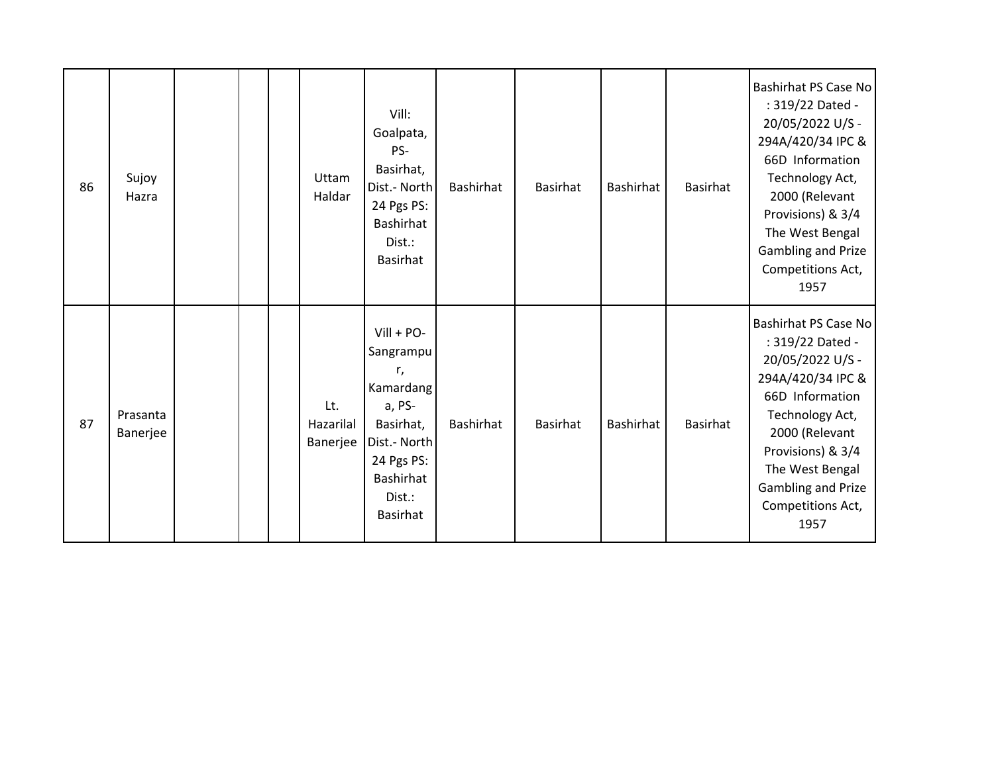| 86 | Sujoy<br>Hazra       |  | Uttam<br>Haldar              | Vill:<br>Goalpata,<br>PS-<br>Basirhat,<br>Dist.- North<br>24 Pgs PS:<br>Bashirhat<br>Dist.:<br><b>Basirhat</b>                              | Bashirhat | Basirhat        | Bashirhat        | Basirhat | <b>Bashirhat PS Case No</b><br>: 319/22 Dated -<br>20/05/2022 U/S -<br>294A/420/34 IPC &<br>66D Information<br>Technology Act,<br>2000 (Relevant<br>Provisions) & 3/4<br>The West Bengal<br>Gambling and Prize<br>Competitions Act,<br>1957        |
|----|----------------------|--|------------------------------|---------------------------------------------------------------------------------------------------------------------------------------------|-----------|-----------------|------------------|----------|----------------------------------------------------------------------------------------------------------------------------------------------------------------------------------------------------------------------------------------------------|
| 87 | Prasanta<br>Banerjee |  | Lt.<br>Hazarilal<br>Banerjee | $Vill + PO-$<br>Sangrampu<br>r,<br>Kamardang<br>a, PS-<br>Basirhat,<br>Dist.- North<br>24 Pgs PS:<br>Bashirhat<br>Dist.:<br><b>Basirhat</b> | Bashirhat | <b>Basirhat</b> | <b>Bashirhat</b> | Basirhat | <b>Bashirhat PS Case No</b><br>: 319/22 Dated -<br>20/05/2022 U/S -<br>294A/420/34 IPC &<br>66D Information<br>Technology Act,<br>2000 (Relevant<br>Provisions) & 3/4<br>The West Bengal<br><b>Gambling and Prize</b><br>Competitions Act,<br>1957 |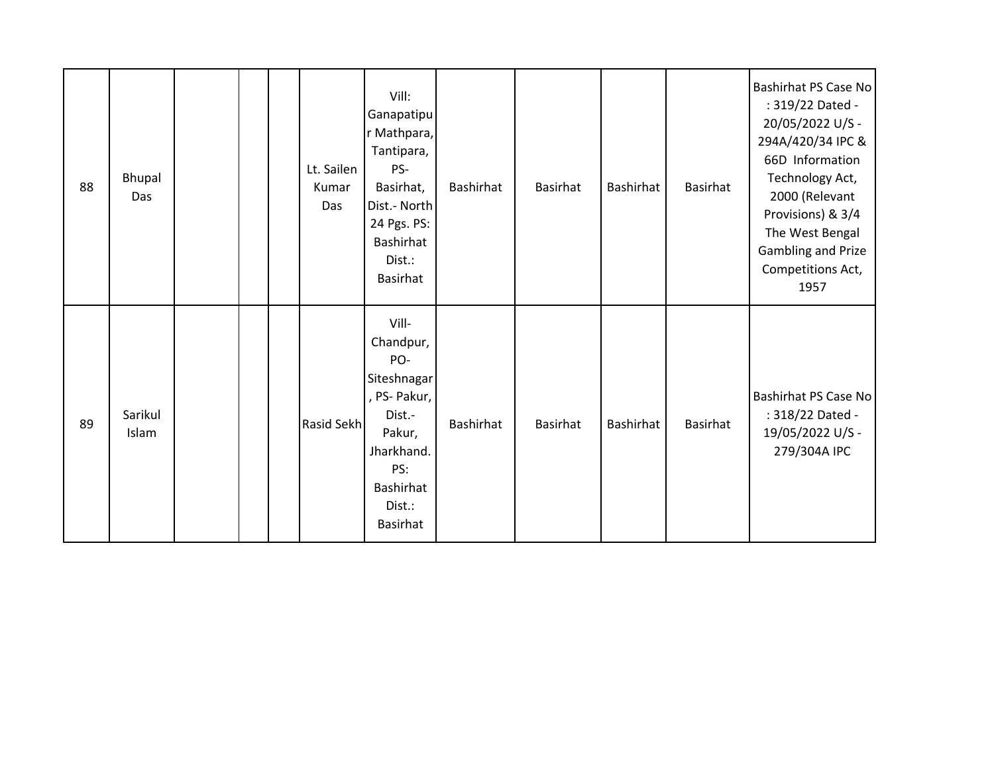| 88 | Bhupal<br>Das    |  | Lt. Sailen<br>Kumar<br>Das | Vill:<br>Ganapatipu<br>r Mathpara,<br>Tantipara,<br>PS-<br>Basirhat,<br>Dist.- North<br>24 Pgs. PS:<br>Bashirhat<br>Dist.:<br><b>Basirhat</b> | Bashirhat | Basirhat | Bashirhat | Basirhat | <b>Bashirhat PS Case No</b><br>: 319/22 Dated -<br>20/05/2022 U/S -<br>294A/420/34 IPC &<br>66D Information<br>Technology Act,<br>2000 (Relevant<br>Provisions) & 3/4<br>The West Bengal<br><b>Gambling and Prize</b><br>Competitions Act,<br>1957 |
|----|------------------|--|----------------------------|-----------------------------------------------------------------------------------------------------------------------------------------------|-----------|----------|-----------|----------|----------------------------------------------------------------------------------------------------------------------------------------------------------------------------------------------------------------------------------------------------|
| 89 | Sarikul<br>Islam |  | Rasid Sekh                 | Vill-<br>Chandpur,<br>PO-<br>Siteshnagar<br>, PS- Pakur,<br>Dist.-<br>Pakur,<br>Jharkhand.<br>PS:<br>Bashirhat<br>Dist.:<br><b>Basirhat</b>   | Bashirhat | Basirhat | Bashirhat | Basirhat | <b>Bashirhat PS Case No</b><br>: 318/22 Dated -<br>19/05/2022 U/S -<br>279/304A IPC                                                                                                                                                                |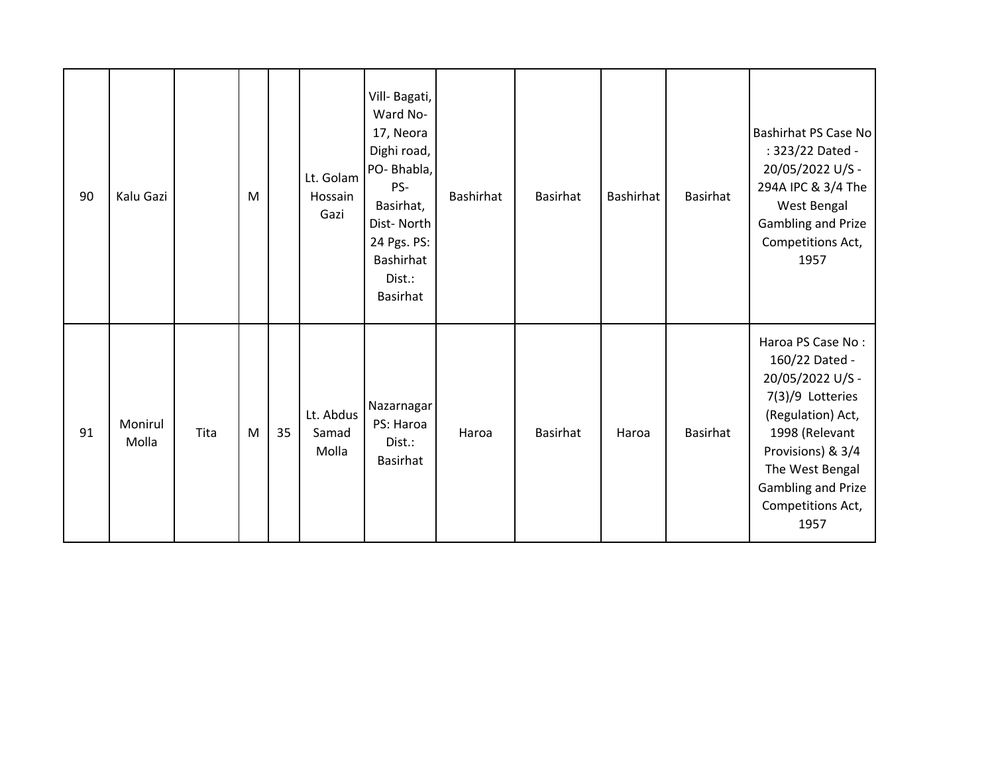| 90 | Kalu Gazi        |      | M |    | Lt. Golam<br>Hossain<br>Gazi | Vill- Bagati,<br>Ward No-<br>17, Neora<br>Dighi road,<br>PO-Bhabla,<br>PS-<br>Basirhat,<br>Dist-North<br>24 Pgs. PS:<br>Bashirhat<br>Dist.:<br><b>Basirhat</b> | Bashirhat | Basirhat        | <b>Bashirhat</b> | <b>Basirhat</b> | Bashirhat PS Case No<br>: 323/22 Dated -<br>20/05/2022 U/S -<br>294A IPC & 3/4 The<br>West Bengal<br><b>Gambling and Prize</b><br>Competitions Act,<br>1957                                                   |
|----|------------------|------|---|----|------------------------------|----------------------------------------------------------------------------------------------------------------------------------------------------------------|-----------|-----------------|------------------|-----------------|---------------------------------------------------------------------------------------------------------------------------------------------------------------------------------------------------------------|
| 91 | Monirul<br>Molla | Tita | M | 35 | Lt. Abdus<br>Samad<br>Molla  | Nazarnagar<br>PS: Haroa<br>Dist.:<br>Basirhat                                                                                                                  | Haroa     | <b>Basirhat</b> | Haroa            | <b>Basirhat</b> | Haroa PS Case No:<br>160/22 Dated -<br>20/05/2022 U/S -<br>7(3)/9 Lotteries<br>(Regulation) Act,<br>1998 (Relevant<br>Provisions) & 3/4<br>The West Bengal<br>Gambling and Prize<br>Competitions Act,<br>1957 |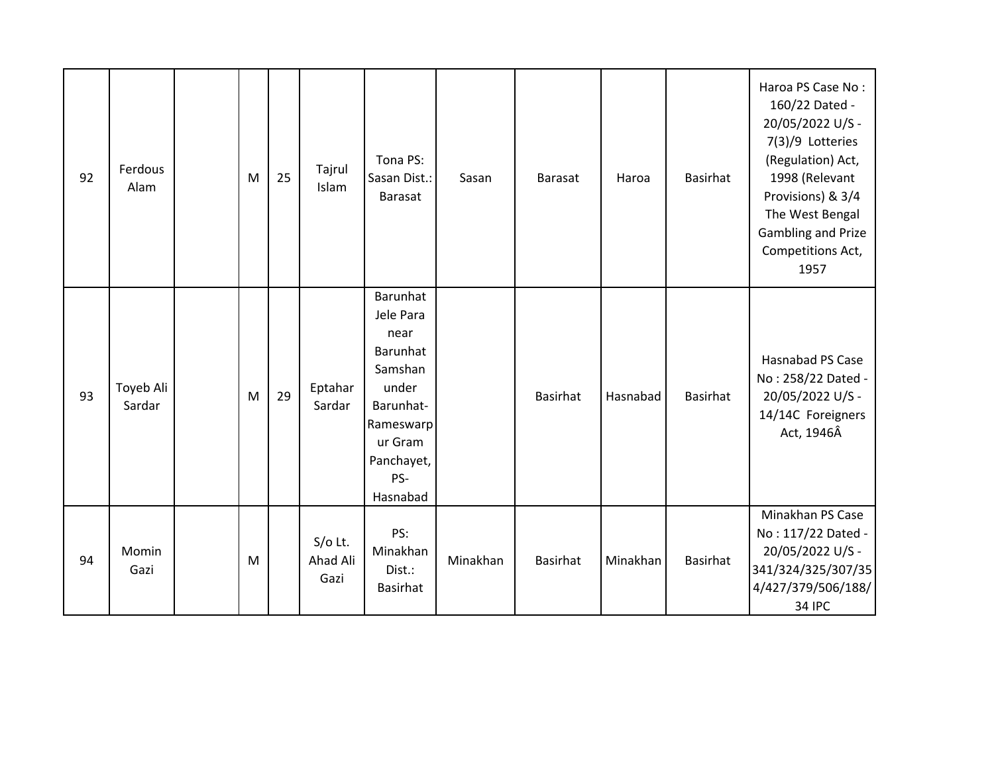| 92 | Ferdous<br>Alam     | M | 25 | Tajrul<br>Islam               | Tona PS:<br>Sasan Dist.:<br><b>Barasat</b>                                                                                          | Sasan    | <b>Barasat</b> | Haroa    | Basirhat | Haroa PS Case No:<br>160/22 Dated -<br>20/05/2022 U/S -<br>7(3)/9 Lotteries<br>(Regulation) Act,<br>1998 (Relevant<br>Provisions) & 3/4<br>The West Bengal<br><b>Gambling and Prize</b><br>Competitions Act,<br>1957 |
|----|---------------------|---|----|-------------------------------|-------------------------------------------------------------------------------------------------------------------------------------|----------|----------------|----------|----------|----------------------------------------------------------------------------------------------------------------------------------------------------------------------------------------------------------------------|
| 93 | Toyeb Ali<br>Sardar | M | 29 | Eptahar<br>Sardar             | Barunhat<br>Jele Para<br>near<br>Barunhat<br>Samshan<br>under<br>Barunhat-<br>Rameswarp<br>ur Gram<br>Panchayet,<br>PS-<br>Hasnabad |          | Basirhat       | Hasnabad | Basirhat | Hasnabad PS Case<br>No: 258/22 Dated -<br>20/05/2022 U/S -<br>14/14C Foreigners<br>Act, 1946Â                                                                                                                        |
| 94 | Momin<br>Gazi       | M |    | $S/O$ Lt.<br>Ahad Ali<br>Gazi | PS:<br>Minakhan<br>Dist.:<br>Basirhat                                                                                               | Minakhan | Basirhat       | Minakhan | Basirhat | Minakhan PS Case<br>No: 117/22 Dated -<br>20/05/2022 U/S -<br>341/324/325/307/35<br>4/427/379/506/188/<br><b>34 IPC</b>                                                                                              |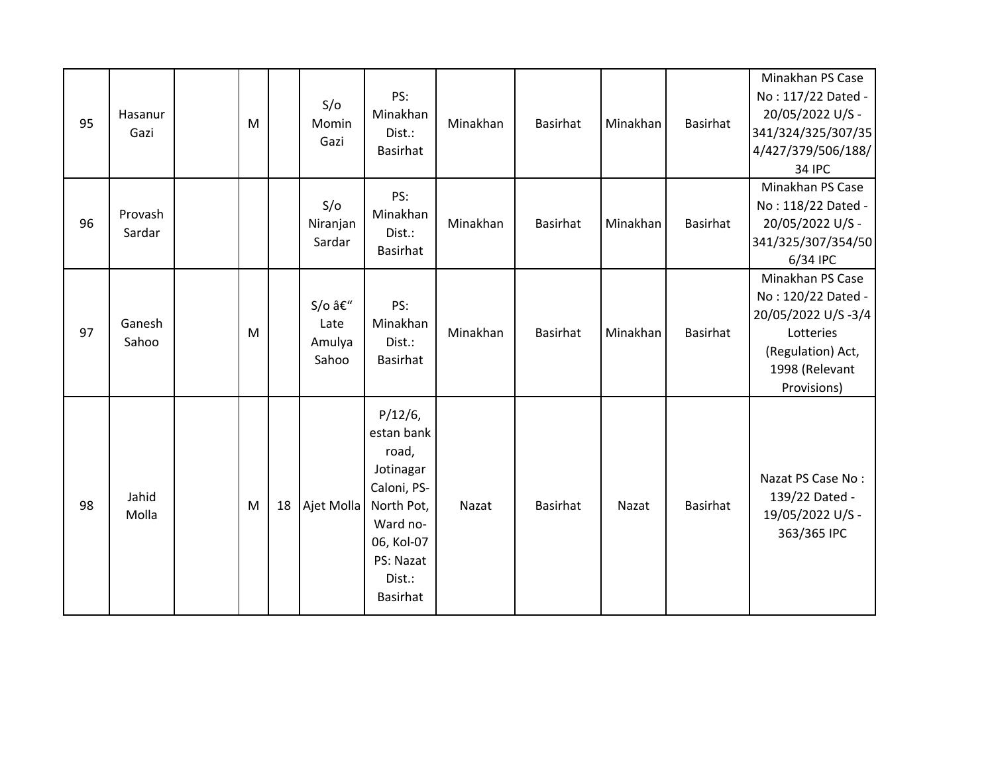| 95 | Hasanur<br>Gazi   | M |    | S/O<br>Momin<br>Gazi             | PS:<br>Minakhan<br>Dist.:<br><b>Basirhat</b>                                                                                             | Minakhan | <b>Basirhat</b> | Minakhan | Basirhat | Minakhan PS Case<br>No: 117/22 Dated -<br>20/05/2022 U/S -<br>341/324/325/307/35<br>4/427/379/506/188/<br><b>34 IPC</b>         |
|----|-------------------|---|----|----------------------------------|------------------------------------------------------------------------------------------------------------------------------------------|----------|-----------------|----------|----------|---------------------------------------------------------------------------------------------------------------------------------|
| 96 | Provash<br>Sardar |   |    | S/O<br>Niranjan<br>Sardar        | PS:<br>Minakhan<br>Dist.:<br><b>Basirhat</b>                                                                                             | Minakhan | <b>Basirhat</b> | Minakhan | Basirhat | Minakhan PS Case<br>No: 118/22 Dated -<br>20/05/2022 U/S -<br>341/325/307/354/50<br>6/34 IPC                                    |
| 97 | Ganesh<br>Sahoo   | M |    | S/o –<br>Late<br>Amulya<br>Sahoo | PS:<br>Minakhan<br>Dist.:<br>Basirhat                                                                                                    | Minakhan | <b>Basirhat</b> | Minakhan | Basirhat | Minakhan PS Case<br>No: 120/22 Dated -<br>20/05/2022 U/S-3/4<br>Lotteries<br>(Regulation) Act,<br>1998 (Relevant<br>Provisions) |
| 98 | Jahid<br>Molla    | M | 18 | Ajet Molla                       | $P/12/6$ ,<br>estan bank<br>road,<br>Jotinagar<br>Caloni, PS-<br>North Pot,<br>Ward no-<br>06, Kol-07<br>PS: Nazat<br>Dist.:<br>Basirhat | Nazat    | <b>Basirhat</b> | Nazat    | Basirhat | Nazat PS Case No:<br>139/22 Dated -<br>19/05/2022 U/S -<br>363/365 IPC                                                          |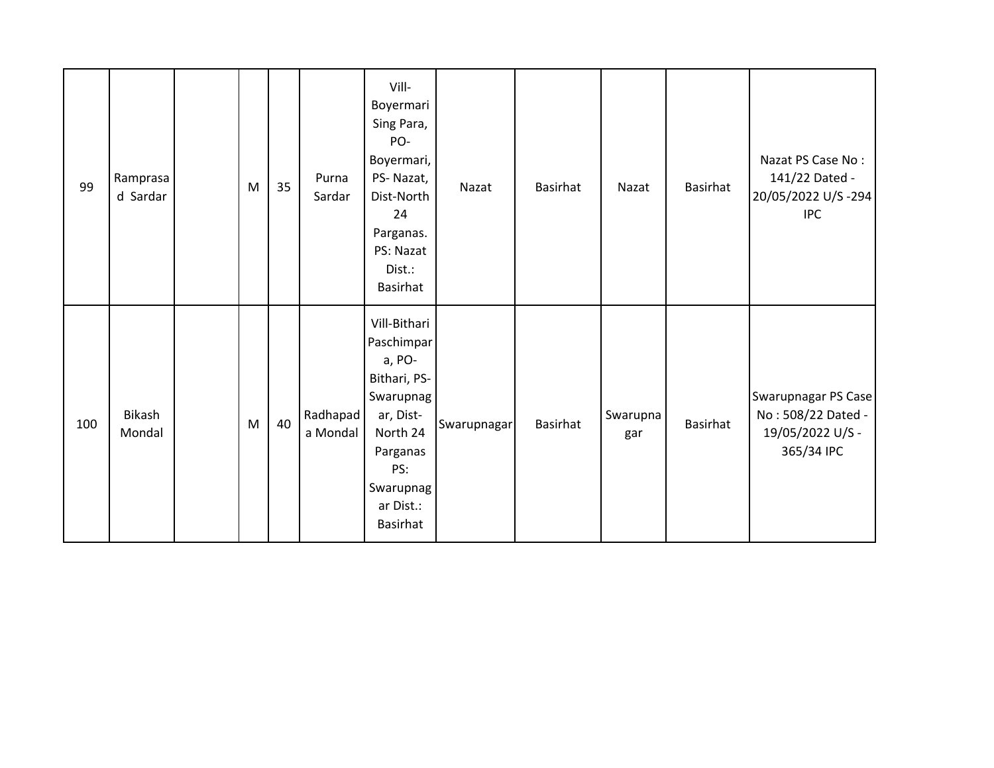| 99  | Ramprasa<br>d Sardar    | ${\sf M}$ | 35 | Purna<br>Sardar      | Vill-<br>Boyermari<br>Sing Para,<br>PO-<br>Boyermari,<br>PS-Nazat,<br>Dist-North<br>24<br>Parganas.<br>PS: Nazat<br>Dist.:<br><b>Basirhat</b>              | Nazat       | <b>Basirhat</b> | Nazat           | Basirhat        | Nazat PS Case No:<br>141/22 Dated -<br>20/05/2022 U/S-294<br><b>IPC</b>     |
|-----|-------------------------|-----------|----|----------------------|------------------------------------------------------------------------------------------------------------------------------------------------------------|-------------|-----------------|-----------------|-----------------|-----------------------------------------------------------------------------|
| 100 | <b>Bikash</b><br>Mondal | M         | 40 | Radhapad<br>a Mondal | Vill-Bithari<br>Paschimpar<br>a, PO-<br>Bithari, PS-<br>Swarupnag<br>ar, Dist-<br>North 24<br>Parganas<br>PS:<br>Swarupnag<br>ar Dist.:<br><b>Basirhat</b> | Swarupnagar | <b>Basirhat</b> | Swarupna<br>gar | <b>Basirhat</b> | Swarupnagar PS Case<br>No: 508/22 Dated -<br>19/05/2022 U/S -<br>365/34 IPC |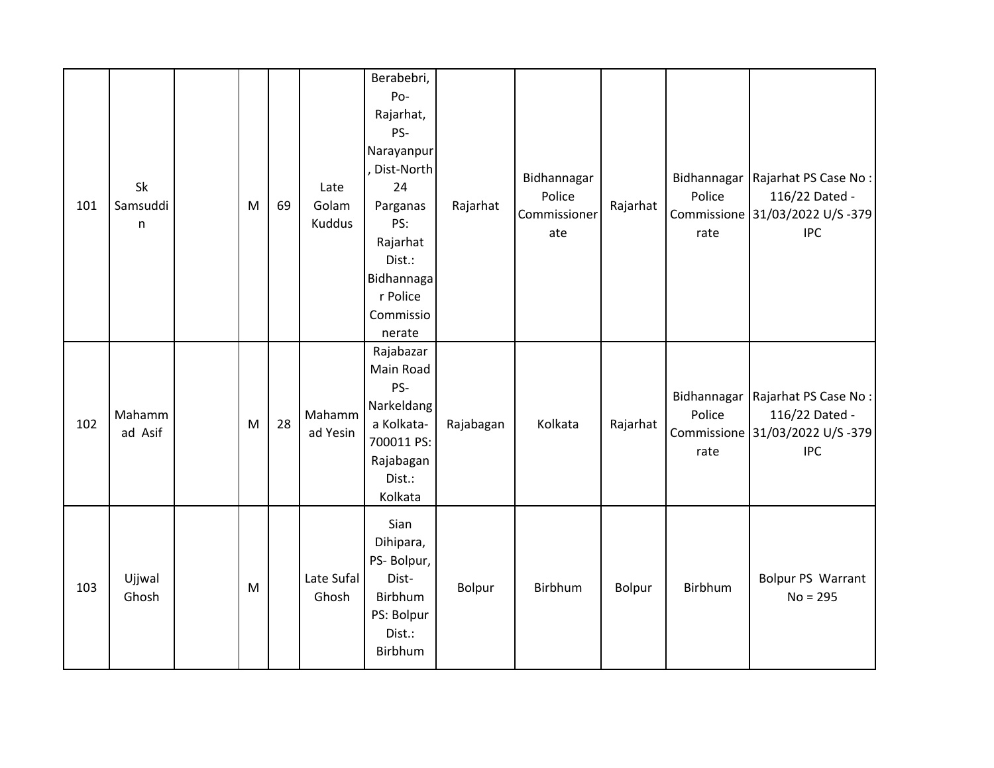| 101 | Sk<br>Samsuddi<br>n | M | 69 | Late<br>Golam<br><b>Kuddus</b> | Berabebri,<br>Po-<br>Rajarhat,<br>PS-<br>Narayanpur<br>, Dist-North<br>24<br>Parganas<br>PS:<br>Rajarhat<br>Dist.:<br>Bidhannaga<br>r Police<br>Commissio<br>nerate | Rajarhat  | Bidhannagar<br>Police<br>Commissioner<br>ate | Rajarhat | Police<br>rate | Bidhannagar   Rajarhat PS Case No :<br>116/22 Dated -<br>Commissione 31/03/2022 U/S -379<br><b>IPC</b> |
|-----|---------------------|---|----|--------------------------------|---------------------------------------------------------------------------------------------------------------------------------------------------------------------|-----------|----------------------------------------------|----------|----------------|--------------------------------------------------------------------------------------------------------|
| 102 | Mahamm<br>ad Asif   | M | 28 | Mahamm<br>ad Yesin             | Rajabazar<br>Main Road<br>PS-<br>Narkeldang<br>a Kolkata-<br>700011 PS:<br>Rajabagan<br>Dist.:<br>Kolkata                                                           | Rajabagan | Kolkata                                      | Rajarhat | Police<br>rate | Bidhannagar   Rajarhat PS Case No:<br>116/22 Dated -<br>Commissione 31/03/2022 U/S -379<br><b>IPC</b>  |
| 103 | Ujjwal<br>Ghosh     | M |    | Late Sufal<br>Ghosh            | Sian<br>Dihipara,<br>PS- Bolpur,<br>Dist-<br>Birbhum<br>PS: Bolpur<br>Dist.:<br>Birbhum                                                                             | Bolpur    | Birbhum                                      | Bolpur   | Birbhum        | Bolpur PS Warrant<br>$No = 295$                                                                        |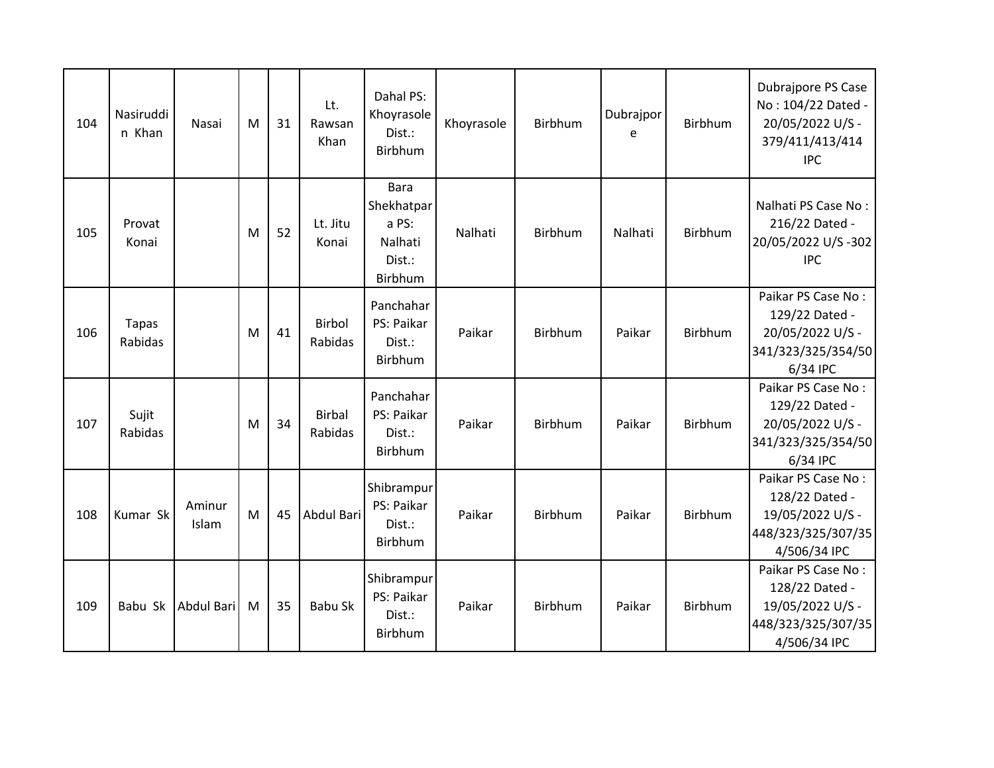| 104 | Nasiruddi<br>n Khan     | Nasai           | M | 31 | Lt.<br>Rawsan<br>Khan    | Dahal PS:<br>Khoyrasole<br>Dist.:<br>Birbhum                       | Khoyrasole | Birbhum | Dubrajpor<br>e | Birbhum | Dubrajpore PS Case<br>No: 104/22 Dated -<br>20/05/2022 U/S -<br>379/411/413/414<br><b>IPC</b>  |
|-----|-------------------------|-----------------|---|----|--------------------------|--------------------------------------------------------------------|------------|---------|----------------|---------|------------------------------------------------------------------------------------------------|
| 105 | Provat<br>Konai         |                 | M | 52 | Lt. Jitu<br>Konai        | <b>Bara</b><br>Shekhatpar<br>a PS:<br>Nalhati<br>Dist.:<br>Birbhum | Nalhati    | Birbhum | Nalhati        | Birbhum | Nalhati PS Case No:<br>216/22 Dated -<br>20/05/2022 U/S-302<br><b>IPC</b>                      |
| 106 | <b>Tapas</b><br>Rabidas |                 | M | 41 | Birbol<br>Rabidas        | Panchahar<br>PS: Paikar<br>Dist.:<br>Birbhum                       | Paikar     | Birbhum | Paikar         | Birbhum | Paikar PS Case No:<br>129/22 Dated -<br>20/05/2022 U/S -<br>341/323/325/354/50<br>6/34 IPC     |
| 107 | Sujit<br>Rabidas        |                 | M | 34 | <b>Birbal</b><br>Rabidas | Panchahar<br>PS: Paikar<br>Dist.:<br>Birbhum                       | Paikar     | Birbhum | Paikar         | Birbhum | Paikar PS Case No:<br>129/22 Dated -<br>20/05/2022 U/S -<br>341/323/325/354/50<br>6/34 IPC     |
| 108 | Kumar Sk                | Aminur<br>Islam | M | 45 | Abdul Bari               | Shibrampur<br>PS: Paikar<br>Dist.:<br>Birbhum                      | Paikar     | Birbhum | Paikar         | Birbhum | Paikar PS Case No:<br>128/22 Dated -<br>19/05/2022 U/S -<br>448/323/325/307/35<br>4/506/34 IPC |
| 109 | Babu Sk                 | Abdul Bari      | M | 35 | <b>Babu Sk</b>           | Shibrampur<br>PS: Paikar<br>Dist.:<br>Birbhum                      | Paikar     | Birbhum | Paikar         | Birbhum | Paikar PS Case No:<br>128/22 Dated -<br>19/05/2022 U/S -<br>448/323/325/307/35<br>4/506/34 IPC |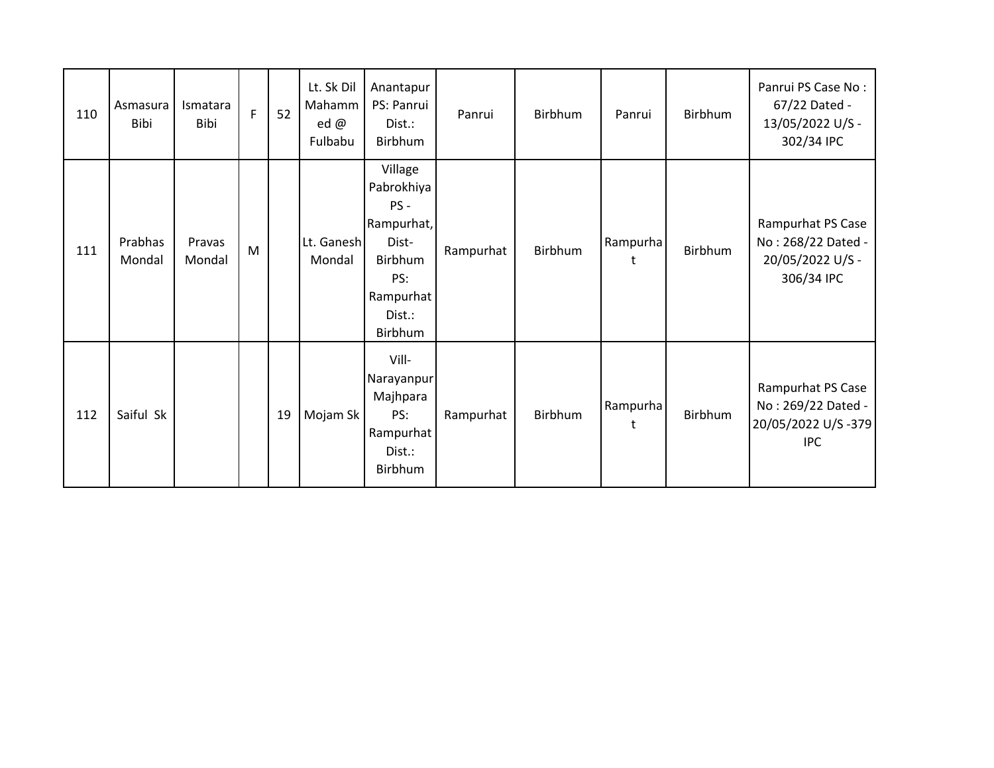| 110 | Asmasura<br>Bibi  | <b>Ismatara</b><br>Bibi | F | 52 | Lt. Sk Dil<br>Mahamm<br>ed $\omega$<br>Fulbabu | Anantapur<br>PS: Panrui<br>Dist.:<br>Birbhum                                                               | Panrui    | <b>Birbhum</b> | Panrui        | Birbhum | Panrui PS Case No:<br>67/22 Dated -<br>13/05/2022 U/S -<br>302/34 IPC       |
|-----|-------------------|-------------------------|---|----|------------------------------------------------|------------------------------------------------------------------------------------------------------------|-----------|----------------|---------------|---------|-----------------------------------------------------------------------------|
| 111 | Prabhas<br>Mondal | Pravas<br>Mondal        | M |    | Lt. Ganesh<br>Mondal                           | Village<br>Pabrokhiya<br>$PS -$<br>Rampurhat,<br>Dist-<br>Birbhum<br>PS:<br>Rampurhat<br>Dist.:<br>Birbhum | Rampurhat | Birbhum        | Rampurha<br>t | Birbhum | Rampurhat PS Case<br>No: 268/22 Dated -<br>20/05/2022 U/S -<br>306/34 IPC   |
| 112 | Saiful Sk         |                         |   | 19 | Mojam Sk                                       | Vill-<br>Narayanpur<br>Majhpara<br>PS:<br>Rampurhat<br>Dist.:<br>Birbhum                                   | Rampurhat | Birbhum        | Rampurha<br>t | Birbhum | Rampurhat PS Case<br>No: 269/22 Dated -<br>20/05/2022 U/S-379<br><b>IPC</b> |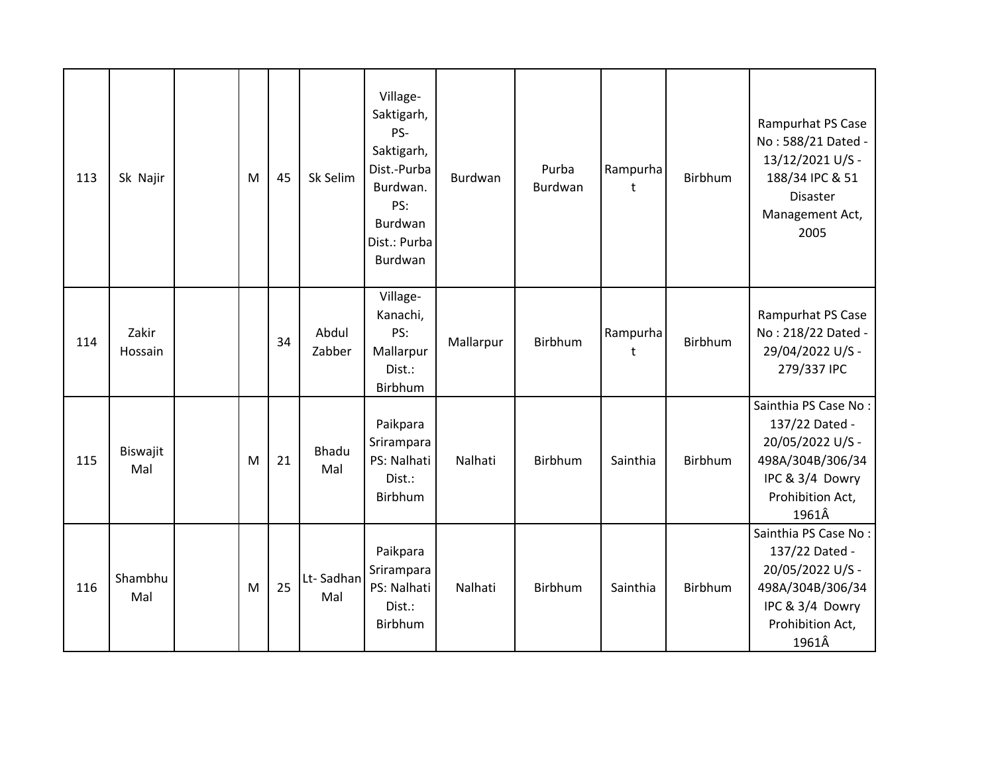| 113 | Sk Najir         | M | 45 | Sk Selim         | Village-<br>Saktigarh,<br>PS-<br>Saktigarh,<br>Dist.-Purba<br>Burdwan.<br>PS:<br>Burdwan<br>Dist.: Purba<br>Burdwan | Burdwan   | Purba<br>Burdwan | Rampurha<br>t | <b>Birbhum</b> | Rampurhat PS Case<br>No: 588/21 Dated -<br>13/12/2021 U/S -<br>188/34 IPC & 51<br><b>Disaster</b><br>Management Act,<br>2005   |
|-----|------------------|---|----|------------------|---------------------------------------------------------------------------------------------------------------------|-----------|------------------|---------------|----------------|--------------------------------------------------------------------------------------------------------------------------------|
| 114 | Zakir<br>Hossain |   | 34 | Abdul<br>Zabber  | Village-<br>Kanachi,<br>PS:<br>Mallarpur<br>Dist.:<br>Birbhum                                                       | Mallarpur | Birbhum          | Rampurha<br>t | Birbhum        | Rampurhat PS Case<br>No: 218/22 Dated -<br>29/04/2022 U/S -<br>279/337 IPC                                                     |
| 115 | Biswajit<br>Mal  | M | 21 | Bhadu<br>Mal     | Paikpara<br>Srirampara<br>PS: Nalhati<br>Dist.:<br>Birbhum                                                          | Nalhati   | Birbhum          | Sainthia      | Birbhum        | Sainthia PS Case No:<br>137/22 Dated -<br>20/05/2022 U/S -<br>498A/304B/306/34<br>IPC & 3/4 Dowry<br>Prohibition Act,<br>1961Â |
| 116 | Shambhu<br>Mal   | M | 25 | Lt-Sadhan<br>Mal | Paikpara<br>Srirampara<br>PS: Nalhati<br>Dist.:<br>Birbhum                                                          | Nalhati   | Birbhum          | Sainthia      | Birbhum        | Sainthia PS Case No:<br>137/22 Dated -<br>20/05/2022 U/S -<br>498A/304B/306/34<br>IPC & 3/4 Dowry<br>Prohibition Act,<br>1961Â |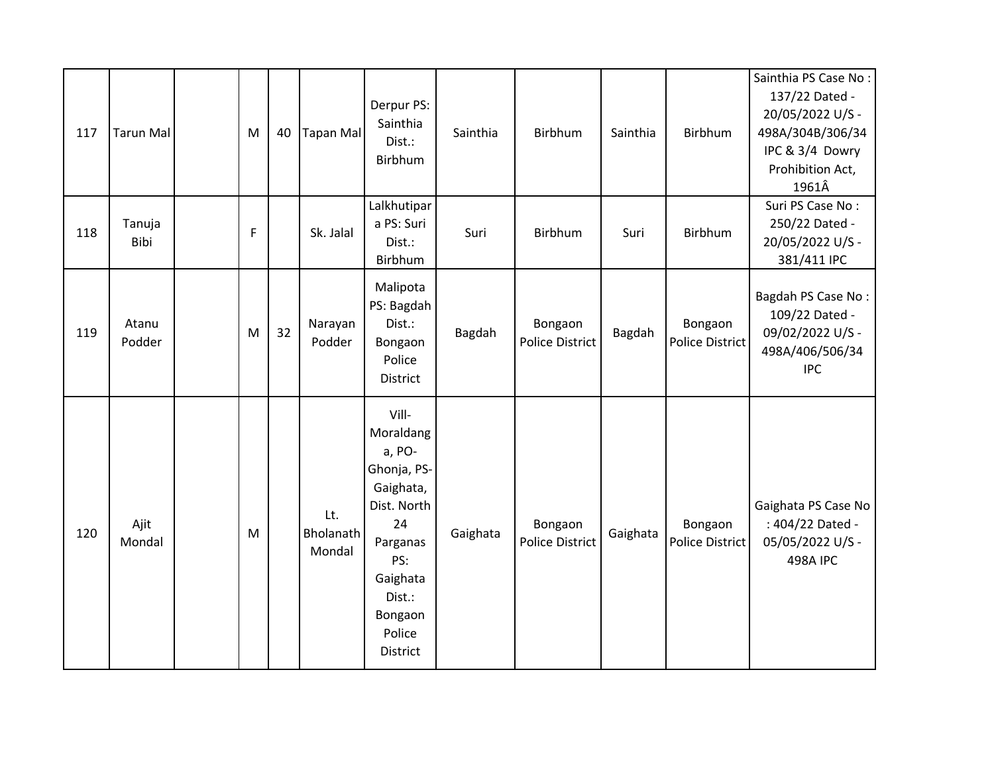| 117 | <b>Tarun Mal</b> | M | 40 | <b>Tapan Mal</b>           | Derpur PS:<br>Sainthia<br>Dist.:<br>Birbhum                                                                                                             | Sainthia | Birbhum                           | Sainthia | Birbhum                           | Sainthia PS Case No:<br>137/22 Dated -<br>20/05/2022 U/S -<br>498A/304B/306/34<br>IPC & 3/4 Dowry<br>Prohibition Act,<br>1961Â |
|-----|------------------|---|----|----------------------------|---------------------------------------------------------------------------------------------------------------------------------------------------------|----------|-----------------------------------|----------|-----------------------------------|--------------------------------------------------------------------------------------------------------------------------------|
| 118 | Tanuja<br>Bibi   | F |    | Sk. Jalal                  | Lalkhutipar<br>a PS: Suri<br>Dist.:<br>Birbhum                                                                                                          | Suri     | Birbhum                           | Suri     | Birbhum                           | Suri PS Case No:<br>250/22 Dated -<br>20/05/2022 U/S -<br>381/411 IPC                                                          |
| 119 | Atanu<br>Podder  | M | 32 | Narayan<br>Podder          | Malipota<br>PS: Bagdah<br>Dist.:<br>Bongaon<br>Police<br>District                                                                                       | Bagdah   | Bongaon<br><b>Police District</b> | Bagdah   | Bongaon<br><b>Police District</b> | Bagdah PS Case No:<br>109/22 Dated -<br>09/02/2022 U/S -<br>498A/406/506/34<br><b>IPC</b>                                      |
| 120 | Ajit<br>Mondal   | M |    | Lt.<br>Bholanath<br>Mondal | Vill-<br>Moraldang<br>a, PO-<br>Ghonja, PS-<br>Gaighata,<br>Dist. North<br>24<br>Parganas<br>PS:<br>Gaighata<br>Dist.:<br>Bongaon<br>Police<br>District | Gaighata | Bongaon<br><b>Police District</b> | Gaighata | Bongaon<br><b>Police District</b> | Gaighata PS Case No<br>: 404/22 Dated -<br>05/05/2022 U/S -<br><b>498A IPC</b>                                                 |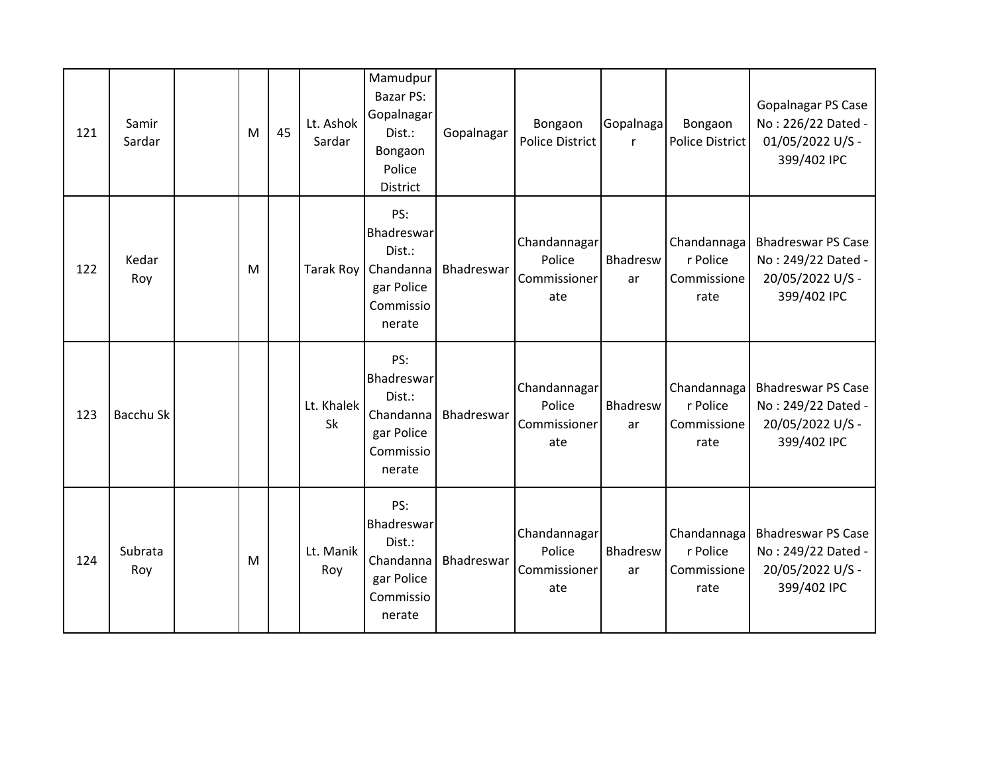| 121 | Samir<br>Sardar | M | 45 | Lt. Ashok<br>Sardar | Mamudpur<br>Bazar PS:<br>Gopalnagar<br>Dist.:<br>Bongaon<br>Police<br><b>District</b>     | Gopalnagar | Bongaon<br><b>Police District</b>             | Gopalnaga<br>$\mathsf{r}$ | Bongaon<br><b>Police District</b>              | <b>Gopalnagar PS Case</b><br>No: 226/22 Dated -<br>01/05/2022 U/S -<br>399/402 IPC |
|-----|-----------------|---|----|---------------------|-------------------------------------------------------------------------------------------|------------|-----------------------------------------------|---------------------------|------------------------------------------------|------------------------------------------------------------------------------------|
| 122 | Kedar<br>Roy    | M |    |                     | PS:<br>Bhadreswar<br>Dist.:<br>Tarak Roy   Chandanna<br>gar Police<br>Commissio<br>nerate | Bhadreswar | Chandannagar<br>Police<br>Commissioner<br>ate | Bhadresw<br>ar            | Chandannaga<br>r Police<br>Commissione<br>rate | <b>Bhadreswar PS Case</b><br>No: 249/22 Dated -<br>20/05/2022 U/S -<br>399/402 IPC |
| 123 | Bacchu Sk       |   |    | Lt. Khalek<br>Sk    | PS:<br>Bhadreswar<br>Dist.:<br>Chandanna<br>gar Police<br>Commissio<br>nerate             | Bhadreswar | Chandannagar<br>Police<br>Commissioner<br>ate | Bhadresw<br>ar            | Chandannaga<br>r Police<br>Commissione<br>rate | <b>Bhadreswar PS Case</b><br>No: 249/22 Dated -<br>20/05/2022 U/S -<br>399/402 IPC |
| 124 | Subrata<br>Roy  | M |    | Lt. Manik<br>Roy    | PS:<br>Bhadreswar<br>Dist.:<br>Chandanna<br>gar Police<br>Commissio<br>nerate             | Bhadreswar | Chandannagar<br>Police<br>Commissioner<br>ate | Bhadresw<br>ar            | Chandannaga<br>r Police<br>Commissione<br>rate | <b>Bhadreswar PS Case</b><br>No: 249/22 Dated -<br>20/05/2022 U/S -<br>399/402 IPC |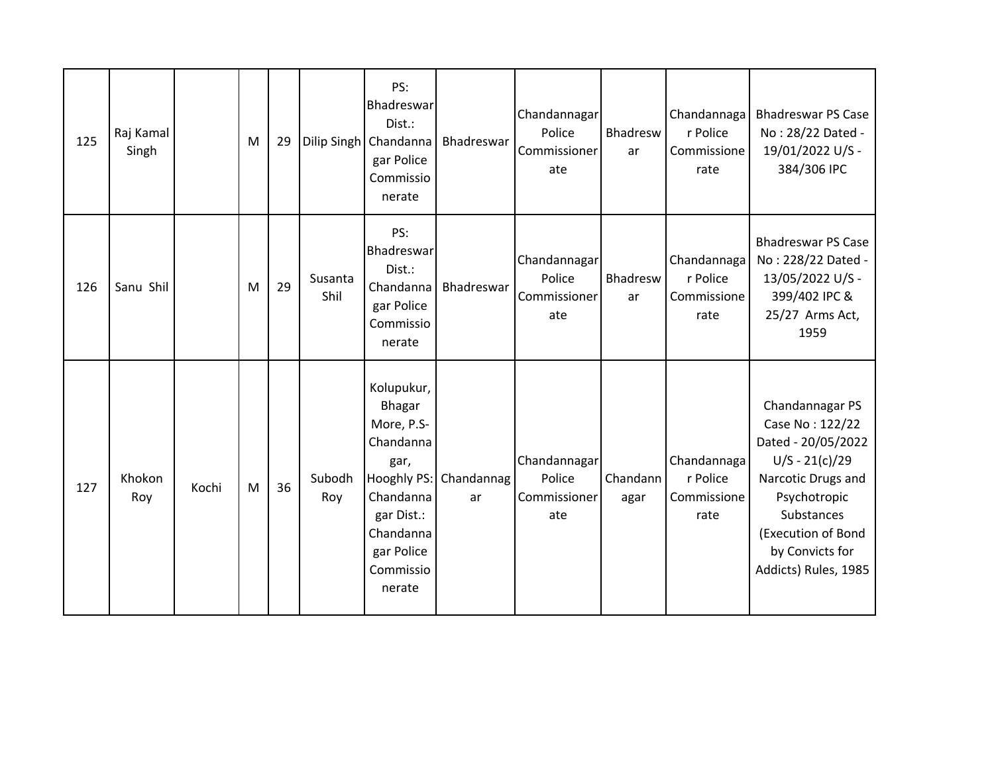| 125 | Raj Kamal<br>Singh |       | M | 29 |                 | PS:<br>Bhadreswar<br>Dist.:<br>Dilip Singh   Chandanna<br>gar Police<br>Commissio<br>nerate                                                         | Bhadreswar       | Chandannagar<br>Police<br>Commissioner<br>ate | Bhadresw<br>ar   | Chandannaga<br>r Police<br>Commissione<br>rate | <b>Bhadreswar PS Case</b><br>No: 28/22 Dated -<br>19/01/2022 U/S -<br>384/306 IPC                                                                                                                 |
|-----|--------------------|-------|---|----|-----------------|-----------------------------------------------------------------------------------------------------------------------------------------------------|------------------|-----------------------------------------------|------------------|------------------------------------------------|---------------------------------------------------------------------------------------------------------------------------------------------------------------------------------------------------|
| 126 | Sanu Shil          |       | M | 29 | Susanta<br>Shil | PS:<br>Bhadreswar<br>Dist.:<br>Chandanna<br>gar Police<br>Commissio<br>nerate                                                                       | Bhadreswar       | Chandannagar<br>Police<br>Commissioner<br>ate | Bhadresw<br>ar   | Chandannaga<br>r Police<br>Commissione<br>rate | <b>Bhadreswar PS Case</b><br>No: 228/22 Dated -<br>13/05/2022 U/S -<br>399/402 IPC &<br>25/27 Arms Act,<br>1959                                                                                   |
| 127 | Khokon<br>Roy      | Kochi | M | 36 | Subodh<br>Roy   | Kolupukur,<br>Bhagar<br>More, P.S-<br>Chandanna<br>gar,<br>Hooghly PS:<br>Chandanna<br>gar Dist.:<br>Chandanna<br>gar Police<br>Commissio<br>nerate | Chandannag<br>ar | Chandannagar<br>Police<br>Commissioner<br>ate | Chandann<br>agar | Chandannaga<br>r Police<br>Commissione<br>rate | Chandannagar PS<br>Case No: 122/22<br>Dated - 20/05/2022<br>$U/S - 21(c)/29$<br>Narcotic Drugs and<br>Psychotropic<br>Substances<br>(Execution of Bond<br>by Convicts for<br>Addicts) Rules, 1985 |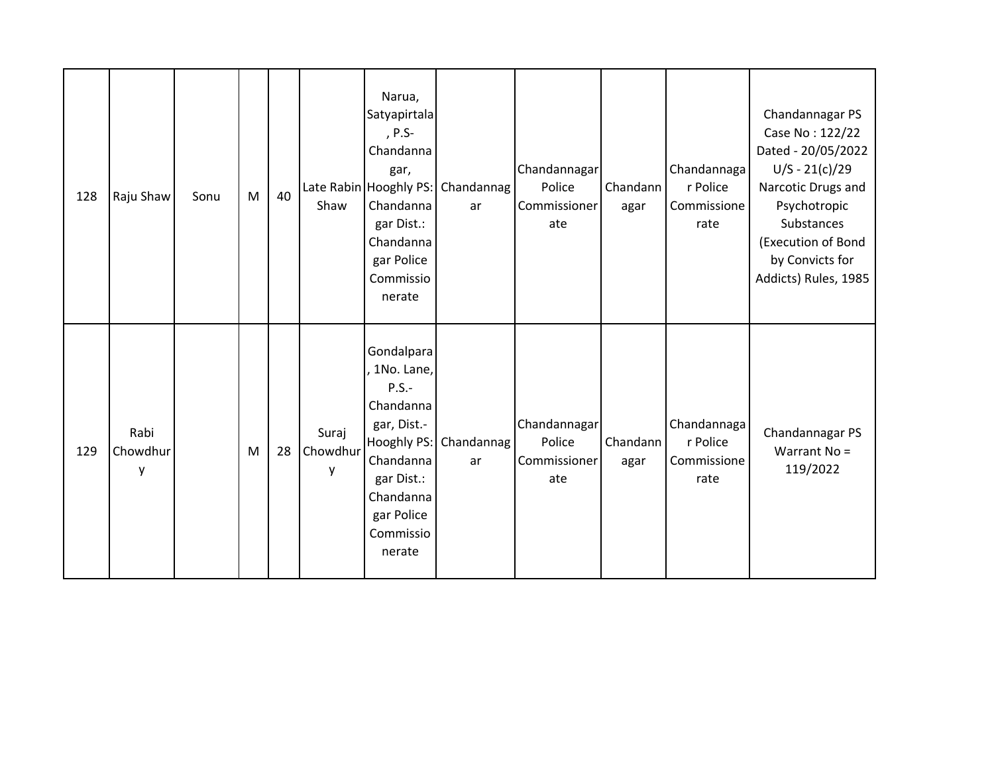| 128 | Raju Shaw             | Sonu | M | 40 | Shaw                   | Narua,<br>Satyapirtala<br>, P.S-<br>Chandanna<br>gar,<br>Late Rabin Hooghly PS:<br>Chandanna<br>gar Dist.:<br>Chandanna<br>gar Police<br>Commissio<br>nerate | Chandannag<br>ar | Chandannagar<br>Police<br>Commissioner<br>ate | Chandann<br>agar | Chandannaga<br>r Police<br>Commissione<br>rate | Chandannagar PS<br>Case No: 122/22<br>Dated - 20/05/2022<br>$U/S - 21(c)/29$<br>Narcotic Drugs and<br>Psychotropic<br>Substances<br>(Execution of Bond<br>by Convicts for<br>Addicts) Rules, 1985 |
|-----|-----------------------|------|---|----|------------------------|--------------------------------------------------------------------------------------------------------------------------------------------------------------|------------------|-----------------------------------------------|------------------|------------------------------------------------|---------------------------------------------------------------------------------------------------------------------------------------------------------------------------------------------------|
| 129 | Rabi<br>Chowdhur<br>y |      | M | 28 | Suraj<br>Chowdhur<br>у | Gondalpara<br>1No. Lane,<br>$P.S.-$<br>Chandanna<br>gar, Dist.-<br>Hooghly PS:<br>Chandanna<br>gar Dist.:<br>Chandanna<br>gar Police<br>Commissio<br>nerate  | Chandannag<br>ar | Chandannagar<br>Police<br>Commissioner<br>ate | Chandann<br>agar | Chandannaga<br>r Police<br>Commissione<br>rate | Chandannagar PS<br>Warrant No =<br>119/2022                                                                                                                                                       |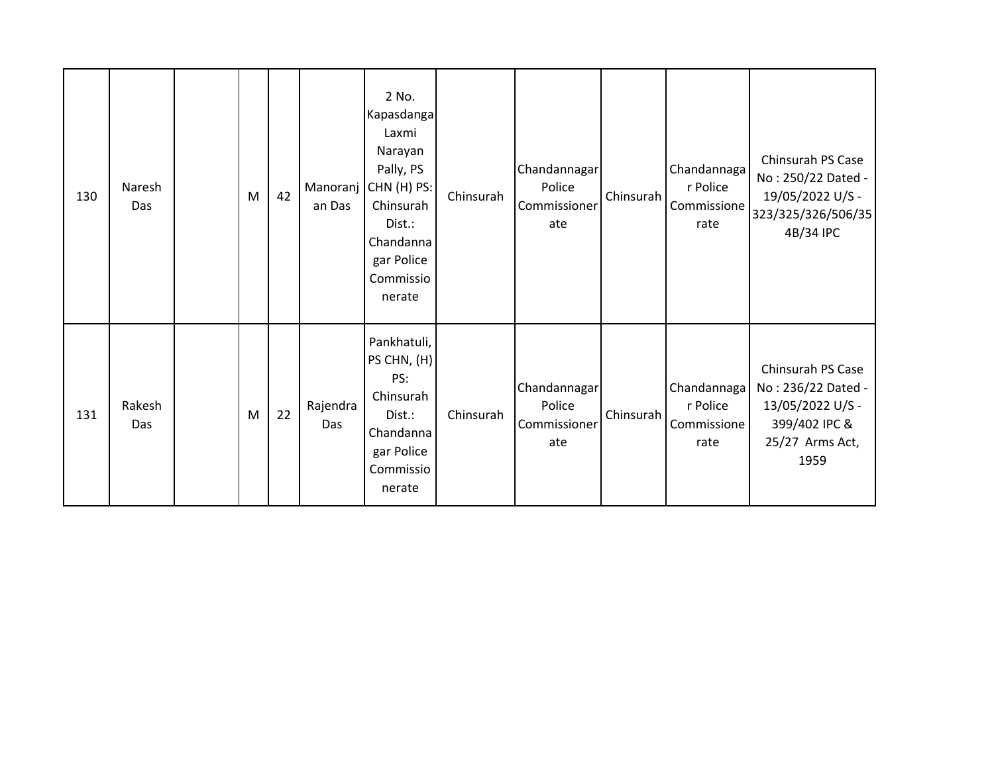| 130 | Naresh<br>Das | M | 42 | an Das          | 2 No.<br>Kapasdanga<br>Laxmi<br>Narayan<br>Pally, PS<br>Manoranj CHN (H) PS:<br>Chinsurah<br>Dist.:<br>Chandanna<br>gar Police<br>Commissio<br>nerate | Chinsurah | Chandannagar<br>Police<br>Commissioner<br>ate | Chinsurah | Chandannaga<br>r Police<br>Commissione<br>rate | Chinsurah PS Case<br>No: 250/22 Dated -<br>19/05/2022 U/S -<br>323/325/326/506/35<br>4B/34 IPC          |
|-----|---------------|---|----|-----------------|-------------------------------------------------------------------------------------------------------------------------------------------------------|-----------|-----------------------------------------------|-----------|------------------------------------------------|---------------------------------------------------------------------------------------------------------|
| 131 | Rakesh<br>Das | M | 22 | Rajendra<br>Das | Pankhatuli,<br>PS CHN, (H)<br>PS:<br>Chinsurah<br>Dist.:<br>Chandanna<br>gar Police<br>Commissio<br>nerate                                            | Chinsurah | Chandannagar<br>Police<br>Commissioner<br>ate | Chinsurah | Chandannaga<br>r Police<br>Commissione<br>rate | Chinsurah PS Case<br>No: 236/22 Dated -<br>13/05/2022 U/S -<br>399/402 IPC &<br>25/27 Arms Act,<br>1959 |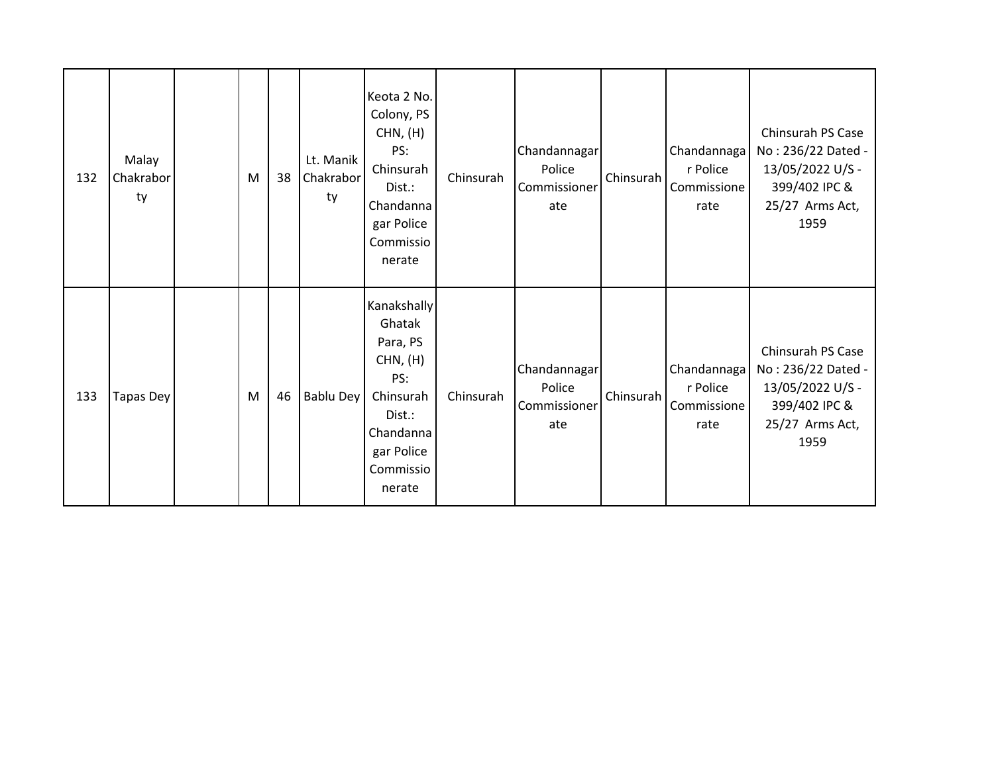| 132 | Malay<br>Chakrabor<br>ty | M | 38 | Lt. Manik<br>Chakrabor<br>ty | Keota 2 No.<br>Colony, PS<br>CHN, (H)<br>PS:<br>Chinsurah<br>Dist.:<br>Chandanna<br>gar Police<br>Commissio<br>nerate         | Chinsurah | Chandannagar<br>Police<br>Commissioner<br>ate | Chinsurah | Chandannaga<br>r Police<br>Commissione<br>rate | Chinsurah PS Case<br>No: 236/22 Dated -<br>13/05/2022 U/S -<br>399/402 IPC &<br>25/27 Arms Act,<br>1959 |
|-----|--------------------------|---|----|------------------------------|-------------------------------------------------------------------------------------------------------------------------------|-----------|-----------------------------------------------|-----------|------------------------------------------------|---------------------------------------------------------------------------------------------------------|
| 133 | <b>Tapas Dey</b>         | M | 46 | Bablu Dey                    | Kanakshally<br>Ghatak<br>Para, PS<br>CHN, (H)<br>PS:<br>Chinsurah<br>Dist.:<br>Chandanna<br>gar Police<br>Commissio<br>nerate | Chinsurah | Chandannagar<br>Police<br>Commissioner<br>ate | Chinsurah | Chandannaga<br>r Police<br>Commissione<br>rate | Chinsurah PS Case<br>No: 236/22 Dated -<br>13/05/2022 U/S -<br>399/402 IPC &<br>25/27 Arms Act,<br>1959 |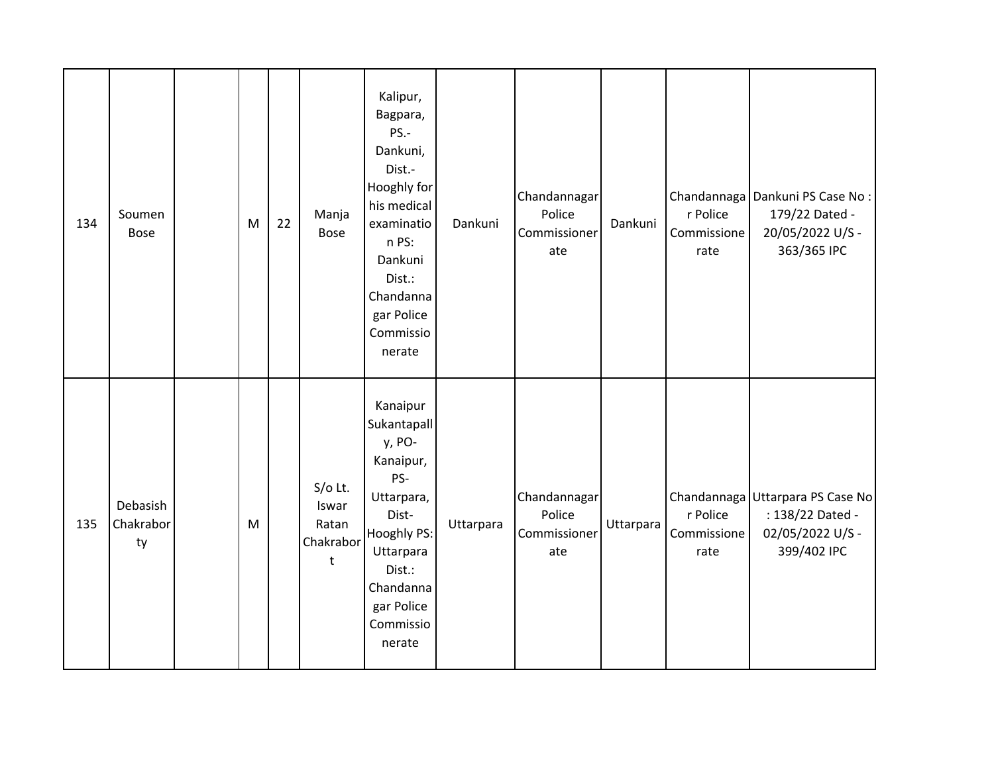| 134 | Soumen<br><b>Bose</b>       | M | 22 | Manja<br><b>Bose</b>                          | Kalipur,<br>Bagpara,<br>PS.-<br>Dankuni,<br>Dist.-<br>Hooghly for<br>his medical<br>examinatio<br>n PS:<br>Dankuni<br>Dist.:<br>Chandanna<br>gar Police<br>Commissio<br>nerate | Dankuni   | Chandannagar<br>Police<br>Commissioner<br>ate | Dankuni   | r Police<br>Commissione<br>rate | Chandannaga   Dankuni PS Case No:<br>179/22 Dated -<br>20/05/2022 U/S -<br>363/365 IPC  |
|-----|-----------------------------|---|----|-----------------------------------------------|--------------------------------------------------------------------------------------------------------------------------------------------------------------------------------|-----------|-----------------------------------------------|-----------|---------------------------------|-----------------------------------------------------------------------------------------|
| 135 | Debasish<br>Chakrabor<br>ty | M |    | $S/O$ Lt.<br>Iswar<br>Ratan<br>Chakrabor<br>t | Kanaipur<br>Sukantapall<br>y, PO-<br>Kanaipur,<br>PS-<br>Uttarpara,<br>Dist-<br>Hooghly PS:<br>Uttarpara<br>Dist.:<br>Chandanna<br>gar Police<br>Commissio<br>nerate           | Uttarpara | Chandannagar<br>Police<br>Commissioner<br>ate | Uttarpara | r Police<br>Commissione<br>rate | Chandannaga Uttarpara PS Case No<br>: 138/22 Dated -<br>02/05/2022 U/S -<br>399/402 IPC |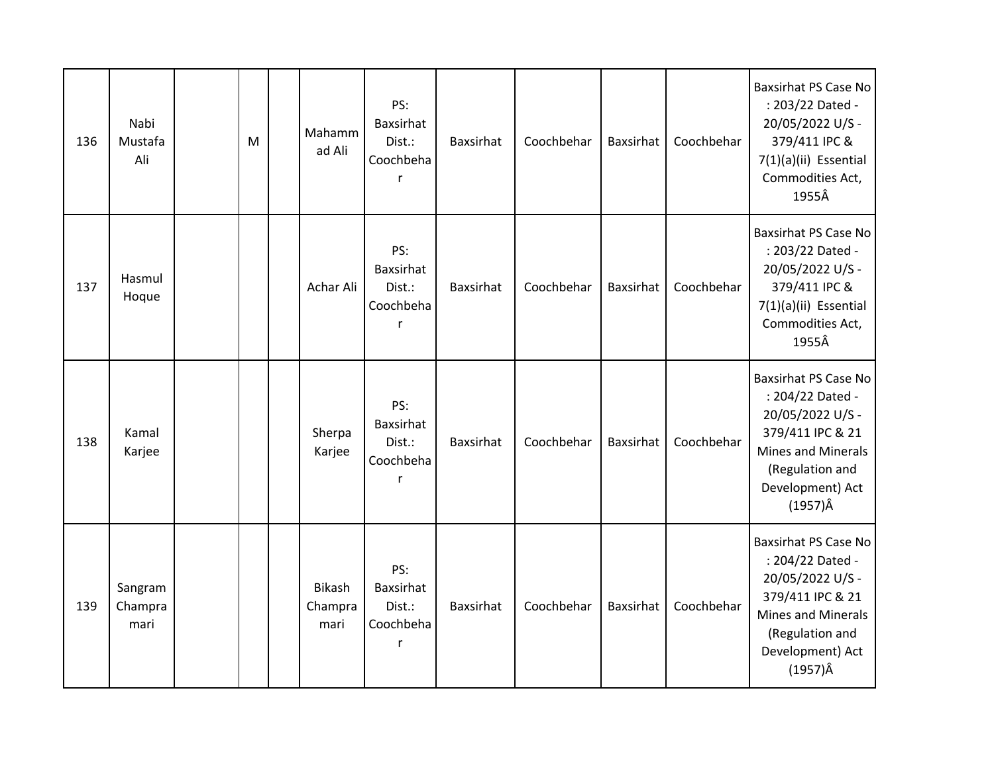| 136 | Nabi<br>Mustafa<br>Ali     | M | Mahamm<br>ad Ali                 | PS:<br><b>Baxsirhat</b><br>Dist.:<br>Coochbeha      | Baxsirhat        | Coochbehar | Baxsirhat | Coochbehar | <b>Baxsirhat PS Case No</b><br>: 203/22 Dated -<br>20/05/2022 U/S -<br>379/411 IPC &<br>7(1)(a)(ii) Essential<br>Commodities Act,<br>1955Â                                     |
|-----|----------------------------|---|----------------------------------|-----------------------------------------------------|------------------|------------|-----------|------------|--------------------------------------------------------------------------------------------------------------------------------------------------------------------------------|
| 137 | Hasmul<br>Hoque            |   | Achar Ali                        | PS:<br><b>Baxsirhat</b><br>Dist.:<br>Coochbeha<br>r | Baxsirhat        | Coochbehar | Baxsirhat | Coochbehar | <b>Baxsirhat PS Case No</b><br>: 203/22 Dated -<br>20/05/2022 U/S -<br>379/411 IPC &<br>7(1)(a)(ii) Essential<br>Commodities Act,<br>1955Â                                     |
| 138 | Kamal<br>Karjee            |   | Sherpa<br>Karjee                 | PS:<br><b>Baxsirhat</b><br>Dist.:<br>Coochbeha<br>r | <b>Baxsirhat</b> | Coochbehar | Baxsirhat | Coochbehar | <b>Baxsirhat PS Case No</b><br>: 204/22 Dated -<br>20/05/2022 U/S -<br>379/411 IPC & 21<br><b>Mines and Minerals</b><br>(Regulation and<br>Development) Act<br>$(1957)\hat{A}$ |
| 139 | Sangram<br>Champra<br>mari |   | <b>Bikash</b><br>Champra<br>mari | PS:<br>Baxsirhat<br>Dist.:<br>Coochbeha<br>r        | Baxsirhat        | Coochbehar | Baxsirhat | Coochbehar | <b>Baxsirhat PS Case No</b><br>: 204/22 Dated -<br>20/05/2022 U/S -<br>379/411 IPC & 21<br><b>Mines and Minerals</b><br>(Regulation and<br>Development) Act<br>$(1957)\hat{A}$ |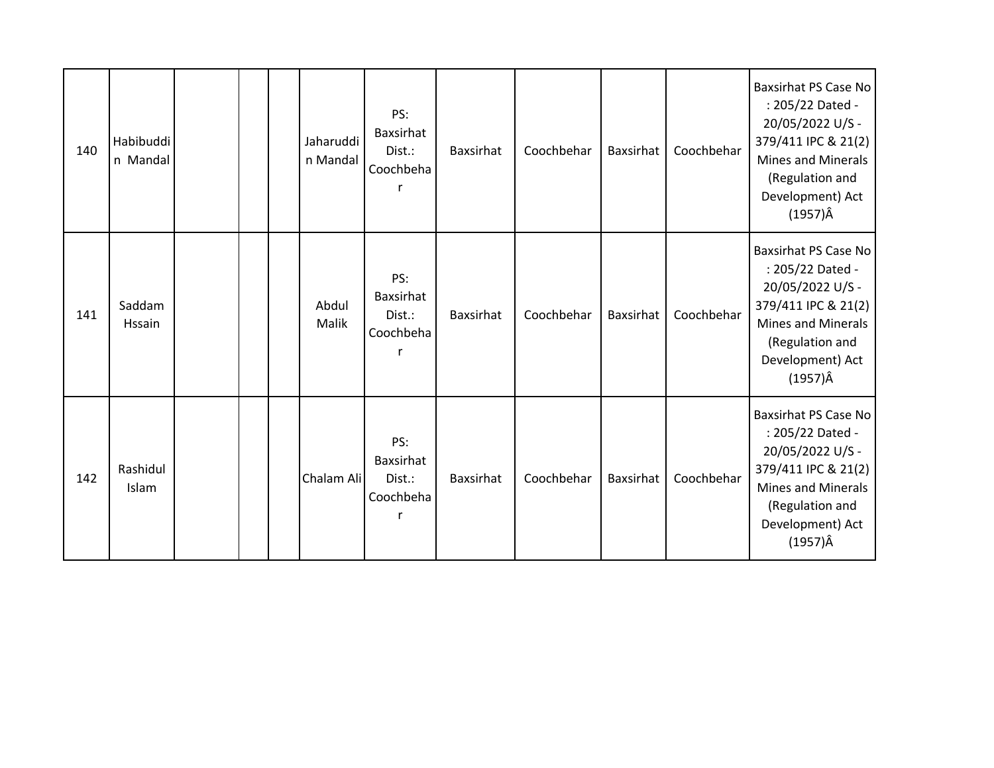| 140 | Habibuddi<br>n Mandal   |  | Jaharuddi<br>n Mandal | PS:<br>Baxsirhat<br>Dist.:<br>Coochbeha | <b>Baxsirhat</b> | Coochbehar | <b>Baxsirhat</b> | Coochbehar | <b>Baxsirhat PS Case No</b><br>: 205/22 Dated -<br>20/05/2022 U/S -<br>379/411 IPC & 21(2)<br><b>Mines and Minerals</b><br>(Regulation and<br>Development) Act<br>(1957)Â         |
|-----|-------------------------|--|-----------------------|-----------------------------------------|------------------|------------|------------------|------------|-----------------------------------------------------------------------------------------------------------------------------------------------------------------------------------|
| 141 | Saddam<br><b>Hssain</b> |  | Abdul<br><b>Malik</b> | PS:<br>Baxsirhat<br>Dist.:<br>Coochbeha | <b>Baxsirhat</b> | Coochbehar | <b>Baxsirhat</b> | Coochbehar | <b>Baxsirhat PS Case No</b><br>: 205/22 Dated -<br>20/05/2022 U/S -<br>379/411 IPC & 21(2)<br><b>Mines and Minerals</b><br>(Regulation and<br>Development) Act<br>$(1957)\hat{A}$ |
| 142 | Rashidul<br>Islam       |  | Chalam Ali            | PS:<br>Baxsirhat<br>Dist.:<br>Coochbeha | Baxsirhat        | Coochbehar | <b>Baxsirhat</b> | Coochbehar | <b>Baxsirhat PS Case No</b><br>: 205/22 Dated -<br>20/05/2022 U/S -<br>379/411 IPC & 21(2)<br><b>Mines and Minerals</b><br>(Regulation and<br>Development) Act<br>$(1957)\hat{A}$ |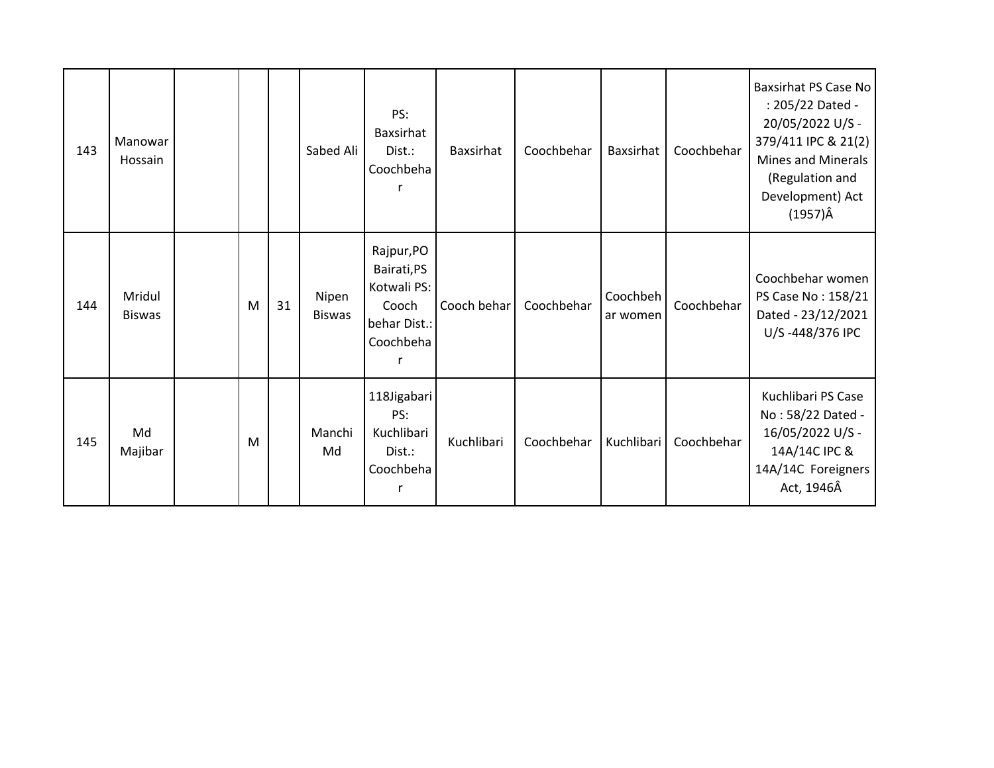| 143 | Manowar<br>Hossain      |   |    | Sabed Ali              | PS:<br>Baxsirhat<br>Dist.:<br>Coochbeha                                        | <b>Baxsirhat</b> | Coochbehar | <b>Baxsirhat</b>     | Coochbehar | Baxsirhat PS Case No<br>: 205/22 Dated -<br>20/05/2022 U/S -<br>379/411 IPC & 21(2)<br><b>Mines and Minerals</b><br>(Regulation and<br>Development) Act<br>$(1957)\hat{A}$ |
|-----|-------------------------|---|----|------------------------|--------------------------------------------------------------------------------|------------------|------------|----------------------|------------|----------------------------------------------------------------------------------------------------------------------------------------------------------------------------|
| 144 | Mridul<br><b>Biswas</b> | M | 31 | Nipen<br><b>Biswas</b> | Rajpur, PO<br>Bairati, PS<br>Kotwali PS:<br>Cooch<br>behar Dist.:<br>Coochbeha | Cooch behar      | Coochbehar | Coochbeh<br>ar women | Coochbehar | Coochbehar women<br>PS Case No: 158/21<br>Dated - 23/12/2021<br>U/S-448/376 IPC                                                                                            |
| 145 | Md<br>Majibar           | M |    | Manchi<br>Md           | 118Jigabari<br>PS:<br>Kuchlibari<br>Dist.:<br>Coochbeha<br>r                   | Kuchlibari       | Coochbehar | Kuchlibari           | Coochbehar | Kuchlibari PS Case<br>No: 58/22 Dated -<br>16/05/2022 U/S -<br>14A/14C IPC &<br>14A/14C Foreigners<br>Act, 1946Â                                                           |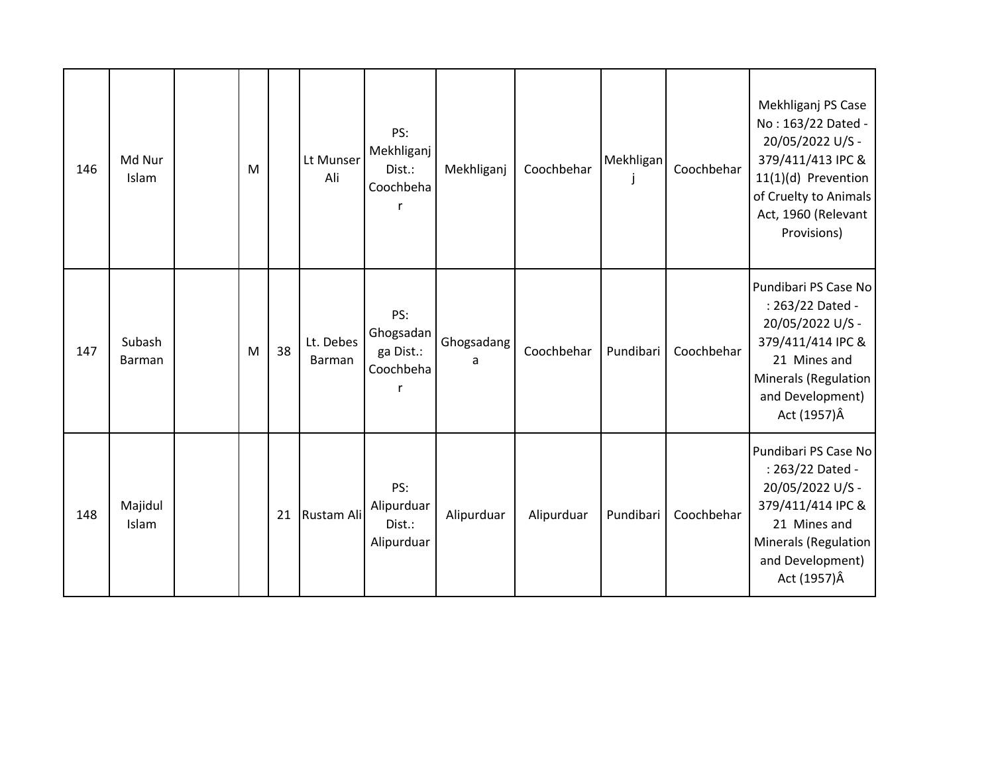| 146 | Md Nur<br>Islam  | M |    | Lt Munser<br>Ali    | PS:<br>Mekhliganj<br>Dist.:<br>Coochbeha<br>r   | Mekhliganj      | Coochbehar | Mekhligan<br>J | Coochbehar | Mekhliganj PS Case<br>No: 163/22 Dated -<br>20/05/2022 U/S -<br>379/411/413 IPC &<br>11(1)(d) Prevention<br>of Cruelty to Animals<br>Act, 1960 (Relevant<br>Provisions) |
|-----|------------------|---|----|---------------------|-------------------------------------------------|-----------------|------------|----------------|------------|-------------------------------------------------------------------------------------------------------------------------------------------------------------------------|
| 147 | Subash<br>Barman | M | 38 | Lt. Debes<br>Barman | PS:<br>Ghogsadan<br>ga Dist.:<br>Coochbeha<br>r | Ghogsadang<br>a | Coochbehar | Pundibari      | Coochbehar | Pundibari PS Case No<br>: 263/22 Dated -<br>20/05/2022 U/S -<br>379/411/414 IPC &<br>21 Mines and<br><b>Minerals (Regulation</b><br>and Development)<br>Act (1957)Â     |
| 148 | Majidul<br>Islam |   | 21 | Rustam Ali          | PS:<br>Alipurduar<br>Dist.:<br>Alipurduar       | Alipurduar      | Alipurduar | Pundibari      | Coochbehar | Pundibari PS Case No<br>: 263/22 Dated -<br>20/05/2022 U/S -<br>379/411/414 IPC &<br>21 Mines and<br>Minerals (Regulation<br>and Development)<br>Act (1957)Â            |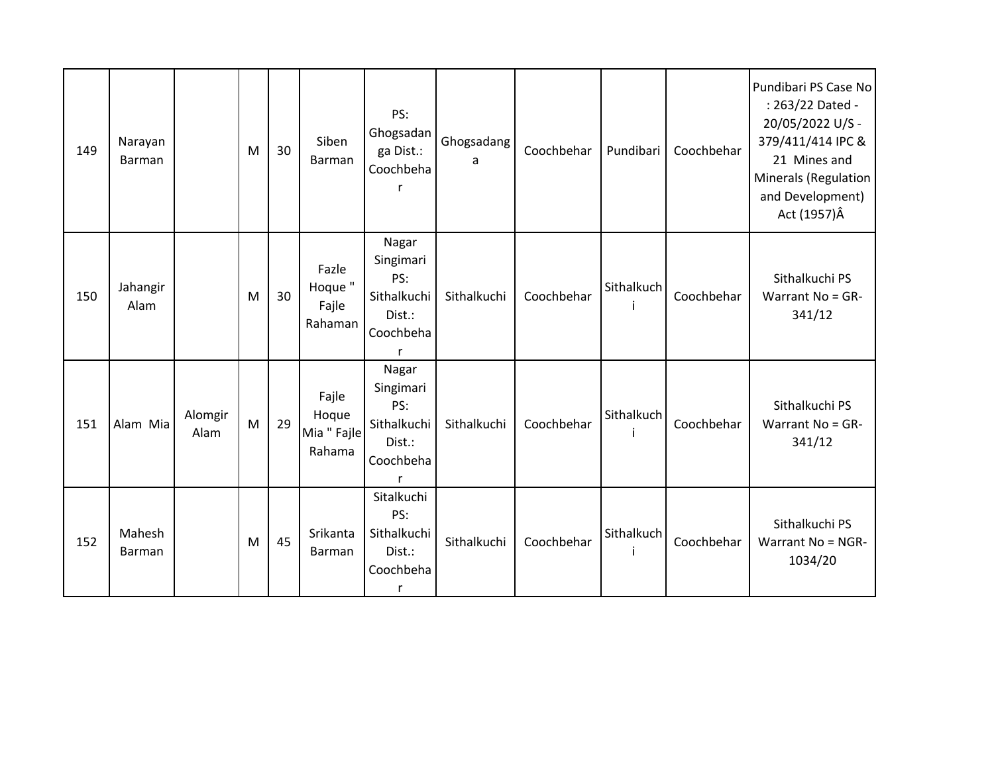| 149 | Narayan<br>Barman |                 | M | 30 | Siben<br>Barman                         | PS:<br>Ghogsadan<br>ga Dist.:<br>Coochbeha                           | Ghogsadang<br>a | Coochbehar | Pundibari        | Coochbehar | Pundibari PS Case No<br>: 263/22 Dated -<br>20/05/2022 U/S -<br>379/411/414 IPC &<br>21 Mines and<br><b>Minerals (Regulation</b><br>and Development)<br>Act (1957)Â |
|-----|-------------------|-----------------|---|----|-----------------------------------------|----------------------------------------------------------------------|-----------------|------------|------------------|------------|---------------------------------------------------------------------------------------------------------------------------------------------------------------------|
| 150 | Jahangir<br>Alam  |                 | M | 30 | Fazle<br>Hoque "<br>Fajle<br>Rahaman    | Nagar<br>Singimari<br>PS:<br>Sithalkuchi<br>Dist.:<br>Coochbeha      | Sithalkuchi     | Coochbehar | Sithalkuch<br>j. | Coochbehar | Sithalkuchi PS<br>Warrant No = GR-<br>341/12                                                                                                                        |
| 151 | Alam Mia          | Alomgir<br>Alam | M | 29 | Fajle<br>Hoque<br>Mia " Fajle<br>Rahama | Nagar<br>Singimari<br>PS:<br>Sithalkuchi<br>Dist.:<br>Coochbeha<br>r | Sithalkuchi     | Coochbehar | Sithalkuch<br>j  | Coochbehar | Sithalkuchi PS<br>Warrant No = GR-<br>341/12                                                                                                                        |
| 152 | Mahesh<br>Barman  |                 | M | 45 | Srikanta<br>Barman                      | Sitalkuchi<br>PS:<br>Sithalkuchi<br>Dist.:<br>Coochbeha<br>r         | Sithalkuchi     | Coochbehar | Sithalkuch       | Coochbehar | Sithalkuchi PS<br>Warrant No = NGR-<br>1034/20                                                                                                                      |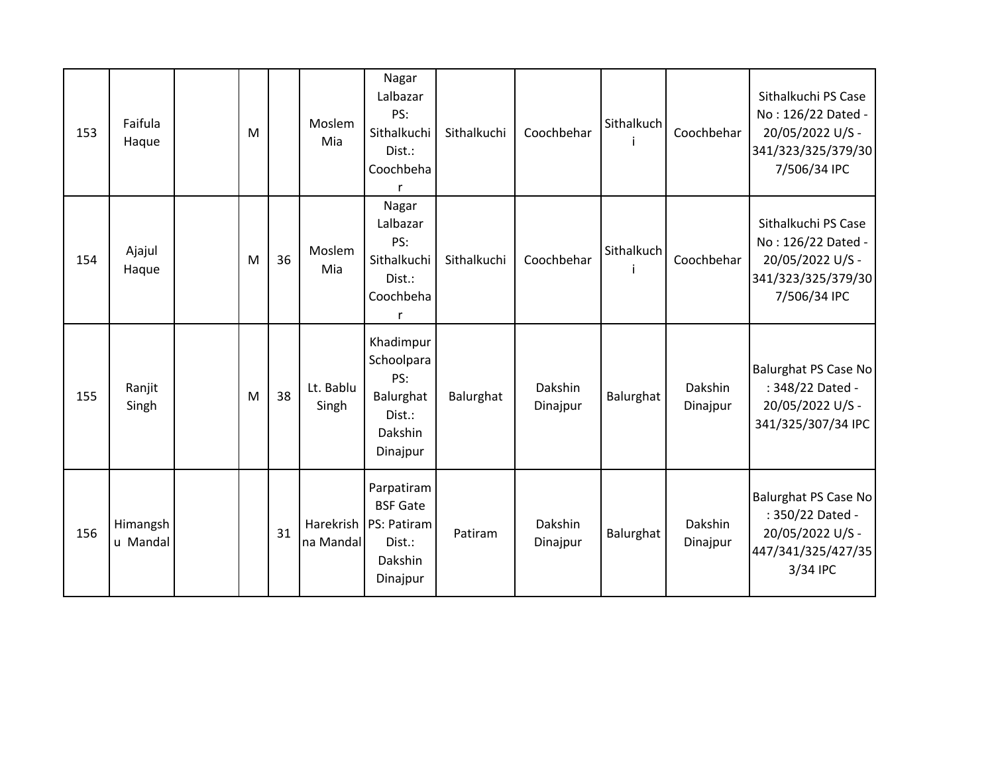| 153 | Faifula<br>Haque     | M |    | Moslem<br>Mia          | Nagar<br>Lalbazar<br>PS:<br>Sithalkuchi<br>Dist.:<br>Coochbeha                | Sithalkuchi | Coochbehar          | Sithalkuch | Coochbehar          | Sithalkuchi PS Case<br>No: 126/22 Dated -<br>20/05/2022 U/S -<br>341/323/325/379/30<br>7/506/34 IPC   |
|-----|----------------------|---|----|------------------------|-------------------------------------------------------------------------------|-------------|---------------------|------------|---------------------|-------------------------------------------------------------------------------------------------------|
| 154 | Ajajul<br>Haque      | M | 36 | Moslem<br>Mia          | Nagar<br>Lalbazar<br>PS:<br>Sithalkuchi<br>Dist.:<br>Coochbeha<br>r           | Sithalkuchi | Coochbehar          | Sithalkuch | Coochbehar          | Sithalkuchi PS Case<br>No: 126/22 Dated -<br>20/05/2022 U/S -<br>341/323/325/379/30<br>7/506/34 IPC   |
| 155 | Ranjit<br>Singh      | M | 38 | Lt. Bablu<br>Singh     | Khadimpur<br>Schoolpara<br>PS:<br>Balurghat<br>Dist.:<br>Dakshin<br>Dinajpur  | Balurghat   | Dakshin<br>Dinajpur | Balurghat  | Dakshin<br>Dinajpur | <b>Balurghat PS Case No</b><br>: 348/22 Dated -<br>20/05/2022 U/S -<br>341/325/307/34 IPC             |
| 156 | Himangsh<br>u Mandal |   | 31 | Harekrish<br>na Mandal | Parpatiram<br><b>BSF Gate</b><br>PS: Patiram<br>Dist.:<br>Dakshin<br>Dinajpur | Patiram     | Dakshin<br>Dinajpur | Balurghat  | Dakshin<br>Dinajpur | <b>Balurghat PS Case No</b><br>: 350/22 Dated -<br>20/05/2022 U/S -<br>447/341/325/427/35<br>3/34 IPC |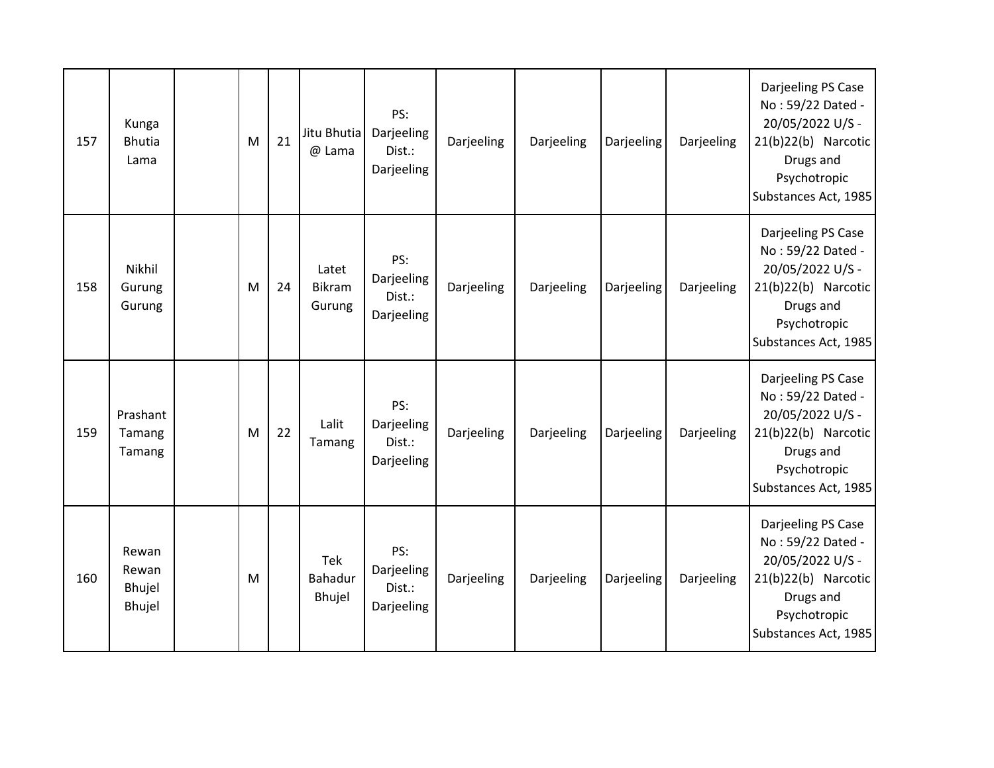| 157 | Kunga<br><b>Bhutia</b><br>Lama     | M | 21 | Jitu Bhutia<br>@ Lama            | PS:<br>Darjeeling<br>Dist.:<br>Darjeeling | Darjeeling | Darjeeling | Darjeeling | Darjeeling | Darjeeling PS Case<br>No: 59/22 Dated -<br>20/05/2022 U/S -<br>21(b)22(b) Narcotic<br>Drugs and<br>Psychotropic<br>Substances Act, 1985 |
|-----|------------------------------------|---|----|----------------------------------|-------------------------------------------|------------|------------|------------|------------|-----------------------------------------------------------------------------------------------------------------------------------------|
| 158 | Nikhil<br>Gurung<br>Gurung         | M | 24 | Latet<br><b>Bikram</b><br>Gurung | PS:<br>Darjeeling<br>Dist.:<br>Darjeeling | Darjeeling | Darjeeling | Darjeeling | Darjeeling | Darjeeling PS Case<br>No: 59/22 Dated -<br>20/05/2022 U/S -<br>21(b)22(b) Narcotic<br>Drugs and<br>Psychotropic<br>Substances Act, 1985 |
| 159 | Prashant<br>Tamang<br>Tamang       | M | 22 | Lalit<br>Tamang                  | PS:<br>Darjeeling<br>Dist.:<br>Darjeeling | Darjeeling | Darjeeling | Darjeeling | Darjeeling | Darjeeling PS Case<br>No: 59/22 Dated -<br>20/05/2022 U/S -<br>21(b)22(b) Narcotic<br>Drugs and<br>Psychotropic<br>Substances Act, 1985 |
| 160 | Rewan<br>Rewan<br>Bhujel<br>Bhujel | M |    | Tek<br>Bahadur<br>Bhujel         | PS:<br>Darjeeling<br>Dist.:<br>Darjeeling | Darjeeling | Darjeeling | Darjeeling | Darjeeling | Darjeeling PS Case<br>No: 59/22 Dated -<br>20/05/2022 U/S -<br>21(b)22(b) Narcotic<br>Drugs and<br>Psychotropic<br>Substances Act, 1985 |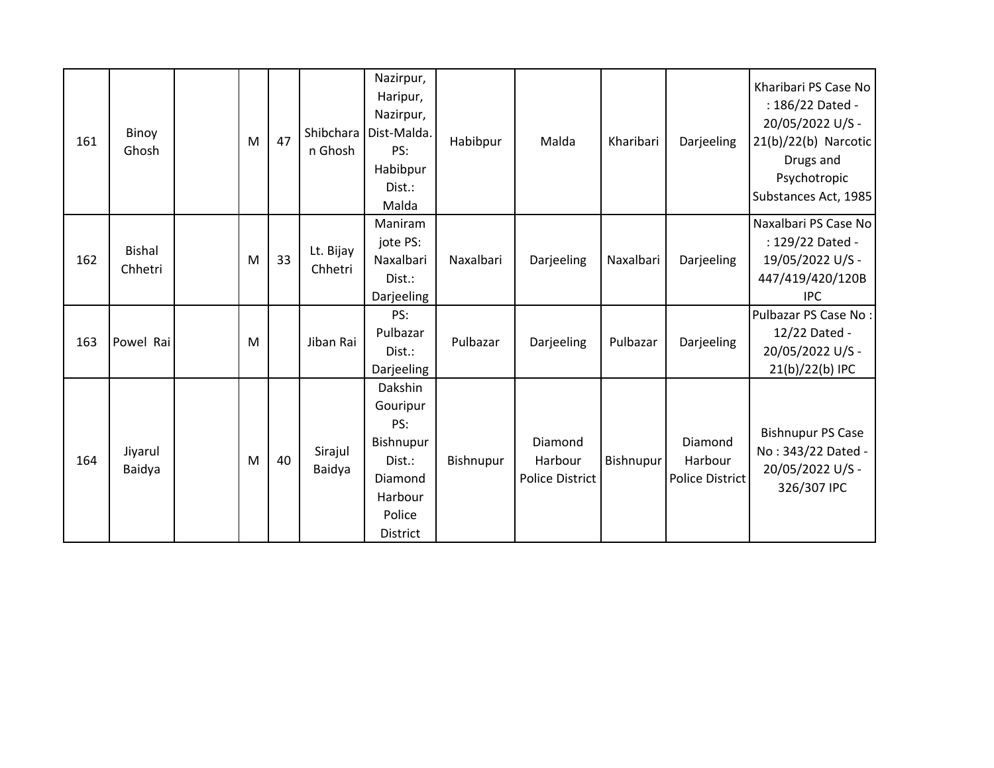| 161 | Binoy<br>Ghosh           | M | 47 | Shibchara<br>n Ghosh | Nazirpur,<br>Haripur,<br>Nazirpur,<br>Dist-Malda.<br>PS:<br>Habibpur<br>Dist.:<br>Malda              | Habibpur  | Malda                                        | Kharibari | Darjeeling                            | Kharibari PS Case No<br>: 186/22 Dated -<br>20/05/2022 U/S -<br>$21(b)/22(b)$ Narcotic<br>Drugs and<br>Psychotropic<br>Substances Act, 1985 |
|-----|--------------------------|---|----|----------------------|------------------------------------------------------------------------------------------------------|-----------|----------------------------------------------|-----------|---------------------------------------|---------------------------------------------------------------------------------------------------------------------------------------------|
| 162 | <b>Bishal</b><br>Chhetri | M | 33 | Lt. Bijay<br>Chhetri | Maniram<br>jote PS:<br>Naxalbari<br>Dist.:<br>Darjeeling                                             | Naxalbari | Darjeeling                                   | Naxalbari | Darjeeling                            | Naxalbari PS Case No<br>: 129/22 Dated -<br>19/05/2022 U/S -<br>447/419/420/120B<br><b>IPC</b>                                              |
| 163 | Powel Rai                | M |    | Jiban Rai            | PS:<br>Pulbazar<br>Dist.:<br>Darjeeling                                                              | Pulbazar  | Darjeeling                                   | Pulbazar  | Darjeeling                            | Pulbazar PS Case No:<br>12/22 Dated -<br>20/05/2022 U/S -<br>21(b)/22(b) IPC                                                                |
| 164 | Jiyarul<br>Baidya        | M | 40 | Sirajul<br>Baidya    | Dakshin<br>Gouripur<br>PS:<br>Bishnupur<br>Dist.:<br>Diamond<br>Harbour<br>Police<br><b>District</b> | Bishnupur | Diamond<br>Harbour<br><b>Police District</b> | Bishnupur | Diamond<br>Harbour<br>Police District | <b>Bishnupur PS Case</b><br>No: 343/22 Dated -<br>20/05/2022 U/S -<br>326/307 IPC                                                           |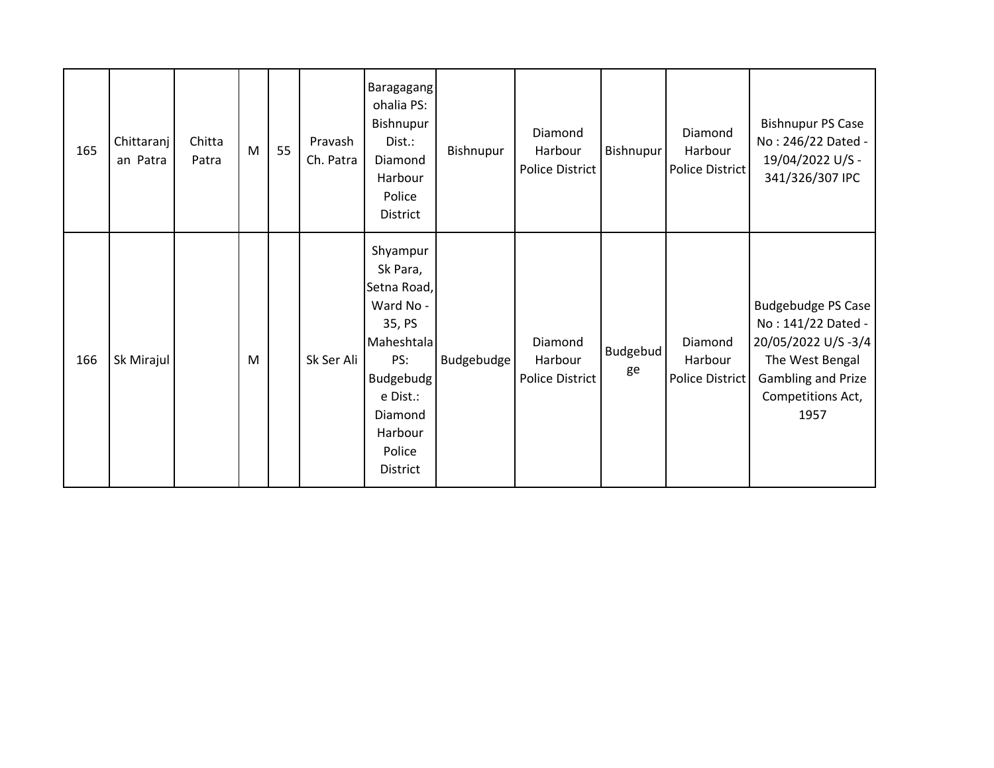| 165 | Chittaranj<br>an Patra | Chitta<br>Patra | M | 55 | Pravash<br>Ch. Patra | Baragagang<br>ohalia PS:<br>Bishnupur<br>Dist.:<br>Diamond<br>Harbour<br>Police<br><b>District</b>                                                   | Bishnupur  | Diamond<br>Harbour<br><b>Police District</b> | <b>Bishnupur</b>      | Diamond<br>Harbour<br>Police District | <b>Bishnupur PS Case</b><br>No: 246/22 Dated -<br>19/04/2022 U/S -<br>341/326/307 IPC                                                       |
|-----|------------------------|-----------------|---|----|----------------------|------------------------------------------------------------------------------------------------------------------------------------------------------|------------|----------------------------------------------|-----------------------|---------------------------------------|---------------------------------------------------------------------------------------------------------------------------------------------|
| 166 | Sk Mirajul             |                 | M |    | Sk Ser Ali           | Shyampur<br>Sk Para,<br>Setna Road,<br>Ward No -<br>35, PS<br>Maheshtala<br>PS:<br>Budgebudg<br>e Dist.:<br>Diamond<br>Harbour<br>Police<br>District | Budgebudge | Diamond<br>Harbour<br>Police District        | <b>Budgebud</b><br>ge | Diamond<br>Harbour<br>Police District | <b>Budgebudge PS Case</b><br>No: 141/22 Dated -<br>20/05/2022 U/S-3/4<br>The West Bengal<br>Gambling and Prize<br>Competitions Act,<br>1957 |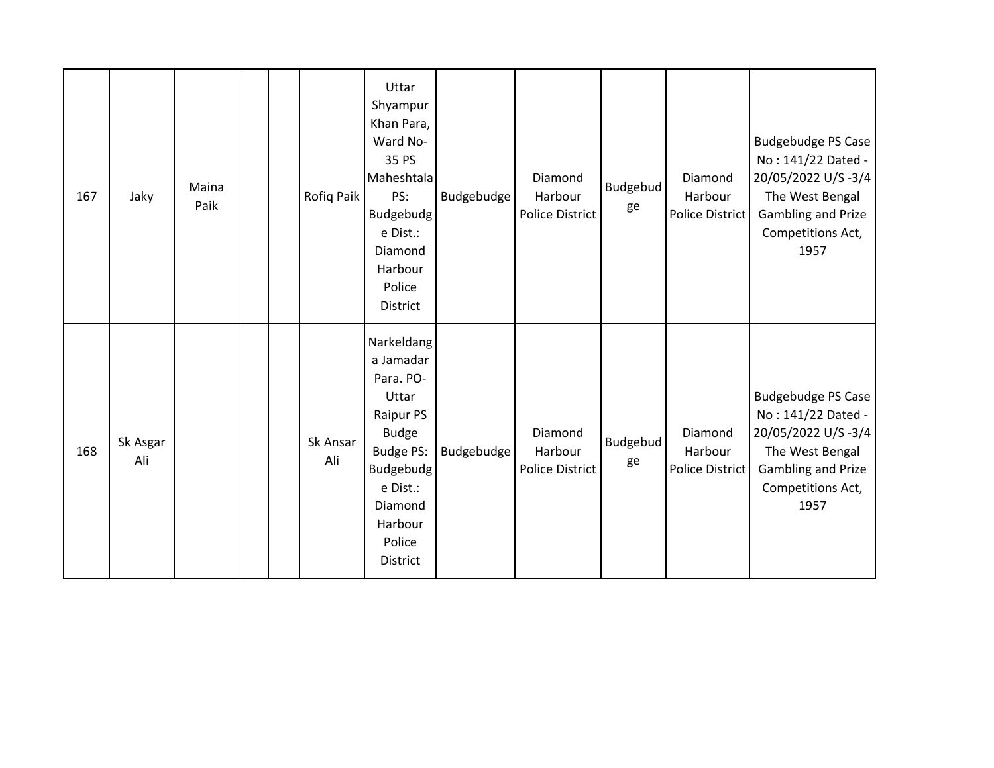| 167 | Jaky            | Maina<br>Paik |  | Rofiq Paik      | Uttar<br>Shyampur<br>Khan Para,<br>Ward No-<br>35 PS<br>Maheshtala<br>PS:<br><b>Budgebudg</b><br>e Dist.:<br>Diamond<br>Harbour<br>Police<br><b>District</b>        | Budgebudge        | Diamond<br>Harbour<br><b>Police District</b> | Budgebud<br>ge        | Diamond<br>Harbour<br>Police District | <b>Budgebudge PS Case</b><br>No: 141/22 Dated -<br>20/05/2022 U/S-3/4<br>The West Bengal<br><b>Gambling and Prize</b><br>Competitions Act,<br>1957 |
|-----|-----------------|---------------|--|-----------------|---------------------------------------------------------------------------------------------------------------------------------------------------------------------|-------------------|----------------------------------------------|-----------------------|---------------------------------------|----------------------------------------------------------------------------------------------------------------------------------------------------|
| 168 | Sk Asgar<br>Ali |               |  | Sk Ansar<br>Ali | Narkeldang<br>a Jamadar<br>Para. PO-<br>Uttar<br>Raipur PS<br><b>Budge</b><br>Budge PS:<br>Budgebudg<br>e Dist.:<br>Diamond<br>Harbour<br>Police<br><b>District</b> | <b>Budgebudge</b> | Diamond<br>Harbour<br><b>Police District</b> | <b>Budgebud</b><br>ge | Diamond<br>Harbour<br>Police District | <b>Budgebudge PS Case</b><br>No: 141/22 Dated -<br>20/05/2022 U/S-3/4<br>The West Bengal<br>Gambling and Prize<br>Competitions Act,<br>1957        |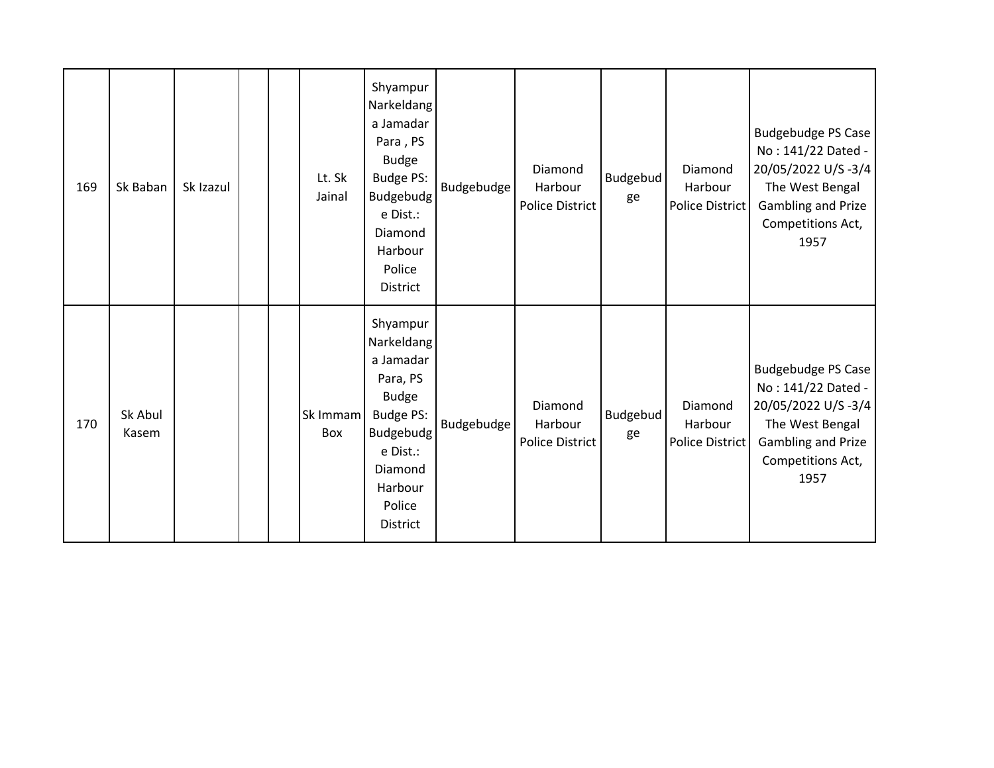| 169 | Sk Baban         | Sk Izazul |  | Lt. Sk<br>Jainal | Shyampur<br>Narkeldang<br>a Jamadar<br>Para, PS<br><b>Budge</b><br>Budge PS:<br>Budgebudg<br>e Dist.:<br>Diamond<br>Harbour<br>Police<br><b>District</b> | Budgebudge        | Diamond<br>Harbour<br>Police District        | <b>Budgebud</b><br>ge | Diamond<br>Harbour<br>Police District        | <b>Budgebudge PS Case</b><br>No: 141/22 Dated -<br>20/05/2022 U/S-3/4<br>The West Bengal<br>Gambling and Prize<br>Competitions Act,<br>1957 |
|-----|------------------|-----------|--|------------------|----------------------------------------------------------------------------------------------------------------------------------------------------------|-------------------|----------------------------------------------|-----------------------|----------------------------------------------|---------------------------------------------------------------------------------------------------------------------------------------------|
| 170 | Sk Abul<br>Kasem |           |  | Sk Immam<br>Box  | Shyampur<br>Narkeldang<br>a Jamadar<br>Para, PS<br><b>Budge</b><br>Budge PS:<br>Budgebudg<br>e Dist.:<br>Diamond<br>Harbour<br>Police<br><b>District</b> | <b>Budgebudge</b> | Diamond<br>Harbour<br><b>Police District</b> | <b>Budgebud</b><br>ge | Diamond<br>Harbour<br><b>Police District</b> | <b>Budgebudge PS Case</b><br>No: 141/22 Dated -<br>20/05/2022 U/S-3/4<br>The West Bengal<br>Gambling and Prize<br>Competitions Act,<br>1957 |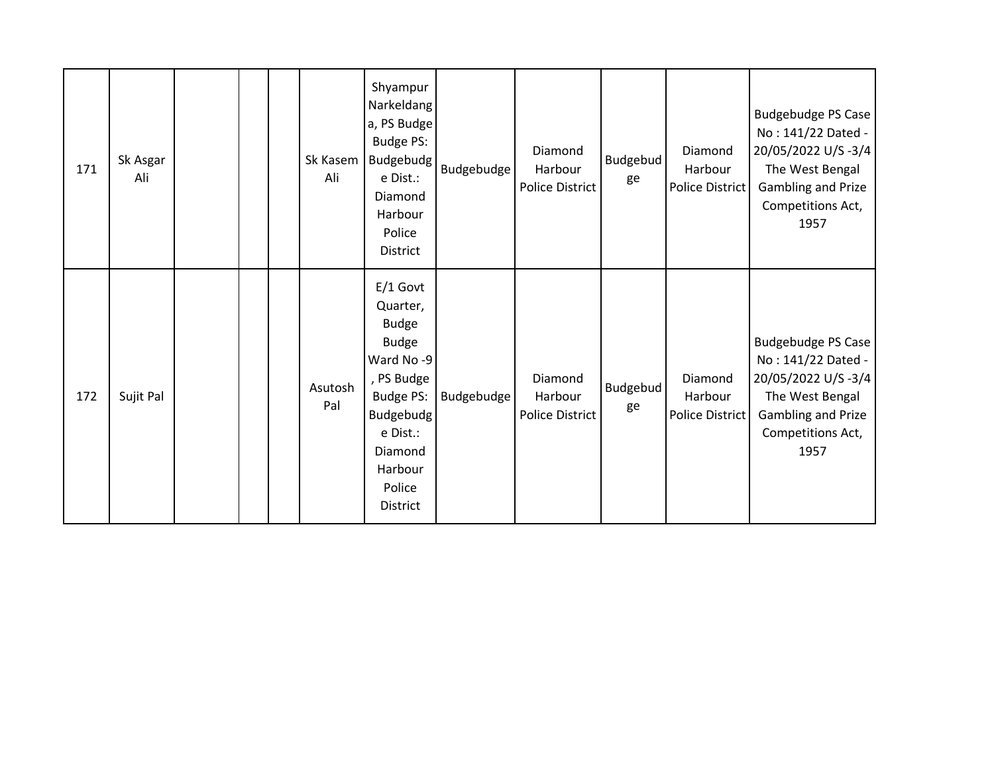| 171 | Sk Asgar<br>Ali |  | Sk Kasem<br>Ali | Shyampur<br>Narkeldang<br>a, PS Budge<br>Budge PS:<br>Budgebudg<br>e Dist.:<br>Diamond<br>Harbour<br>Police<br><b>District</b>                                      | <b>Budgebudge</b> | Diamond<br>Harbour<br>Police District        | Budgebud<br>ge        | Diamond<br>Harbour<br>Police District        | Budgebudge PS Case<br>No: 141/22 Dated -<br>20/05/2022 U/S-3/4<br>The West Bengal<br>Gambling and Prize<br>Competitions Act,<br>1957 |
|-----|-----------------|--|-----------------|---------------------------------------------------------------------------------------------------------------------------------------------------------------------|-------------------|----------------------------------------------|-----------------------|----------------------------------------------|--------------------------------------------------------------------------------------------------------------------------------------|
| 172 | Sujit Pal       |  | Asutosh<br>Pal  | $E/1$ Govt<br>Quarter,<br><b>Budge</b><br><b>Budge</b><br>Ward No-9<br>, PS Budge<br>Budge PS:<br>Budgebudg<br>e Dist.:<br>Diamond<br>Harbour<br>Police<br>District | Budgebudge        | Diamond<br>Harbour<br><b>Police District</b> | <b>Budgebud</b><br>ge | Diamond<br>Harbour<br><b>Police District</b> | Budgebudge PS Case<br>No: 141/22 Dated -<br>20/05/2022 U/S-3/4<br>The West Bengal<br>Gambling and Prize<br>Competitions Act,<br>1957 |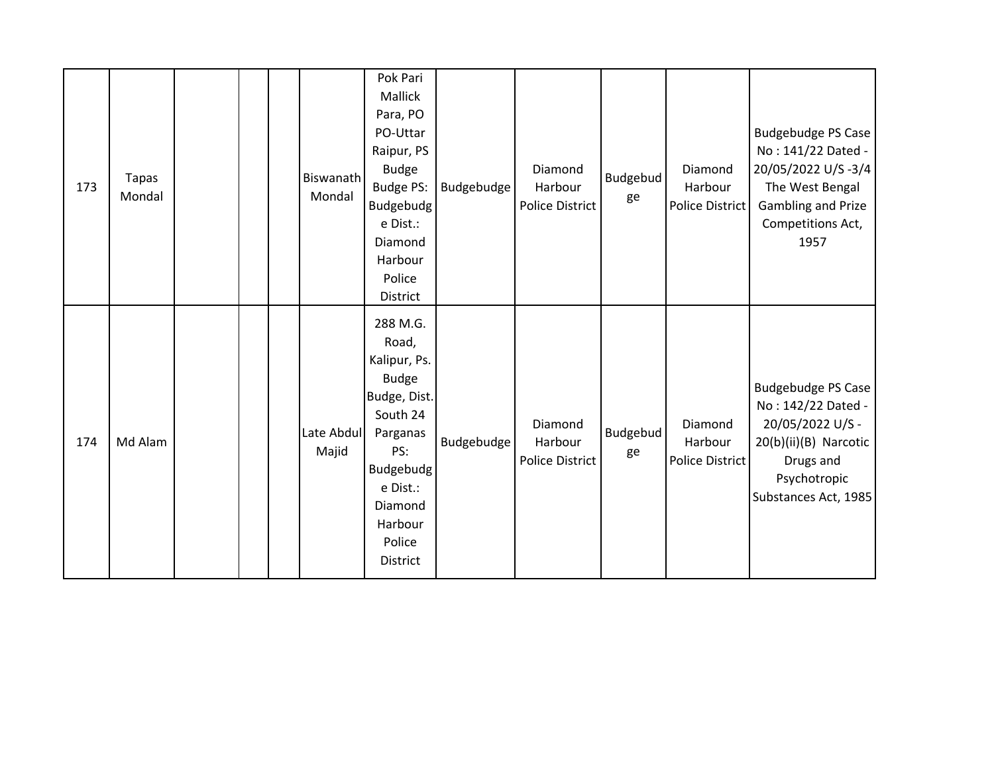| 173 | <b>Tapas</b><br>Mondal |  | Biswanath<br>Mondal | Pok Pari<br>Mallick<br>Para, PO<br>PO-Uttar<br>Raipur, PS<br><b>Budge</b><br>Budge PS:<br>Budgebudg<br>e Dist.:<br>Diamond<br>Harbour<br>Police<br>District           | Budgebudge        | Diamond<br>Harbour<br><b>Police District</b> | Budgebud<br>ge | Diamond<br>Harbour<br>Police District | <b>Budgebudge PS Case</b><br>No: 141/22 Dated -<br>20/05/2022 U/S-3/4<br>The West Bengal<br><b>Gambling and Prize</b><br>Competitions Act,<br>1957 |
|-----|------------------------|--|---------------------|-----------------------------------------------------------------------------------------------------------------------------------------------------------------------|-------------------|----------------------------------------------|----------------|---------------------------------------|----------------------------------------------------------------------------------------------------------------------------------------------------|
| 174 | Md Alam                |  | Late Abdul<br>Majid | 288 M.G.<br>Road,<br>Kalipur, Ps.<br><b>Budge</b><br>Budge, Dist.<br>South 24<br>Parganas<br>PS:<br>Budgebudg<br>e Dist.:<br>Diamond<br>Harbour<br>Police<br>District | <b>Budgebudge</b> | Diamond<br>Harbour<br>Police District        | Budgebud<br>ge | Diamond<br>Harbour<br>Police District | <b>Budgebudge PS Case</b><br>No: 142/22 Dated -<br>20/05/2022 U/S -<br>20(b)(ii)(B) Narcotic<br>Drugs and<br>Psychotropic<br>Substances Act, 1985  |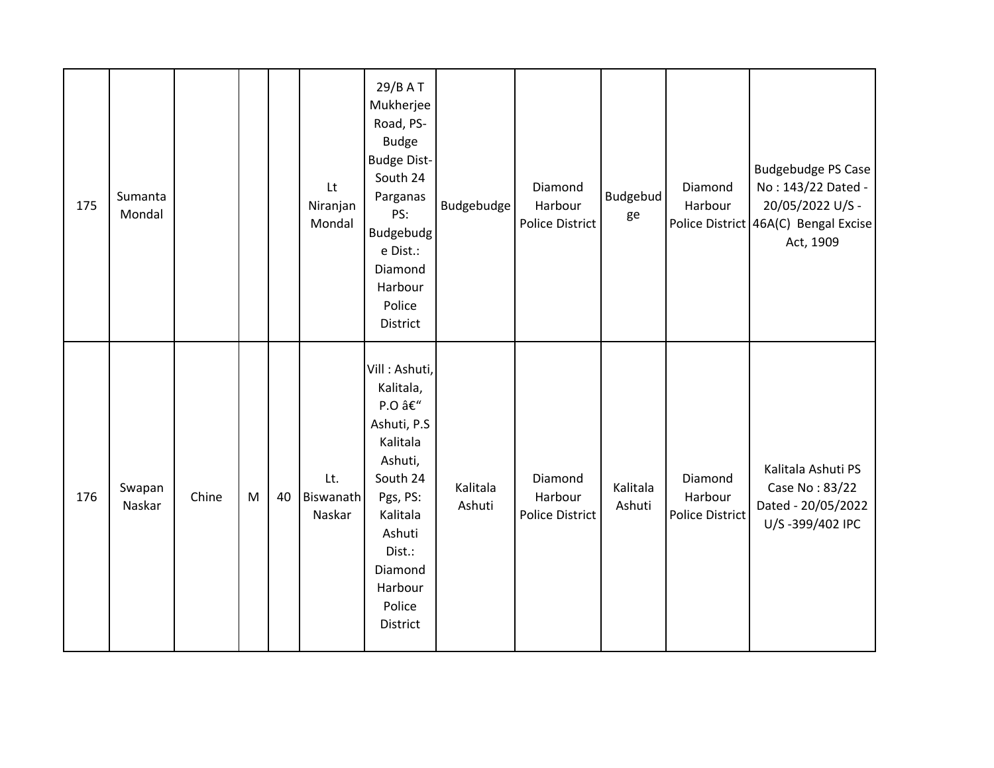| 175 | Sumanta<br>Mondal |       |   |    | Lt<br>Niranjan<br>Mondal   | 29/B A T<br>Mukherjee<br>Road, PS-<br><b>Budge</b><br><b>Budge Dist-</b><br>South 24<br>Parganas<br>PS:<br>Budgebudg<br>e Dist.:<br>Diamond<br>Harbour<br>Police<br>District  | <b>Budgebudge</b>  | Diamond<br>Harbour<br>Police District | <b>Budgebud</b><br>ge | Diamond<br>Harbour                           | <b>Budgebudge PS Case</b><br>No: 143/22 Dated -<br>20/05/2022 U/S -<br>Police District 46A(C) Bengal Excise<br>Act, 1909 |
|-----|-------------------|-------|---|----|----------------------------|-------------------------------------------------------------------------------------------------------------------------------------------------------------------------------|--------------------|---------------------------------------|-----------------------|----------------------------------------------|--------------------------------------------------------------------------------------------------------------------------|
| 176 | Swapan<br>Naskar  | Chine | M | 40 | Lt.<br>Biswanath<br>Naskar | Vill: Ashuti,<br>Kalitala,<br>P.O –<br>Ashuti, P.S<br>Kalitala<br>Ashuti,<br>South 24<br>Pgs, PS:<br>Kalitala<br>Ashuti<br>Dist.:<br>Diamond<br>Harbour<br>Police<br>District | Kalitala<br>Ashuti | Diamond<br>Harbour<br>Police District | Kalitala<br>Ashuti    | Diamond<br>Harbour<br><b>Police District</b> | Kalitala Ashuti PS<br>Case No: 83/22<br>Dated - 20/05/2022<br>U/S-399/402 IPC                                            |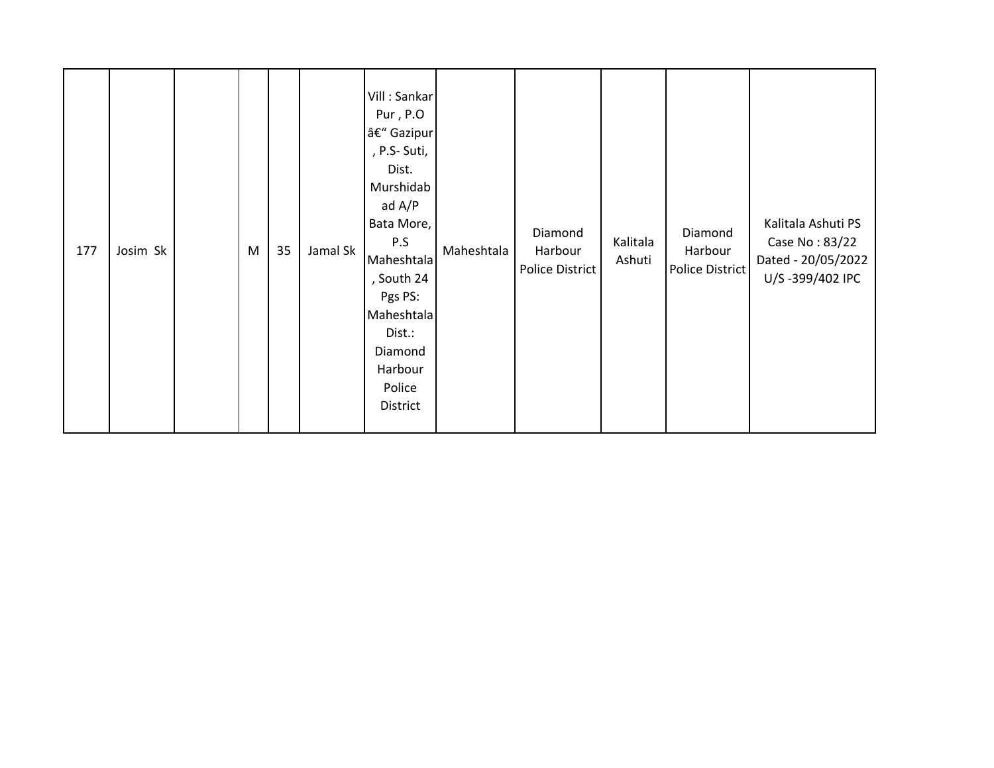| 177 | Josim Sk |  | ${\sf M}$ | 35 | Jamal Sk | Vill: Sankar<br>Pur, P.O<br>– Gazipur<br>, P.S- Suti,<br>Dist.<br>Murshidab<br>ad A/P<br>Bata More,<br>P.S<br>Maheshtala<br>, South 24<br>Pgs PS:<br>Maheshtala<br>Dist.:<br>Diamond<br>Harbour<br>Police<br>District | Maheshtala | Diamond<br>Harbour<br><b>Police District</b> | Kalitala<br>Ashuti | Diamond<br>Harbour<br>Police District | Kalitala Ashuti PS<br>Case No: 83/22<br>Dated - 20/05/2022<br>U/S-399/402 IPC |
|-----|----------|--|-----------|----|----------|-----------------------------------------------------------------------------------------------------------------------------------------------------------------------------------------------------------------------|------------|----------------------------------------------|--------------------|---------------------------------------|-------------------------------------------------------------------------------|
|-----|----------|--|-----------|----|----------|-----------------------------------------------------------------------------------------------------------------------------------------------------------------------------------------------------------------------|------------|----------------------------------------------|--------------------|---------------------------------------|-------------------------------------------------------------------------------|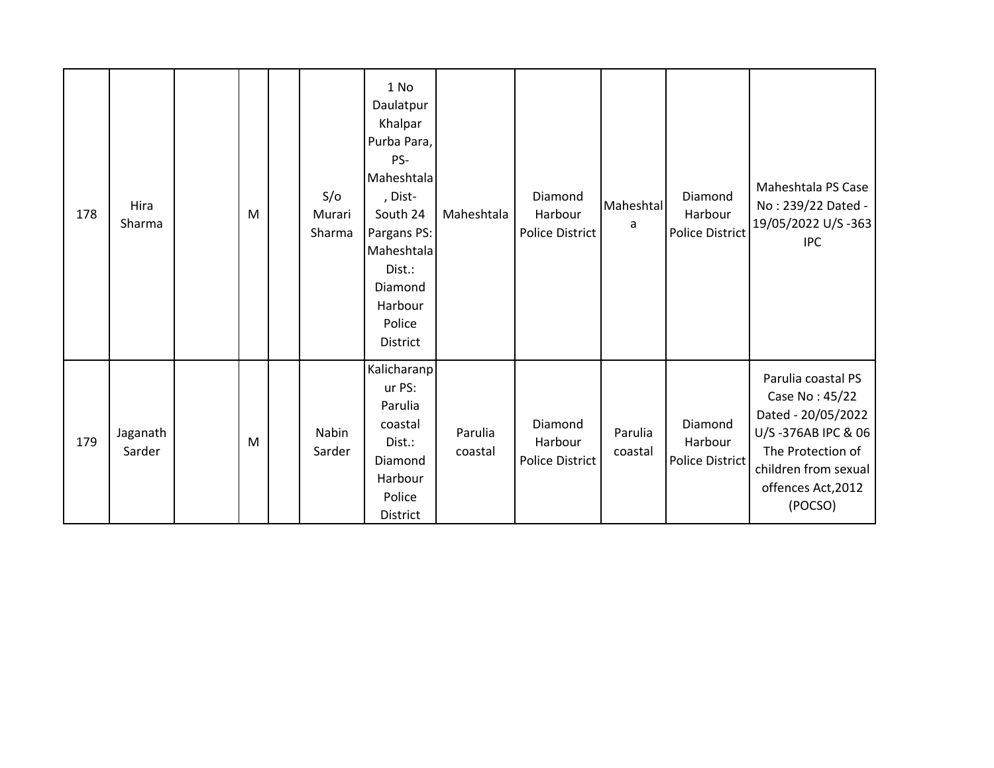| 178 | Hira<br>Sharma     | M | S/O<br>Murari<br>Sharma | 1 No<br>Daulatpur<br>Khalpar<br>Purba Para,<br>PS-<br>Maheshtala<br>, Dist-<br>South 24<br>Pargans PS:<br>Maheshtala<br>Dist.:<br>Diamond<br>Harbour<br>Police<br>District | Maheshtala         | Diamond<br>Harbour<br>Police District        | Maheshtal<br>a     | Diamond<br>Harbour<br>Police District | Maheshtala PS Case<br>No: 239/22 Dated -<br>19/05/2022 U/S-363<br><b>IPC</b>                                                                                   |
|-----|--------------------|---|-------------------------|----------------------------------------------------------------------------------------------------------------------------------------------------------------------------|--------------------|----------------------------------------------|--------------------|---------------------------------------|----------------------------------------------------------------------------------------------------------------------------------------------------------------|
| 179 | Jaganath<br>Sarder | M | <b>Nabin</b><br>Sarder  | Kalicharanp<br>ur PS:<br>Parulia<br>coastal<br>Dist.:<br>Diamond<br>Harbour<br>Police<br>District                                                                          | Parulia<br>coastal | Diamond<br>Harbour<br><b>Police District</b> | Parulia<br>coastal | Diamond<br>Harbour<br>Police District | Parulia coastal PS<br>Case No: 45/22<br>Dated - 20/05/2022<br>U/S-376AB IPC & 06<br>The Protection of<br>children from sexual<br>offences Act, 2012<br>(POCSO) |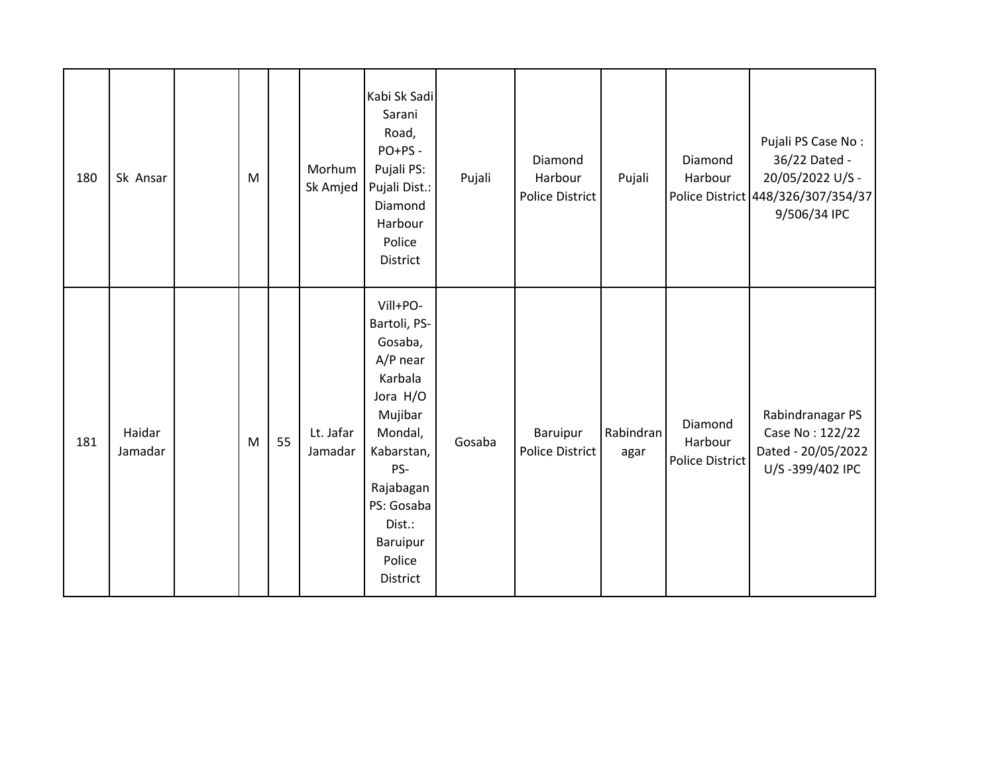| 180 | Sk Ansar          | M |    | Morhum<br>Sk Amjed   | Kabi Sk Sadi<br>Sarani<br>Road,<br>PO+PS -<br>Pujali PS:<br>Pujali Dist.:<br>Diamond<br>Harbour<br>Police<br>District                                                                      | Pujali | Diamond<br>Harbour<br>Police District | Pujali            | Diamond<br>Harbour                           | Pujali PS Case No:<br>36/22 Dated -<br>20/05/2022 U/S -<br>Police District 448/326/307/354/37<br>9/506/34 IPC |
|-----|-------------------|---|----|----------------------|--------------------------------------------------------------------------------------------------------------------------------------------------------------------------------------------|--------|---------------------------------------|-------------------|----------------------------------------------|---------------------------------------------------------------------------------------------------------------|
| 181 | Haidar<br>Jamadar | M | 55 | Lt. Jafar<br>Jamadar | Vill+PO-<br>Bartoli, PS-<br>Gosaba,<br>$A/P$ near<br>Karbala<br>Jora H/O<br>Mujibar<br>Mondal,<br>Kabarstan,<br>PS-<br>Rajabagan<br>PS: Gosaba<br>Dist.:<br>Baruipur<br>Police<br>District | Gosaba | Baruipur<br><b>Police District</b>    | Rabindran<br>agar | Diamond<br>Harbour<br><b>Police District</b> | Rabindranagar PS<br>Case No: 122/22<br>Dated - 20/05/2022<br>U/S-399/402 IPC                                  |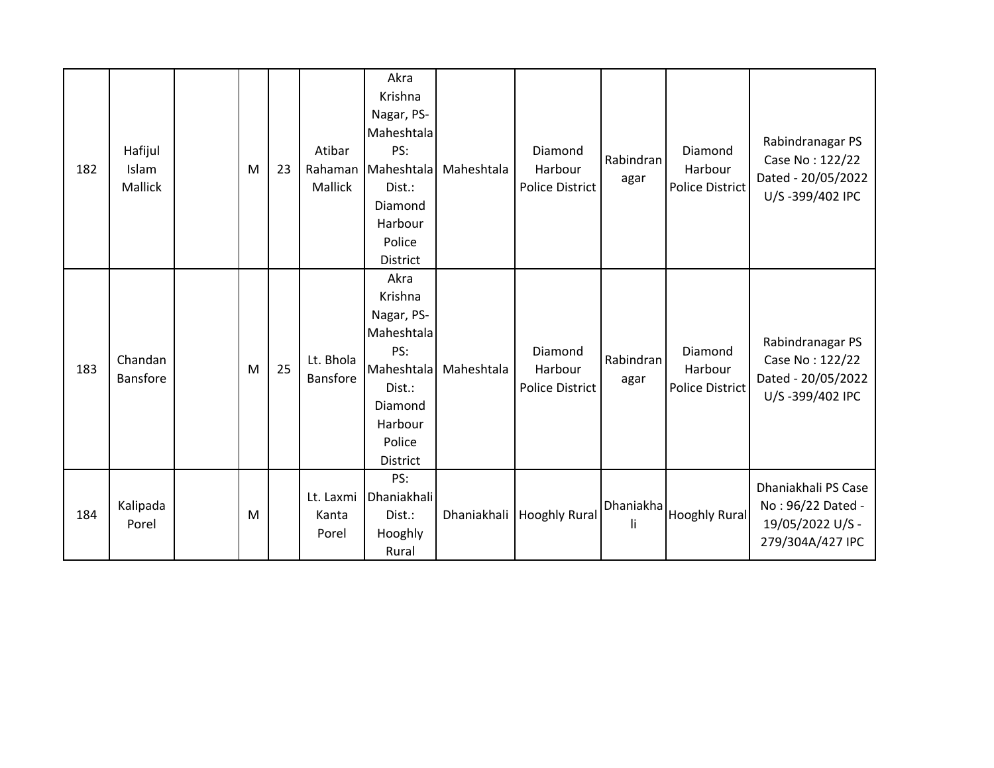| 182 | Hafijul<br>Islam<br>Mallick | M | 23 | Atibar<br>Rahaman<br>Mallick | Akra<br>Krishna<br>Nagar, PS-<br>Maheshtala<br>PS:<br>Maheshtala<br>Dist.:<br>Diamond<br>Harbour<br>Police<br><b>District</b> | Maheshtala | Diamond<br>Harbour<br><b>Police District</b> | Rabindran<br>agar | Diamond<br>Harbour<br><b>Police District</b> | Rabindranagar PS<br>Case No: 122/22<br>Dated - 20/05/2022<br>U/S-399/402 IPC     |
|-----|-----------------------------|---|----|------------------------------|-------------------------------------------------------------------------------------------------------------------------------|------------|----------------------------------------------|-------------------|----------------------------------------------|----------------------------------------------------------------------------------|
| 183 | Chandan<br><b>Bansfore</b>  | M | 25 | Lt. Bhola<br><b>Bansfore</b> | Akra<br>Krishna<br>Nagar, PS-<br>Maheshtala<br>PS:<br>Maheshtala<br>Dist.:<br>Diamond<br>Harbour<br>Police<br>District        | Maheshtala | Diamond<br>Harbour<br><b>Police District</b> | Rabindran<br>agar | Diamond<br>Harbour<br><b>Police District</b> | Rabindranagar PS<br>Case No: 122/22<br>Dated - 20/05/2022<br>U/S-399/402 IPC     |
| 184 | Kalipada<br>Porel           | M |    | Lt. Laxmi<br>Kanta<br>Porel  | PS:<br>Dhaniakhali<br>Dist.:<br>Hooghly<br>Rural                                                                              |            | Dhaniakhali   Hooghly Rural                  | Dhaniakha<br>li   | <b>Hooghly Rural</b>                         | Dhaniakhali PS Case<br>No: 96/22 Dated -<br>19/05/2022 U/S -<br>279/304A/427 IPC |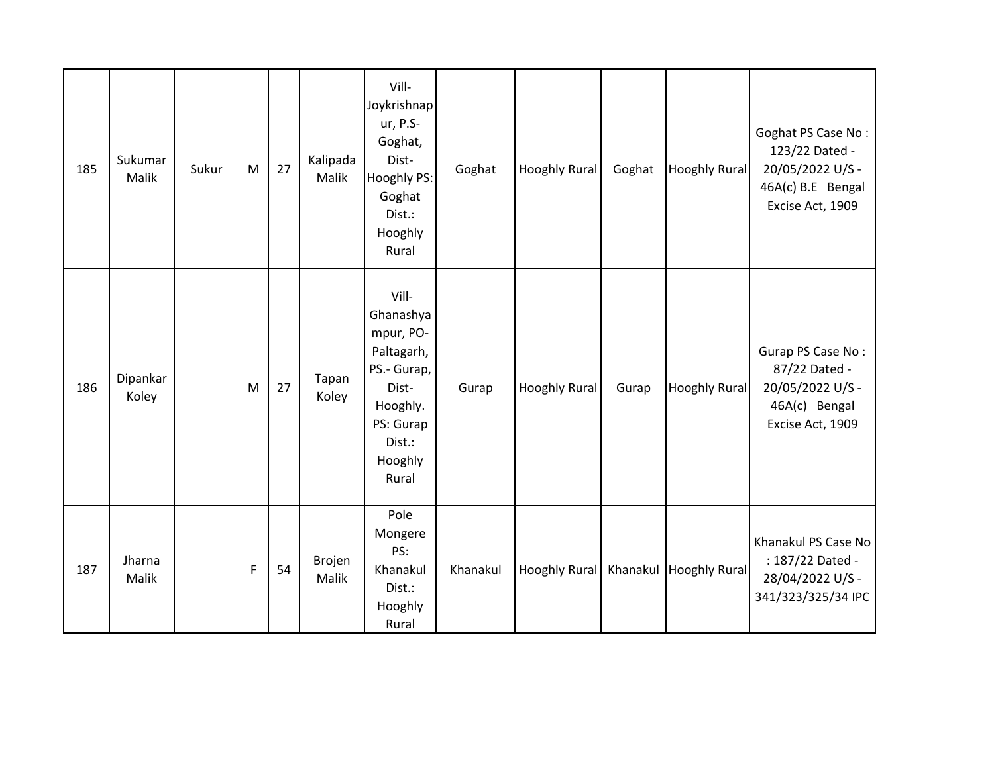| 185 | Sukumar<br><b>Malik</b> | Sukur | M | 27 | Kalipada<br>Malik | Vill-<br>Joykrishnap<br>ur, P.S-<br>Goghat,<br>Dist-<br>Hooghly PS:<br>Goghat<br>Dist.:<br>Hooghly<br>Rural                  | Goghat   | <b>Hooghly Rural</b>   | Goghat | <b>Hooghly Rural</b> | Goghat PS Case No:<br>123/22 Dated -<br>20/05/2022 U/S -<br>46A(c) B.E Bengal<br>Excise Act, 1909 |
|-----|-------------------------|-------|---|----|-------------------|------------------------------------------------------------------------------------------------------------------------------|----------|------------------------|--------|----------------------|---------------------------------------------------------------------------------------------------|
| 186 | Dipankar<br>Koley       |       | M | 27 | Tapan<br>Koley    | Vill-<br>Ghanashya<br>mpur, PO-<br>Paltagarh,<br>PS.- Gurap,<br>Dist-<br>Hooghly.<br>PS: Gurap<br>Dist.:<br>Hooghly<br>Rural | Gurap    | <b>Hooghly Rural</b>   | Gurap  | <b>Hooghly Rural</b> | Gurap PS Case No:<br>87/22 Dated -<br>20/05/2022 U/S -<br>46A(c) Bengal<br>Excise Act, 1909       |
| 187 | Jharna<br>Malik         |       | F | 54 | Brojen<br>Malik   | Pole<br>Mongere<br>PS:<br>Khanakul<br>Dist.:<br>Hooghly<br>Rural                                                             | Khanakul | Hooghly Rural Khanakul |        | <b>Hooghly Rural</b> | Khanakul PS Case No<br>: 187/22 Dated -<br>28/04/2022 U/S -<br>341/323/325/34 IPC                 |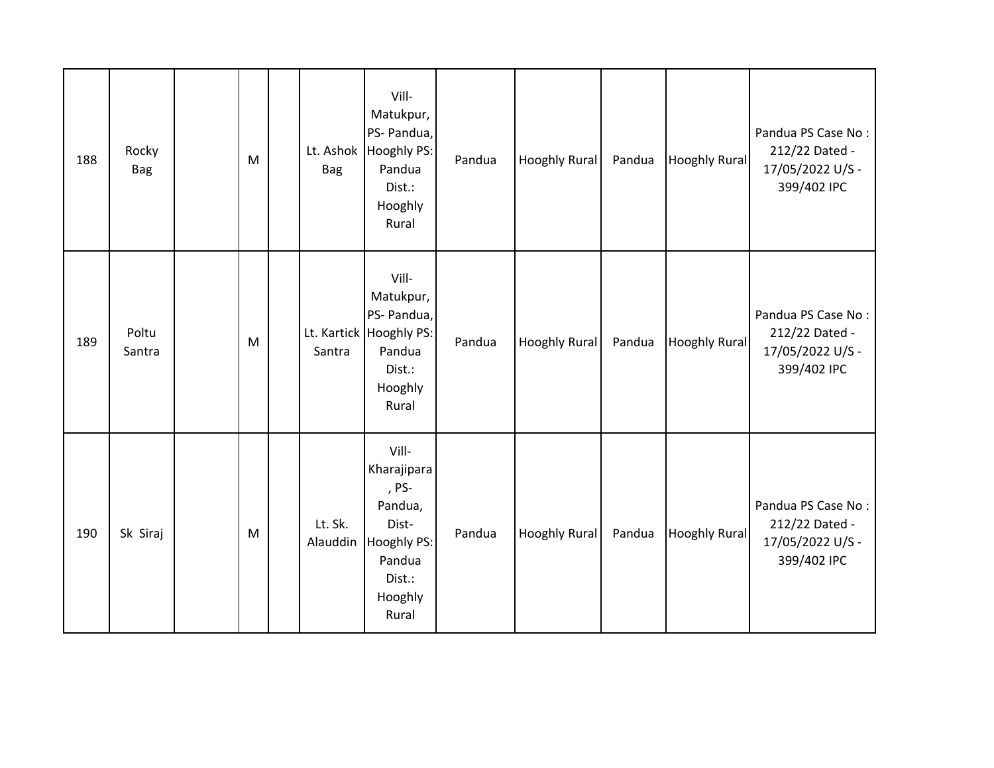| 188 | Rocky<br><b>Bag</b> | M | Lt. Ashok<br><b>Bag</b> | Vill-<br>Matukpur,<br>PS- Pandua,<br>Hooghly PS:<br>Pandua<br>Dist.:<br>Hooghly<br>Rural                        | Pandua | <b>Hooghly Rural</b> | Pandua | <b>Hooghly Rural</b> | Pandua PS Case No:<br>212/22 Dated -<br>17/05/2022 U/S -<br>399/402 IPC |
|-----|---------------------|---|-------------------------|-----------------------------------------------------------------------------------------------------------------|--------|----------------------|--------|----------------------|-------------------------------------------------------------------------|
| 189 | Poltu<br>Santra     | M | Santra                  | Vill-<br>Matukpur,<br>PS- Pandua,<br>Lt. Kartick   Hooghly PS:<br>Pandua<br>Dist.:<br>Hooghly<br>Rural          | Pandua | <b>Hooghly Rural</b> | Pandua | <b>Hooghly Rural</b> | Pandua PS Case No:<br>212/22 Dated -<br>17/05/2022 U/S -<br>399/402 IPC |
| 190 | Sk Siraj            | M | Lt. Sk.<br>Alauddin     | Vill-<br>Kharajipara<br>, PS-<br>Pandua,<br>Dist-<br><b>Hooghly PS:</b><br>Pandua<br>Dist.:<br>Hooghly<br>Rural | Pandua | <b>Hooghly Rural</b> | Pandua | <b>Hooghly Rural</b> | Pandua PS Case No:<br>212/22 Dated -<br>17/05/2022 U/S -<br>399/402 IPC |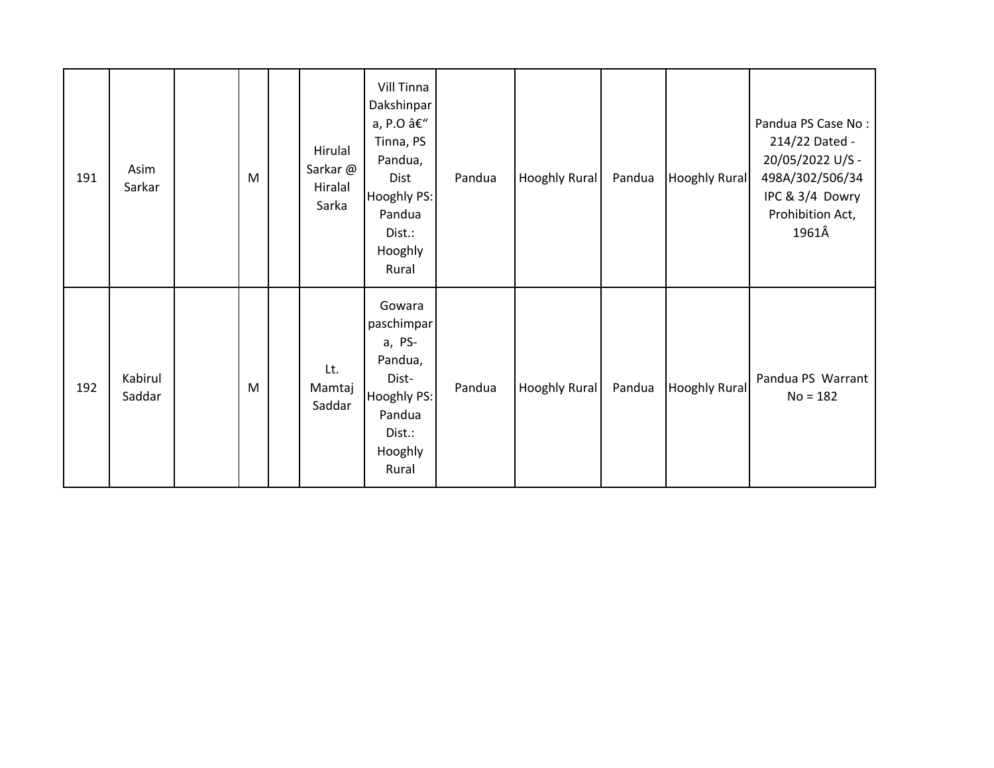| 191 | Asim<br>Sarkar    | M | Hirulal<br>Sarkar@<br>Hiralal<br>Sarka | <b>Vill Tinna</b><br>Dakshinpar<br>a, P.O â€"<br>Tinna, PS<br>Pandua,<br>Dist<br>Hooghly PS:<br>Pandua<br>Dist.:<br>Hooghly<br>Rural | Pandua | Hooghly Rural        | Pandua | <b>Hooghly Rural</b> | Pandua PS Case No:<br>214/22 Dated -<br>20/05/2022 U/S -<br>498A/302/506/34<br>IPC & 3/4 Dowry<br>Prohibition Act,<br>1961Â |
|-----|-------------------|---|----------------------------------------|--------------------------------------------------------------------------------------------------------------------------------------|--------|----------------------|--------|----------------------|-----------------------------------------------------------------------------------------------------------------------------|
| 192 | Kabirul<br>Saddar | M | Lt.<br>Mamtaj<br>Saddar                | Gowara<br>paschimpar<br>a, PS-<br>Pandua,<br>Dist-<br><b>Hooghly PS:</b><br>Pandua<br>Dist.:<br>Hooghly<br>Rural                     | Pandua | <b>Hooghly Rural</b> | Pandua | <b>Hooghly Rural</b> | Pandua PS Warrant<br>$No = 182$                                                                                             |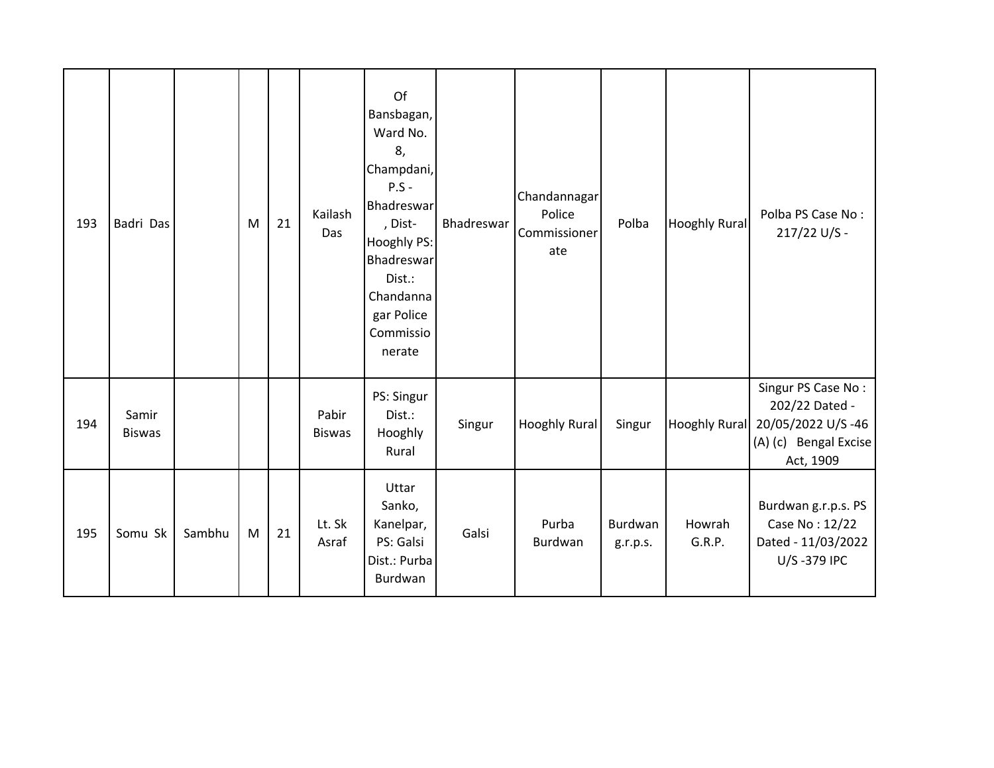| 193 | Badri Das              |        | M | 21 | Kailash<br>Das         | Of<br>Bansbagan,<br>Ward No.<br>8,<br>Champdani,<br>$P.S -$<br>Bhadreswar<br>, Dist-<br>Hooghly PS:<br>Bhadreswar<br>Dist.:<br>Chandanna<br>gar Police<br>Commissio<br>nerate | Bhadreswar | Chandannagar<br>Police<br>Commissioner<br>ate | Polba               | Hooghly Rural        | Polba PS Case No:<br>217/22 U/S -                                                               |
|-----|------------------------|--------|---|----|------------------------|-------------------------------------------------------------------------------------------------------------------------------------------------------------------------------|------------|-----------------------------------------------|---------------------|----------------------|-------------------------------------------------------------------------------------------------|
| 194 | Samir<br><b>Biswas</b> |        |   |    | Pabir<br><b>Biswas</b> | PS: Singur<br>Dist.:<br>Hooghly<br>Rural                                                                                                                                      | Singur     | <b>Hooghly Rural</b>                          | Singur              | <b>Hooghly Rural</b> | Singur PS Case No:<br>202/22 Dated -<br>20/05/2022 U/S-46<br>(A) (c) Bengal Excise<br>Act, 1909 |
| 195 | Somu Sk                | Sambhu | M | 21 | Lt. Sk<br>Asraf        | Uttar<br>Sanko,<br>Kanelpar,<br>PS: Galsi<br>Dist.: Purba<br>Burdwan                                                                                                          | Galsi      | Purba<br>Burdwan                              | Burdwan<br>g.r.p.s. | Howrah<br>G.R.P.     | Burdwan g.r.p.s. PS<br>Case No: 12/22<br>Dated - 11/03/2022<br>U/S-379 IPC                      |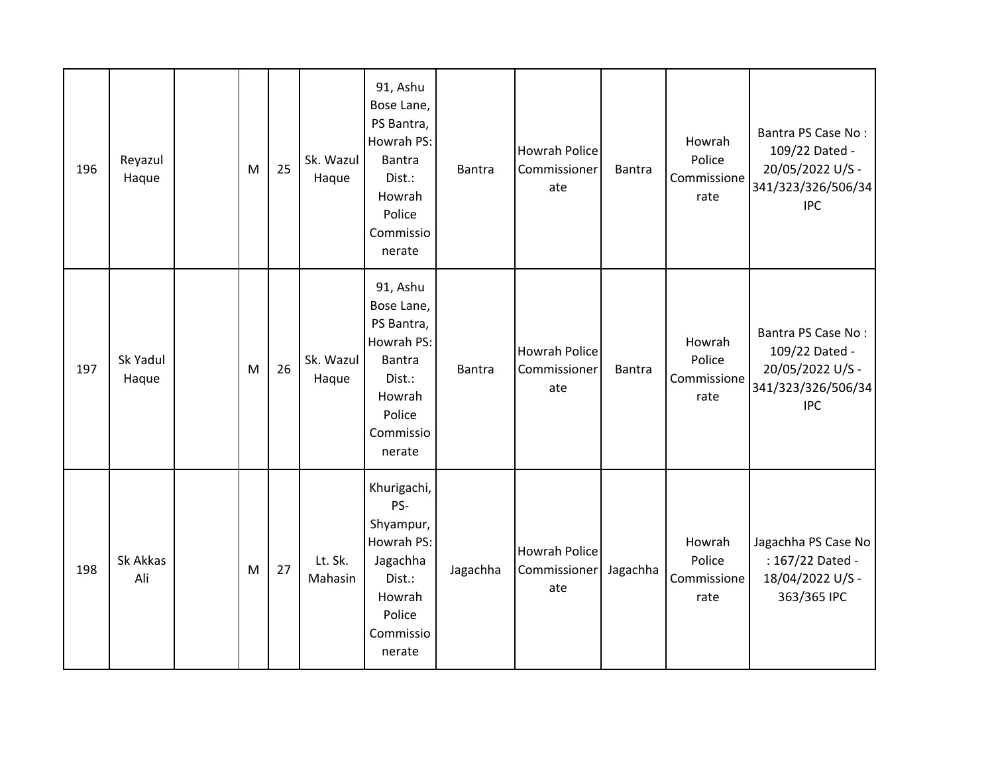| 196 | Reyazul<br>Haque  | M | 25 | Sk. Wazul<br>Haque | 91, Ashu<br>Bose Lane,<br>PS Bantra,<br>Howrah PS:<br><b>Bantra</b><br>Dist.:<br>Howrah<br>Police<br>Commissio<br>nerate | Bantra   | <b>Howrah Police</b><br>Commissioner<br>ate | <b>Bantra</b> | Howrah<br>Police<br>Commissione<br>rate | Bantra PS Case No:<br>109/22 Dated -<br>20/05/2022 U/S -<br>341/323/326/506/34<br><b>IPC</b> |
|-----|-------------------|---|----|--------------------|--------------------------------------------------------------------------------------------------------------------------|----------|---------------------------------------------|---------------|-----------------------------------------|----------------------------------------------------------------------------------------------|
| 197 | Sk Yadul<br>Haque | M | 26 | Sk. Wazul<br>Haque | 91, Ashu<br>Bose Lane,<br>PS Bantra,<br>Howrah PS:<br><b>Bantra</b><br>Dist.:<br>Howrah<br>Police<br>Commissio<br>nerate | Bantra   | <b>Howrah Police</b><br>Commissioner<br>ate | <b>Bantra</b> | Howrah<br>Police<br>Commissione<br>rate | Bantra PS Case No:<br>109/22 Dated -<br>20/05/2022 U/S -<br>341/323/326/506/34<br><b>IPC</b> |
| 198 | Sk Akkas<br>Ali   | M | 27 | Lt. Sk.<br>Mahasin | Khurigachi,<br>PS-<br>Shyampur,<br>Howrah PS:<br>Jagachha<br>Dist.:<br>Howrah<br>Police<br>Commissio<br>nerate           | Jagachha | <b>Howrah Police</b><br>Commissioner<br>ate | Jagachha      | Howrah<br>Police<br>Commissione<br>rate | Jagachha PS Case No<br>: 167/22 Dated -<br>18/04/2022 U/S -<br>363/365 IPC                   |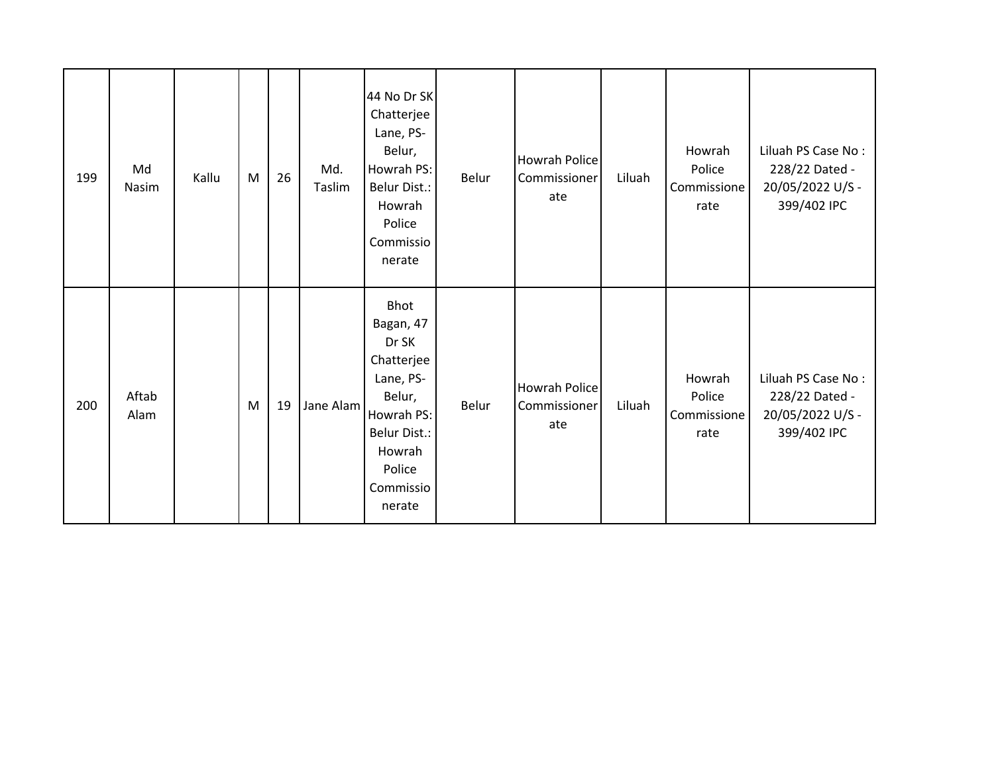| 199 | Md<br>Nasim   | Kallu | M | 26 | Md.<br>Taslim | 44 No Dr SK<br>Chatterjee<br>Lane, PS-<br>Belur,<br>Howrah PS:<br><b>Belur Dist.:</b><br>Howrah<br>Police<br>Commissio<br>nerate                | Belur | Howrah Police<br>Commissioner<br>ate | Liluah | Howrah<br>Police<br>Commissione<br>rate | Liluah PS Case No:<br>228/22 Dated -<br>20/05/2022 U/S -<br>399/402 IPC |
|-----|---------------|-------|---|----|---------------|-------------------------------------------------------------------------------------------------------------------------------------------------|-------|--------------------------------------|--------|-----------------------------------------|-------------------------------------------------------------------------|
| 200 | Aftab<br>Alam |       | M | 19 | Jane Alam     | Bhot<br>Bagan, 47<br>Dr SK<br>Chatterjee<br>Lane, PS-<br>Belur,<br>Howrah PS:<br><b>Belur Dist.:</b><br>Howrah<br>Police<br>Commissio<br>nerate | Belur | Howrah Police<br>Commissioner<br>ate | Liluah | Howrah<br>Police<br>Commissione<br>rate | Liluah PS Case No:<br>228/22 Dated -<br>20/05/2022 U/S -<br>399/402 IPC |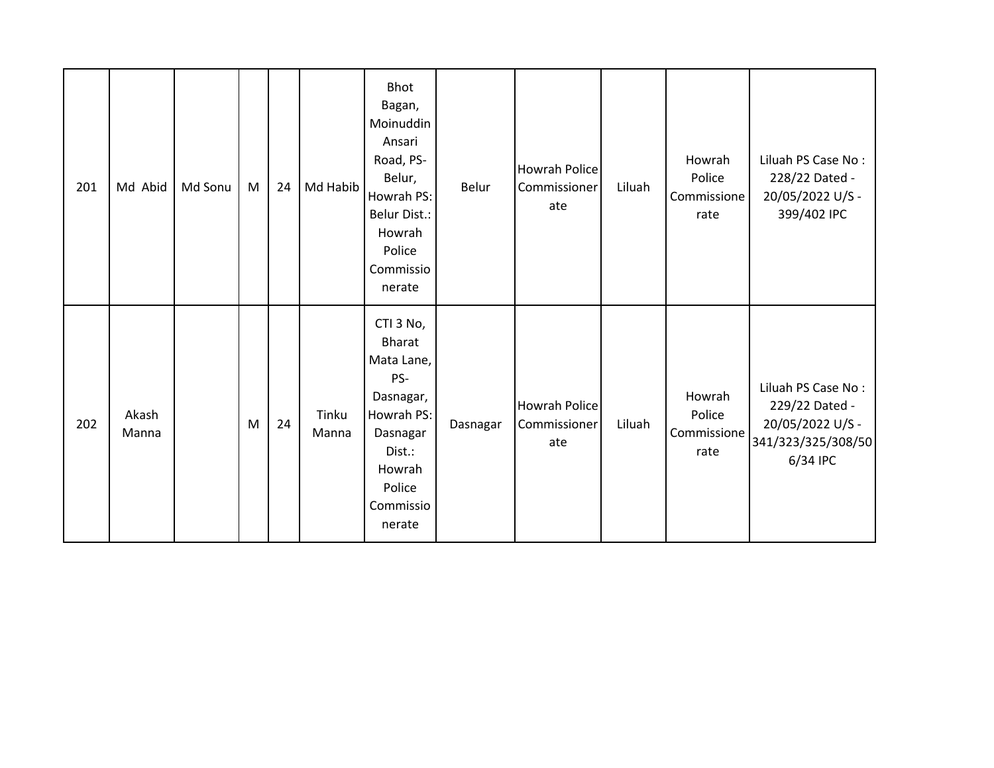| 201 | Md Abid        | Md Sonu | M | 24 | Md Habib       | <b>Bhot</b><br>Bagan,<br>Moinuddin<br>Ansari<br>Road, PS-<br>Belur,<br>Howrah PS:<br><b>Belur Dist.:</b><br>Howrah<br>Police<br>Commissio<br>nerate | Belur    | <b>Howrah Police</b><br>Commissioner<br>ate | Liluah | Howrah<br>Police<br>Commissione<br>rate | Liluah PS Case No:<br>228/22 Dated -<br>20/05/2022 U/S -<br>399/402 IPC                    |
|-----|----------------|---------|---|----|----------------|-----------------------------------------------------------------------------------------------------------------------------------------------------|----------|---------------------------------------------|--------|-----------------------------------------|--------------------------------------------------------------------------------------------|
| 202 | Akash<br>Manna |         | M | 24 | Tinku<br>Manna | CTI 3 No,<br><b>Bharat</b><br>Mata Lane,<br>PS-<br>Dasnagar,<br>Howrah PS:<br>Dasnagar<br>Dist.:<br>Howrah<br>Police<br>Commissio<br>nerate         | Dasnagar | <b>Howrah Police</b><br>Commissioner<br>ate | Liluah | Howrah<br>Police<br>Commissione<br>rate | Liluah PS Case No:<br>229/22 Dated -<br>20/05/2022 U/S -<br>341/323/325/308/50<br>6/34 IPC |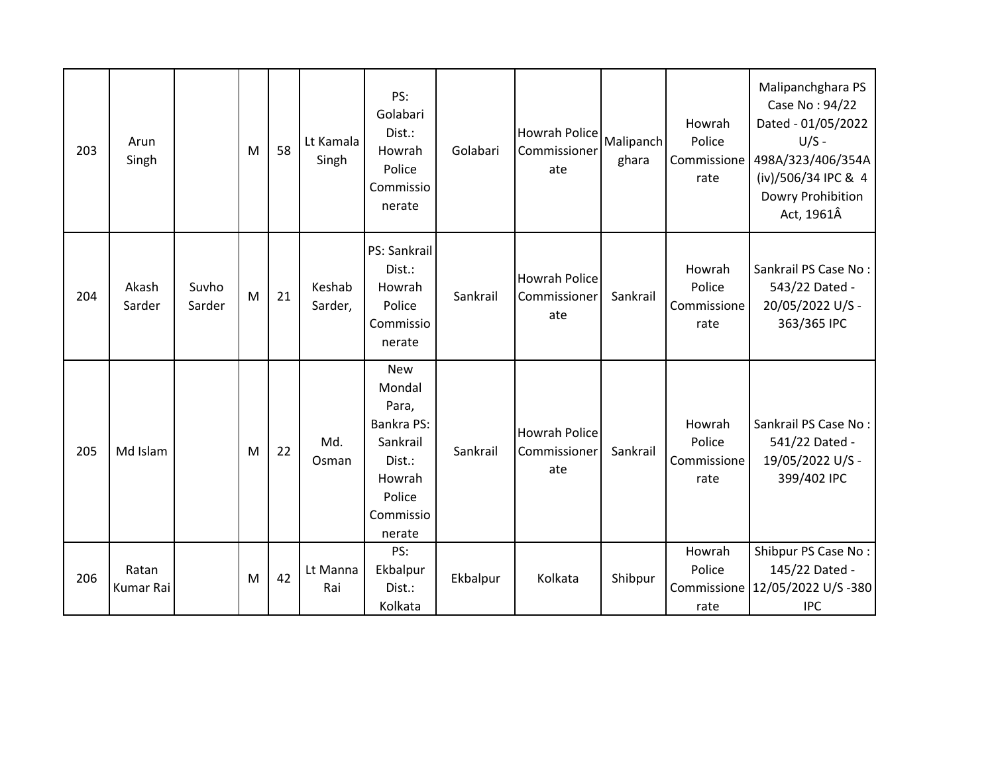| 203 | Arun<br>Singh             |                 | M | 58 | Lt Kamala<br>Singh | PS:<br>Golabari<br>Dist.:<br>Howrah<br>Police<br>Commissio<br>nerate                                                | Golabari | Howrah Police<br>Commissioner<br>ate        | Malipanch<br>ghara | Howrah<br>Police<br>Commissione<br>rate | Malipanchghara PS<br>Case No: 94/22<br>Dated - 01/05/2022<br>$U/S -$<br>498A/323/406/354A<br>(iv)/506/34 IPC & 4<br>Dowry Prohibition<br>Act, 1961Â |
|-----|---------------------------|-----------------|---|----|--------------------|---------------------------------------------------------------------------------------------------------------------|----------|---------------------------------------------|--------------------|-----------------------------------------|-----------------------------------------------------------------------------------------------------------------------------------------------------|
| 204 | Akash<br>Sarder           | Suvho<br>Sarder | M | 21 | Keshab<br>Sarder,  | PS: Sankrail<br>Dist.:<br>Howrah<br>Police<br>Commissio<br>nerate                                                   | Sankrail | <b>Howrah Police</b><br>Commissioner<br>ate | Sankrail           | Howrah<br>Police<br>Commissione<br>rate | Sankrail PS Case No:<br>543/22 Dated -<br>20/05/2022 U/S -<br>363/365 IPC                                                                           |
| 205 | Md Islam                  |                 | M | 22 | Md.<br>Osman       | <b>New</b><br>Mondal<br>Para,<br><b>Bankra PS:</b><br>Sankrail<br>Dist.:<br>Howrah<br>Police<br>Commissio<br>nerate | Sankrail | <b>Howrah Police</b><br>Commissioner<br>ate | Sankrail           | Howrah<br>Police<br>Commissione<br>rate | Sankrail PS Case No:<br>541/22 Dated -<br>19/05/2022 U/S -<br>399/402 IPC                                                                           |
| 206 | Ratan<br><b>Kumar Rai</b> |                 | M | 42 | Lt Manna<br>Rai    | PS:<br>Ekbalpur<br>Dist.:<br>Kolkata                                                                                | Ekbalpur | Kolkata                                     | Shibpur            | Howrah<br>Police<br>rate                | Shibpur PS Case No:<br>145/22 Dated -<br>Commissione   12/05/2022 U/S -380<br><b>IPC</b>                                                            |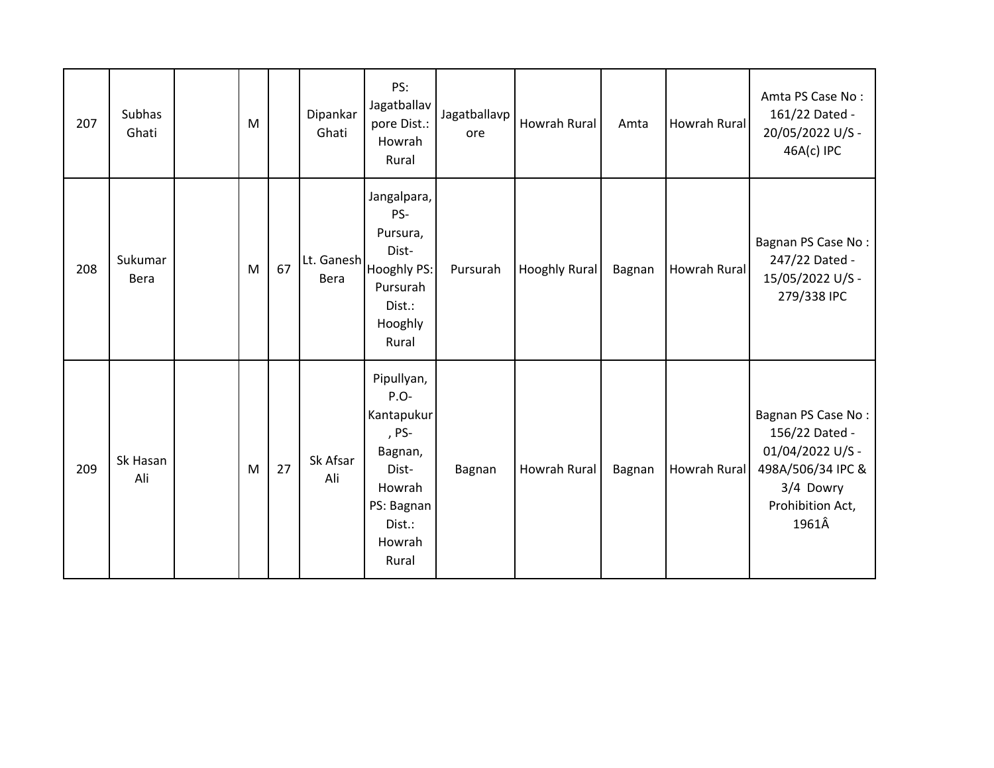| 207 | Subhas<br>Ghati | M |    | Dipankar<br>Ghati  | PS:<br>Jagatballav<br>pore Dist.:<br>Howrah<br>Rural                                                                 | Jagatballavp<br>ore | <b>Howrah Rural</b>  | Amta   | Howrah Rural        | Amta PS Case No:<br>161/22 Dated -<br>20/05/2022 U/S -<br>46A(c) IPC                                                    |
|-----|-----------------|---|----|--------------------|----------------------------------------------------------------------------------------------------------------------|---------------------|----------------------|--------|---------------------|-------------------------------------------------------------------------------------------------------------------------|
| 208 | Sukumar<br>Bera | M | 67 | Lt. Ganesh<br>Bera | Jangalpara,<br>PS-<br>Pursura,<br>Dist-<br>Hooghly PS:<br>Pursurah<br>Dist.:<br>Hooghly<br>Rural                     | Pursurah            | <b>Hooghly Rural</b> | Bagnan | <b>Howrah Rural</b> | Bagnan PS Case No:<br>247/22 Dated -<br>15/05/2022 U/S -<br>279/338 IPC                                                 |
| 209 | Sk Hasan<br>Ali | M | 27 | Sk Afsar<br>Ali    | Pipullyan,<br>$P.O-$<br>Kantapukur<br>, PS-<br>Bagnan,<br>Dist-<br>Howrah<br>PS: Bagnan<br>Dist.:<br>Howrah<br>Rural | Bagnan              | Howrah Rural         | Bagnan | <b>Howrah Rural</b> | Bagnan PS Case No:<br>156/22 Dated -<br>01/04/2022 U/S -<br>498A/506/34 IPC &<br>3/4 Dowry<br>Prohibition Act,<br>1961Â |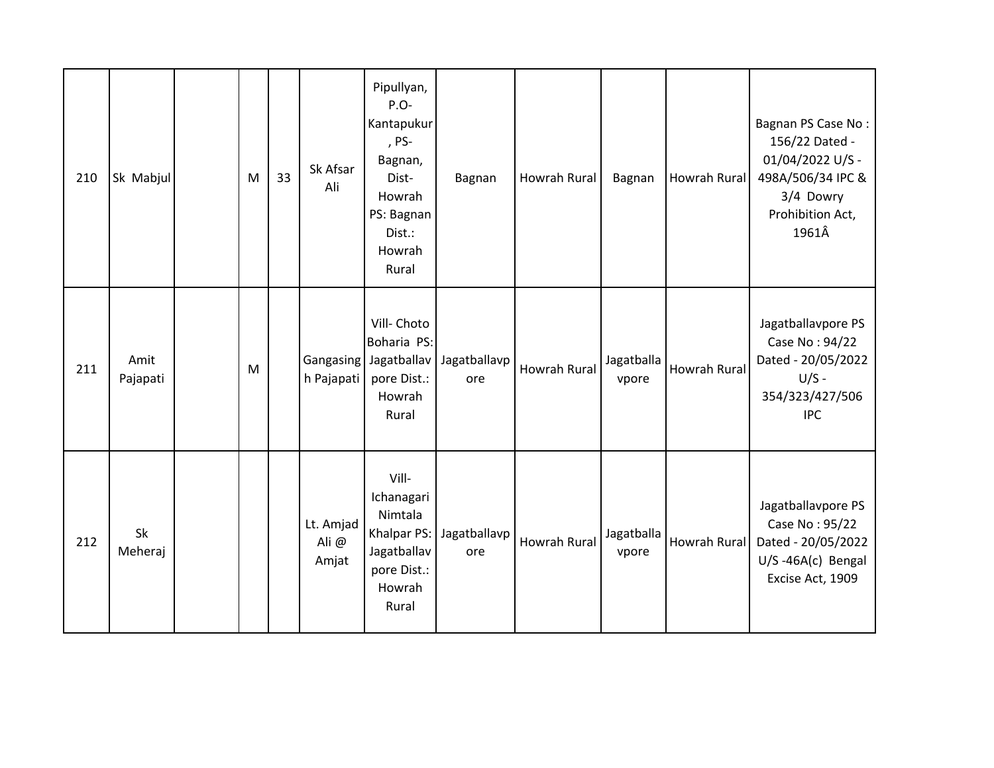| 210 | Sk Mabjul        | M | 33 | Sk Afsar<br>Ali            | Pipullyan,<br>P.O-<br>Kantapukur<br>, PS-<br>Bagnan,<br>Dist-<br>Howrah<br>PS: Bagnan<br>Dist.:<br>Howrah<br>Rural | Bagnan              | Howrah Rural        | Bagnan              | Howrah Rural | Bagnan PS Case No:<br>156/22 Dated -<br>01/04/2022 U/S -<br>498A/506/34 IPC &<br>3/4 Dowry<br>Prohibition Act,<br>1961Â |
|-----|------------------|---|----|----------------------------|--------------------------------------------------------------------------------------------------------------------|---------------------|---------------------|---------------------|--------------|-------------------------------------------------------------------------------------------------------------------------|
| 211 | Amit<br>Pajapati | M |    | h Pajapati                 | Vill- Choto<br>Boharia PS:<br>Gangasing Jagatballav<br>pore Dist.:<br>Howrah<br>Rural                              | Jagatballavp<br>ore | <b>Howrah Rural</b> | Jagatballa<br>vpore | Howrah Rural | Jagatballavpore PS<br>Case No: 94/22<br>Dated - 20/05/2022<br>$U/S -$<br>354/323/427/506<br><b>IPC</b>                  |
| 212 | Sk<br>Meheraj    |   |    | Lt. Amjad<br>Ali@<br>Amjat | Vill-<br>Ichanagari<br>Nimtala<br>Khalpar PS:<br>Jagatballav<br>pore Dist.:<br>Howrah<br>Rural                     | Jagatballavp<br>ore | <b>Howrah Rural</b> | Jagatballa<br>vpore | Howrah Rural | Jagatballavpore PS<br>Case No: 95/22<br>Dated - 20/05/2022<br>U/S-46A(c) Bengal<br>Excise Act, 1909                     |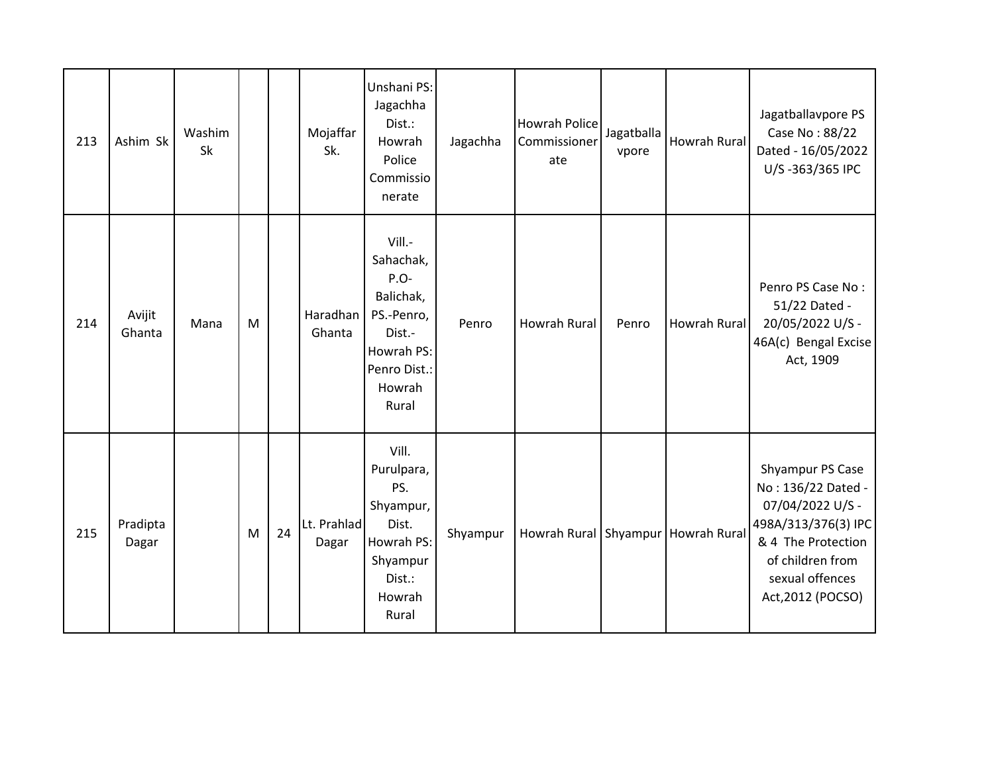| 213 | Ashim Sk          | Washim<br>Sk |   |    | Mojaffar<br>Sk.      | Unshani PS:<br>Jagachha<br>Dist.:<br>Howrah<br>Police<br>Commissio<br>nerate                                      | Jagachha | <b>Howrah Police</b><br>Commissioner<br>ate | Jagatballa<br>vpore | Howrah Rural                       | Jagatballavpore PS<br>Case No: 88/22<br>Dated - 16/05/2022<br>U/S-363/365 IPC                                                                                       |
|-----|-------------------|--------------|---|----|----------------------|-------------------------------------------------------------------------------------------------------------------|----------|---------------------------------------------|---------------------|------------------------------------|---------------------------------------------------------------------------------------------------------------------------------------------------------------------|
| 214 | Avijit<br>Ghanta  | Mana         | M |    | Haradhan<br>Ghanta   | Vill.-<br>Sahachak,<br>P.O-<br>Balichak,<br>PS.-Penro,<br>Dist.-<br>Howrah PS:<br>Penro Dist.:<br>Howrah<br>Rural | Penro    | <b>Howrah Rural</b>                         | Penro               | Howrah Rural                       | Penro PS Case No:<br>51/22 Dated -<br>20/05/2022 U/S -<br>46A(c) Bengal Excise<br>Act, 1909                                                                         |
| 215 | Pradipta<br>Dagar |              | M | 24 | Lt. Prahlad<br>Dagar | Vill.<br>Purulpara,<br>PS.<br>Shyampur,<br>Dist.<br>Howrah PS:<br>Shyampur<br>Dist.:<br>Howrah<br>Rural           | Shyampur |                                             |                     | Howrah Rural Shyampur Howrah Rural | Shyampur PS Case<br>No: 136/22 Dated -<br>07/04/2022 U/S -<br>498A/313/376(3) IPC<br>& 4 The Protection<br>of children from<br>sexual offences<br>Act, 2012 (POCSO) |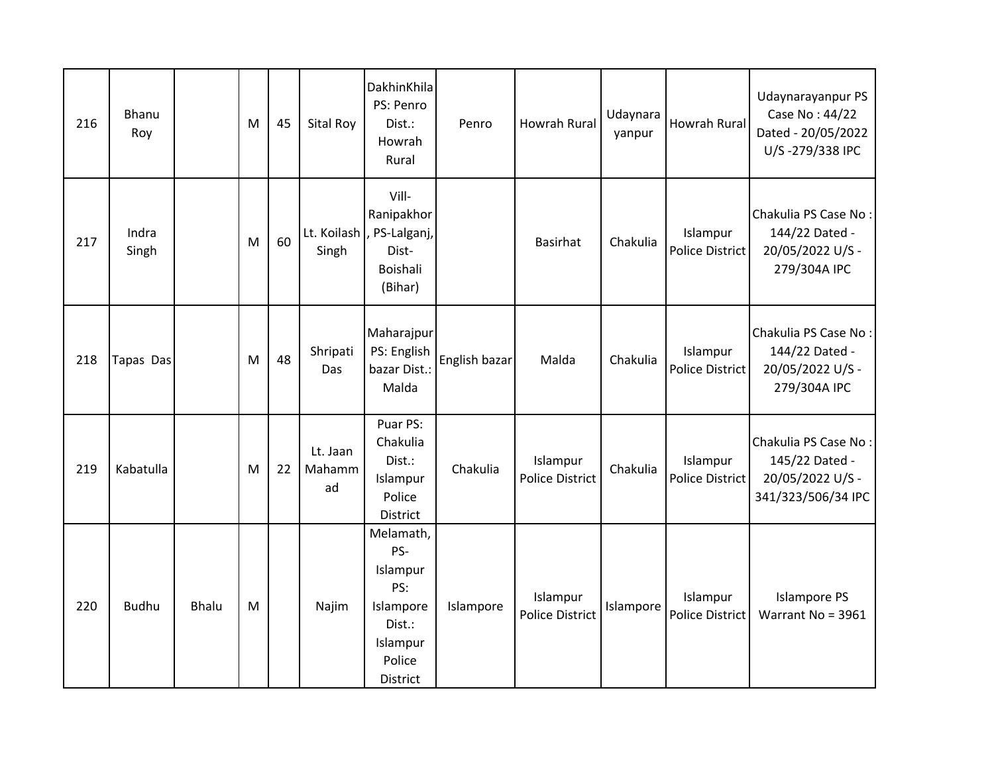| 216 | Bhanu<br>Roy   |              | M | 45 | Sital Roy                | DakhinKhila<br>PS: Penro<br>Dist.:<br>Howrah<br>Rural                                        | Penro         | <b>Howrah Rural</b>                | Udaynara<br>yanpur | Howrah Rural                       | Udaynarayanpur PS<br>Case No: 44/22<br>Dated - 20/05/2022<br>U/S-279/338 IPC     |
|-----|----------------|--------------|---|----|--------------------------|----------------------------------------------------------------------------------------------|---------------|------------------------------------|--------------------|------------------------------------|----------------------------------------------------------------------------------|
| 217 | Indra<br>Singh |              | M | 60 | Singh                    | Vill-<br>Ranipakhor<br>Lt. Koilash  , PS-Lalganj,<br>Dist-<br>Boishali<br>(Bihar)            |               | <b>Basirhat</b>                    | Chakulia           | Islampur<br><b>Police District</b> | Chakulia PS Case No:<br>144/22 Dated -<br>20/05/2022 U/S -<br>279/304A IPC       |
| 218 | Tapas Das      |              | M | 48 | Shripati<br>Das          | Maharajpur<br>PS: English<br>bazar Dist.:<br>Malda                                           | English bazar | Malda                              | Chakulia           | Islampur<br><b>Police District</b> | Chakulia PS Case No:<br>144/22 Dated -<br>20/05/2022 U/S -<br>279/304A IPC       |
| 219 | Kabatulla      |              | M | 22 | Lt. Jaan<br>Mahamm<br>ad | Puar PS:<br>Chakulia<br>Dist.:<br>Islampur<br>Police<br>District                             | Chakulia      | Islampur<br><b>Police District</b> | Chakulia           | Islampur<br>Police District        | Chakulia PS Case No:<br>145/22 Dated -<br>20/05/2022 U/S -<br>341/323/506/34 IPC |
| 220 | <b>Budhu</b>   | <b>Bhalu</b> | M |    | Najim                    | Melamath,<br>PS-<br>Islampur<br>PS:<br>Islampore<br>Dist.:<br>Islampur<br>Police<br>District | Islampore     | Islampur<br><b>Police District</b> | Islampore          | Islampur<br><b>Police District</b> | <b>Islampore PS</b><br>Warrant No = 3961                                         |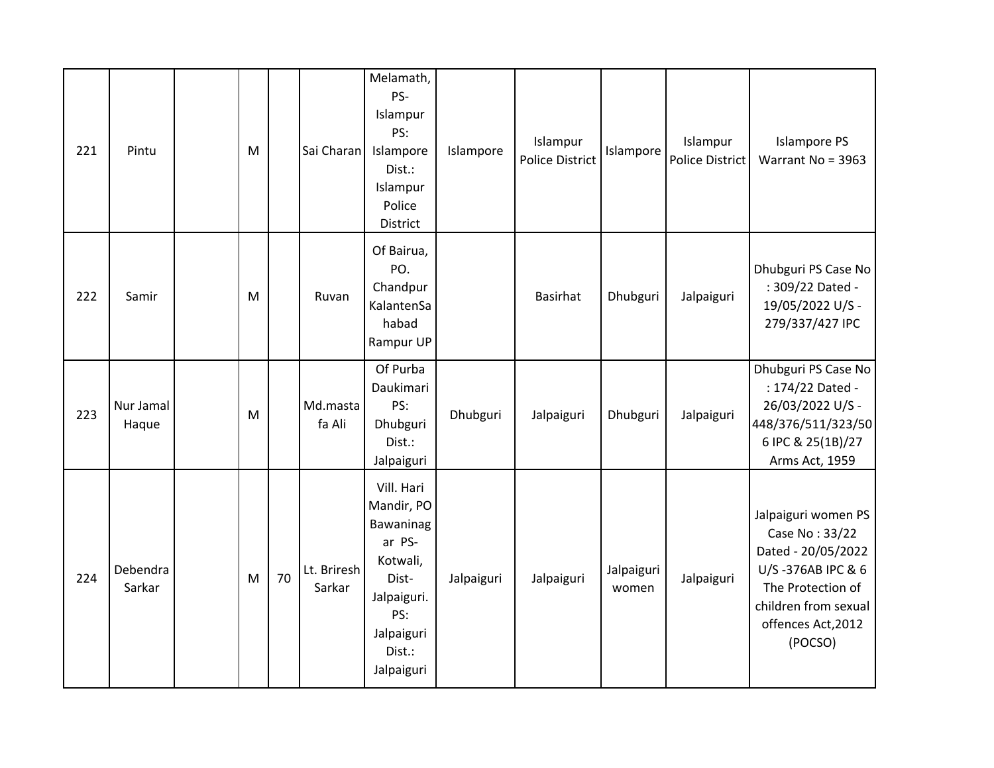| 221 | Pintu              | M |    | Sai Charan            | Melamath,<br>PS-<br>Islampur<br>PS:<br>Islampore<br>Dist.:<br>Islampur<br>Police<br>District                                     | Islampore  | Islampur<br><b>Police District</b> | Islampore           | Islampur<br><b>Police District</b> | <b>Islampore PS</b><br>Warrant No = 3963                                                                                                                       |
|-----|--------------------|---|----|-----------------------|----------------------------------------------------------------------------------------------------------------------------------|------------|------------------------------------|---------------------|------------------------------------|----------------------------------------------------------------------------------------------------------------------------------------------------------------|
| 222 | Samir              | M |    | Ruvan                 | Of Bairua,<br>PO.<br>Chandpur<br>KalantenSa<br>habad<br>Rampur UP                                                                |            | Basirhat                           | Dhubguri            | Jalpaiguri                         | Dhubguri PS Case No<br>: 309/22 Dated -<br>19/05/2022 U/S -<br>279/337/427 IPC                                                                                 |
| 223 | Nur Jamal<br>Haque | M |    | Md.masta<br>fa Ali    | Of Purba<br>Daukimari<br>PS:<br>Dhubguri<br>Dist.:<br>Jalpaiguri                                                                 | Dhubguri   | Jalpaiguri                         | Dhubguri            | Jalpaiguri                         | Dhubguri PS Case No<br>: 174/22 Dated -<br>26/03/2022 U/S -<br>448/376/511/323/50<br>6 IPC & 25(1B)/27<br>Arms Act, 1959                                       |
| 224 | Debendra<br>Sarkar | M | 70 | Lt. Briresh<br>Sarkar | Vill. Hari<br>Mandir, PO<br>Bawaninag<br>ar PS-<br>Kotwali,<br>Dist-<br>Jalpaiguri.<br>PS:<br>Jalpaiguri<br>Dist.:<br>Jalpaiguri | Jalpaiguri | Jalpaiguri                         | Jalpaiguri<br>women | Jalpaiguri                         | Jalpaiguri women PS<br>Case No: 33/22<br>Dated - 20/05/2022<br>U/S-376AB IPC & 6<br>The Protection of<br>children from sexual<br>offences Act, 2012<br>(POCSO) |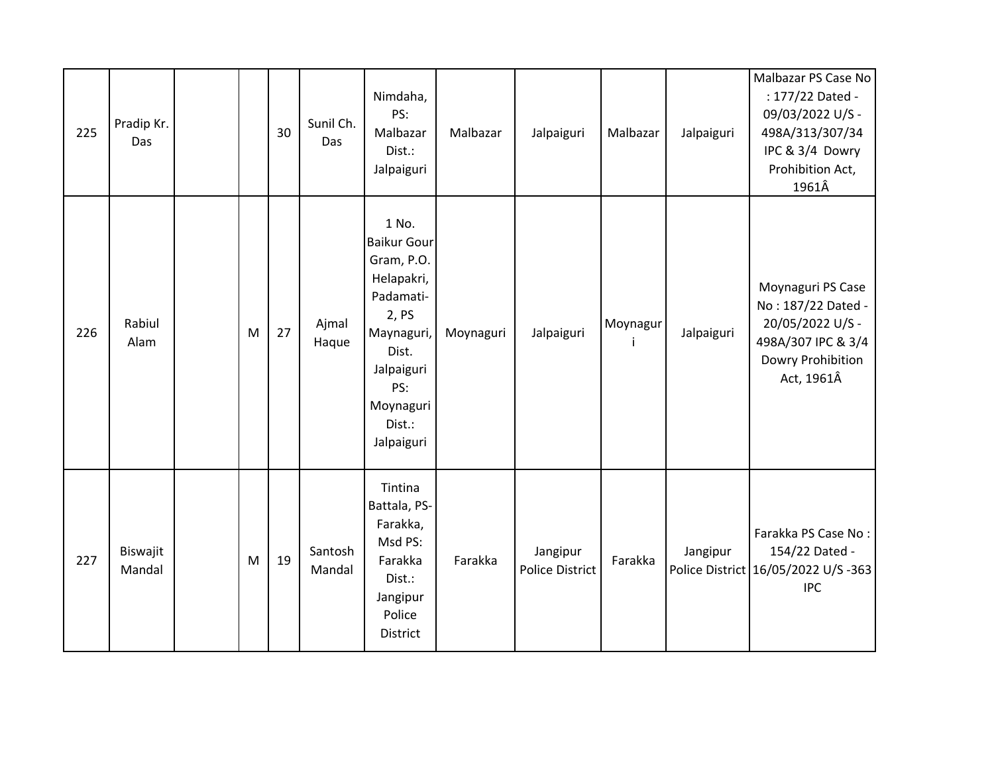| 225 | Pradip Kr.<br>Das  |   | 30 | Sunil Ch.<br>Das  | Nimdaha,<br>PS:<br>Malbazar<br>Dist.:<br>Jalpaiguri                                                                                                            | Malbazar  | Jalpaiguri                         | Malbazar | Jalpaiguri | Malbazar PS Case No<br>: 177/22 Dated -<br>09/03/2022 U/S -<br>498A/313/307/34<br>IPC & 3/4 Dowry<br>Prohibition Act,<br>1961Â |
|-----|--------------------|---|----|-------------------|----------------------------------------------------------------------------------------------------------------------------------------------------------------|-----------|------------------------------------|----------|------------|--------------------------------------------------------------------------------------------------------------------------------|
| 226 | Rabiul<br>Alam     | M | 27 | Ajmal<br>Haque    | 1 No.<br><b>Baikur Gour</b><br>Gram, P.O.<br>Helapakri,<br>Padamati-<br>2, PS<br>Maynaguri,<br>Dist.<br>Jalpaiguri<br>PS:<br>Moynaguri<br>Dist.:<br>Jalpaiguri | Moynaguri | Jalpaiguri                         | Moynagur | Jalpaiguri | Moynaguri PS Case<br>No: 187/22 Dated -<br>20/05/2022 U/S -<br>498A/307 IPC & 3/4<br>Dowry Prohibition<br>Act, 1961Â           |
| 227 | Biswajit<br>Mandal | M | 19 | Santosh<br>Mandal | Tintina<br>Battala, PS-<br>Farakka,<br>Msd PS:<br>Farakka<br>Dist.:<br>Jangipur<br>Police<br>District                                                          | Farakka   | Jangipur<br><b>Police District</b> | Farakka  | Jangipur   | Farakka PS Case No:<br>154/22 Dated -<br>Police District 16/05/2022 U/S -363<br><b>IPC</b>                                     |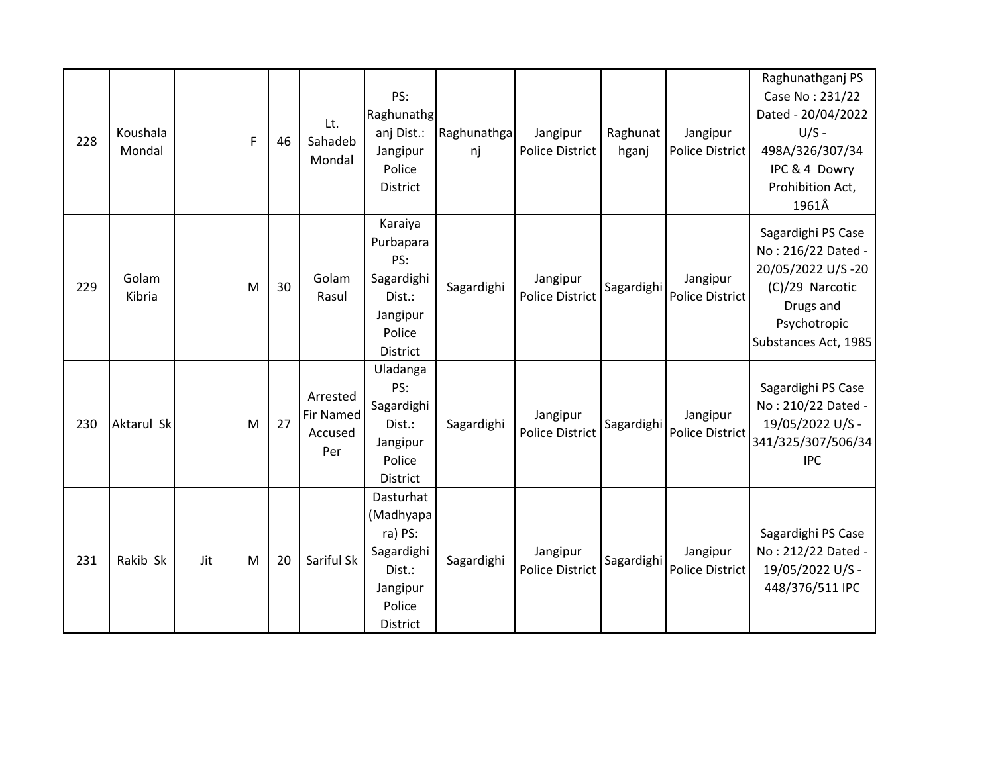| 228 | Koushala<br>Mondal |     | F | 46 | Lt.<br>Sahadeb<br>Mondal                       | PS:<br>Raghunathg<br>anj Dist.:<br>Jangipur<br>Police<br>District                                  | Raghunathga<br>nj | Jangipur<br><b>Police District</b> | Raghunat<br>hganj | Jangipur<br><b>Police District</b> | Raghunathganj PS<br>Case No: 231/22<br>Dated - 20/04/2022<br>$U/S -$<br>498A/326/307/34<br>IPC & 4 Dowry<br>Prohibition Act,<br>1961Â |
|-----|--------------------|-----|---|----|------------------------------------------------|----------------------------------------------------------------------------------------------------|-------------------|------------------------------------|-------------------|------------------------------------|---------------------------------------------------------------------------------------------------------------------------------------|
| 229 | Golam<br>Kibria    |     | M | 30 | Golam<br>Rasul                                 | Karaiya<br>Purbapara<br>PS:<br>Sagardighi<br>Dist.:<br>Jangipur<br>Police<br>District              | Sagardighi        | Jangipur<br><b>Police District</b> | Sagardighi        | Jangipur<br><b>Police District</b> | Sagardighi PS Case<br>No: 216/22 Dated -<br>20/05/2022 U/S-20<br>(C)/29 Narcotic<br>Drugs and<br>Psychotropic<br>Substances Act, 1985 |
| 230 | Aktarul Sk         |     | M | 27 | Arrested<br><b>Fir Named</b><br>Accused<br>Per | Uladanga<br>PS:<br>Sagardighi<br>Dist.:<br>Jangipur<br>Police<br>District                          | Sagardighi        | Jangipur<br><b>Police District</b> | Sagardighi        | Jangipur<br>Police District        | Sagardighi PS Case<br>No: 210/22 Dated -<br>19/05/2022 U/S -<br>341/325/307/506/34<br><b>IPC</b>                                      |
| 231 | Rakib Sk           | Jit | M | 20 | Sariful Sk                                     | Dasturhat<br>(Madhyapa<br>ra) PS:<br>Sagardighi<br>Dist.:<br>Jangipur<br>Police<br><b>District</b> | Sagardighi        | Jangipur<br><b>Police District</b> | Sagardighi        | Jangipur<br><b>Police District</b> | Sagardighi PS Case<br>No: 212/22 Dated -<br>19/05/2022 U/S -<br>448/376/511 IPC                                                       |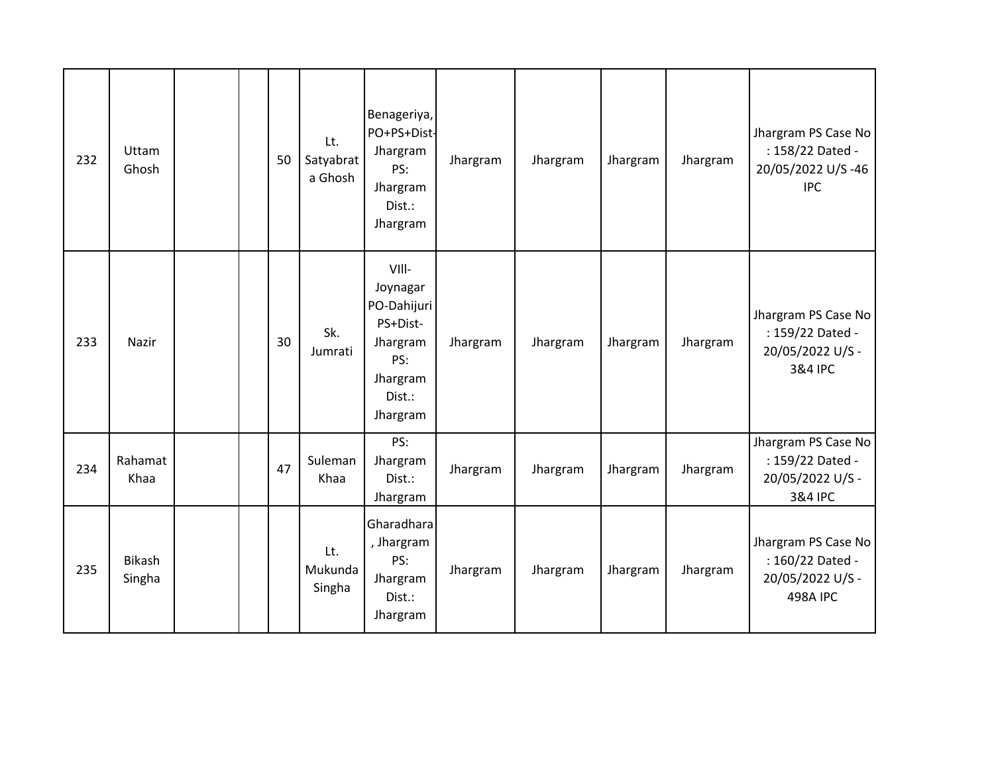| 232 | Uttam<br>Ghosh   |  | 50 | Lt.<br>Satyabrat<br>a Ghosh | Benageriya,<br>PO+PS+Dist-<br>Jhargram<br>PS:<br>Jhargram<br>Dist.:<br>Jhargram                   | Jhargram | Jhargram | Jhargram | Jhargram | Jhargram PS Case No<br>: 158/22 Dated -<br>20/05/2022 U/S-46<br><b>IPC</b>     |
|-----|------------------|--|----|-----------------------------|---------------------------------------------------------------------------------------------------|----------|----------|----------|----------|--------------------------------------------------------------------------------|
| 233 | Nazir            |  | 30 | Sk.<br>Jumrati              | VIII-<br>Joynagar<br>PO-Dahijuri<br>PS+Dist-<br>Jhargram<br>PS:<br>Jhargram<br>Dist.:<br>Jhargram | Jhargram | Jhargram | Jhargram | Jhargram | Jhargram PS Case No<br>: 159/22 Dated -<br>20/05/2022 U/S -<br>3&4 IPC         |
| 234 | Rahamat<br>Khaa  |  | 47 | Suleman<br>Khaa             | PS:<br>Jhargram<br>Dist.:<br>Jhargram                                                             | Jhargram | Jhargram | Jhargram | Jhargram | Jhargram PS Case No<br>: 159/22 Dated -<br>20/05/2022 U/S -<br>3&4 IPC         |
| 235 | Bikash<br>Singha |  |    | Lt.<br>Mukunda<br>Singha    | Gharadhara<br>, Jhargram<br>PS:<br>Jhargram<br>Dist.:<br>Jhargram                                 | Jhargram | Jhargram | Jhargram | Jhargram | Jhargram PS Case No<br>: 160/22 Dated -<br>20/05/2022 U/S -<br><b>498A IPC</b> |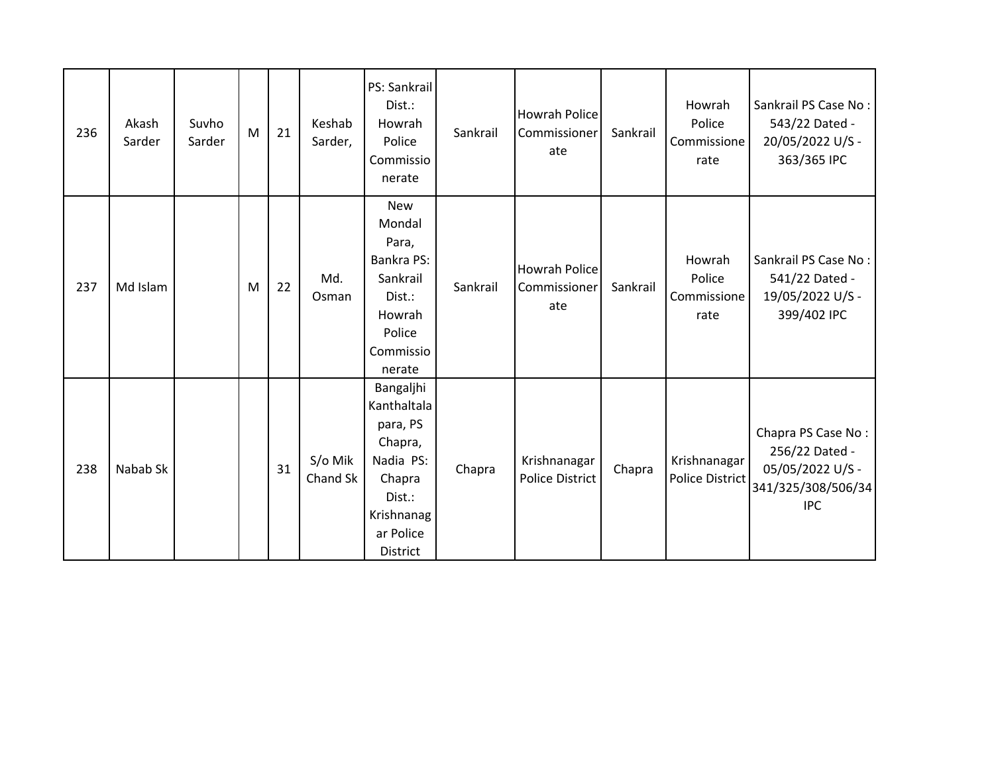| 236 | Akash<br>Sarder | Suvho<br>Sarder | M | 21 | Keshab<br>Sarder,   | PS: Sankrail<br>Dist.:<br>Howrah<br>Police<br>Commissio<br>nerate                                                              | Sankrail | Howrah Police<br>Commissioner<br>ate   | Sankrail | Howrah<br>Police<br>Commissione<br>rate | Sankrail PS Case No:<br>543/22 Dated -<br>20/05/2022 U/S -<br>363/365 IPC                    |
|-----|-----------------|-----------------|---|----|---------------------|--------------------------------------------------------------------------------------------------------------------------------|----------|----------------------------------------|----------|-----------------------------------------|----------------------------------------------------------------------------------------------|
| 237 | Md Islam        |                 | M | 22 | Md.<br>Osman        | <b>New</b><br>Mondal<br>Para,<br>Bankra PS:<br>Sankrail<br>Dist.:<br>Howrah<br>Police<br>Commissio<br>nerate                   | Sankrail | Howrah Police<br>Commissioner<br>ate   | Sankrail | Howrah<br>Police<br>Commissione<br>rate | Sankrail PS Case No:<br>541/22 Dated -<br>19/05/2022 U/S -<br>399/402 IPC                    |
| 238 | Nabab Sk        |                 |   | 31 | S/o Mik<br>Chand Sk | Bangaljhi<br>Kanthaltala<br>para, PS<br>Chapra,<br>Nadia PS:<br>Chapra<br>Dist.:<br>Krishnanag<br>ar Police<br><b>District</b> | Chapra   | Krishnanagar<br><b>Police District</b> | Chapra   | Krishnanagar<br>Police District         | Chapra PS Case No:<br>256/22 Dated -<br>05/05/2022 U/S -<br>341/325/308/506/34<br><b>IPC</b> |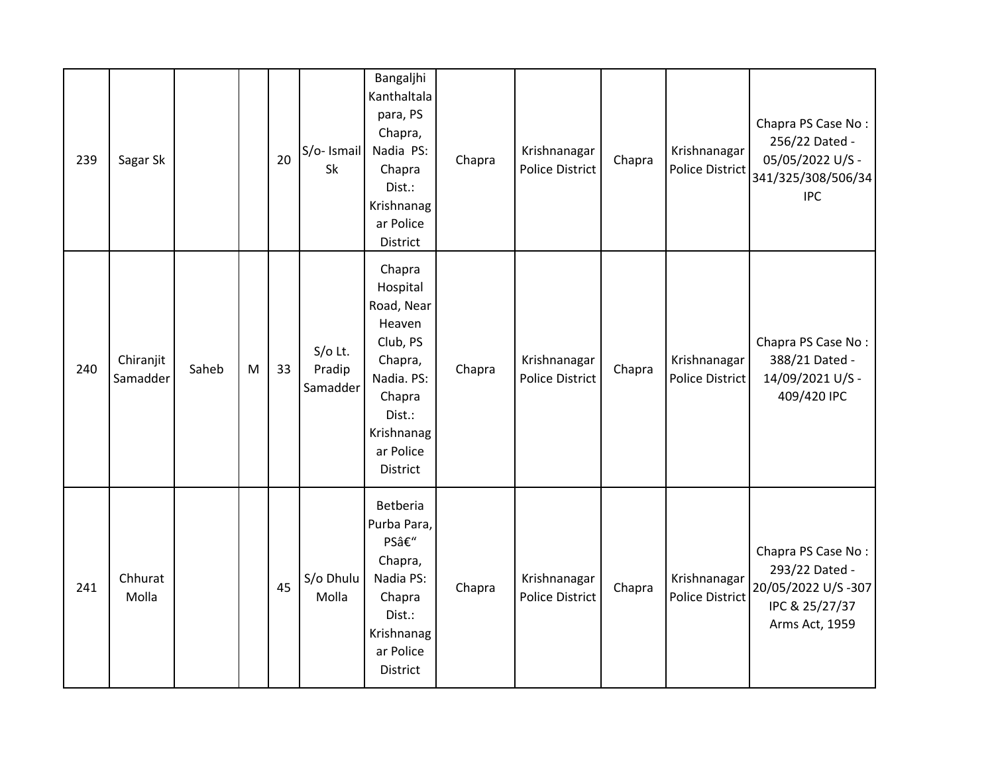| 239 | Sagar Sk              |       |   | 20 | S/o- Ismail<br>Sk               | Bangaljhi<br>Kanthaltala<br>para, PS<br>Chapra,<br>Nadia PS:<br>Chapra<br>Dist.:<br>Krishnanag<br>ar Police<br>District                    | Chapra | Krishnanagar<br><b>Police District</b> | Chapra | Krishnanagar<br><b>Police District</b> | Chapra PS Case No:<br>256/22 Dated -<br>05/05/2022 U/S -<br>341/325/308/506/34<br><b>IPC</b>   |
|-----|-----------------------|-------|---|----|---------------------------------|--------------------------------------------------------------------------------------------------------------------------------------------|--------|----------------------------------------|--------|----------------------------------------|------------------------------------------------------------------------------------------------|
| 240 | Chiranjit<br>Samadder | Saheb | M | 33 | $S/O$ Lt.<br>Pradip<br>Samadder | Chapra<br>Hospital<br>Road, Near<br>Heaven<br>Club, PS<br>Chapra,<br>Nadia. PS:<br>Chapra<br>Dist.:<br>Krishnanag<br>ar Police<br>District | Chapra | Krishnanagar<br><b>Police District</b> | Chapra | Krishnanagar<br><b>Police District</b> | Chapra PS Case No:<br>388/21 Dated -<br>14/09/2021 U/S -<br>409/420 IPC                        |
| 241 | Chhurat<br>Molla      |       |   | 45 | S/o Dhulu<br>Molla              | Betberia<br>Purba Para,<br>PS–<br>Chapra,<br>Nadia PS:<br>Chapra<br>Dist.:<br>Krishnanag<br>ar Police<br>District                          | Chapra | Krishnanagar<br><b>Police District</b> | Chapra | Krishnanagar<br><b>Police District</b> | Chapra PS Case No:<br>293/22 Dated -<br>20/05/2022 U/S-307<br>IPC & 25/27/37<br>Arms Act, 1959 |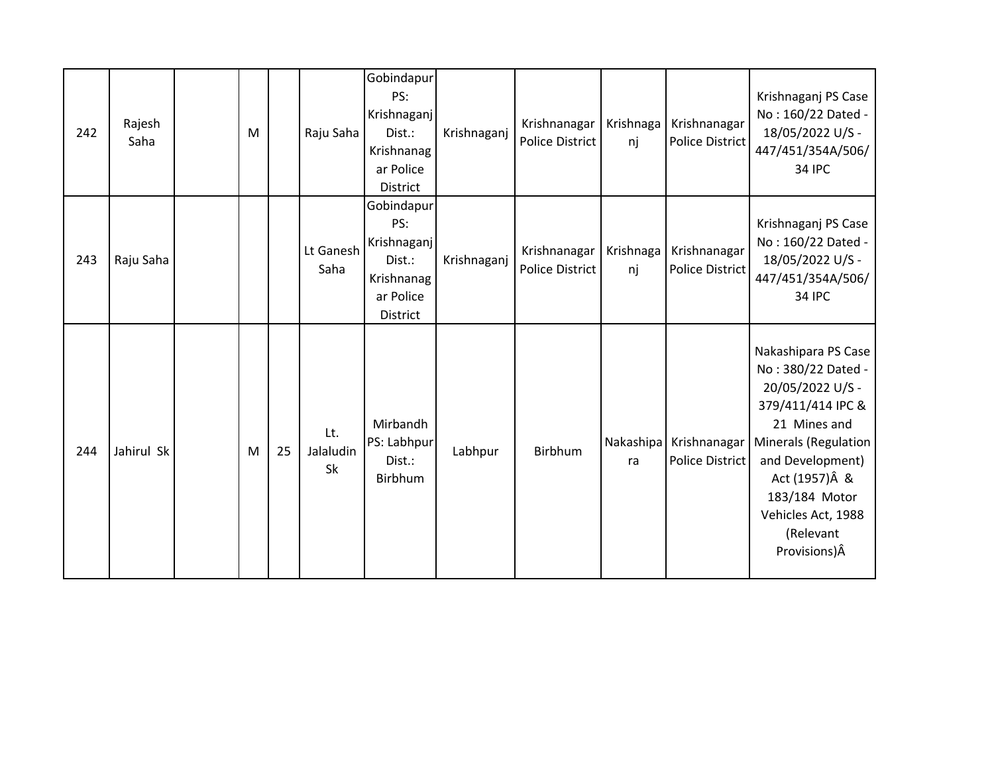| 242 | Rajesh<br>Saha | M |    | Raju Saha              | Gobindapur<br>PS:<br>Krishnaganj<br>Dist.:<br>Krishnanag<br>ar Police<br><b>District</b> | Krishnaganj | Krishnanagar<br><b>Police District</b> | Krishnaga<br>nj | Krishnanagar<br><b>Police District</b> | Krishnaganj PS Case<br>No: 160/22 Dated -<br>18/05/2022 U/S -<br>447/451/354A/506/<br><b>34 IPC</b>                                                                                                                                  |
|-----|----------------|---|----|------------------------|------------------------------------------------------------------------------------------|-------------|----------------------------------------|-----------------|----------------------------------------|--------------------------------------------------------------------------------------------------------------------------------------------------------------------------------------------------------------------------------------|
| 243 | Raju Saha      |   |    | Lt Ganesh<br>Saha      | Gobindapur<br>PS:<br>Krishnaganj<br>Dist.:<br>Krishnanag<br>ar Police<br>District        | Krishnaganj | Krishnanagar<br><b>Police District</b> | Krishnaga<br>nj | Krishnanagar<br><b>Police District</b> | Krishnaganj PS Case<br>No: 160/22 Dated -<br>18/05/2022 U/S -<br>447/451/354A/506/<br><b>34 IPC</b>                                                                                                                                  |
| 244 | Jahirul Sk     | M | 25 | Lt.<br>Jalaludin<br>Sk | Mirbandh<br>PS: Labhpur<br>Dist.:<br>Birbhum                                             | Labhpur     | Birbhum                                | Nakashipa<br>ra | Krishnanagar<br>Police District        | Nakashipara PS Case<br>No: 380/22 Dated -<br>20/05/2022 U/S -<br>379/411/414 IPC &<br>21 Mines and<br>Minerals (Regulation<br>and Development)<br>Act (1957) Â &<br>183/184 Motor<br>Vehicles Act, 1988<br>(Relevant<br>Provisions)Â |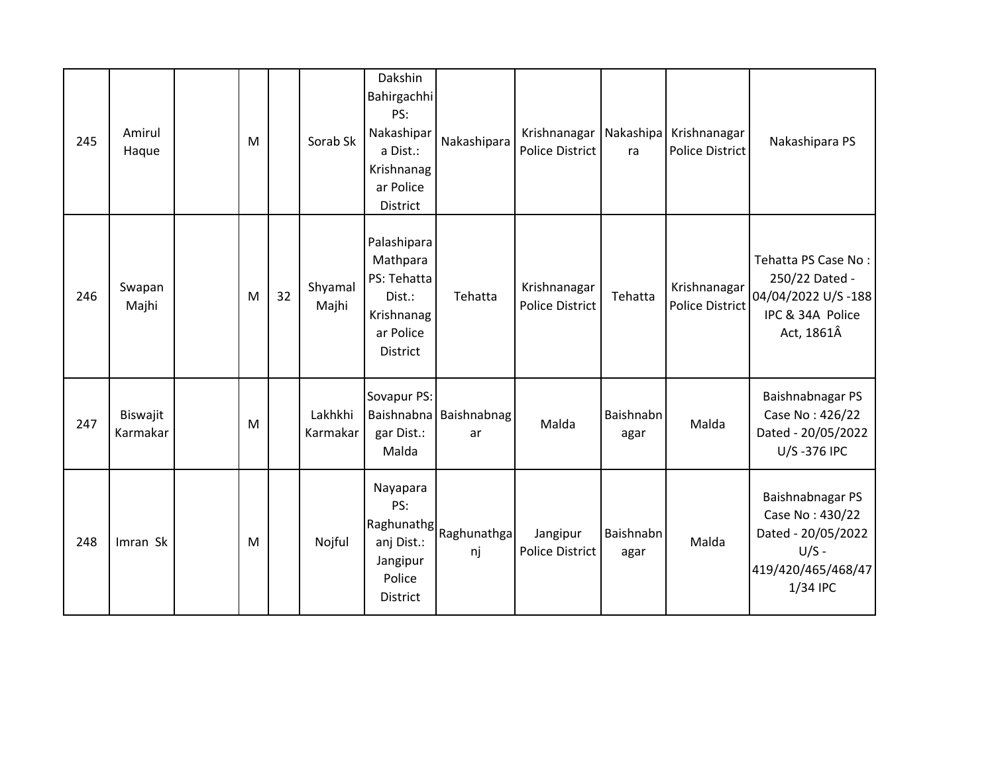| 245 | Amirul<br>Haque      | M |    | Sorab Sk            | Dakshin<br>Bahirgachhi<br>PS:<br>Nakashipar<br>a Dist.:<br>Krishnanag<br>ar Police<br>District | Nakashipara                  | Krishnanagar Nakashipa<br><b>Police District</b> | ra                | Krishnanagar<br><b>Police District</b> | Nakashipara PS                                                                                         |
|-----|----------------------|---|----|---------------------|------------------------------------------------------------------------------------------------|------------------------------|--------------------------------------------------|-------------------|----------------------------------------|--------------------------------------------------------------------------------------------------------|
| 246 | Swapan<br>Majhi      | M | 32 | Shyamal<br>Majhi    | Palashipara<br>Mathpara<br>PS: Tehatta<br>Dist.:<br>Krishnanag<br>ar Police<br><b>District</b> | Tehatta                      | Krishnanagar<br><b>Police District</b>           | Tehatta           | Krishnanagar<br><b>Police District</b> | Tehatta PS Case No:<br>250/22 Dated -<br>04/04/2022 U/S-188<br>IPC & 34A Police<br>Act, 1861Â          |
| 247 | Biswajit<br>Karmakar | M |    | Lakhkhi<br>Karmakar | Sovapur PS:<br>gar Dist.:<br>Malda                                                             | Baishnabna Baishnabnag<br>ar | Malda                                            | Baishnabn<br>agar | Malda                                  | Baishnabnagar PS<br>Case No: 426/22<br>Dated - 20/05/2022<br>U/S-376 IPC                               |
| 248 | Imran Sk             | M |    | Nojful              | Nayapara<br>PS:<br>Raghunathg<br>anj Dist.:<br>Jangipur<br>Police<br><b>District</b>           | Raghunathga<br>nj            | Jangipur<br><b>Police District</b>               | Baishnabn<br>agar | Malda                                  | Baishnabnagar PS<br>Case No: 430/22<br>Dated - 20/05/2022<br>$U/S -$<br>419/420/465/468/47<br>1/34 IPC |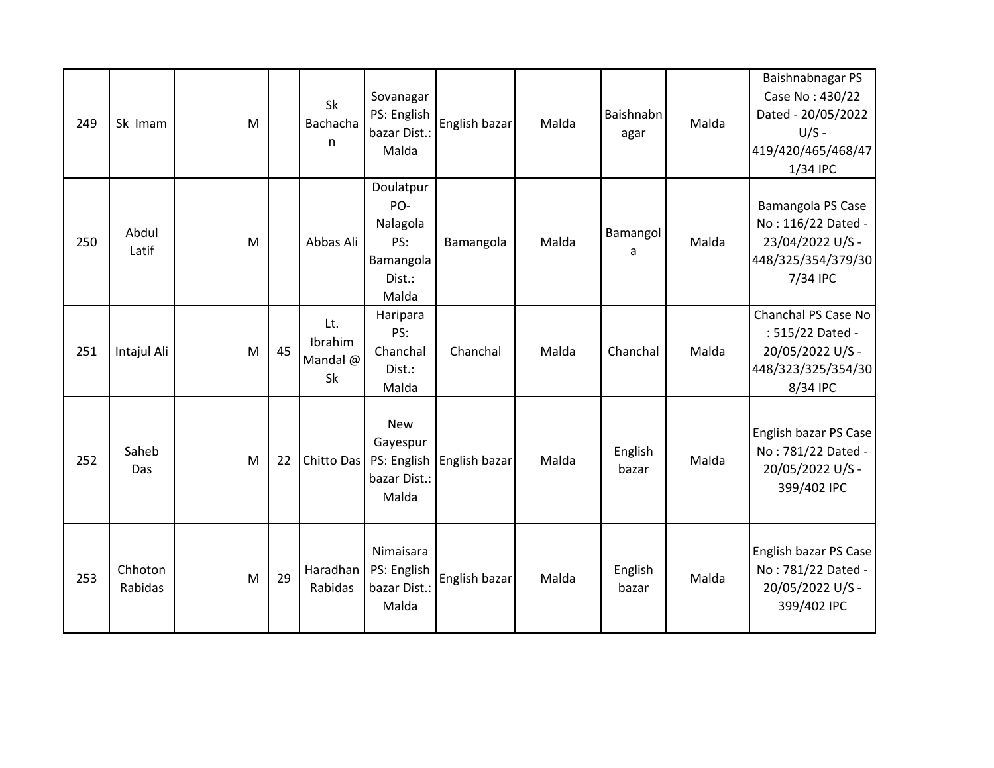| 249 | Sk Imam            | M |    | Sk<br>Bachacha<br>n              | Sovanagar<br>PS: English<br>bazar Dist.:<br>Malda                   | English bazar | Malda | Baishnabn<br>agar | Malda | Baishnabnagar PS<br>Case No: 430/22<br>Dated - 20/05/2022<br>$U/S -$<br>419/420/465/468/47<br>1/34 IPC |
|-----|--------------------|---|----|----------------------------------|---------------------------------------------------------------------|---------------|-------|-------------------|-------|--------------------------------------------------------------------------------------------------------|
| 250 | Abdul<br>Latif     | M |    | Abbas Ali                        | Doulatpur<br>PO-<br>Nalagola<br>PS:<br>Bamangola<br>Dist.:<br>Malda | Bamangola     | Malda | Bamangol<br>a     | Malda | Bamangola PS Case<br>No: 116/22 Dated -<br>23/04/2022 U/S -<br>448/325/354/379/30<br>7/34 IPC          |
| 251 | Intajul Ali        | M | 45 | Lt.<br>Ibrahim<br>Mandal @<br>Sk | Haripara<br>PS:<br>Chanchal<br>Dist.:<br>Malda                      | Chanchal      | Malda | Chanchal          | Malda | Chanchal PS Case No<br>: 515/22 Dated -<br>20/05/2022 U/S -<br>448/323/325/354/30<br>8/34 IPC          |
| 252 | Saheb<br>Das       | M | 22 | Chitto Das                       | <b>New</b><br>Gayespur<br>PS: English<br>bazar Dist.:<br>Malda      | English bazar | Malda | English<br>bazar  | Malda | English bazar PS Case<br>No: 781/22 Dated -<br>20/05/2022 U/S -<br>399/402 IPC                         |
| 253 | Chhoton<br>Rabidas | M | 29 | Haradhan<br>Rabidas              | Nimaisara<br>PS: English<br>bazar Dist.:<br>Malda                   | English bazar | Malda | English<br>bazar  | Malda | English bazar PS Case<br>No: 781/22 Dated -<br>20/05/2022 U/S -<br>399/402 IPC                         |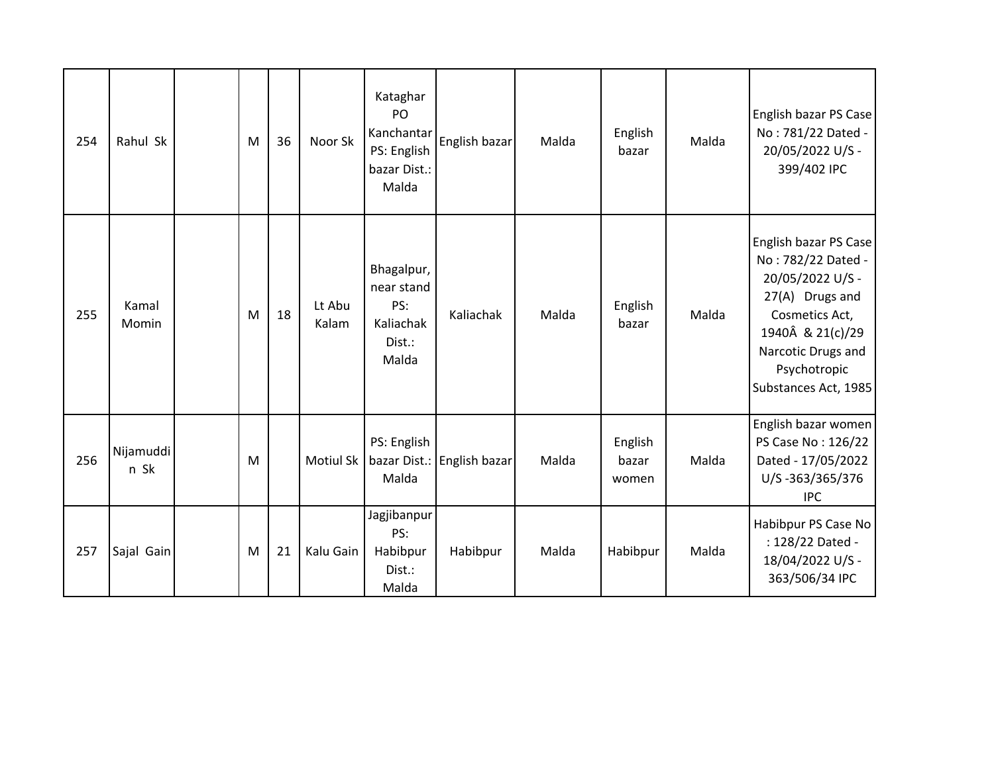| 254 | Rahul Sk          | M | 36 | Noor Sk          | Kataghar<br>PO<br>Kanchantar<br>PS: English<br>bazar Dist.:<br>Malda | English bazar              | Malda | English<br>bazar          | Malda | English bazar PS Case<br>No: 781/22 Dated -<br>20/05/2022 U/S -<br>399/402 IPC                                                                                                         |
|-----|-------------------|---|----|------------------|----------------------------------------------------------------------|----------------------------|-------|---------------------------|-------|----------------------------------------------------------------------------------------------------------------------------------------------------------------------------------------|
| 255 | Kamal<br>Momin    | M | 18 | Lt Abu<br>Kalam  | Bhagalpur,<br>near stand<br>PS:<br>Kaliachak<br>Dist.:<br>Malda      | Kaliachak                  | Malda | English<br>bazar          | Malda | English bazar PS Case<br>No: 782/22 Dated -<br>20/05/2022 U/S -<br>27(A) Drugs and<br>Cosmetics Act,<br>1940Â & 21(c)/29<br>Narcotic Drugs and<br>Psychotropic<br>Substances Act, 1985 |
| 256 | Nijamuddi<br>n Sk | M |    | <b>Motiul Sk</b> | PS: English<br>Malda                                                 | bazar Dist.: English bazar | Malda | English<br>bazar<br>women | Malda | English bazar women<br>PS Case No: 126/22<br>Dated - 17/05/2022<br>U/S-363/365/376<br><b>IPC</b>                                                                                       |
| 257 | Sajal Gain        | M | 21 | Kalu Gain        | Jagjibanpur<br>PS:<br>Habibpur<br>Dist.:<br>Malda                    | Habibpur                   | Malda | Habibpur                  | Malda | Habibpur PS Case No<br>: 128/22 Dated -<br>18/04/2022 U/S -<br>363/506/34 IPC                                                                                                          |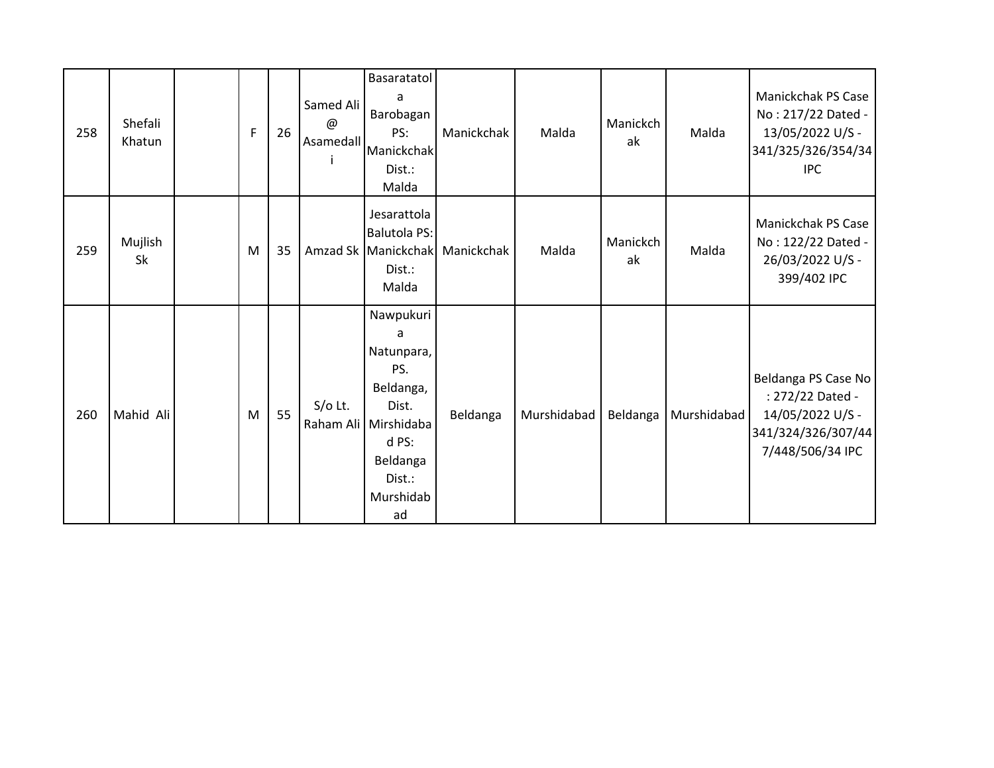| 258 | Shefali<br>Khatun | F | 26 | Samed Ali<br>$^{\omega}$ | Basaratatol<br>a<br>Barobagan<br>PS:<br>Asamedall Manickchak<br>Dist.:<br>Malda                                                     | Manickchak | Malda       | Manickch<br>ak | Malda       | Manickchak PS Case<br>No: 217/22 Dated -<br>13/05/2022 U/S -<br>341/325/326/354/34<br><b>IPC</b>      |
|-----|-------------------|---|----|--------------------------|-------------------------------------------------------------------------------------------------------------------------------------|------------|-------------|----------------|-------------|-------------------------------------------------------------------------------------------------------|
| 259 | Mujlish<br>Sk     | M | 35 |                          | Jesarattola<br><b>Balutola PS:</b><br>Amzad Sk Manickchak<br>Dist.:<br>Malda                                                        | Manickchak | Malda       | Manickch<br>ak | Malda       | Manickchak PS Case<br>No: 122/22 Dated -<br>26/03/2022 U/S -<br>399/402 IPC                           |
| 260 | Mahid Ali         | M | 55 | $S/O$ Lt.                | Nawpukuri<br>a<br>Natunpara,<br>PS.<br>Beldanga,<br>Dist.<br>Raham Ali Mirshidaba<br>d PS:<br>Beldanga<br>Dist.:<br>Murshidab<br>ad | Beldanga   | Murshidabad | Beldanga       | Murshidabad | Beldanga PS Case No<br>: 272/22 Dated -<br>14/05/2022 U/S -<br>341/324/326/307/44<br>7/448/506/34 IPC |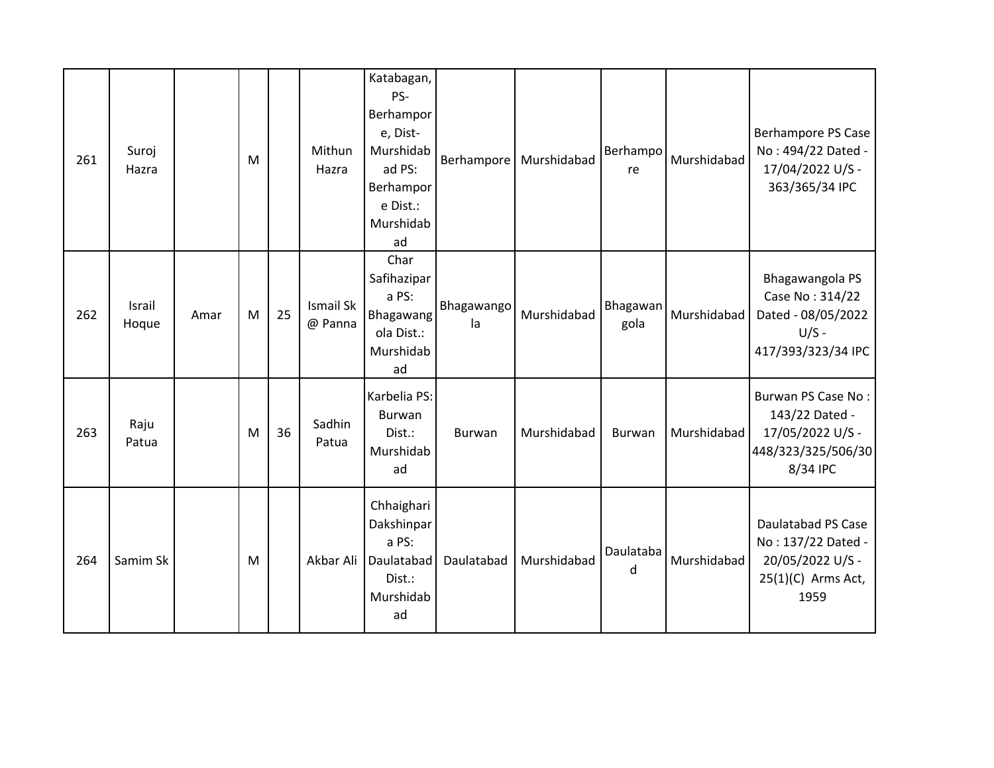| 261 | Suroj<br>Hazra  |      | M |    | Mithun<br>Hazra      | Katabagan,<br>PS-<br>Berhampor<br>e, Dist-<br>Murshidab<br>ad PS:<br>Berhampor<br>e Dist.:<br>Murshidab<br>ad | Berhampore       | Murshidabad | Berhampo<br>re   | Murshidabad | <b>Berhampore PS Case</b><br>No: 494/22 Dated -<br>17/04/2022 U/S -<br>363/365/34 IPC               |
|-----|-----------------|------|---|----|----------------------|---------------------------------------------------------------------------------------------------------------|------------------|-------------|------------------|-------------|-----------------------------------------------------------------------------------------------------|
| 262 | Israil<br>Hoque | Amar | M | 25 | Ismail Sk<br>@ Panna | Char<br>Safihazipar<br>a PS:<br>Bhagawang<br>ola Dist.:<br>Murshidab<br>ad                                    | Bhagawango<br>la | Murshidabad | Bhagawan<br>gola | Murshidabad | Bhagawangola PS<br>Case No: 314/22<br>Dated - 08/05/2022<br>$U/S -$<br>417/393/323/34 IPC           |
| 263 | Raju<br>Patua   |      | M | 36 | Sadhin<br>Patua      | Karbelia PS:<br>Burwan<br>Dist.:<br>Murshidab<br>ad                                                           | <b>Burwan</b>    | Murshidabad | <b>Burwan</b>    | Murshidabad | Burwan PS Case No:<br>143/22 Dated -<br>17/05/2022 U/S -<br>448/323/325/506/30<br>8/34 IPC          |
| 264 | Samim Sk        |      | M |    | Akbar Ali            | Chhaighari<br>Dakshinpar<br>a PS:<br>Daulatabad<br>Dist.:<br>Murshidab<br>ad                                  | Daulatabad       | Murshidabad | Daulataba<br>d   | Murshidabad | <b>Daulatabad PS Case</b><br>No: 137/22 Dated -<br>20/05/2022 U/S -<br>$25(1)(C)$ Arms Act,<br>1959 |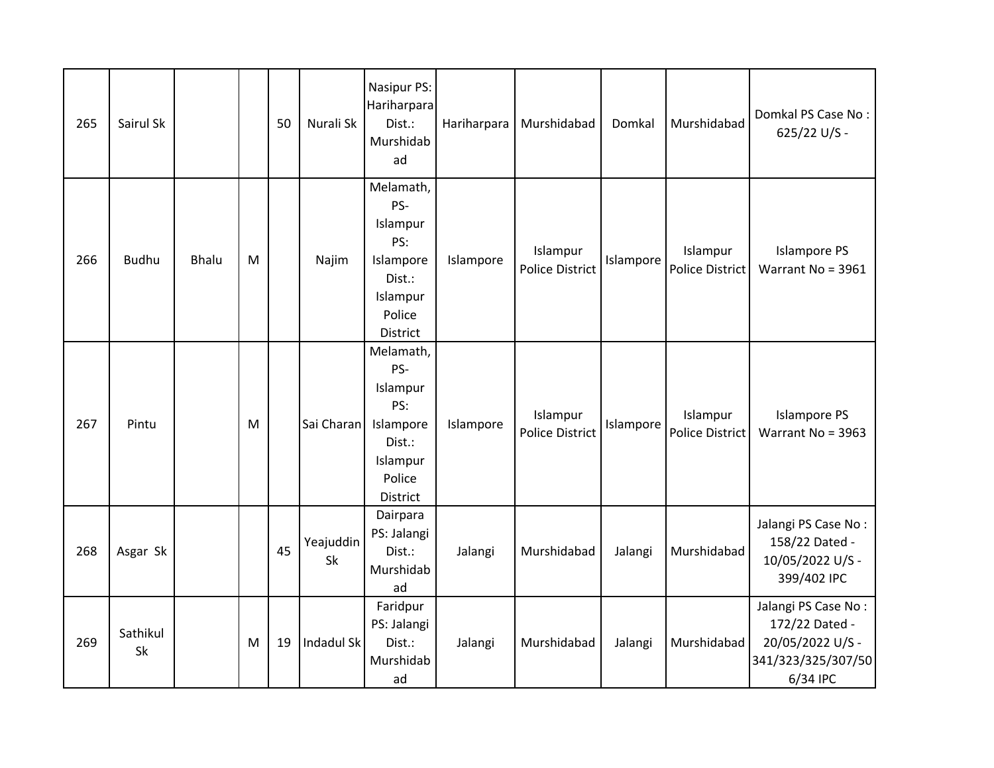| 265 | Sairul Sk      |              |   | 50 | Nurali Sk       | Nasipur PS:<br>Hariharpara<br>Dist.:<br>Murshidab<br>ad                                             | Hariharpara | Murshidabad                        | Domkal    | Murshidabad                        | Domkal PS Case No:<br>625/22 U/S -                                                          |
|-----|----------------|--------------|---|----|-----------------|-----------------------------------------------------------------------------------------------------|-------------|------------------------------------|-----------|------------------------------------|---------------------------------------------------------------------------------------------|
| 266 | <b>Budhu</b>   | <b>Bhalu</b> | M |    | Najim           | Melamath,<br>PS-<br>Islampur<br>PS:<br>Islampore<br>Dist.:<br>Islampur<br>Police<br><b>District</b> | Islampore   | Islampur<br><b>Police District</b> | Islampore | Islampur<br><b>Police District</b> | <b>Islampore PS</b><br>Warrant No = 3961                                                    |
| 267 | Pintu          |              | M |    | Sai Charan      | Melamath,<br>PS-<br>Islampur<br>PS:<br>Islampore<br>Dist.:<br>Islampur<br>Police<br>District        | Islampore   | Islampur<br><b>Police District</b> | Islampore | Islampur<br><b>Police District</b> | <b>Islampore PS</b><br>Warrant No = $3963$                                                  |
| 268 | Asgar Sk       |              |   | 45 | Yeajuddin<br>Sk | Dairpara<br>PS: Jalangi<br>Dist.:<br>Murshidab<br>ad                                                | Jalangi     | Murshidabad                        | Jalangi   | Murshidabad                        | Jalangi PS Case No:<br>158/22 Dated -<br>10/05/2022 U/S -<br>399/402 IPC                    |
| 269 | Sathikul<br>Sk |              | M | 19 | Indadul Sk      | Faridpur<br>PS: Jalangi<br>Dist.:<br>Murshidab<br>ad                                                | Jalangi     | Murshidabad                        | Jalangi   | Murshidabad                        | Jalangi PS Case No:<br>172/22 Dated -<br>20/05/2022 U/S -<br>341/323/325/307/50<br>6/34 IPC |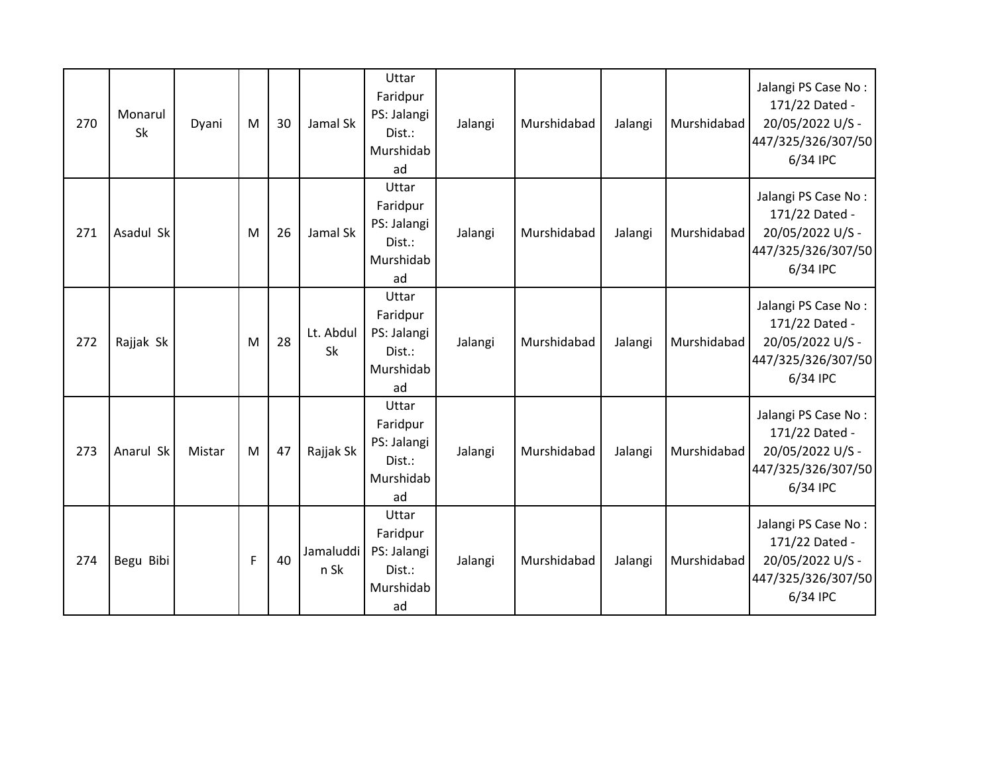| 270 | Monarul<br><b>Sk</b> | Dyani  | M | 30 | Jamal Sk               | Uttar<br>Faridpur<br>PS: Jalangi<br>Dist.:<br>Murshidab<br>ad | Jalangi | Murshidabad | Jalangi | Murshidabad | Jalangi PS Case No:<br>171/22 Dated -<br>20/05/2022 U/S -<br>447/325/326/307/50<br>6/34 IPC |
|-----|----------------------|--------|---|----|------------------------|---------------------------------------------------------------|---------|-------------|---------|-------------|---------------------------------------------------------------------------------------------|
| 271 | Asadul Sk            |        | M | 26 | Jamal Sk               | Uttar<br>Faridpur<br>PS: Jalangi<br>Dist.:<br>Murshidab<br>ad | Jalangi | Murshidabad | Jalangi | Murshidabad | Jalangi PS Case No:<br>171/22 Dated -<br>20/05/2022 U/S -<br>447/325/326/307/50<br>6/34 IPC |
| 272 | Rajjak Sk            |        | M | 28 | Lt. Abdul<br><b>Sk</b> | Uttar<br>Faridpur<br>PS: Jalangi<br>Dist.:<br>Murshidab<br>ad | Jalangi | Murshidabad | Jalangi | Murshidabad | Jalangi PS Case No:<br>171/22 Dated -<br>20/05/2022 U/S -<br>447/325/326/307/50<br>6/34 IPC |
| 273 | Anarul Sk            | Mistar | M | 47 | Rajjak Sk              | Uttar<br>Faridpur<br>PS: Jalangi<br>Dist.:<br>Murshidab<br>ad | Jalangi | Murshidabad | Jalangi | Murshidabad | Jalangi PS Case No:<br>171/22 Dated -<br>20/05/2022 U/S -<br>447/325/326/307/50<br>6/34 IPC |
| 274 | Begu Bibi            |        | F | 40 | Jamaluddi<br>n Sk      | Uttar<br>Faridpur<br>PS: Jalangi<br>Dist.:<br>Murshidab<br>ad | Jalangi | Murshidabad | Jalangi | Murshidabad | Jalangi PS Case No:<br>171/22 Dated -<br>20/05/2022 U/S -<br>447/325/326/307/50<br>6/34 IPC |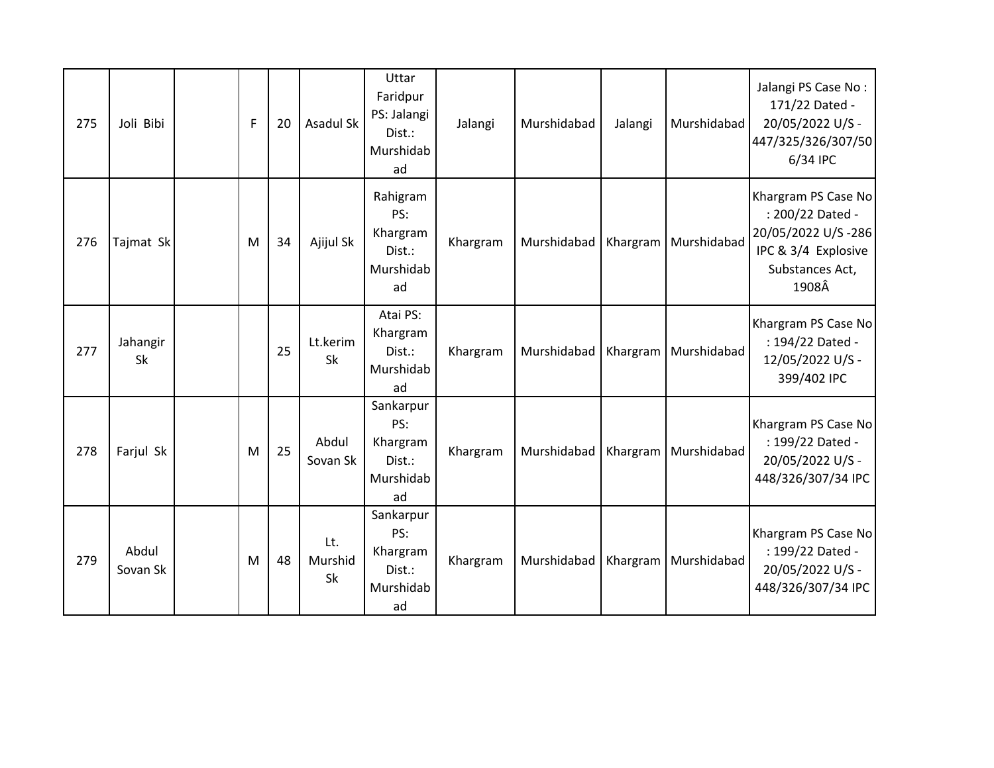| 275 | Joli Bibi         | F | 20 | Asadul Sk                   | Uttar<br>Faridpur<br>PS: Jalangi<br>Dist.:<br>Murshidab<br>ad | Jalangi  | Murshidabad | Jalangi  | Murshidabad            | Jalangi PS Case No:<br>171/22 Dated -<br>20/05/2022 U/S -<br>447/325/326/307/50<br>6/34 IPC                      |
|-----|-------------------|---|----|-----------------------------|---------------------------------------------------------------|----------|-------------|----------|------------------------|------------------------------------------------------------------------------------------------------------------|
| 276 | Tajmat Sk         | M | 34 | Ajijul Sk                   | Rahigram<br>PS:<br>Khargram<br>Dist.:<br>Murshidab<br>ad      | Khargram | Murshidabad |          | Khargram   Murshidabad | Khargram PS Case No<br>: 200/22 Dated -<br>20/05/2022 U/S-286<br>IPC & 3/4 Explosive<br>Substances Act,<br>1908Â |
| 277 | Jahangir<br>Sk    |   | 25 | Lt.kerim<br><b>Sk</b>       | Atai PS:<br>Khargram<br>Dist.:<br>Murshidab<br>ad             | Khargram | Murshidabad |          | Khargram   Murshidabad | Khargram PS Case No<br>: 194/22 Dated -<br>12/05/2022 U/S -<br>399/402 IPC                                       |
| 278 | Farjul Sk         | M | 25 | Abdul<br>Sovan Sk           | Sankarpur<br>PS:<br>Khargram<br>Dist.:<br>Murshidab<br>ad     | Khargram | Murshidabad | Khargram | Murshidabad            | Khargram PS Case No<br>: 199/22 Dated -<br>20/05/2022 U/S -<br>448/326/307/34 IPC                                |
| 279 | Abdul<br>Sovan Sk | M | 48 | Lt.<br>Murshid<br><b>Sk</b> | Sankarpur<br>PS:<br>Khargram<br>Dist.:<br>Murshidab<br>ad     | Khargram | Murshidabad |          | Khargram   Murshidabad | Khargram PS Case No<br>: 199/22 Dated -<br>20/05/2022 U/S -<br>448/326/307/34 IPC                                |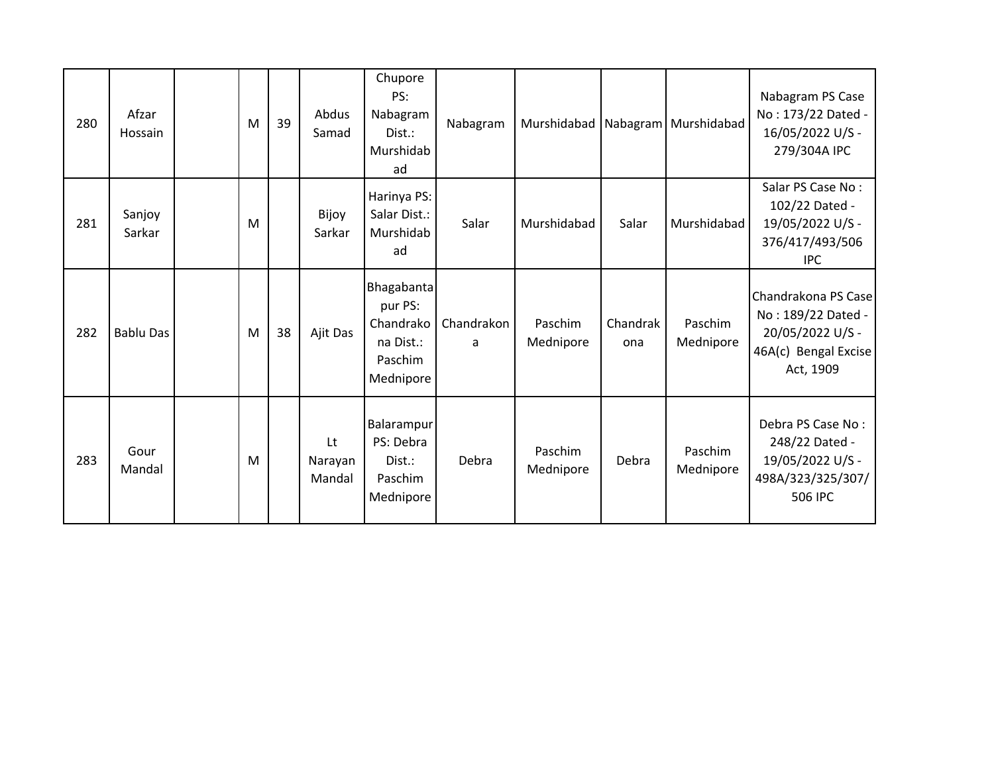| 280 | Afzar<br>Hossain | M | 39 | Abdus<br>Samad          | Chupore<br>PS:<br>Nabagram<br>Dist.:<br>Murshidab<br>ad                 | Nabagram        |                      |                 | Murshidabad   Nabagram   Murshidabad | Nabagram PS Case<br>No: 173/22 Dated -<br>16/05/2022 U/S -<br>279/304A IPC                         |
|-----|------------------|---|----|-------------------------|-------------------------------------------------------------------------|-----------------|----------------------|-----------------|--------------------------------------|----------------------------------------------------------------------------------------------------|
| 281 | Sanjoy<br>Sarkar | M |    | Bijoy<br>Sarkar         | Harinya PS:<br>Salar Dist.:<br>Murshidab<br>ad                          | Salar           | Murshidabad          | Salar           | Murshidabad                          | Salar PS Case No:<br>102/22 Dated -<br>19/05/2022 U/S -<br>376/417/493/506<br><b>IPC</b>           |
| 282 | <b>Bablu Das</b> | M | 38 | Ajit Das                | Bhagabanta<br>pur PS:<br>Chandrako<br>na Dist.:<br>Paschim<br>Mednipore | Chandrakon<br>a | Paschim<br>Mednipore | Chandrak<br>ona | Paschim<br>Mednipore                 | Chandrakona PS Case<br>No: 189/22 Dated -<br>20/05/2022 U/S -<br>46A(c) Bengal Excise<br>Act, 1909 |
| 283 | Gour<br>Mandal   | M |    | Lt<br>Narayan<br>Mandal | Balarampur<br>PS: Debra<br>Dist.:<br>Paschim<br>Mednipore               | Debra           | Paschim<br>Mednipore | Debra           | Paschim<br>Mednipore                 | Debra PS Case No:<br>248/22 Dated -<br>19/05/2022 U/S -<br>498A/323/325/307/<br><b>506 IPC</b>     |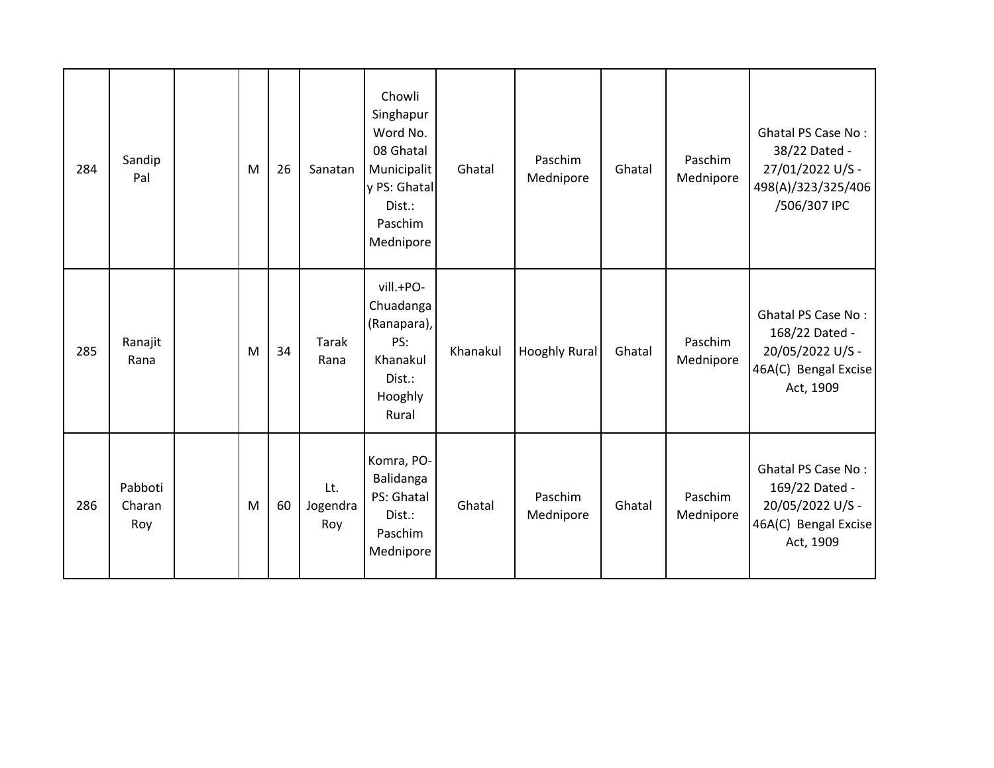| 284 | Sandip<br>Pal            | M | 26 | Sanatan                | Chowli<br>Singhapur<br>Word No.<br>08 Ghatal<br>Municipalit<br>y PS: Ghatal<br>Dist.:<br>Paschim<br>Mednipore | Ghatal   | Paschim<br>Mednipore | Ghatal | Paschim<br>Mednipore | <b>Ghatal PS Case No:</b><br>38/22 Dated -<br>27/01/2022 U/S -<br>498(A)/323/325/406<br>/506/307 IPC |
|-----|--------------------------|---|----|------------------------|---------------------------------------------------------------------------------------------------------------|----------|----------------------|--------|----------------------|------------------------------------------------------------------------------------------------------|
| 285 | Ranajit<br>Rana          | M | 34 | <b>Tarak</b><br>Rana   | vill.+PO-<br>Chuadanga<br>(Ranapara),<br>PS:<br>Khanakul<br>Dist.:<br>Hooghly<br>Rural                        | Khanakul | <b>Hooghly Rural</b> | Ghatal | Paschim<br>Mednipore | <b>Ghatal PS Case No:</b><br>168/22 Dated -<br>20/05/2022 U/S -<br>46A(C) Bengal Excise<br>Act, 1909 |
| 286 | Pabboti<br>Charan<br>Roy | M | 60 | Lt.<br>Jogendra<br>Roy | Komra, PO-<br>Balidanga<br>PS: Ghatal<br>Dist.:<br>Paschim<br>Mednipore                                       | Ghatal   | Paschim<br>Mednipore | Ghatal | Paschim<br>Mednipore | <b>Ghatal PS Case No:</b><br>169/22 Dated -<br>20/05/2022 U/S -<br>46A(C) Bengal Excise<br>Act, 1909 |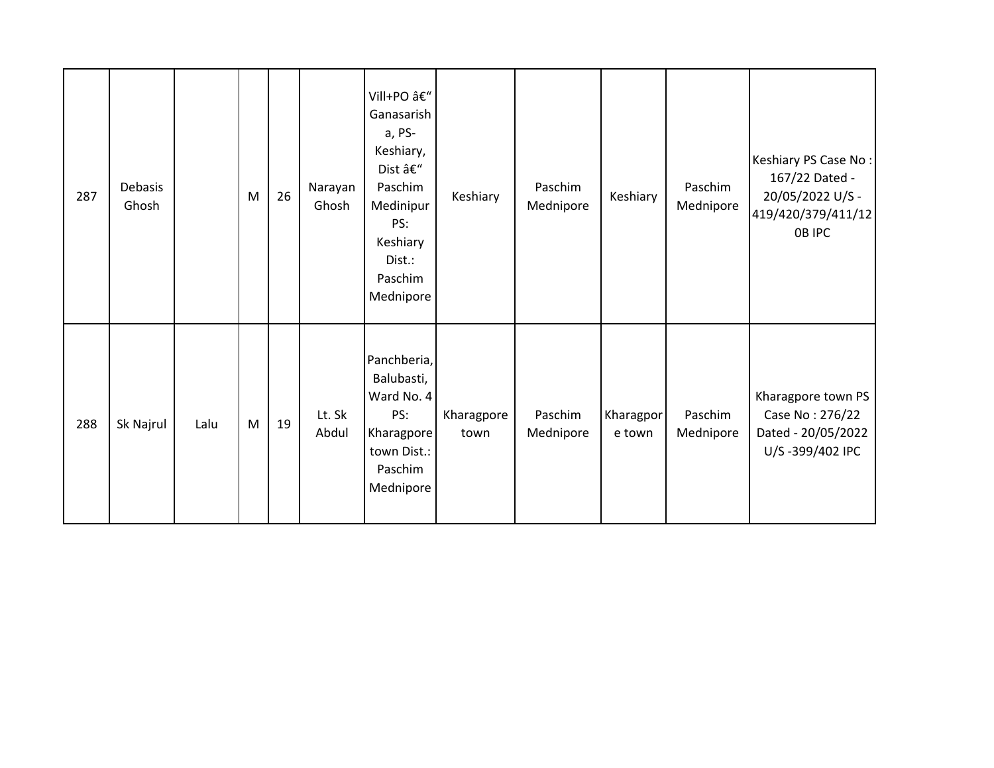| 287 | Debasis<br>Ghosh |      | M | 26 | Narayan<br>Ghosh | Vill+PO â€"<br>Ganasarish<br>a, PS-<br>Keshiary,<br>Dist –<br>Paschim<br>Medinipur<br>PS:<br>Keshiary<br>Dist.:<br>Paschim<br>Mednipore | Keshiary           | Paschim<br>Mednipore | Keshiary            | Paschim<br>Mednipore | Keshiary PS Case No:<br>167/22 Dated -<br>20/05/2022 U/S -<br>419/420/379/411/12<br>OB IPC |
|-----|------------------|------|---|----|------------------|-----------------------------------------------------------------------------------------------------------------------------------------|--------------------|----------------------|---------------------|----------------------|--------------------------------------------------------------------------------------------|
| 288 | Sk Najrul        | Lalu | M | 19 | Lt. Sk<br>Abdul  | Panchberia,<br>Balubasti,<br>Ward No. 4<br>PS:<br>Kharagpore<br>town Dist.:<br>Paschim<br>Mednipore                                     | Kharagpore<br>town | Paschim<br>Mednipore | Kharagpor<br>e town | Paschim<br>Mednipore | Kharagpore town PS<br>Case No: 276/22<br>Dated - 20/05/2022<br>U/S-399/402 IPC             |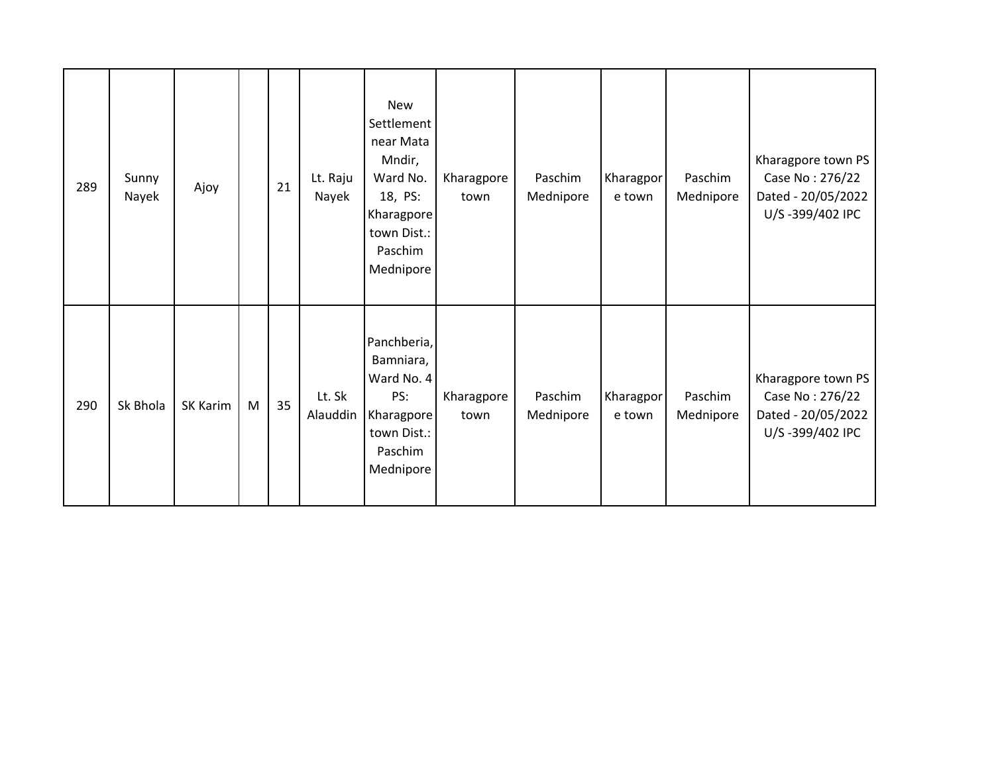| 289 | Sunny<br>Nayek | Ajoy     |   | 21 | Lt. Raju<br>Nayek  | <b>New</b><br>Settlement<br>near Mata<br>Mndir,<br>Ward No.<br>18, PS:<br>Kharagpore<br>town Dist.:<br>Paschim<br>Mednipore | Kharagpore<br>town | Paschim<br>Mednipore | Kharagpor<br>e town | Paschim<br>Mednipore | Kharagpore town PS<br>Case No: 276/22<br>Dated - 20/05/2022<br>U/S-399/402 IPC |
|-----|----------------|----------|---|----|--------------------|-----------------------------------------------------------------------------------------------------------------------------|--------------------|----------------------|---------------------|----------------------|--------------------------------------------------------------------------------|
| 290 | Sk Bhola       | SK Karim | M | 35 | Lt. Sk<br>Alauddin | Panchberia,<br>Bamniara,<br>Ward No. 4<br>PS:<br>Kharagpore<br>town Dist.:<br>Paschim<br>Mednipore                          | Kharagpore<br>town | Paschim<br>Mednipore | Kharagpor<br>e town | Paschim<br>Mednipore | Kharagpore town PS<br>Case No: 276/22<br>Dated - 20/05/2022<br>U/S-399/402 IPC |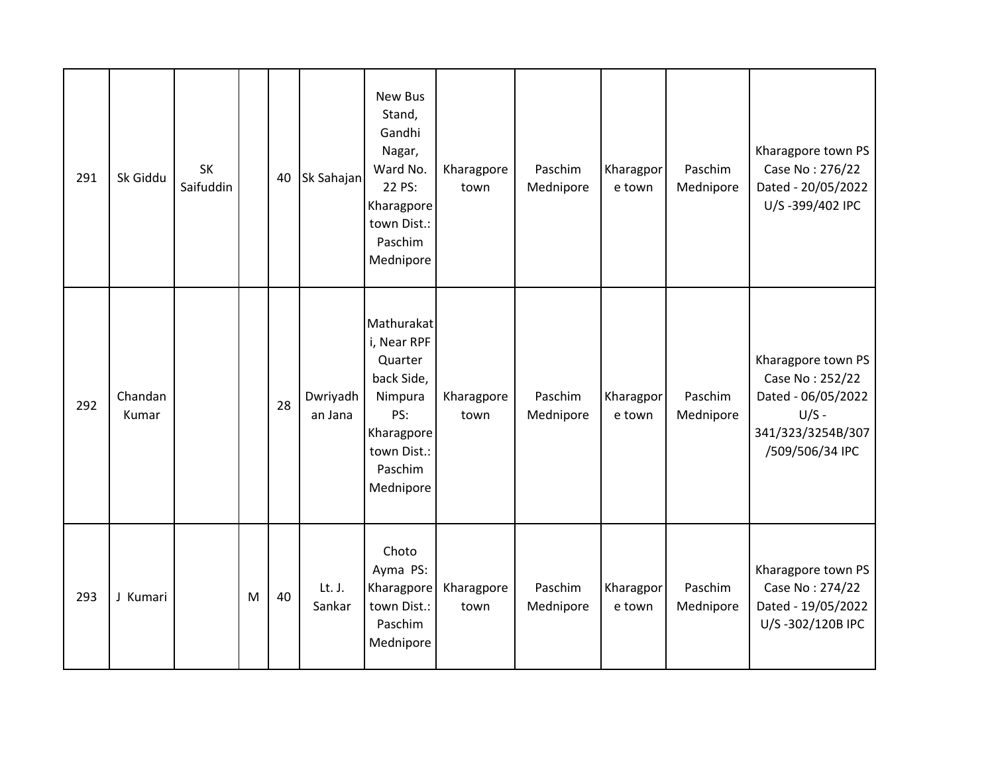| 291 | Sk Giddu         | <b>SK</b><br>Saifuddin |   | 40 | Sk Sahajan          | New Bus<br>Stand,<br>Gandhi<br>Nagar,<br>Ward No.<br>22 PS:<br>Kharagpore<br>town Dist.:<br>Paschim<br>Mednipore          | Kharagpore<br>town | Paschim<br>Mednipore | Kharagpor<br>e town | Paschim<br>Mednipore | Kharagpore town PS<br>Case No: 276/22<br>Dated - 20/05/2022<br>U/S-399/402 IPC                                 |
|-----|------------------|------------------------|---|----|---------------------|---------------------------------------------------------------------------------------------------------------------------|--------------------|----------------------|---------------------|----------------------|----------------------------------------------------------------------------------------------------------------|
| 292 | Chandan<br>Kumar |                        |   | 28 | Dwriyadh<br>an Jana | Mathurakat<br>i, Near RPF<br>Quarter<br>back Side,<br>Nimpura<br>PS:<br>Kharagpore<br>town Dist.:<br>Paschim<br>Mednipore | Kharagpore<br>town | Paschim<br>Mednipore | Kharagpor<br>e town | Paschim<br>Mednipore | Kharagpore town PS<br>Case No: 252/22<br>Dated - 06/05/2022<br>$U/S -$<br>341/323/3254B/307<br>/509/506/34 IPC |
| 293 | J Kumari         |                        | M | 40 | Lt. J.<br>Sankar    | Choto<br>Ayma PS:<br>Kharagpore<br>town Dist.:<br>Paschim<br>Mednipore                                                    | Kharagpore<br>town | Paschim<br>Mednipore | Kharagpor<br>e town | Paschim<br>Mednipore | Kharagpore town PS<br>Case No: 274/22<br>Dated - 19/05/2022<br>U/S-302/120B IPC                                |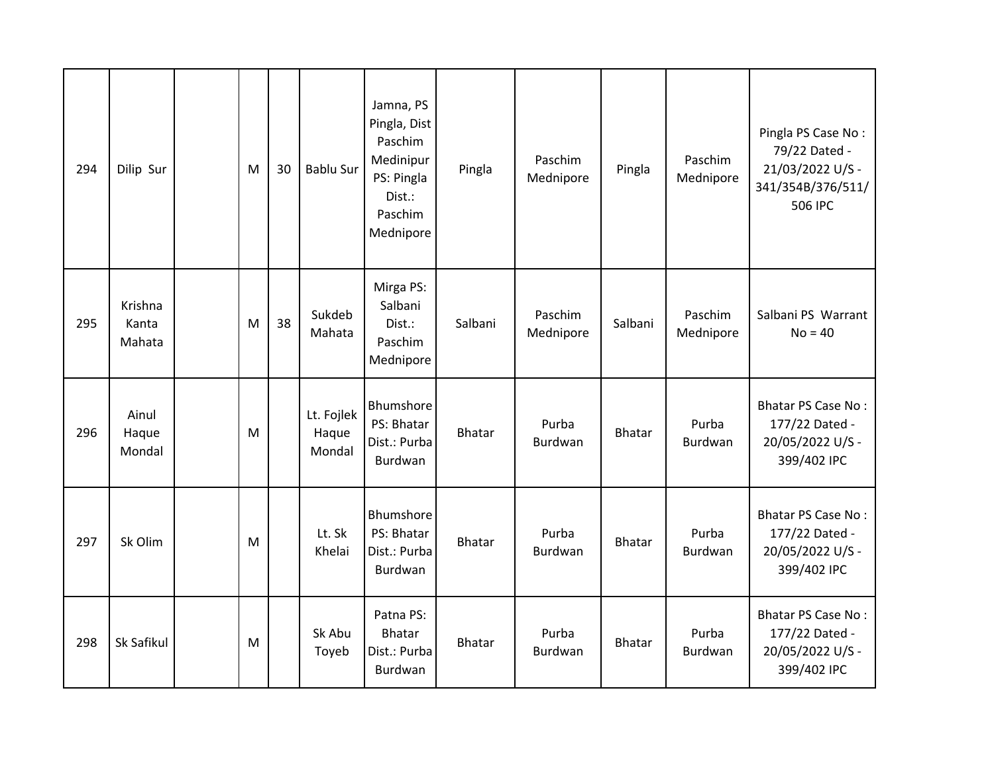| 294 | Dilip Sur                  | M | 30 | <b>Bablu Sur</b>              | Jamna, PS<br>Pingla, Dist<br>Paschim<br>Medinipur<br>PS: Pingla<br>Dist.:<br>Paschim<br>Mednipore | Pingla        | Paschim<br>Mednipore    | Pingla        | Paschim<br>Mednipore    | Pingla PS Case No:<br>79/22 Dated -<br>21/03/2022 U/S -<br>341/354B/376/511/<br>506 IPC |
|-----|----------------------------|---|----|-------------------------------|---------------------------------------------------------------------------------------------------|---------------|-------------------------|---------------|-------------------------|-----------------------------------------------------------------------------------------|
| 295 | Krishna<br>Kanta<br>Mahata | M | 38 | Sukdeb<br>Mahata              | Mirga PS:<br>Salbani<br>Dist.:<br>Paschim<br>Mednipore                                            | Salbani       | Paschim<br>Mednipore    | Salbani       | Paschim<br>Mednipore    | Salbani PS Warrant<br>$No = 40$                                                         |
| 296 | Ainul<br>Haque<br>Mondal   | M |    | Lt. Fojlek<br>Haque<br>Mondal | Bhumshore<br>PS: Bhatar<br>Dist.: Purba<br>Burdwan                                                | <b>Bhatar</b> | Purba<br>Burdwan        | <b>Bhatar</b> | Purba<br><b>Burdwan</b> | <b>Bhatar PS Case No:</b><br>177/22 Dated -<br>20/05/2022 U/S -<br>399/402 IPC          |
| 297 | Sk Olim                    | M |    | Lt. Sk<br>Khelai              | Bhumshore<br>PS: Bhatar<br>Dist.: Purba<br>Burdwan                                                | <b>Bhatar</b> | Purba<br>Burdwan        | <b>Bhatar</b> | Purba<br>Burdwan        | <b>Bhatar PS Case No:</b><br>177/22 Dated -<br>20/05/2022 U/S -<br>399/402 IPC          |
| 298 | Sk Safikul                 | M |    | Sk Abu<br>Toyeb               | Patna PS:<br><b>Bhatar</b><br>Dist.: Purba<br>Burdwan                                             | <b>Bhatar</b> | Purba<br><b>Burdwan</b> | <b>Bhatar</b> | Purba<br>Burdwan        | <b>Bhatar PS Case No:</b><br>177/22 Dated -<br>20/05/2022 U/S -<br>399/402 IPC          |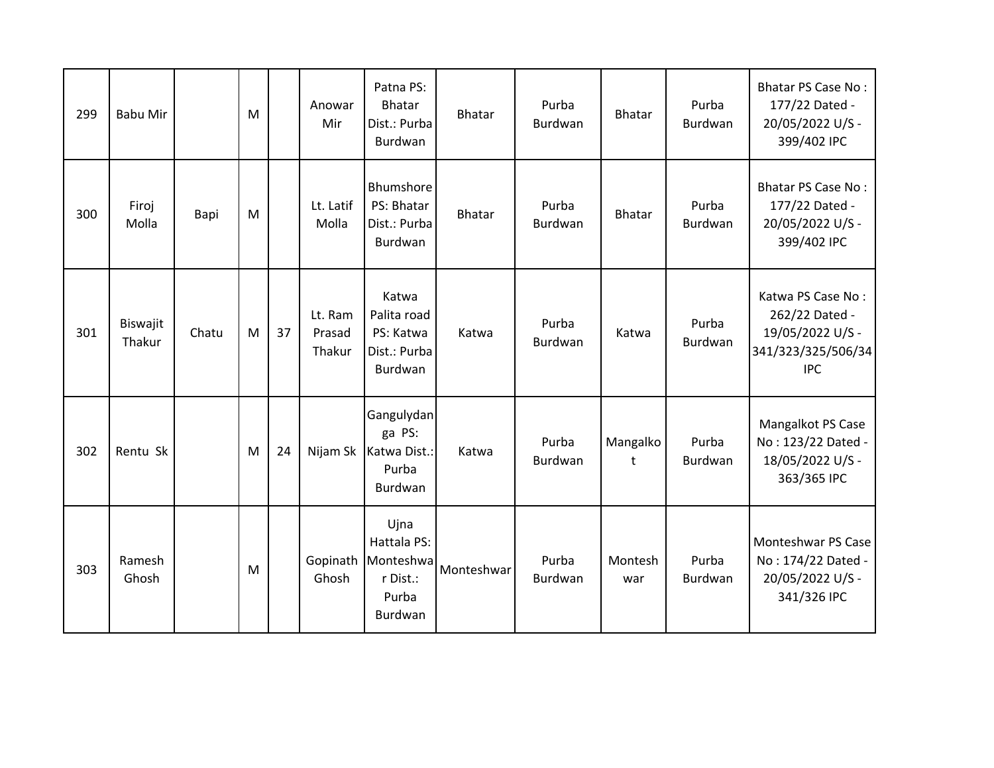| 299 | <b>Babu Mir</b>    |       | M |    | Anowar<br>Mir               | Patna PS:<br><b>Bhatar</b><br>Dist.: Purba<br><b>Burdwan</b>     | <b>Bhatar</b> | Purba<br>Burdwan | <b>Bhatar</b>  | Purba<br>Burdwan | <b>Bhatar PS Case No:</b><br>177/22 Dated -<br>20/05/2022 U/S -<br>399/402 IPC              |
|-----|--------------------|-------|---|----|-----------------------------|------------------------------------------------------------------|---------------|------------------|----------------|------------------|---------------------------------------------------------------------------------------------|
| 300 | Firoj<br>Molla     | Bapi  | M |    | Lt. Latif<br>Molla          | Bhumshore<br>PS: Bhatar<br>Dist.: Purba<br>Burdwan               | <b>Bhatar</b> | Purba<br>Burdwan | <b>Bhatar</b>  | Purba<br>Burdwan | <b>Bhatar PS Case No:</b><br>177/22 Dated -<br>20/05/2022 U/S -<br>399/402 IPC              |
| 301 | Biswajit<br>Thakur | Chatu | M | 37 | Lt. Ram<br>Prasad<br>Thakur | Katwa<br>Palita road<br>PS: Katwa<br>Dist.: Purba<br>Burdwan     | Katwa         | Purba<br>Burdwan | Katwa          | Purba<br>Burdwan | Katwa PS Case No:<br>262/22 Dated -<br>19/05/2022 U/S -<br>341/323/325/506/34<br><b>IPC</b> |
| 302 | Rentu Sk           |       | M | 24 | Nijam Sk                    | Gangulydan<br>ga PS:<br>Katwa Dist.:<br>Purba<br>Burdwan         | Katwa         | Purba<br>Burdwan | Mangalko<br>t  | Purba<br>Burdwan | Mangalkot PS Case<br>No: 123/22 Dated -<br>18/05/2022 U/S -<br>363/365 IPC                  |
| 303 | Ramesh<br>Ghosh    |       | M |    | Gopinath<br>Ghosh           | Ujna<br>Hattala PS:<br>Monteshwa<br>r Dist.:<br>Purba<br>Burdwan | Monteshwar    | Purba<br>Burdwan | Montesh<br>war | Purba<br>Burdwan | Monteshwar PS Case<br>No: 174/22 Dated -<br>20/05/2022 U/S -<br>341/326 IPC                 |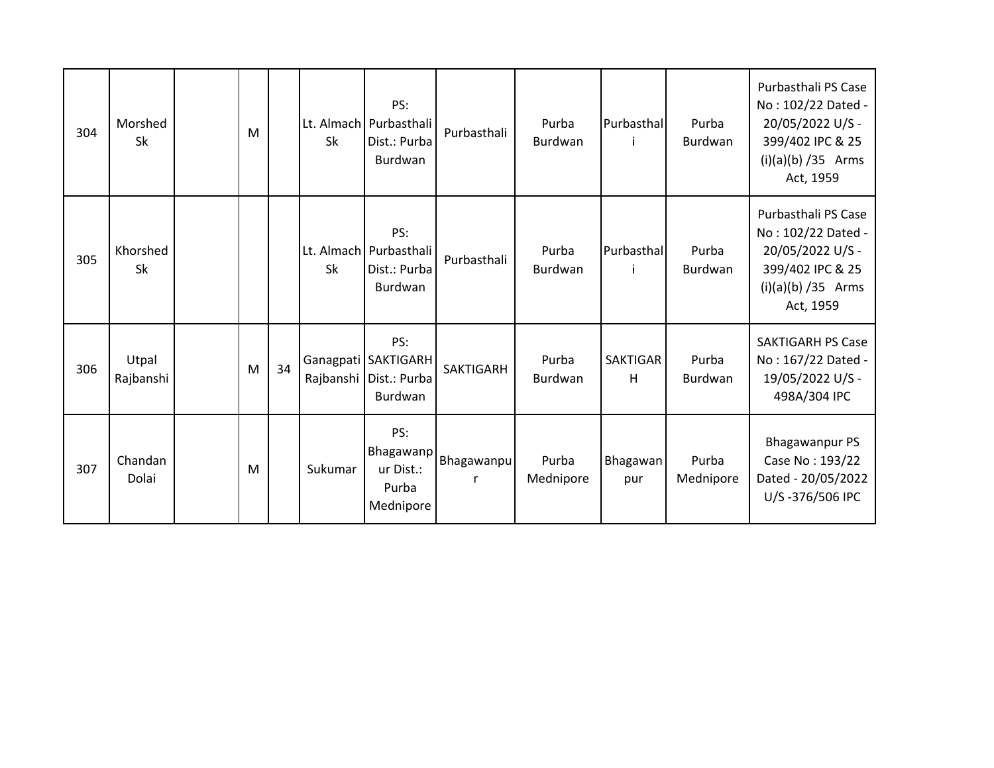| 304 | Morshed<br><b>Sk</b> | M |    | Sk        | PS:<br>Lt. Almach Purbasthali<br>Dist.: Purba<br>Burdwan                   | Purbasthali     | Purba<br><b>Burdwan</b> | Purbasthal           | Purba<br>Burdwan   | Purbasthali PS Case<br>No: 102/22 Dated -<br>20/05/2022 U/S -<br>399/402 IPC & 25<br>$(i)(a)(b) / 35$ Arms<br>Act, 1959 |
|-----|----------------------|---|----|-----------|----------------------------------------------------------------------------|-----------------|-------------------------|----------------------|--------------------|-------------------------------------------------------------------------------------------------------------------------|
| 305 | Khorshed<br>Sk       |   |    | <b>Sk</b> | PS:<br>Lt. Almach Purbasthali<br>Dist.: Purba<br><b>Burdwan</b>            | Purbasthali     | Purba<br><b>Burdwan</b> | Purbasthal           | Purba<br>Burdwan   | Purbasthali PS Case<br>No: 102/22 Dated -<br>20/05/2022 U/S -<br>399/402 IPC & 25<br>$(i)(a)(b)$ /35 Arms<br>Act, 1959  |
| 306 | Utpal<br>Rajbanshi   | M | 34 |           | PS:<br>Ganagpati   SAKTIGARH<br>Rajbanshi   Dist.: Purba<br><b>Burdwan</b> | SAKTIGARH       | Purba<br><b>Burdwan</b> | <b>SAKTIGAR</b><br>H | Purba<br>Burdwan   | <b>SAKTIGARH PS Case</b><br>No: 167/22 Dated -<br>19/05/2022 U/S -<br>498A/304 IPC                                      |
| 307 | Chandan<br>Dolai     | M |    | Sukumar   | PS:<br>Bhagawanp<br>ur Dist.:<br>Purba<br>Mednipore                        | Bhagawanpu<br>r | Purba<br>Mednipore      | Bhagawan<br>pur      | Purba<br>Mednipore | <b>Bhagawanpur PS</b><br>Case No: 193/22<br>Dated - 20/05/2022<br>U/S-376/506 IPC                                       |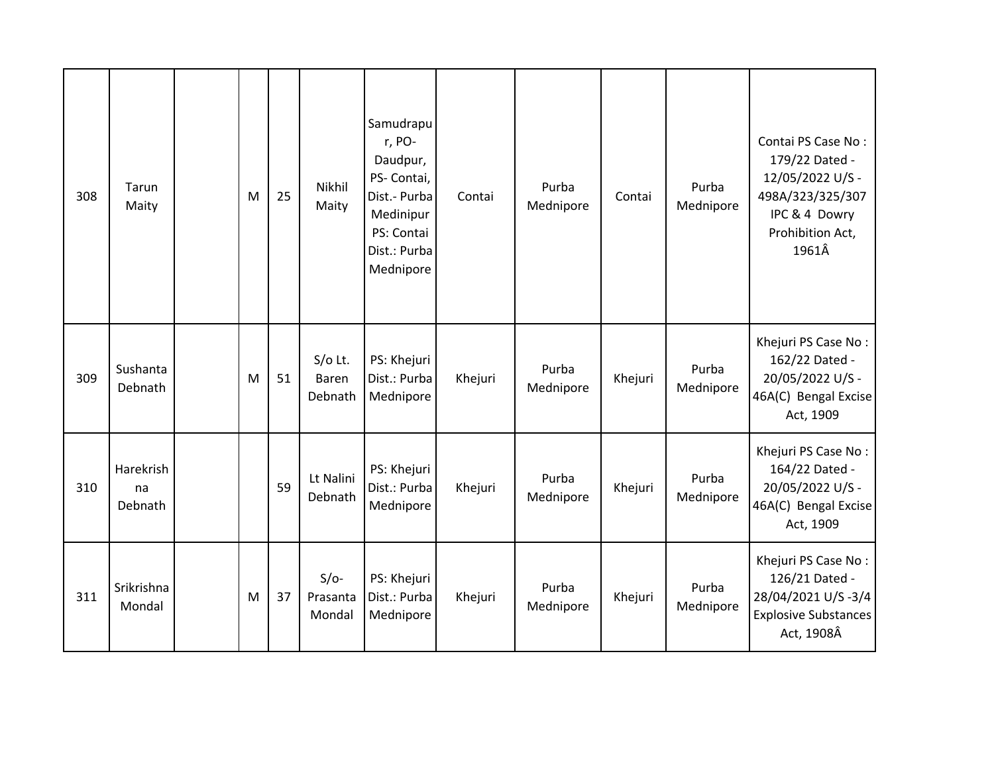| 308 | Tarun<br>Maity             | M | 25 | Nikhil<br>Maity               | Samudrapu<br>r, PO-<br>Daudpur,<br>PS- Contai,<br>Dist.- Purba<br>Medinipur<br>PS: Contai<br>Dist.: Purba<br>Mednipore | Contai  | Purba<br>Mednipore | Contai  | Purba<br>Mednipore | Contai PS Case No:<br>179/22 Dated -<br>12/05/2022 U/S -<br>498A/323/325/307<br>IPC & 4 Dowry<br>Prohibition Act,<br>1961Â |
|-----|----------------------------|---|----|-------------------------------|------------------------------------------------------------------------------------------------------------------------|---------|--------------------|---------|--------------------|----------------------------------------------------------------------------------------------------------------------------|
| 309 | Sushanta<br>Debnath        | M | 51 | $S/O$ Lt.<br>Baren<br>Debnath | PS: Khejuri<br>Dist.: Purba<br>Mednipore                                                                               | Khejuri | Purba<br>Mednipore | Khejuri | Purba<br>Mednipore | Khejuri PS Case No:<br>162/22 Dated -<br>20/05/2022 U/S -<br>46A(C) Bengal Excise<br>Act, 1909                             |
| 310 | Harekrish<br>na<br>Debnath |   | 59 | Lt Nalini<br>Debnath          | PS: Khejuri<br>Dist.: Purba<br>Mednipore                                                                               | Khejuri | Purba<br>Mednipore | Khejuri | Purba<br>Mednipore | Khejuri PS Case No:<br>164/22 Dated -<br>20/05/2022 U/S -<br>46A(C) Bengal Excise<br>Act, 1909                             |
| 311 | Srikrishna<br>Mondal       | M | 37 | $S/O-$<br>Prasanta<br>Mondal  | PS: Khejuri<br>Dist.: Purba<br>Mednipore                                                                               | Khejuri | Purba<br>Mednipore | Khejuri | Purba<br>Mednipore | Khejuri PS Case No:<br>126/21 Dated -<br>28/04/2021 U/S-3/4<br><b>Explosive Substances</b><br>Act, 1908Â                   |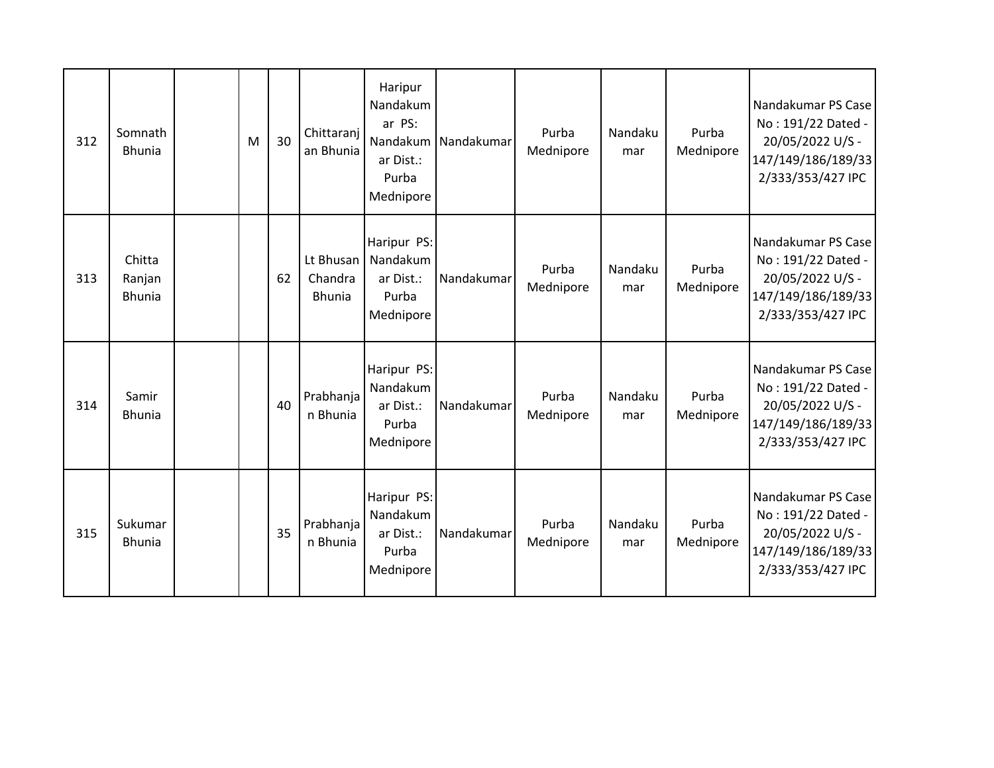| 312 | Somnath<br><b>Bhunia</b>          | M | 30 | Chittaranj<br>an Bhunia               | Haripur<br>Nandakum<br>ar PS:<br>Nandakum<br>ar Dist.:<br>Purba<br>Mednipore | Nandakumar | Purba<br>Mednipore | Nandaku<br>mar | Purba<br>Mednipore | Nandakumar PS Case<br>No: 191/22 Dated -<br>20/05/2022 U/S -<br>147/149/186/189/33<br>2/333/353/427 IPC |
|-----|-----------------------------------|---|----|---------------------------------------|------------------------------------------------------------------------------|------------|--------------------|----------------|--------------------|---------------------------------------------------------------------------------------------------------|
| 313 | Chitta<br>Ranjan<br><b>Bhunia</b> |   | 62 | Lt Bhusan<br>Chandra<br><b>Bhunia</b> | Haripur PS:<br>Nandakum<br>ar Dist.:<br>Purba<br>Mednipore                   | Nandakumar | Purba<br>Mednipore | Nandaku<br>mar | Purba<br>Mednipore | Nandakumar PS Case<br>No: 191/22 Dated -<br>20/05/2022 U/S -<br>147/149/186/189/33<br>2/333/353/427 IPC |
| 314 | Samir<br><b>Bhunia</b>            |   | 40 | Prabhanja<br>n Bhunia                 | Haripur PS:<br>Nandakum<br>ar Dist.:<br>Purba<br>Mednipore                   | Nandakumar | Purba<br>Mednipore | Nandaku<br>mar | Purba<br>Mednipore | Nandakumar PS Case<br>No: 191/22 Dated -<br>20/05/2022 U/S -<br>147/149/186/189/33<br>2/333/353/427 IPC |
| 315 | Sukumar<br><b>Bhunia</b>          |   | 35 | Prabhanja<br>n Bhunia                 | Haripur PS:<br>Nandakum<br>ar Dist.:<br>Purba<br>Mednipore                   | Nandakumar | Purba<br>Mednipore | Nandaku<br>mar | Purba<br>Mednipore | Nandakumar PS Case<br>No: 191/22 Dated -<br>20/05/2022 U/S -<br>147/149/186/189/33<br>2/333/353/427 IPC |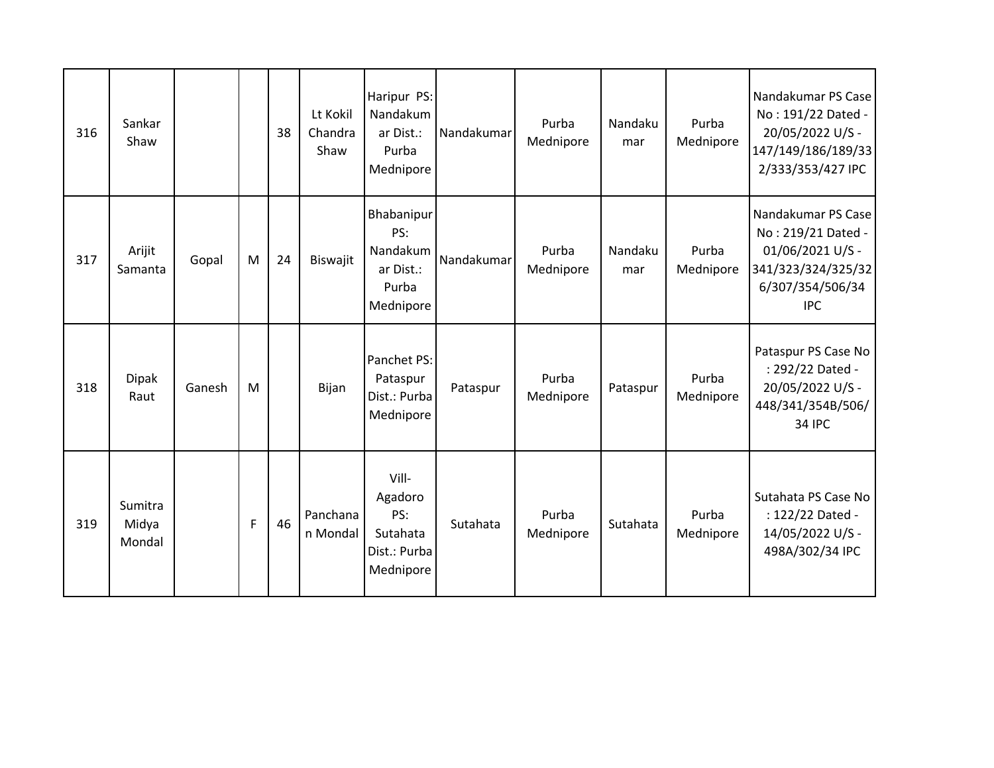| 316 | Sankar<br>Shaw             |        |   | 38 | Lt Kokil<br>Chandra<br>Shaw | Haripur PS:<br>Nandakum<br>ar Dist.:<br>Purba<br>Mednipore       | Nandakumar | Purba<br>Mednipore | Nandaku<br>mar | Purba<br>Mednipore | Nandakumar PS Case<br>No: 191/22 Dated -<br>20/05/2022 U/S -<br>147/149/186/189/33<br>2/333/353/427 IPC              |
|-----|----------------------------|--------|---|----|-----------------------------|------------------------------------------------------------------|------------|--------------------|----------------|--------------------|----------------------------------------------------------------------------------------------------------------------|
| 317 | Arijit<br>Samanta          | Gopal  | M | 24 | Biswajit                    | Bhabanipur<br>PS:<br>Nandakum<br>ar Dist.:<br>Purba<br>Mednipore | Nandakumar | Purba<br>Mednipore | Nandaku<br>mar | Purba<br>Mednipore | Nandakumar PS Case<br>No: 219/21 Dated -<br>01/06/2021 U/S -<br>341/323/324/325/32<br>6/307/354/506/34<br><b>IPC</b> |
| 318 | <b>Dipak</b><br>Raut       | Ganesh | M |    | Bijan                       | Panchet PS:<br>Pataspur<br>Dist.: Purba<br>Mednipore             | Pataspur   | Purba<br>Mednipore | Pataspur       | Purba<br>Mednipore | Pataspur PS Case No<br>: 292/22 Dated -<br>20/05/2022 U/S -<br>448/341/354B/506/<br>34 IPC                           |
| 319 | Sumitra<br>Midya<br>Mondal |        | F | 46 | Panchana<br>n Mondal        | Vill-<br>Agadoro<br>PS:<br>Sutahata<br>Dist.: Purba<br>Mednipore | Sutahata   | Purba<br>Mednipore | Sutahata       | Purba<br>Mednipore | Sutahata PS Case No<br>: 122/22 Dated -<br>14/05/2022 U/S -<br>498A/302/34 IPC                                       |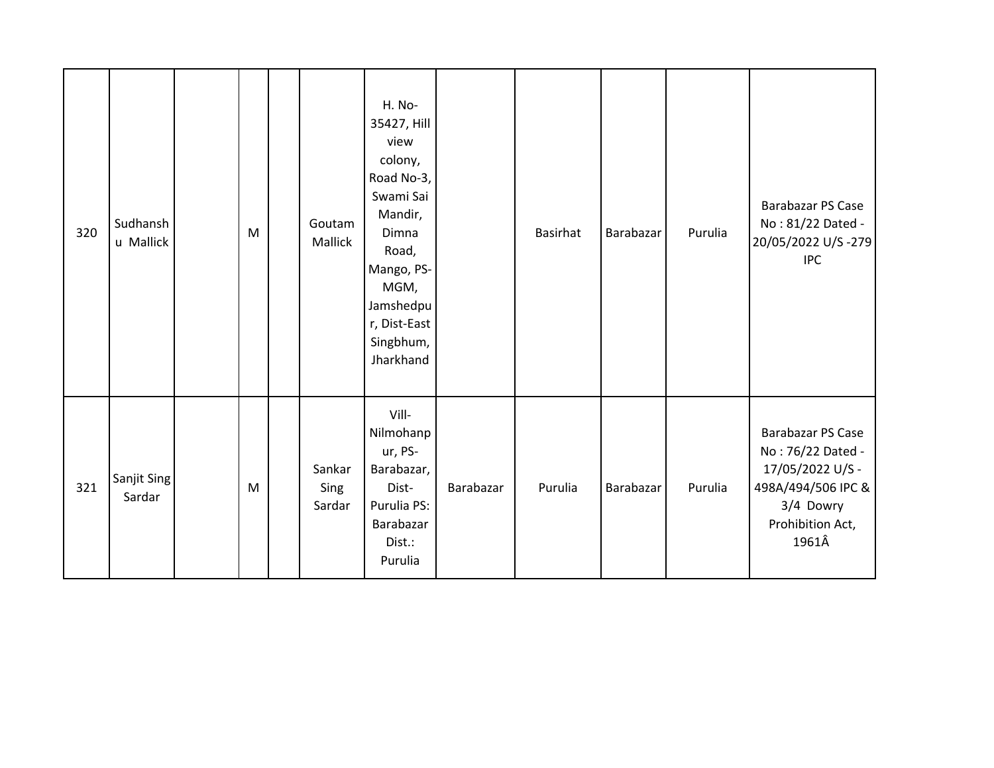| 320 | Sudhansh<br>u Mallick | M | Goutam<br>Mallick        | H. No-<br>35427, Hill<br>view<br>colony,<br>Road No-3,<br>Swami Sai<br>Mandir,<br>Dimna<br>Road,<br>Mango, PS-<br>MGM,<br>Jamshedpu<br>r, Dist-East<br>Singbhum,<br>Jharkhand |           | <b>Basirhat</b> | Barabazar | Purulia | <b>Barabazar PS Case</b><br>No: 81/22 Dated -<br>20/05/2022 U/S-279<br><b>IPC</b>                                                 |
|-----|-----------------------|---|--------------------------|-------------------------------------------------------------------------------------------------------------------------------------------------------------------------------|-----------|-----------------|-----------|---------|-----------------------------------------------------------------------------------------------------------------------------------|
| 321 | Sanjit Sing<br>Sardar | M | Sankar<br>Sing<br>Sardar | Vill-<br>Nilmohanp<br>ur, PS-<br>Barabazar,<br>Dist-<br>Purulia PS:<br>Barabazar<br>Dist.:<br>Purulia                                                                         | Barabazar | Purulia         | Barabazar | Purulia | <b>Barabazar PS Case</b><br>No: 76/22 Dated -<br>17/05/2022 U/S -<br>498A/494/506 IPC &<br>3/4 Dowry<br>Prohibition Act,<br>1961Â |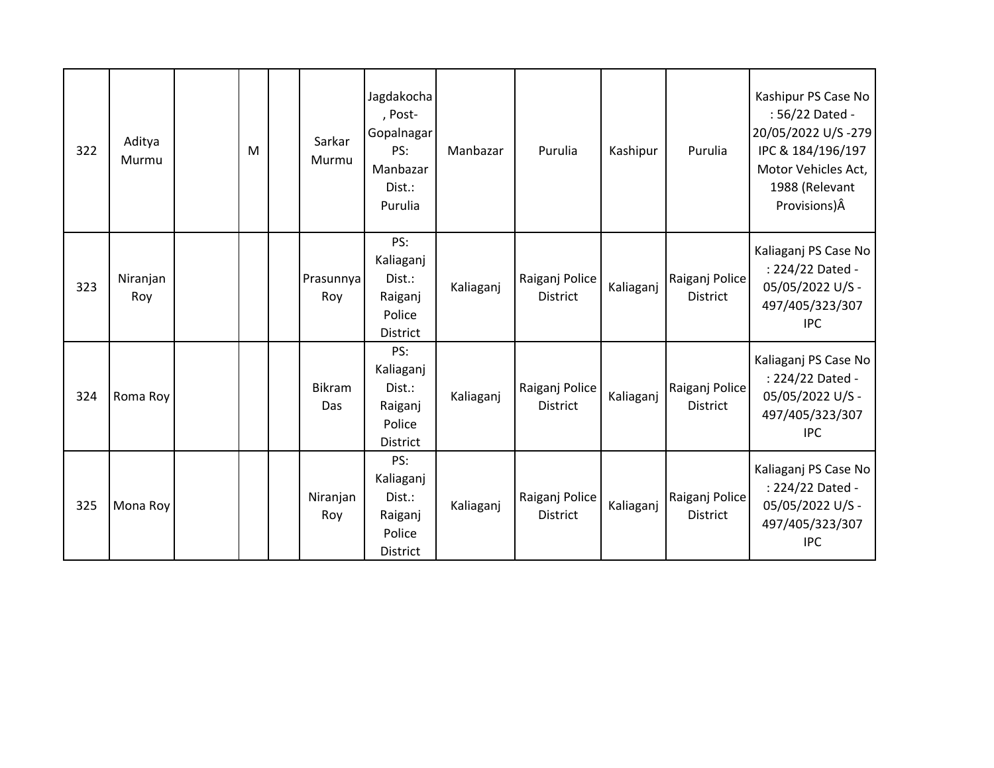| 322 | Aditya<br>Murmu | M | Sarkar<br>Murmu      | Jagdakocha<br>, Post-<br>Gopalnagar<br>PS:<br>Manbazar<br>Dist.:<br>Purulia | Manbazar  | Purulia                           | Kashipur  | Purulia                           | Kashipur PS Case No<br>: 56/22 Dated -<br>20/05/2022 U/S-279<br>IPC & 184/196/197<br>Motor Vehicles Act,<br>1988 (Relevant<br>Provisions) Â |
|-----|-----------------|---|----------------------|-----------------------------------------------------------------------------|-----------|-----------------------------------|-----------|-----------------------------------|---------------------------------------------------------------------------------------------------------------------------------------------|
| 323 | Niranjan<br>Roy |   | Prasunnya<br>Roy     | PS:<br>Kaliaganj<br>Dist.:<br>Raiganj<br>Police<br><b>District</b>          | Kaliaganj | Raiganj Police<br><b>District</b> | Kaliaganj | Raiganj Police<br><b>District</b> | Kaliaganj PS Case No<br>: 224/22 Dated -<br>05/05/2022 U/S -<br>497/405/323/307<br><b>IPC</b>                                               |
| 324 | Roma Roy        |   | <b>Bikram</b><br>Das | PS:<br>Kaliaganj<br>Dist.:<br>Raiganj<br>Police<br><b>District</b>          | Kaliaganj | Raiganj Police<br><b>District</b> | Kaliaganj | Raiganj Police<br><b>District</b> | Kaliaganj PS Case No<br>: 224/22 Dated -<br>05/05/2022 U/S -<br>497/405/323/307<br><b>IPC</b>                                               |
| 325 | Mona Roy        |   | Niranjan<br>Roy      | PS:<br>Kaliaganj<br>Dist.:<br>Raiganj<br>Police<br>District                 | Kaliaganj | Raiganj Police<br><b>District</b> | Kaliaganj | Raiganj Police<br><b>District</b> | Kaliaganj PS Case No<br>: 224/22 Dated -<br>05/05/2022 U/S -<br>497/405/323/307<br><b>IPC</b>                                               |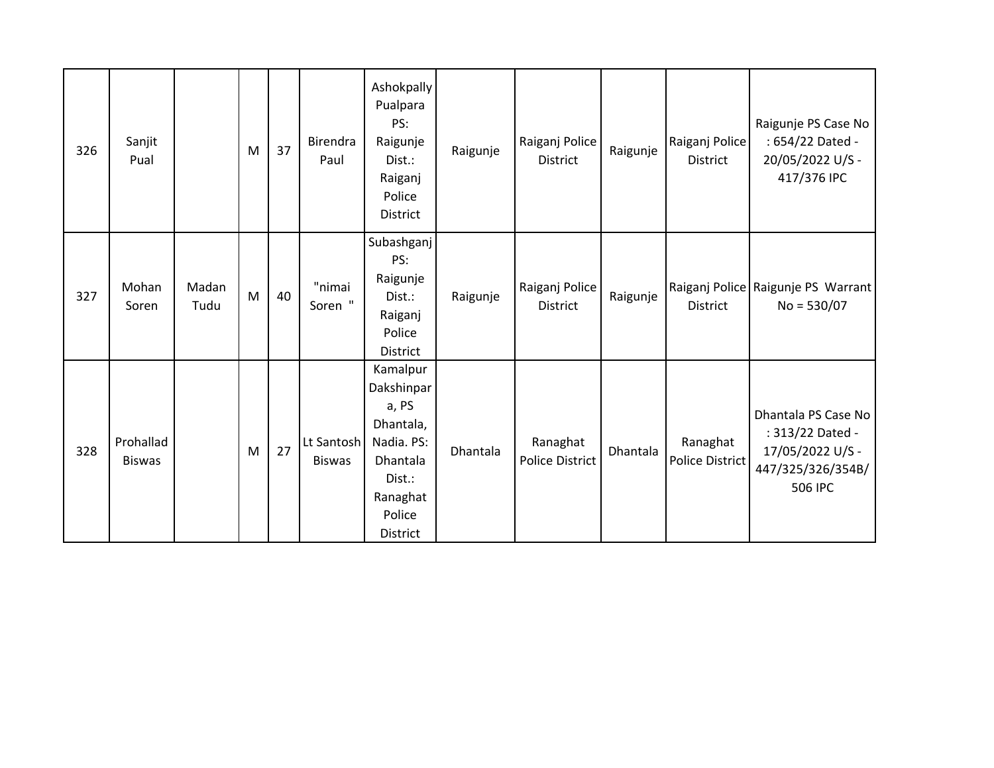| 326 | Sanjit<br>Pual             |               | M | 37 | Birendra<br>Paul            | Ashokpally<br>Pualpara<br>PS:<br>Raigunje<br>Dist.:<br>Raiganj<br>Police<br><b>District</b>                        | Raigunje | Raiganj Police<br><b>District</b>  | Raigunje | Raiganj Police<br><b>District</b> | Raigunje PS Case No<br>: 654/22 Dated -<br>20/05/2022 U/S -<br>417/376 IPC                  |
|-----|----------------------------|---------------|---|----|-----------------------------|--------------------------------------------------------------------------------------------------------------------|----------|------------------------------------|----------|-----------------------------------|---------------------------------------------------------------------------------------------|
| 327 | Mohan<br>Soren             | Madan<br>Tudu | M | 40 | "nimai<br>Soren "           | Subashganj<br>PS:<br>Raigunje<br>Dist.:<br>Raiganj<br>Police<br><b>District</b>                                    | Raigunje | Raiganj Police<br><b>District</b>  | Raigunje | <b>District</b>                   | Raiganj Police   Raigunje PS Warrant  <br>$No = 530/07$                                     |
| 328 | Prohallad<br><b>Biswas</b> |               | M | 27 | Lt Santosh<br><b>Biswas</b> | Kamalpur<br>Dakshinpar<br>a, PS<br>Dhantala,<br>Nadia. PS:<br>Dhantala<br>Dist.:<br>Ranaghat<br>Police<br>District | Dhantala | Ranaghat<br><b>Police District</b> | Dhantala | Ranaghat<br>Police District       | Dhantala PS Case No<br>: 313/22 Dated -<br>17/05/2022 U/S -<br>447/325/326/354B/<br>506 IPC |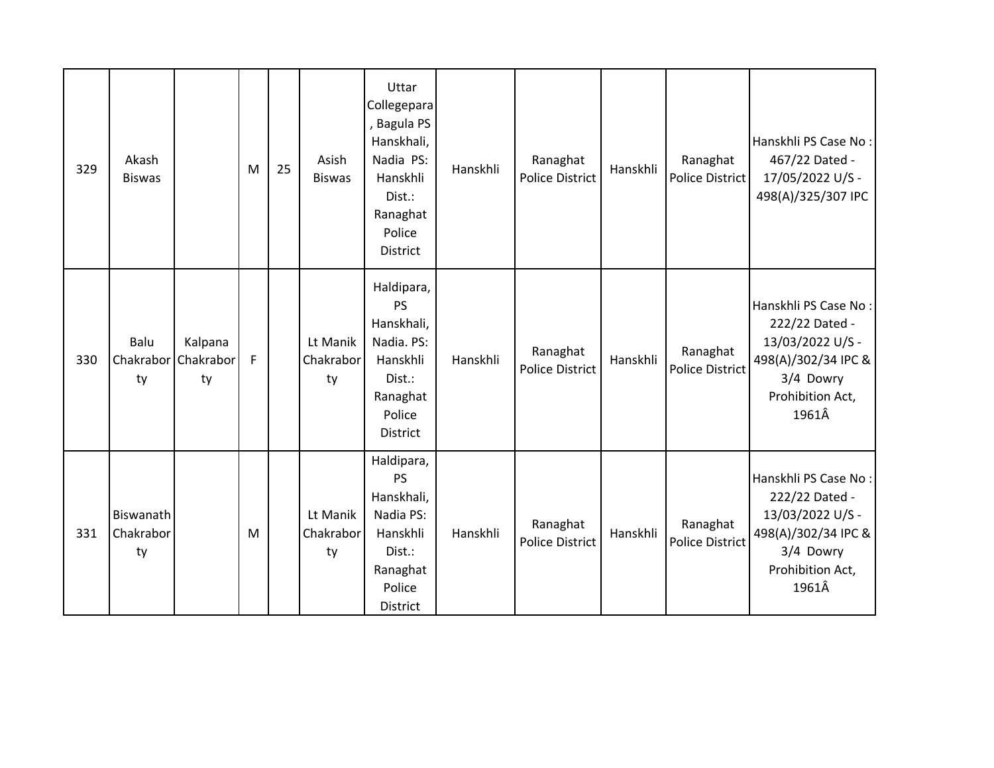| 329 | Akash<br><b>Biswas</b>       |                            | M | 25 | Asish<br><b>Biswas</b>      | Uttar<br>Collegepara<br>, Bagula PS<br>Hanskhali,<br>Nadia PS:<br>Hanskhli<br>Dist.:<br>Ranaghat<br>Police<br><b>District</b> | Hanskhli | Ranaghat<br><b>Police District</b> | Hanskhli | Ranaghat<br><b>Police District</b> | Hanskhli PS Case No:<br>467/22 Dated -<br>17/05/2022 U/S -<br>498(A)/325/307 IPC                                            |
|-----|------------------------------|----------------------------|---|----|-----------------------------|-------------------------------------------------------------------------------------------------------------------------------|----------|------------------------------------|----------|------------------------------------|-----------------------------------------------------------------------------------------------------------------------------|
| 330 | Balu<br>Chakrabor<br>ty      | Kalpana<br>Chakrabor<br>ty | F |    | Lt Manik<br>Chakrabor<br>ty | Haldipara,<br>PS<br>Hanskhali,<br>Nadia. PS:<br>Hanskhli<br>Dist.:<br>Ranaghat<br>Police<br><b>District</b>                   | Hanskhli | Ranaghat<br><b>Police District</b> | Hanskhli | Ranaghat<br><b>Police District</b> | Hanskhli PS Case No:<br>222/22 Dated -<br>13/03/2022 U/S -<br>498(A)/302/34 IPC &<br>3/4 Dowry<br>Prohibition Act,<br>1961Â |
| 331 | Biswanath<br>Chakrabor<br>ty |                            | M |    | Lt Manik<br>Chakrabor<br>ty | Haldipara,<br>PS<br>Hanskhali,<br>Nadia PS:<br>Hanskhli<br>Dist.:<br>Ranaghat<br>Police<br>District                           | Hanskhli | Ranaghat<br><b>Police District</b> | Hanskhli | Ranaghat<br><b>Police District</b> | Hanskhli PS Case No:<br>222/22 Dated -<br>13/03/2022 U/S -<br>498(A)/302/34 IPC &<br>3/4 Dowry<br>Prohibition Act,<br>1961Â |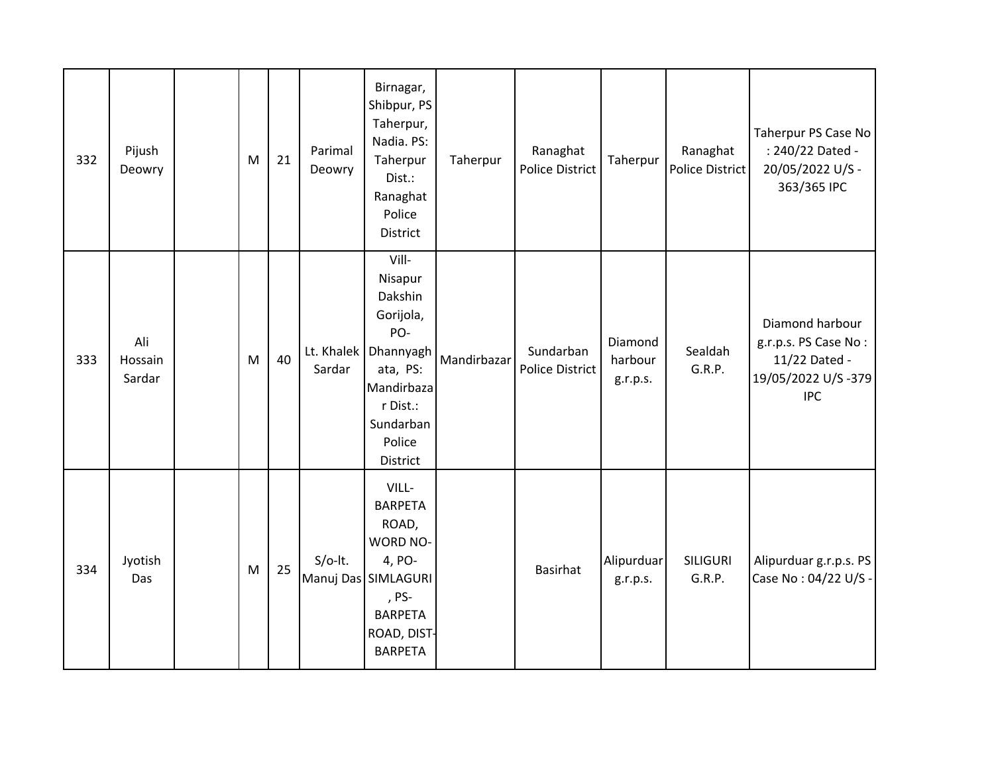| 332 | Pijush<br>Deowry         | M | 21 | Parimal<br>Deowry | Birnagar,<br>Shibpur, PS<br>Taherpur,<br>Nadia. PS:<br>Taherpur<br>Dist.:<br>Ranaghat<br>Police<br>District                                        | Taherpur    | Ranaghat<br><b>Police District</b>  | Taherpur                       | Ranaghat<br><b>Police District</b> | Taherpur PS Case No<br>: 240/22 Dated -<br>20/05/2022 U/S -<br>363/365 IPC                   |
|-----|--------------------------|---|----|-------------------|----------------------------------------------------------------------------------------------------------------------------------------------------|-------------|-------------------------------------|--------------------------------|------------------------------------|----------------------------------------------------------------------------------------------|
| 333 | Ali<br>Hossain<br>Sardar | M | 40 | Sardar            | Vill-<br>Nisapur<br>Dakshin<br>Gorijola,<br>PO-<br>Lt. Khalek   Dhannyagh<br>ata, PS:<br>Mandirbaza<br>r Dist.:<br>Sundarban<br>Police<br>District | Mandirbazar | Sundarban<br><b>Police District</b> | Diamond<br>harbour<br>g.r.p.s. | Sealdah<br>G.R.P.                  | Diamond harbour<br>g.r.p.s. PS Case No:<br>11/22 Dated -<br>19/05/2022 U/S-379<br><b>IPC</b> |
| 334 | Jyotish<br>Das           | M | 25 | $S/O-It.$         | VILL-<br><b>BARPETA</b><br>ROAD,<br><b>WORD NO-</b><br>4, PO-<br>Manuj Das SIMLAGURI<br>, PS-<br><b>BARPETA</b><br>ROAD, DIST-<br><b>BARPETA</b>   |             | <b>Basirhat</b>                     | Alipurduar<br>g.r.p.s.         | <b>SILIGURI</b><br>G.R.P.          | Alipurduar g.r.p.s. PS<br>Case No: 04/22 U/S -                                               |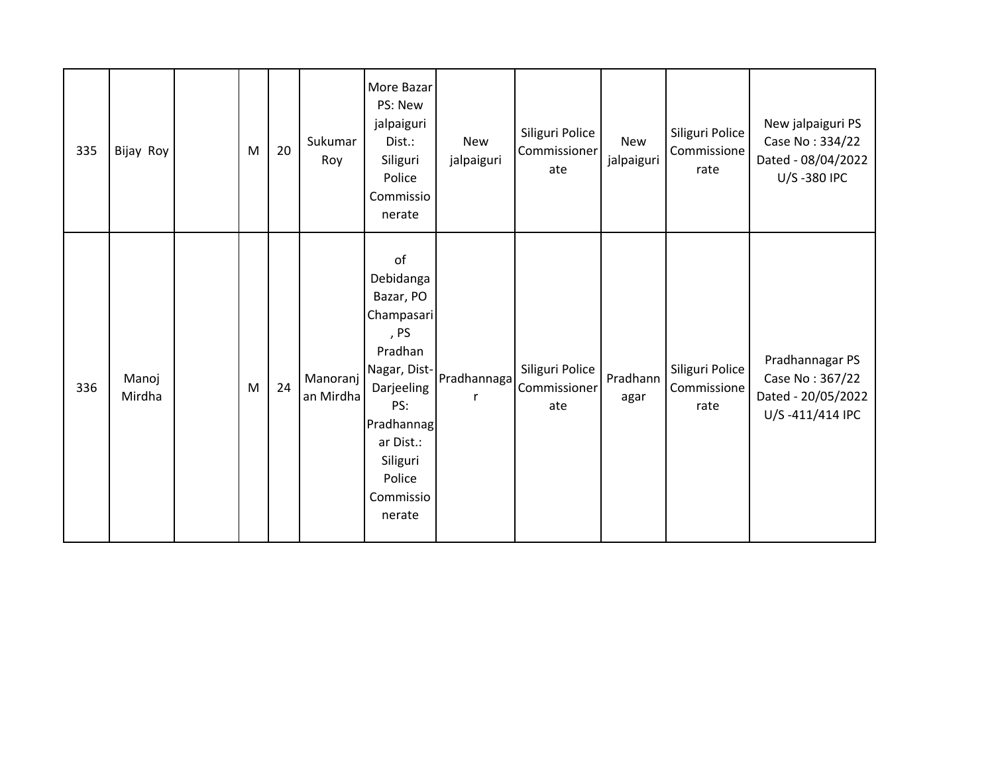| 335 | Bijay Roy       | M | 20 | Sukumar<br>Roy        | More Bazar<br>PS: New<br>jalpaiguri<br>Dist.:<br>Siliguri<br>Police<br>Commissio<br>nerate                                                                                 | <b>New</b><br>jalpaiguri | Siliguri Police<br>Commissioner<br>ate | <b>New</b><br>jalpaiguri | Siliguri Police<br>Commissione<br>rate | New jalpaiguri PS<br>Case No: 334/22<br>Dated - 08/04/2022<br>U/S-380 IPC   |
|-----|-----------------|---|----|-----------------------|----------------------------------------------------------------------------------------------------------------------------------------------------------------------------|--------------------------|----------------------------------------|--------------------------|----------------------------------------|-----------------------------------------------------------------------------|
| 336 | Manoj<br>Mirdha | M | 24 | Manoranj<br>an Mirdha | of<br>Debidanga<br>Bazar, PO<br>Champasari<br>, PS<br>Pradhan<br>Nagar, Dist-<br>Darjeeling<br>PS:<br>Pradhannag<br>ar Dist.:<br>Siliguri<br>Police<br>Commissio<br>nerate | Pradhannaga              | Siliguri Police<br>Commissioner<br>ate | Pradhann<br>agar         | Siliguri Police<br>Commissione<br>rate | Pradhannagar PS<br>Case No: 367/22<br>Dated - 20/05/2022<br>U/S-411/414 IPC |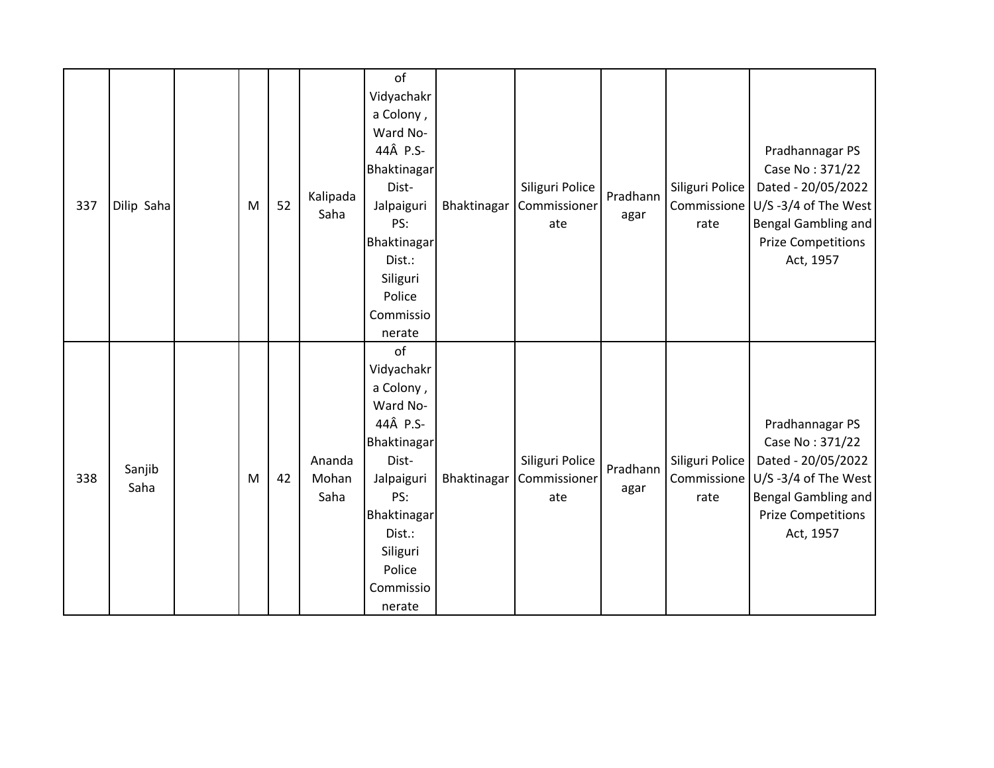| 337 | Dilip Saha     | M | 52 | Kalipada<br>Saha        | of<br>Vidyachakr<br>a Colony,<br>Ward No-<br>44Â P.S-<br>Bhaktinagar<br>Dist-<br>Jalpaiguri<br>PS:<br>Bhaktinagar<br>Dist.:<br>Siliguri                                  | Bhaktinagar | Siliguri Police<br>Commissioner<br>ate | Pradhann<br>agar | Siliguri Police<br>rate                | Pradhannagar PS<br>Case No: 371/22<br>Dated - 20/05/2022<br>Commissione $ U/S - 3/4$ of The West<br><b>Bengal Gambling and</b><br><b>Prize Competitions</b><br>Act, 1957 |
|-----|----------------|---|----|-------------------------|--------------------------------------------------------------------------------------------------------------------------------------------------------------------------|-------------|----------------------------------------|------------------|----------------------------------------|--------------------------------------------------------------------------------------------------------------------------------------------------------------------------|
|     |                |   |    |                         | Police<br>Commissio<br>nerate                                                                                                                                            |             |                                        |                  |                                        |                                                                                                                                                                          |
| 338 | Sanjib<br>Saha | M | 42 | Ananda<br>Mohan<br>Saha | of<br>Vidyachakr<br>a Colony,<br>Ward No-<br>44Â P.S-<br>Bhaktinagar<br>Dist-<br>Jalpaiguri<br>PS:<br>Bhaktinagar<br>Dist.:<br>Siliguri<br>Police<br>Commissio<br>nerate | Bhaktinagar | Siliguri Police<br>Commissioner<br>ate | Pradhann<br>agar | Siliguri Police<br>Commissione<br>rate | Pradhannagar PS<br>Case No: 371/22<br>Dated - 20/05/2022<br>$U/S - 3/4$ of The West<br><b>Bengal Gambling and</b><br><b>Prize Competitions</b><br>Act, 1957              |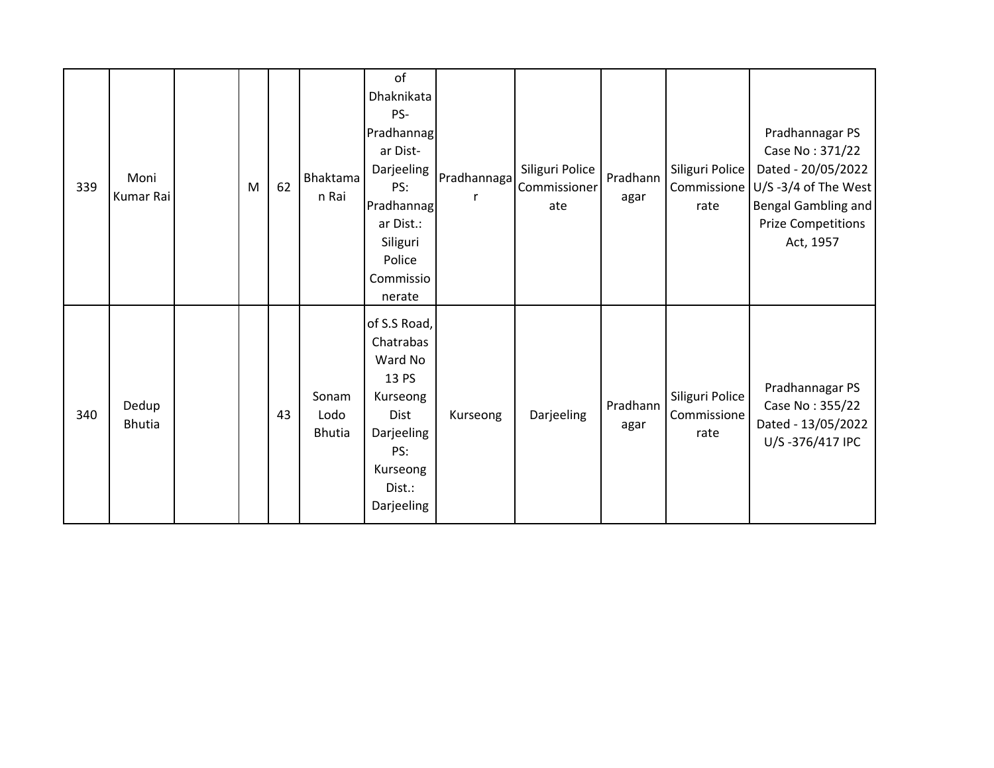| 339 | Moni<br>Kumar Rai      | M | 62 | Bhaktama<br>n Rai              | of<br>Dhaknikata<br>PS-<br>Pradhannag<br>ar Dist-<br>Darjeeling<br>PS:<br>Pradhannag<br>ar Dist.:<br>Siliguri<br>Police<br>Commissio<br>nerate | Pradhannaga | Siliguri Police<br>Commissioner<br>ate | Pradhann<br>agar | Siliguri Police<br>Commissione<br>rate | Pradhannagar PS<br>Case No: 371/22<br>Dated - 20/05/2022<br>$U/S -3/4$ of The West<br>Bengal Gambling and<br><b>Prize Competitions</b><br>Act, 1957 |
|-----|------------------------|---|----|--------------------------------|------------------------------------------------------------------------------------------------------------------------------------------------|-------------|----------------------------------------|------------------|----------------------------------------|-----------------------------------------------------------------------------------------------------------------------------------------------------|
| 340 | Dedup<br><b>Bhutia</b> |   | 43 | Sonam<br>Lodo<br><b>Bhutia</b> | of S.S Road,<br>Chatrabas<br>Ward No<br>13 PS<br>Kurseong<br><b>Dist</b><br>Darjeeling<br>PS:<br>Kurseong<br>Dist.:<br>Darjeeling              | Kurseong    | Darjeeling                             | Pradhann<br>agar | Siliguri Police<br>Commissione<br>rate | Pradhannagar PS<br>Case No: 355/22<br>Dated - 13/05/2022<br>U/S-376/417 IPC                                                                         |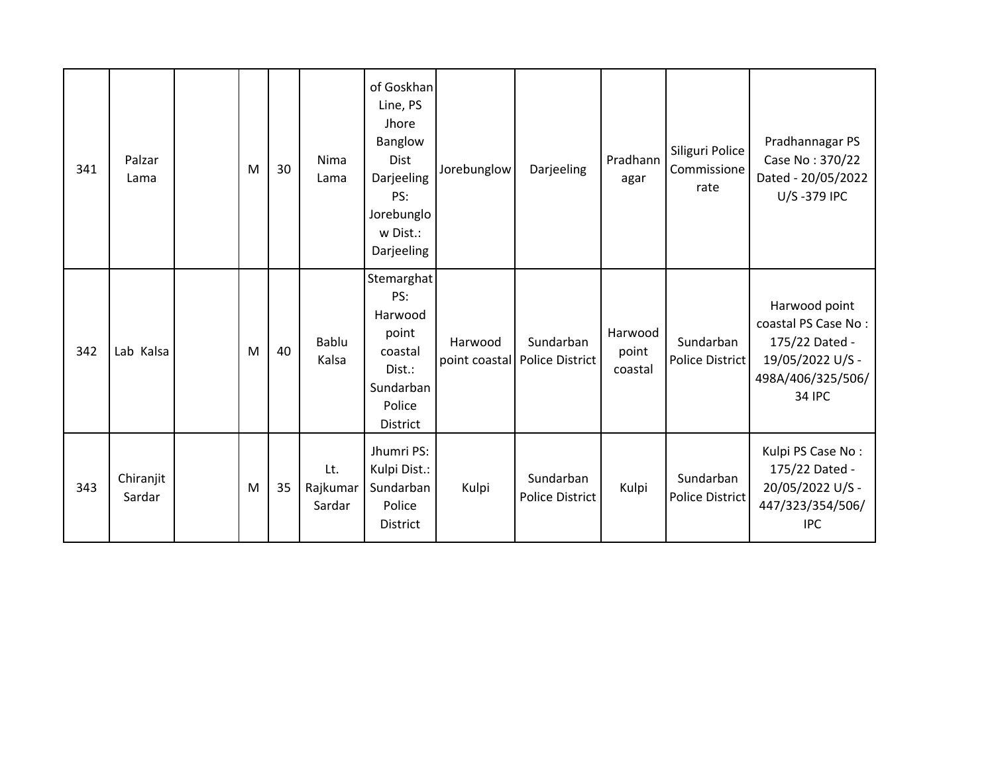| 341 | Palzar<br>Lama      | M | 30 | Nima<br>Lama              | of Goskhan<br>Line, PS<br>Jhore<br>Banglow<br>Dist<br>Darjeeling<br>PS:<br>Jorebunglo<br>w Dist.:<br>Darjeeling | Jorebunglow | Darjeeling                                 | Pradhann<br>agar            | Siliguri Police<br>Commissione<br>rate | Pradhannagar PS<br>Case No: 370/22<br>Dated - 20/05/2022<br>U/S-379 IPC                                          |
|-----|---------------------|---|----|---------------------------|-----------------------------------------------------------------------------------------------------------------|-------------|--------------------------------------------|-----------------------------|----------------------------------------|------------------------------------------------------------------------------------------------------------------|
| 342 | Lab Kalsa           | M | 40 | Bablu<br>Kalsa            | Stemarghat<br>PS:<br>Harwood<br>point<br>coastal<br>Dist.:<br>Sundarban<br>Police<br>District                   | Harwood     | Sundarban<br>point coastal Police District | Harwood<br>point<br>coastal | Sundarban<br>Police District           | Harwood point<br>coastal PS Case No:<br>175/22 Dated -<br>19/05/2022 U/S -<br>498A/406/325/506/<br><b>34 IPC</b> |
| 343 | Chiranjit<br>Sardar | M | 35 | Lt.<br>Rajkumar<br>Sardar | Jhumri PS:<br>Kulpi Dist.:<br>Sundarban<br>Police<br><b>District</b>                                            | Kulpi       | Sundarban<br><b>Police District</b>        | Kulpi                       | Sundarban<br><b>Police District</b>    | Kulpi PS Case No:<br>175/22 Dated -<br>20/05/2022 U/S -<br>447/323/354/506/<br><b>IPC</b>                        |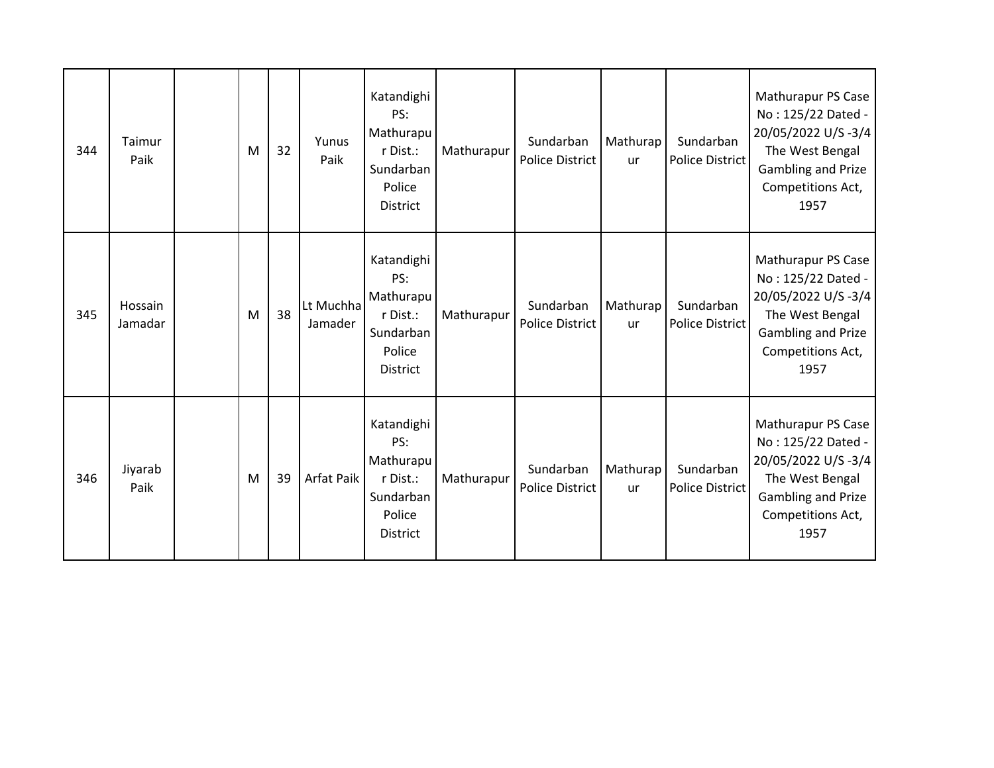| 344 | Taimur<br>Paik     | M | 32 | Yunus<br>Paik        | Katandighi<br>PS:<br>Mathurapu<br>r Dist.:<br>Sundarban<br>Police<br><b>District</b> | Mathurapur | Sundarban<br><b>Police District</b> | Mathurap<br><b>ur</b> | Sundarban<br><b>Police District</b> | Mathurapur PS Case<br>No: 125/22 Dated -<br>20/05/2022 U/S-3/4<br>The West Bengal<br>Gambling and Prize<br>Competitions Act,<br>1957        |
|-----|--------------------|---|----|----------------------|--------------------------------------------------------------------------------------|------------|-------------------------------------|-----------------------|-------------------------------------|---------------------------------------------------------------------------------------------------------------------------------------------|
| 345 | Hossain<br>Jamadar | M | 38 | Lt Muchha<br>Jamader | Katandighi<br>PS:<br>Mathurapu<br>r Dist.:<br>Sundarban<br>Police<br>District        | Mathurapur | Sundarban<br><b>Police District</b> | Mathurap<br><b>ur</b> | Sundarban<br><b>Police District</b> | Mathurapur PS Case<br>No: 125/22 Dated -<br>20/05/2022 U/S-3/4<br>The West Bengal<br>Gambling and Prize<br>Competitions Act,<br>1957        |
| 346 | Jiyarab<br>Paik    | M | 39 | Arfat Paik           | Katandighi<br>PS:<br>Mathurapu<br>r Dist.:<br>Sundarban<br>Police<br><b>District</b> | Mathurapur | Sundarban<br><b>Police District</b> | Mathurap<br><b>ur</b> | Sundarban<br><b>Police District</b> | Mathurapur PS Case<br>No: 125/22 Dated -<br>20/05/2022 U/S-3/4<br>The West Bengal<br><b>Gambling and Prize</b><br>Competitions Act,<br>1957 |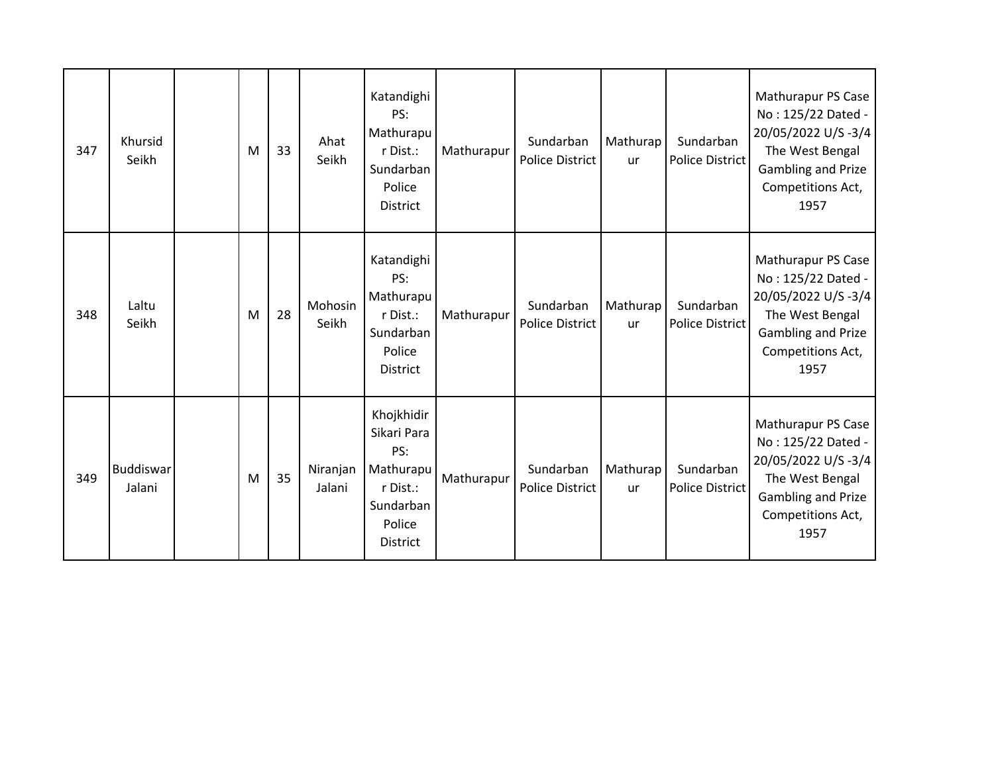| 347 | Khursid<br>Seikh           | M | 33 | Ahat<br>Seikh      | Katandighi<br>PS:<br>Mathurapu<br>r Dist.:<br>Sundarban<br>Police<br><b>District</b>                | Mathurapur | Sundarban<br><b>Police District</b> | Mathurap<br>ur | Sundarban<br><b>Police District</b> | Mathurapur PS Case<br>No: 125/22 Dated -<br>20/05/2022 U/S-3/4<br>The West Bengal<br><b>Gambling and Prize</b><br>Competitions Act,<br>1957 |
|-----|----------------------------|---|----|--------------------|-----------------------------------------------------------------------------------------------------|------------|-------------------------------------|----------------|-------------------------------------|---------------------------------------------------------------------------------------------------------------------------------------------|
| 348 | Laltu<br>Seikh             | M | 28 | Mohosin<br>Seikh   | Katandighi<br>PS:<br>Mathurapu<br>r Dist.:<br>Sundarban<br>Police<br>District                       | Mathurapur | Sundarban<br><b>Police District</b> | Mathurap<br>ur | Sundarban<br><b>Police District</b> | Mathurapur PS Case<br>No: 125/22 Dated -<br>20/05/2022 U/S-3/4<br>The West Bengal<br>Gambling and Prize<br>Competitions Act,<br>1957        |
| 349 | <b>Buddiswar</b><br>Jalani | M | 35 | Niranjan<br>Jalani | Khojkhidir<br>Sikari Para<br>PS:<br>Mathurapu<br>r Dist.:<br>Sundarban<br>Police<br><b>District</b> | Mathurapur | Sundarban<br><b>Police District</b> | Mathurap<br>ur | Sundarban<br><b>Police District</b> | Mathurapur PS Case<br>No: 125/22 Dated -<br>20/05/2022 U/S-3/4<br>The West Bengal<br>Gambling and Prize<br>Competitions Act,<br>1957        |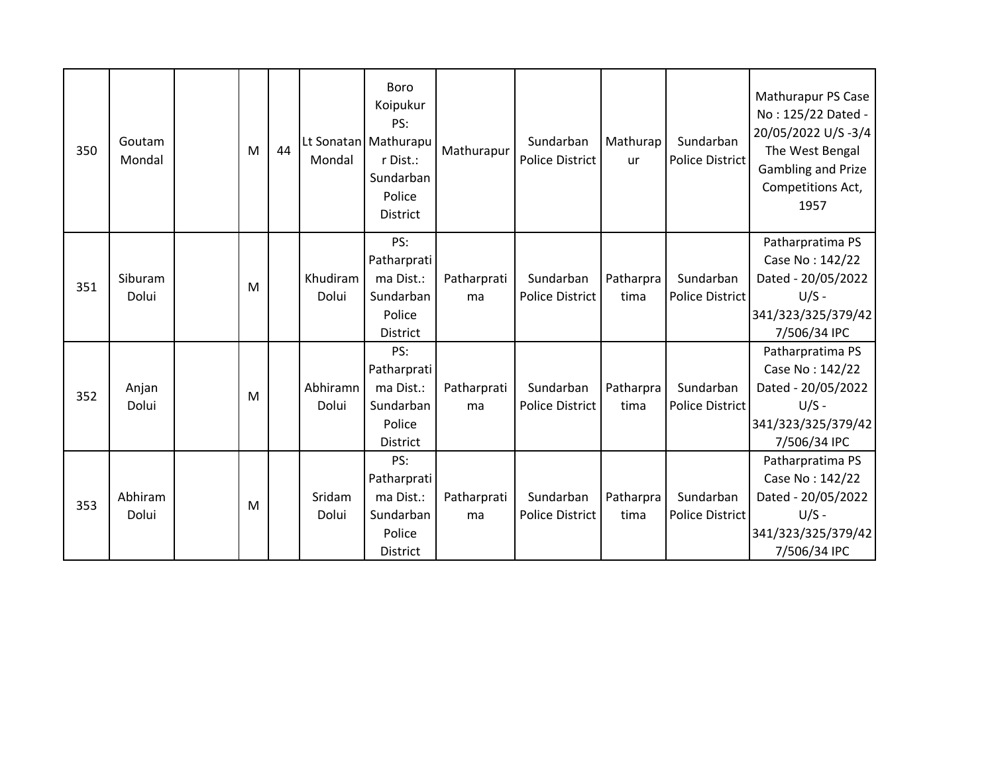| 350 | Goutam<br>Mondal | M | 44 | Mondal            | <b>Boro</b><br>Koipukur<br>PS:<br>Lt Sonatan   Mathurapu<br>r Dist.:<br>Sundarban<br>Police<br><b>District</b> | Mathurapur        | Sundarban<br><b>Police District</b> | Mathurap<br>ur    | Sundarban<br><b>Police District</b> | Mathurapur PS Case<br>No: 125/22 Dated -<br>20/05/2022 U/S-3/4<br>The West Bengal<br><b>Gambling and Prize</b><br>Competitions Act,<br>1957 |
|-----|------------------|---|----|-------------------|----------------------------------------------------------------------------------------------------------------|-------------------|-------------------------------------|-------------------|-------------------------------------|---------------------------------------------------------------------------------------------------------------------------------------------|
| 351 | Siburam<br>Dolui | M |    | Khudiram<br>Dolui | PS:<br>Patharprati<br>ma Dist.:<br>Sundarban<br>Police<br><b>District</b>                                      | Patharprati<br>ma | Sundarban<br><b>Police District</b> | Patharpra<br>tima | Sundarban<br>Police District        | Patharpratima PS<br>Case No: 142/22<br>Dated - 20/05/2022<br>$U/S -$<br>341/323/325/379/42<br>7/506/34 IPC                                  |
| 352 | Anjan<br>Dolui   | M |    | Abhiramn<br>Dolui | PS:<br>Patharprati<br>ma Dist.:<br>Sundarban<br>Police<br><b>District</b>                                      | Patharprati<br>ma | Sundarban<br><b>Police District</b> | Patharpra<br>tima | Sundarban<br>Police District        | Patharpratima PS<br>Case No: 142/22<br>Dated - 20/05/2022<br>$U/S -$<br>341/323/325/379/42<br>7/506/34 IPC                                  |
| 353 | Abhiram<br>Dolui | M |    | Sridam<br>Dolui   | PS:<br>Patharprati<br>ma Dist.:<br>Sundarban<br>Police<br><b>District</b>                                      | Patharprati<br>ma | Sundarban<br><b>Police District</b> | Patharpra<br>tima | Sundarban<br>Police District        | Patharpratima PS<br>Case No: 142/22<br>Dated - 20/05/2022<br>$U/S -$<br>341/323/325/379/42<br>7/506/34 IPC                                  |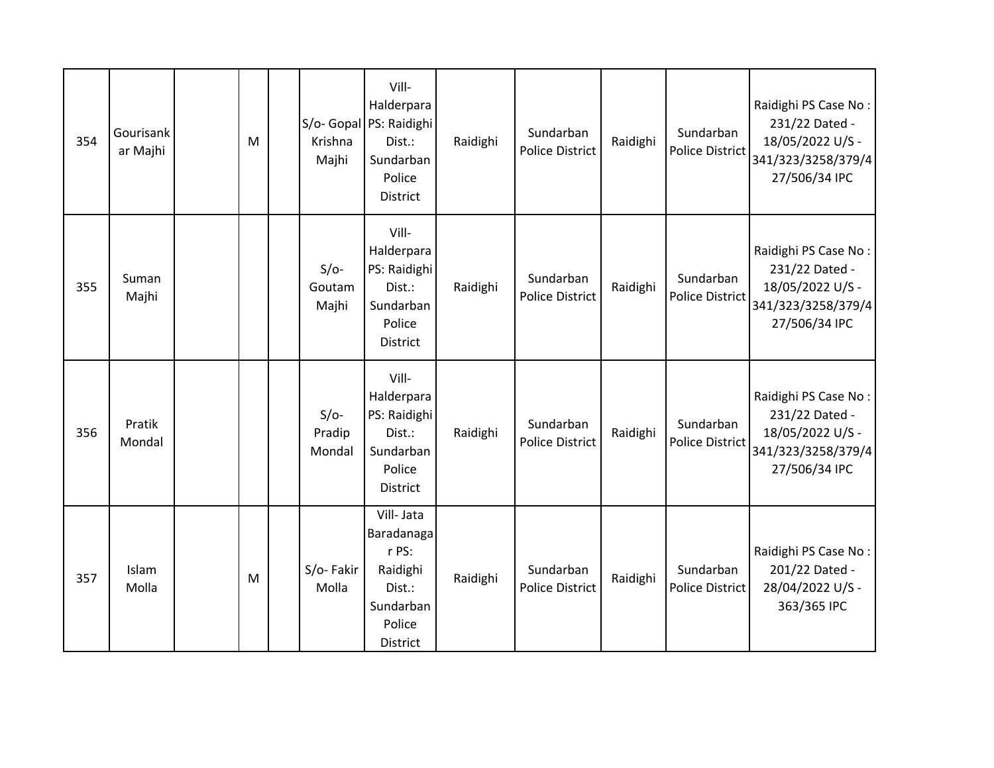| 354 | Gourisank<br>ar Majhi | M | Krishna<br>Majhi           | Vill-<br>Halderpara<br>S/o- Gopal PS: Raidighi<br>Dist.:<br>Sundarban<br>Police<br>District      | Raidighi | Sundarban<br><b>Police District</b> | Raidighi | Sundarban<br>Police District        | Raidighi PS Case No:<br>231/22 Dated -<br>18/05/2022 U/S -<br>341/323/3258/379/4<br>27/506/34 IPC |
|-----|-----------------------|---|----------------------------|--------------------------------------------------------------------------------------------------|----------|-------------------------------------|----------|-------------------------------------|---------------------------------------------------------------------------------------------------|
| 355 | Suman<br>Majhi        |   | $S/O-$<br>Goutam<br>Majhi  | Vill-<br>Halderpara<br>PS: Raidighi<br>Dist.:<br>Sundarban<br>Police<br>District                 | Raidighi | Sundarban<br><b>Police District</b> | Raidighi | Sundarban<br><b>Police District</b> | Raidighi PS Case No:<br>231/22 Dated -<br>18/05/2022 U/S -<br>341/323/3258/379/4<br>27/506/34 IPC |
| 356 | Pratik<br>Mondal      |   | $S/O-$<br>Pradip<br>Mondal | Vill-<br>Halderpara<br>PS: Raidighi<br>Dist.:<br>Sundarban<br>Police<br>District                 | Raidighi | Sundarban<br><b>Police District</b> | Raidighi | Sundarban<br><b>Police District</b> | Raidighi PS Case No:<br>231/22 Dated -<br>18/05/2022 U/S -<br>341/323/3258/379/4<br>27/506/34 IPC |
| 357 | Islam<br>Molla        | M | S/o-Fakir<br>Molla         | Vill-Jata<br>Baradanaga<br>r PS:<br>Raidighi<br>Dist.:<br>Sundarban<br>Police<br><b>District</b> | Raidighi | Sundarban<br><b>Police District</b> | Raidighi | Sundarban<br><b>Police District</b> | Raidighi PS Case No:<br>201/22 Dated -<br>28/04/2022 U/S -<br>363/365 IPC                         |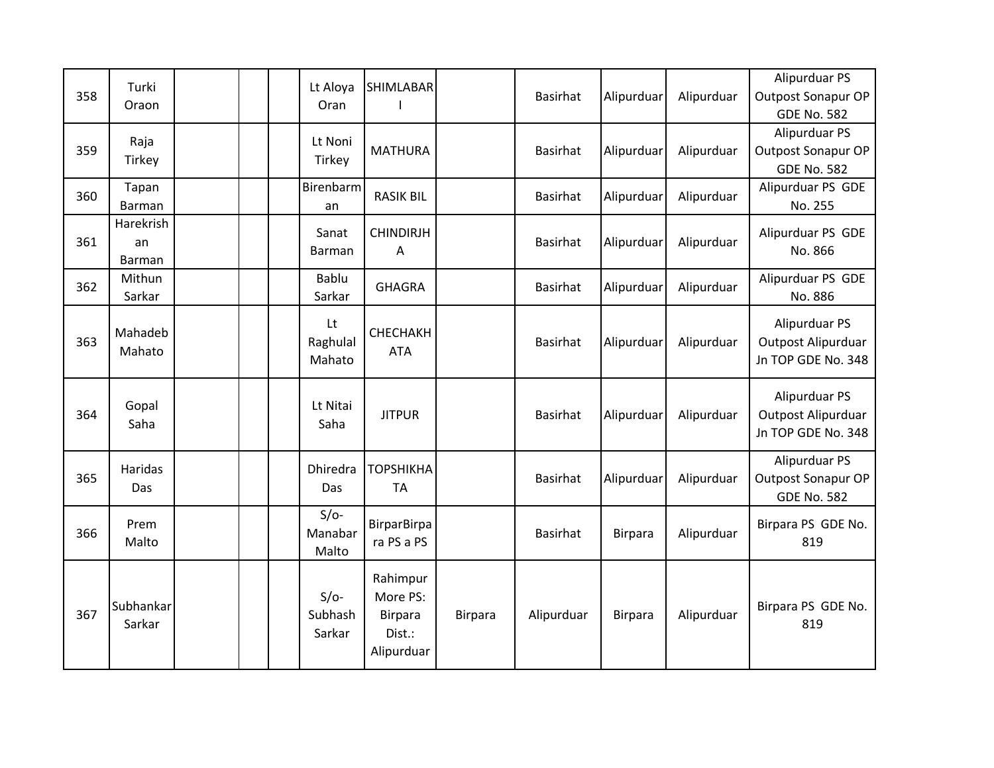| 358 | Turki<br>Oraon            |  | Lt Aloya<br>Oran            | <b>SHIMLABAR</b>                                               |                | <b>Basirhat</b> | Alipurduar     | Alipurduar | Alipurduar PS<br><b>Outpost Sonapur OP</b><br><b>GDE No. 582</b> |
|-----|---------------------------|--|-----------------------------|----------------------------------------------------------------|----------------|-----------------|----------------|------------|------------------------------------------------------------------|
| 359 | Raja<br>Tirkey            |  | Lt Noni<br>Tirkey           | <b>MATHURA</b>                                                 |                | <b>Basirhat</b> | Alipurduar     | Alipurduar | Alipurduar PS<br>Outpost Sonapur OP<br><b>GDE No. 582</b>        |
| 360 | Tapan<br>Barman           |  | Birenbarm<br>an             | <b>RASIK BIL</b>                                               |                | <b>Basirhat</b> | Alipurduar     | Alipurduar | Alipurduar PS GDE<br>No. 255                                     |
| 361 | Harekrish<br>an<br>Barman |  | Sanat<br>Barman             | <b>CHINDIRJH</b><br>A                                          |                | <b>Basirhat</b> | Alipurduar     | Alipurduar | Alipurduar PS GDE<br>No. 866                                     |
| 362 | Mithun<br>Sarkar          |  | Bablu<br>Sarkar             | <b>GHAGRA</b>                                                  |                | <b>Basirhat</b> | Alipurduar     | Alipurduar | Alipurduar PS GDE<br>No. 886                                     |
| 363 | Mahadeb<br>Mahato         |  | Lt<br>Raghulal<br>Mahato    | СНЕСНАКН<br><b>ATA</b>                                         |                | <b>Basirhat</b> | Alipurduar     | Alipurduar | Alipurduar PS<br>Outpost Alipurduar<br>Jn TOP GDE No. 348        |
| 364 | Gopal<br>Saha             |  | Lt Nitai<br>Saha            | <b>JITPUR</b>                                                  |                | <b>Basirhat</b> | Alipurduar     | Alipurduar | Alipurduar PS<br>Outpost Alipurduar<br>Jn TOP GDE No. 348        |
| 365 | Haridas<br>Das            |  | Dhiredra<br>Das             | <b>ТОРЅНІКНА</b><br><b>TA</b>                                  |                | <b>Basirhat</b> | Alipurduar     | Alipurduar | Alipurduar PS<br><b>Outpost Sonapur OP</b><br><b>GDE No. 582</b> |
| 366 | Prem<br>Malto             |  | $S/O-$<br>Manabar<br>Malto  | <b>BirparBirpa</b><br>ra PS a PS                               |                | <b>Basirhat</b> | <b>Birpara</b> | Alipurduar | Birpara PS GDE No.<br>819                                        |
| 367 | Subhankar<br>Sarkar       |  | $S/O-$<br>Subhash<br>Sarkar | Rahimpur<br>More PS:<br><b>Birpara</b><br>Dist.:<br>Alipurduar | <b>Birpara</b> | Alipurduar      | <b>Birpara</b> | Alipurduar | Birpara PS GDE No.<br>819                                        |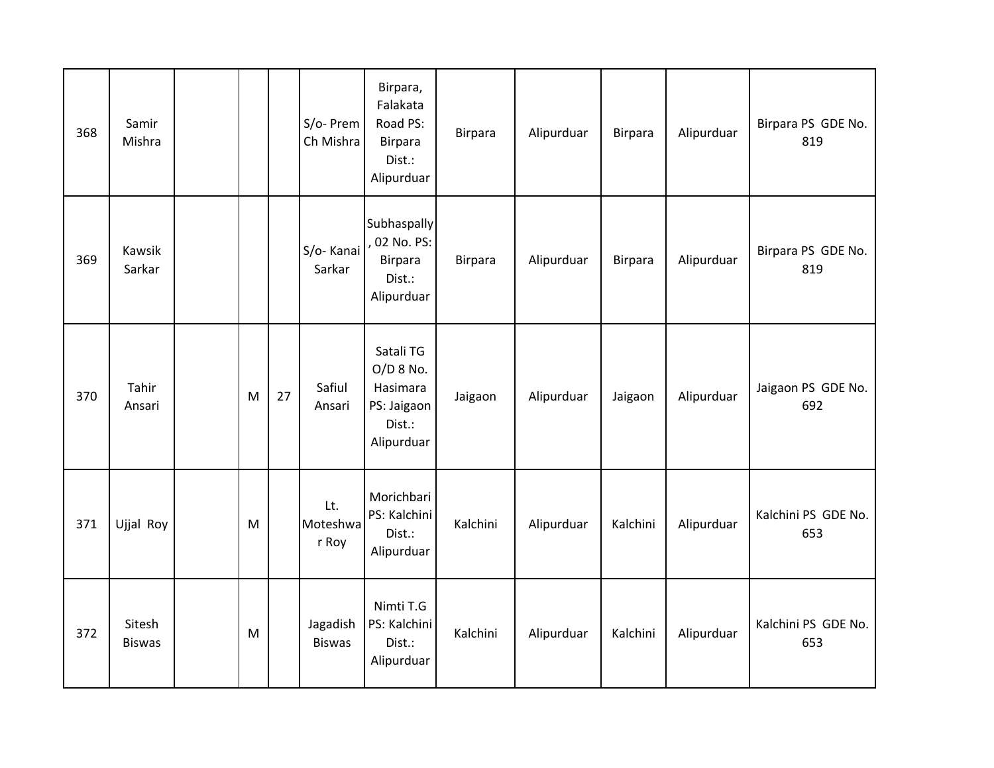| 368 | Samir<br>Mishra         |   |    | S/o- Prem<br>Ch Mishra    | Birpara,<br>Falakata<br>Road PS:<br>Birpara<br>Dist.:<br>Alipurduar         | <b>Birpara</b> | Alipurduar | <b>Birpara</b> | Alipurduar | Birpara PS GDE No.<br>819  |
|-----|-------------------------|---|----|---------------------------|-----------------------------------------------------------------------------|----------------|------------|----------------|------------|----------------------------|
| 369 | Kawsik<br>Sarkar        |   |    | S/o-Kanai<br>Sarkar       | Subhaspally<br>02 No. PS:<br>Birpara<br>Dist.:<br>Alipurduar                | <b>Birpara</b> | Alipurduar | <b>Birpara</b> | Alipurduar | Birpara PS GDE No.<br>819  |
| 370 | Tahir<br>Ansari         | M | 27 | Safiul<br>Ansari          | Satali TG<br>$O/D$ 8 No.<br>Hasimara<br>PS: Jaigaon<br>Dist.:<br>Alipurduar | Jaigaon        | Alipurduar | Jaigaon        | Alipurduar | Jaigaon PS GDE No.<br>692  |
| 371 | Ujjal Roy               | M |    | Lt.<br>Moteshwa<br>r Roy  | Morichbari<br>PS: Kalchini<br>Dist.:<br>Alipurduar                          | Kalchini       | Alipurduar | Kalchini       | Alipurduar | Kalchini PS GDE No.<br>653 |
| 372 | Sitesh<br><b>Biswas</b> | M |    | Jagadish<br><b>Biswas</b> | Nimti T.G<br>PS: Kalchini<br>Dist.:<br>Alipurduar                           | Kalchini       | Alipurduar | Kalchini       | Alipurduar | Kalchini PS GDE No.<br>653 |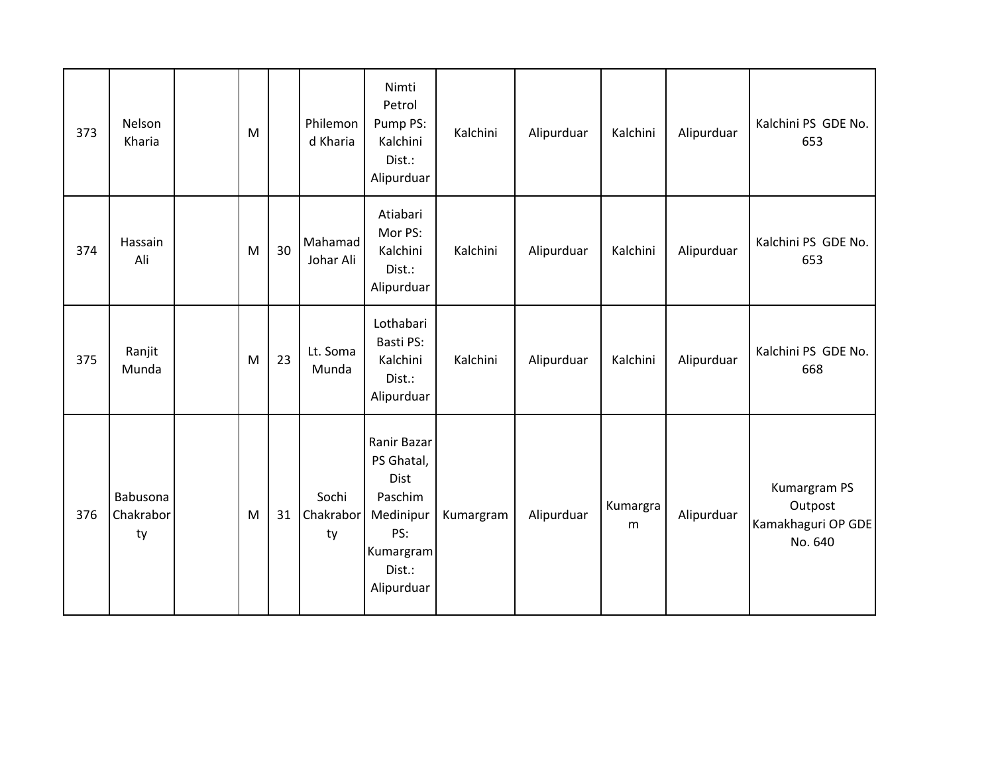| 373 | Nelson<br>Kharia            | M |    | Philemon<br>d Kharia     | Nimti<br>Petrol<br>Pump PS:<br>Kalchini<br>Dist.:<br>Alipurduar                                       | Kalchini  | Alipurduar | Kalchini      | Alipurduar | Kalchini PS GDE No.<br>653                               |
|-----|-----------------------------|---|----|--------------------------|-------------------------------------------------------------------------------------------------------|-----------|------------|---------------|------------|----------------------------------------------------------|
| 374 | Hassain<br>Ali              | M | 30 | Mahamad<br>Johar Ali     | Atiabari<br>Mor PS:<br>Kalchini<br>Dist.:<br>Alipurduar                                               | Kalchini  | Alipurduar | Kalchini      | Alipurduar | Kalchini PS GDE No.<br>653                               |
| 375 | Ranjit<br>Munda             | M | 23 | Lt. Soma<br>Munda        | Lothabari<br>Basti PS:<br>Kalchini<br>Dist.:<br>Alipurduar                                            | Kalchini  | Alipurduar | Kalchini      | Alipurduar | Kalchini PS GDE No.<br>668                               |
| 376 | Babusona<br>Chakrabor<br>ty | M | 31 | Sochi<br>Chakrabor<br>ty | Ranir Bazar<br>PS Ghatal,<br>Dist<br>Paschim<br>Medinipur<br>PS:<br>Kumargram<br>Dist.:<br>Alipurduar | Kumargram | Alipurduar | Kumargra<br>m | Alipurduar | Kumargram PS<br>Outpost<br>Kamakhaguri OP GDE<br>No. 640 |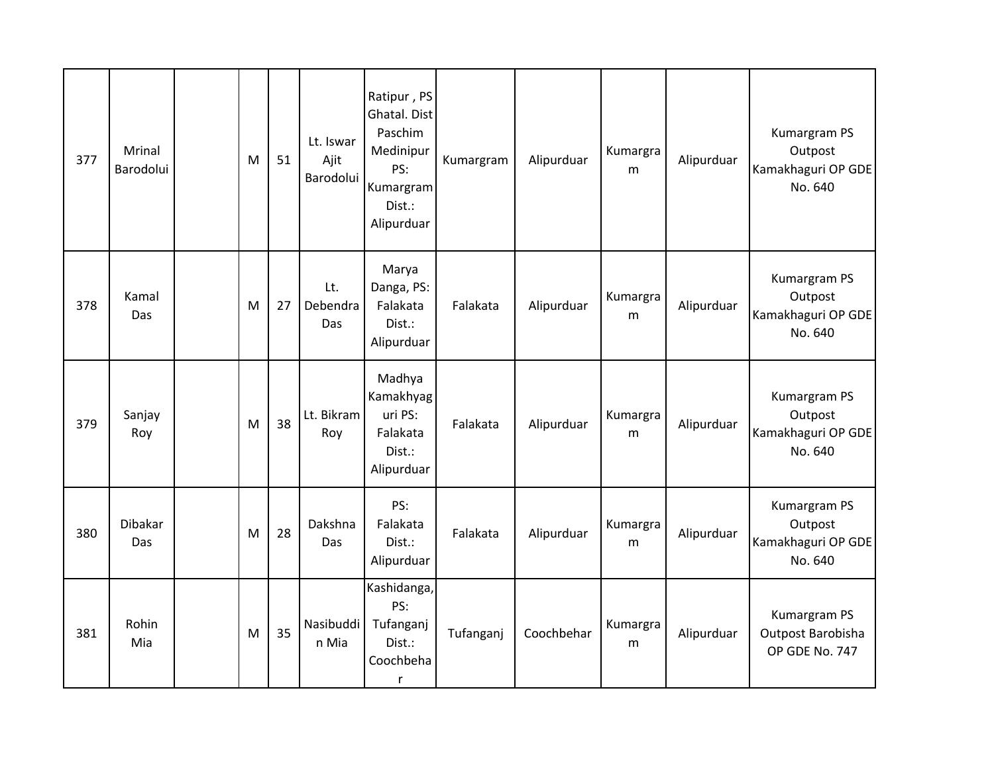| 377 | <b>Mrinal</b><br>Barodolui | M | 51 | Lt. Iswar<br>Ajit<br>Barodolui | Ratipur, PS<br>Ghatal. Dist<br>Paschim<br>Medinipur<br>PS:<br>Kumargram<br>Dist.:<br>Alipurduar | Kumargram | Alipurduar | Kumargra<br>m | Alipurduar | Kumargram PS<br>Outpost<br>Kamakhaguri OP GDE<br>No. 640 |
|-----|----------------------------|---|----|--------------------------------|-------------------------------------------------------------------------------------------------|-----------|------------|---------------|------------|----------------------------------------------------------|
| 378 | Kamal<br>Das               | M | 27 | Lt.<br>Debendra<br><b>Das</b>  | Marya<br>Danga, PS:<br>Falakata<br>Dist.:<br>Alipurduar                                         | Falakata  | Alipurduar | Kumargra<br>m | Alipurduar | Kumargram PS<br>Outpost<br>Kamakhaguri OP GDE<br>No. 640 |
| 379 | Sanjay<br>Roy              | M | 38 | Lt. Bikram<br>Roy              | Madhya<br>Kamakhyag<br>uri PS:<br>Falakata<br>Dist.:<br>Alipurduar                              | Falakata  | Alipurduar | Kumargra<br>m | Alipurduar | Kumargram PS<br>Outpost<br>Kamakhaguri OP GDE<br>No. 640 |
| 380 | Dibakar<br>Das             | M | 28 | Dakshna<br>Das                 | PS:<br>Falakata<br>Dist.:<br>Alipurduar                                                         | Falakata  | Alipurduar | Kumargra<br>m | Alipurduar | Kumargram PS<br>Outpost<br>Kamakhaguri OP GDE<br>No. 640 |
| 381 | Rohin<br>Mia               | M | 35 | Nasibuddi<br>n Mia             | Kashidanga,<br>PS:<br>Tufanganj<br>Dist.:<br>Coochbeha<br>r                                     | Tufanganj | Coochbehar | Kumargra<br>m | Alipurduar | Kumargram PS<br>Outpost Barobisha<br>OP GDE No. 747      |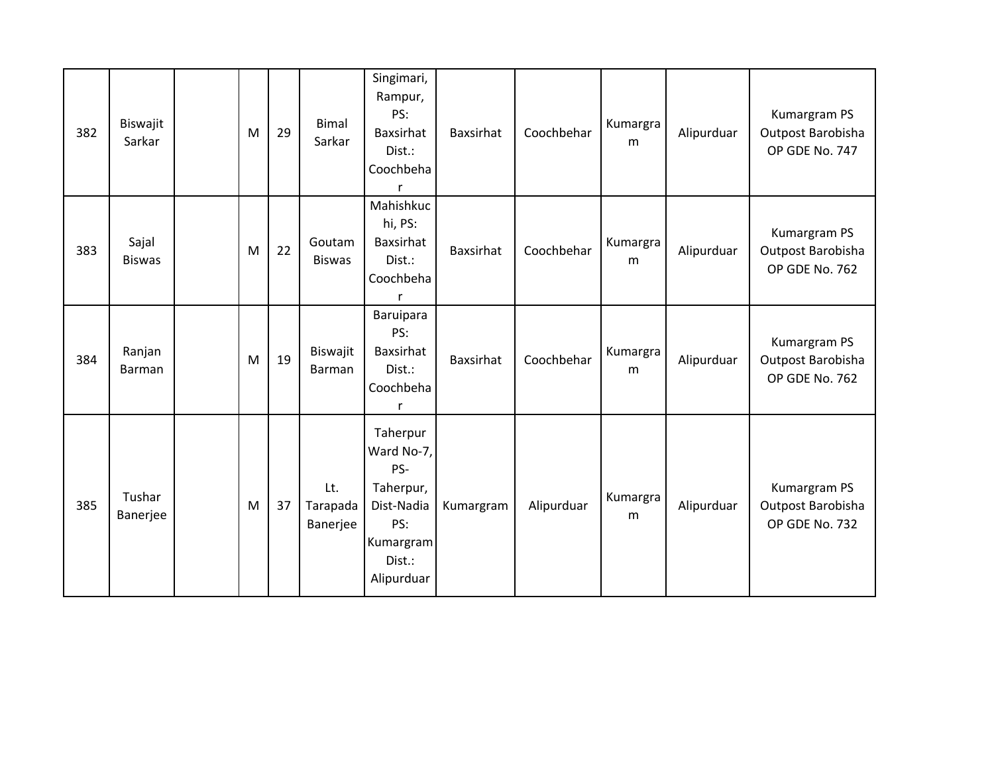| 382 | Biswajit<br>Sarkar     | M | 29 | <b>Bimal</b><br>Sarkar      | Singimari,<br>Rampur,<br>PS:<br>Baxsirhat<br>Dist.:<br>Coochbeha                                     | Baxsirhat        | Coochbehar | Kumargra<br>m | Alipurduar | Kumargram PS<br>Outpost Barobisha<br>OP GDE No. 747 |
|-----|------------------------|---|----|-----------------------------|------------------------------------------------------------------------------------------------------|------------------|------------|---------------|------------|-----------------------------------------------------|
| 383 | Sajal<br><b>Biswas</b> | M | 22 | Goutam<br><b>Biswas</b>     | Mahishkuc<br>hi, PS:<br>Baxsirhat<br>Dist.:<br>Coochbeha<br>$\mathsf{r}$                             | <b>Baxsirhat</b> | Coochbehar | Kumargra<br>m | Alipurduar | Kumargram PS<br>Outpost Barobisha<br>OP GDE No. 762 |
| 384 | Ranjan<br>Barman       | M | 19 | Biswajit<br>Barman          | Baruipara<br>PS:<br>Baxsirhat<br>Dist.:<br>Coochbeha<br>r                                            | <b>Baxsirhat</b> | Coochbehar | Kumargra<br>m | Alipurduar | Kumargram PS<br>Outpost Barobisha<br>OP GDE No. 762 |
| 385 | Tushar<br>Banerjee     | M | 37 | Lt.<br>Tarapada<br>Banerjee | Taherpur<br>Ward No-7,<br>PS-<br>Taherpur,<br>Dist-Nadia<br>PS:<br>Kumargram<br>Dist.:<br>Alipurduar | Kumargram        | Alipurduar | Kumargra<br>m | Alipurduar | Kumargram PS<br>Outpost Barobisha<br>OP GDE No. 732 |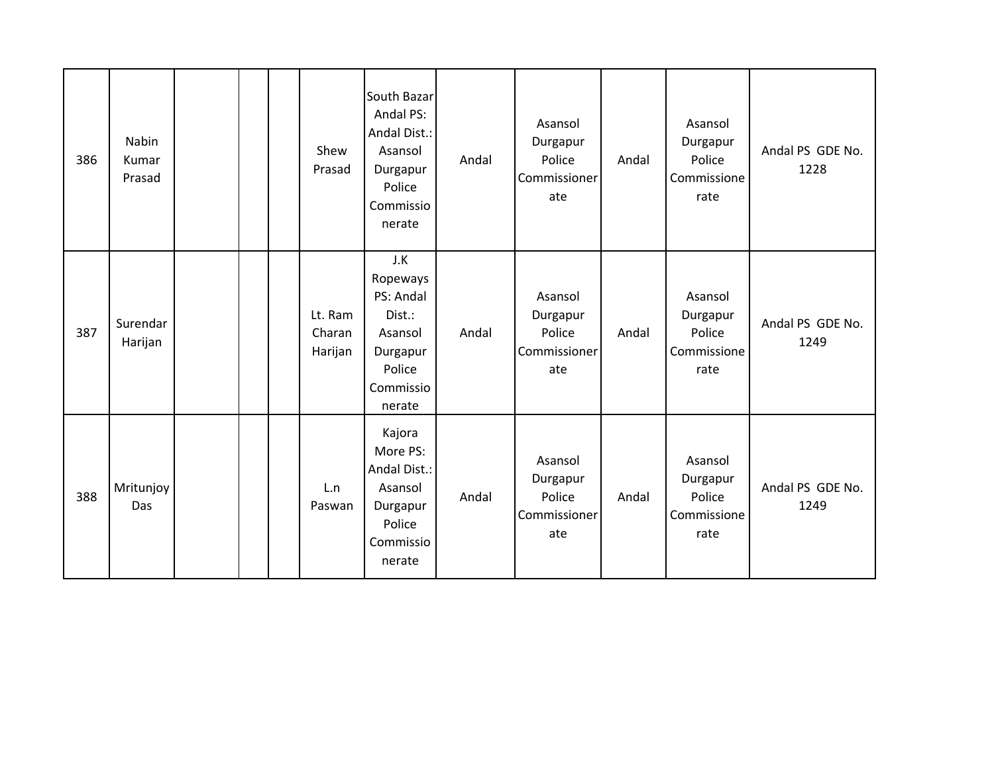| 386 | Nabin<br>Kumar<br>Prasad |  | Shew<br>Prasad               | South Bazar<br>Andal PS:<br>Andal Dist.:<br>Asansol<br>Durgapur<br>Police<br>Commissio<br>nerate | Andal | Asansol<br>Durgapur<br>Police<br>Commissioner<br>ate | Andal | Asansol<br>Durgapur<br>Police<br>Commissione<br>rate | Andal PS GDE No.<br>1228 |
|-----|--------------------------|--|------------------------------|--------------------------------------------------------------------------------------------------|-------|------------------------------------------------------|-------|------------------------------------------------------|--------------------------|
| 387 | Surendar<br>Harijan      |  | Lt. Ram<br>Charan<br>Harijan | J.K<br>Ropeways<br>PS: Andal<br>Dist.:<br>Asansol<br>Durgapur<br>Police<br>Commissio<br>nerate   | Andal | Asansol<br>Durgapur<br>Police<br>Commissioner<br>ate | Andal | Asansol<br>Durgapur<br>Police<br>Commissione<br>rate | Andal PS GDE No.<br>1249 |
| 388 | Mritunjoy<br>Das         |  | L.n<br>Paswan                | Kajora<br>More PS:<br>Andal Dist.:<br>Asansol<br>Durgapur<br>Police<br>Commissio<br>nerate       | Andal | Asansol<br>Durgapur<br>Police<br>Commissioner<br>ate | Andal | Asansol<br>Durgapur<br>Police<br>Commissione<br>rate | Andal PS GDE No.<br>1249 |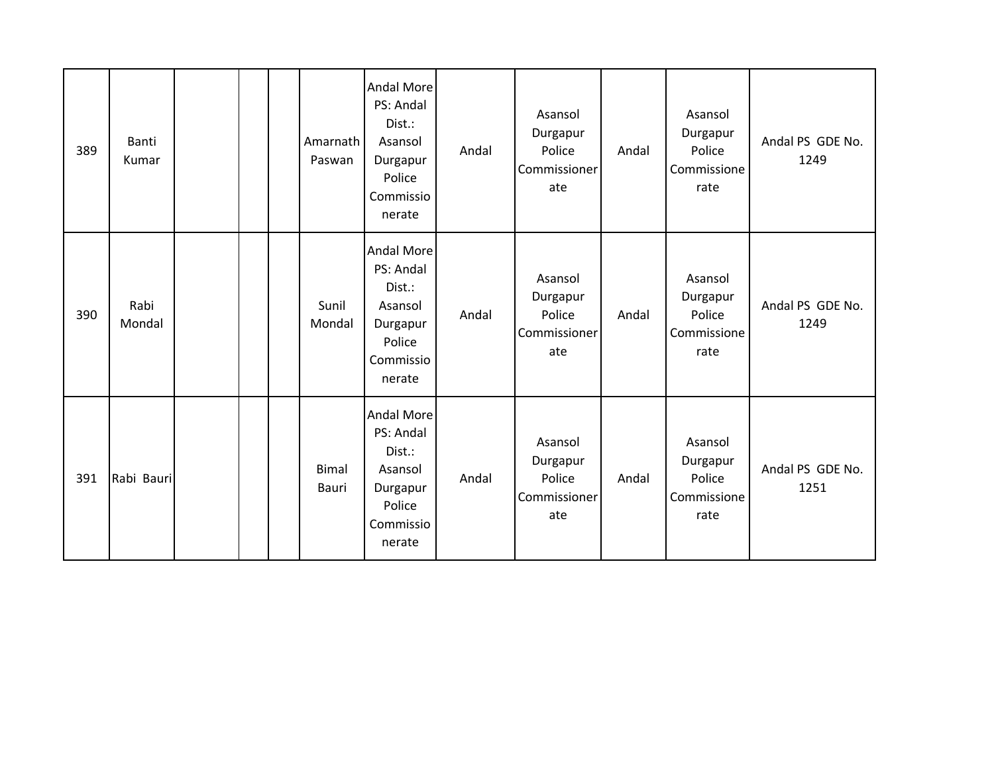| 389 | Banti<br>Kumar |  | Amarnath<br>Paswan    | <b>Andal More</b><br>PS: Andal<br>Dist.:<br>Asansol<br>Durgapur<br>Police<br>Commissio<br>nerate | Andal | Asansol<br>Durgapur<br>Police<br>Commissioner<br>ate | Andal | Asansol<br>Durgapur<br>Police<br>Commissione<br>rate | Andal PS GDE No.<br>1249 |
|-----|----------------|--|-----------------------|--------------------------------------------------------------------------------------------------|-------|------------------------------------------------------|-------|------------------------------------------------------|--------------------------|
| 390 | Rabi<br>Mondal |  | Sunil<br>Mondal       | <b>Andal More</b><br>PS: Andal<br>Dist.:<br>Asansol<br>Durgapur<br>Police<br>Commissio<br>nerate | Andal | Asansol<br>Durgapur<br>Police<br>Commissioner<br>ate | Andal | Asansol<br>Durgapur<br>Police<br>Commissione<br>rate | Andal PS GDE No.<br>1249 |
| 391 | Rabi Bauri     |  | <b>Bimal</b><br>Bauri | <b>Andal More</b><br>PS: Andal<br>Dist.:<br>Asansol<br>Durgapur<br>Police<br>Commissio<br>nerate | Andal | Asansol<br>Durgapur<br>Police<br>Commissioner<br>ate | Andal | Asansol<br>Durgapur<br>Police<br>Commissione<br>rate | Andal PS GDE No.<br>1251 |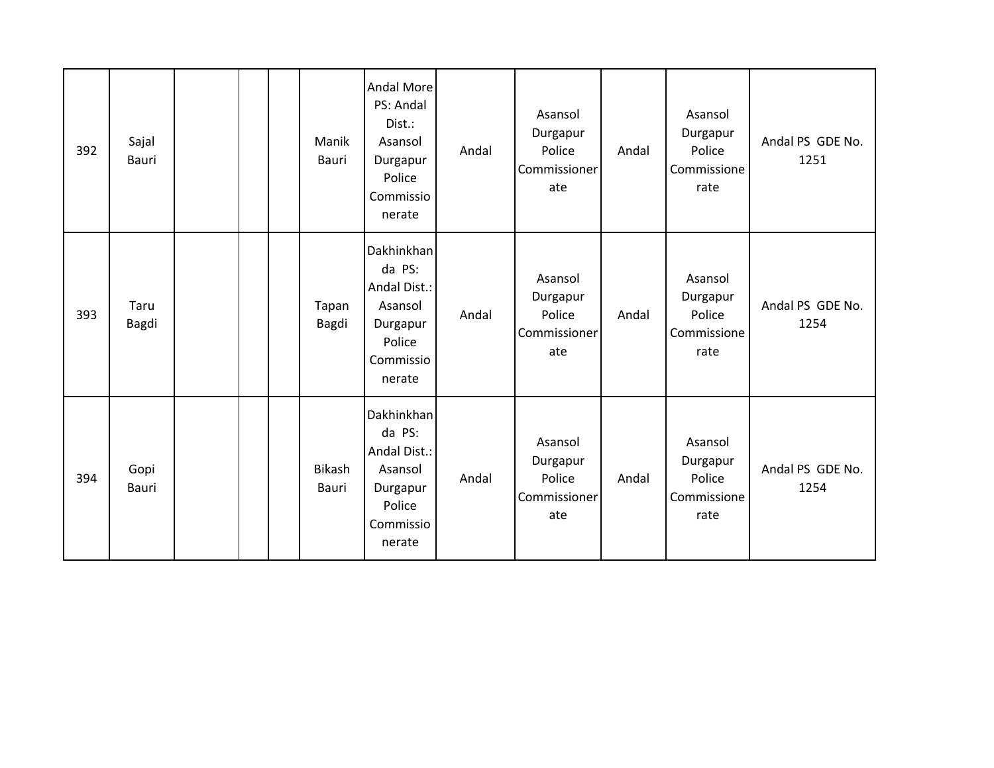| 392 | Sajal<br>Bauri       |  | Manik<br>Bauri         | <b>Andal More</b><br>PS: Andal<br>Dist.:<br>Asansol<br>Durgapur<br>Police<br>Commissio<br>nerate | Andal | Asansol<br>Durgapur<br>Police<br>Commissioner<br>ate | Andal | Asansol<br>Durgapur<br>Police<br>Commissione<br>rate | Andal PS GDE No.<br>1251 |
|-----|----------------------|--|------------------------|--------------------------------------------------------------------------------------------------|-------|------------------------------------------------------|-------|------------------------------------------------------|--------------------------|
| 393 | Taru<br><b>Bagdi</b> |  | Tapan<br>Bagdi         | Dakhinkhan<br>da PS:<br>Andal Dist.:<br>Asansol<br>Durgapur<br>Police<br>Commissio<br>nerate     | Andal | Asansol<br>Durgapur<br>Police<br>Commissioner<br>ate | Andal | Asansol<br>Durgapur<br>Police<br>Commissione<br>rate | Andal PS GDE No.<br>1254 |
| 394 | Gopi<br><b>Bauri</b> |  | <b>Bikash</b><br>Bauri | Dakhinkhan<br>da PS:<br>Andal Dist.:<br>Asansol<br>Durgapur<br>Police<br>Commissio<br>nerate     | Andal | Asansol<br>Durgapur<br>Police<br>Commissioner<br>ate | Andal | Asansol<br>Durgapur<br>Police<br>Commissione<br>rate | Andal PS GDE No.<br>1254 |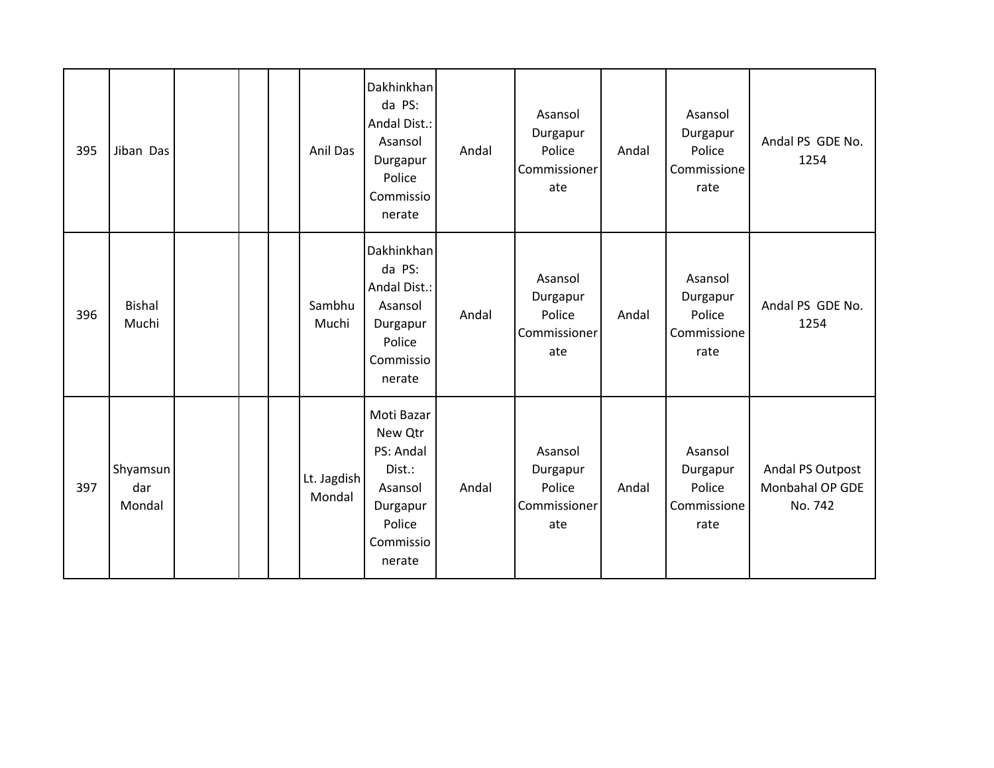| 395 | Jiban Das                 |  | Anil Das              | Dakhinkhan<br>da PS:<br>Andal Dist.:<br>Asansol<br>Durgapur<br>Police<br>Commissio<br>nerate         | Andal | Asansol<br>Durgapur<br>Police<br>Commissioner<br>ate | Andal | Asansol<br>Durgapur<br>Police<br>Commissione<br>rate | Andal PS GDE No.<br>1254                       |
|-----|---------------------------|--|-----------------------|------------------------------------------------------------------------------------------------------|-------|------------------------------------------------------|-------|------------------------------------------------------|------------------------------------------------|
| 396 | <b>Bishal</b><br>Muchi    |  | Sambhu<br>Muchi       | Dakhinkhan<br>da PS:<br>Andal Dist.:<br>Asansol<br>Durgapur<br>Police<br>Commissio<br>nerate         | Andal | Asansol<br>Durgapur<br>Police<br>Commissioner<br>ate | Andal | Asansol<br>Durgapur<br>Police<br>Commissione<br>rate | Andal PS GDE No.<br>1254                       |
| 397 | Shyamsun<br>dar<br>Mondal |  | Lt. Jagdish<br>Mondal | Moti Bazar<br>New Qtr<br>PS: Andal<br>Dist.:<br>Asansol<br>Durgapur<br>Police<br>Commissio<br>nerate | Andal | Asansol<br>Durgapur<br>Police<br>Commissioner<br>ate | Andal | Asansol<br>Durgapur<br>Police<br>Commissione<br>rate | Andal PS Outpost<br>Monbahal OP GDE<br>No. 742 |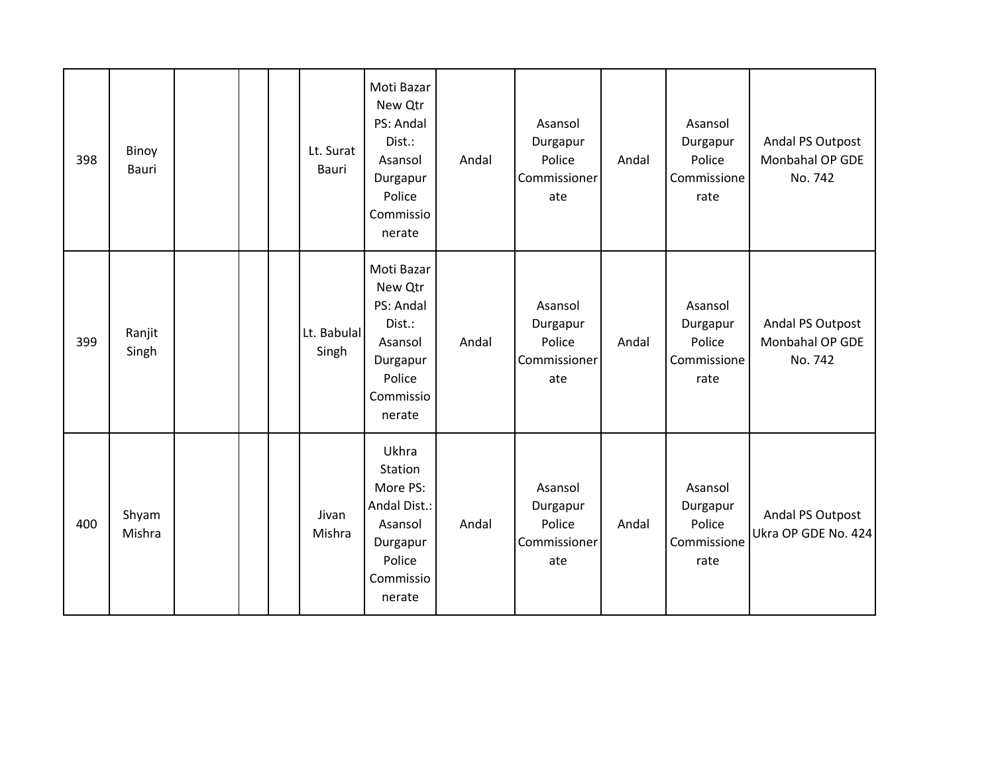| 398 | Binoy<br>Bauri  |  | Lt. Surat<br><b>Bauri</b> | Moti Bazar<br>New Qtr<br>PS: Andal<br>Dist.:<br>Asansol<br>Durgapur<br>Police<br>Commissio<br>nerate | Andal | Asansol<br>Durgapur<br>Police<br>Commissioner<br>ate | Andal | Asansol<br>Durgapur<br>Police<br>Commissione<br>rate | Andal PS Outpost<br>Monbahal OP GDE<br>No. 742 |
|-----|-----------------|--|---------------------------|------------------------------------------------------------------------------------------------------|-------|------------------------------------------------------|-------|------------------------------------------------------|------------------------------------------------|
| 399 | Ranjit<br>Singh |  | Lt. Babulal<br>Singh      | Moti Bazar<br>New Qtr<br>PS: Andal<br>Dist.:<br>Asansol<br>Durgapur<br>Police<br>Commissio<br>nerate | Andal | Asansol<br>Durgapur<br>Police<br>Commissioner<br>ate | Andal | Asansol<br>Durgapur<br>Police<br>Commissione<br>rate | Andal PS Outpost<br>Monbahal OP GDE<br>No. 742 |
| 400 | Shyam<br>Mishra |  | Jivan<br>Mishra           | Ukhra<br>Station<br>More PS:<br>Andal Dist.:<br>Asansol<br>Durgapur<br>Police<br>Commissio<br>nerate | Andal | Asansol<br>Durgapur<br>Police<br>Commissioner<br>ate | Andal | Asansol<br>Durgapur<br>Police<br>Commissione<br>rate | Andal PS Outpost<br>Ukra OP GDE No. 424        |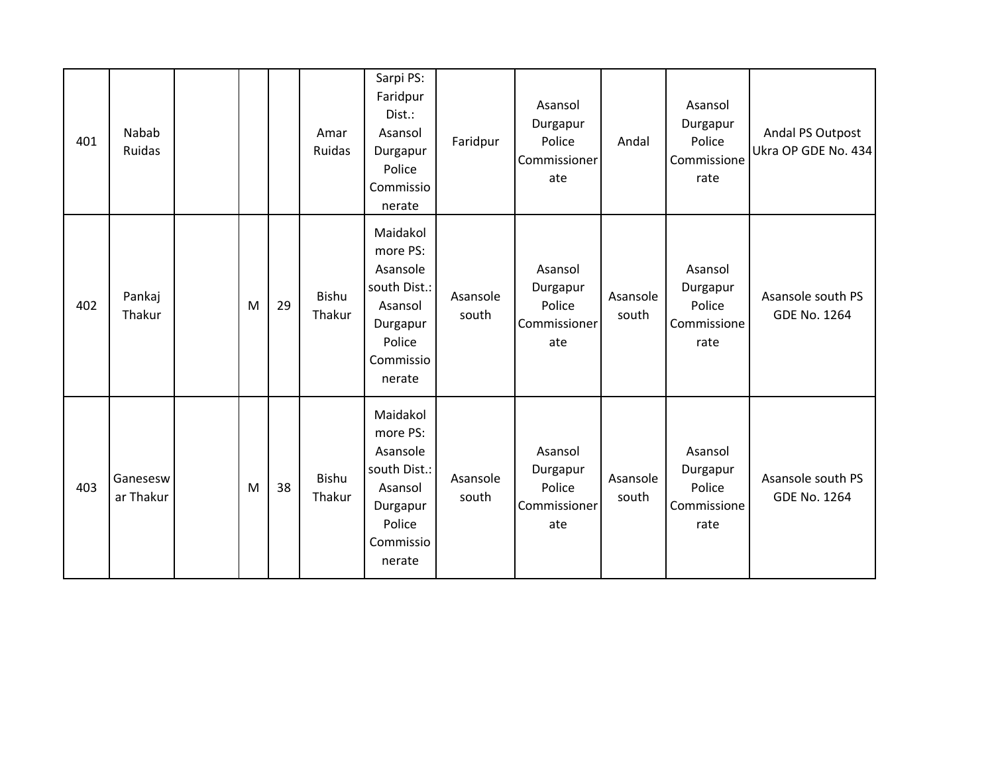| 401 | Nabab<br>Ruidas       |   |    | Amar<br>Ruidas         | Sarpi PS:<br>Faridpur<br>Dist.:<br>Asansol<br>Durgapur<br>Police<br>Commissio<br>nerate                  | Faridpur          | Asansol<br>Durgapur<br>Police<br>Commissioner<br>ate | Andal             | Asansol<br>Durgapur<br>Police<br>Commissione<br>rate | Andal PS Outpost<br>Ukra OP GDE No. 434  |
|-----|-----------------------|---|----|------------------------|----------------------------------------------------------------------------------------------------------|-------------------|------------------------------------------------------|-------------------|------------------------------------------------------|------------------------------------------|
| 402 | Pankaj<br>Thakur      | M | 29 | <b>Bishu</b><br>Thakur | Maidakol<br>more PS:<br>Asansole<br>south Dist.:<br>Asansol<br>Durgapur<br>Police<br>Commissio<br>nerate | Asansole<br>south | Asansol<br>Durgapur<br>Police<br>Commissioner<br>ate | Asansole<br>south | Asansol<br>Durgapur<br>Police<br>Commissione<br>rate | Asansole south PS<br><b>GDE No. 1264</b> |
| 403 | Ganesesw<br>ar Thakur | M | 38 | Bishu<br>Thakur        | Maidakol<br>more PS:<br>Asansole<br>south Dist.:<br>Asansol<br>Durgapur<br>Police<br>Commissio<br>nerate | Asansole<br>south | Asansol<br>Durgapur<br>Police<br>Commissioner<br>ate | Asansole<br>south | Asansol<br>Durgapur<br>Police<br>Commissione<br>rate | Asansole south PS<br><b>GDE No. 1264</b> |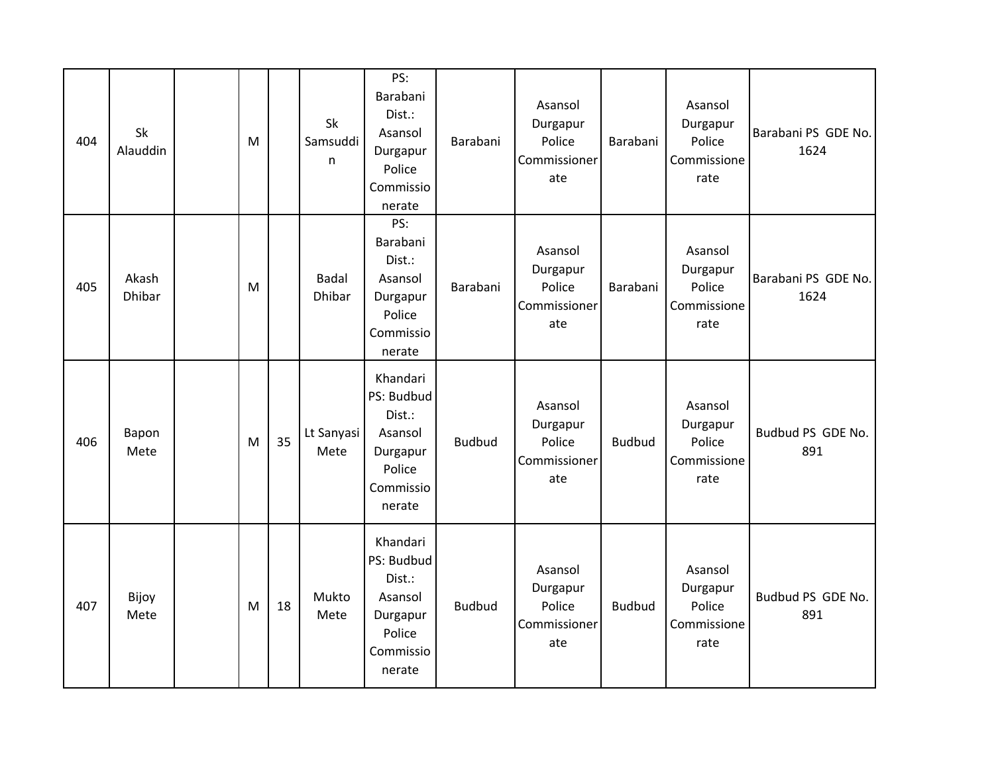| 404 | Sk<br>Alauddin         | M |    | Sk<br>Samsuddi<br>n    | PS:<br>Barabani<br>Dist.:<br>Asansol<br>Durgapur<br>Police<br>Commissio<br>nerate        | Barabani      | Asansol<br>Durgapur<br>Police<br>Commissioner<br>ate | Barabani      | Asansol<br>Durgapur<br>Police<br>Commissione<br>rate | Barabani PS GDE No.<br>1624 |
|-----|------------------------|---|----|------------------------|------------------------------------------------------------------------------------------|---------------|------------------------------------------------------|---------------|------------------------------------------------------|-----------------------------|
| 405 | Akash<br><b>Dhibar</b> | M |    | <b>Badal</b><br>Dhibar | PS:<br>Barabani<br>Dist.:<br>Asansol<br>Durgapur<br>Police<br>Commissio<br>nerate        | Barabani      | Asansol<br>Durgapur<br>Police<br>Commissioner<br>ate | Barabani      | Asansol<br>Durgapur<br>Police<br>Commissione<br>rate | Barabani PS GDE No.<br>1624 |
| 406 | Bapon<br>Mete          | M | 35 | Lt Sanyasi<br>Mete     | Khandari<br>PS: Budbud<br>Dist.:<br>Asansol<br>Durgapur<br>Police<br>Commissio<br>nerate | <b>Budbud</b> | Asansol<br>Durgapur<br>Police<br>Commissioner<br>ate | <b>Budbud</b> | Asansol<br>Durgapur<br>Police<br>Commissione<br>rate | Budbud PS GDE No.<br>891    |
| 407 | Bijoy<br>Mete          | M | 18 | Mukto<br>Mete          | Khandari<br>PS: Budbud<br>Dist.:<br>Asansol<br>Durgapur<br>Police<br>Commissio<br>nerate | <b>Budbud</b> | Asansol<br>Durgapur<br>Police<br>Commissioner<br>ate | <b>Budbud</b> | Asansol<br>Durgapur<br>Police<br>Commissione<br>rate | Budbud PS GDE No.<br>891    |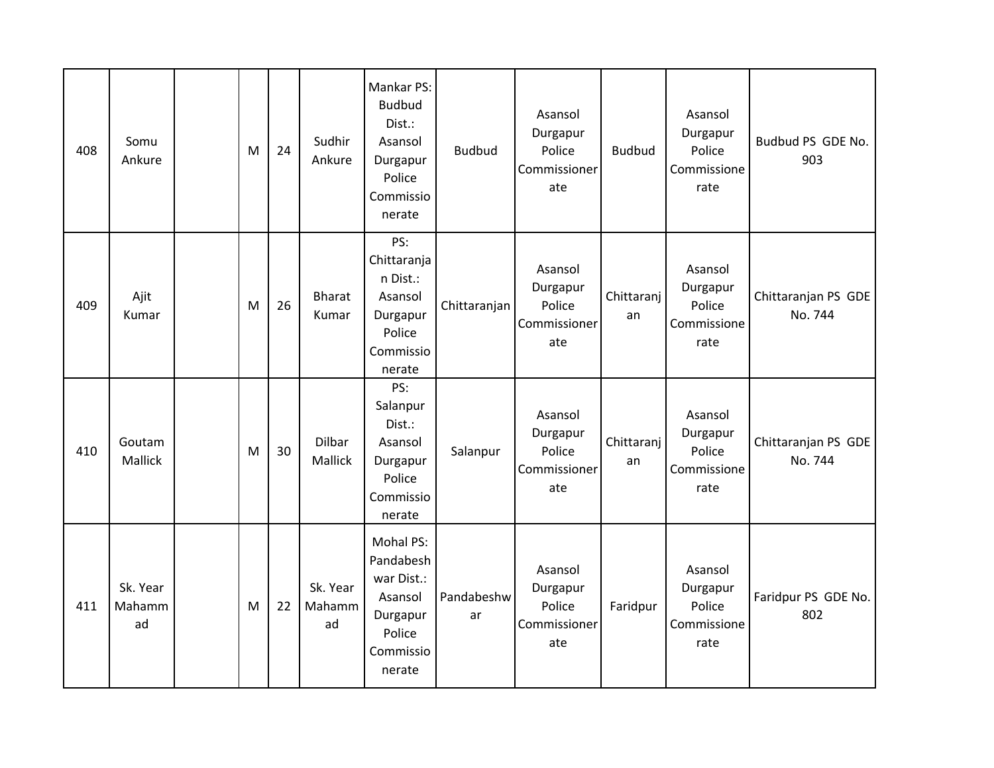| 408 | Somu<br>Ankure           | M | 24 | Sudhir<br>Ankure         | Mankar PS:<br><b>Budbud</b><br>Dist.:<br>Asansol<br>Durgapur<br>Police<br>Commissio<br>nerate | <b>Budbud</b>    | Asansol<br>Durgapur<br>Police<br>Commissioner<br>ate | <b>Budbud</b>    | Asansol<br>Durgapur<br>Police<br>Commissione<br>rate | Budbud PS GDE No.<br>903       |
|-----|--------------------------|---|----|--------------------------|-----------------------------------------------------------------------------------------------|------------------|------------------------------------------------------|------------------|------------------------------------------------------|--------------------------------|
| 409 | Ajit<br>Kumar            | M | 26 | <b>Bharat</b><br>Kumar   | PS:<br>Chittaranja<br>n Dist.:<br>Asansol<br>Durgapur<br>Police<br>Commissio<br>nerate        | Chittaranjan     | Asansol<br>Durgapur<br>Police<br>Commissioner<br>ate | Chittaranj<br>an | Asansol<br>Durgapur<br>Police<br>Commissione<br>rate | Chittaranjan PS GDE<br>No. 744 |
| 410 | Goutam<br>Mallick        | M | 30 | Dilbar<br>Mallick        | PS:<br>Salanpur<br>Dist.:<br>Asansol<br>Durgapur<br>Police<br>Commissio<br>nerate             | Salanpur         | Asansol<br>Durgapur<br>Police<br>Commissioner<br>ate | Chittaranj<br>an | Asansol<br>Durgapur<br>Police<br>Commissione<br>rate | Chittaranjan PS GDE<br>No. 744 |
| 411 | Sk. Year<br>Mahamm<br>ad | M | 22 | Sk. Year<br>Mahamm<br>ad | Mohal PS:<br>Pandabesh<br>war Dist.:<br>Asansol<br>Durgapur<br>Police<br>Commissio<br>nerate  | Pandabeshw<br>ar | Asansol<br>Durgapur<br>Police<br>Commissioner<br>ate | Faridpur         | Asansol<br>Durgapur<br>Police<br>Commissione<br>rate | Faridpur PS GDE No.<br>802     |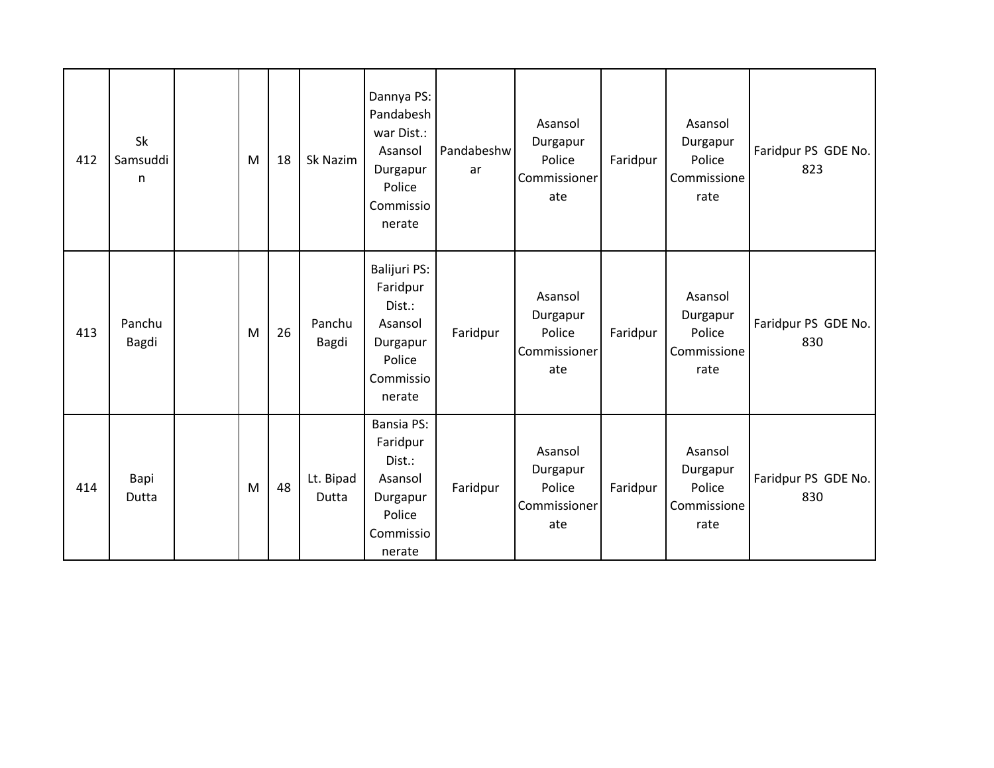| 412 | <b>Sk</b><br>Samsuddi<br>$\mathsf{n}$ | M | 18 | Sk Nazim           | Dannya PS:<br>Pandabesh<br>war Dist.:<br>Asansol<br>Durgapur<br>Police<br>Commissio<br>nerate   | Pandabeshw<br>ar | Asansol<br>Durgapur<br>Police<br>Commissioner<br>ate | Faridpur | Asansol<br>Durgapur<br>Police<br>Commissione<br>rate | Faridpur PS GDE No.<br>823 |
|-----|---------------------------------------|---|----|--------------------|-------------------------------------------------------------------------------------------------|------------------|------------------------------------------------------|----------|------------------------------------------------------|----------------------------|
| 413 | Panchu<br>Bagdi                       | M | 26 | Panchu<br>Bagdi    | Balijuri PS:<br>Faridpur<br>Dist.:<br>Asansol<br>Durgapur<br>Police<br>Commissio<br>nerate      | Faridpur         | Asansol<br>Durgapur<br>Police<br>Commissioner<br>ate | Faridpur | Asansol<br>Durgapur<br>Police<br>Commissione<br>rate | Faridpur PS GDE No.<br>830 |
| 414 | Bapi<br>Dutta                         | M | 48 | Lt. Bipad<br>Dutta | <b>Bansia PS:</b><br>Faridpur<br>Dist.:<br>Asansol<br>Durgapur<br>Police<br>Commissio<br>nerate | Faridpur         | Asansol<br>Durgapur<br>Police<br>Commissioner<br>ate | Faridpur | Asansol<br>Durgapur<br>Police<br>Commissione<br>rate | Faridpur PS GDE No.<br>830 |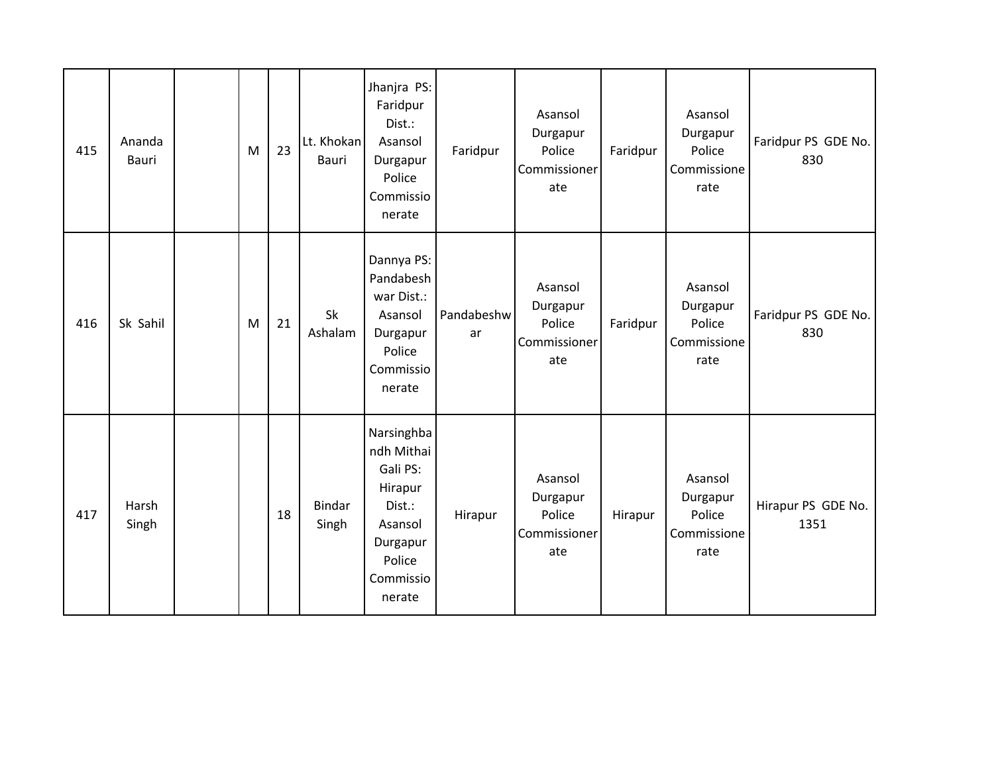| 415 | Ananda<br><b>Bauri</b> | M | 23 | Lt. Khokan<br>Bauri    | Jhanjra PS:<br>Faridpur<br>Dist.:<br>Asansol<br>Durgapur<br>Police<br>Commissio<br>nerate                         | Faridpur         | Asansol<br>Durgapur<br>Police<br>Commissioner<br>ate | Faridpur | Asansol<br>Durgapur<br>Police<br>Commissione<br>rate | Faridpur PS GDE No.<br>830 |
|-----|------------------------|---|----|------------------------|-------------------------------------------------------------------------------------------------------------------|------------------|------------------------------------------------------|----------|------------------------------------------------------|----------------------------|
| 416 | Sk Sahil               | M | 21 | <b>Sk</b><br>Ashalam   | Dannya PS:<br>Pandabesh<br>war Dist.:<br>Asansol<br>Durgapur<br>Police<br>Commissio<br>nerate                     | Pandabeshw<br>ar | Asansol<br>Durgapur<br>Police<br>Commissioner<br>ate | Faridpur | Asansol<br>Durgapur<br>Police<br>Commissione<br>rate | Faridpur PS GDE No.<br>830 |
| 417 | Harsh<br>Singh         |   | 18 | <b>Bindar</b><br>Singh | Narsinghba<br>ndh Mithai<br>Gali PS:<br>Hirapur<br>Dist.:<br>Asansol<br>Durgapur<br>Police<br>Commissio<br>nerate | Hirapur          | Asansol<br>Durgapur<br>Police<br>Commissioner<br>ate | Hirapur  | Asansol<br>Durgapur<br>Police<br>Commissione<br>rate | Hirapur PS GDE No.<br>1351 |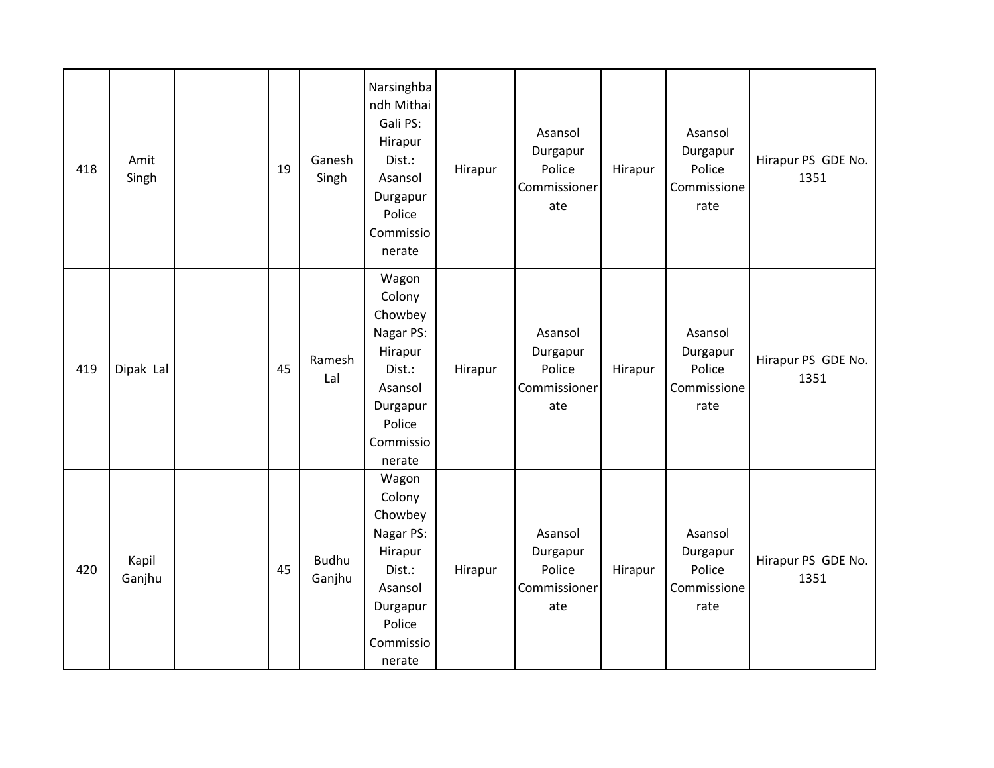| 418 | Amit<br>Singh   |  | 19 | Ganesh<br>Singh        | Narsinghba<br>ndh Mithai<br>Gali PS:<br>Hirapur<br>Dist.:<br>Asansol<br>Durgapur<br>Police<br>Commissio<br>nerate    | Hirapur | Asansol<br>Durgapur<br>Police<br>Commissioner<br>ate | Hirapur | Asansol<br>Durgapur<br>Police<br>Commissione<br>rate | Hirapur PS GDE No.<br>1351 |
|-----|-----------------|--|----|------------------------|----------------------------------------------------------------------------------------------------------------------|---------|------------------------------------------------------|---------|------------------------------------------------------|----------------------------|
| 419 | Dipak Lal       |  | 45 | Ramesh<br>Lal          | Wagon<br>Colony<br>Chowbey<br>Nagar PS:<br>Hirapur<br>Dist.:<br>Asansol<br>Durgapur<br>Police<br>Commissio<br>nerate | Hirapur | Asansol<br>Durgapur<br>Police<br>Commissioner<br>ate | Hirapur | Asansol<br>Durgapur<br>Police<br>Commissione<br>rate | Hirapur PS GDE No.<br>1351 |
| 420 | Kapil<br>Ganjhu |  | 45 | <b>Budhu</b><br>Ganjhu | Wagon<br>Colony<br>Chowbey<br>Nagar PS:<br>Hirapur<br>Dist.:<br>Asansol<br>Durgapur<br>Police<br>Commissio<br>nerate | Hirapur | Asansol<br>Durgapur<br>Police<br>Commissioner<br>ate | Hirapur | Asansol<br>Durgapur<br>Police<br>Commissione<br>rate | Hirapur PS GDE No.<br>1351 |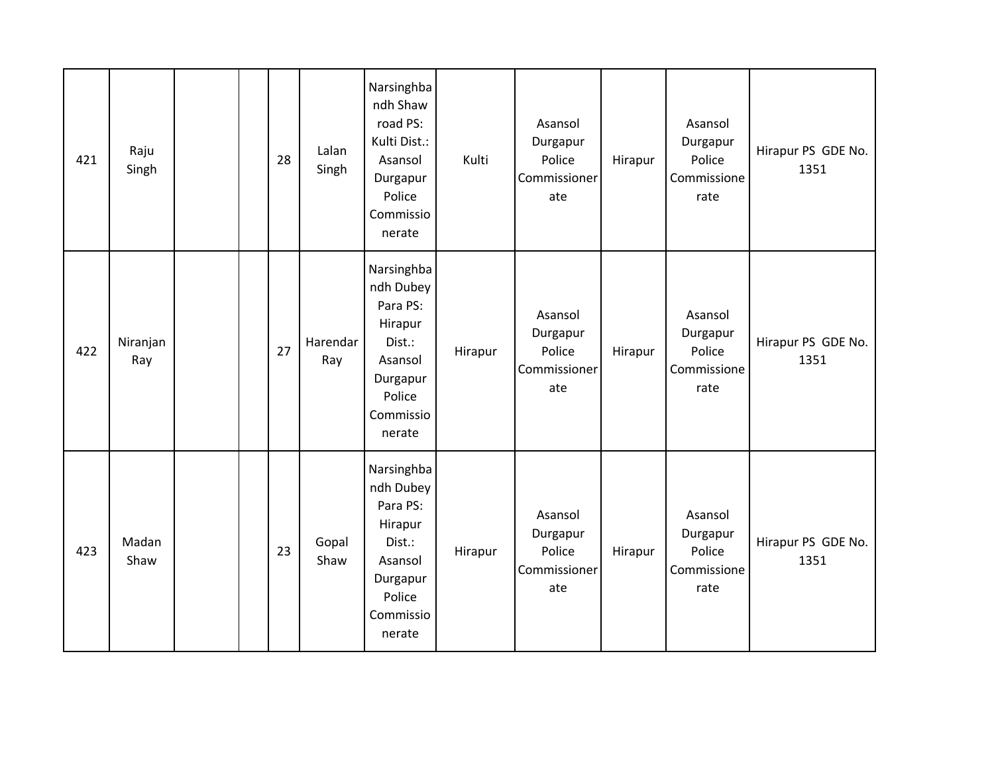| 421 | Raju<br>Singh   |  | 28 | Lalan<br>Singh  | Narsinghba<br>ndh Shaw<br>road PS:<br>Kulti Dist.:<br>Asansol<br>Durgapur<br>Police<br>Commissio<br>nerate       | Kulti   | Asansol<br>Durgapur<br>Police<br>Commissioner<br>ate | Hirapur | Asansol<br>Durgapur<br>Police<br>Commissione<br>rate | Hirapur PS GDE No.<br>1351 |
|-----|-----------------|--|----|-----------------|------------------------------------------------------------------------------------------------------------------|---------|------------------------------------------------------|---------|------------------------------------------------------|----------------------------|
| 422 | Niranjan<br>Ray |  | 27 | Harendar<br>Ray | Narsinghba<br>ndh Dubey<br>Para PS:<br>Hirapur<br>Dist.:<br>Asansol<br>Durgapur<br>Police<br>Commissio<br>nerate | Hirapur | Asansol<br>Durgapur<br>Police<br>Commissioner<br>ate | Hirapur | Asansol<br>Durgapur<br>Police<br>Commissione<br>rate | Hirapur PS GDE No.<br>1351 |
| 423 | Madan<br>Shaw   |  | 23 | Gopal<br>Shaw   | Narsinghba<br>ndh Dubey<br>Para PS:<br>Hirapur<br>Dist.:<br>Asansol<br>Durgapur<br>Police<br>Commissio<br>nerate | Hirapur | Asansol<br>Durgapur<br>Police<br>Commissioner<br>ate | Hirapur | Asansol<br>Durgapur<br>Police<br>Commissione<br>rate | Hirapur PS GDE No.<br>1351 |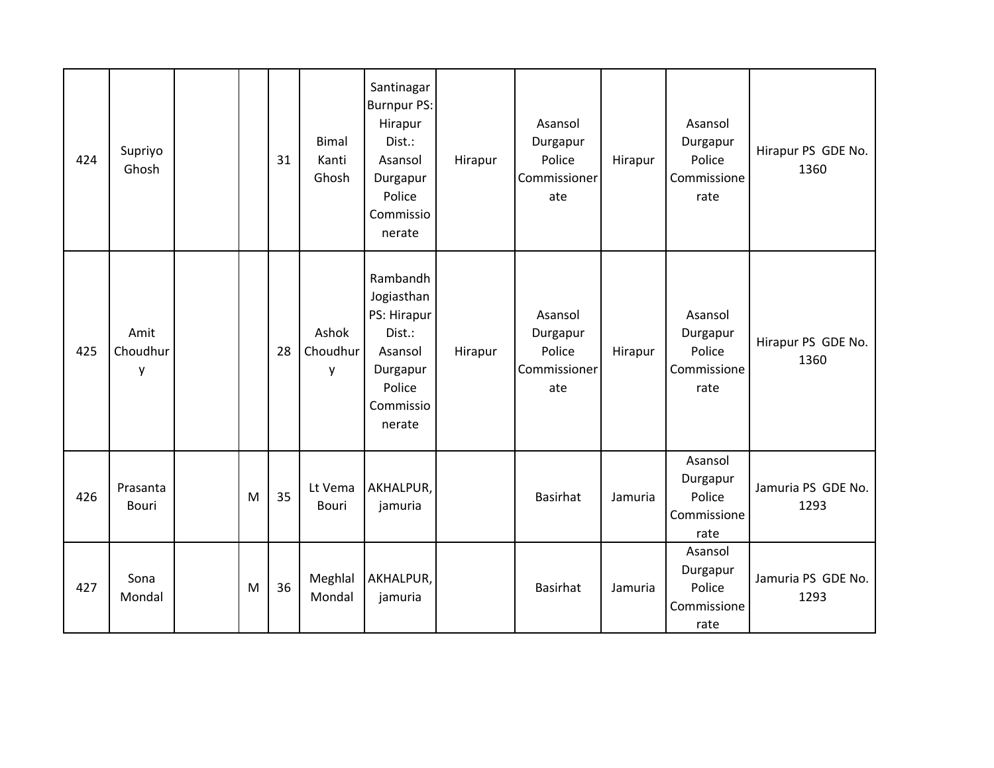| 424 | Supriyo<br>Ghosh      |   | 31 | <b>Bimal</b><br>Kanti<br>Ghosh | Santinagar<br><b>Burnpur PS:</b><br>Hirapur<br>Dist.:<br>Asansol<br>Durgapur<br>Police<br>Commissio<br>nerate | Hirapur | Asansol<br>Durgapur<br>Police<br>Commissioner<br>ate | Hirapur | Asansol<br>Durgapur<br>Police<br>Commissione<br>rate | Hirapur PS GDE No.<br>1360 |
|-----|-----------------------|---|----|--------------------------------|---------------------------------------------------------------------------------------------------------------|---------|------------------------------------------------------|---------|------------------------------------------------------|----------------------------|
| 425 | Amit<br>Choudhur<br>y |   | 28 | Ashok<br>Choudhur<br>y         | Rambandh<br>Jogiasthan<br>PS: Hirapur<br>Dist.:<br>Asansol<br>Durgapur<br>Police<br>Commissio<br>nerate       | Hirapur | Asansol<br>Durgapur<br>Police<br>Commissioner<br>ate | Hirapur | Asansol<br>Durgapur<br>Police<br>Commissione<br>rate | Hirapur PS GDE No.<br>1360 |
| 426 | Prasanta<br>Bouri     | M | 35 | Lt Vema<br><b>Bouri</b>        | AKHALPUR,<br>jamuria                                                                                          |         | <b>Basirhat</b>                                      | Jamuria | Asansol<br>Durgapur<br>Police<br>Commissione<br>rate | Jamuria PS GDE No.<br>1293 |
| 427 | Sona<br>Mondal        | M | 36 | Meghlal<br>Mondal              | AKHALPUR,<br>jamuria                                                                                          |         | Basirhat                                             | Jamuria | Asansol<br>Durgapur<br>Police<br>Commissione<br>rate | Jamuria PS GDE No.<br>1293 |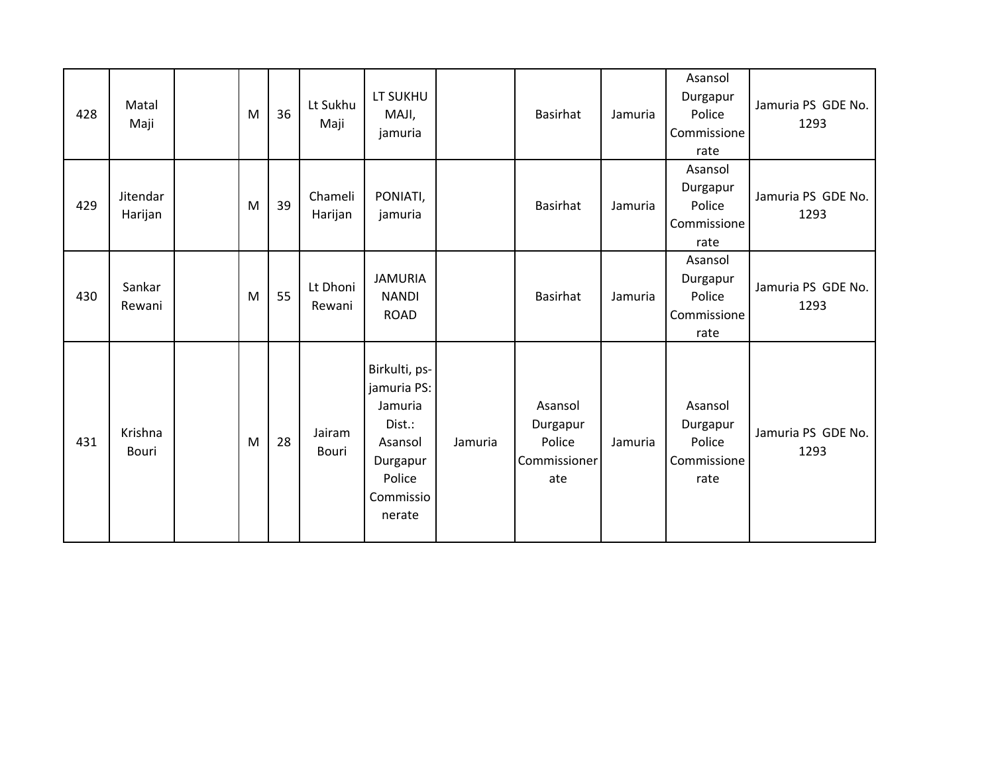| 428 | Matal<br>Maji       | M | 36 | Lt Sukhu<br>Maji   | LT SUKHU<br>MAJI,<br>jamuria                                                                              |         | <b>Basirhat</b>                                      | Jamuria | Asansol<br>Durgapur<br>Police<br>Commissione<br>rate | Jamuria PS GDE No.<br>1293 |
|-----|---------------------|---|----|--------------------|-----------------------------------------------------------------------------------------------------------|---------|------------------------------------------------------|---------|------------------------------------------------------|----------------------------|
| 429 | Jitendar<br>Harijan | M | 39 | Chameli<br>Harijan | PONIATI,<br>jamuria                                                                                       |         | <b>Basirhat</b>                                      | Jamuria | Asansol<br>Durgapur<br>Police<br>Commissione<br>rate | Jamuria PS GDE No.<br>1293 |
| 430 | Sankar<br>Rewani    | M | 55 | Lt Dhoni<br>Rewani | <b>JAMURIA</b><br><b>NANDI</b><br><b>ROAD</b>                                                             |         | <b>Basirhat</b>                                      | Jamuria | Asansol<br>Durgapur<br>Police<br>Commissione<br>rate | Jamuria PS GDE No.<br>1293 |
| 431 | Krishna<br>Bouri    | M | 28 | Jairam<br>Bouri    | Birkulti, ps-<br>jamuria PS:<br>Jamuria<br>Dist.:<br>Asansol<br>Durgapur<br>Police<br>Commissio<br>nerate | Jamuria | Asansol<br>Durgapur<br>Police<br>Commissioner<br>ate | Jamuria | Asansol<br>Durgapur<br>Police<br>Commissione<br>rate | Jamuria PS GDE No.<br>1293 |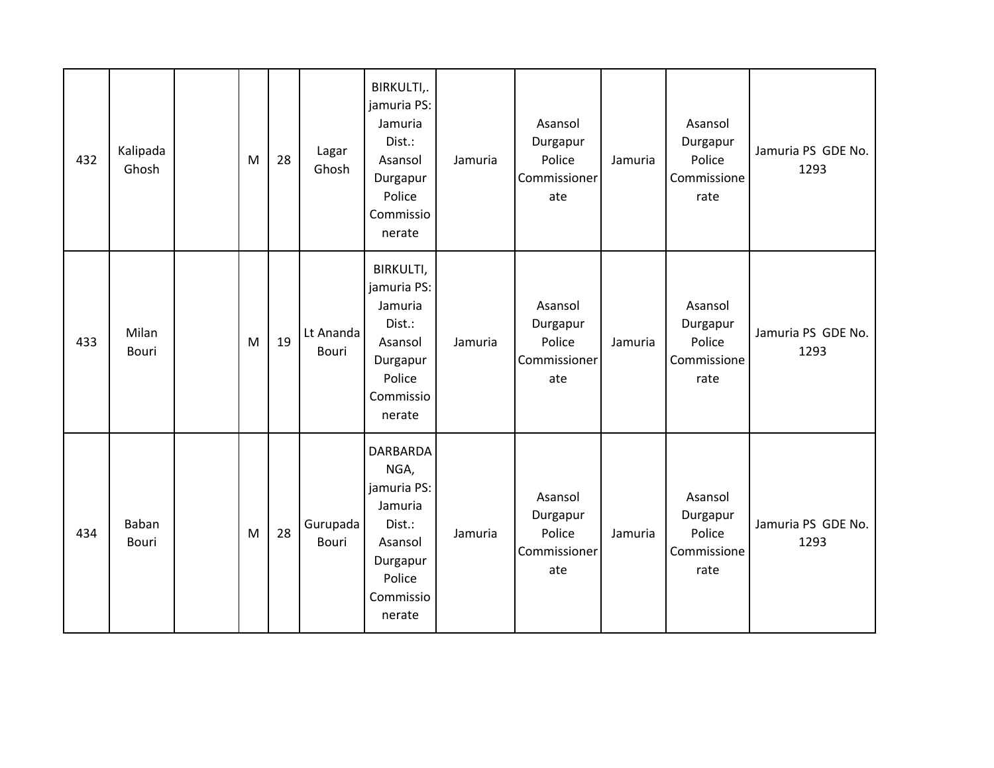| 432 | Kalipada<br>Ghosh     | M | 28 | Lagar<br>Ghosh            | BIRKULTI,.<br>jamuria PS:<br>Jamuria<br>Dist.:<br>Asansol<br>Durgapur<br>Police<br>Commissio<br>nerate              | Jamuria | Asansol<br>Durgapur<br>Police<br>Commissioner<br>ate | Jamuria | Asansol<br>Durgapur<br>Police<br>Commissione<br>rate | Jamuria PS GDE No.<br>1293 |
|-----|-----------------------|---|----|---------------------------|---------------------------------------------------------------------------------------------------------------------|---------|------------------------------------------------------|---------|------------------------------------------------------|----------------------------|
| 433 | Milan<br><b>Bouri</b> | M | 19 | Lt Ananda<br><b>Bouri</b> | BIRKULTI,<br>jamuria PS:<br>Jamuria<br>Dist.:<br>Asansol<br>Durgapur<br>Police<br>Commissio<br>nerate               | Jamuria | Asansol<br>Durgapur<br>Police<br>Commissioner<br>ate | Jamuria | Asansol<br>Durgapur<br>Police<br>Commissione<br>rate | Jamuria PS GDE No.<br>1293 |
| 434 | Baban<br><b>Bouri</b> | M | 28 | Gurupada<br><b>Bouri</b>  | <b>DARBARDA</b><br>NGA,<br>jamuria PS:<br>Jamuria<br>Dist.:<br>Asansol<br>Durgapur<br>Police<br>Commissio<br>nerate | Jamuria | Asansol<br>Durgapur<br>Police<br>Commissioner<br>ate | Jamuria | Asansol<br>Durgapur<br>Police<br>Commissione<br>rate | Jamuria PS GDE No.<br>1293 |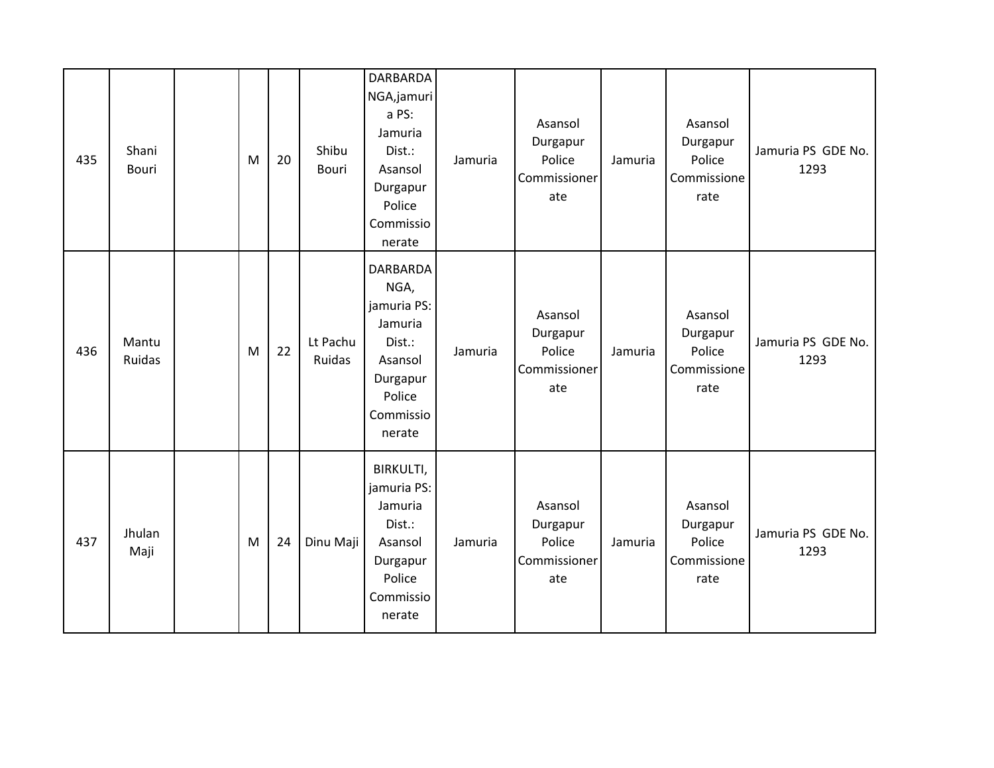| 435 | Shani<br><b>Bouri</b> | M | 20 | Shibu<br><b>Bouri</b> | <b>DARBARDA</b><br>NGA,jamuri<br>a PS:<br>Jamuria<br>Dist.:<br>Asansol<br>Durgapur<br>Police<br>Commissio<br>nerate | Jamuria | Asansol<br>Durgapur<br>Police<br>Commissioner<br>ate | Jamuria | Asansol<br>Durgapur<br>Police<br>Commissione<br>rate | Jamuria PS GDE No.<br>1293 |
|-----|-----------------------|---|----|-----------------------|---------------------------------------------------------------------------------------------------------------------|---------|------------------------------------------------------|---------|------------------------------------------------------|----------------------------|
| 436 | Mantu<br>Ruidas       | M | 22 | Lt Pachu<br>Ruidas    | <b>DARBARDA</b><br>NGA,<br>jamuria PS:<br>Jamuria<br>Dist.:<br>Asansol<br>Durgapur<br>Police<br>Commissio<br>nerate | Jamuria | Asansol<br>Durgapur<br>Police<br>Commissioner<br>ate | Jamuria | Asansol<br>Durgapur<br>Police<br>Commissione<br>rate | Jamuria PS GDE No.<br>1293 |
| 437 | Jhulan<br>Maji        | M | 24 | Dinu Maji             | BIRKULTI,<br>jamuria PS:<br>Jamuria<br>Dist.:<br>Asansol<br>Durgapur<br>Police<br>Commissio<br>nerate               | Jamuria | Asansol<br>Durgapur<br>Police<br>Commissioner<br>ate | Jamuria | Asansol<br>Durgapur<br>Police<br>Commissione<br>rate | Jamuria PS GDE No.<br>1293 |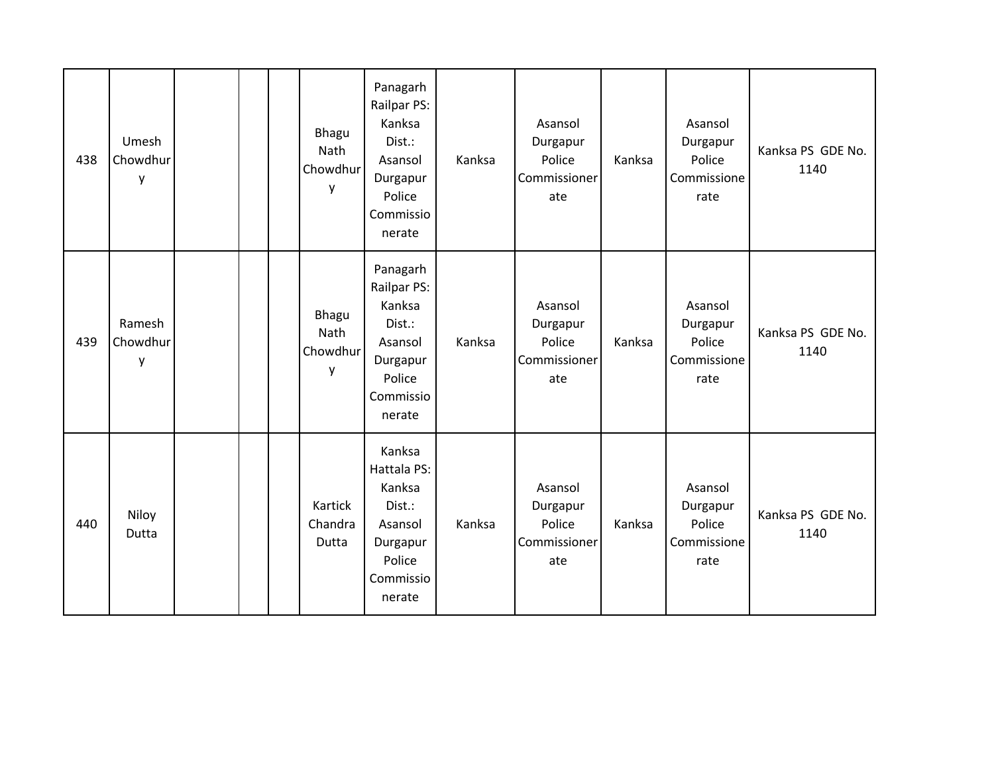| 438 | Umesh<br>Chowdhur<br>y  |  | Bhagu<br>Nath<br>Chowdhur<br>y | Panagarh<br>Railpar PS:<br>Kanksa<br>Dist.:<br>Asansol<br>Durgapur<br>Police<br>Commissio<br>nerate | Kanksa | Asansol<br>Durgapur<br>Police<br>Commissioner<br>ate | Kanksa | Asansol<br>Durgapur<br>Police<br>Commissione<br>rate | Kanksa PS GDE No.<br>1140 |
|-----|-------------------------|--|--------------------------------|-----------------------------------------------------------------------------------------------------|--------|------------------------------------------------------|--------|------------------------------------------------------|---------------------------|
| 439 | Ramesh<br>Chowdhur<br>y |  | Bhagu<br>Nath<br>Chowdhur<br>y | Panagarh<br>Railpar PS:<br>Kanksa<br>Dist.:<br>Asansol<br>Durgapur<br>Police<br>Commissio<br>nerate | Kanksa | Asansol<br>Durgapur<br>Police<br>Commissioner<br>ate | Kanksa | Asansol<br>Durgapur<br>Police<br>Commissione<br>rate | Kanksa PS GDE No.<br>1140 |
| 440 | Niloy<br>Dutta          |  | Kartick<br>Chandra<br>Dutta    | Kanksa<br>Hattala PS:<br>Kanksa<br>Dist.:<br>Asansol<br>Durgapur<br>Police<br>Commissio<br>nerate   | Kanksa | Asansol<br>Durgapur<br>Police<br>Commissioner<br>ate | Kanksa | Asansol<br>Durgapur<br>Police<br>Commissione<br>rate | Kanksa PS GDE No.<br>1140 |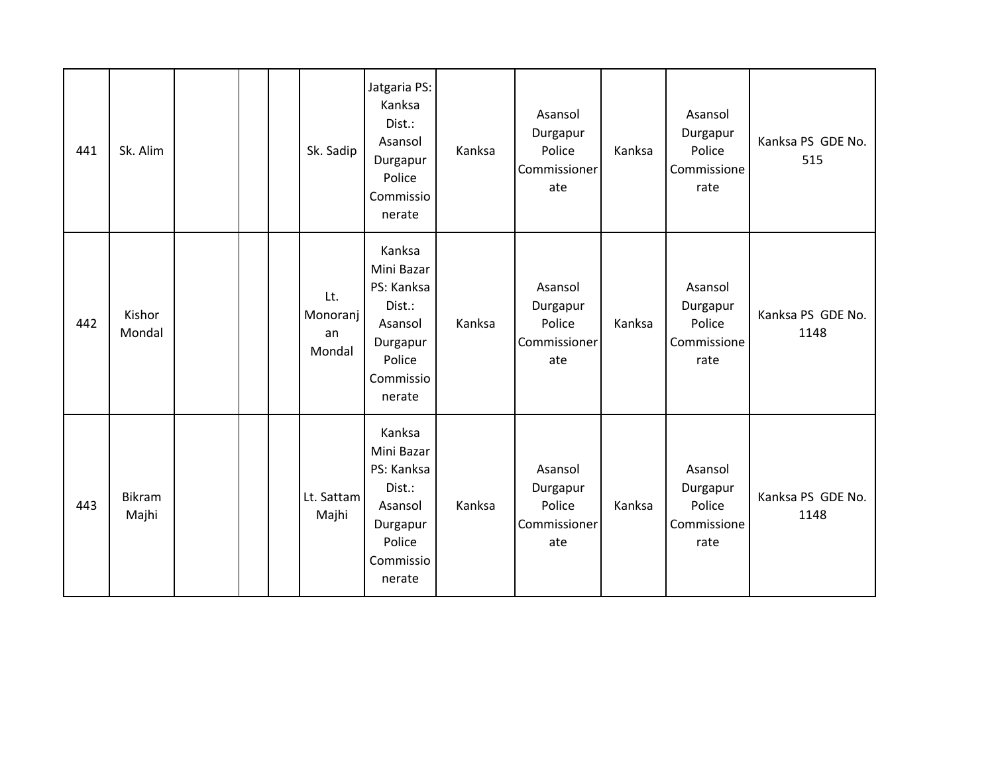| 441 | Sk. Alim         |  | Sk. Sadip                       | Jatgaria PS:<br>Kanksa<br>Dist.:<br>Asansol<br>Durgapur<br>Police<br>Commissio<br>nerate             | Kanksa | Asansol<br>Durgapur<br>Police<br>Commissioner<br>ate | Kanksa | Asansol<br>Durgapur<br>Police<br>Commissione<br>rate | Kanksa PS GDE No.<br>515  |
|-----|------------------|--|---------------------------------|------------------------------------------------------------------------------------------------------|--------|------------------------------------------------------|--------|------------------------------------------------------|---------------------------|
| 442 | Kishor<br>Mondal |  | Lt.<br>Monoranj<br>an<br>Mondal | Kanksa<br>Mini Bazar<br>PS: Kanksa<br>Dist.:<br>Asansol<br>Durgapur<br>Police<br>Commissio<br>nerate | Kanksa | Asansol<br>Durgapur<br>Police<br>Commissioner<br>ate | Kanksa | Asansol<br>Durgapur<br>Police<br>Commissione<br>rate | Kanksa PS GDE No.<br>1148 |
| 443 | Bikram<br>Majhi  |  | Lt. Sattam<br>Majhi             | Kanksa<br>Mini Bazar<br>PS: Kanksa<br>Dist.:<br>Asansol<br>Durgapur<br>Police<br>Commissio<br>nerate | Kanksa | Asansol<br>Durgapur<br>Police<br>Commissioner<br>ate | Kanksa | Asansol<br>Durgapur<br>Police<br>Commissione<br>rate | Kanksa PS GDE No.<br>1148 |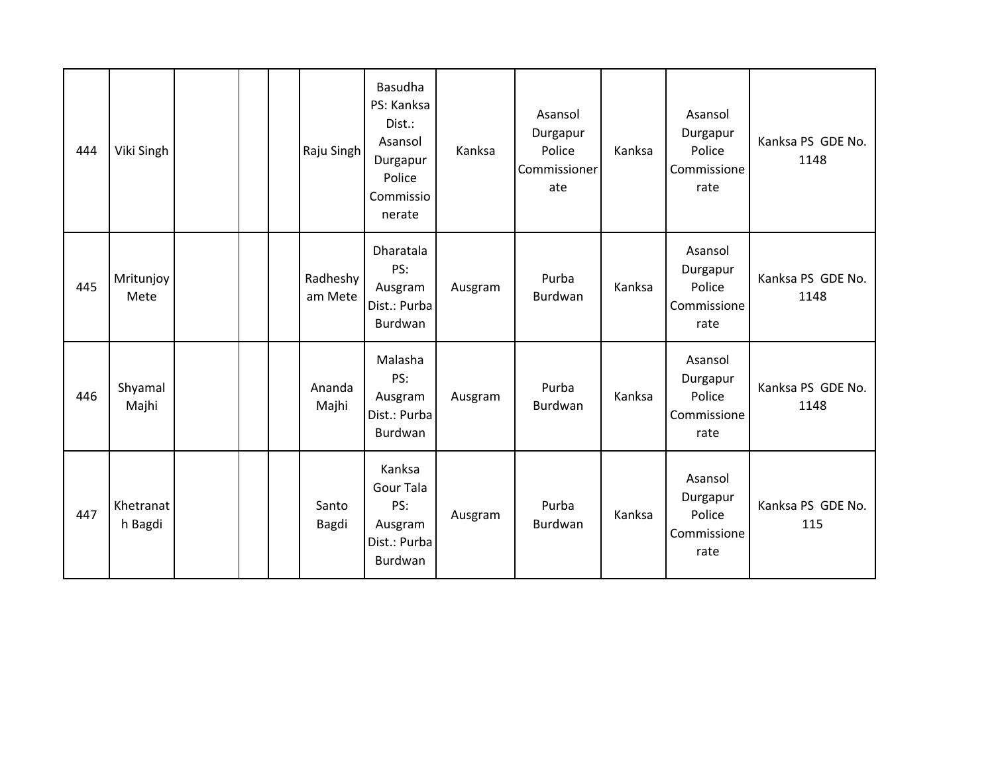| 444 | Viki Singh           |  | Raju Singh          | Basudha<br>PS: Kanksa<br>Dist.:<br>Asansol<br>Durgapur<br>Police<br>Commissio<br>nerate | Kanksa  | Asansol<br>Durgapur<br>Police<br>Commissioner<br>ate | Kanksa | Asansol<br>Durgapur<br>Police<br>Commissione<br>rate | Kanksa PS GDE No.<br>1148 |
|-----|----------------------|--|---------------------|-----------------------------------------------------------------------------------------|---------|------------------------------------------------------|--------|------------------------------------------------------|---------------------------|
| 445 | Mritunjoy<br>Mete    |  | Radheshy<br>am Mete | Dharatala<br>PS:<br>Ausgram<br>Dist.: Purba<br>Burdwan                                  | Ausgram | Purba<br>Burdwan                                     | Kanksa | Asansol<br>Durgapur<br>Police<br>Commissione<br>rate | Kanksa PS GDE No.<br>1148 |
| 446 | Shyamal<br>Majhi     |  | Ananda<br>Majhi     | Malasha<br>PS:<br>Ausgram<br>Dist.: Purba<br>Burdwan                                    | Ausgram | Purba<br>Burdwan                                     | Kanksa | Asansol<br>Durgapur<br>Police<br>Commissione<br>rate | Kanksa PS GDE No.<br>1148 |
| 447 | Khetranat<br>h Bagdi |  | Santo<br>Bagdi      | Kanksa<br>Gour Tala<br>PS:<br>Ausgram<br>Dist.: Purba<br>Burdwan                        | Ausgram | Purba<br>Burdwan                                     | Kanksa | Asansol<br>Durgapur<br>Police<br>Commissione<br>rate | Kanksa PS GDE No.<br>115  |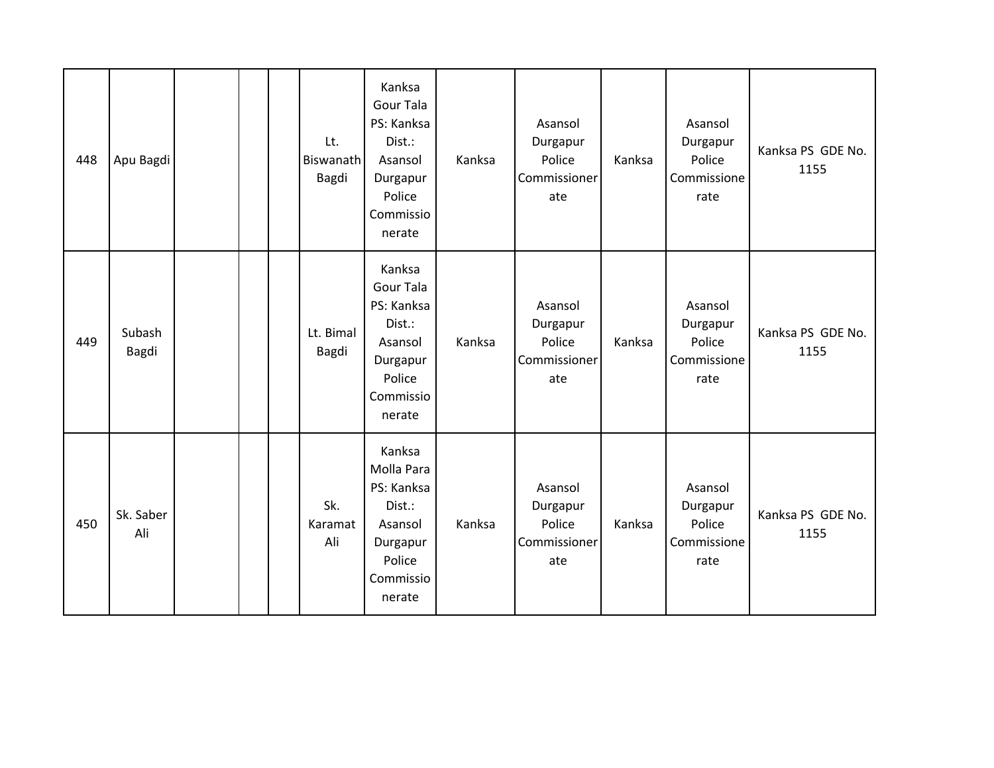| 448 | Apu Bagdi        |  | Lt.<br><b>Biswanath</b><br>Bagdi | Kanksa<br>Gour Tala<br>PS: Kanksa<br>Dist.:<br>Asansol<br>Durgapur<br>Police<br>Commissio<br>nerate  | Kanksa | Asansol<br>Durgapur<br>Police<br>Commissioner<br>ate | Kanksa | Asansol<br>Durgapur<br>Police<br>Commissione<br>rate | Kanksa PS GDE No.<br>1155 |
|-----|------------------|--|----------------------------------|------------------------------------------------------------------------------------------------------|--------|------------------------------------------------------|--------|------------------------------------------------------|---------------------------|
| 449 | Subash<br>Bagdi  |  | Lt. Bimal<br>Bagdi               | Kanksa<br>Gour Tala<br>PS: Kanksa<br>Dist.:<br>Asansol<br>Durgapur<br>Police<br>Commissio<br>nerate  | Kanksa | Asansol<br>Durgapur<br>Police<br>Commissioner<br>ate | Kanksa | Asansol<br>Durgapur<br>Police<br>Commissione<br>rate | Kanksa PS GDE No.<br>1155 |
| 450 | Sk. Saber<br>Ali |  | Sk.<br>Karamat<br>Ali            | Kanksa<br>Molla Para<br>PS: Kanksa<br>Dist.:<br>Asansol<br>Durgapur<br>Police<br>Commissio<br>nerate | Kanksa | Asansol<br>Durgapur<br>Police<br>Commissioner<br>ate | Kanksa | Asansol<br>Durgapur<br>Police<br>Commissione<br>rate | Kanksa PS GDE No.<br>1155 |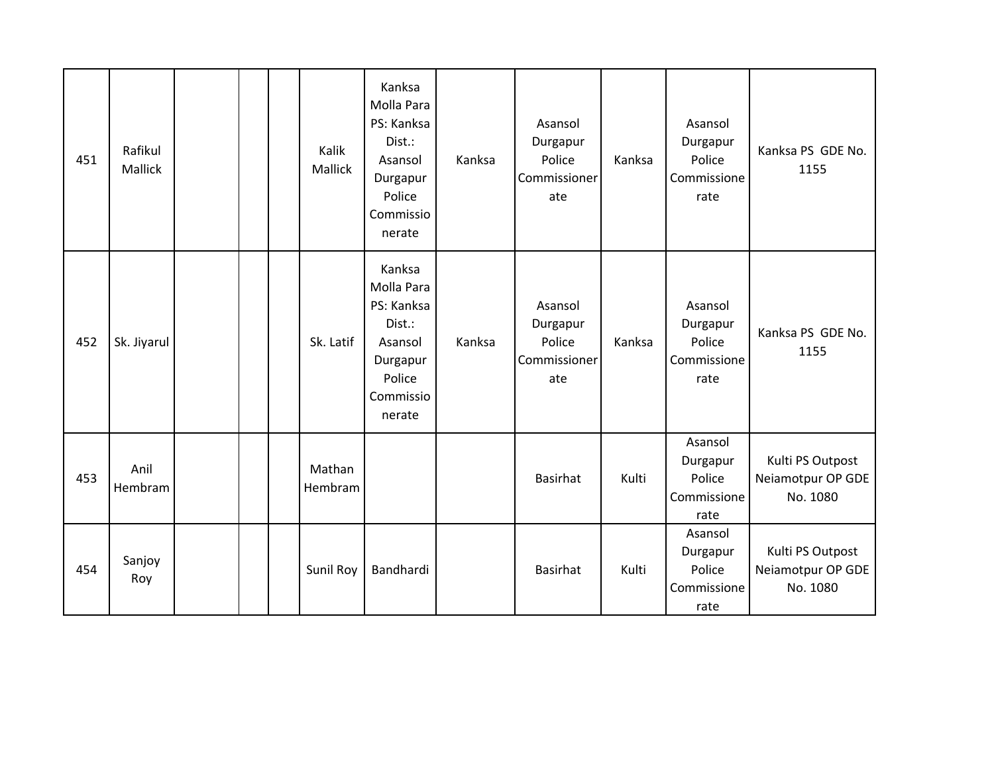| 451 | Rafikul<br>Mallick |  | Kalik<br>Mallick  | Kanksa<br>Molla Para<br>PS: Kanksa<br>Dist.:<br>Asansol<br>Durgapur<br>Police<br>Commissio<br>nerate | Kanksa | Asansol<br>Durgapur<br>Police<br>Commissioner<br>ate | Kanksa | Asansol<br>Durgapur<br>Police<br>Commissione<br>rate | Kanksa PS GDE No.<br>1155                         |
|-----|--------------------|--|-------------------|------------------------------------------------------------------------------------------------------|--------|------------------------------------------------------|--------|------------------------------------------------------|---------------------------------------------------|
| 452 | Sk. Jiyarul        |  | Sk. Latif         | Kanksa<br>Molla Para<br>PS: Kanksa<br>Dist.:<br>Asansol<br>Durgapur<br>Police<br>Commissio<br>nerate | Kanksa | Asansol<br>Durgapur<br>Police<br>Commissioner<br>ate | Kanksa | Asansol<br>Durgapur<br>Police<br>Commissione<br>rate | Kanksa PS GDE No.<br>1155                         |
| 453 | Anil<br>Hembram    |  | Mathan<br>Hembram |                                                                                                      |        | <b>Basirhat</b>                                      | Kulti  | Asansol<br>Durgapur<br>Police<br>Commissione<br>rate | Kulti PS Outpost<br>Neiamotpur OP GDE<br>No. 1080 |
| 454 | Sanjoy<br>Roy      |  | Sunil Roy         | Bandhardi                                                                                            |        | <b>Basirhat</b>                                      | Kulti  | Asansol<br>Durgapur<br>Police<br>Commissione<br>rate | Kulti PS Outpost<br>Neiamotpur OP GDE<br>No. 1080 |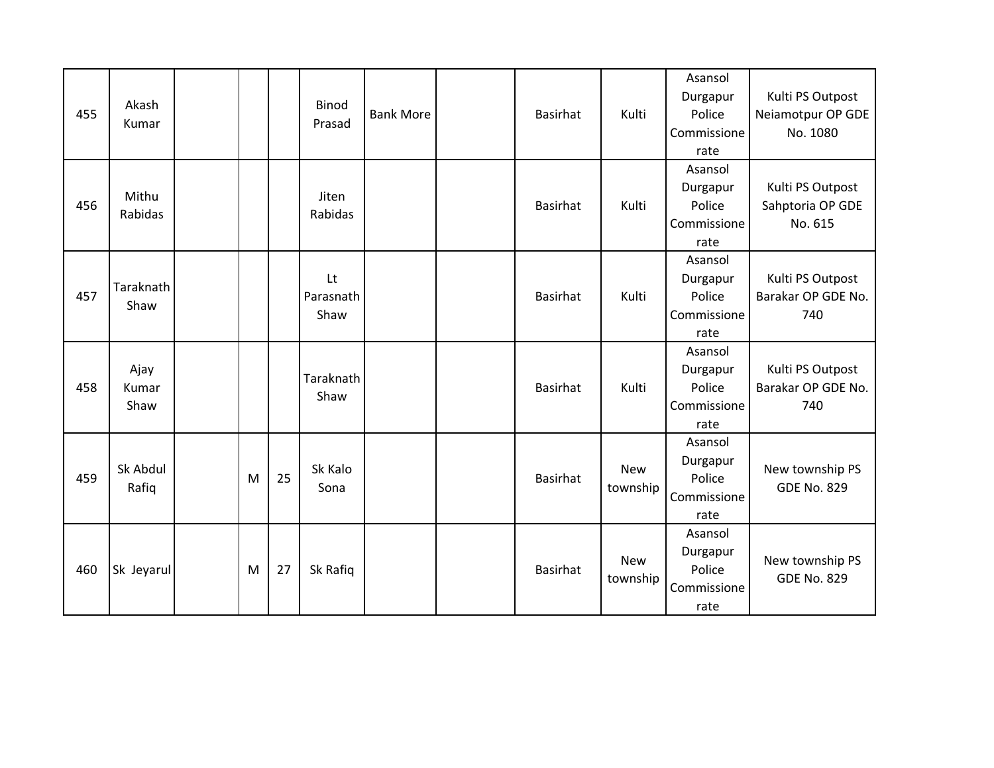| 455 | Akash<br>Kumar        |   |    | <b>Binod</b><br>Prasad  | <b>Bank More</b> | <b>Basirhat</b> | Kulti                  | Asansol<br>Durgapur<br>Police<br>Commissione<br>rate | Kulti PS Outpost<br>Neiamotpur OP GDE<br>No. 1080 |
|-----|-----------------------|---|----|-------------------------|------------------|-----------------|------------------------|------------------------------------------------------|---------------------------------------------------|
| 456 | Mithu<br>Rabidas      |   |    | Jiten<br>Rabidas        |                  | Basirhat        | Kulti                  | Asansol<br>Durgapur<br>Police<br>Commissione<br>rate | Kulti PS Outpost<br>Sahptoria OP GDE<br>No. 615   |
| 457 | Taraknath<br>Shaw     |   |    | Lt<br>Parasnath<br>Shaw |                  | <b>Basirhat</b> | Kulti                  | Asansol<br>Durgapur<br>Police<br>Commissione<br>rate | Kulti PS Outpost<br>Barakar OP GDE No.<br>740     |
| 458 | Ajay<br>Kumar<br>Shaw |   |    | Taraknath<br>Shaw       |                  | Basirhat        | Kulti                  | Asansol<br>Durgapur<br>Police<br>Commissione<br>rate | Kulti PS Outpost<br>Barakar OP GDE No.<br>740     |
| 459 | Sk Abdul<br>Rafiq     | M | 25 | Sk Kalo<br>Sona         |                  | <b>Basirhat</b> | <b>New</b><br>township | Asansol<br>Durgapur<br>Police<br>Commissione<br>rate | New township PS<br><b>GDE No. 829</b>             |
| 460 | Sk Jeyarul            | M | 27 | Sk Rafiq                |                  | <b>Basirhat</b> | <b>New</b><br>township | Asansol<br>Durgapur<br>Police<br>Commissione<br>rate | New township PS<br><b>GDE No. 829</b>             |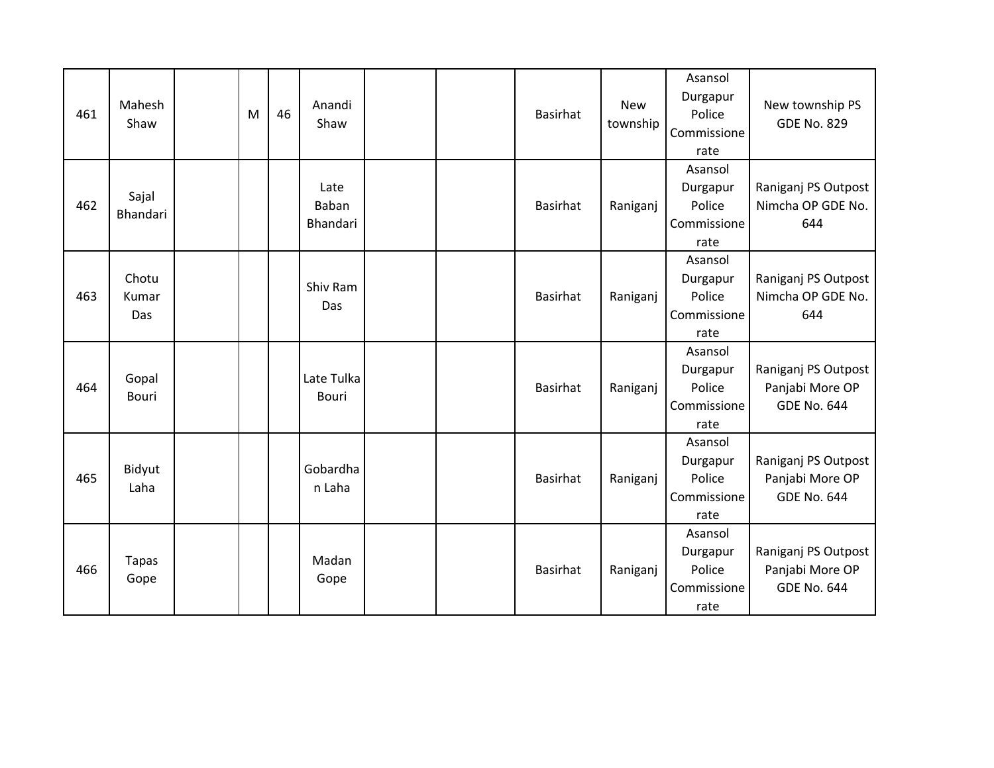| 461 | Mahesh<br>Shaw        | M | 46 | Anandi<br>Shaw             |  | <b>Basirhat</b> | <b>New</b><br>township | Asansol<br>Durgapur<br>Police<br>Commissione<br>rate | New township PS<br><b>GDE No. 829</b>                        |
|-----|-----------------------|---|----|----------------------------|--|-----------------|------------------------|------------------------------------------------------|--------------------------------------------------------------|
| 462 | Sajal<br>Bhandari     |   |    | Late<br>Baban<br>Bhandari  |  | <b>Basirhat</b> | Raniganj               | Asansol<br>Durgapur<br>Police<br>Commissione<br>rate | Raniganj PS Outpost<br>Nimcha OP GDE No.<br>644              |
| 463 | Chotu<br>Kumar<br>Das |   |    | Shiv Ram<br>Das            |  | <b>Basirhat</b> | Raniganj               | Asansol<br>Durgapur<br>Police<br>Commissione<br>rate | Raniganj PS Outpost<br>Nimcha OP GDE No.<br>644              |
| 464 | Gopal<br>Bouri        |   |    | Late Tulka<br><b>Bouri</b> |  | Basirhat        | Raniganj               | Asansol<br>Durgapur<br>Police<br>Commissione<br>rate | Raniganj PS Outpost<br>Panjabi More OP<br><b>GDE No. 644</b> |
| 465 | Bidyut<br>Laha        |   |    | Gobardha<br>n Laha         |  | <b>Basirhat</b> | Raniganj               | Asansol<br>Durgapur<br>Police<br>Commissione<br>rate | Raniganj PS Outpost<br>Panjabi More OP<br><b>GDE No. 644</b> |
| 466 | <b>Tapas</b><br>Gope  |   |    | Madan<br>Gope              |  | <b>Basirhat</b> | Raniganj               | Asansol<br>Durgapur<br>Police<br>Commissione<br>rate | Raniganj PS Outpost<br>Panjabi More OP<br><b>GDE No. 644</b> |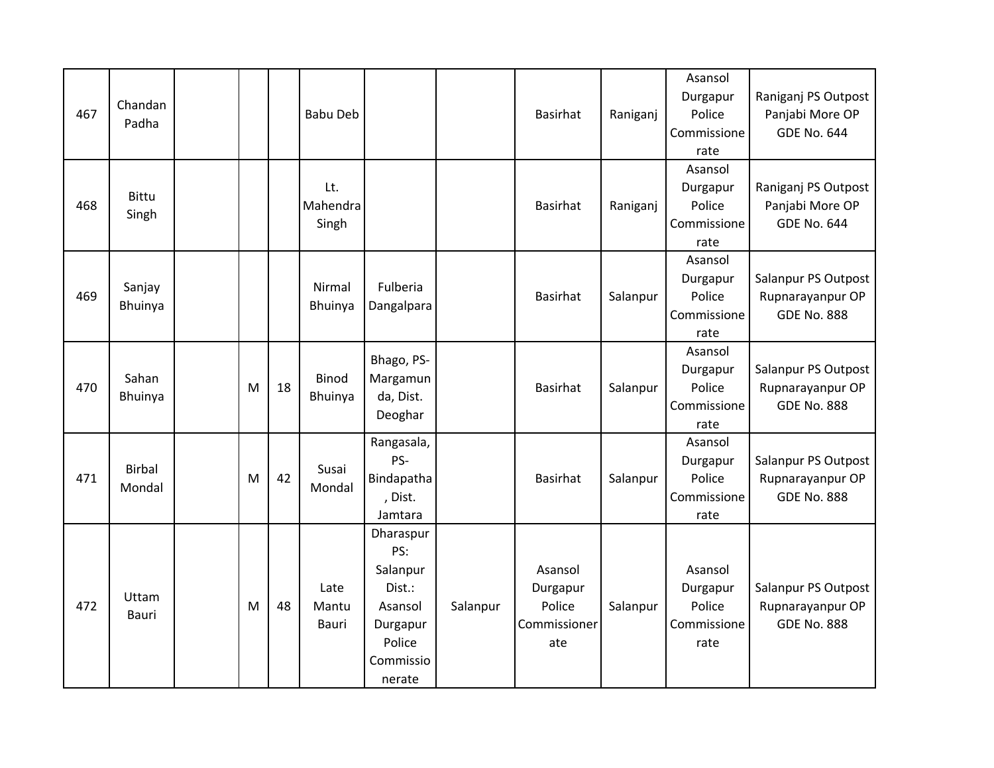|     |               |   |    |                 |            |          |                 |          | Asansol     |                     |
|-----|---------------|---|----|-----------------|------------|----------|-----------------|----------|-------------|---------------------|
|     | Chandan       |   |    |                 |            |          |                 |          | Durgapur    | Raniganj PS Outpost |
| 467 | Padha         |   |    | <b>Babu Deb</b> |            |          | <b>Basirhat</b> | Raniganj | Police      | Panjabi More OP     |
|     |               |   |    |                 |            |          |                 |          | Commissione | <b>GDE No. 644</b>  |
|     |               |   |    |                 |            |          |                 |          | rate        |                     |
|     |               |   |    |                 |            |          |                 |          | Asansol     |                     |
|     | <b>Bittu</b>  |   |    | Lt.             |            |          |                 |          | Durgapur    | Raniganj PS Outpost |
| 468 | Singh         |   |    | Mahendra        |            |          | <b>Basirhat</b> | Raniganj | Police      | Panjabi More OP     |
|     |               |   |    | Singh           |            |          |                 |          | Commissione | <b>GDE No. 644</b>  |
|     |               |   |    |                 |            |          |                 |          | rate        |                     |
|     |               |   |    |                 |            |          |                 |          | Asansol     |                     |
|     | Sanjay        |   |    | Nirmal          | Fulberia   |          |                 |          | Durgapur    | Salanpur PS Outpost |
| 469 | Bhuinya       |   |    | Bhuinya         | Dangalpara |          | <b>Basirhat</b> | Salanpur | Police      | Rupnarayanpur OP    |
|     |               |   |    |                 |            |          |                 |          | Commissione | <b>GDE No. 888</b>  |
|     |               |   |    |                 |            |          |                 |          | rate        |                     |
|     |               |   |    |                 | Bhago, PS- |          |                 |          | Asansol     |                     |
|     | Sahan         |   |    | Binod           | Margamun   |          |                 |          | Durgapur    | Salanpur PS Outpost |
| 470 | Bhuinya       | M | 18 | Bhuinya         | da, Dist.  |          | <b>Basirhat</b> | Salanpur | Police      | Rupnarayanpur OP    |
|     |               |   |    |                 | Deoghar    |          |                 |          | Commissione | <b>GDE No. 888</b>  |
|     |               |   |    |                 |            |          |                 |          | rate        |                     |
|     |               |   |    |                 | Rangasala, |          |                 |          | Asansol     |                     |
|     | <b>Birbal</b> |   |    | Susai           | PS-        |          |                 |          | Durgapur    | Salanpur PS Outpost |
| 471 | Mondal        | M | 42 | Mondal          | Bindapatha |          | <b>Basirhat</b> | Salanpur | Police      | Rupnarayanpur OP    |
|     |               |   |    |                 | , Dist.    |          |                 |          | Commissione | <b>GDE No. 888</b>  |
|     |               |   |    |                 | Jamtara    |          |                 |          | rate        |                     |
|     |               |   |    |                 | Dharaspur  |          |                 |          |             |                     |
|     |               |   |    |                 | PS:        |          |                 |          |             |                     |
|     |               |   |    |                 | Salanpur   |          | Asansol         |          | Asansol     |                     |
|     | Uttam         |   |    | Late            | Dist.:     |          | Durgapur        |          | Durgapur    | Salanpur PS Outpost |
| 472 | Bauri         | M | 48 | Mantu           | Asansol    | Salanpur | Police          | Salanpur | Police      | Rupnarayanpur OP    |
|     |               |   |    | Bauri           | Durgapur   |          | Commissioner    |          | Commissione | <b>GDE No. 888</b>  |
|     |               |   |    |                 | Police     |          | ate             |          | rate        |                     |
|     |               |   |    |                 | Commissio  |          |                 |          |             |                     |
|     |               |   |    |                 | nerate     |          |                 |          |             |                     |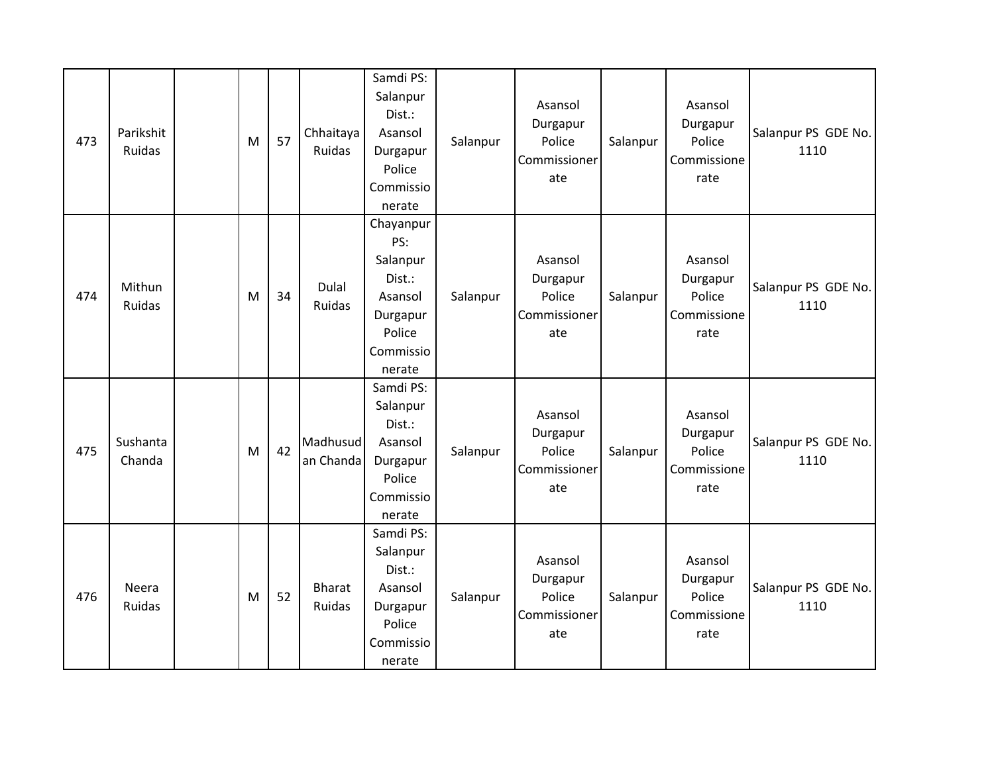| 473 | Parikshit<br>Ruidas    | M | 57 | Chhaitaya<br>Ruidas     | Samdi PS:<br>Salanpur<br>Dist.:<br>Asansol<br>Durgapur<br>Police<br>Commissio<br>nerate        | Salanpur | Asansol<br>Durgapur<br>Police<br>Commissioner<br>ate | Salanpur | Asansol<br>Durgapur<br>Police<br>Commissione<br>rate | Salanpur PS GDE No.<br>1110 |
|-----|------------------------|---|----|-------------------------|------------------------------------------------------------------------------------------------|----------|------------------------------------------------------|----------|------------------------------------------------------|-----------------------------|
| 474 | Mithun<br>Ruidas       | M | 34 | Dulal<br>Ruidas         | Chayanpur<br>PS:<br>Salanpur<br>Dist.:<br>Asansol<br>Durgapur<br>Police<br>Commissio<br>nerate | Salanpur | Asansol<br>Durgapur<br>Police<br>Commissioner<br>ate | Salanpur | Asansol<br>Durgapur<br>Police<br>Commissione<br>rate | Salanpur PS GDE No.<br>1110 |
| 475 | Sushanta<br>Chanda     | M | 42 | Madhusud<br>an Chanda   | Samdi PS:<br>Salanpur<br>Dist.:<br>Asansol<br>Durgapur<br>Police<br>Commissio<br>nerate        | Salanpur | Asansol<br>Durgapur<br>Police<br>Commissioner<br>ate | Salanpur | Asansol<br>Durgapur<br>Police<br>Commissione<br>rate | Salanpur PS GDE No.<br>1110 |
| 476 | Neera<br><b>Ruidas</b> | M | 52 | <b>Bharat</b><br>Ruidas | Samdi PS:<br>Salanpur<br>Dist.:<br>Asansol<br>Durgapur<br>Police<br>Commissio<br>nerate        | Salanpur | Asansol<br>Durgapur<br>Police<br>Commissioner<br>ate | Salanpur | Asansol<br>Durgapur<br>Police<br>Commissione<br>rate | Salanpur PS GDE No.<br>1110 |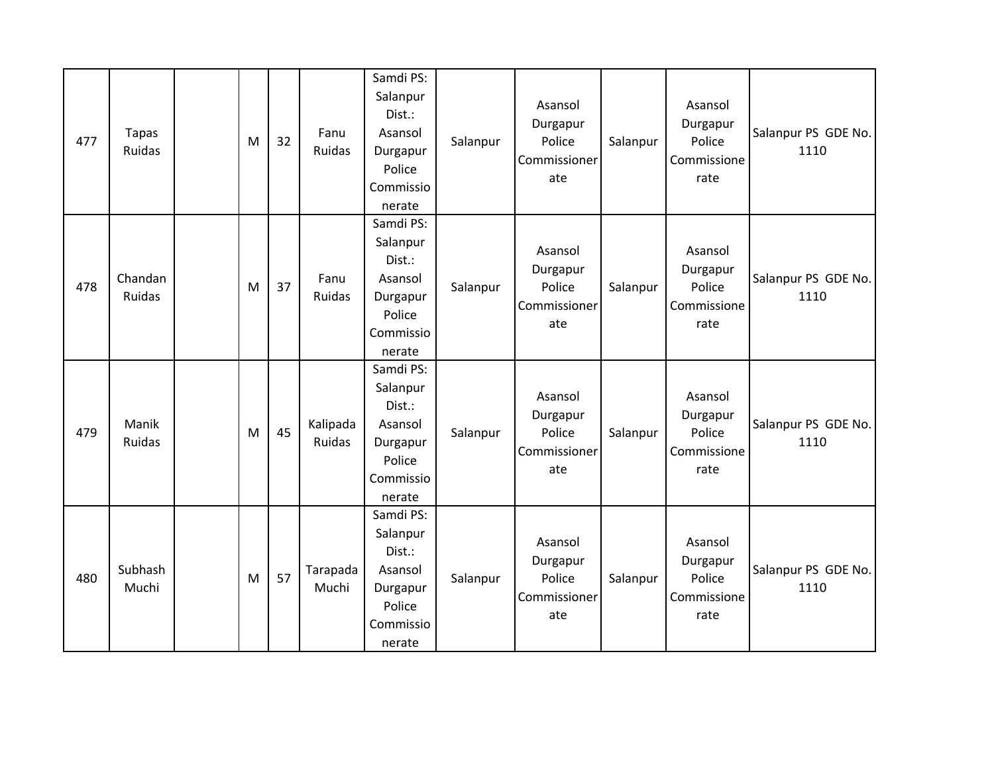| 477 | <b>Tapas</b><br>Ruidas   | M | 32 | Fanu<br>Ruidas     | Samdi PS:<br>Salanpur<br>Dist.:<br>Asansol<br>Durgapur<br>Police<br>Commissio<br>nerate | Salanpur | Asansol<br>Durgapur<br>Police<br>Commissioner<br>ate | Salanpur | Asansol<br>Durgapur<br>Police<br>Commissione<br>rate | Salanpur PS GDE No.<br>1110 |
|-----|--------------------------|---|----|--------------------|-----------------------------------------------------------------------------------------|----------|------------------------------------------------------|----------|------------------------------------------------------|-----------------------------|
| 478 | Chandan<br><b>Ruidas</b> | M | 37 | Fanu<br>Ruidas     | Samdi PS:<br>Salanpur<br>Dist.:<br>Asansol<br>Durgapur<br>Police<br>Commissio<br>nerate | Salanpur | Asansol<br>Durgapur<br>Police<br>Commissioner<br>ate | Salanpur | Asansol<br>Durgapur<br>Police<br>Commissione<br>rate | Salanpur PS GDE No.<br>1110 |
| 479 | Manik<br>Ruidas          | M | 45 | Kalipada<br>Ruidas | Samdi PS:<br>Salanpur<br>Dist.:<br>Asansol<br>Durgapur<br>Police<br>Commissio<br>nerate | Salanpur | Asansol<br>Durgapur<br>Police<br>Commissioner<br>ate | Salanpur | Asansol<br>Durgapur<br>Police<br>Commissione<br>rate | Salanpur PS GDE No.<br>1110 |
| 480 | Subhash<br>Muchi         | M | 57 | Tarapada<br>Muchi  | Samdi PS:<br>Salanpur<br>Dist.:<br>Asansol<br>Durgapur<br>Police<br>Commissio<br>nerate | Salanpur | Asansol<br>Durgapur<br>Police<br>Commissioner<br>ate | Salanpur | Asansol<br>Durgapur<br>Police<br>Commissione<br>rate | Salanpur PS GDE No.<br>1110 |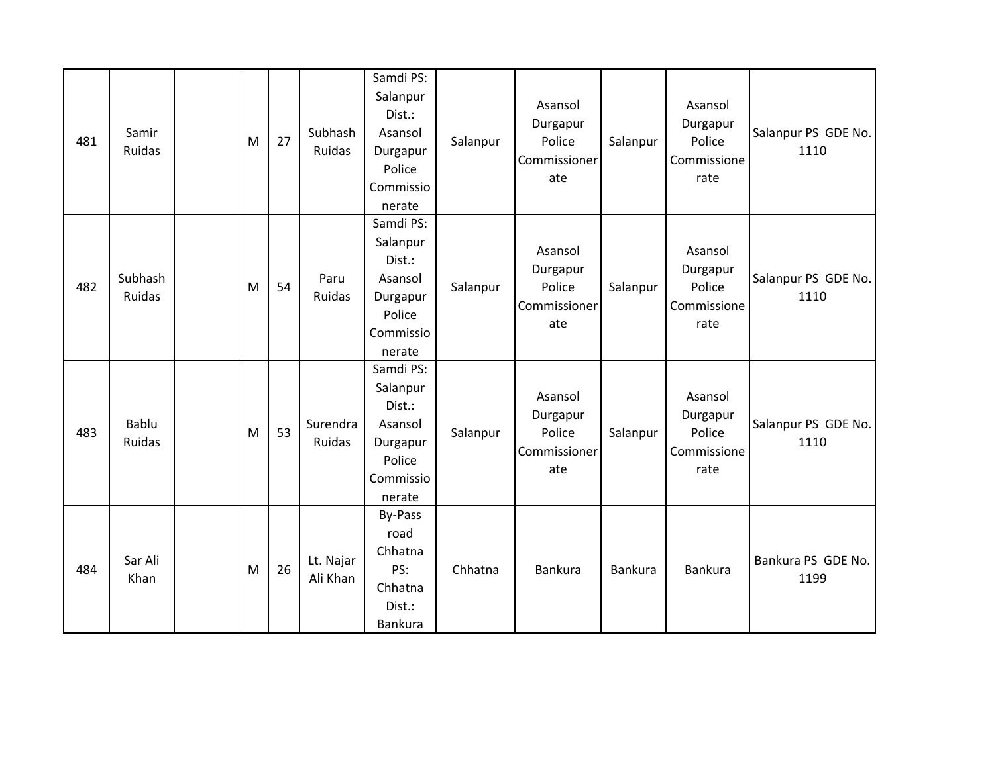| 481 | Samir<br>Ruidas   | M | 27 | Subhash<br>Ruidas     | Samdi PS:<br>Salanpur<br>Dist.:<br>Asansol<br>Durgapur<br>Police<br>Commissio<br>nerate | Salanpur | Asansol<br>Durgapur<br>Police<br>Commissioner<br>ate | Salanpur | Asansol<br>Durgapur<br>Police<br>Commissione<br>rate | Salanpur PS GDE No.<br>1110 |
|-----|-------------------|---|----|-----------------------|-----------------------------------------------------------------------------------------|----------|------------------------------------------------------|----------|------------------------------------------------------|-----------------------------|
| 482 | Subhash<br>Ruidas | M | 54 | Paru<br>Ruidas        | Samdi PS:<br>Salanpur<br>Dist.:<br>Asansol<br>Durgapur<br>Police<br>Commissio<br>nerate | Salanpur | Asansol<br>Durgapur<br>Police<br>Commissioner<br>ate | Salanpur | Asansol<br>Durgapur<br>Police<br>Commissione<br>rate | Salanpur PS GDE No.<br>1110 |
| 483 | Bablu<br>Ruidas   | M | 53 | Surendra<br>Ruidas    | Samdi PS:<br>Salanpur<br>Dist.:<br>Asansol<br>Durgapur<br>Police<br>Commissio<br>nerate | Salanpur | Asansol<br>Durgapur<br>Police<br>Commissioner<br>ate | Salanpur | Asansol<br>Durgapur<br>Police<br>Commissione<br>rate | Salanpur PS GDE No.<br>1110 |
| 484 | Sar Ali<br>Khan   | M | 26 | Lt. Najar<br>Ali Khan | By-Pass<br>road<br>Chhatna<br>PS:<br>Chhatna<br>Dist.:<br>Bankura                       | Chhatna  | Bankura                                              | Bankura  | <b>Bankura</b>                                       | Bankura PS GDE No.<br>1199  |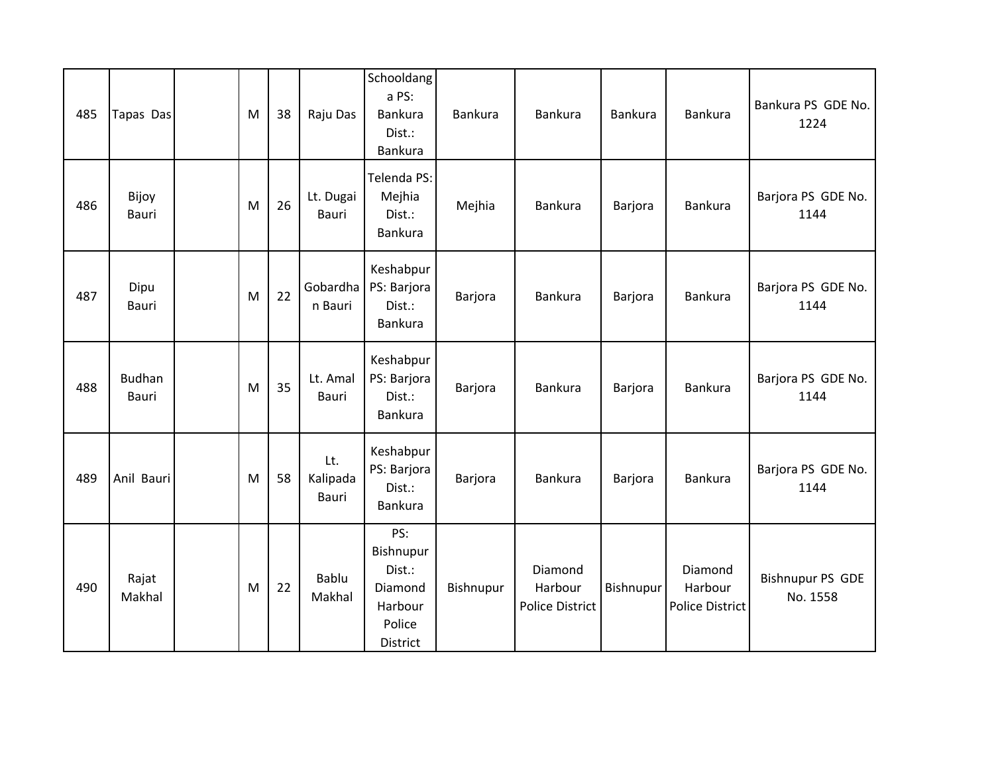| 485 | Tapas Das              | M | 38 | Raju Das                 | Schooldang<br>a PS:<br>Bankura<br>Dist.:<br>Bankura                    | Bankura   | Bankura                                      | Bankura   | Bankura                               | Bankura PS GDE No.<br>1224          |
|-----|------------------------|---|----|--------------------------|------------------------------------------------------------------------|-----------|----------------------------------------------|-----------|---------------------------------------|-------------------------------------|
| 486 | Bijoy<br>Bauri         | M | 26 | Lt. Dugai<br>Bauri       | Telenda PS:<br>Mejhia<br>Dist.:<br><b>Bankura</b>                      | Mejhia    | Bankura                                      | Barjora   | Bankura                               | Barjora PS GDE No.<br>1144          |
| 487 | Dipu<br>Bauri          | M | 22 | Gobardha<br>n Bauri      | Keshabpur<br>PS: Barjora<br>Dist.:<br>Bankura                          | Barjora   | <b>Bankura</b>                               | Barjora   | <b>Bankura</b>                        | Barjora PS GDE No.<br>1144          |
| 488 | <b>Budhan</b><br>Bauri | M | 35 | Lt. Amal<br>Bauri        | Keshabpur<br>PS: Barjora<br>Dist.:<br>Bankura                          | Barjora   | Bankura                                      | Barjora   | Bankura                               | Barjora PS GDE No.<br>1144          |
| 489 | Anil Bauri             | M | 58 | Lt.<br>Kalipada<br>Bauri | Keshabpur<br>PS: Barjora<br>Dist.:<br>Bankura                          | Barjora   | Bankura                                      | Barjora   | <b>Bankura</b>                        | Barjora PS GDE No.<br>1144          |
| 490 | Rajat<br>Makhal        | M | 22 | <b>Bablu</b><br>Makhal   | PS:<br>Bishnupur<br>Dist.:<br>Diamond<br>Harbour<br>Police<br>District | Bishnupur | Diamond<br>Harbour<br><b>Police District</b> | Bishnupur | Diamond<br>Harbour<br>Police District | <b>Bishnupur PS GDE</b><br>No. 1558 |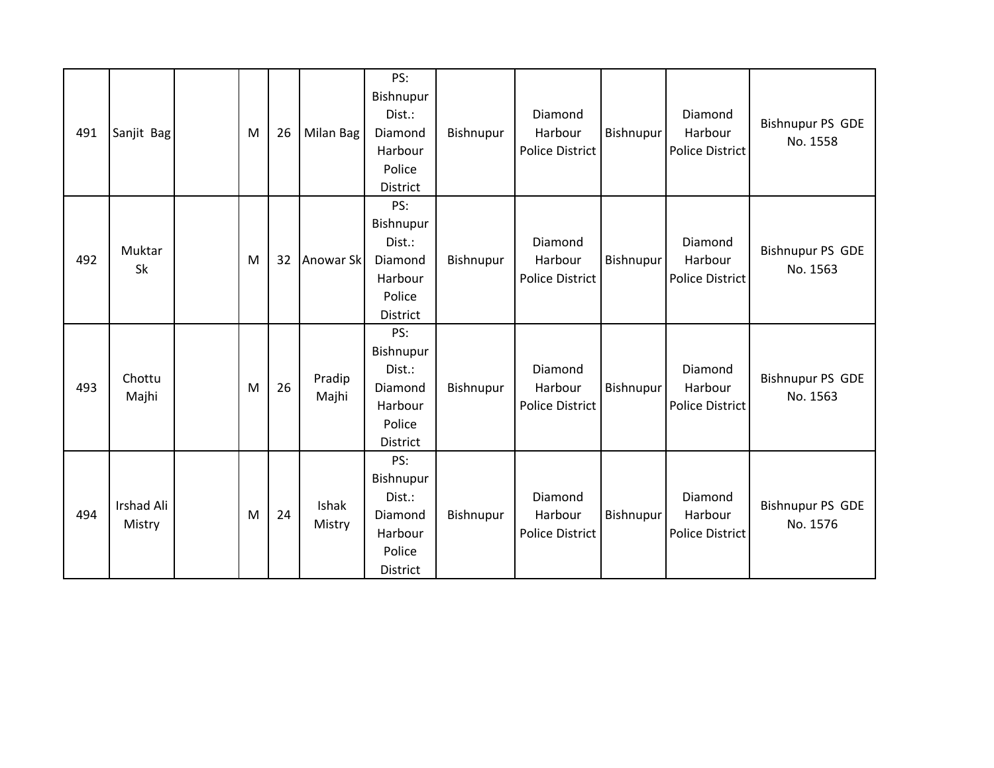| 491 | Sanjit Bag           | M | 26 | Milan Bag       | PS:<br>Bishnupur<br>Dist.:<br>Diamond<br>Harbour<br>Police<br>District        | Bishnupur | Diamond<br>Harbour<br><b>Police District</b> | Bishnupur | Diamond<br>Harbour<br>Police District        | <b>Bishnupur PS GDE</b><br>No. 1558 |
|-----|----------------------|---|----|-----------------|-------------------------------------------------------------------------------|-----------|----------------------------------------------|-----------|----------------------------------------------|-------------------------------------|
| 492 | Muktar<br>Sk         | M | 32 | Anowar Sk       | PS:<br>Bishnupur<br>Dist.:<br>Diamond<br>Harbour<br>Police<br><b>District</b> | Bishnupur | Diamond<br>Harbour<br><b>Police District</b> | Bishnupur | Diamond<br>Harbour<br><b>Police District</b> | <b>Bishnupur PS GDE</b><br>No. 1563 |
| 493 | Chottu<br>Majhi      | M | 26 | Pradip<br>Majhi | PS:<br>Bishnupur<br>Dist.:<br>Diamond<br>Harbour<br>Police<br><b>District</b> | Bishnupur | Diamond<br>Harbour<br><b>Police District</b> | Bishnupur | Diamond<br>Harbour<br>Police District        | <b>Bishnupur PS GDE</b><br>No. 1563 |
| 494 | Irshad Ali<br>Mistry | M | 24 | Ishak<br>Mistry | PS:<br>Bishnupur<br>Dist.:<br>Diamond<br>Harbour<br>Police<br><b>District</b> | Bishnupur | Diamond<br>Harbour<br><b>Police District</b> | Bishnupur | Diamond<br>Harbour<br>Police District        | <b>Bishnupur PS GDE</b><br>No. 1576 |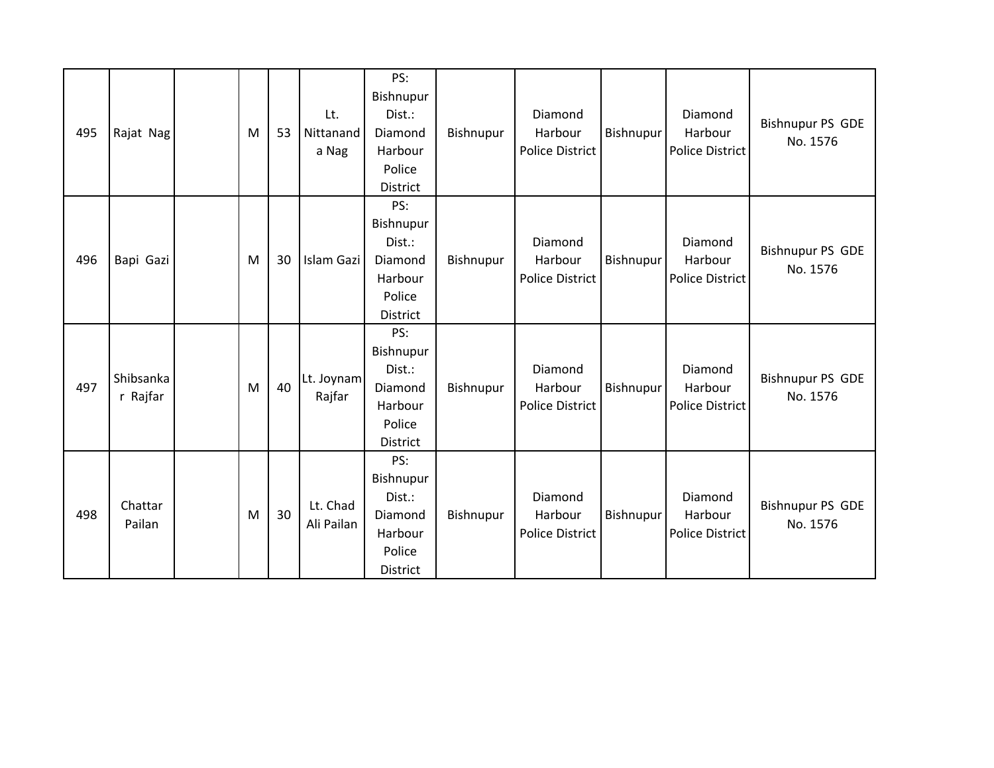| 495 | Rajat Nag             | M | 53 | Lt.<br>Nittanand<br>a Nag | PS:<br>Bishnupur<br>Dist.:<br>Diamond<br>Harbour<br>Police<br>District | Bishnupur | Diamond<br>Harbour<br><b>Police District</b> | Bishnupur | Diamond<br>Harbour<br><b>Police District</b> | <b>Bishnupur PS GDE</b><br>No. 1576 |
|-----|-----------------------|---|----|---------------------------|------------------------------------------------------------------------|-----------|----------------------------------------------|-----------|----------------------------------------------|-------------------------------------|
| 496 | Bapi Gazi             | M | 30 | Islam Gazi                | PS:<br>Bishnupur<br>Dist.:<br>Diamond<br>Harbour<br>Police<br>District | Bishnupur | Diamond<br>Harbour<br><b>Police District</b> | Bishnupur | Diamond<br>Harbour<br><b>Police District</b> | <b>Bishnupur PS GDE</b><br>No. 1576 |
| 497 | Shibsanka<br>r Rajfar | M | 40 | Lt. Joynam<br>Rajfar      | PS:<br>Bishnupur<br>Dist.:<br>Diamond<br>Harbour<br>Police<br>District | Bishnupur | Diamond<br>Harbour<br><b>Police District</b> | Bishnupur | Diamond<br>Harbour<br><b>Police District</b> | <b>Bishnupur PS GDE</b><br>No. 1576 |
| 498 | Chattar<br>Pailan     | M | 30 | Lt. Chad<br>Ali Pailan    | PS:<br>Bishnupur<br>Dist.:<br>Diamond<br>Harbour<br>Police<br>District | Bishnupur | Diamond<br>Harbour<br><b>Police District</b> | Bishnupur | Diamond<br>Harbour<br><b>Police District</b> | <b>Bishnupur PS GDE</b><br>No. 1576 |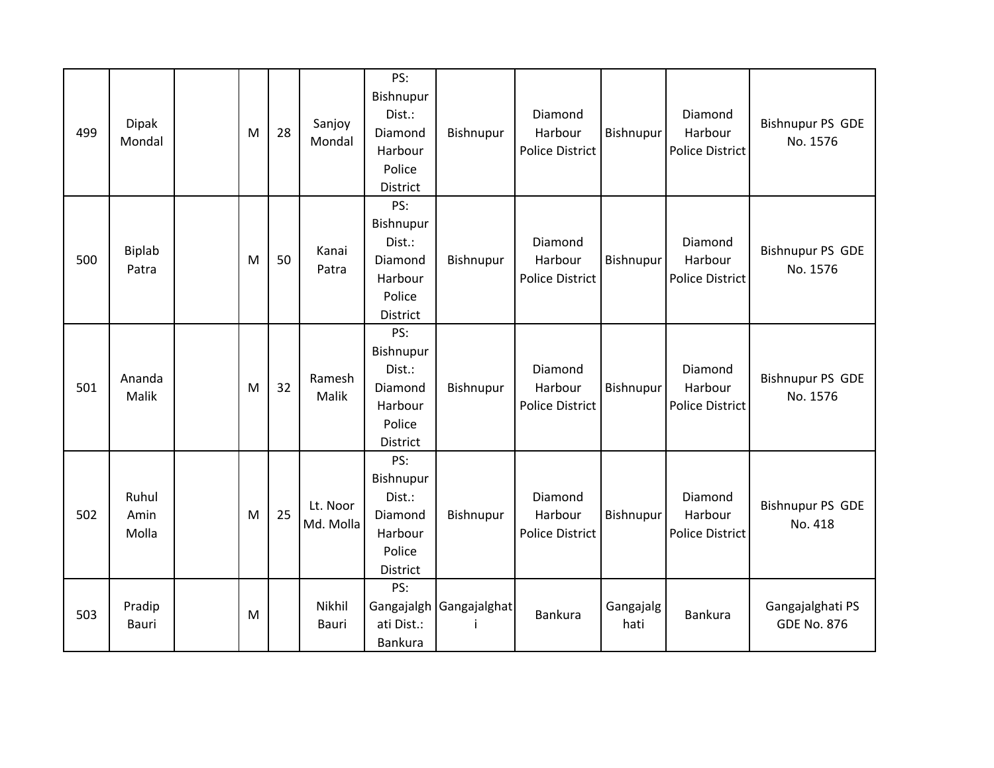| 499 | <b>Dipak</b><br>Mondal | M | 28 | Sanjoy<br>Mondal       | PS:<br>Bishnupur<br>Dist.:<br>Diamond<br>Harbour<br>Police<br>District        | Bishnupur    | Diamond<br>Harbour<br><b>Police District</b> | Bishnupur         | Diamond<br>Harbour<br><b>Police District</b> | <b>Bishnupur PS GDE</b><br>No. 1576    |
|-----|------------------------|---|----|------------------------|-------------------------------------------------------------------------------|--------------|----------------------------------------------|-------------------|----------------------------------------------|----------------------------------------|
| 500 | Biplab<br>Patra        | M | 50 | Kanai<br>Patra         | PS:<br>Bishnupur<br>Dist.:<br>Diamond<br>Harbour<br>Police<br><b>District</b> | Bishnupur    | Diamond<br>Harbour<br><b>Police District</b> | Bishnupur         | Diamond<br>Harbour<br>Police District        | <b>Bishnupur PS GDE</b><br>No. 1576    |
| 501 | Ananda<br>Malik        | M | 32 | Ramesh<br>Malik        | PS:<br>Bishnupur<br>Dist.:<br>Diamond<br>Harbour<br>Police<br>District        | Bishnupur    | Diamond<br>Harbour<br><b>Police District</b> | Bishnupur         | Diamond<br>Harbour<br>Police District        | <b>Bishnupur PS GDE</b><br>No. 1576    |
| 502 | Ruhul<br>Amin<br>Molla | M | 25 | Lt. Noor<br>Md. Molla  | PS:<br>Bishnupur<br>Dist.:<br>Diamond<br>Harbour<br>Police<br>District        | Bishnupur    | Diamond<br>Harbour<br><b>Police District</b> | Bishnupur         | Diamond<br>Harbour<br>Police District        | <b>Bishnupur PS GDE</b><br>No. 418     |
| 503 | Pradip<br>Bauri        | M |    | Nikhil<br><b>Bauri</b> | PS:<br>Gangajalgh<br>ati Dist.:<br>Bankura                                    | Gangajalghat | <b>Bankura</b>                               | Gangajalg<br>hati | <b>Bankura</b>                               | Gangajalghati PS<br><b>GDE No. 876</b> |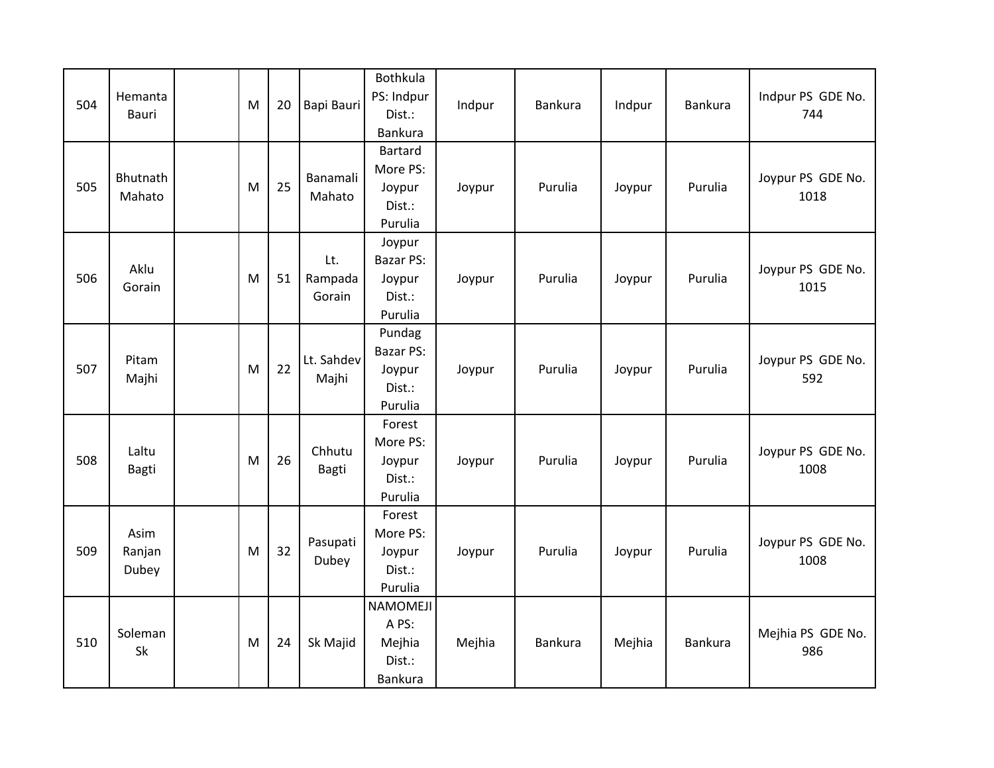| 504 | Hemanta<br><b>Bauri</b> | M | 20 | Bapi Bauri               | <b>Bothkula</b><br>PS: Indpur<br>Dist.:<br><b>Bankura</b> | Indpur | Bankura | Indpur | Bankura | Indpur PS GDE No.<br>744  |
|-----|-------------------------|---|----|--------------------------|-----------------------------------------------------------|--------|---------|--------|---------|---------------------------|
| 505 | Bhutnath<br>Mahato      | M | 25 | Banamali<br>Mahato       | Bartard<br>More PS:<br>Joypur<br>Dist.:<br>Purulia        | Joypur | Purulia | Joypur | Purulia | Joypur PS GDE No.<br>1018 |
| 506 | Aklu<br>Gorain          | M | 51 | Lt.<br>Rampada<br>Gorain | Joypur<br>Bazar PS:<br>Joypur<br>Dist.:<br>Purulia        | Joypur | Purulia | Joypur | Purulia | Joypur PS GDE No.<br>1015 |
| 507 | Pitam<br>Majhi          | M | 22 | Lt. Sahdev<br>Majhi      | Pundag<br><b>Bazar PS:</b><br>Joypur<br>Dist.:<br>Purulia | Joypur | Purulia | Joypur | Purulia | Joypur PS GDE No.<br>592  |
| 508 | Laltu<br><b>Bagti</b>   | M | 26 | Chhutu<br>Bagti          | Forest<br>More PS:<br>Joypur<br>Dist.:<br>Purulia         | Joypur | Purulia | Joypur | Purulia | Joypur PS GDE No.<br>1008 |
| 509 | Asim<br>Ranjan<br>Dubey | M | 32 | Pasupati<br>Dubey        | Forest<br>More PS:<br>Joypur<br>Dist.:<br>Purulia         | Joypur | Purulia | Joypur | Purulia | Joypur PS GDE No.<br>1008 |
| 510 | Soleman<br>Sk           | M | 24 | Sk Majid                 | <b>NAMOMEJI</b><br>A PS:<br>Mejhia<br>Dist.:<br>Bankura   | Mejhia | Bankura | Mejhia | Bankura | Mejhia PS GDE No.<br>986  |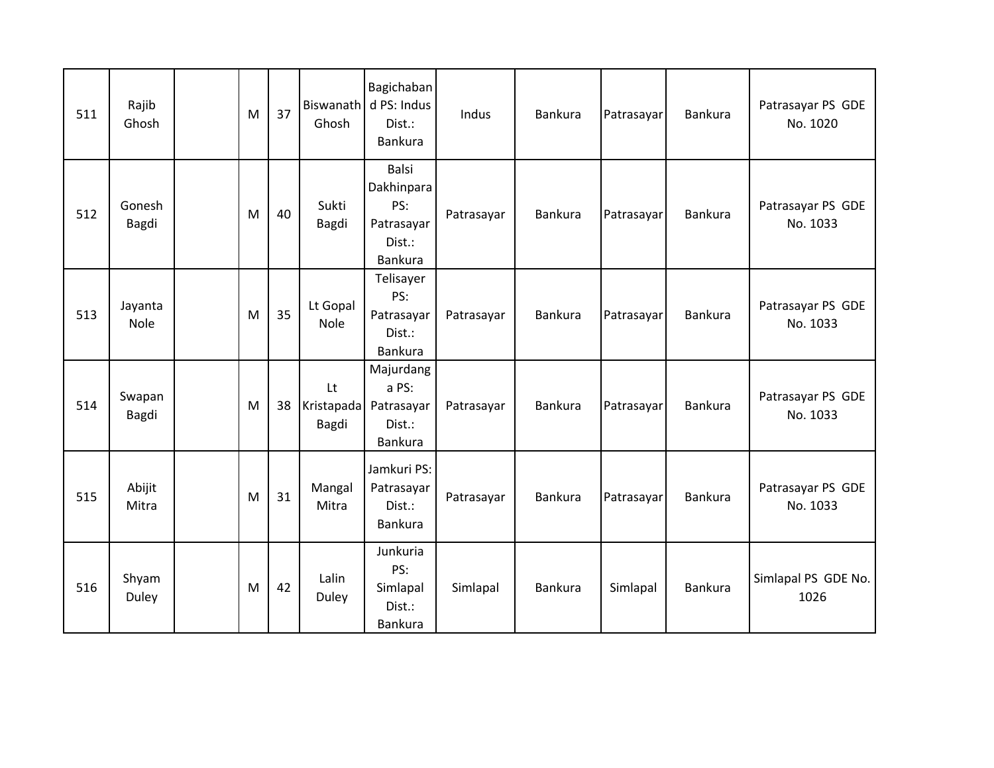| 511 | Rajib<br>Ghosh         | M | 37 | Ghosh                     | Bagichaban<br>Biswanath d PS: Indus<br>Dist.:<br>Bankura             | Indus      | <b>Bankura</b> | Patrasayar | <b>Bankura</b> | Patrasayar PS GDE<br>No. 1020 |
|-----|------------------------|---|----|---------------------------|----------------------------------------------------------------------|------------|----------------|------------|----------------|-------------------------------|
| 512 | Gonesh<br>Bagdi        | M | 40 | Sukti<br>Bagdi            | <b>Balsi</b><br>Dakhinpara<br>PS:<br>Patrasayar<br>Dist.:<br>Bankura | Patrasayar | Bankura        | Patrasayar | <b>Bankura</b> | Patrasayar PS GDE<br>No. 1033 |
| 513 | Jayanta<br><b>Nole</b> | M | 35 | Lt Gopal<br><b>Nole</b>   | Telisayer<br>PS:<br>Patrasayar<br>Dist.:<br>Bankura                  | Patrasayar | Bankura        | Patrasayar | Bankura        | Patrasayar PS GDE<br>No. 1033 |
| 514 | Swapan<br>Bagdi        | M | 38 | Lt<br>Kristapada<br>Bagdi | Majurdang<br>a PS:<br>Patrasayar<br>Dist.:<br>Bankura                | Patrasayar | Bankura        | Patrasayar | <b>Bankura</b> | Patrasayar PS GDE<br>No. 1033 |
| 515 | Abijit<br>Mitra        | M | 31 | Mangal<br>Mitra           | Jamkuri PS:<br>Patrasayar<br>Dist.:<br>Bankura                       | Patrasayar | Bankura        | Patrasayar | <b>Bankura</b> | Patrasayar PS GDE<br>No. 1033 |
| 516 | Shyam<br>Duley         | M | 42 | Lalin<br><b>Duley</b>     | Junkuria<br>PS:<br>Simlapal<br>Dist.:<br>Bankura                     | Simlapal   | Bankura        | Simlapal   | <b>Bankura</b> | Simlapal PS GDE No.<br>1026   |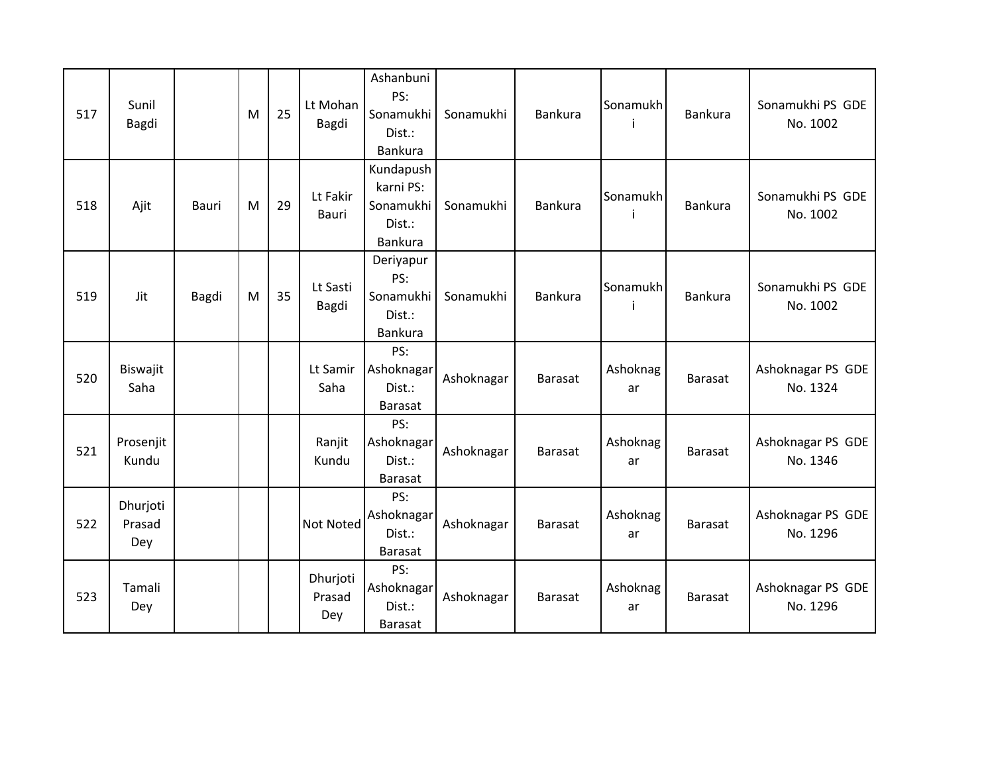| 517 | Sunil<br>Bagdi            |       | M | 25 | Lt Mohan<br>Bagdi         | Ashanbuni<br>PS:<br>Sonamukhi<br>Dist.:<br>Bankura       | Sonamukhi  | <b>Bankura</b> | Sonamukh       | <b>Bankura</b> | Sonamukhi PS GDE<br>No. 1002  |
|-----|---------------------------|-------|---|----|---------------------------|----------------------------------------------------------|------------|----------------|----------------|----------------|-------------------------------|
| 518 | Ajit                      | Bauri | M | 29 | Lt Fakir<br>Bauri         | Kundapush<br>karni PS:<br>Sonamukhi<br>Dist.:<br>Bankura | Sonamukhi  | Bankura        | Sonamukh       | <b>Bankura</b> | Sonamukhi PS GDE<br>No. 1002  |
| 519 | Jit                       | Bagdi | M | 35 | Lt Sasti<br>Bagdi         | Deriyapur<br>PS:<br>Sonamukhi<br>Dist.:<br>Bankura       | Sonamukhi  | <b>Bankura</b> | Sonamukh<br>i  | <b>Bankura</b> | Sonamukhi PS GDE<br>No. 1002  |
| 520 | Biswajit<br>Saha          |       |   |    | Lt Samir<br>Saha          | PS:<br>Ashoknagar<br>Dist.:<br><b>Barasat</b>            | Ashoknagar | Barasat        | Ashoknag<br>ar | <b>Barasat</b> | Ashoknagar PS GDE<br>No. 1324 |
| 521 | Prosenjit<br>Kundu        |       |   |    | Ranjit<br>Kundu           | PS:<br>Ashoknagar<br>Dist.:<br><b>Barasat</b>            | Ashoknagar | Barasat        | Ashoknag<br>ar | <b>Barasat</b> | Ashoknagar PS GDE<br>No. 1346 |
| 522 | Dhurjoti<br>Prasad<br>Dey |       |   |    | Not Noted                 | PS:<br>Ashoknagar<br>Dist.:<br><b>Barasat</b>            | Ashoknagar | Barasat        | Ashoknag<br>ar | <b>Barasat</b> | Ashoknagar PS GDE<br>No. 1296 |
| 523 | Tamali<br>Dey             |       |   |    | Dhurjoti<br>Prasad<br>Dey | PS:<br>Ashoknagar<br>Dist.:<br>Barasat                   | Ashoknagar | <b>Barasat</b> | Ashoknag<br>ar | <b>Barasat</b> | Ashoknagar PS GDE<br>No. 1296 |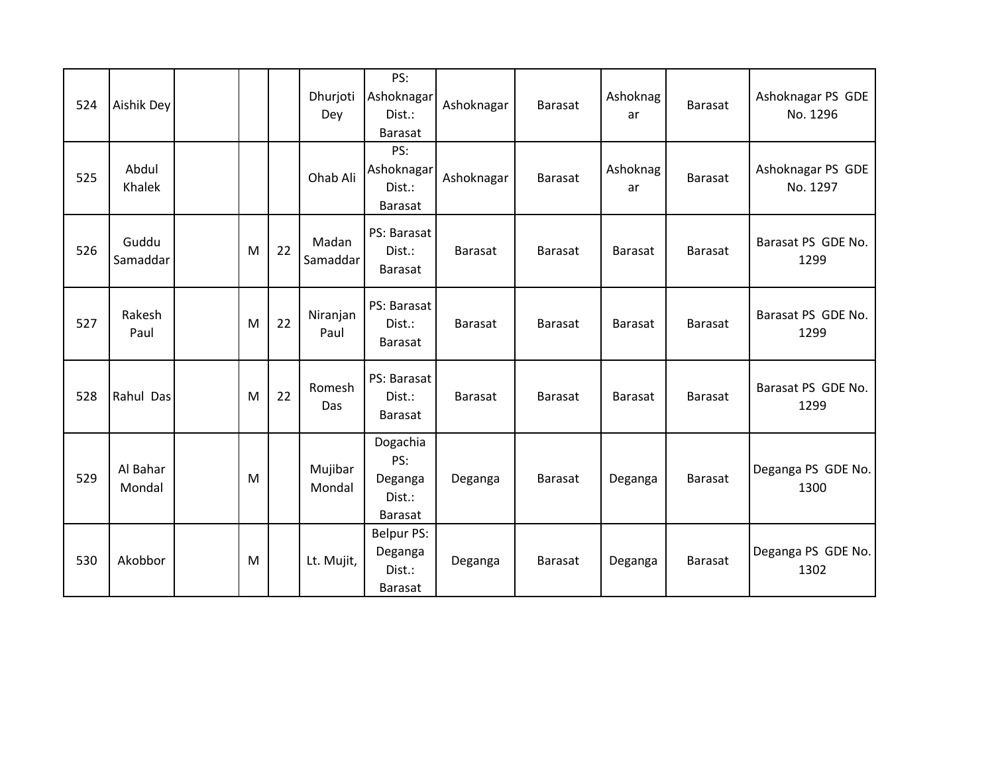| 524 | Aishik Dey         |   |    | Dhurjoti<br>Dey   | PS:<br>Ashoknagar<br>Dist.:<br>Barasat                   | Ashoknagar     | <b>Barasat</b> | Ashoknag<br>ar | <b>Barasat</b> | Ashoknagar PS GDE<br>No. 1296 |
|-----|--------------------|---|----|-------------------|----------------------------------------------------------|----------------|----------------|----------------|----------------|-------------------------------|
| 525 | Abdul<br>Khalek    |   |    | Ohab Ali          | PS:<br>Ashoknagar<br>Dist.:<br><b>Barasat</b>            | Ashoknagar     | <b>Barasat</b> | Ashoknag<br>ar | <b>Barasat</b> | Ashoknagar PS GDE<br>No. 1297 |
| 526 | Guddu<br>Samaddar  | M | 22 | Madan<br>Samaddar | PS: Barasat<br>Dist.:<br>Barasat                         | Barasat        | <b>Barasat</b> | <b>Barasat</b> | <b>Barasat</b> | Barasat PS GDE No.<br>1299    |
| 527 | Rakesh<br>Paul     | M | 22 | Niranjan<br>Paul  | PS: Barasat<br>Dist.:<br>Barasat                         | Barasat        | <b>Barasat</b> | <b>Barasat</b> | <b>Barasat</b> | Barasat PS GDE No.<br>1299    |
| 528 | Rahul Das          | M | 22 | Romesh<br>Das     | PS: Barasat<br>Dist.:<br><b>Barasat</b>                  | <b>Barasat</b> | <b>Barasat</b> | <b>Barasat</b> | <b>Barasat</b> | Barasat PS GDE No.<br>1299    |
| 529 | Al Bahar<br>Mondal | M |    | Mujibar<br>Mondal | Dogachia<br>PS:<br>Deganga<br>Dist.:<br><b>Barasat</b>   | Deganga        | <b>Barasat</b> | Deganga        | <b>Barasat</b> | Deganga PS GDE No.<br>1300    |
| 530 | Akobbor            | M |    | Lt. Mujit,        | <b>Belpur PS:</b><br>Deganga<br>Dist.:<br><b>Barasat</b> | Deganga        | Barasat        | Deganga        | <b>Barasat</b> | Deganga PS GDE No.<br>1302    |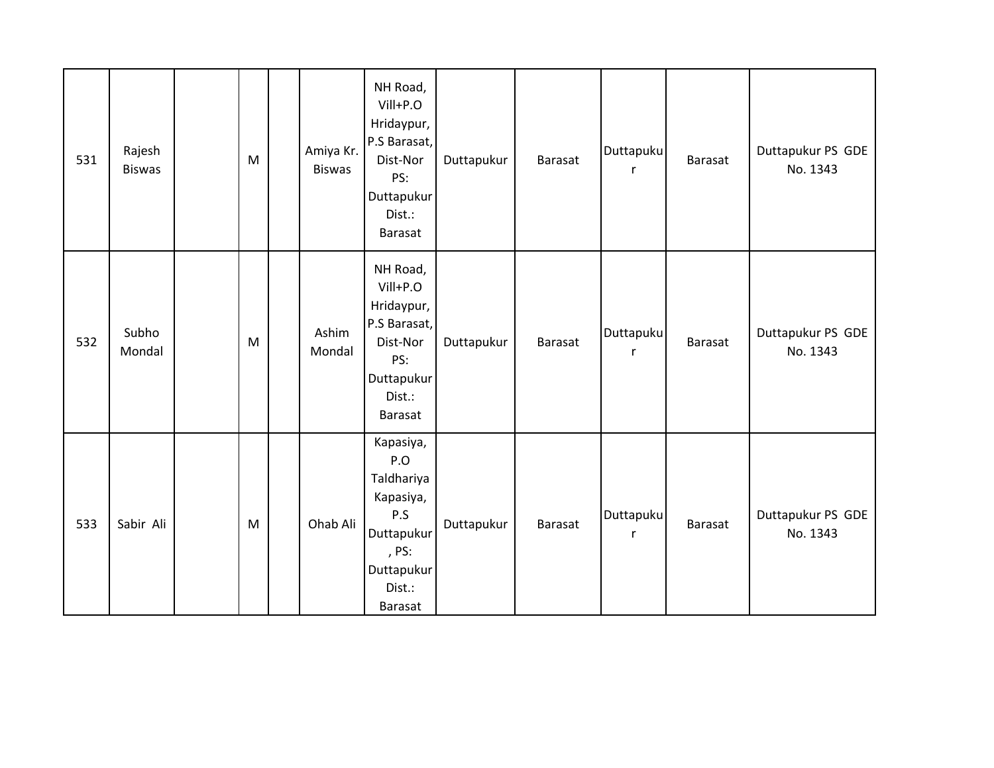| 531 | Rajesh<br><b>Biswas</b> | M | Amiya Kr.<br><b>Biswas</b> | NH Road,<br>Vill+P.O<br>Hridaypur,<br>P.S Barasat,<br>Dist-Nor<br>PS:<br>Duttapukur<br>Dist.:<br>Barasat        | Duttapukur | Barasat        | Duttapuku<br>$\mathsf{r}$ | Barasat        | Duttapukur PS GDE<br>No. 1343 |
|-----|-------------------------|---|----------------------------|-----------------------------------------------------------------------------------------------------------------|------------|----------------|---------------------------|----------------|-------------------------------|
| 532 | Subho<br>Mondal         | M | Ashim<br>Mondal            | NH Road,<br>Vill+P.O<br>Hridaypur,<br>P.S Barasat,<br>Dist-Nor<br>PS:<br>Duttapukur<br>Dist.:<br><b>Barasat</b> | Duttapukur | Barasat        | Duttapuku<br>$\mathsf{r}$ | Barasat        | Duttapukur PS GDE<br>No. 1343 |
| 533 | Sabir Ali               | M | Ohab Ali                   | Kapasiya,<br>P.O<br>Taldhariya<br>Kapasiya,<br>P.S<br>Duttapukur<br>, PS:<br>Duttapukur<br>Dist.:<br>Barasat    | Duttapukur | <b>Barasat</b> | Duttapuku<br>$\mathsf{r}$ | <b>Barasat</b> | Duttapukur PS GDE<br>No. 1343 |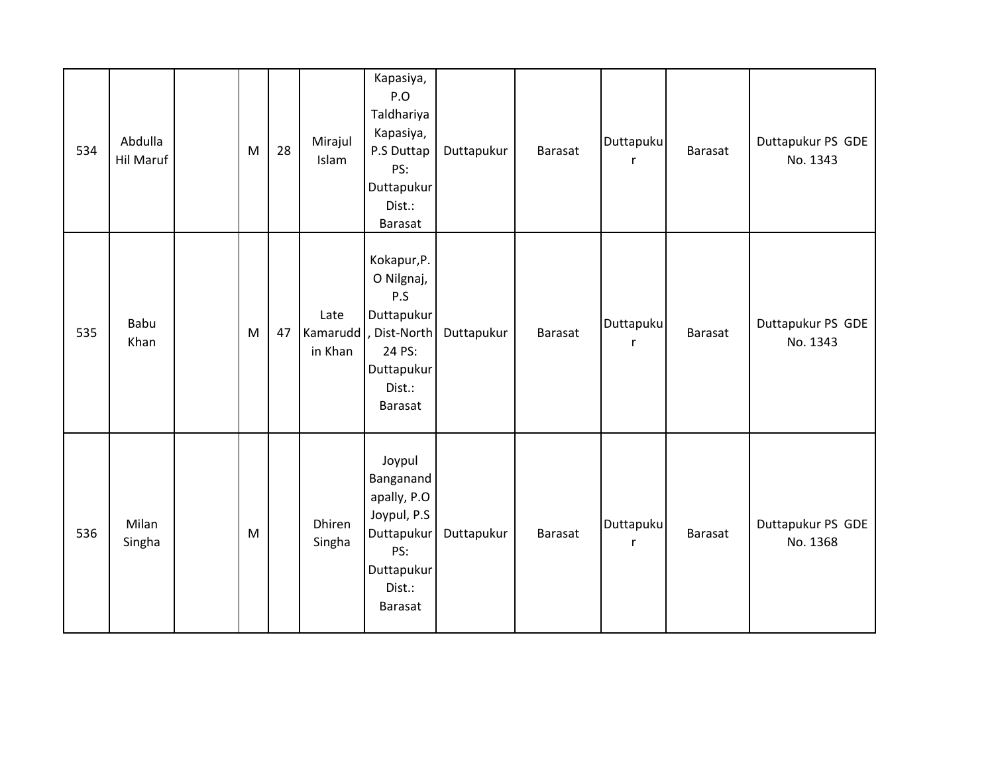| 534 | Abdulla<br>Hil Maruf | M | 28 | Mirajul<br>Islam             | Kapasiya,<br>P.O<br>Taldhariya<br>Kapasiya,<br>P.S Duttap<br>PS:<br>Duttapukur<br>Dist.:<br>Barasat              | Duttapukur | Barasat | Duttapuku<br>$\mathsf{r}$ | Barasat | Duttapukur PS GDE<br>No. 1343 |
|-----|----------------------|---|----|------------------------------|------------------------------------------------------------------------------------------------------------------|------------|---------|---------------------------|---------|-------------------------------|
| 535 | <b>Babu</b><br>Khan  | M | 47 | Late<br>Kamarudd,<br>in Khan | Kokapur, P.<br>O Nilgnaj,<br>P.S<br>Duttapukur<br>, Dist-North<br>24 PS:<br>Duttapukur<br>Dist.:<br>Barasat      | Duttapukur | Barasat | Duttapuku<br>$\mathsf{r}$ | Barasat | Duttapukur PS GDE<br>No. 1343 |
| 536 | Milan<br>Singha      | M |    | Dhiren<br>Singha             | Joypul<br>Banganand<br>apally, P.O<br>Joypul, P.S<br>Duttapukur<br>PS:<br>Duttapukur<br>Dist.:<br><b>Barasat</b> | Duttapukur | Barasat | Duttapuku<br>$\mathsf{r}$ | Barasat | Duttapukur PS GDE<br>No. 1368 |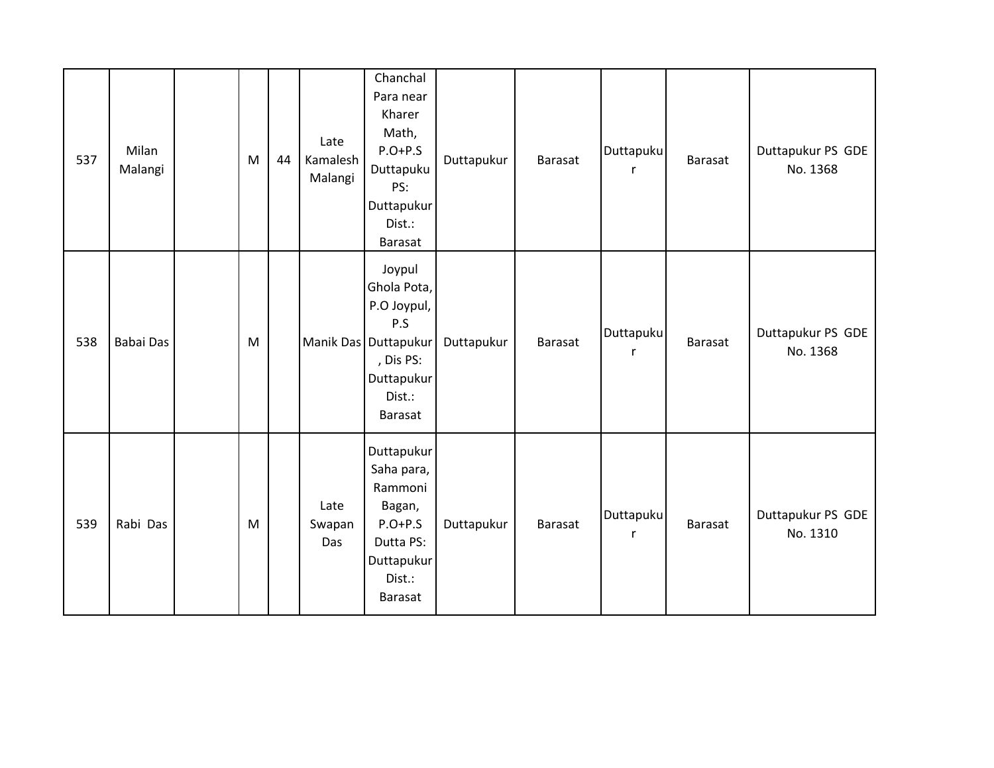| 537 | Milan<br>Malangi | M | 44 | Late<br>Kamalesh<br>Malangi | Chanchal<br>Para near<br>Kharer<br>Math,<br>$P.O+P.S$<br>Duttapuku<br>PS:<br>Duttapukur<br>Dist.:<br>Barasat        | Duttapukur | <b>Barasat</b> | Duttapuku<br>$\mathsf{r}$ | <b>Barasat</b> | Duttapukur PS GDE<br>No. 1368 |
|-----|------------------|---|----|-----------------------------|---------------------------------------------------------------------------------------------------------------------|------------|----------------|---------------------------|----------------|-------------------------------|
| 538 | Babai Das        | M |    |                             | Joypul<br>Ghola Pota,<br>P.O Joypul,<br>P.S<br>Manik Das Duttapukur<br>, Dis PS:<br>Duttapukur<br>Dist.:<br>Barasat | Duttapukur | <b>Barasat</b> | Duttapuku<br>$\mathsf{r}$ | <b>Barasat</b> | Duttapukur PS GDE<br>No. 1368 |
| 539 | Rabi Das         | M |    | Late<br>Swapan<br>Das       | Duttapukur<br>Saha para,<br>Rammoni<br>Bagan,<br>$P.O+P.S$<br>Dutta PS:<br>Duttapukur<br>Dist.:<br>Barasat          | Duttapukur | <b>Barasat</b> | Duttapuku<br>$\mathsf{r}$ | <b>Barasat</b> | Duttapukur PS GDE<br>No. 1310 |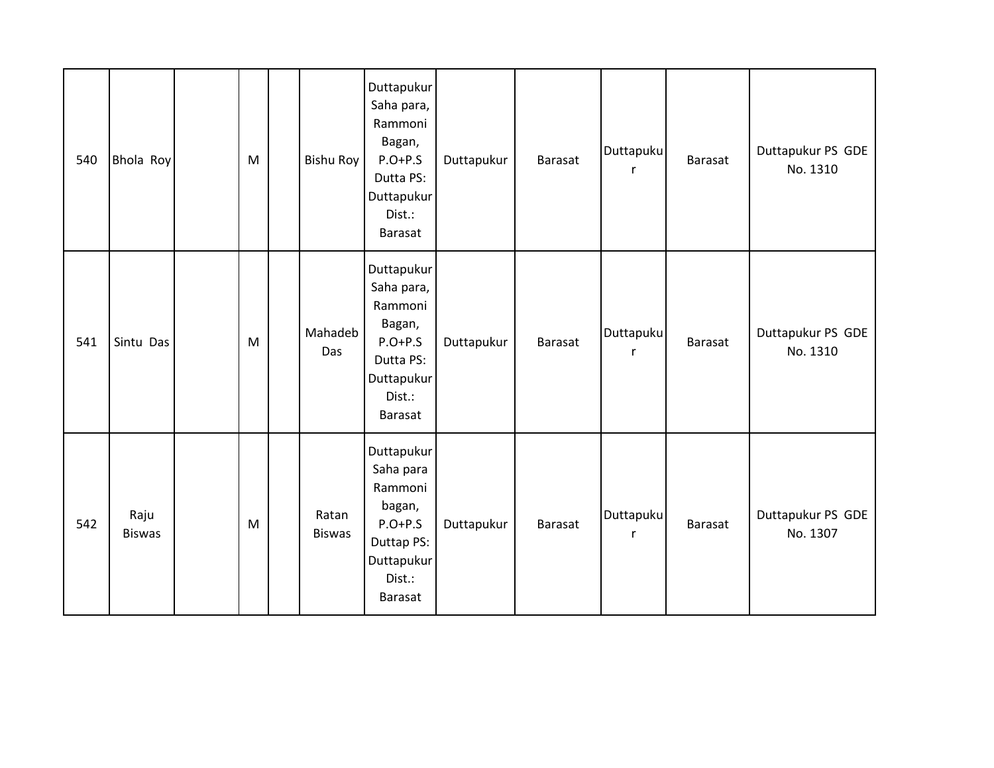| 540 | Bhola Roy             | M | Bishu Roy              | Duttapukur<br>Saha para,<br>Rammoni<br>Bagan,<br>$P.O+P.S$<br>Dutta PS:<br>Duttapukur<br>Dist.:<br>Barasat | Duttapukur | <b>Barasat</b> | Duttapuku<br>$\mathsf{r}$ | <b>Barasat</b> | Duttapukur PS GDE<br>No. 1310 |
|-----|-----------------------|---|------------------------|------------------------------------------------------------------------------------------------------------|------------|----------------|---------------------------|----------------|-------------------------------|
| 541 | Sintu Das             | M | Mahadeb<br>Das         | Duttapukur<br>Saha para,<br>Rammoni<br>Bagan,<br>$P.O+P.S$<br>Dutta PS:<br>Duttapukur<br>Dist.:<br>Barasat | Duttapukur | <b>Barasat</b> | Duttapuku<br>$\mathsf{r}$ | <b>Barasat</b> | Duttapukur PS GDE<br>No. 1310 |
| 542 | Raju<br><b>Biswas</b> | M | Ratan<br><b>Biswas</b> | Duttapukur<br>Saha para<br>Rammoni<br>bagan,<br>$P.O+P.S$<br>Duttap PS:<br>Duttapukur<br>Dist.:<br>Barasat | Duttapukur | <b>Barasat</b> | Duttapuku<br>$\mathsf{r}$ | <b>Barasat</b> | Duttapukur PS GDE<br>No. 1307 |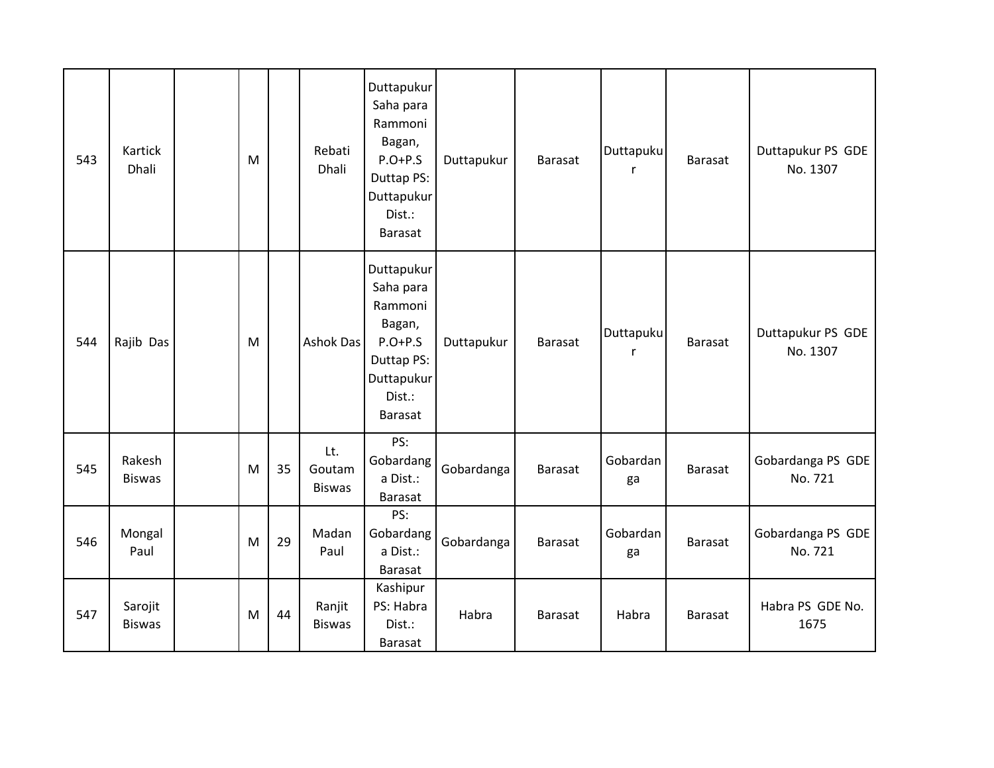| 543 | <b>Kartick</b><br>Dhali  | M |    | Rebati<br>Dhali                | Duttapukur<br>Saha para<br>Rammoni<br>Bagan,<br>$P.O+P.S$<br>Duttap PS:<br>Duttapukur<br>Dist.:<br><b>Barasat</b> | Duttapukur | <b>Barasat</b> | Duttapuku<br>r            | <b>Barasat</b> | Duttapukur PS GDE<br>No. 1307 |
|-----|--------------------------|---|----|--------------------------------|-------------------------------------------------------------------------------------------------------------------|------------|----------------|---------------------------|----------------|-------------------------------|
| 544 | Rajib Das                | M |    | Ashok Das                      | Duttapukur<br>Saha para<br>Rammoni<br>Bagan,<br>$P.O+P.S$<br>Duttap PS:<br>Duttapukur<br>Dist.:<br>Barasat        | Duttapukur | <b>Barasat</b> | Duttapuku<br>$\mathsf{r}$ | <b>Barasat</b> | Duttapukur PS GDE<br>No. 1307 |
| 545 | Rakesh<br><b>Biswas</b>  | M | 35 | Lt.<br>Goutam<br><b>Biswas</b> | PS:<br>Gobardang<br>a Dist.:<br><b>Barasat</b>                                                                    | Gobardanga | <b>Barasat</b> | Gobardan<br>ga            | <b>Barasat</b> | Gobardanga PS GDE<br>No. 721  |
| 546 | Mongal<br>Paul           | M | 29 | Madan<br>Paul                  | PS:<br>Gobardang<br>a Dist.:<br>Barasat                                                                           | Gobardanga | <b>Barasat</b> | Gobardan<br>ga            | <b>Barasat</b> | Gobardanga PS GDE<br>No. 721  |
| 547 | Sarojit<br><b>Biswas</b> | M | 44 | Ranjit<br><b>Biswas</b>        | Kashipur<br>PS: Habra<br>Dist.:<br>Barasat                                                                        | Habra      | <b>Barasat</b> | Habra                     | <b>Barasat</b> | Habra PS GDE No.<br>1675      |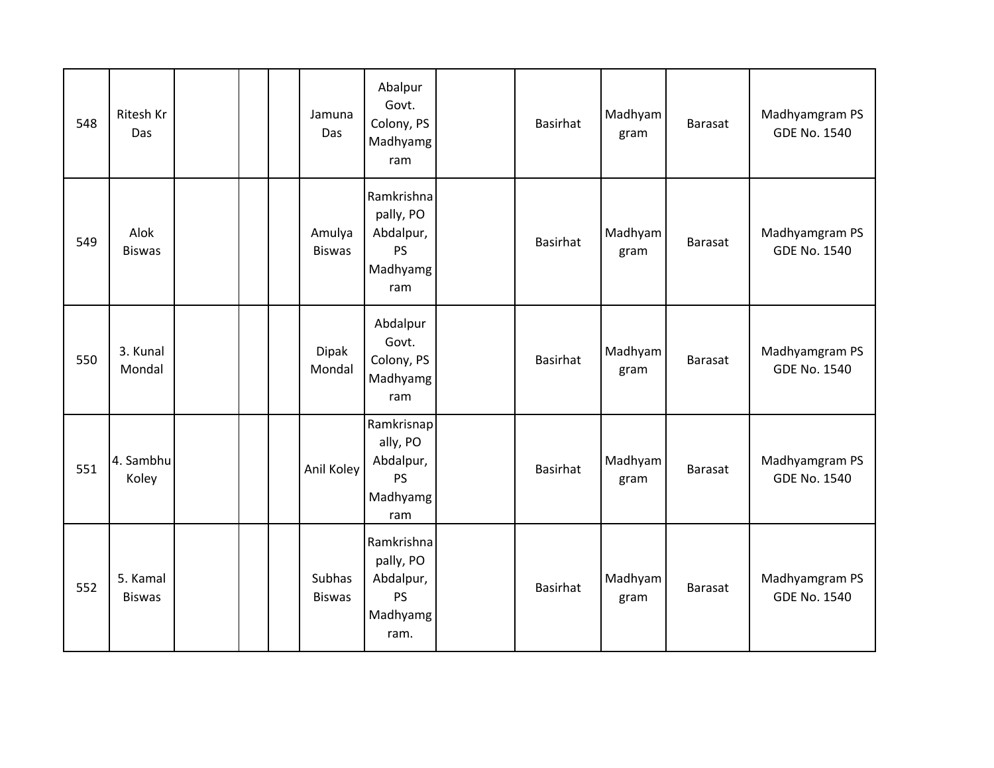| 548 | Ritesh Kr<br>Das          |  | Jamuna<br>Das           | Abalpur<br>Govt.<br>Colony, PS<br>Madhyamg<br>ram                     | <b>Basirhat</b> | Madhyam<br>gram | <b>Barasat</b> | Madhyamgram PS<br><b>GDE No. 1540</b> |
|-----|---------------------------|--|-------------------------|-----------------------------------------------------------------------|-----------------|-----------------|----------------|---------------------------------------|
| 549 | Alok<br><b>Biswas</b>     |  | Amulya<br><b>Biswas</b> | Ramkrishna<br>pally, PO<br>Abdalpur,<br><b>PS</b><br>Madhyamg<br>ram  | <b>Basirhat</b> | Madhyam<br>gram | <b>Barasat</b> | Madhyamgram PS<br><b>GDE No. 1540</b> |
| 550 | 3. Kunal<br>Mondal        |  | <b>Dipak</b><br>Mondal  | Abdalpur<br>Govt.<br>Colony, PS<br>Madhyamg<br>ram                    | <b>Basirhat</b> | Madhyam<br>gram | <b>Barasat</b> | Madhyamgram PS<br><b>GDE No. 1540</b> |
| 551 | 4. Sambhu<br>Koley        |  | Anil Koley              | Ramkrisnap<br>ally, PO<br>Abdalpur,<br><b>PS</b><br>Madhyamg<br>ram   | <b>Basirhat</b> | Madhyam<br>gram | Barasat        | Madhyamgram PS<br><b>GDE No. 1540</b> |
| 552 | 5. Kamal<br><b>Biswas</b> |  | Subhas<br><b>Biswas</b> | Ramkrishna<br>pally, PO<br>Abdalpur,<br><b>PS</b><br>Madhyamg<br>ram. | <b>Basirhat</b> | Madhyam<br>gram | Barasat        | Madhyamgram PS<br><b>GDE No. 1540</b> |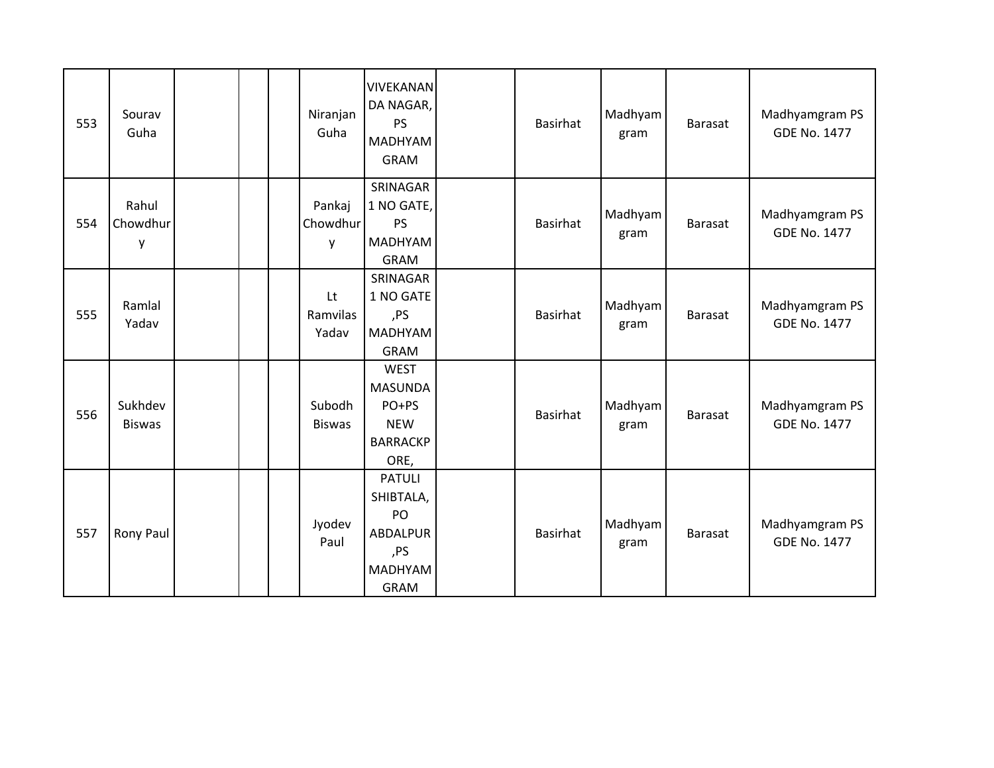| 553 | Sourav<br>Guha           | Niranjan<br>Guha        | <b>VIVEKANAN</b><br>DA NAGAR,<br><b>PS</b><br><b>MADHYAM</b><br><b>GRAM</b>          | <b>Basirhat</b> | Madhyam<br>gram | Barasat        | Madhyamgram PS<br><b>GDE No. 1477</b> |
|-----|--------------------------|-------------------------|--------------------------------------------------------------------------------------|-----------------|-----------------|----------------|---------------------------------------|
| 554 | Rahul<br>Chowdhur<br>y   | Pankaj<br>Chowdhur<br>y | SRINAGAR<br>1 NO GATE,<br><b>PS</b><br><b>MADHYAM</b><br><b>GRAM</b>                 | <b>Basirhat</b> | Madhyam<br>gram | <b>Barasat</b> | Madhyamgram PS<br><b>GDE No. 1477</b> |
| 555 | Ramlal<br>Yadav          | Lt<br>Ramvilas<br>Yadav | SRINAGAR<br>1 NO GATE<br>,PS<br><b>MADHYAM</b><br><b>GRAM</b>                        | <b>Basirhat</b> | Madhyam<br>gram | Barasat        | Madhyamgram PS<br><b>GDE No. 1477</b> |
| 556 | Sukhdev<br><b>Biswas</b> | Subodh<br><b>Biswas</b> | <b>WEST</b><br><b>MASUNDA</b><br>PO+PS<br><b>NEW</b><br><b>BARRACKP</b><br>ORE,      | <b>Basirhat</b> | Madhyam<br>gram | <b>Barasat</b> | Madhyamgram PS<br><b>GDE No. 1477</b> |
| 557 | Rony Paul                | Jyodev<br>Paul          | <b>PATULI</b><br>SHIBTALA,<br>PO<br>ABDALPUR<br>,PS<br><b>MADHYAM</b><br><b>GRAM</b> | <b>Basirhat</b> | Madhyam<br>gram | <b>Barasat</b> | Madhyamgram PS<br><b>GDE No. 1477</b> |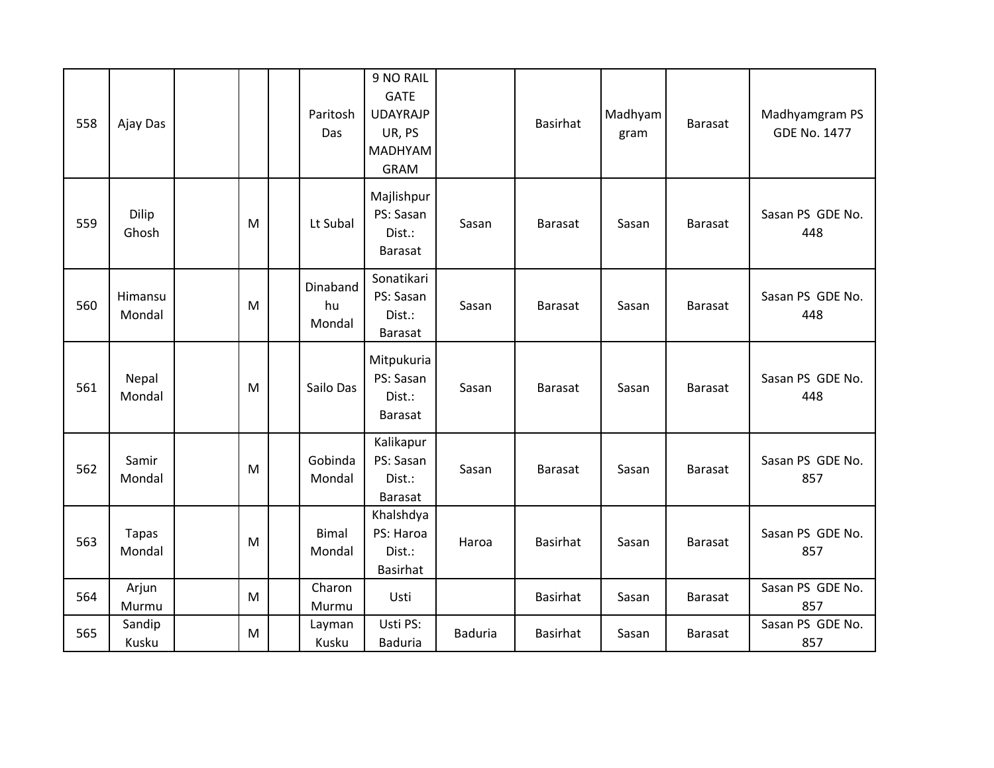| 558 | Ajay Das               |   | Paritosh<br>Das          | 9 NO RAIL<br><b>GATE</b><br><b>UDAYRAJP</b><br>UR, PS<br><b>MADHYAM</b><br><b>GRAM</b> |                | <b>Basirhat</b> | Madhyam<br>gram | Barasat        | Madhyamgram PS<br><b>GDE No. 1477</b> |
|-----|------------------------|---|--------------------------|----------------------------------------------------------------------------------------|----------------|-----------------|-----------------|----------------|---------------------------------------|
| 559 | Dilip<br>Ghosh         | M | Lt Subal                 | Majlishpur<br>PS: Sasan<br>Dist.:<br><b>Barasat</b>                                    | Sasan          | Barasat         | Sasan           | <b>Barasat</b> | Sasan PS GDE No.<br>448               |
| 560 | Himansu<br>Mondal      | M | Dinaband<br>hu<br>Mondal | Sonatikari<br>PS: Sasan<br>Dist.:<br><b>Barasat</b>                                    | Sasan          | Barasat         | Sasan           | <b>Barasat</b> | Sasan PS GDE No.<br>448               |
| 561 | Nepal<br>Mondal        | M | Sailo Das                | Mitpukuria<br>PS: Sasan<br>Dist.:<br><b>Barasat</b>                                    | Sasan          | Barasat         | Sasan           | <b>Barasat</b> | Sasan PS GDE No.<br>448               |
| 562 | Samir<br>Mondal        | M | Gobinda<br>Mondal        | Kalikapur<br>PS: Sasan<br>Dist.:<br><b>Barasat</b>                                     | Sasan          | <b>Barasat</b>  | Sasan           | <b>Barasat</b> | Sasan PS GDE No.<br>857               |
| 563 | <b>Tapas</b><br>Mondal | M | <b>Bimal</b><br>Mondal   | Khalshdya<br>PS: Haroa<br>Dist.:<br><b>Basirhat</b>                                    | Haroa          | <b>Basirhat</b> | Sasan           | <b>Barasat</b> | Sasan PS GDE No.<br>857               |
| 564 | Arjun<br>Murmu         | M | Charon<br>Murmu          | Usti                                                                                   |                | <b>Basirhat</b> | Sasan           | Barasat        | Sasan PS GDE No.<br>857               |
| 565 | Sandip<br>Kusku        | M | Layman<br>Kusku          | Usti PS:<br><b>Baduria</b>                                                             | <b>Baduria</b> | <b>Basirhat</b> | Sasan           | Barasat        | Sasan PS GDE No.<br>857               |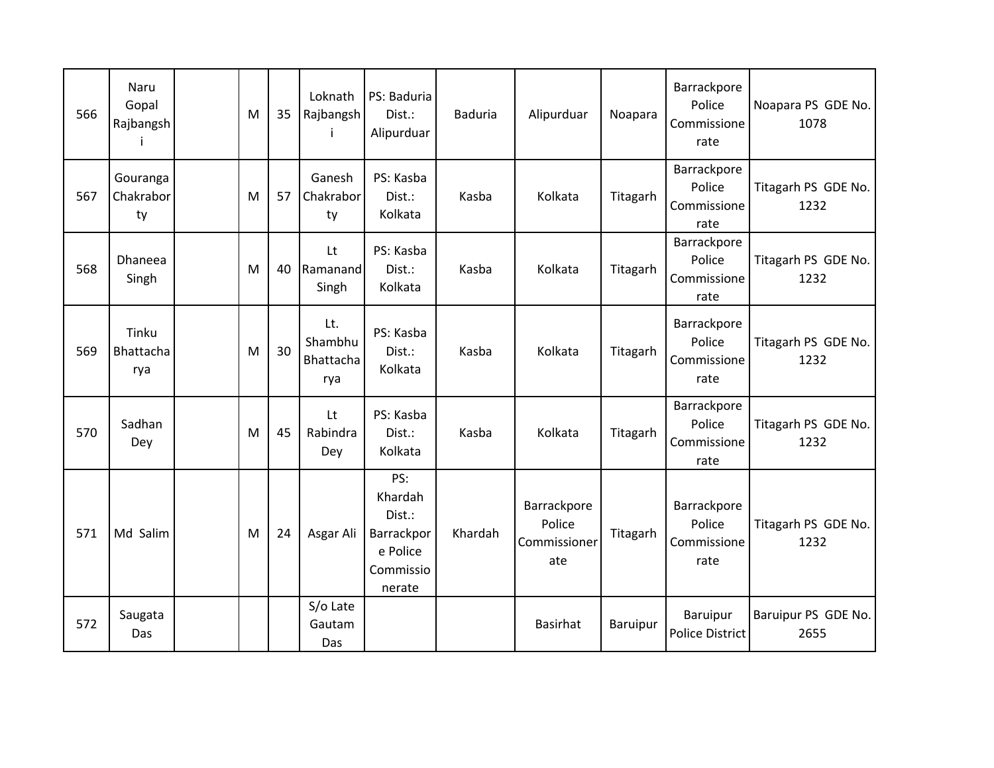| 566 | Naru<br>Gopal<br>Rajbangsh  | M | 35 | Loknath<br>Rajbangsh               | PS: Baduria<br>Dist.:<br>Alipurduar                                       | <b>Baduria</b> | Alipurduar                                   | Noapara  | Barrackpore<br>Police<br>Commissione<br>rate | Noapara PS GDE No.<br>1078  |
|-----|-----------------------------|---|----|------------------------------------|---------------------------------------------------------------------------|----------------|----------------------------------------------|----------|----------------------------------------------|-----------------------------|
| 567 | Gouranga<br>Chakrabor<br>ty | M | 57 | Ganesh<br>Chakrabor<br>ty          | PS: Kasba<br>Dist.:<br>Kolkata                                            | Kasba          | Kolkata                                      | Titagarh | Barrackpore<br>Police<br>Commissione<br>rate | Titagarh PS GDE No.<br>1232 |
| 568 | <b>Dhaneea</b><br>Singh     | M | 40 | Lt<br>Ramanand<br>Singh            | PS: Kasba<br>Dist.:<br>Kolkata                                            | Kasba          | Kolkata                                      | Titagarh | Barrackpore<br>Police<br>Commissione<br>rate | Titagarh PS GDE No.<br>1232 |
| 569 | Tinku<br>Bhattacha<br>rya   | M | 30 | Lt.<br>Shambhu<br>Bhattacha<br>rya | PS: Kasba<br>Dist.:<br>Kolkata                                            | Kasba          | Kolkata                                      | Titagarh | Barrackpore<br>Police<br>Commissione<br>rate | Titagarh PS GDE No.<br>1232 |
| 570 | Sadhan<br>Dey               | M | 45 | Lt<br>Rabindra<br>Dey              | PS: Kasba<br>Dist.:<br>Kolkata                                            | Kasba          | Kolkata                                      | Titagarh | Barrackpore<br>Police<br>Commissione<br>rate | Titagarh PS GDE No.<br>1232 |
| 571 | Md Salim                    | M | 24 | Asgar Ali                          | PS:<br>Khardah<br>Dist.:<br>Barrackpor<br>e Police<br>Commissio<br>nerate | Khardah        | Barrackpore<br>Police<br>Commissioner<br>ate | Titagarh | Barrackpore<br>Police<br>Commissione<br>rate | Titagarh PS GDE No.<br>1232 |
| 572 | Saugata<br>Das              |   |    | S/o Late<br>Gautam<br>Das          |                                                                           |                | <b>Basirhat</b>                              | Baruipur | Baruipur<br><b>Police District</b>           | Baruipur PS GDE No.<br>2655 |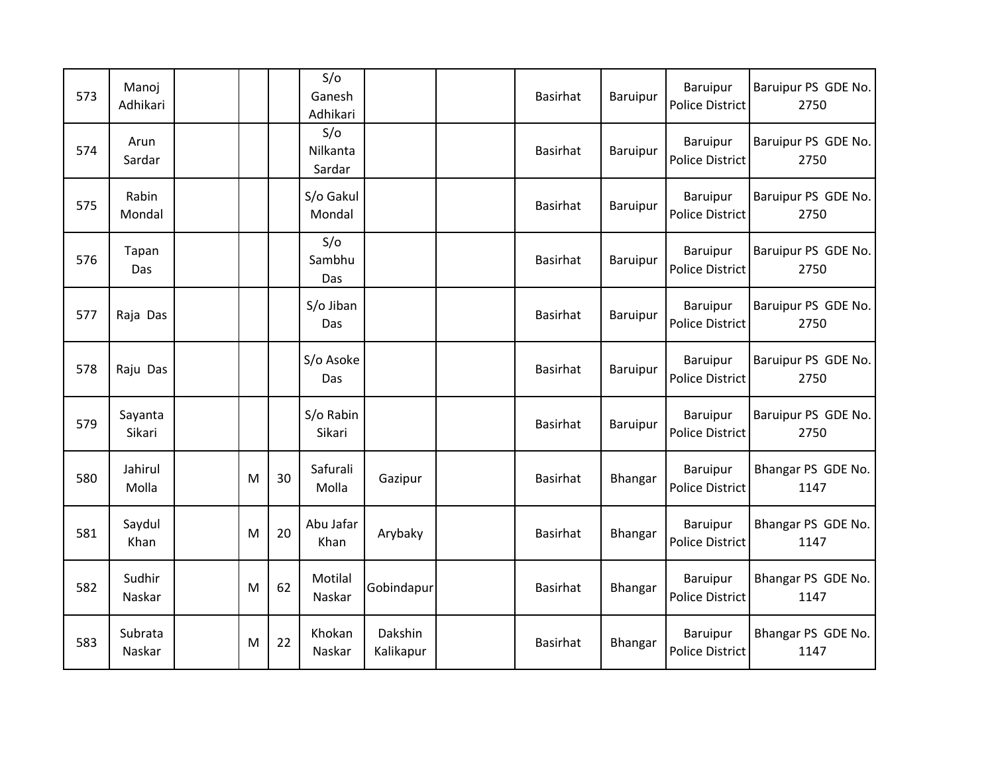| 573 | Manoj<br>Adhikari |   |    | S/O<br>Ganesh<br>Adhikari |                      | <b>Basirhat</b> | Baruipur | Baruipur<br><b>Police District</b>        | Baruipur PS GDE No.<br>2750 |
|-----|-------------------|---|----|---------------------------|----------------------|-----------------|----------|-------------------------------------------|-----------------------------|
| 574 | Arun<br>Sardar    |   |    | S/O<br>Nilkanta<br>Sardar |                      | Basirhat        | Baruipur | Baruipur<br><b>Police District</b>        | Baruipur PS GDE No.<br>2750 |
| 575 | Rabin<br>Mondal   |   |    | S/o Gakul<br>Mondal       |                      | Basirhat        | Baruipur | Baruipur<br><b>Police District</b>        | Baruipur PS GDE No.<br>2750 |
| 576 | Tapan<br>Das      |   |    | S/O<br>Sambhu<br>Das      |                      | Basirhat        | Baruipur | Baruipur<br><b>Police District</b>        | Baruipur PS GDE No.<br>2750 |
| 577 | Raja Das          |   |    | S/o Jiban<br>Das          |                      | <b>Basirhat</b> | Baruipur | <b>Baruipur</b><br><b>Police District</b> | Baruipur PS GDE No.<br>2750 |
| 578 | Raju Das          |   |    | S/o Asoke<br>Das          |                      | Basirhat        | Baruipur | Baruipur<br><b>Police District</b>        | Baruipur PS GDE No.<br>2750 |
| 579 | Sayanta<br>Sikari |   |    | S/o Rabin<br>Sikari       |                      | Basirhat        | Baruipur | Baruipur<br><b>Police District</b>        | Baruipur PS GDE No.<br>2750 |
| 580 | Jahirul<br>Molla  | M | 30 | Safurali<br>Molla         | Gazipur              | <b>Basirhat</b> | Bhangar  | Baruipur<br><b>Police District</b>        | Bhangar PS GDE No.<br>1147  |
| 581 | Saydul<br>Khan    | M | 20 | Abu Jafar<br>Khan         | Arybaky              | Basirhat        | Bhangar  | Baruipur<br><b>Police District</b>        | Bhangar PS GDE No.<br>1147  |
| 582 | Sudhir<br>Naskar  | M | 62 | Motilal<br>Naskar         | Gobindapur           | Basirhat        | Bhangar  | Baruipur<br><b>Police District</b>        | Bhangar PS GDE No.<br>1147  |
| 583 | Subrata<br>Naskar | M | 22 | Khokan<br>Naskar          | Dakshin<br>Kalikapur | <b>Basirhat</b> | Bhangar  | Baruipur<br><b>Police District</b>        | Bhangar PS GDE No.<br>1147  |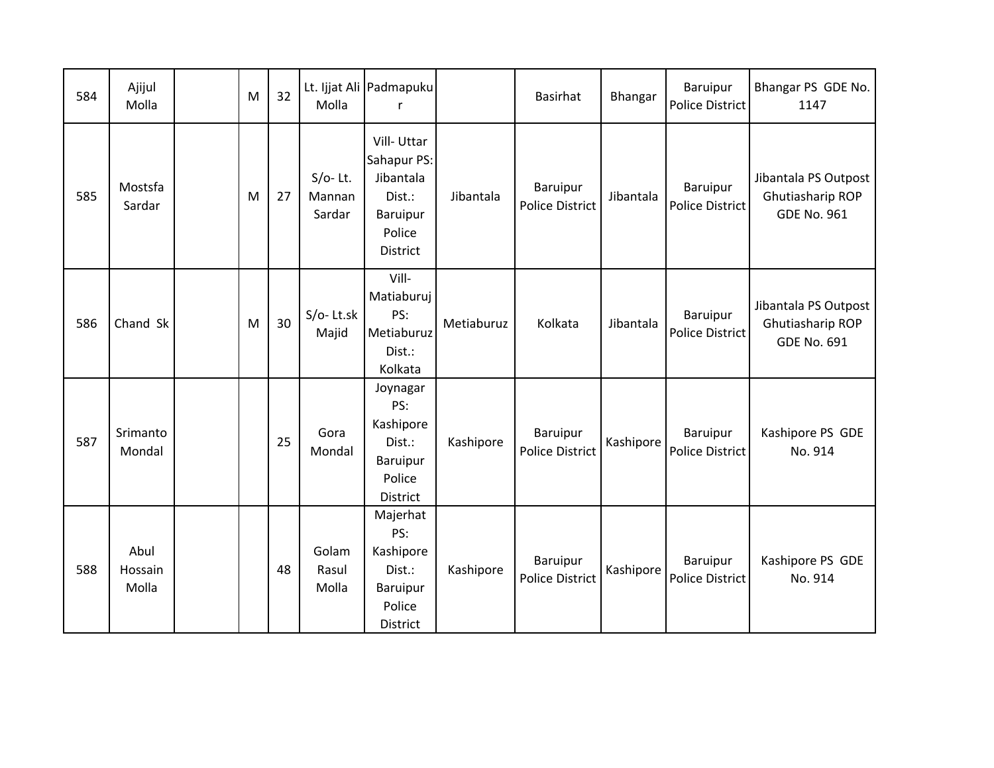| 584 | Ajijul<br>Molla          | M | 32 | Molla                          | Lt. Ijjat Ali Padmapuku                                                                   |            | <b>Basirhat</b>                           | Bhangar   | Baruipur<br>Police District        | Bhangar PS GDE No.<br>1147                                     |
|-----|--------------------------|---|----|--------------------------------|-------------------------------------------------------------------------------------------|------------|-------------------------------------------|-----------|------------------------------------|----------------------------------------------------------------|
| 585 | Mostsfa<br>Sardar        | M | 27 | $S/O-$ Lt.<br>Mannan<br>Sardar | Vill-Uttar<br>Sahapur PS:<br>Jibantala<br>Dist.:<br><b>Baruipur</b><br>Police<br>District | Jibantala  | Baruipur<br><b>Police District</b>        | Jibantala | Baruipur<br>Police District        | Jibantala PS Outpost<br>Ghutiasharip ROP<br><b>GDE No. 961</b> |
| 586 | Chand Sk                 | M | 30 | $S/O-$ Lt.sk<br>Majid          | Vill-<br>Matiaburuj<br>PS:<br>Metiaburuz<br>Dist.:<br>Kolkata                             | Metiaburuz | Kolkata                                   | Jibantala | Baruipur<br>Police District        | Jibantala PS Outpost<br>Ghutiasharip ROP<br><b>GDE No. 691</b> |
| 587 | Srimanto<br>Mondal       |   | 25 | Gora<br>Mondal                 | Joynagar<br>PS:<br>Kashipore<br>Dist.:<br>Baruipur<br>Police<br>District                  | Kashipore  | Baruipur<br><b>Police District</b>        | Kashipore | Baruipur<br>Police District        | Kashipore PS GDE<br>No. 914                                    |
| 588 | Abul<br>Hossain<br>Molla |   | 48 | Golam<br>Rasul<br>Molla        | Majerhat<br>PS:<br>Kashipore<br>Dist.:<br>Baruipur<br>Police<br>District                  | Kashipore  | <b>Baruipur</b><br><b>Police District</b> | Kashipore | Baruipur<br><b>Police District</b> | Kashipore PS GDE<br>No. 914                                    |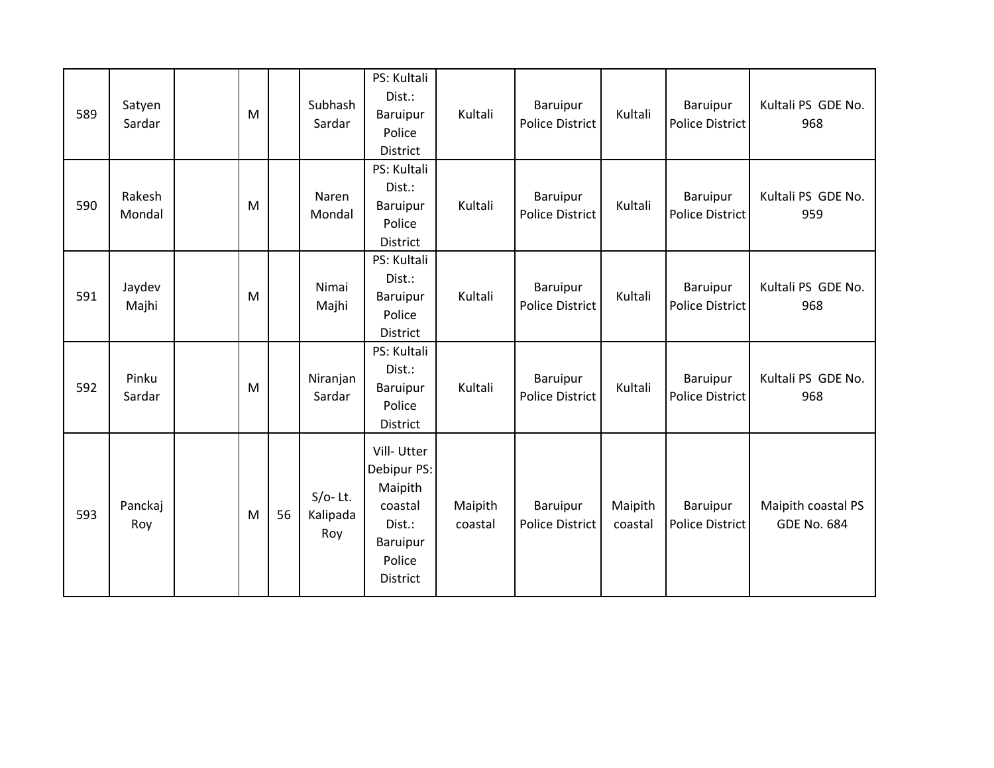| 589 | Satyen<br>Sardar | M |    | Subhash<br>Sardar             | PS: Kultali<br>Dist.:<br>Baruipur<br>Police<br><b>District</b>                                     | Kultali            | Baruipur<br><b>Police District</b> | Kultali            | Baruipur<br><b>Police District</b> | Kultali PS GDE No.<br>968                |
|-----|------------------|---|----|-------------------------------|----------------------------------------------------------------------------------------------------|--------------------|------------------------------------|--------------------|------------------------------------|------------------------------------------|
| 590 | Rakesh<br>Mondal | M |    | Naren<br>Mondal               | PS: Kultali<br>Dist.:<br>Baruipur<br>Police<br>District                                            | Kultali            | Baruipur<br><b>Police District</b> | Kultali            | Baruipur<br>Police District        | Kultali PS GDE No.<br>959                |
| 591 | Jaydev<br>Majhi  | M |    | Nimai<br>Majhi                | PS: Kultali<br>Dist.:<br>Baruipur<br>Police<br><b>District</b>                                     | Kultali            | Baruipur<br><b>Police District</b> | Kultali            | Baruipur<br><b>Police District</b> | Kultali PS GDE No.<br>968                |
| 592 | Pinku<br>Sardar  | M |    | Niranjan<br>Sardar            | PS: Kultali<br>Dist.:<br>Baruipur<br>Police<br>District                                            | Kultali            | Baruipur<br><b>Police District</b> | Kultali            | Baruipur<br>Police District        | Kultali PS GDE No.<br>968                |
| 593 | Panckaj<br>Roy   | M | 56 | $S/O-$ Lt.<br>Kalipada<br>Roy | Vill-Utter<br>Debipur PS:<br>Maipith<br>coastal<br>Dist.:<br>Baruipur<br>Police<br><b>District</b> | Maipith<br>coastal | Baruipur<br><b>Police District</b> | Maipith<br>coastal | Baruipur<br>Police District        | Maipith coastal PS<br><b>GDE No. 684</b> |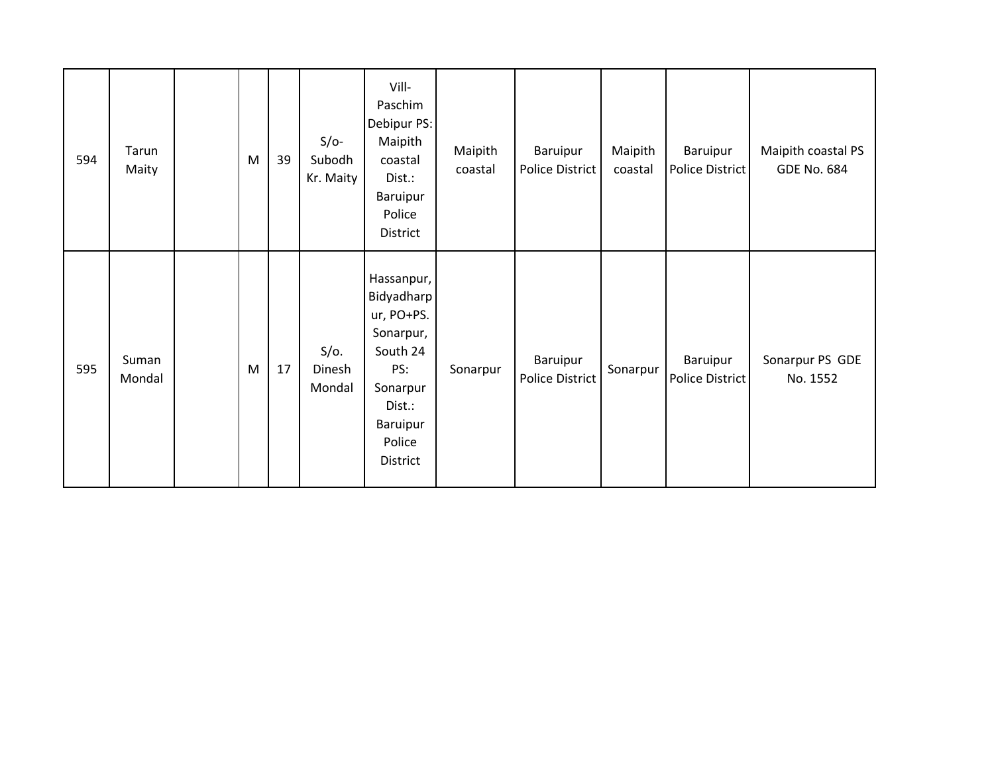| 594 | Tarun<br>Maity  | M | 39 | $S/O-$<br>Subodh<br>Kr. Maity | Vill-<br>Paschim<br>Debipur PS:<br>Maipith<br>coastal<br>Dist.:<br>Baruipur<br>Police<br>District                              | Maipith<br>coastal | Baruipur<br>Police District        | Maipith<br>coastal | Baruipur<br>Police District | Maipith coastal PS<br><b>GDE No. 684</b> |
|-----|-----------------|---|----|-------------------------------|--------------------------------------------------------------------------------------------------------------------------------|--------------------|------------------------------------|--------------------|-----------------------------|------------------------------------------|
| 595 | Suman<br>Mondal | M | 17 | $S/O$ .<br>Dinesh<br>Mondal   | Hassanpur,<br>Bidyadharp<br>ur, PO+PS.<br>Sonarpur,<br>South 24<br>PS:<br>Sonarpur<br>Dist.:<br>Baruipur<br>Police<br>District | Sonarpur           | Baruipur<br><b>Police District</b> | Sonarpur           | Baruipur<br>Police District | Sonarpur PS GDE<br>No. 1552              |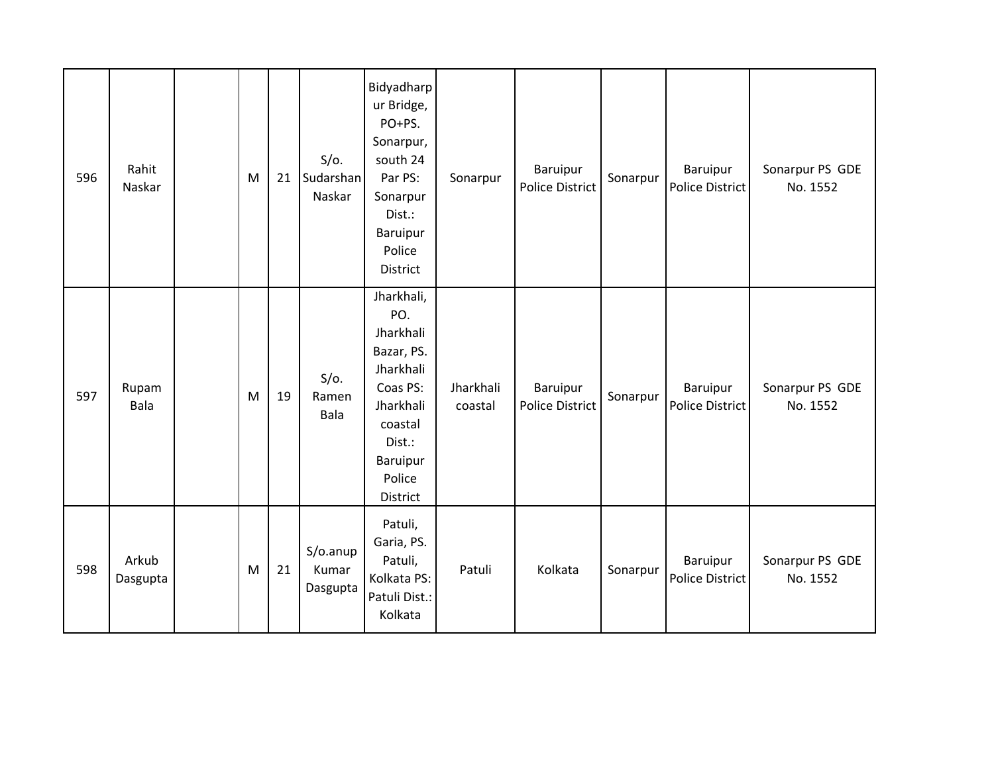| 596 | Rahit<br>Naskar   | M | 21 | $S/O$ .<br>Sudarshan<br>Naskar | Bidyadharp<br>ur Bridge,<br>PO+PS.<br>Sonarpur,<br>south 24<br>Par PS:<br>Sonarpur<br>Dist.:<br>Baruipur<br>Police<br>District                   | Sonarpur             | Baruipur<br><b>Police District</b> | Sonarpur | Baruipur<br>Police District        | Sonarpur PS GDE<br>No. 1552 |
|-----|-------------------|---|----|--------------------------------|--------------------------------------------------------------------------------------------------------------------------------------------------|----------------------|------------------------------------|----------|------------------------------------|-----------------------------|
| 597 | Rupam<br>Bala     | M | 19 | $S/O$ .<br>Ramen<br>Bala       | Jharkhali,<br>PO.<br>Jharkhali<br>Bazar, PS.<br>Jharkhali<br>Coas PS:<br>Jharkhali<br>coastal<br>Dist.:<br><b>Baruipur</b><br>Police<br>District | Jharkhali<br>coastal | Baruipur<br><b>Police District</b> | Sonarpur | Baruipur<br>Police District        | Sonarpur PS GDE<br>No. 1552 |
| 598 | Arkub<br>Dasgupta | M | 21 | S/o.anup<br>Kumar<br>Dasgupta  | Patuli,<br>Garia, PS.<br>Patuli,<br>Kolkata PS:<br>Patuli Dist.:<br>Kolkata                                                                      | Patuli               | Kolkata                            | Sonarpur | Baruipur<br><b>Police District</b> | Sonarpur PS GDE<br>No. 1552 |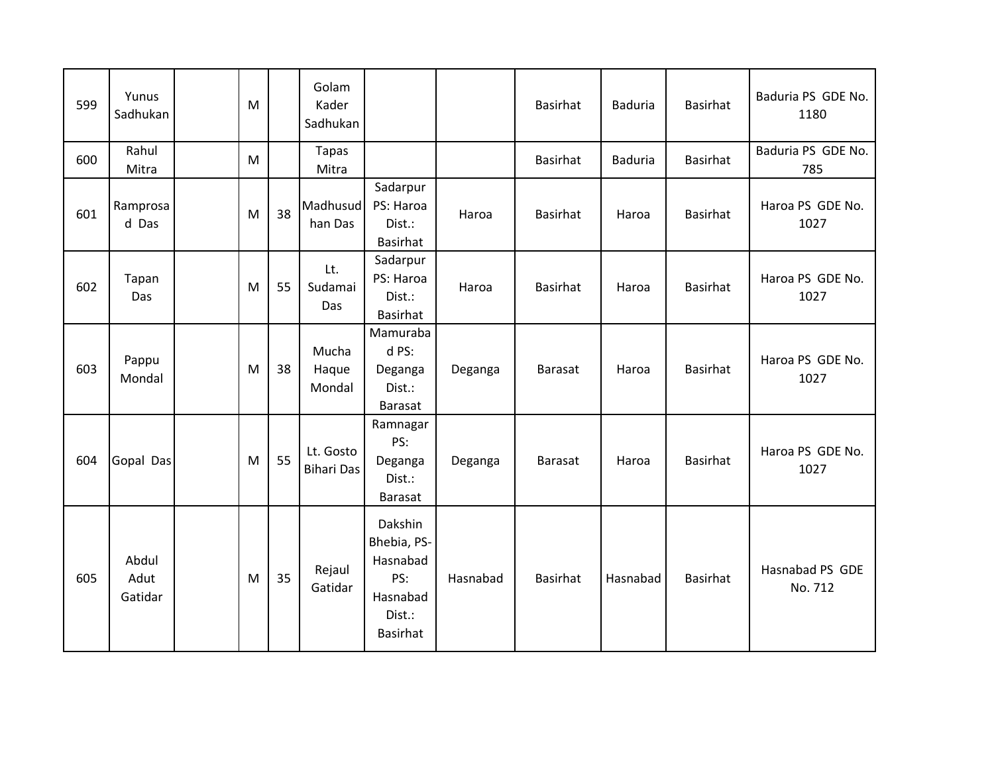| 599 | Yunus<br>Sadhukan        | M |    | Golam<br>Kader<br>Sadhukan     |                                                                                    |          | <b>Basirhat</b> | <b>Baduria</b> | <b>Basirhat</b> | Baduria PS GDE No.<br>1180 |
|-----|--------------------------|---|----|--------------------------------|------------------------------------------------------------------------------------|----------|-----------------|----------------|-----------------|----------------------------|
| 600 | Rahul<br>Mitra           | M |    | <b>Tapas</b><br>Mitra          |                                                                                    |          | <b>Basirhat</b> | <b>Baduria</b> | Basirhat        | Baduria PS GDE No.<br>785  |
| 601 | Ramprosa<br>d Das        | M | 38 | Madhusud<br>han Das            | Sadarpur<br>PS: Haroa<br>Dist.:<br>Basirhat                                        | Haroa    | <b>Basirhat</b> | Haroa          | <b>Basirhat</b> | Haroa PS GDE No.<br>1027   |
| 602 | Tapan<br>Das             | M | 55 | Lt.<br>Sudamai<br>Das          | Sadarpur<br>PS: Haroa<br>Dist.:<br>Basirhat                                        | Haroa    | <b>Basirhat</b> | Haroa          | <b>Basirhat</b> | Haroa PS GDE No.<br>1027   |
| 603 | Pappu<br>Mondal          | M | 38 | Mucha<br>Haque<br>Mondal       | Mamuraba<br>d PS:<br>Deganga<br>Dist.:<br><b>Barasat</b>                           | Deganga  | <b>Barasat</b>  | Haroa          | <b>Basirhat</b> | Haroa PS GDE No.<br>1027   |
| 604 | Gopal Das                | M | 55 | Lt. Gosto<br><b>Bihari Das</b> | Ramnagar<br>PS:<br>Deganga<br>Dist.:<br><b>Barasat</b>                             | Deganga  | <b>Barasat</b>  | Haroa          | <b>Basirhat</b> | Haroa PS GDE No.<br>1027   |
| 605 | Abdul<br>Adut<br>Gatidar | M | 35 | Rejaul<br>Gatidar              | Dakshin<br>Bhebia, PS-<br>Hasnabad<br>PS:<br>Hasnabad<br>Dist.:<br><b>Basirhat</b> | Hasnabad | <b>Basirhat</b> | Hasnabad       | <b>Basirhat</b> | Hasnabad PS GDE<br>No. 712 |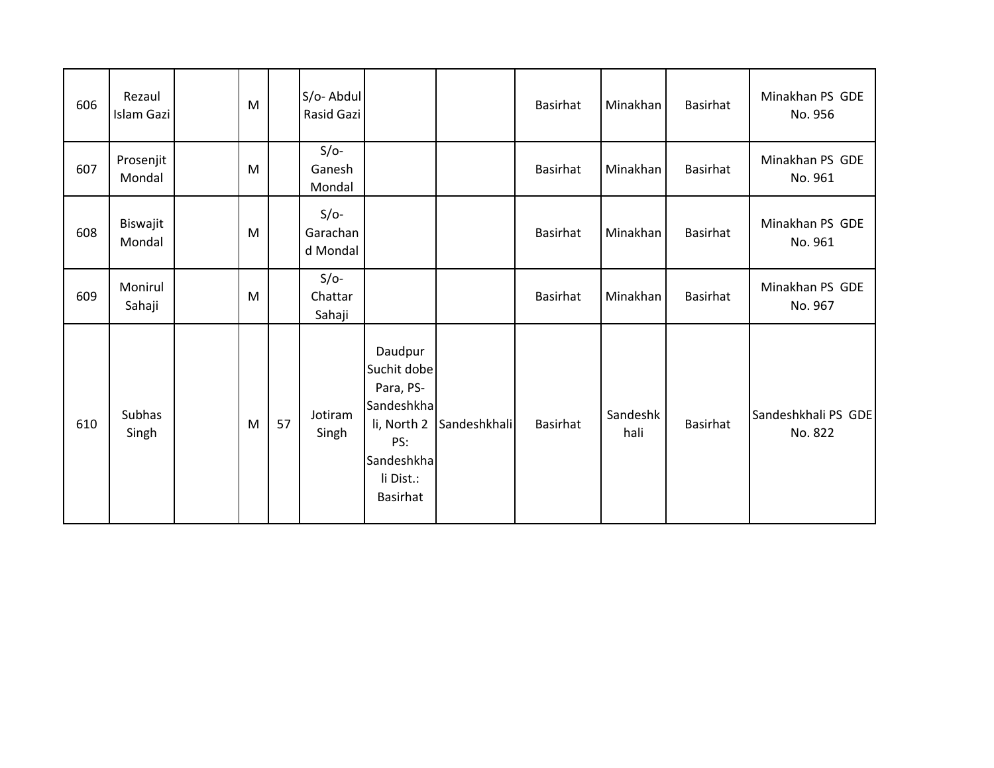| 606 | Rezaul<br>Islam Gazi | M |    | S/o-Abdul<br>Rasid Gazi        |                                                                                                                       |              | <b>Basirhat</b> | Minakhan         | <b>Basirhat</b> | Minakhan PS GDE<br>No. 956     |
|-----|----------------------|---|----|--------------------------------|-----------------------------------------------------------------------------------------------------------------------|--------------|-----------------|------------------|-----------------|--------------------------------|
| 607 | Prosenjit<br>Mondal  | M |    | $S/O-$<br>Ganesh<br>Mondal     |                                                                                                                       |              | <b>Basirhat</b> | Minakhan         | <b>Basirhat</b> | Minakhan PS GDE<br>No. 961     |
| 608 | Biswajit<br>Mondal   | M |    | $S/O-$<br>Garachan<br>d Mondal |                                                                                                                       |              | <b>Basirhat</b> | Minakhan         | <b>Basirhat</b> | Minakhan PS GDE<br>No. 961     |
| 609 | Monirul<br>Sahaji    | M |    | $S/O-$<br>Chattar<br>Sahaji    |                                                                                                                       |              | <b>Basirhat</b> | Minakhan         | <b>Basirhat</b> | Minakhan PS GDE<br>No. 967     |
| 610 | Subhas<br>Singh      | M | 57 | Jotiram<br>Singh               | Daudpur<br>Suchit dobe<br>Para, PS-<br>Sandeshkha<br>li, North 2<br>PS:<br>Sandeshkha<br>li Dist.:<br><b>Basirhat</b> | Sandeshkhali | <b>Basirhat</b> | Sandeshk<br>hali | <b>Basirhat</b> | Sandeshkhali PS GDE<br>No. 822 |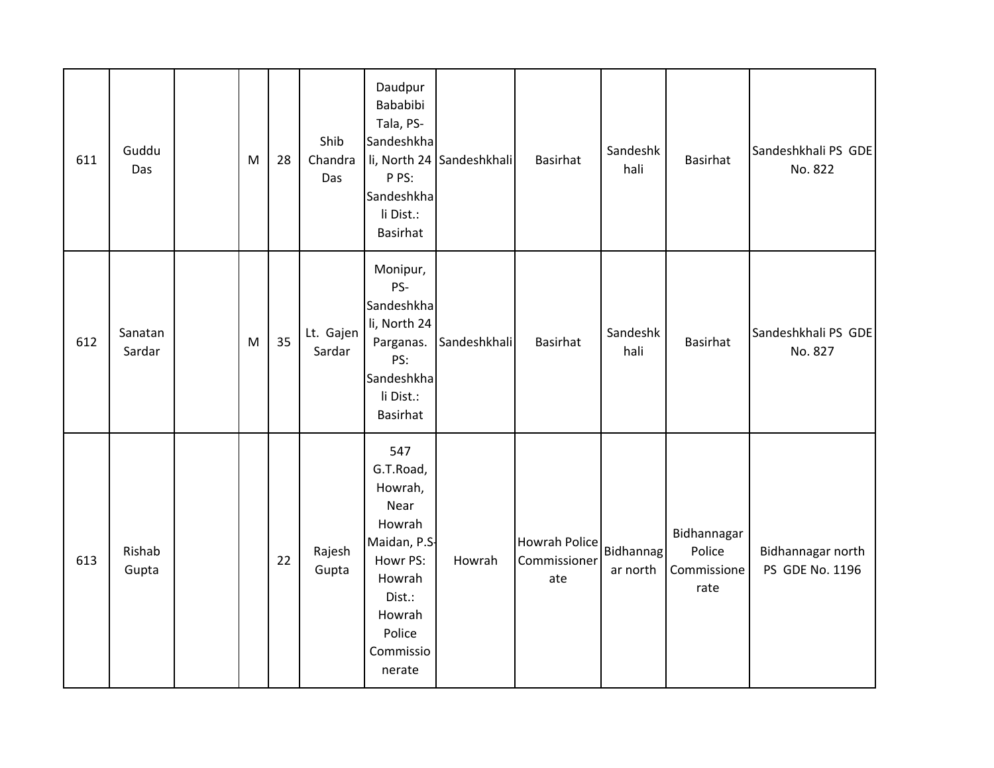| 611 | Guddu<br>Das      | M | 28 | Shib<br>Chandra<br>Das | Daudpur<br>Bababibi<br>Tala, PS-<br>Sandeshkha<br>P PS:<br>Sandeshkha<br>li Dist.:<br>Basirhat                                           | li, North 24 Sandeshkhali | <b>Basirhat</b>                             | Sandeshk<br>hali             | <b>Basirhat</b>                              | Sandeshkhali PS GDE<br>No. 822       |
|-----|-------------------|---|----|------------------------|------------------------------------------------------------------------------------------------------------------------------------------|---------------------------|---------------------------------------------|------------------------------|----------------------------------------------|--------------------------------------|
| 612 | Sanatan<br>Sardar | M | 35 | Lt. Gajen<br>Sardar    | Monipur,<br>PS-<br>Sandeshkha<br>li, North 24<br>Parganas.<br>PS:<br>Sandeshkha<br>li Dist.:<br>Basirhat                                 | Sandeshkhali              | <b>Basirhat</b>                             | Sandeshk<br>hali             | <b>Basirhat</b>                              | Sandeshkhali PS GDE<br>No. 827       |
| 613 | Rishab<br>Gupta   |   | 22 | Rajesh<br>Gupta        | 547<br>G.T.Road,<br>Howrah,<br>Near<br>Howrah<br>Maidan, P.S.<br>Howr PS:<br>Howrah<br>Dist.:<br>Howrah<br>Police<br>Commissio<br>nerate | Howrah                    | <b>Howrah Police</b><br>Commissioner<br>ate | <b>Bidhannag</b><br>ar north | Bidhannagar<br>Police<br>Commissione<br>rate | Bidhannagar north<br>PS GDE No. 1196 |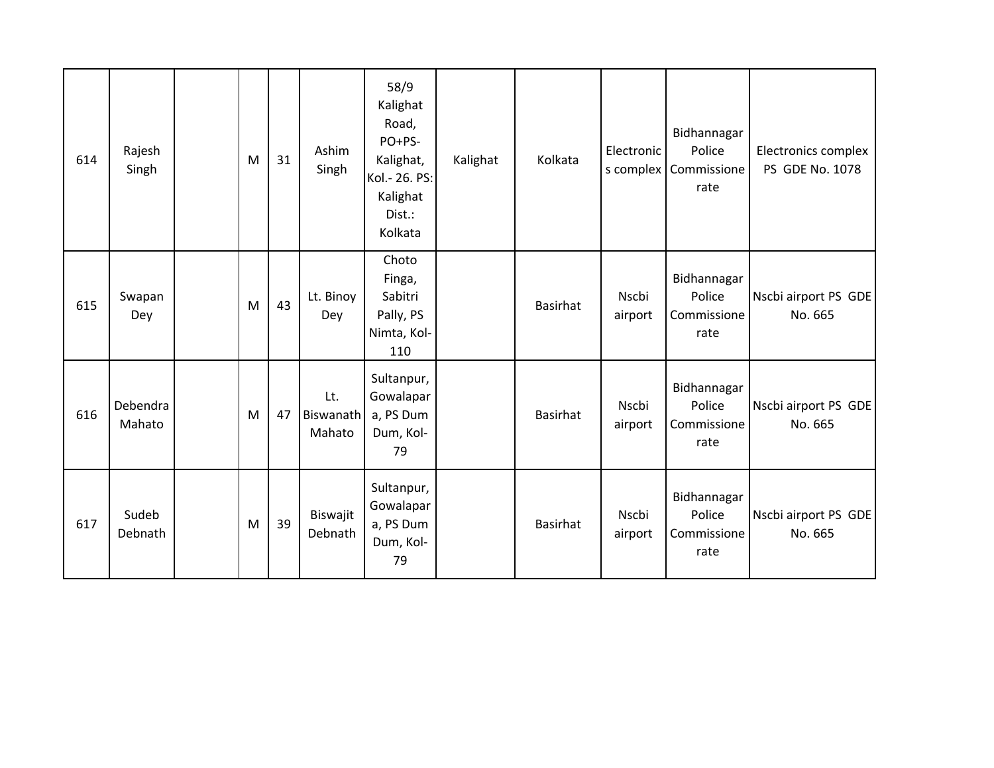| 614 | Rajesh<br>Singh    | M | 31 | Ashim<br>Singh             | 58/9<br>Kalighat<br>Road,<br>PO+PS-<br>Kalighat,<br>Kol.- 26. PS:<br>Kalighat<br>Dist.:<br>Kolkata | Kalighat | Kolkata         | Electronic<br>s complex | Bidhannagar<br>Police<br>Commissione<br>rate | Electronics complex<br>PS GDE No. 1078 |
|-----|--------------------|---|----|----------------------------|----------------------------------------------------------------------------------------------------|----------|-----------------|-------------------------|----------------------------------------------|----------------------------------------|
| 615 | Swapan<br>Dey      | M | 43 | Lt. Binoy<br>Dey           | Choto<br>Finga,<br>Sabitri<br>Pally, PS<br>Nimta, Kol-<br>110                                      |          | <b>Basirhat</b> | Nscbi<br>airport        | Bidhannagar<br>Police<br>Commissione<br>rate | Nscbi airport PS GDE<br>No. 665        |
| 616 | Debendra<br>Mahato | M | 47 | Lt.<br>Biswanath<br>Mahato | Sultanpur,<br>Gowalapar<br>a, PS Dum<br>Dum, Kol-<br>79                                            |          | <b>Basirhat</b> | Nscbi<br>airport        | Bidhannagar<br>Police<br>Commissione<br>rate | Nscbi airport PS GDE<br>No. 665        |
| 617 | Sudeb<br>Debnath   | M | 39 | Biswajit<br>Debnath        | Sultanpur,<br>Gowalapar<br>a, PS Dum<br>Dum, Kol-<br>79                                            |          | <b>Basirhat</b> | Nscbi<br>airport        | Bidhannagar<br>Police<br>Commissione<br>rate | Nscbi airport PS GDE<br>No. 665        |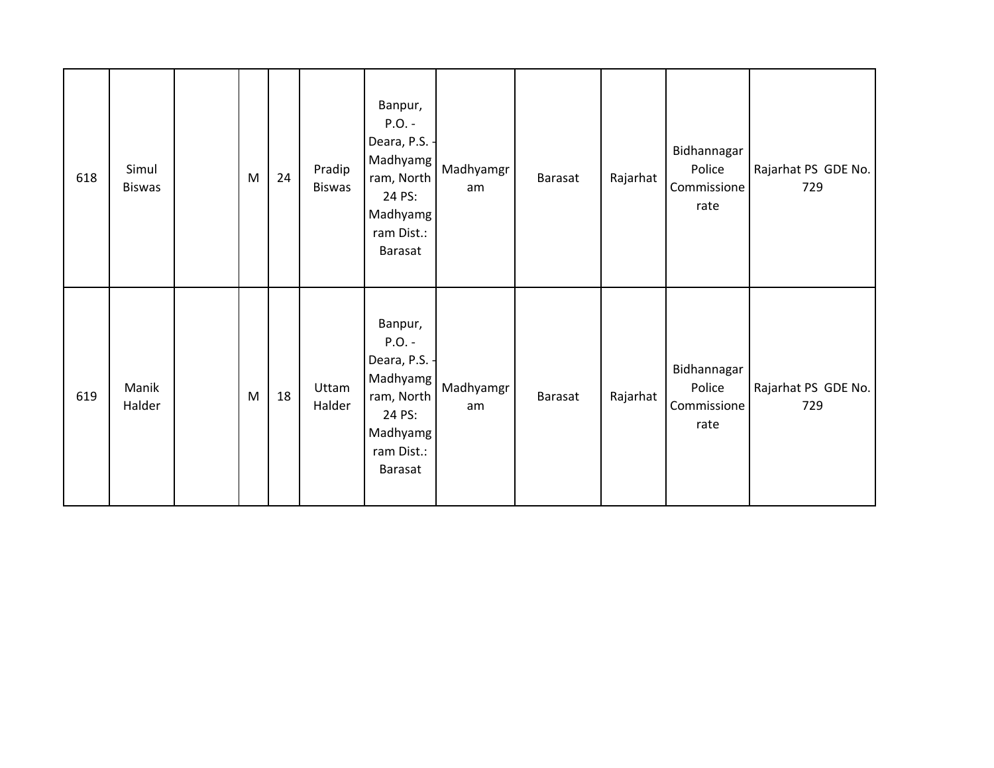| 618 | Simul<br><b>Biswas</b> | M | 24 | Pradip<br><b>Biswas</b> | Banpur,<br>$P.O. -$<br>Deara, P.S.<br>Madhyamg<br>ram, North<br>24 PS:<br>Madhyamg<br>ram Dist.:<br>Barasat | Madhyamgr<br>am | Barasat        | Rajarhat | Bidhannagar<br>Police<br>Commissione<br>rate | Rajarhat PS GDE No.<br>729 |
|-----|------------------------|---|----|-------------------------|-------------------------------------------------------------------------------------------------------------|-----------------|----------------|----------|----------------------------------------------|----------------------------|
| 619 | Manik<br>Halder        | M | 18 | Uttam<br>Halder         | Banpur,<br>$P.O. -$<br>Deara, P.S.<br>Madhyamg<br>ram, North<br>24 PS:<br>Madhyamg<br>ram Dist.:<br>Barasat | Madhyamgr<br>am | <b>Barasat</b> | Rajarhat | Bidhannagar<br>Police<br>Commissione<br>rate | Rajarhat PS GDE No.<br>729 |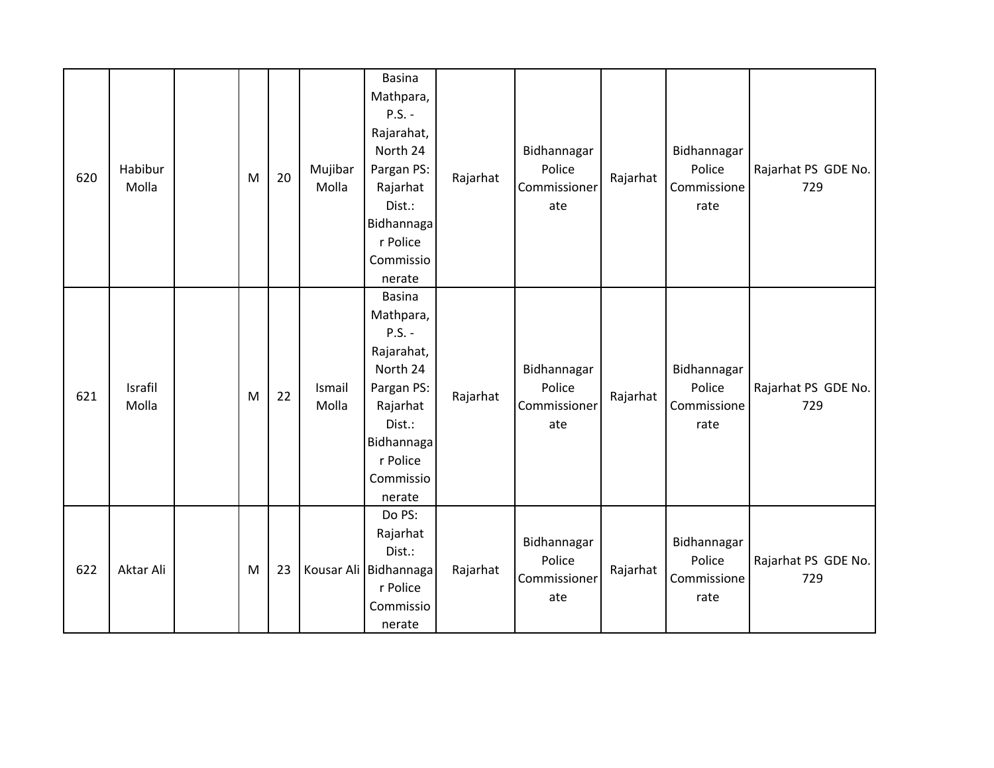| 620 | Habibur<br>Molla | M | 20 | Mujibar<br>Molla | <b>Basina</b><br>Mathpara,<br>$P.S. -$<br>Rajarahat,<br>North 24<br>Pargan PS:<br>Rajarhat<br>Dist.:<br>Bidhannaga<br>r Police<br>Commissio<br>nerate | Rajarhat | Bidhannagar<br>Police<br>Commissioner<br>ate | Rajarhat | Bidhannagar<br>Police<br>Commissione<br>rate | Rajarhat PS GDE No.<br>729 |
|-----|------------------|---|----|------------------|-------------------------------------------------------------------------------------------------------------------------------------------------------|----------|----------------------------------------------|----------|----------------------------------------------|----------------------------|
| 621 | Israfil<br>Molla | M | 22 | Ismail<br>Molla  | <b>Basina</b><br>Mathpara,<br>$P.S. -$<br>Rajarahat,<br>North 24<br>Pargan PS:<br>Rajarhat<br>Dist.:<br>Bidhannaga<br>r Police<br>Commissio<br>nerate | Rajarhat | Bidhannagar<br>Police<br>Commissioner<br>ate | Rajarhat | Bidhannagar<br>Police<br>Commissione<br>rate | Rajarhat PS GDE No.<br>729 |
| 622 | Aktar Ali        | M | 23 |                  | Do PS:<br>Rajarhat<br>Dist.:<br>Kousar Ali Bidhannaga<br>r Police<br>Commissio<br>nerate                                                              | Rajarhat | Bidhannagar<br>Police<br>Commissioner<br>ate | Rajarhat | Bidhannagar<br>Police<br>Commissione<br>rate | Rajarhat PS GDE No.<br>729 |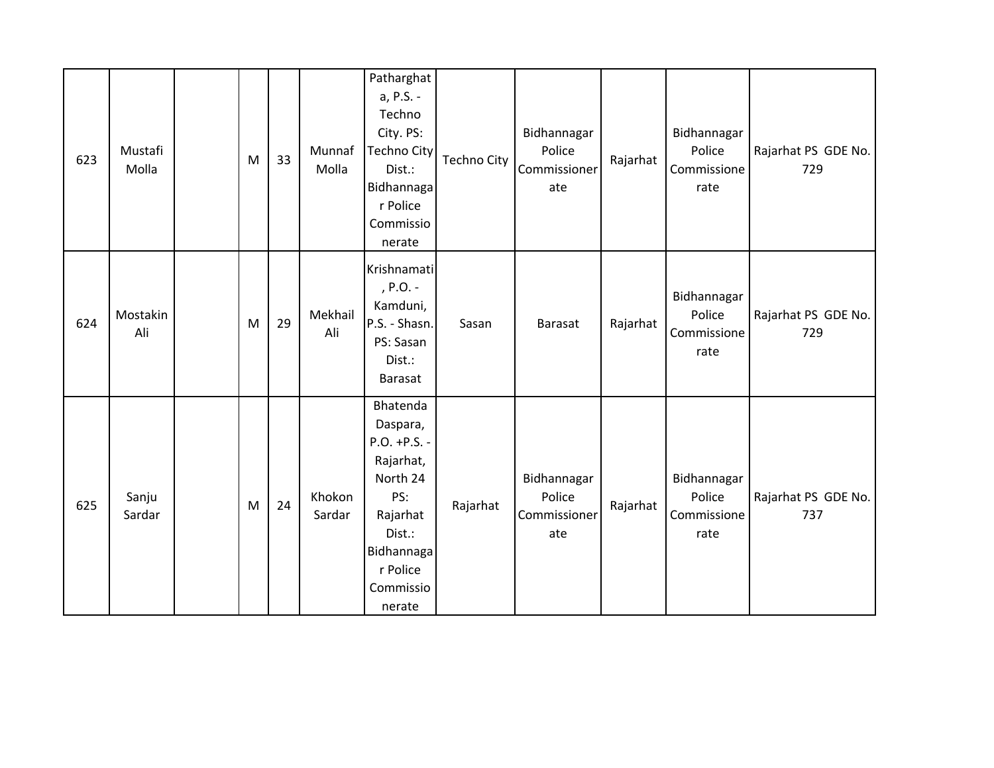| 623 | Mustafi<br>Molla | M | 33 | Munnaf<br>Molla  | Patharghat<br>a, P.S. -<br>Techno<br>City. PS:<br><b>Techno City</b><br>Dist.:<br>Bidhannaga<br>r Police<br>Commissio<br>nerate             | Techno City | Bidhannagar<br>Police<br>Commissioner<br>ate | Rajarhat | Bidhannagar<br>Police<br>Commissione<br>rate | Rajarhat PS GDE No.<br>729 |
|-----|------------------|---|----|------------------|---------------------------------------------------------------------------------------------------------------------------------------------|-------------|----------------------------------------------|----------|----------------------------------------------|----------------------------|
| 624 | Mostakin<br>Ali  | M | 29 | Mekhail<br>Ali   | Krishnamati<br>, P.O. -<br>Kamduni,<br>P.S. - Shasn.<br>PS: Sasan<br>Dist.:<br>Barasat                                                      | Sasan       | <b>Barasat</b>                               | Rajarhat | Bidhannagar<br>Police<br>Commissione<br>rate | Rajarhat PS GDE No.<br>729 |
| 625 | Sanju<br>Sardar  | M | 24 | Khokon<br>Sardar | Bhatenda<br>Daspara,<br>P.O. +P.S. -<br>Rajarhat,<br>North 24<br>PS:<br>Rajarhat<br>Dist.:<br>Bidhannaga<br>r Police<br>Commissio<br>nerate | Rajarhat    | Bidhannagar<br>Police<br>Commissioner<br>ate | Rajarhat | Bidhannagar<br>Police<br>Commissione<br>rate | Rajarhat PS GDE No.<br>737 |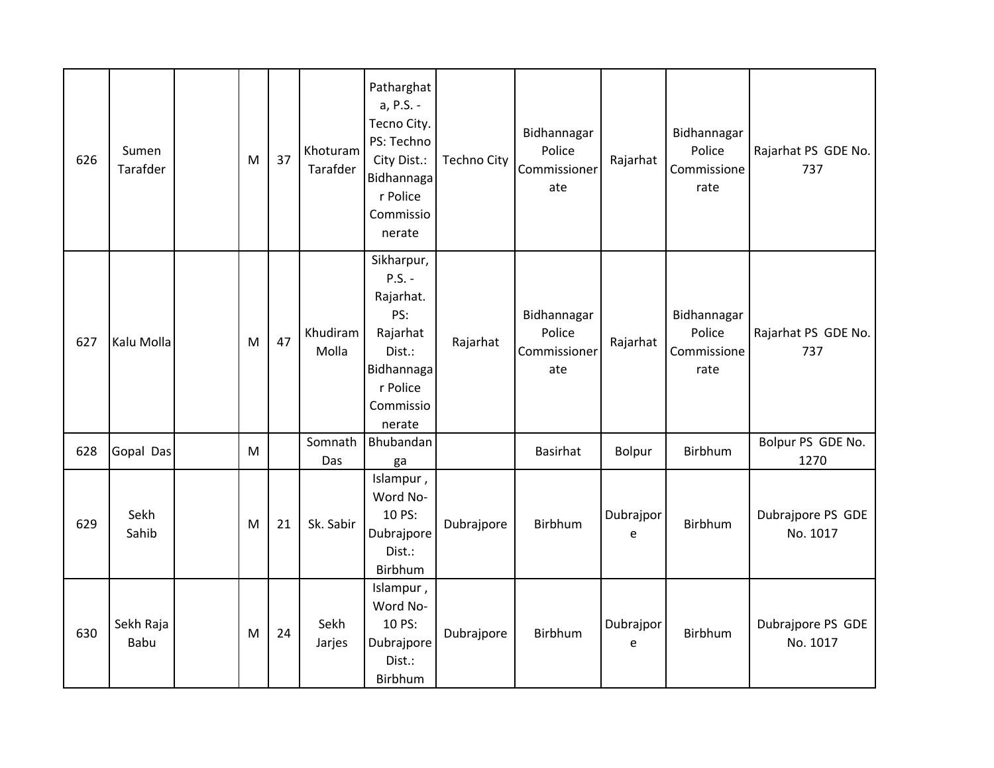| 626 | Sumen<br>Tarafder | M | 37 | Khoturam<br>Tarafder | Patharghat<br>a, P.S. -<br>Tecno City.<br>PS: Techno<br>City Dist.:<br>Bidhannaga<br>r Police<br>Commissio<br>nerate | <b>Techno City</b> | Bidhannagar<br>Police<br>Commissioner<br>ate | Rajarhat       | Bidhannagar<br>Police<br>Commissione<br>rate | Rajarhat PS GDE No.<br>737    |
|-----|-------------------|---|----|----------------------|----------------------------------------------------------------------------------------------------------------------|--------------------|----------------------------------------------|----------------|----------------------------------------------|-------------------------------|
| 627 | Kalu Molla        | M | 47 | Khudiram<br>Molla    | Sikharpur,<br>$P.S. -$<br>Rajarhat.<br>PS:<br>Rajarhat<br>Dist.:<br>Bidhannaga<br>r Police<br>Commissio<br>nerate    | Rajarhat           | Bidhannagar<br>Police<br>Commissioner<br>ate | Rajarhat       | Bidhannagar<br>Police<br>Commissione<br>rate | Rajarhat PS GDE No.<br>737    |
| 628 | Gopal Das         | M |    | Somnath<br>Das       | Bhubandan<br>ga                                                                                                      |                    | Basirhat                                     | Bolpur         | Birbhum                                      | Bolpur PS GDE No.<br>1270     |
| 629 | Sekh<br>Sahib     | M | 21 | Sk. Sabir            | Islampur,<br>Word No-<br>10 PS:<br>Dubrajpore<br>Dist.:<br>Birbhum                                                   | Dubrajpore         | Birbhum                                      | Dubrajpor<br>e | Birbhum                                      | Dubrajpore PS GDE<br>No. 1017 |
| 630 | Sekh Raja<br>Babu | M | 24 | Sekh<br>Jarjes       | Islampur,<br>Word No-<br>10 PS:<br>Dubrajpore<br>Dist.:<br>Birbhum                                                   | Dubrajpore         | Birbhum                                      | Dubrajpor<br>e | Birbhum                                      | Dubrajpore PS GDE<br>No. 1017 |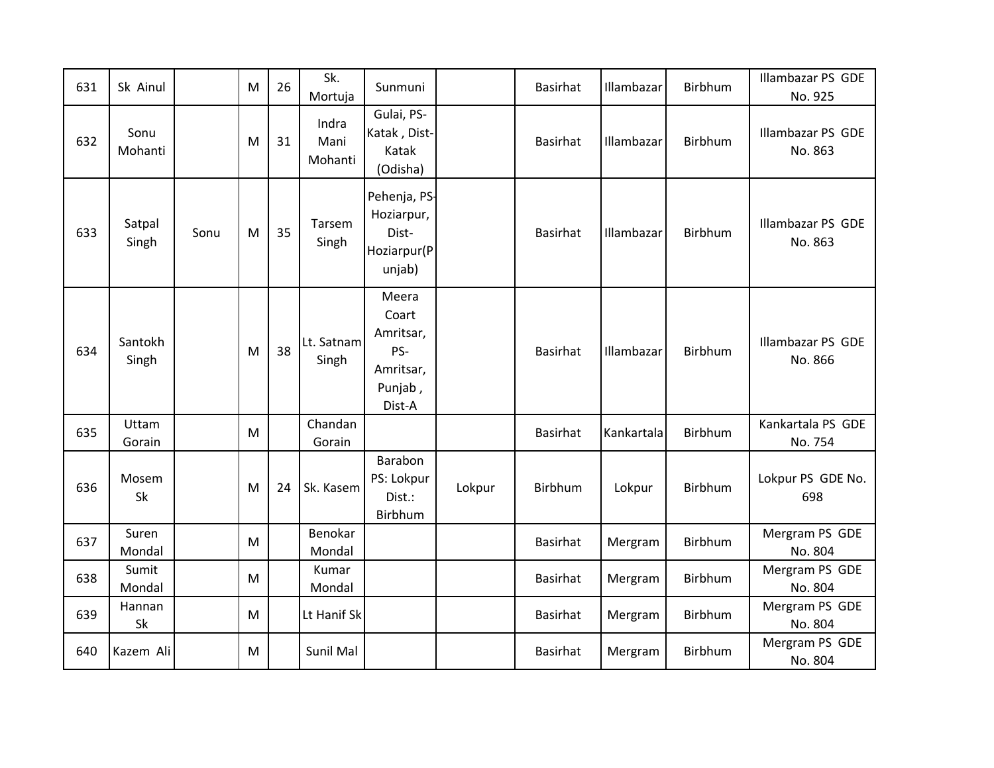| 631 | Sk Ainul         |      | M | 26 | Sk.<br>Mortuja           | Sunmuni                                                              |        | <b>Basirhat</b> | Illambazar | Birbhum | Illambazar PS GDE<br>No. 925        |
|-----|------------------|------|---|----|--------------------------|----------------------------------------------------------------------|--------|-----------------|------------|---------|-------------------------------------|
| 632 | Sonu<br>Mohanti  |      | M | 31 | Indra<br>Mani<br>Mohanti | Gulai, PS-<br>Katak, Dist-<br>Katak<br>(Odisha)                      |        | <b>Basirhat</b> | Illambazar | Birbhum | <b>Illambazar PS GDE</b><br>No. 863 |
| 633 | Satpal<br>Singh  | Sonu | M | 35 | Tarsem<br>Singh          | Pehenja, PS-<br>Hoziarpur,<br>Dist-<br>Hoziarpur(P<br>unjab)         |        | <b>Basirhat</b> | Illambazar | Birbhum | <b>Illambazar PS GDE</b><br>No. 863 |
| 634 | Santokh<br>Singh |      | M | 38 | Lt. Satnam<br>Singh      | Meera<br>Coart<br>Amritsar,<br>PS-<br>Amritsar,<br>Punjab,<br>Dist-A |        | <b>Basirhat</b> | Illambazar | Birbhum | <b>Illambazar PS GDE</b><br>No. 866 |
| 635 | Uttam<br>Gorain  |      | M |    | Chandan<br>Gorain        |                                                                      |        | <b>Basirhat</b> | Kankartala | Birbhum | Kankartala PS GDE<br>No. 754        |
| 636 | Mosem<br>Sk      |      | M | 24 | Sk. Kasem                | Barabon<br>PS: Lokpur<br>Dist.:<br>Birbhum                           | Lokpur | Birbhum         | Lokpur     | Birbhum | Lokpur PS GDE No.<br>698            |
| 637 | Suren<br>Mondal  |      | M |    | Benokar<br>Mondal        |                                                                      |        | <b>Basirhat</b> | Mergram    | Birbhum | Mergram PS GDE<br>No. 804           |
| 638 | Sumit<br>Mondal  |      | M |    | Kumar<br>Mondal          |                                                                      |        | <b>Basirhat</b> | Mergram    | Birbhum | Mergram PS GDE<br>No. 804           |
| 639 | Hannan<br>Sk     |      | M |    | Lt Hanif Sk              |                                                                      |        | <b>Basirhat</b> | Mergram    | Birbhum | Mergram PS GDE<br>No. 804           |
| 640 | Kazem Ali        |      | M |    | Sunil Mal                |                                                                      |        | <b>Basirhat</b> | Mergram    | Birbhum | Mergram PS GDE<br>No. 804           |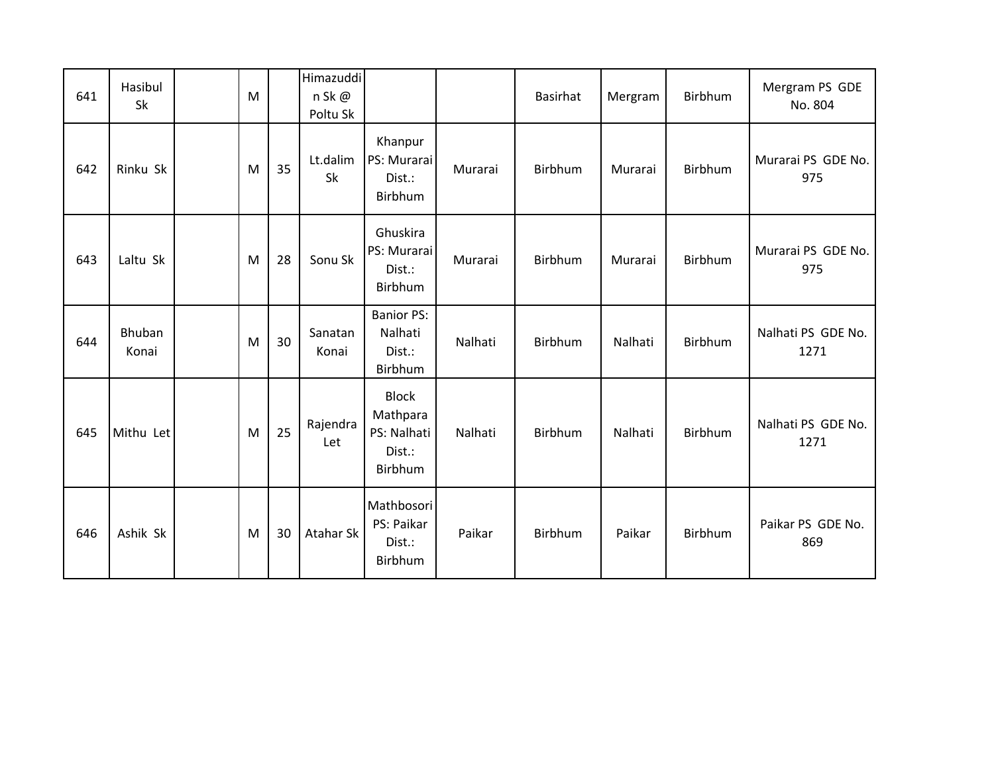| 641 | Hasibul<br>Sk   | M |    | Himazuddi<br>n Sk@<br>Poltu Sk |                                                              |         | <b>Basirhat</b> | Mergram | <b>Birbhum</b> | Mergram PS GDE<br>No. 804  |
|-----|-----------------|---|----|--------------------------------|--------------------------------------------------------------|---------|-----------------|---------|----------------|----------------------------|
| 642 | Rinku Sk        | M | 35 | Lt.dalim<br>Sk                 | Khanpur<br>PS: Murarai<br>Dist.:<br>Birbhum                  | Murarai | Birbhum         | Murarai | Birbhum        | Murarai PS GDE No.<br>975  |
| 643 | Laltu Sk        | M | 28 | Sonu Sk                        | Ghuskira<br>PS: Murarai<br>Dist.:<br>Birbhum                 | Murarai | Birbhum         | Murarai | Birbhum        | Murarai PS GDE No.<br>975  |
| 644 | Bhuban<br>Konai | M | 30 | Sanatan<br>Konai               | <b>Banior PS:</b><br>Nalhati<br>Dist.:<br>Birbhum            | Nalhati | Birbhum         | Nalhati | Birbhum        | Nalhati PS GDE No.<br>1271 |
| 645 | Mithu Let       | M | 25 | Rajendra<br>Let                | <b>Block</b><br>Mathpara<br>PS: Nalhati<br>Dist.:<br>Birbhum | Nalhati | Birbhum         | Nalhati | Birbhum        | Nalhati PS GDE No.<br>1271 |
| 646 | Ashik Sk        | M | 30 | Atahar Sk                      | Mathbosori<br>PS: Paikar<br>Dist.:<br>Birbhum                | Paikar  | Birbhum         | Paikar  | Birbhum        | Paikar PS GDE No.<br>869   |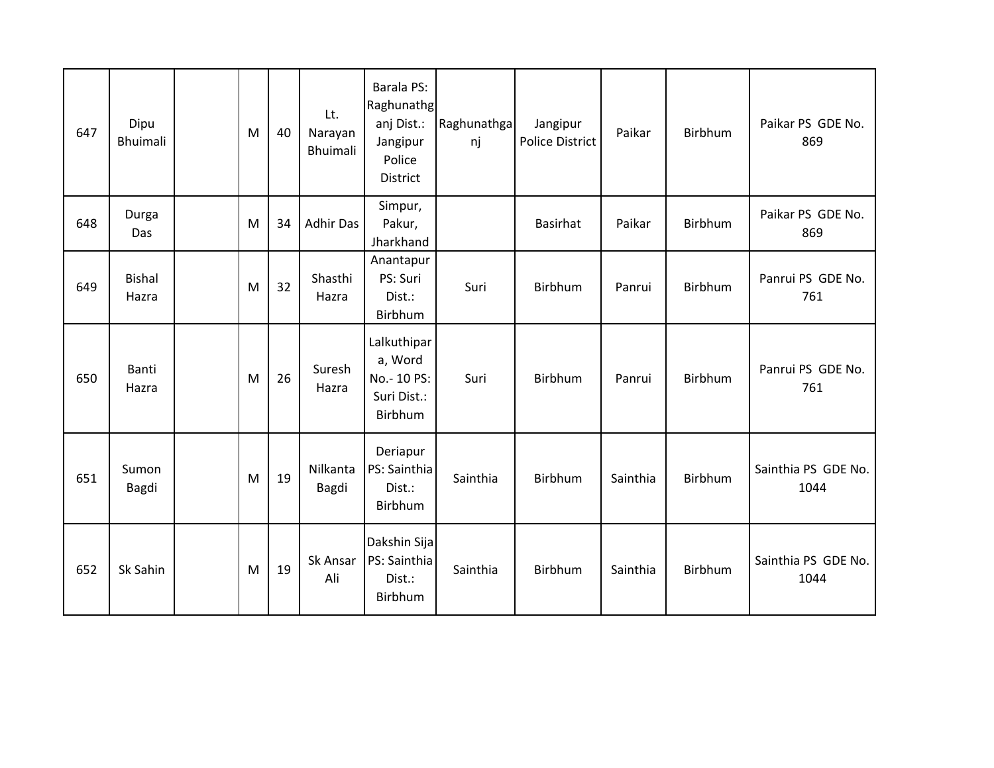| 647 | Dipu<br><b>Bhuimali</b> | M | 40 | Lt.<br>Narayan<br>Bhuimali | Barala PS:<br>Raghunathg<br>anj Dist.:<br>Jangipur<br>Police<br><b>District</b> | Raghunathga<br>nj | Jangipur<br><b>Police District</b> | Paikar   | Birbhum        | Paikar PS GDE No.<br>869    |
|-----|-------------------------|---|----|----------------------------|---------------------------------------------------------------------------------|-------------------|------------------------------------|----------|----------------|-----------------------------|
| 648 | Durga<br>Das            | M | 34 | <b>Adhir Das</b>           | Simpur,<br>Pakur,<br>Jharkhand                                                  |                   | <b>Basirhat</b>                    | Paikar   | Birbhum        | Paikar PS GDE No.<br>869    |
| 649 | <b>Bishal</b><br>Hazra  | M | 32 | Shasthi<br>Hazra           | Anantapur<br>PS: Suri<br>Dist.:<br>Birbhum                                      | Suri              | Birbhum                            | Panrui   | Birbhum        | Panrui PS GDE No.<br>761    |
| 650 | Banti<br>Hazra          | M | 26 | Suresh<br>Hazra            | Lalkuthipar<br>a, Word<br>No.- 10 PS:<br>Suri Dist.:<br>Birbhum                 | Suri              | Birbhum                            | Panrui   | <b>Birbhum</b> | Panrui PS GDE No.<br>761    |
| 651 | Sumon<br>Bagdi          | M | 19 | Nilkanta<br>Bagdi          | Deriapur<br>PS: Sainthia<br>Dist.:<br>Birbhum                                   | Sainthia          | Birbhum                            | Sainthia | Birbhum        | Sainthia PS GDE No.<br>1044 |
| 652 | Sk Sahin                | M | 19 | Sk Ansar<br>Ali            | Dakshin Sija<br>PS: Sainthia<br>Dist.:<br>Birbhum                               | Sainthia          | Birbhum                            | Sainthia | <b>Birbhum</b> | Sainthia PS GDE No.<br>1044 |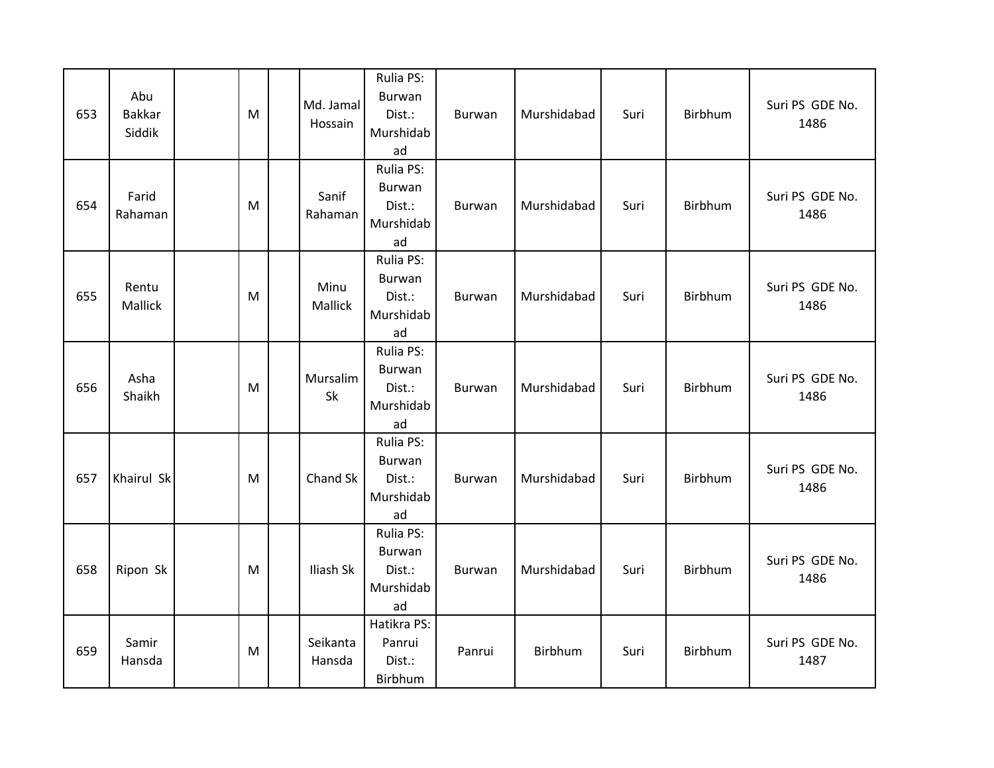| 653 | Abu<br><b>Bakkar</b><br>Siddik | M | Md. Jamal<br>Hossain | Rulia PS:<br><b>Burwan</b><br>Dist.:<br>Murshidab<br>ad | Burwan | Murshidabad | Suri | Birbhum | Suri PS GDE No.<br>1486 |
|-----|--------------------------------|---|----------------------|---------------------------------------------------------|--------|-------------|------|---------|-------------------------|
| 654 | Farid<br>Rahaman               | M | Sanif<br>Rahaman     | Rulia PS:<br>Burwan<br>Dist.:<br>Murshidab<br>ad        | Burwan | Murshidabad | Suri | Birbhum | Suri PS GDE No.<br>1486 |
| 655 | Rentu<br>Mallick               | M | Minu<br>Mallick      | Rulia PS:<br>Burwan<br>Dist.:<br>Murshidab<br>ad        | Burwan | Murshidabad | Suri | Birbhum | Suri PS GDE No.<br>1486 |
| 656 | Asha<br>Shaikh                 | M | Mursalim<br>Sk       | Rulia PS:<br>Burwan<br>Dist.:<br>Murshidab<br>ad        | Burwan | Murshidabad | Suri | Birbhum | Suri PS GDE No.<br>1486 |
| 657 | Khairul Sk                     | M | Chand Sk             | Rulia PS:<br><b>Burwan</b><br>Dist.:<br>Murshidab<br>ad | Burwan | Murshidabad | Suri | Birbhum | Suri PS GDE No.<br>1486 |
| 658 | Ripon Sk                       | M | Iliash Sk            | Rulia PS:<br><b>Burwan</b><br>Dist.:<br>Murshidab<br>ad | Burwan | Murshidabad | Suri | Birbhum | Suri PS GDE No.<br>1486 |
| 659 | Samir<br>Hansda                | M | Seikanta<br>Hansda   | Hatikra PS:<br>Panrui<br>Dist.:<br>Birbhum              | Panrui | Birbhum     | Suri | Birbhum | Suri PS GDE No.<br>1487 |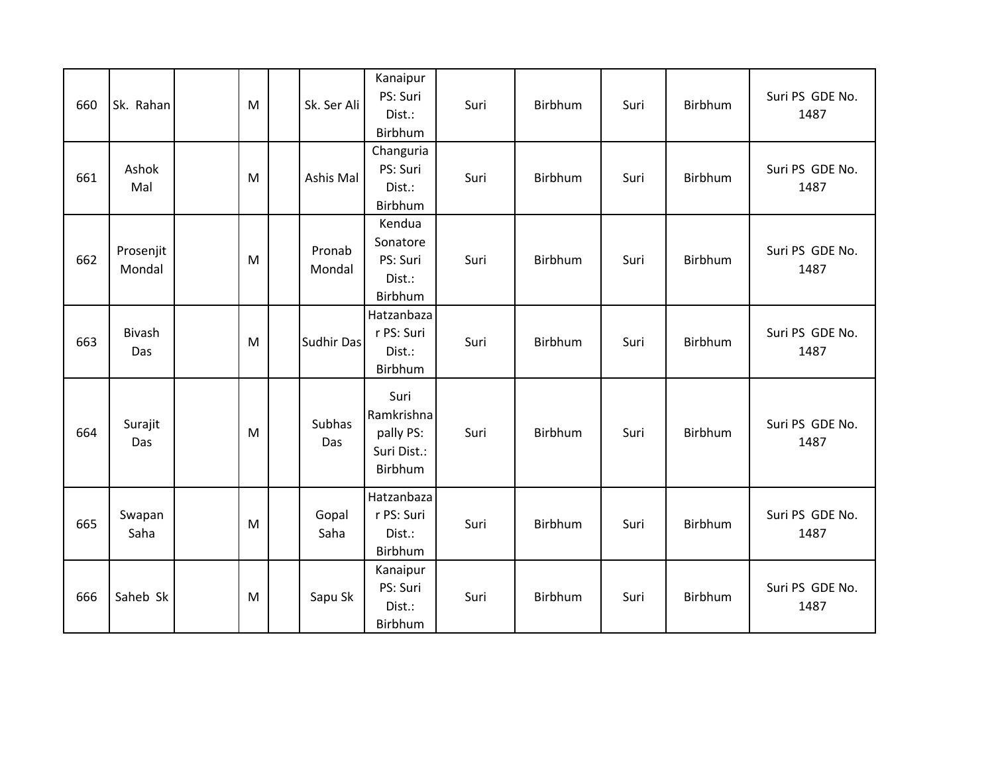| 660 | Sk. Rahan           | M | Sk. Ser Ali       | Kanaipur<br>PS: Suri<br>Dist.:<br>Birbhum                 | Suri | Birbhum        | Suri | Birbhum        | Suri PS GDE No.<br>1487 |
|-----|---------------------|---|-------------------|-----------------------------------------------------------|------|----------------|------|----------------|-------------------------|
| 661 | Ashok<br>Mal        | M | Ashis Mal         | Changuria<br>PS: Suri<br>Dist.:<br>Birbhum                | Suri | Birbhum        | Suri | Birbhum        | Suri PS GDE No.<br>1487 |
| 662 | Prosenjit<br>Mondal | M | Pronab<br>Mondal  | Kendua<br>Sonatore<br>PS: Suri<br>Dist.:<br>Birbhum       | Suri | Birbhum        | Suri | <b>Birbhum</b> | Suri PS GDE No.<br>1487 |
| 663 | Bivash<br>Das       | M | <b>Sudhir Das</b> | Hatzanbaza<br>r PS: Suri<br>Dist.:<br>Birbhum             | Suri | Birbhum        | Suri | Birbhum        | Suri PS GDE No.<br>1487 |
| 664 | Surajit<br>Das      | M | Subhas<br>Das     | Suri<br>Ramkrishna<br>pally PS:<br>Suri Dist.:<br>Birbhum | Suri | Birbhum        | Suri | <b>Birbhum</b> | Suri PS GDE No.<br>1487 |
| 665 | Swapan<br>Saha      | M | Gopal<br>Saha     | Hatzanbaza<br>r PS: Suri<br>Dist.:<br>Birbhum             | Suri | <b>Birbhum</b> | Suri | <b>Birbhum</b> | Suri PS GDE No.<br>1487 |
| 666 | Saheb Sk            | M | Sapu Sk           | Kanaipur<br>PS: Suri<br>Dist.:<br>Birbhum                 | Suri | Birbhum        | Suri | Birbhum        | Suri PS GDE No.<br>1487 |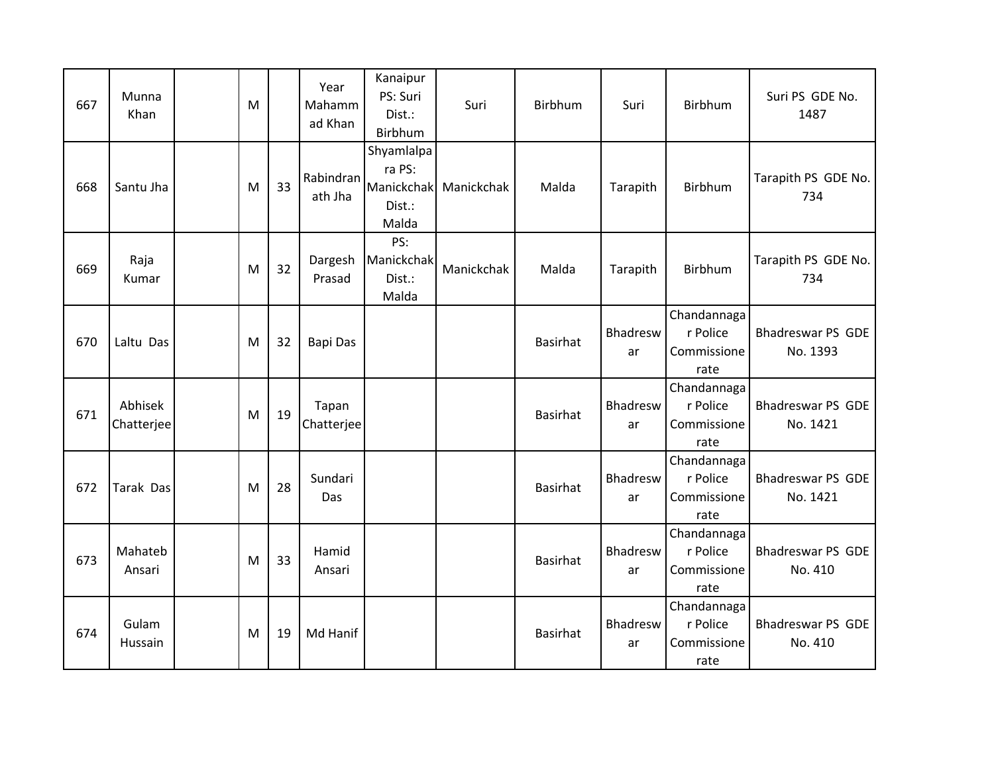| 667 | Munna<br>Khan         | M |    | Year<br>Mahamm<br>ad Khan | Kanaipur<br>PS: Suri<br>Dist.:<br>Birbhum             | Suri       | Birbhum         | Suri                  | Birbhum                                        | Suri PS GDE No.<br>1487              |
|-----|-----------------------|---|----|---------------------------|-------------------------------------------------------|------------|-----------------|-----------------------|------------------------------------------------|--------------------------------------|
| 668 | Santu Jha             | M | 33 | Rabindran<br>ath Jha      | Shyamlalpa<br>ra PS:<br>Manickchak<br>Dist.:<br>Malda | Manickchak | Malda           | Tarapith              | Birbhum                                        | Tarapith PS GDE No.<br>734           |
| 669 | Raja<br>Kumar         | M | 32 | Dargesh<br>Prasad         | PS:<br>Manickchak<br>Dist.:<br>Malda                  | Manickchak | Malda           | Tarapith              | Birbhum                                        | Tarapith PS GDE No.<br>734           |
| 670 | Laltu Das             | M | 32 | <b>Bapi Das</b>           |                                                       |            | <b>Basirhat</b> | Bhadresw<br>ar        | Chandannaga<br>r Police<br>Commissione<br>rate | <b>Bhadreswar PS GDE</b><br>No. 1393 |
| 671 | Abhisek<br>Chatterjee | M | 19 | Tapan<br>Chatterjee       |                                                       |            | <b>Basirhat</b> | Bhadresw<br>ar        | Chandannaga<br>r Police<br>Commissione<br>rate | <b>Bhadreswar PS GDE</b><br>No. 1421 |
| 672 | Tarak Das             | M | 28 | Sundari<br>Das            |                                                       |            | <b>Basirhat</b> | Bhadresw<br>ar        | Chandannaga<br>r Police<br>Commissione<br>rate | <b>Bhadreswar PS GDE</b><br>No. 1421 |
| 673 | Mahateb<br>Ansari     | M | 33 | Hamid<br>Ansari           |                                                       |            | <b>Basirhat</b> | <b>Bhadresw</b><br>ar | Chandannaga<br>r Police<br>Commissione<br>rate | <b>Bhadreswar PS GDE</b><br>No. 410  |
| 674 | Gulam<br>Hussain      | M | 19 | Md Hanif                  |                                                       |            | <b>Basirhat</b> | Bhadresw<br>ar        | Chandannaga<br>r Police<br>Commissione<br>rate | <b>Bhadreswar PS GDE</b><br>No. 410  |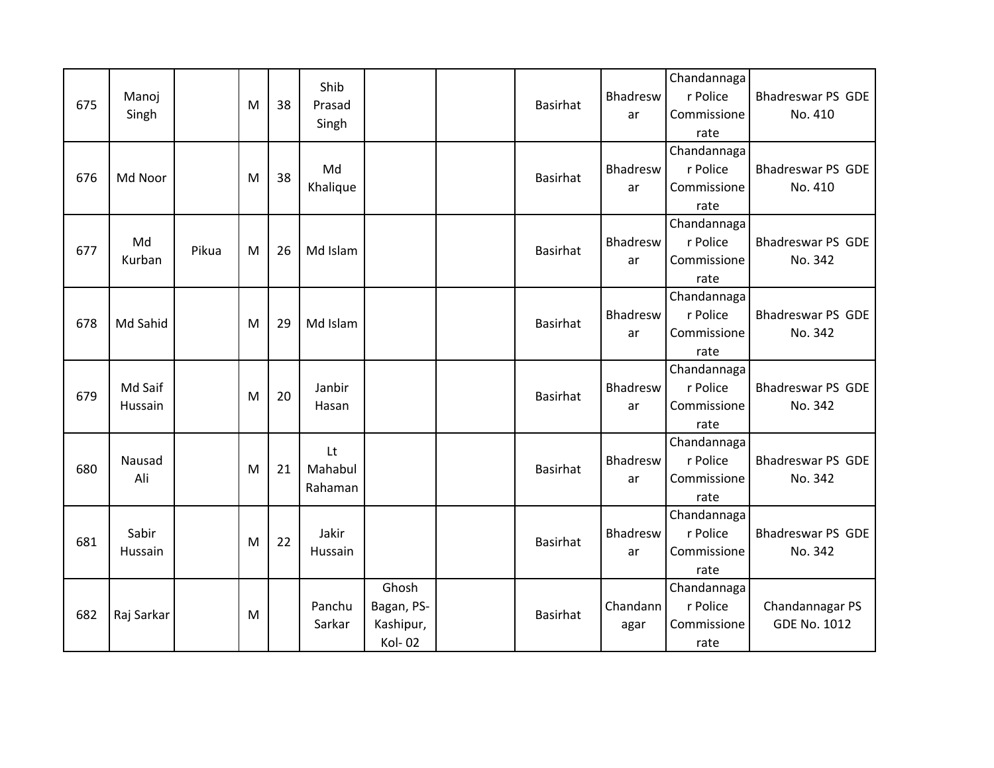| 675 | Manoj<br>Singh     |       | M | 38 | Shib<br>Prasad<br>Singh  |                                                   | <b>Basirhat</b> | Bhadresw<br>ar   | Chandannaga<br>r Police<br>Commissione<br>rate | Bhadreswar PS GDE<br>No. 410           |
|-----|--------------------|-------|---|----|--------------------------|---------------------------------------------------|-----------------|------------------|------------------------------------------------|----------------------------------------|
| 676 | Md Noor            |       | M | 38 | Md<br>Khalique           |                                                   | <b>Basirhat</b> | Bhadresw<br>ar   | Chandannaga<br>r Police<br>Commissione<br>rate | <b>Bhadreswar PS GDE</b><br>No. 410    |
| 677 | Md<br>Kurban       | Pikua | M | 26 | Md Islam                 |                                                   | <b>Basirhat</b> | Bhadresw<br>ar   | Chandannaga<br>r Police<br>Commissione<br>rate | <b>Bhadreswar PS GDE</b><br>No. 342    |
| 678 | Md Sahid           |       | M | 29 | Md Islam                 |                                                   | <b>Basirhat</b> | Bhadresw<br>ar   | Chandannaga<br>r Police<br>Commissione<br>rate | <b>Bhadreswar PS GDE</b><br>No. 342    |
| 679 | Md Saif<br>Hussain |       | M | 20 | Janbir<br>Hasan          |                                                   | <b>Basirhat</b> | Bhadresw<br>ar   | Chandannaga<br>r Police<br>Commissione<br>rate | <b>Bhadreswar PS GDE</b><br>No. 342    |
| 680 | Nausad<br>Ali      |       | M | 21 | Lt<br>Mahabul<br>Rahaman |                                                   | <b>Basirhat</b> | Bhadresw<br>ar   | Chandannaga<br>r Police<br>Commissione<br>rate | <b>Bhadreswar PS GDE</b><br>No. 342    |
| 681 | Sabir<br>Hussain   |       | M | 22 | Jakir<br>Hussain         |                                                   | <b>Basirhat</b> | Bhadresw<br>ar   | Chandannaga<br>r Police<br>Commissione<br>rate | <b>Bhadreswar PS GDE</b><br>No. 342    |
| 682 | Raj Sarkar         |       | M |    | Panchu<br>Sarkar         | Ghosh<br>Bagan, PS-<br>Kashipur,<br><b>Kol-02</b> | <b>Basirhat</b> | Chandann<br>agar | Chandannaga<br>r Police<br>Commissione<br>rate | Chandannagar PS<br><b>GDE No. 1012</b> |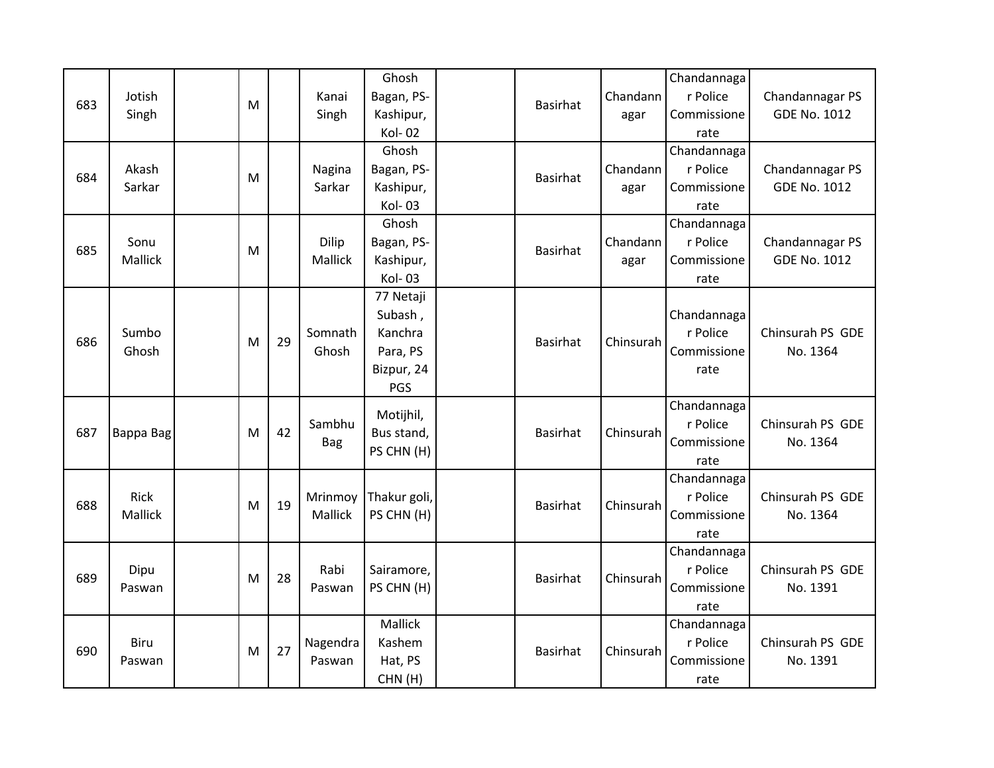| 683 | Jotish<br>Singh        | M |    | Kanai<br>Singh     | Ghosh<br>Bagan, PS-<br>Kashipur,<br><b>Kol-02</b>                | <b>Basirhat</b> | Chandann<br>agar | Chandannaga<br>r Police<br>Commissione<br>rate | Chandannagar PS<br><b>GDE No. 1012</b> |
|-----|------------------------|---|----|--------------------|------------------------------------------------------------------|-----------------|------------------|------------------------------------------------|----------------------------------------|
| 684 | Akash<br>Sarkar        | M |    | Nagina<br>Sarkar   | Ghosh<br>Bagan, PS-<br>Kashipur,<br>Kol-03                       | <b>Basirhat</b> | Chandann<br>agar | Chandannaga<br>r Police<br>Commissione<br>rate | Chandannagar PS<br><b>GDE No. 1012</b> |
| 685 | Sonu<br>Mallick        | M |    | Dilip<br>Mallick   | Ghosh<br>Bagan, PS-<br>Kashipur,<br>Kol-03                       | Basirhat        | Chandann<br>agar | Chandannaga<br>r Police<br>Commissione<br>rate | Chandannagar PS<br><b>GDE No. 1012</b> |
| 686 | Sumbo<br>Ghosh         | M | 29 | Somnath<br>Ghosh   | 77 Netaji<br>Subash,<br>Kanchra<br>Para, PS<br>Bizpur, 24<br>PGS | <b>Basirhat</b> | Chinsurah        | Chandannaga<br>r Police<br>Commissione<br>rate | Chinsurah PS GDE<br>No. 1364           |
| 687 | Bappa Bag              | м | 42 | Sambhu<br>Bag      | Motijhil,<br>Bus stand,<br>PS CHN (H)                            | <b>Basirhat</b> | Chinsurah        | Chandannaga<br>r Police<br>Commissione<br>rate | Chinsurah PS GDE<br>No. 1364           |
| 688 | <b>Rick</b><br>Mallick | м | 19 | Mrinmoy<br>Mallick | Thakur goli,<br>PS CHN (H)                                       | <b>Basirhat</b> | Chinsurah        | Chandannaga<br>r Police<br>Commissione<br>rate | Chinsurah PS GDE<br>No. 1364           |
| 689 | Dipu<br>Paswan         | M | 28 | Rabi<br>Paswan     | Sairamore,<br>PS CHN (H)                                         | <b>Basirhat</b> | Chinsurah        | Chandannaga<br>r Police<br>Commissione<br>rate | Chinsurah PS GDE<br>No. 1391           |
| 690 | Biru<br>Paswan         | M | 27 | Nagendra<br>Paswan | Mallick<br>Kashem<br>Hat, PS<br>CHN(H)                           | Basirhat        | Chinsurah        | Chandannaga<br>r Police<br>Commissione<br>rate | Chinsurah PS GDE<br>No. 1391           |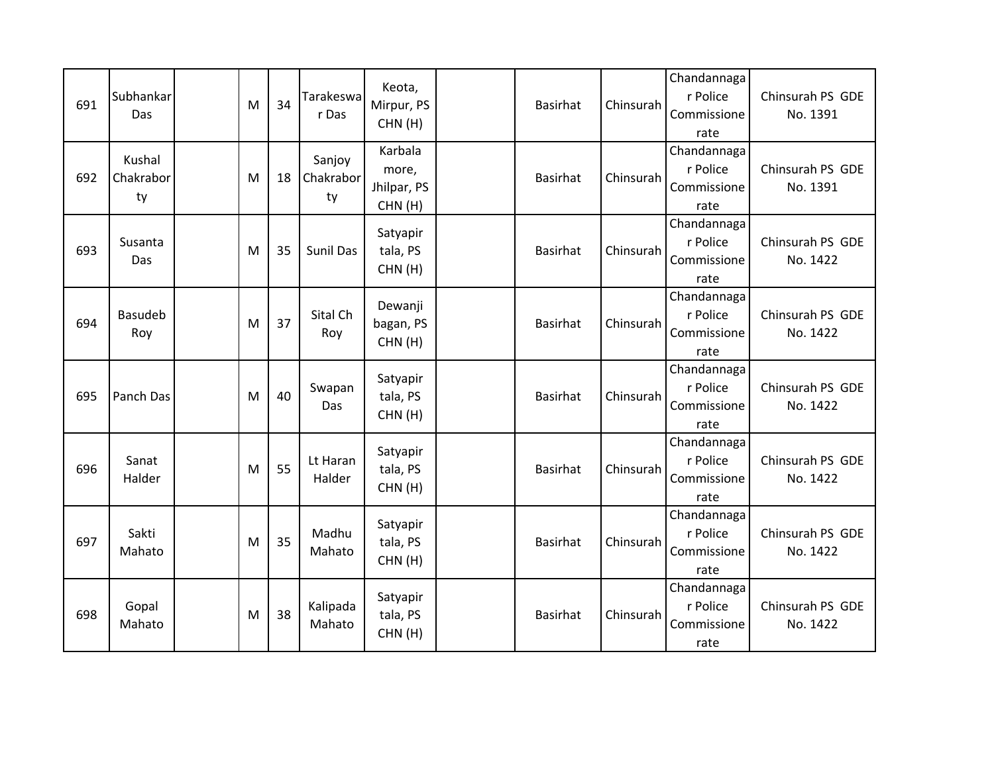| 691 | Subhankar<br>Das          | M | 34 | Tarakeswa<br>r Das        | Keota,<br>Mirpur, PS<br>CHN(H)            | Basirhat        | Chinsurah | Chandannaga<br>r Police<br>Commissione<br>rate | Chinsurah PS GDE<br>No. 1391 |
|-----|---------------------------|---|----|---------------------------|-------------------------------------------|-----------------|-----------|------------------------------------------------|------------------------------|
| 692 | Kushal<br>Chakrabor<br>ty | M | 18 | Sanjoy<br>Chakrabor<br>ty | Karbala<br>more,<br>Jhilpar, PS<br>CHN(H) | Basirhat        | Chinsurah | Chandannaga<br>r Police<br>Commissione<br>rate | Chinsurah PS GDE<br>No. 1391 |
| 693 | Susanta<br>Das            | M | 35 | Sunil Das                 | Satyapir<br>tala, PS<br>CHN(H)            | Basirhat        | Chinsurah | Chandannaga<br>r Police<br>Commissione<br>rate | Chinsurah PS GDE<br>No. 1422 |
| 694 | Basudeb<br>Roy            | M | 37 | Sital Ch<br>Roy           | Dewanji<br>bagan, PS<br>CHN(H)            | <b>Basirhat</b> | Chinsurah | Chandannaga<br>r Police<br>Commissione<br>rate | Chinsurah PS GDE<br>No. 1422 |
| 695 | Panch Das                 | M | 40 | Swapan<br>Das             | Satyapir<br>tala, PS<br>CHN(H)            | <b>Basirhat</b> | Chinsurah | Chandannaga<br>r Police<br>Commissione<br>rate | Chinsurah PS GDE<br>No. 1422 |
| 696 | Sanat<br>Halder           | M | 55 | Lt Haran<br>Halder        | Satyapir<br>tala, PS<br>CHN(H)            | <b>Basirhat</b> | Chinsurah | Chandannaga<br>r Police<br>Commissione<br>rate | Chinsurah PS GDE<br>No. 1422 |
| 697 | Sakti<br>Mahato           | м | 35 | Madhu<br>Mahato           | Satyapir<br>tala, PS<br>CHN(H)            | Basirhat        | Chinsurah | Chandannaga<br>r Police<br>Commissione<br>rate | Chinsurah PS GDE<br>No. 1422 |
| 698 | Gopal<br>Mahato           | M | 38 | Kalipada<br>Mahato        | Satyapir<br>tala, PS<br>CHN(H)            | <b>Basirhat</b> | Chinsurah | Chandannaga<br>r Police<br>Commissione<br>rate | Chinsurah PS GDE<br>No. 1422 |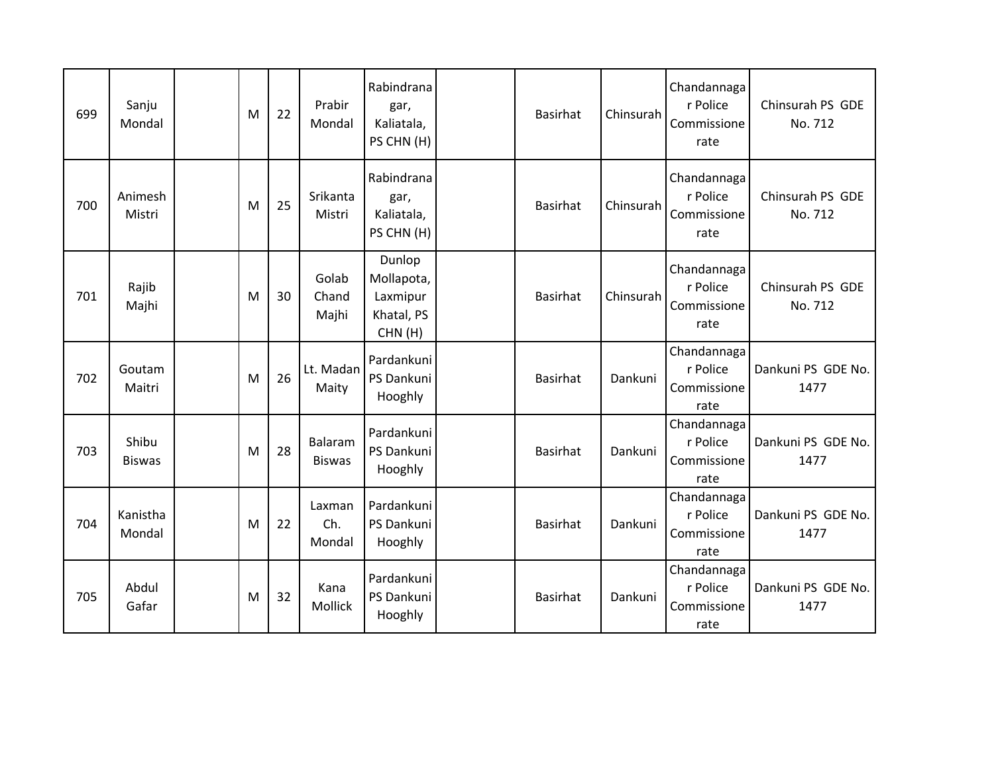| 699 | Sanju<br>Mondal        | M | 22 | Prabir<br>Mondal         | Rabindrana<br>gar,<br>Kaliatala,<br>PS CHN (H)           | <b>Basirhat</b> | Chinsurah | Chandannaga<br>r Police<br>Commissione<br>rate | Chinsurah PS GDE<br>No. 712 |
|-----|------------------------|---|----|--------------------------|----------------------------------------------------------|-----------------|-----------|------------------------------------------------|-----------------------------|
| 700 | Animesh<br>Mistri      | M | 25 | Srikanta<br>Mistri       | Rabindrana<br>gar,<br>Kaliatala,<br>PS CHN (H)           | <b>Basirhat</b> | Chinsurah | Chandannaga<br>r Police<br>Commissione<br>rate | Chinsurah PS GDE<br>No. 712 |
| 701 | Rajib<br>Majhi         | M | 30 | Golab<br>Chand<br>Majhi  | Dunlop<br>Mollapota,<br>Laxmipur<br>Khatal, PS<br>CHN(H) | <b>Basirhat</b> | Chinsurah | Chandannaga<br>r Police<br>Commissione<br>rate | Chinsurah PS GDE<br>No. 712 |
| 702 | Goutam<br>Maitri       | M | 26 | Lt. Madan<br>Maity       | Pardankuni<br>PS Dankuni<br>Hooghly                      | <b>Basirhat</b> | Dankuni   | Chandannaga<br>r Police<br>Commissione<br>rate | Dankuni PS GDE No.<br>1477  |
| 703 | Shibu<br><b>Biswas</b> | M | 28 | Balaram<br><b>Biswas</b> | Pardankuni<br>PS Dankuni<br>Hooghly                      | <b>Basirhat</b> | Dankuni   | Chandannaga<br>r Police<br>Commissione<br>rate | Dankuni PS GDE No.<br>1477  |
| 704 | Kanistha<br>Mondal     | M | 22 | Laxman<br>Ch.<br>Mondal  | Pardankuni<br>PS Dankuni<br>Hooghly                      | <b>Basirhat</b> | Dankuni   | Chandannaga<br>r Police<br>Commissione<br>rate | Dankuni PS GDE No.<br>1477  |
| 705 | Abdul<br>Gafar         | M | 32 | Kana<br>Mollick          | Pardankuni<br>PS Dankuni<br>Hooghly                      | <b>Basirhat</b> | Dankuni   | Chandannaga<br>r Police<br>Commissione<br>rate | Dankuni PS GDE No.<br>1477  |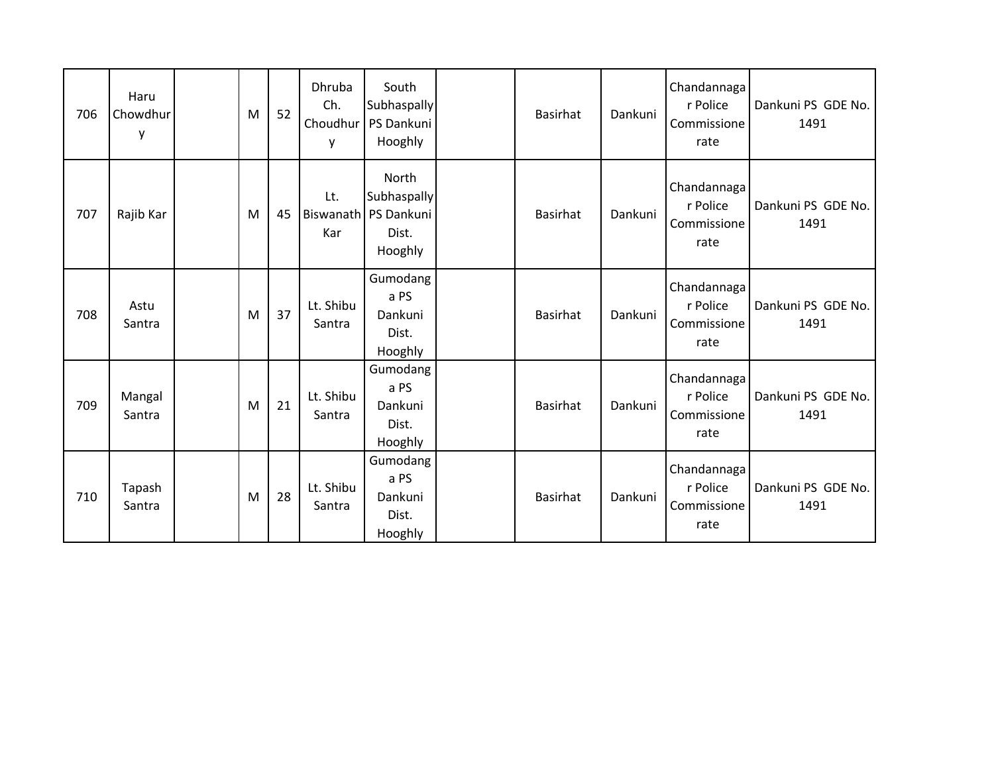| 706 | Haru<br>Chowdhur<br>y | M | 52 | Dhruba<br>Ch.<br>y  | South<br>Subhaspally<br>Choudhur   PS Dankuni<br>Hooghly           | Basirhat        | Dankuni | Chandannaga<br>r Police<br>Commissione<br>rate | Dankuni PS GDE No.<br>1491 |
|-----|-----------------------|---|----|---------------------|--------------------------------------------------------------------|-----------------|---------|------------------------------------------------|----------------------------|
| 707 | Rajib Kar             | M | 45 | Lt.<br>Kar          | North<br>Subhaspally<br>Biswanath   PS Dankuni<br>Dist.<br>Hooghly | <b>Basirhat</b> | Dankuni | Chandannaga<br>r Police<br>Commissione<br>rate | Dankuni PS GDE No.<br>1491 |
| 708 | Astu<br>Santra        | M | 37 | Lt. Shibu<br>Santra | Gumodang<br>a PS<br>Dankuni<br>Dist.<br>Hooghly                    | Basirhat        | Dankuni | Chandannaga<br>r Police<br>Commissione<br>rate | Dankuni PS GDE No.<br>1491 |
| 709 | Mangal<br>Santra      | M | 21 | Lt. Shibu<br>Santra | Gumodang<br>a PS<br>Dankuni<br>Dist.<br>Hooghly                    | Basirhat        | Dankuni | Chandannaga<br>r Police<br>Commissione<br>rate | Dankuni PS GDE No.<br>1491 |
| 710 | Tapash<br>Santra      | M | 28 | Lt. Shibu<br>Santra | Gumodang<br>a PS<br>Dankuni<br>Dist.<br>Hooghly                    | Basirhat        | Dankuni | Chandannaga<br>r Police<br>Commissione<br>rate | Dankuni PS GDE No.<br>1491 |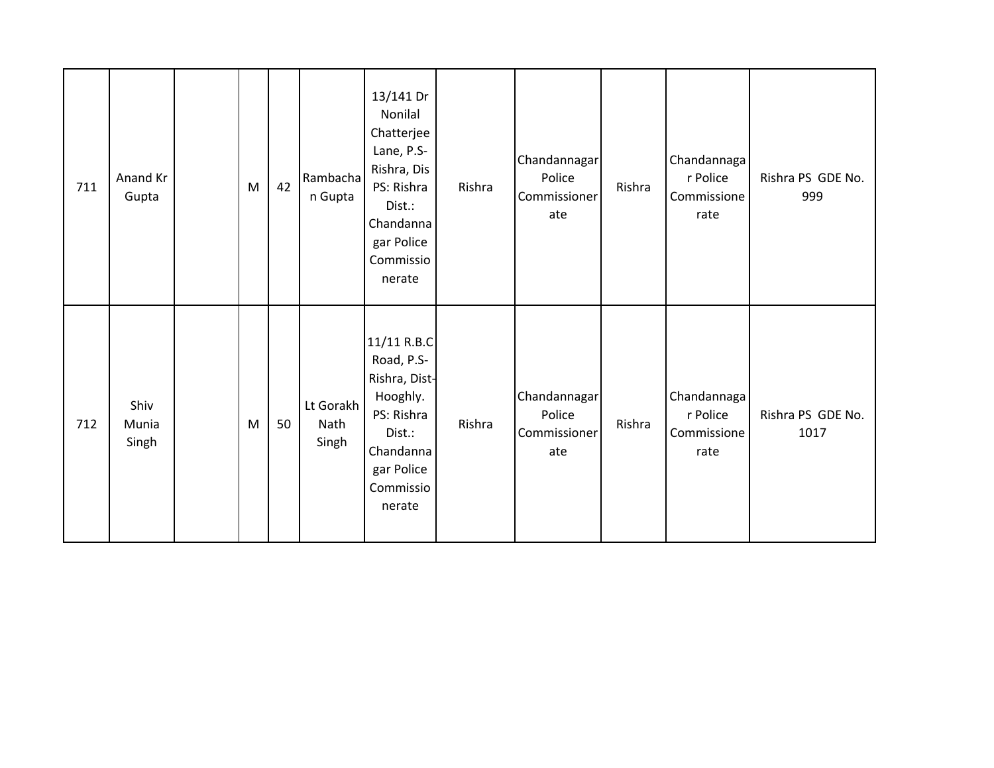| 711 | Anand Kr<br>Gupta      | M | 42 | Rambacha<br>n Gupta        | 13/141 Dr<br>Nonilal<br>Chatterjee<br>Lane, P.S-<br>Rishra, Dis<br>PS: Rishra<br>Dist.:<br>Chandanna<br>gar Police<br>Commissio<br>nerate | Rishra | Chandannagar<br>Police<br>Commissioner<br>ate | Rishra | Chandannaga<br>r Police<br>Commissione<br>rate | Rishra PS GDE No.<br>999  |
|-----|------------------------|---|----|----------------------------|-------------------------------------------------------------------------------------------------------------------------------------------|--------|-----------------------------------------------|--------|------------------------------------------------|---------------------------|
| 712 | Shiv<br>Munia<br>Singh | M | 50 | Lt Gorakh<br>Nath<br>Singh | 11/11 R.B.C<br>Road, P.S-<br>Rishra, Dist-<br>Hooghly.<br>PS: Rishra<br>Dist.:<br>Chandanna<br>gar Police<br>Commissio<br>nerate          | Rishra | Chandannagar<br>Police<br>Commissioner<br>ate | Rishra | Chandannaga<br>r Police<br>Commissione<br>rate | Rishra PS GDE No.<br>1017 |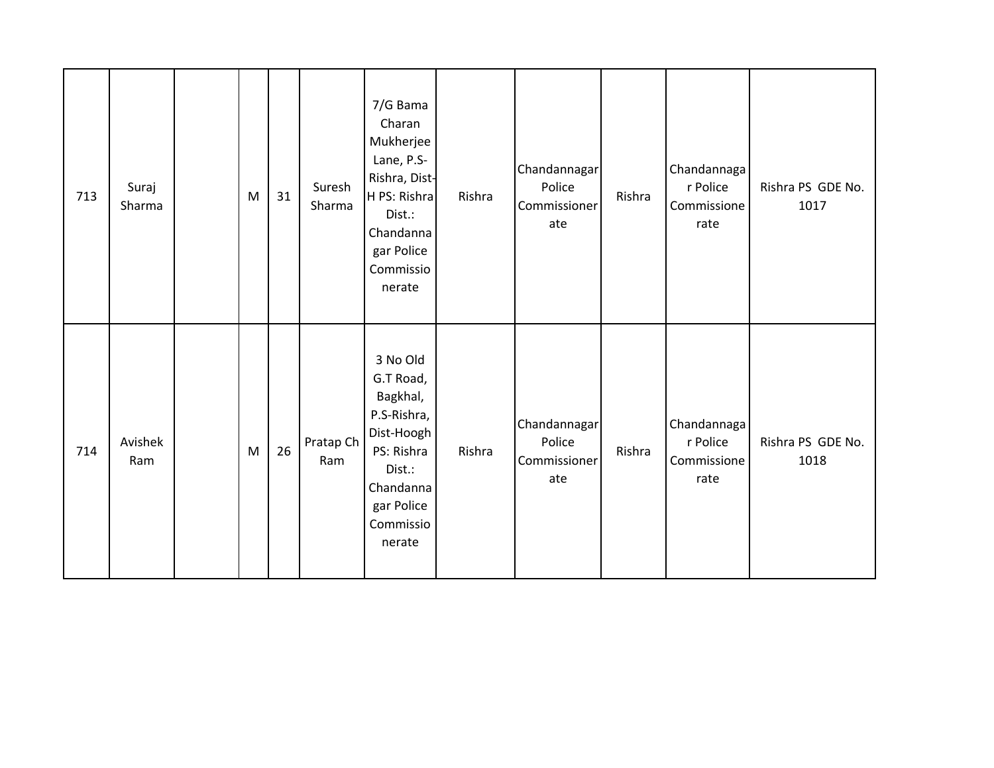| 713 | Suraj<br>Sharma | M | 31 | Suresh<br>Sharma | 7/G Bama<br>Charan<br>Mukherjee<br>Lane, P.S-<br>Rishra, Dist-<br>H PS: Rishra<br>Dist.:<br>Chandanna<br>gar Police<br>Commissio<br>nerate | Rishra | Chandannagar<br>Police<br>Commissioner<br>ate | Rishra | Chandannaga<br>r Police<br>Commissione<br>rate | Rishra PS GDE No.<br>1017 |
|-----|-----------------|---|----|------------------|--------------------------------------------------------------------------------------------------------------------------------------------|--------|-----------------------------------------------|--------|------------------------------------------------|---------------------------|
| 714 | Avishek<br>Ram  | M | 26 | Pratap Ch<br>Ram | 3 No Old<br>G.T Road,<br>Bagkhal,<br>P.S-Rishra,<br>Dist-Hoogh<br>PS: Rishra<br>Dist.:<br>Chandanna<br>gar Police<br>Commissio<br>nerate   | Rishra | Chandannagar<br>Police<br>Commissioner<br>ate | Rishra | Chandannaga<br>r Police<br>Commissione<br>rate | Rishra PS GDE No.<br>1018 |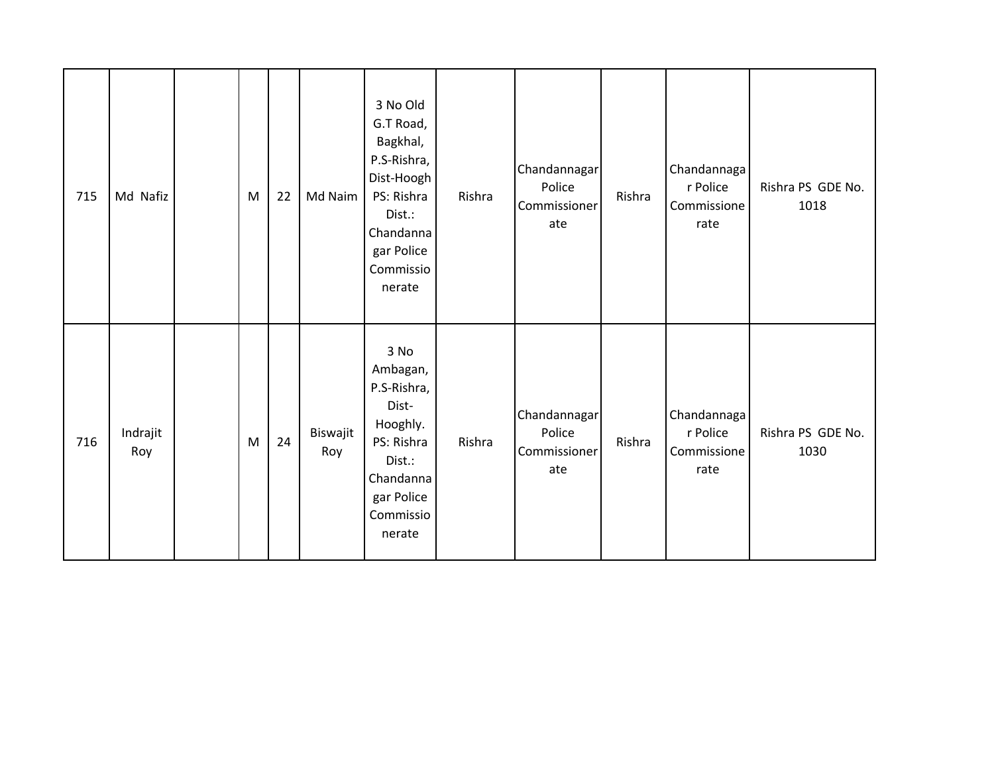| 715 | Md Nafiz        | M | 22 | Md Naim         | 3 No Old<br>G.T Road,<br>Bagkhal,<br>P.S-Rishra,<br>Dist-Hoogh<br>PS: Rishra<br>Dist.:<br>Chandanna<br>gar Police<br>Commissio<br>nerate | Rishra | Chandannagar<br>Police<br>Commissioner<br>ate | Rishra | Chandannaga<br>r Police<br>Commissione<br>rate | Rishra PS GDE No.<br>1018 |
|-----|-----------------|---|----|-----------------|------------------------------------------------------------------------------------------------------------------------------------------|--------|-----------------------------------------------|--------|------------------------------------------------|---------------------------|
| 716 | Indrajit<br>Roy | M | 24 | Biswajit<br>Roy | 3 No<br>Ambagan,<br>P.S-Rishra,<br>Dist-<br>Hooghly.<br>PS: Rishra<br>Dist.:<br>Chandanna<br>gar Police<br>Commissio<br>nerate           | Rishra | Chandannagar<br>Police<br>Commissioner<br>ate | Rishra | Chandannaga<br>r Police<br>Commissione<br>rate | Rishra PS GDE No.<br>1030 |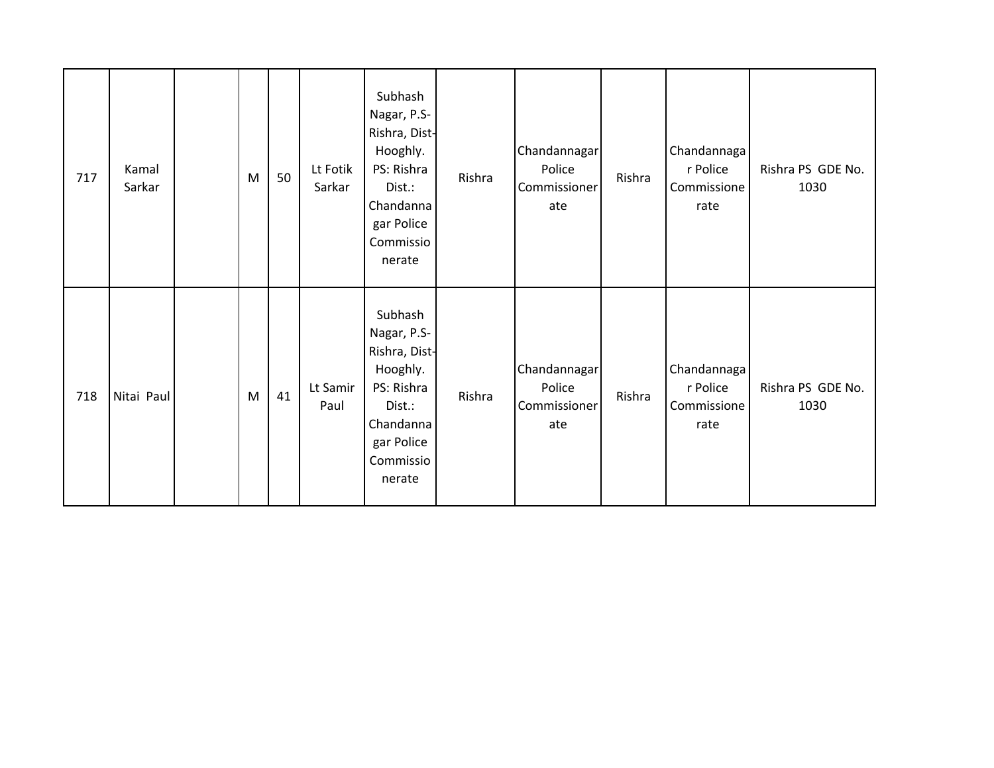| 717 | Kamal<br>Sarkar | M | 50 | Lt Fotik<br>Sarkar | Subhash<br>Nagar, P.S-<br>Rishra, Dist-<br>Hooghly.<br>PS: Rishra<br>Dist.:<br>Chandanna<br>gar Police<br>Commissio<br>nerate | Rishra | Chandannagar<br>Police<br>Commissioner<br>ate | Rishra | Chandannaga<br>r Police<br>Commissione<br>rate | Rishra PS GDE No.<br>1030 |
|-----|-----------------|---|----|--------------------|-------------------------------------------------------------------------------------------------------------------------------|--------|-----------------------------------------------|--------|------------------------------------------------|---------------------------|
| 718 | Nitai Paul      | M | 41 | Lt Samir<br>Paul   | Subhash<br>Nagar, P.S-<br>Rishra, Dist-<br>Hooghly.<br>PS: Rishra<br>Dist.:<br>Chandanna<br>gar Police<br>Commissio<br>nerate | Rishra | Chandannagar<br>Police<br>Commissioner<br>ate | Rishra | Chandannaga<br>r Police<br>Commissione<br>rate | Rishra PS GDE No.<br>1030 |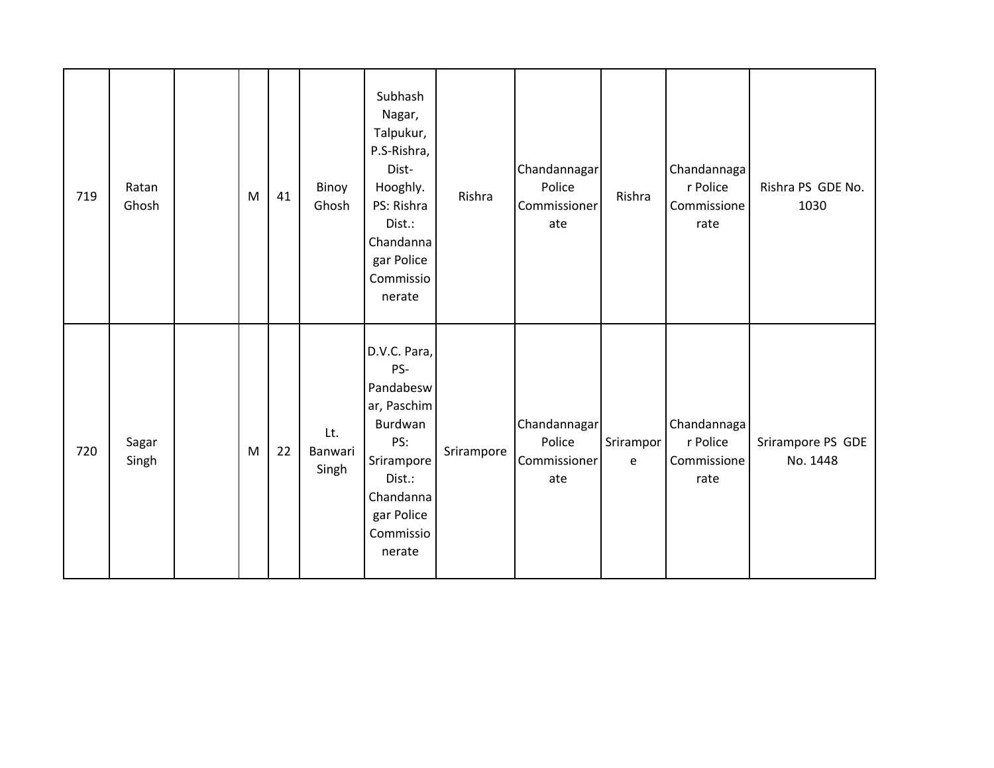| 719 | Ratan<br>Ghosh | M | 41 | Binoy<br>Ghosh          | Subhash<br>Nagar,<br>Talpukur,<br>P.S-Rishra,<br>Dist-<br>Hooghly.<br>PS: Rishra<br>Dist.:<br>Chandanna<br>gar Police<br>Commissio<br>nerate | Rishra     | Chandannagar<br>Police<br>Commissioner<br>ate | Rishra         | Chandannaga<br>r Police<br>Commissione<br>rate | Rishra PS GDE No.<br>1030     |
|-----|----------------|---|----|-------------------------|----------------------------------------------------------------------------------------------------------------------------------------------|------------|-----------------------------------------------|----------------|------------------------------------------------|-------------------------------|
| 720 | Sagar<br>Singh | M | 22 | Lt.<br>Banwari<br>Singh | D.V.C. Para,<br>PS-<br>Pandabesw<br>ar, Paschim<br>Burdwan<br>PS:<br>Srirampore<br>Dist.:<br>Chandanna<br>gar Police<br>Commissio<br>nerate  | Srirampore | Chandannagar<br>Police<br>Commissioner<br>ate | Srirampor<br>e | Chandannaga<br>r Police<br>Commissione<br>rate | Srirampore PS GDE<br>No. 1448 |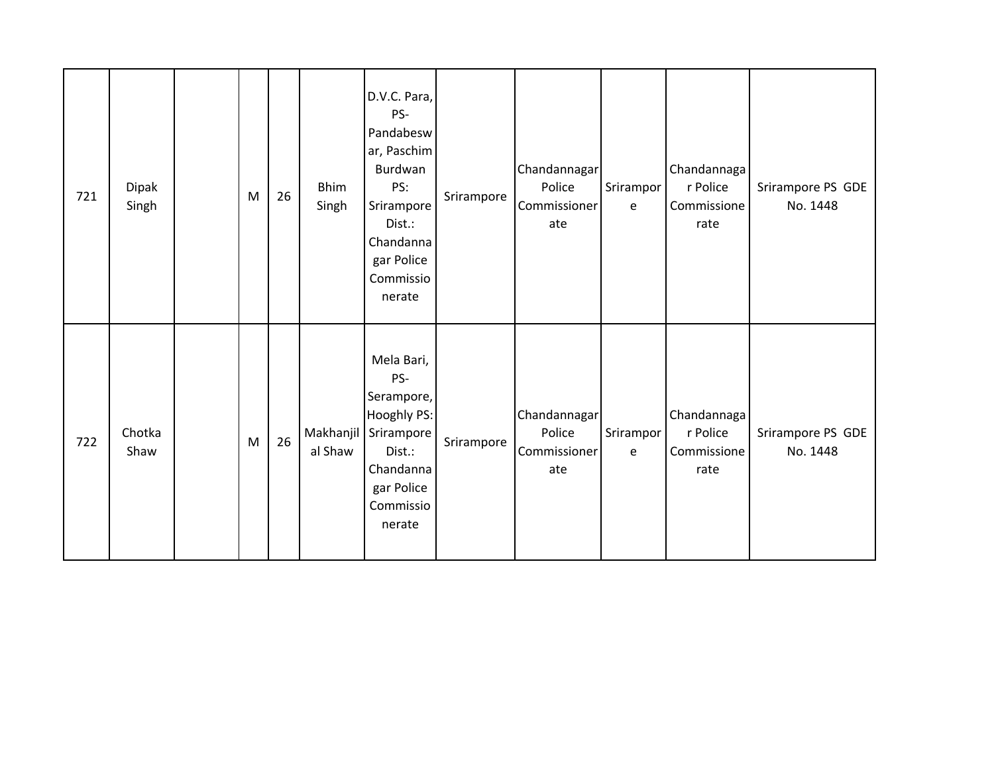| 721 | Dipak<br>Singh | M | 26 | <b>Bhim</b><br>Singh | D.V.C. Para,<br>PS-<br>Pandabesw<br>ar, Paschim<br>Burdwan<br>PS:<br>Srirampore<br>Dist.:<br>Chandanna<br>gar Police<br>Commissio<br>nerate | Srirampore | Chandannagar<br>Police<br>Commissioner<br>ate | Srirampor<br>e | Chandannaga<br>r Police<br>Commissione<br>rate | Srirampore PS GDE<br>No. 1448 |
|-----|----------------|---|----|----------------------|---------------------------------------------------------------------------------------------------------------------------------------------|------------|-----------------------------------------------|----------------|------------------------------------------------|-------------------------------|
| 722 | Chotka<br>Shaw | M | 26 | Makhanjil<br>al Shaw | Mela Bari,<br>PS-<br>Serampore,<br>Hooghly PS:<br>Srirampore<br>Dist.:<br>Chandanna<br>gar Police<br>Commissio<br>nerate                    | Srirampore | Chandannagar<br>Police<br>Commissioner<br>ate | Srirampor<br>e | Chandannaga<br>r Police<br>Commissione<br>rate | Srirampore PS GDE<br>No. 1448 |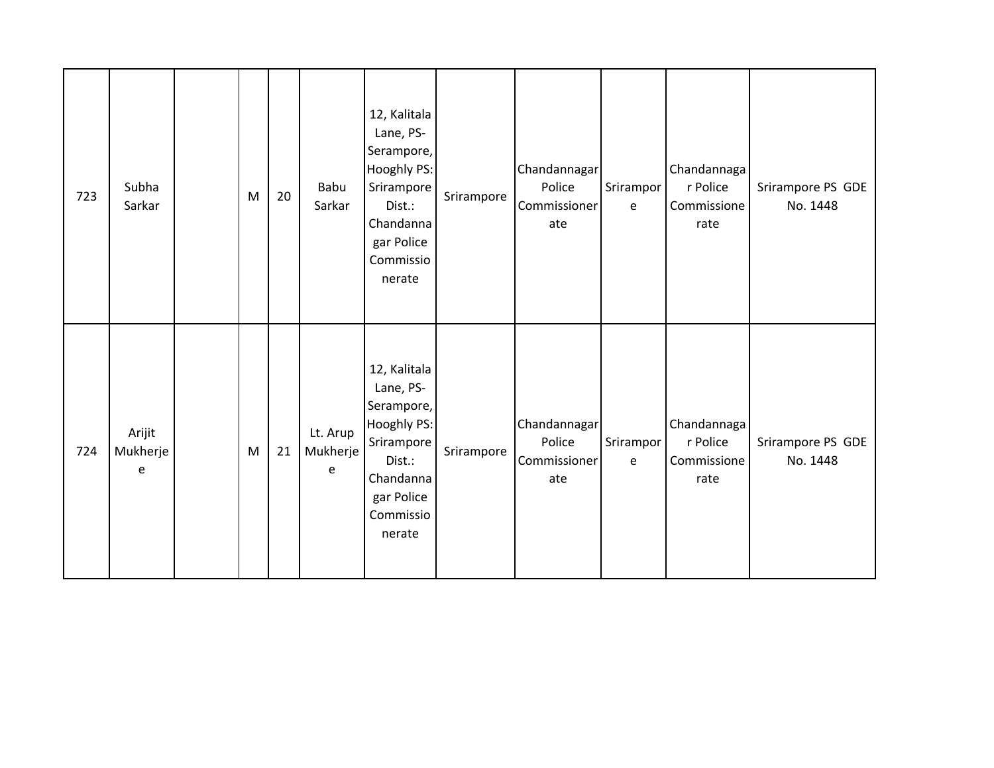| 723 | Subha<br>Sarkar         | M | 20 | Babu<br>Sarkar            | 12, Kalitala<br>Lane, PS-<br>Serampore,<br>Hooghly PS:<br>Srirampore<br>Dist.:<br>Chandanna<br>gar Police<br>Commissio<br>nerate | Srirampore | Chandannagar<br>Police<br>Commissioner<br>ate | Srirampor<br>e | Chandannaga<br>r Police<br>Commissione<br>rate | Srirampore PS GDE<br>No. 1448 |
|-----|-------------------------|---|----|---------------------------|----------------------------------------------------------------------------------------------------------------------------------|------------|-----------------------------------------------|----------------|------------------------------------------------|-------------------------------|
| 724 | Arijit<br>Mukherje<br>e | M | 21 | Lt. Arup<br>Mukherje<br>e | 12, Kalitala<br>Lane, PS-<br>Serampore,<br>Hooghly PS:<br>Srirampore<br>Dist.:<br>Chandanna<br>gar Police<br>Commissio<br>nerate | Srirampore | Chandannagar<br>Police<br>Commissioner<br>ate | Srirampor<br>e | Chandannaga<br>r Police<br>Commissione<br>rate | Srirampore PS GDE<br>No. 1448 |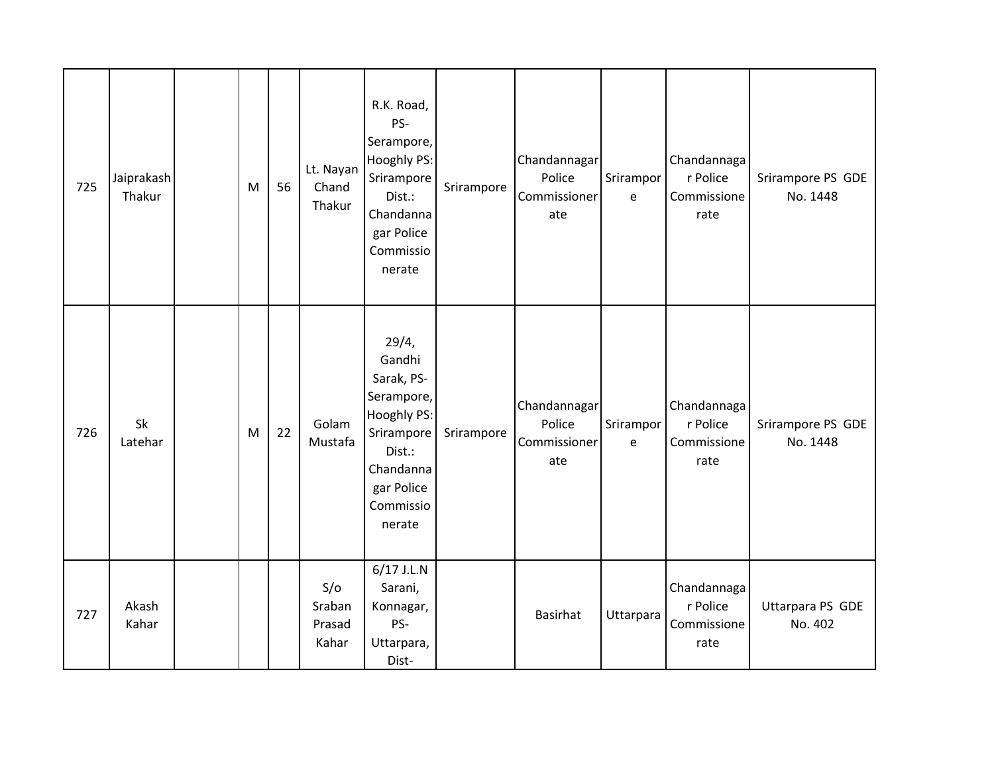| 725 | Jaiprakash<br>Thakur | M | 56 | Lt. Nayan<br>Chand<br>Thakur     | R.K. Road,<br>PS-<br>Serampore,<br>Hooghly PS:<br>Srirampore<br>Dist.:<br>Chandanna<br>gar Police<br>Commissio<br>nerate             | Srirampore | Chandannagar<br>Police<br>Commissioner<br>ate | Srirampor<br>e | Chandannaga<br>r Police<br>Commissione<br>rate | Srirampore PS GDE<br>No. 1448 |
|-----|----------------------|---|----|----------------------------------|--------------------------------------------------------------------------------------------------------------------------------------|------------|-----------------------------------------------|----------------|------------------------------------------------|-------------------------------|
| 726 | Sk<br>Latehar        | M | 22 | Golam<br>Mustafa                 | 29/4,<br>Gandhi<br>Sarak, PS-<br>Serampore,<br>Hooghly PS:<br>Srirampore<br>Dist.:<br>Chandanna<br>gar Police<br>Commissio<br>nerate | Srirampore | Chandannagar<br>Police<br>Commissioner<br>ate | Srirampor<br>e | Chandannaga<br>r Police<br>Commissione<br>rate | Srirampore PS GDE<br>No. 1448 |
| 727 | Akash<br>Kahar       |   |    | S/O<br>Sraban<br>Prasad<br>Kahar | $6/17$ J.L.N<br>Sarani,<br>Konnagar,<br>PS-<br>Uttarpara,<br>Dist-                                                                   |            | Basirhat                                      | Uttarpara      | Chandannaga<br>r Police<br>Commissione<br>rate | Uttarpara PS GDE<br>No. 402   |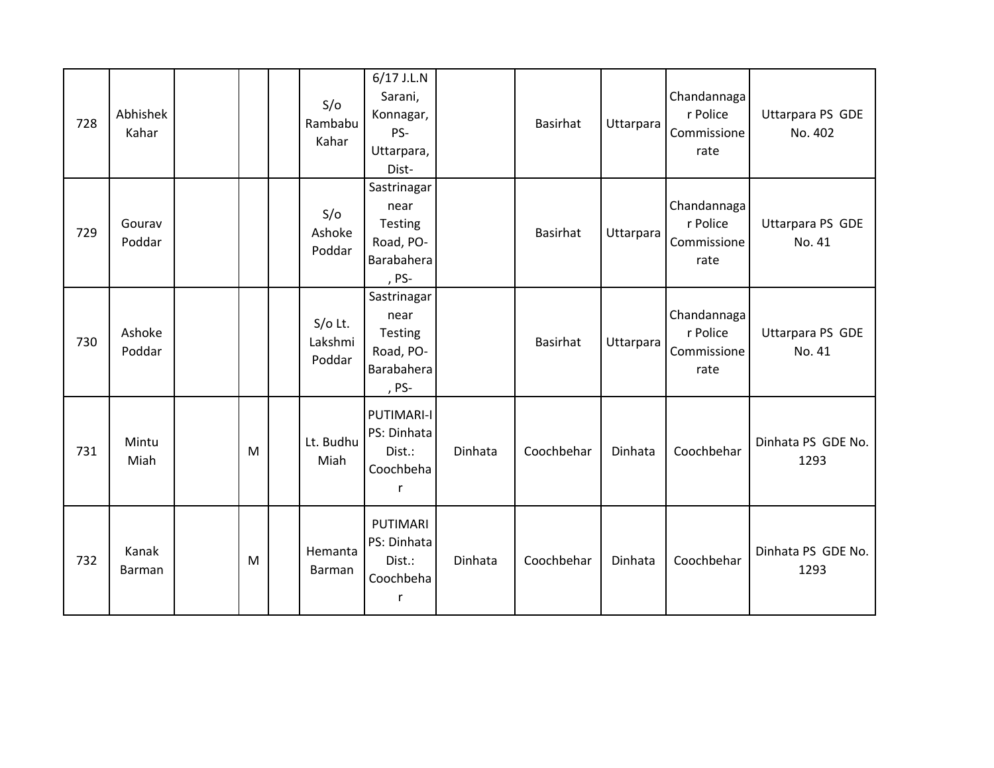| 728 | Abhishek<br>Kahar      |   | S/O<br>Rambabu<br>Kahar        | 6/17 J.L.N<br>Sarani,<br>Konnagar,<br>PS-<br>Uttarpara,<br>Dist-        |         | Basirhat        | Uttarpara | Chandannaga<br>r Police<br>Commissione<br>rate | Uttarpara PS GDE<br>No. 402 |
|-----|------------------------|---|--------------------------------|-------------------------------------------------------------------------|---------|-----------------|-----------|------------------------------------------------|-----------------------------|
| 729 | Gourav<br>Poddar       |   | S/O<br>Ashoke<br>Poddar        | Sastrinagar<br>near<br>Testing<br>Road, PO-<br>Barabahera<br>, PS-      |         | Basirhat        | Uttarpara | Chandannaga<br>r Police<br>Commissione<br>rate | Uttarpara PS GDE<br>No. 41  |
| 730 | Ashoke<br>Poddar       |   | $S/O$ Lt.<br>Lakshmi<br>Poddar | Sastrinagar<br>near<br>Testing<br>Road, PO-<br>Barabahera<br>, PS-      |         | <b>Basirhat</b> | Uttarpara | Chandannaga<br>r Police<br>Commissione<br>rate | Uttarpara PS GDE<br>No. 41  |
| 731 | Mintu<br>Miah          | M | Lt. Budhu<br>Miah              | <b>PUTIMARI-I</b><br>PS: Dinhata<br>Dist.:<br>Coochbeha<br>$\mathsf{r}$ | Dinhata | Coochbehar      | Dinhata   | Coochbehar                                     | Dinhata PS GDE No.<br>1293  |
| 732 | Kanak<br><b>Barman</b> | M | Hemanta<br>Barman              | PUTIMARI<br>PS: Dinhata<br>Dist.:<br>Coochbeha<br>r                     | Dinhata | Coochbehar      | Dinhata   | Coochbehar                                     | Dinhata PS GDE No.<br>1293  |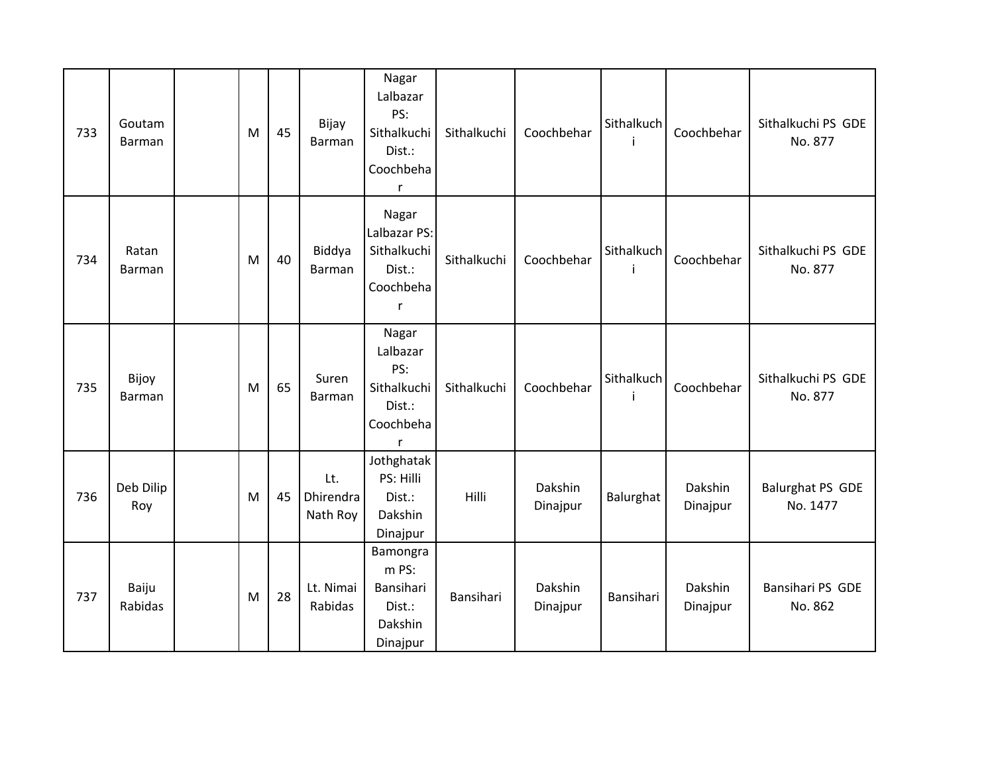| 733 | Goutam<br>Barman | M | 45 | Bijay<br>Barman              | Nagar<br>Lalbazar<br>PS:<br>Sithalkuchi<br>Dist.:<br>Coochbeha<br>$\mathsf{r}$ | Sithalkuchi | Coochbehar          | Sithalkuch<br>i | Coochbehar          | Sithalkuchi PS GDE<br>No. 877       |
|-----|------------------|---|----|------------------------------|--------------------------------------------------------------------------------|-------------|---------------------|-----------------|---------------------|-------------------------------------|
| 734 | Ratan<br>Barman  | M | 40 | Biddya<br>Barman             | Nagar<br>Lalbazar PS:<br>Sithalkuchi<br>Dist.:<br>Coochbeha<br>r               | Sithalkuchi | Coochbehar          | Sithalkuch<br>İ | Coochbehar          | Sithalkuchi PS GDE<br>No. 877       |
| 735 | Bijoy<br>Barman  | M | 65 | Suren<br>Barman              | Nagar<br>Lalbazar<br>PS:<br>Sithalkuchi<br>Dist.:<br>Coochbeha<br>r            | Sithalkuchi | Coochbehar          | Sithalkuch      | Coochbehar          | Sithalkuchi PS GDE<br>No. 877       |
| 736 | Deb Dilip<br>Roy | M | 45 | Lt.<br>Dhirendra<br>Nath Roy | Jothghatak<br>PS: Hilli<br>Dist.:<br>Dakshin<br>Dinajpur                       | Hilli       | Dakshin<br>Dinajpur | Balurghat       | Dakshin<br>Dinajpur | <b>Balurghat PS GDE</b><br>No. 1477 |
| 737 | Baiju<br>Rabidas | M | 28 | Lt. Nimai<br>Rabidas         | Bamongra<br>m PS:<br>Bansihari<br>Dist.:<br>Dakshin<br>Dinajpur                | Bansihari   | Dakshin<br>Dinajpur | Bansihari       | Dakshin<br>Dinajpur | Bansihari PS GDE<br>No. 862         |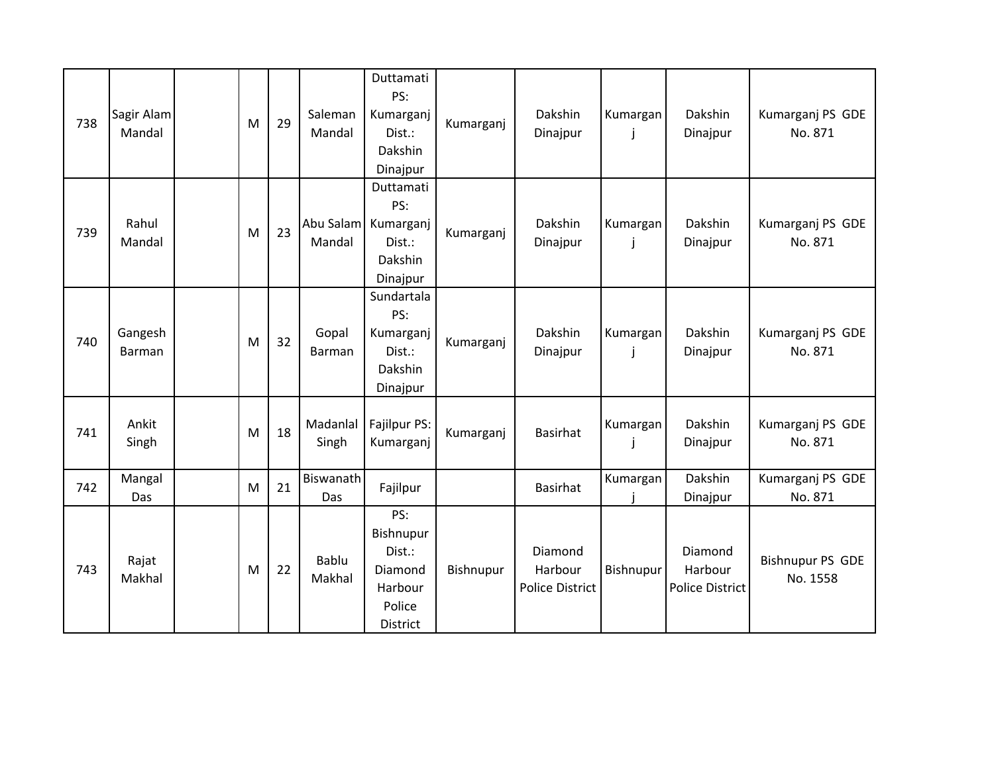| 738 | Sagir Alam<br>Mandal | M | 29 | Saleman<br>Mandal      | Duttamati<br>PS:<br>Kumarganj<br>Dist.:<br>Dakshin<br>Dinajpur             | Kumarganj | Dakshin<br>Dinajpur                          | Kumargan<br>$\mathbf{I}$ | Dakshin<br>Dinajpur                          | Kumarganj PS GDE<br>No. 871         |
|-----|----------------------|---|----|------------------------|----------------------------------------------------------------------------|-----------|----------------------------------------------|--------------------------|----------------------------------------------|-------------------------------------|
| 739 | Rahul<br>Mandal      | M | 23 | Mandal                 | Duttamati<br>PS:<br>Abu Salam   Kumarganj<br>Dist.:<br>Dakshin<br>Dinajpur | Kumarganj | Dakshin<br>Dinajpur                          | Kumargan<br>J            | Dakshin<br>Dinajpur                          | Kumarganj PS GDE<br>No. 871         |
| 740 | Gangesh<br>Barman    | M | 32 | Gopal<br>Barman        | Sundartala<br>PS:<br>Kumarganj<br>Dist.:<br>Dakshin<br>Dinajpur            | Kumarganj | Dakshin<br>Dinajpur                          | Kumargan<br>j            | Dakshin<br>Dinajpur                          | Kumarganj PS GDE<br>No. 871         |
| 741 | Ankit<br>Singh       | M | 18 | Madanlal<br>Singh      | Fajilpur PS:<br>Kumarganj                                                  | Kumarganj | <b>Basirhat</b>                              | Kumargan<br>j            | Dakshin<br>Dinajpur                          | Kumarganj PS GDE<br>No. 871         |
| 742 | Mangal<br>Das        | M | 21 | Biswanath<br>Das       | Fajilpur                                                                   |           | <b>Basirhat</b>                              | Kumargan                 | Dakshin<br>Dinajpur                          | Kumarganj PS GDE<br>No. 871         |
| 743 | Rajat<br>Makhal      | M | 22 | <b>Bablu</b><br>Makhal | PS:<br>Bishnupur<br>Dist.:<br>Diamond<br>Harbour<br>Police<br>District     | Bishnupur | Diamond<br>Harbour<br><b>Police District</b> | Bishnupur                | Diamond<br>Harbour<br><b>Police District</b> | <b>Bishnupur PS GDE</b><br>No. 1558 |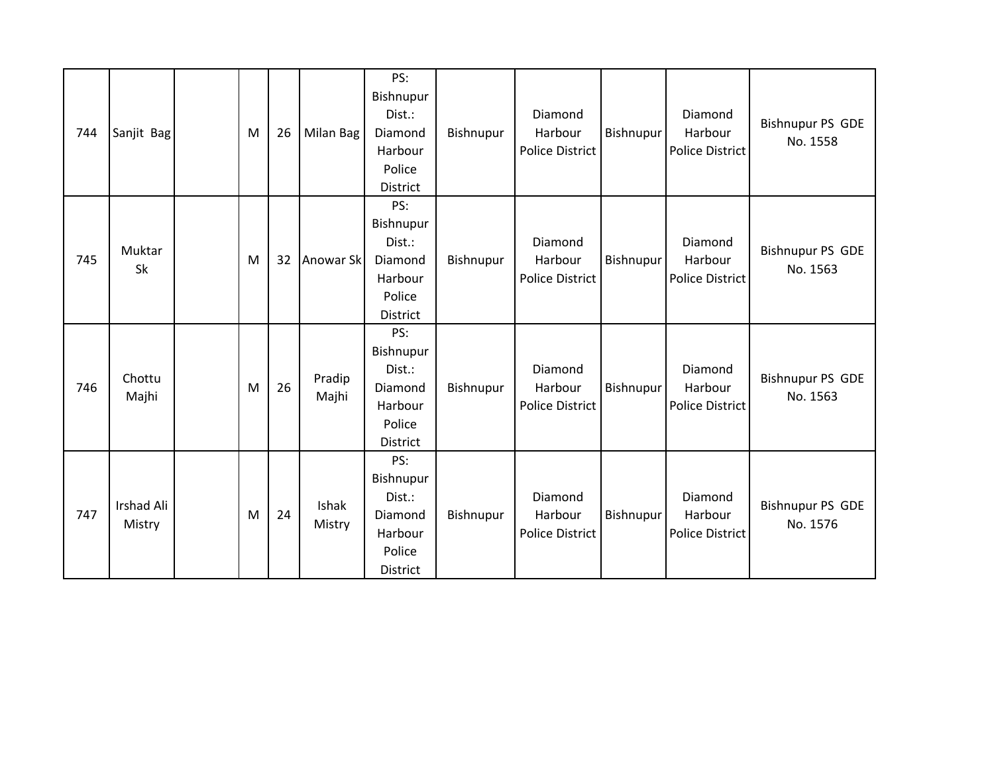| 744 | Sanjit Bag           | M | 26 | Milan Bag       | PS:<br>Bishnupur<br>Dist.:<br>Diamond<br>Harbour<br>Police<br>District        | Bishnupur | Diamond<br>Harbour<br><b>Police District</b> | Bishnupur | Diamond<br>Harbour<br>Police District        | <b>Bishnupur PS GDE</b><br>No. 1558 |
|-----|----------------------|---|----|-----------------|-------------------------------------------------------------------------------|-----------|----------------------------------------------|-----------|----------------------------------------------|-------------------------------------|
| 745 | Muktar<br>Sk         | M | 32 | Anowar Sk       | PS:<br>Bishnupur<br>Dist.:<br>Diamond<br>Harbour<br>Police<br><b>District</b> | Bishnupur | Diamond<br>Harbour<br><b>Police District</b> | Bishnupur | Diamond<br>Harbour<br><b>Police District</b> | <b>Bishnupur PS GDE</b><br>No. 1563 |
| 746 | Chottu<br>Majhi      | M | 26 | Pradip<br>Majhi | PS:<br>Bishnupur<br>Dist.:<br>Diamond<br>Harbour<br>Police<br><b>District</b> | Bishnupur | Diamond<br>Harbour<br><b>Police District</b> | Bishnupur | Diamond<br>Harbour<br>Police District        | <b>Bishnupur PS GDE</b><br>No. 1563 |
| 747 | Irshad Ali<br>Mistry | M | 24 | Ishak<br>Mistry | PS:<br>Bishnupur<br>Dist.:<br>Diamond<br>Harbour<br>Police<br><b>District</b> | Bishnupur | Diamond<br>Harbour<br><b>Police District</b> | Bishnupur | Diamond<br>Harbour<br>Police District        | <b>Bishnupur PS GDE</b><br>No. 1576 |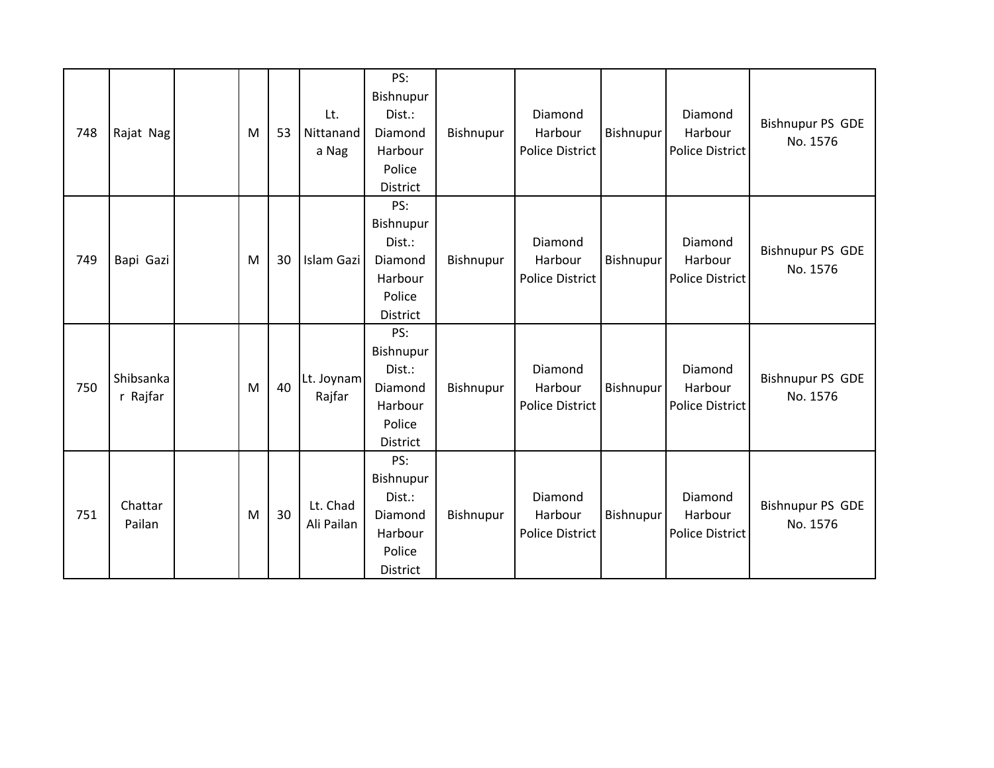| 748 | Rajat Nag             | M | 53 | Lt.<br>Nittanand<br>a Nag | PS:<br>Bishnupur<br>Dist.:<br>Diamond<br>Harbour<br>Police<br>District | Bishnupur | Diamond<br>Harbour<br><b>Police District</b> | Bishnupur | Diamond<br>Harbour<br><b>Police District</b> | <b>Bishnupur PS GDE</b><br>No. 1576 |
|-----|-----------------------|---|----|---------------------------|------------------------------------------------------------------------|-----------|----------------------------------------------|-----------|----------------------------------------------|-------------------------------------|
| 749 | Bapi Gazi             | M | 30 | Islam Gazi                | PS:<br>Bishnupur<br>Dist.:<br>Diamond<br>Harbour<br>Police<br>District | Bishnupur | Diamond<br>Harbour<br><b>Police District</b> | Bishnupur | Diamond<br>Harbour<br><b>Police District</b> | <b>Bishnupur PS GDE</b><br>No. 1576 |
| 750 | Shibsanka<br>r Rajfar | M | 40 | Lt. Joynam<br>Rajfar      | PS:<br>Bishnupur<br>Dist.:<br>Diamond<br>Harbour<br>Police<br>District | Bishnupur | Diamond<br>Harbour<br><b>Police District</b> | Bishnupur | Diamond<br>Harbour<br><b>Police District</b> | <b>Bishnupur PS GDE</b><br>No. 1576 |
| 751 | Chattar<br>Pailan     | M | 30 | Lt. Chad<br>Ali Pailan    | PS:<br>Bishnupur<br>Dist.:<br>Diamond<br>Harbour<br>Police<br>District | Bishnupur | Diamond<br>Harbour<br><b>Police District</b> | Bishnupur | Diamond<br>Harbour<br><b>Police District</b> | <b>Bishnupur PS GDE</b><br>No. 1576 |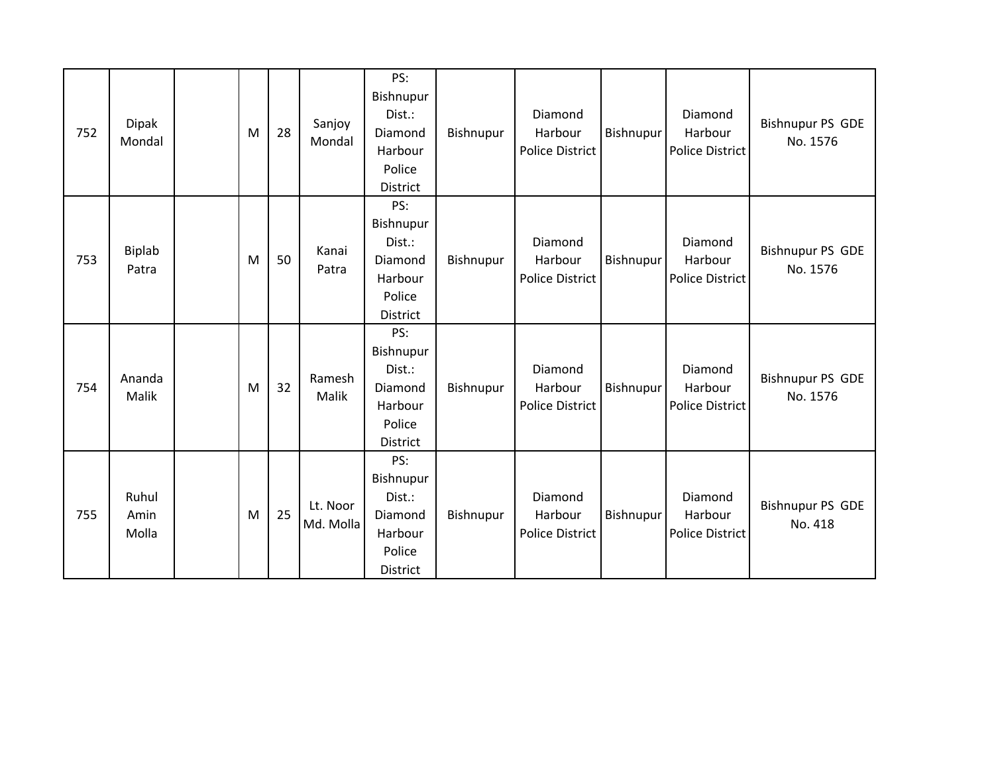| 752 | <b>Dipak</b><br>Mondal | M | 28 | Sanjoy<br>Mondal      | PS:<br>Bishnupur<br>Dist.:<br>Diamond<br>Harbour<br>Police<br>District | Bishnupur | Diamond<br>Harbour<br><b>Police District</b> | Bishnupur | Diamond<br>Harbour<br><b>Police District</b> | <b>Bishnupur PS GDE</b><br>No. 1576 |
|-----|------------------------|---|----|-----------------------|------------------------------------------------------------------------|-----------|----------------------------------------------|-----------|----------------------------------------------|-------------------------------------|
| 753 | <b>Biplab</b><br>Patra | M | 50 | Kanai<br>Patra        | PS:<br>Bishnupur<br>Dist.:<br>Diamond<br>Harbour<br>Police<br>District | Bishnupur | Diamond<br>Harbour<br><b>Police District</b> | Bishnupur | Diamond<br>Harbour<br><b>Police District</b> | <b>Bishnupur PS GDE</b><br>No. 1576 |
| 754 | Ananda<br>Malik        | M | 32 | Ramesh<br>Malik       | PS:<br>Bishnupur<br>Dist.:<br>Diamond<br>Harbour<br>Police<br>District | Bishnupur | Diamond<br>Harbour<br><b>Police District</b> | Bishnupur | Diamond<br>Harbour<br>Police District        | <b>Bishnupur PS GDE</b><br>No. 1576 |
| 755 | Ruhul<br>Amin<br>Molla | M | 25 | Lt. Noor<br>Md. Molla | PS:<br>Bishnupur<br>Dist.:<br>Diamond<br>Harbour<br>Police<br>District | Bishnupur | Diamond<br>Harbour<br><b>Police District</b> | Bishnupur | Diamond<br>Harbour<br><b>Police District</b> | <b>Bishnupur PS GDE</b><br>No. 418  |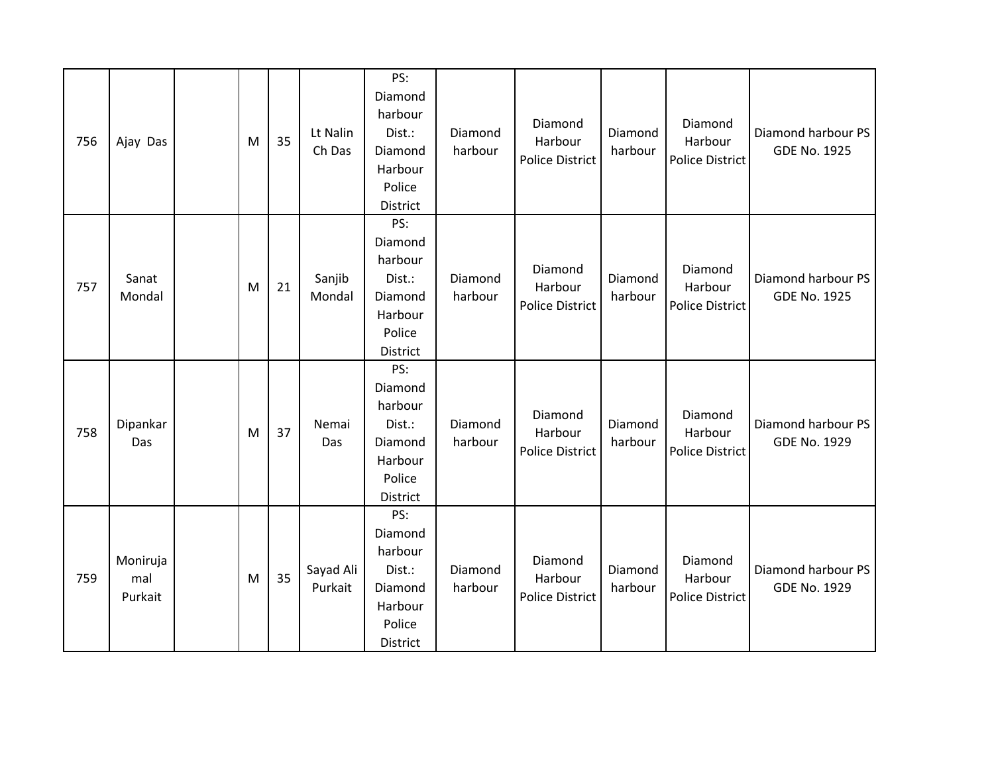| 756 | Ajay Das                   | M | 35 | Lt Nalin<br>Ch Das   | PS:<br>Diamond<br>harbour<br>Dist.:<br>Diamond<br>Harbour<br>Police<br>District | Diamond<br>harbour | Diamond<br>Harbour<br><b>Police District</b> | Diamond<br>harbour | Diamond<br>Harbour<br>Police District        | Diamond harbour PS<br><b>GDE No. 1925</b> |
|-----|----------------------------|---|----|----------------------|---------------------------------------------------------------------------------|--------------------|----------------------------------------------|--------------------|----------------------------------------------|-------------------------------------------|
| 757 | Sanat<br>Mondal            | M | 21 | Sanjib<br>Mondal     | PS:<br>Diamond<br>harbour<br>Dist.:<br>Diamond<br>Harbour<br>Police<br>District | Diamond<br>harbour | Diamond<br>Harbour<br><b>Police District</b> | Diamond<br>harbour | Diamond<br>Harbour<br>Police District        | Diamond harbour PS<br><b>GDE No. 1925</b> |
| 758 | Dipankar<br>Das            | M | 37 | Nemai<br>Das         | PS:<br>Diamond<br>harbour<br>Dist.:<br>Diamond<br>Harbour<br>Police<br>District | Diamond<br>harbour | Diamond<br>Harbour<br><b>Police District</b> | Diamond<br>harbour | Diamond<br>Harbour<br><b>Police District</b> | Diamond harbour PS<br><b>GDE No. 1929</b> |
| 759 | Moniruja<br>mal<br>Purkait | M | 35 | Sayad Ali<br>Purkait | PS:<br>Diamond<br>harbour<br>Dist.:<br>Diamond<br>Harbour<br>Police<br>District | Diamond<br>harbour | Diamond<br>Harbour<br><b>Police District</b> | Diamond<br>harbour | Diamond<br>Harbour<br>Police District        | Diamond harbour PS<br><b>GDE No. 1929</b> |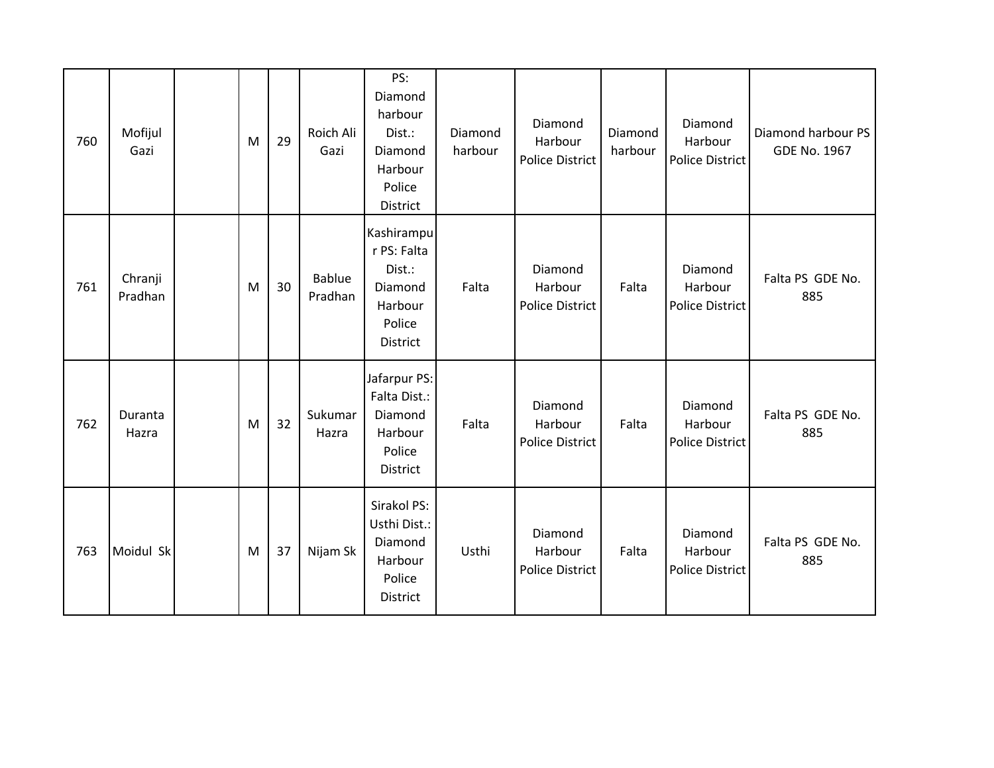| 760 | Mofijul<br>Gazi    | M | 29 | Roich Ali<br>Gazi        | PS:<br>Diamond<br>harbour<br>Dist.:<br>Diamond<br>Harbour<br>Police<br>District | Diamond<br>harbour | Diamond<br>Harbour<br><b>Police District</b> | Diamond<br>harbour | Diamond<br>Harbour<br>Police District        | Diamond harbour PS<br><b>GDE No. 1967</b> |
|-----|--------------------|---|----|--------------------------|---------------------------------------------------------------------------------|--------------------|----------------------------------------------|--------------------|----------------------------------------------|-------------------------------------------|
| 761 | Chranji<br>Pradhan | M | 30 | <b>Bablue</b><br>Pradhan | Kashirampu<br>r PS: Falta<br>Dist.:<br>Diamond<br>Harbour<br>Police<br>District | Falta              | Diamond<br>Harbour<br>Police District        | Falta              | Diamond<br>Harbour<br><b>Police District</b> | Falta PS GDE No.<br>885                   |
| 762 | Duranta<br>Hazra   | M | 32 | Sukumar<br>Hazra         | Jafarpur PS:<br>Falta Dist.:<br>Diamond<br>Harbour<br>Police<br>District        | Falta              | Diamond<br>Harbour<br>Police District        | Falta              | Diamond<br>Harbour<br>Police District        | Falta PS GDE No.<br>885                   |
| 763 | Moidul Sk          | M | 37 | Nijam Sk                 | Sirakol PS:<br>Usthi Dist.:<br>Diamond<br>Harbour<br>Police<br><b>District</b>  | Usthi              | Diamond<br>Harbour<br>Police District        | Falta              | Diamond<br>Harbour<br><b>Police District</b> | Falta PS GDE No.<br>885                   |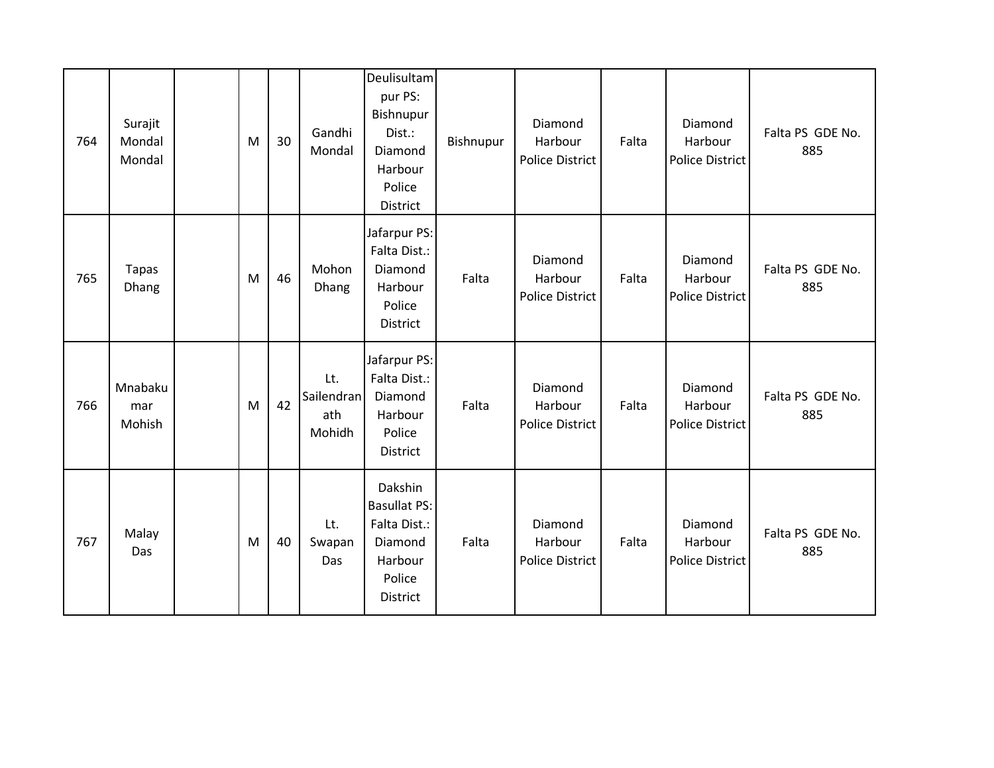| 764 | Surajit<br>Mondal<br>Mondal | M | 30 | Gandhi<br>Mondal                   | Deulisultam<br>pur PS:<br>Bishnupur<br>Dist.:<br>Diamond<br>Harbour<br>Police<br>District         | Bishnupur | Diamond<br>Harbour<br><b>Police District</b> | Falta | Diamond<br>Harbour<br>Police District        | Falta PS GDE No.<br>885 |
|-----|-----------------------------|---|----|------------------------------------|---------------------------------------------------------------------------------------------------|-----------|----------------------------------------------|-------|----------------------------------------------|-------------------------|
| 765 | <b>Tapas</b><br>Dhang       | M | 46 | Mohon<br>Dhang                     | Jafarpur PS:<br>Falta Dist.:<br>Diamond<br>Harbour<br>Police<br>District                          | Falta     | Diamond<br>Harbour<br><b>Police District</b> | Falta | Diamond<br>Harbour<br><b>Police District</b> | Falta PS GDE No.<br>885 |
| 766 | Mnabaku<br>mar<br>Mohish    | M | 42 | Lt.<br>Sailendran<br>ath<br>Mohidh | Jafarpur PS:<br>Falta Dist.:<br>Diamond<br>Harbour<br>Police<br>District                          | Falta     | Diamond<br>Harbour<br>Police District        | Falta | Diamond<br>Harbour<br><b>Police District</b> | Falta PS GDE No.<br>885 |
| 767 | Malay<br>Das                | M | 40 | Lt.<br>Swapan<br>Das               | Dakshin<br><b>Basullat PS:</b><br>Falta Dist.:<br>Diamond<br>Harbour<br>Police<br><b>District</b> | Falta     | Diamond<br>Harbour<br><b>Police District</b> | Falta | Diamond<br>Harbour<br><b>Police District</b> | Falta PS GDE No.<br>885 |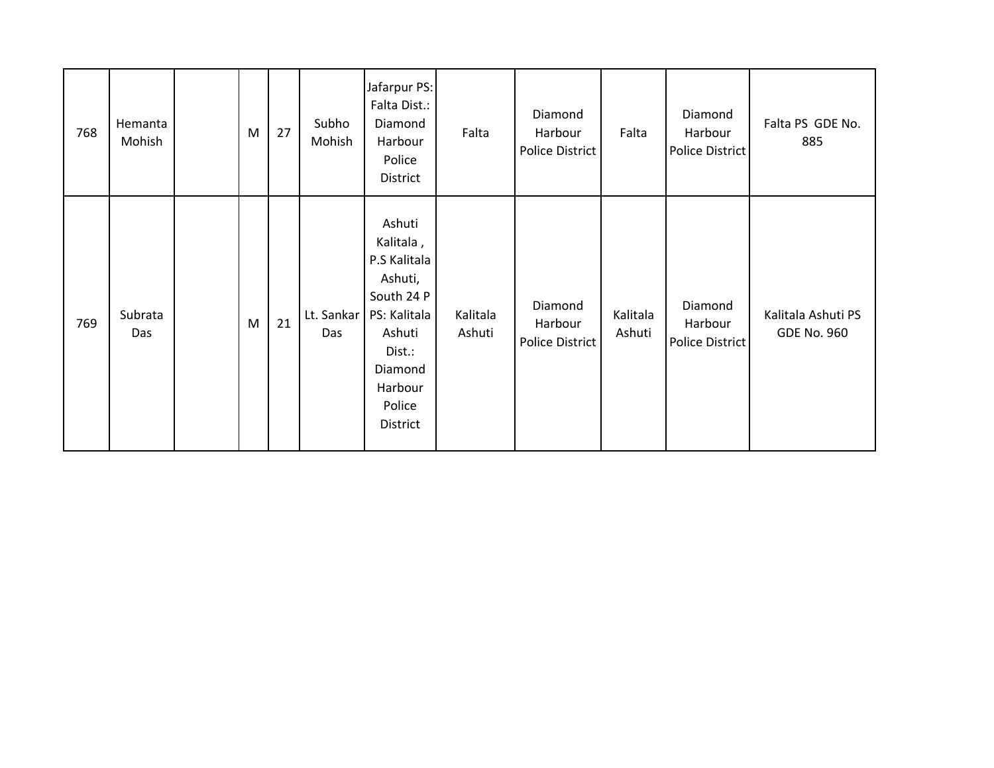| 768 | Hemanta<br>Mohish | M | 27 | Subho<br>Mohish   | Jafarpur PS:<br>Falta Dist.:<br>Diamond<br>Harbour<br>Police<br>District                                                                     | Falta              | Diamond<br>Harbour<br>Police District | Falta              | Diamond<br>Harbour<br>Police District | Falta PS GDE No.<br>885                  |
|-----|-------------------|---|----|-------------------|----------------------------------------------------------------------------------------------------------------------------------------------|--------------------|---------------------------------------|--------------------|---------------------------------------|------------------------------------------|
| 769 | Subrata<br>Das    | M | 21 | Lt. Sankar<br>Das | Ashuti<br>Kalitala,<br>P.S Kalitala<br>Ashuti,<br>South 24 P<br>PS: Kalitala<br>Ashuti<br>Dist.:<br>Diamond<br>Harbour<br>Police<br>District | Kalitala<br>Ashuti | Diamond<br>Harbour<br>Police District | Kalitala<br>Ashuti | Diamond<br>Harbour<br>Police District | Kalitala Ashuti PS<br><b>GDE No. 960</b> |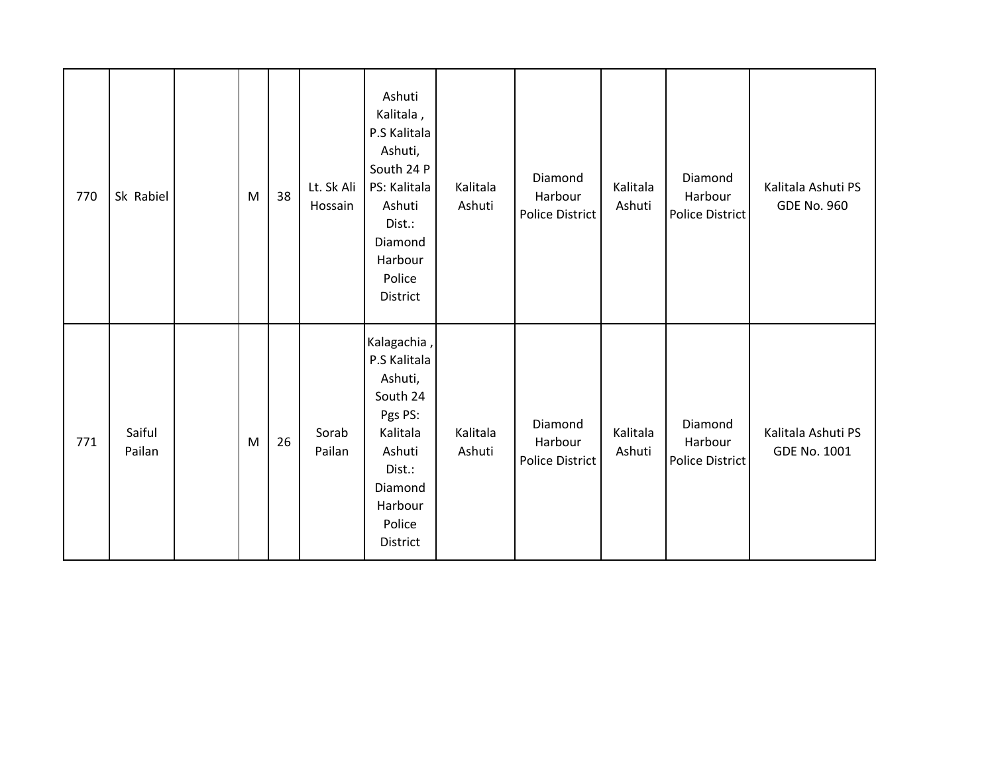| 770 | Sk Rabiel        | M | 38 | Lt. Sk Ali<br>Hossain | Ashuti<br>Kalitala,<br>P.S Kalitala<br>Ashuti,<br>South 24 P<br>PS: Kalitala<br>Ashuti<br>Dist.:<br>Diamond<br>Harbour<br>Police<br>District | Kalitala<br>Ashuti | Diamond<br>Harbour<br>Police District | Kalitala<br>Ashuti | Diamond<br>Harbour<br><b>Police District</b> | Kalitala Ashuti PS<br><b>GDE No. 960</b> |
|-----|------------------|---|----|-----------------------|----------------------------------------------------------------------------------------------------------------------------------------------|--------------------|---------------------------------------|--------------------|----------------------------------------------|------------------------------------------|
| 771 | Saiful<br>Pailan | M | 26 | Sorab<br>Pailan       | Kalagachia,<br>P.S Kalitala<br>Ashuti,<br>South 24<br>Pgs PS:<br>Kalitala<br>Ashuti<br>Dist.:<br>Diamond<br>Harbour<br>Police<br>District    | Kalitala<br>Ashuti | Diamond<br>Harbour<br>Police District | Kalitala<br>Ashuti | Diamond<br>Harbour<br>Police District        | Kalitala Ashuti PS<br>GDE No. 1001       |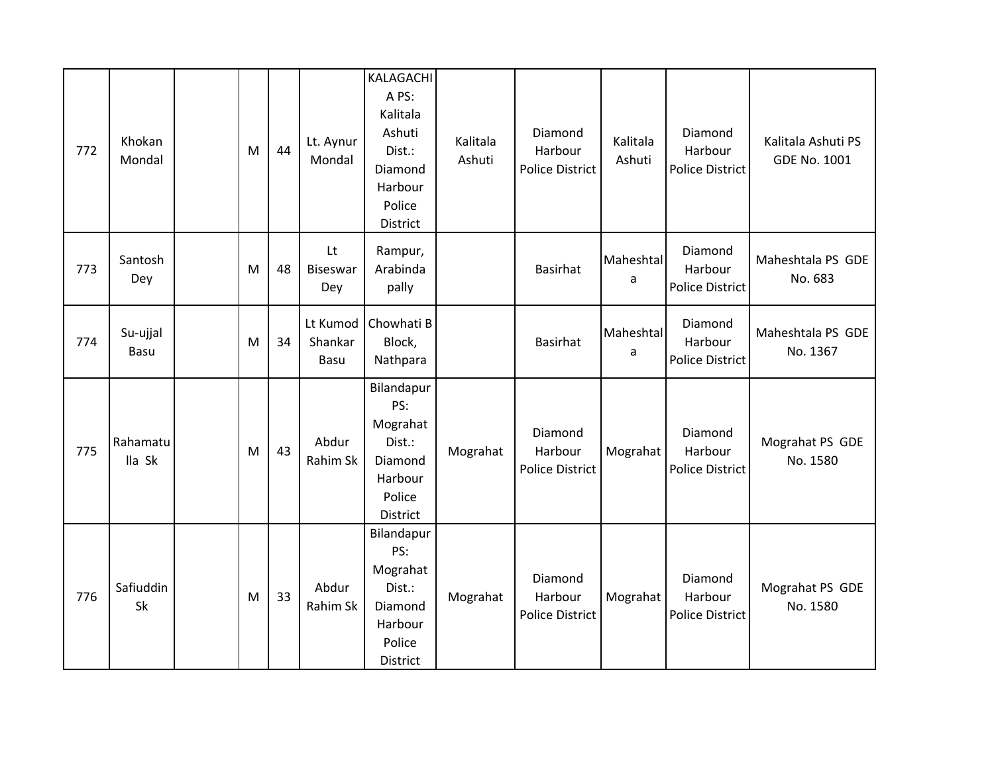| 772 | Khokan<br>Mondal   | M | 44 | Lt. Aynur<br>Mondal          | KALAGACHI<br>A PS:<br>Kalitala<br>Ashuti<br>Dist.:<br>Diamond<br>Harbour<br>Police<br><b>District</b> | Kalitala<br>Ashuti | Diamond<br>Harbour<br><b>Police District</b> | Kalitala<br>Ashuti | Diamond<br>Harbour<br><b>Police District</b> | Kalitala Ashuti PS<br><b>GDE No. 1001</b> |
|-----|--------------------|---|----|------------------------------|-------------------------------------------------------------------------------------------------------|--------------------|----------------------------------------------|--------------------|----------------------------------------------|-------------------------------------------|
| 773 | Santosh<br>Dey     | M | 48 | Lt<br><b>Biseswar</b><br>Dey | Rampur,<br>Arabinda<br>pally                                                                          |                    | <b>Basirhat</b>                              | Maheshtal<br>a     | Diamond<br>Harbour<br><b>Police District</b> | Maheshtala PS GDE<br>No. 683              |
| 774 | Su-ujjal<br>Basu   | M | 34 | Lt Kumod<br>Shankar<br>Basu  | Chowhati B<br>Block,<br>Nathpara                                                                      |                    | <b>Basirhat</b>                              | Maheshtal<br>a     | Diamond<br>Harbour<br>Police District        | Maheshtala PS GDE<br>No. 1367             |
| 775 | Rahamatu<br>lla Sk | M | 43 | Abdur<br>Rahim Sk            | Bilandapur<br>PS:<br>Mograhat<br>Dist.:<br>Diamond<br>Harbour<br>Police<br>District                   | Mograhat           | Diamond<br>Harbour<br><b>Police District</b> | Mograhat           | Diamond<br>Harbour<br>Police District        | Mograhat PS GDE<br>No. 1580               |
| 776 | Safiuddin<br>Sk    | M | 33 | Abdur<br>Rahim Sk            | Bilandapur<br>PS:<br>Mograhat<br>Dist.:<br>Diamond<br>Harbour<br>Police<br>District                   | Mograhat           | Diamond<br>Harbour<br><b>Police District</b> | Mograhat           | Diamond<br>Harbour<br><b>Police District</b> | Mograhat PS GDE<br>No. 1580               |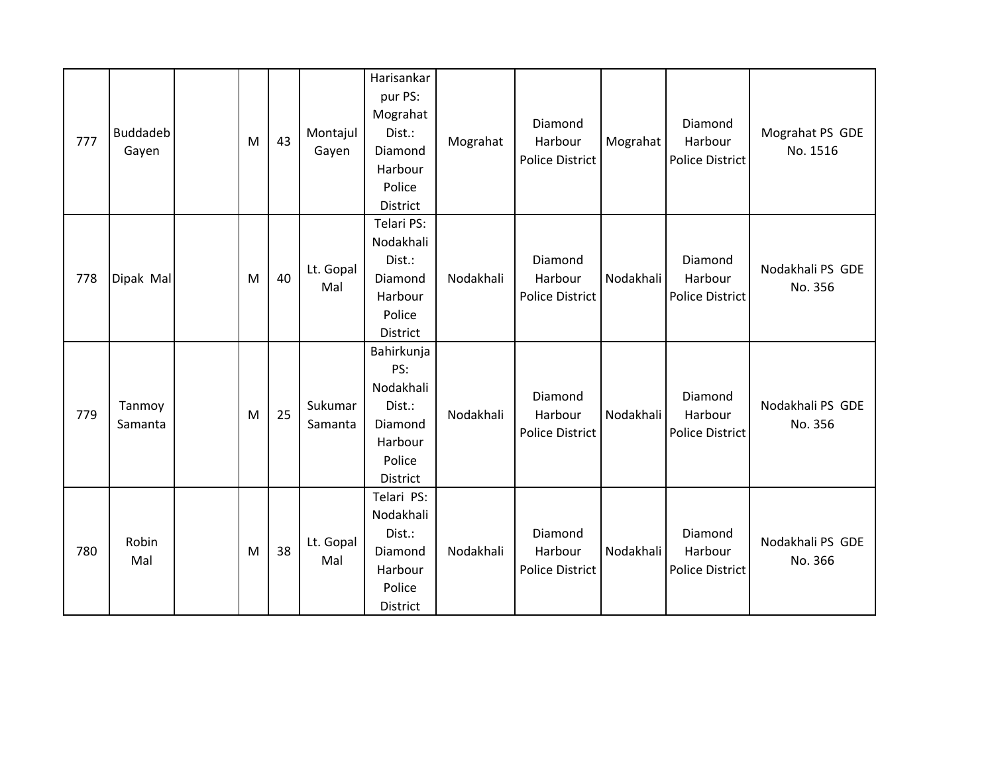| 777 | <b>Buddadeb</b><br>Gayen | M | 43 | Montajul<br>Gayen  | Harisankar<br>pur PS:<br>Mograhat<br>Dist.:<br>Diamond<br>Harbour<br>Police<br>District | Mograhat  | Diamond<br>Harbour<br><b>Police District</b> | Mograhat  | Diamond<br>Harbour<br>Police District        | Mograhat PS GDE<br>No. 1516 |
|-----|--------------------------|---|----|--------------------|-----------------------------------------------------------------------------------------|-----------|----------------------------------------------|-----------|----------------------------------------------|-----------------------------|
| 778 | Dipak Mal                | M | 40 | Lt. Gopal<br>Mal   | Telari PS:<br>Nodakhali<br>Dist.:<br>Diamond<br>Harbour<br>Police<br>District           | Nodakhali | Diamond<br>Harbour<br><b>Police District</b> | Nodakhali | Diamond<br>Harbour<br><b>Police District</b> | Nodakhali PS GDE<br>No. 356 |
| 779 | Tanmoy<br>Samanta        | M | 25 | Sukumar<br>Samanta | Bahirkunja<br>PS:<br>Nodakhali<br>Dist.:<br>Diamond<br>Harbour<br>Police<br>District    | Nodakhali | Diamond<br>Harbour<br><b>Police District</b> | Nodakhali | Diamond<br>Harbour<br>Police District        | Nodakhali PS GDE<br>No. 356 |
| 780 | Robin<br>Mal             | M | 38 | Lt. Gopal<br>Mal   | Telari PS:<br>Nodakhali<br>Dist.:<br>Diamond<br>Harbour<br>Police<br>District           | Nodakhali | Diamond<br>Harbour<br><b>Police District</b> | Nodakhali | Diamond<br>Harbour<br><b>Police District</b> | Nodakhali PS GDE<br>No. 366 |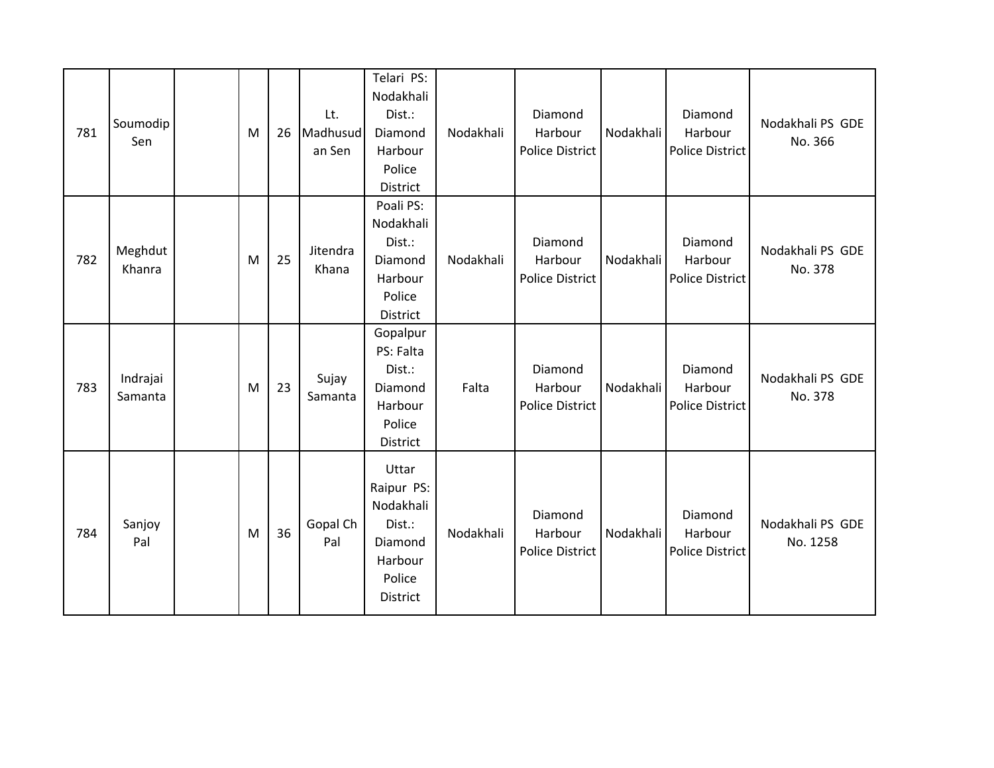| 781 | Soumodip<br>Sen     | M | 26 | Lt.<br>Madhusud<br>an Sen | Telari PS:<br>Nodakhali<br>Dist.:<br>Diamond<br>Harbour<br>Police<br>District          | Nodakhali | Diamond<br>Harbour<br><b>Police District</b> | Nodakhali | Diamond<br>Harbour<br><b>Police District</b> | Nodakhali PS GDE<br>No. 366  |
|-----|---------------------|---|----|---------------------------|----------------------------------------------------------------------------------------|-----------|----------------------------------------------|-----------|----------------------------------------------|------------------------------|
| 782 | Meghdut<br>Khanra   | M | 25 | Jitendra<br>Khana         | Poali PS:<br>Nodakhali<br>Dist.:<br>Diamond<br>Harbour<br>Police<br>District           | Nodakhali | Diamond<br>Harbour<br><b>Police District</b> | Nodakhali | Diamond<br>Harbour<br><b>Police District</b> | Nodakhali PS GDE<br>No. 378  |
| 783 | Indrajai<br>Samanta | M | 23 | Sujay<br>Samanta          | Gopalpur<br>PS: Falta<br>Dist.:<br>Diamond<br>Harbour<br>Police<br>District            | Falta     | Diamond<br>Harbour<br><b>Police District</b> | Nodakhali | Diamond<br>Harbour<br><b>Police District</b> | Nodakhali PS GDE<br>No. 378  |
| 784 | Sanjoy<br>Pal       | M | 36 | Gopal Ch<br>Pal           | Uttar<br>Raipur PS:<br>Nodakhali<br>Dist.:<br>Diamond<br>Harbour<br>Police<br>District | Nodakhali | Diamond<br>Harbour<br><b>Police District</b> | Nodakhali | Diamond<br>Harbour<br>Police District        | Nodakhali PS GDE<br>No. 1258 |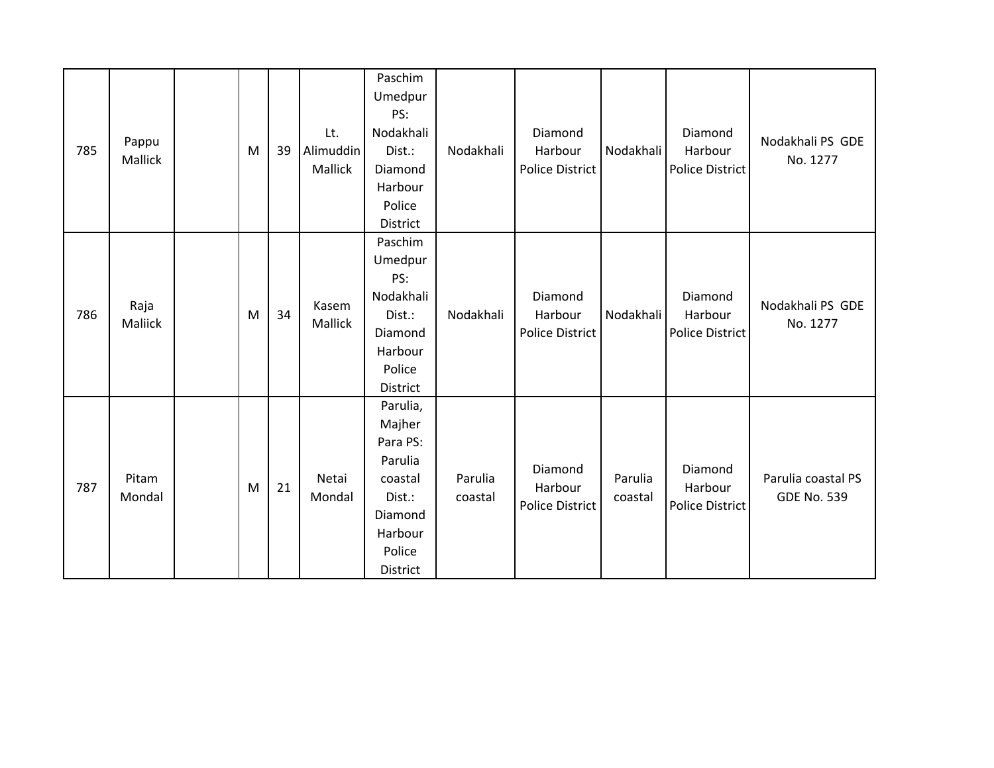| 785 | Pappu<br>Mallick | M | 39 | Lt.<br>Alimuddin<br>Mallick | Paschim<br>Umedpur<br>PS:<br>Nodakhali<br>Dist.:<br>Diamond<br>Harbour<br>Police<br>District               | Nodakhali          | Diamond<br>Harbour<br><b>Police District</b> | Nodakhali          | Diamond<br>Harbour<br><b>Police District</b> | Nodakhali PS GDE<br>No. 1277             |
|-----|------------------|---|----|-----------------------------|------------------------------------------------------------------------------------------------------------|--------------------|----------------------------------------------|--------------------|----------------------------------------------|------------------------------------------|
| 786 | Raja<br>Maliick  | M | 34 | Kasem<br>Mallick            | Paschim<br>Umedpur<br>PS:<br>Nodakhali<br>Dist.:<br>Diamond<br>Harbour<br>Police<br>District               | Nodakhali          | Diamond<br>Harbour<br><b>Police District</b> | Nodakhali          | Diamond<br>Harbour<br><b>Police District</b> | Nodakhali PS GDE<br>No. 1277             |
| 787 | Pitam<br>Mondal  | M | 21 | Netai<br>Mondal             | Parulia,<br>Majher<br>Para PS:<br>Parulia<br>coastal<br>Dist.:<br>Diamond<br>Harbour<br>Police<br>District | Parulia<br>coastal | Diamond<br>Harbour<br>Police District        | Parulia<br>coastal | Diamond<br>Harbour<br><b>Police District</b> | Parulia coastal PS<br><b>GDE No. 539</b> |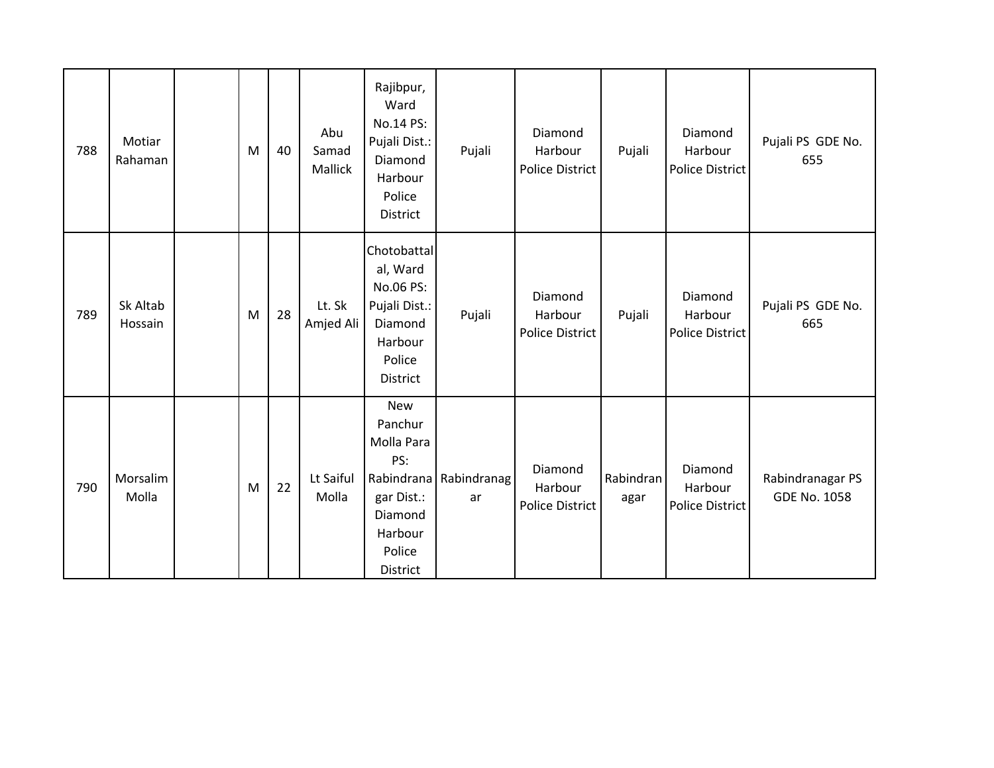| 788 | Motiar<br>Rahaman   | M | 40 | Abu<br>Samad<br>Mallick | Rajibpur,<br>Ward<br>No.14 PS:<br>Pujali Dist.:<br>Diamond<br>Harbour<br>Police<br>District                        | Pujali            | Diamond<br>Harbour<br><b>Police District</b> | Pujali            | Diamond<br>Harbour<br><b>Police District</b> | Pujali PS GDE No.<br>655                |
|-----|---------------------|---|----|-------------------------|--------------------------------------------------------------------------------------------------------------------|-------------------|----------------------------------------------|-------------------|----------------------------------------------|-----------------------------------------|
| 789 | Sk Altab<br>Hossain | M | 28 | Lt. Sk<br>Amjed Ali     | Chotobattal<br>al, Ward<br>No.06 PS:<br>Pujali Dist.:<br>Diamond<br>Harbour<br>Police<br>District                  | Pujali            | Diamond<br>Harbour<br><b>Police District</b> | Pujali            | Diamond<br>Harbour<br><b>Police District</b> | Pujali PS GDE No.<br>665                |
| 790 | Morsalim<br>Molla   | M | 22 | Lt Saiful<br>Molla      | <b>New</b><br>Panchur<br>Molla Para<br>PS:<br>Rabindrana<br>gar Dist.:<br>Diamond<br>Harbour<br>Police<br>District | Rabindranag<br>ar | Diamond<br>Harbour<br><b>Police District</b> | Rabindran<br>agar | Diamond<br>Harbour<br>Police District        | Rabindranagar PS<br><b>GDE No. 1058</b> |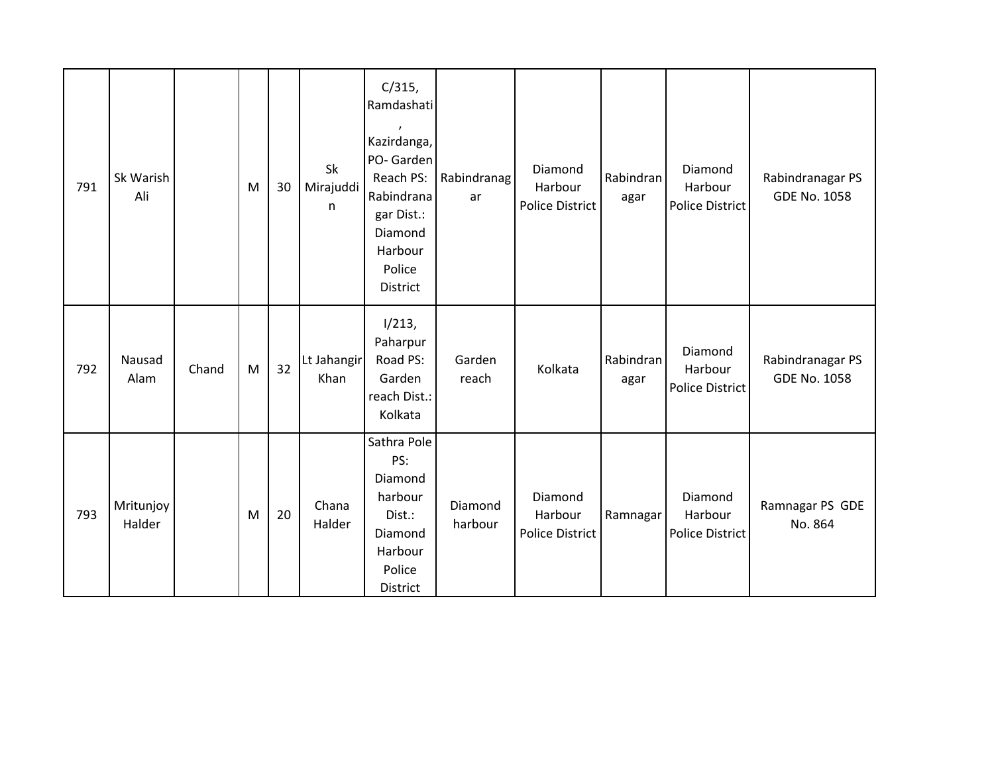| 791 | Sk Warish<br>Ali    |       | M | 30 | Sk<br>Mirajuddi<br>n | C/315,<br>Ramdashati<br>Kazirdanga,<br>PO-Garden<br>Reach PS:<br>Rabindrana<br>gar Dist.:<br>Diamond<br>Harbour<br>Police<br>District | Rabindranag<br>ar  | Diamond<br>Harbour<br>Police District | Rabindran<br>agar | Diamond<br>Harbour<br><b>Police District</b> | Rabindranagar PS<br><b>GDE No. 1058</b> |
|-----|---------------------|-------|---|----|----------------------|---------------------------------------------------------------------------------------------------------------------------------------|--------------------|---------------------------------------|-------------------|----------------------------------------------|-----------------------------------------|
| 792 | Nausad<br>Alam      | Chand | M | 32 | Lt Jahangir<br>Khan  | 1/213,<br>Paharpur<br>Road PS:<br>Garden<br>reach Dist.:<br>Kolkata                                                                   | Garden<br>reach    | Kolkata                               | Rabindran<br>agar | Diamond<br>Harbour<br><b>Police District</b> | Rabindranagar PS<br><b>GDE No. 1058</b> |
| 793 | Mritunjoy<br>Halder |       | M | 20 | Chana<br>Halder      | Sathra Pole<br>PS:<br>Diamond<br>harbour<br>Dist.:<br>Diamond<br>Harbour<br>Police<br>District                                        | Diamond<br>harbour | Diamond<br>Harbour<br>Police District | Ramnagar          | Diamond<br>Harbour<br><b>Police District</b> | Ramnagar PS GDE<br>No. 864              |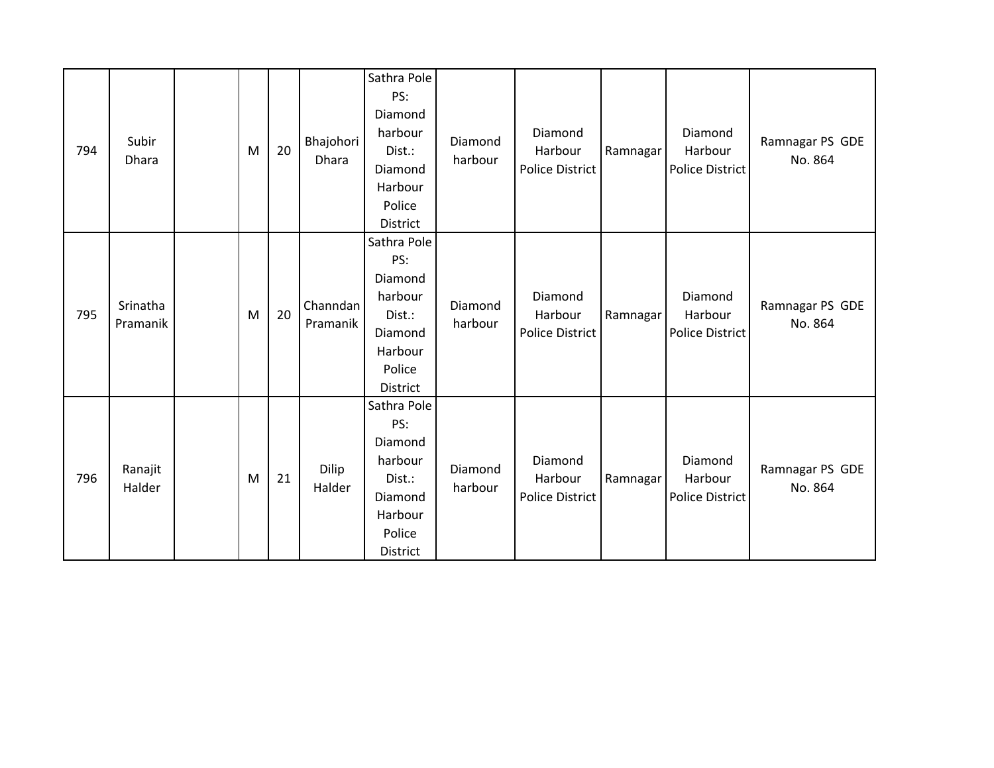| 794 | Subir<br>Dhara       | M | 20 | Bhajohori<br>Dhara   | Sathra Pole<br>PS:<br>Diamond<br>harbour<br>Dist.:<br>Diamond<br>Harbour<br>Police<br>District | Diamond<br>harbour | Diamond<br>Harbour<br><b>Police District</b> | Ramnagar | Diamond<br>Harbour<br><b>Police District</b> | Ramnagar PS GDE<br>No. 864 |
|-----|----------------------|---|----|----------------------|------------------------------------------------------------------------------------------------|--------------------|----------------------------------------------|----------|----------------------------------------------|----------------------------|
| 795 | Srinatha<br>Pramanik | M | 20 | Channdan<br>Pramanik | Sathra Pole<br>PS:<br>Diamond<br>harbour<br>Dist.:<br>Diamond<br>Harbour<br>Police<br>District | Diamond<br>harbour | Diamond<br>Harbour<br><b>Police District</b> | Ramnagar | Diamond<br>Harbour<br>Police District        | Ramnagar PS GDE<br>No. 864 |
| 796 | Ranajit<br>Halder    | M | 21 | Dilip<br>Halder      | Sathra Pole<br>PS:<br>Diamond<br>harbour<br>Dist.:<br>Diamond<br>Harbour<br>Police<br>District | Diamond<br>harbour | Diamond<br>Harbour<br><b>Police District</b> | Ramnagar | Diamond<br>Harbour<br><b>Police District</b> | Ramnagar PS GDE<br>No. 864 |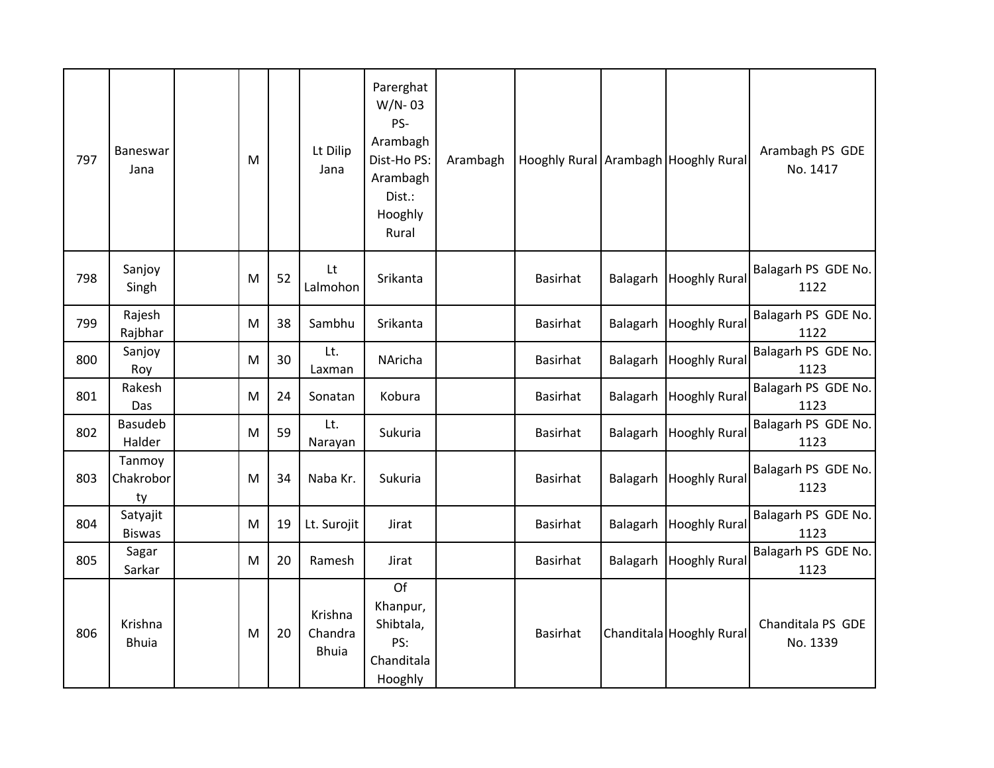| 797 | Baneswar<br>Jana          | M |    | Lt Dilip<br>Jana                   | Parerghat<br>$W/N - 03$<br>PS-<br>Arambagh<br>Dist-Ho PS:<br>Arambagh<br>Dist.:<br>Hooghly<br>Rural | Arambagh |                 |          | Hooghly Rural Arambagh Hooghly Rural | Arambagh PS GDE<br>No. 1417   |
|-----|---------------------------|---|----|------------------------------------|-----------------------------------------------------------------------------------------------------|----------|-----------------|----------|--------------------------------------|-------------------------------|
| 798 | Sanjoy<br>Singh           | M | 52 | Lt<br>Lalmohon                     | Srikanta                                                                                            |          | <b>Basirhat</b> | Balagarh | <b>Hooghly Rural</b>                 | Balagarh PS GDE No.<br>1122   |
| 799 | Rajesh<br>Rajbhar         | M | 38 | Sambhu                             | Srikanta                                                                                            |          | <b>Basirhat</b> | Balagarh | <b>Hooghly Rural</b>                 | Balagarh PS GDE No.<br>1122   |
| 800 | Sanjoy<br>Roy             | M | 30 | Lt.<br>Laxman                      | NAricha                                                                                             |          | <b>Basirhat</b> | Balagarh | <b>Hooghly Rural</b>                 | Balagarh PS GDE No.<br>1123   |
| 801 | Rakesh<br>Das             | M | 24 | Sonatan                            | Kobura                                                                                              |          | <b>Basirhat</b> |          | Balagarh Hooghly Rural               | Balagarh PS GDE No.<br>1123   |
| 802 | Basudeb<br>Halder         | M | 59 | Lt.<br>Narayan                     | Sukuria                                                                                             |          | <b>Basirhat</b> | Balagarh | <b>Hooghly Rural</b>                 | Balagarh PS GDE No.<br>1123   |
| 803 | Tanmoy<br>Chakrobor<br>ty | M | 34 | Naba Kr.                           | Sukuria                                                                                             |          | <b>Basirhat</b> | Balagarh | <b>Hooghly Rural</b>                 | Balagarh PS GDE No.<br>1123   |
| 804 | Satyajit<br><b>Biswas</b> | M | 19 | Lt. Surojit                        | Jirat                                                                                               |          | <b>Basirhat</b> | Balagarh | <b>Hooghly Rural</b>                 | Balagarh PS GDE No.<br>1123   |
| 805 | Sagar<br>Sarkar           | M | 20 | Ramesh                             | Jirat                                                                                               |          | <b>Basirhat</b> | Balagarh | <b>Hooghly Rural</b>                 | Balagarh PS GDE No.<br>1123   |
| 806 | Krishna<br><b>Bhuia</b>   | M | 20 | Krishna<br>Chandra<br><b>Bhuia</b> | Of<br>Khanpur,<br>Shibtala,<br>PS:<br>Chanditala<br>Hooghly                                         |          | <b>Basirhat</b> |          | Chanditala Hooghly Rural             | Chanditala PS GDE<br>No. 1339 |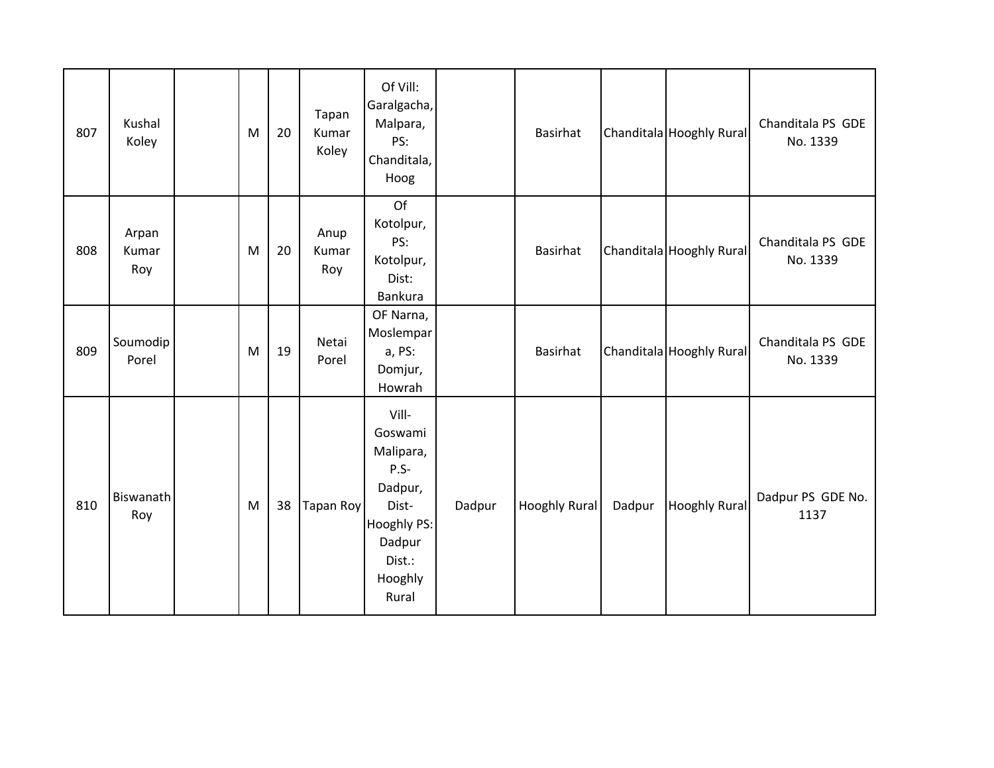| 807 | Kushal<br>Koley       | M | 20 | Tapan<br>Kumar<br>Koley | Of Vill:<br>Garalgacha,<br>Malpara,<br>PS:<br>Chanditala,<br>Hoog                                                   |        | Basirhat        |        | Chanditala Hooghly Rural | Chanditala PS GDE<br>No. 1339 |
|-----|-----------------------|---|----|-------------------------|---------------------------------------------------------------------------------------------------------------------|--------|-----------------|--------|--------------------------|-------------------------------|
| 808 | Arpan<br>Kumar<br>Roy | M | 20 | Anup<br>Kumar<br>Roy    | Of<br>Kotolpur,<br>PS:<br>Kotolpur,<br>Dist:<br>Bankura                                                             |        | Basirhat        |        | Chanditala Hooghly Rural | Chanditala PS GDE<br>No. 1339 |
| 809 | Soumodip<br>Porel     | M | 19 | Netai<br>Porel          | OF Narna,<br>Moslempar<br>a, PS:<br>Domjur,<br>Howrah                                                               |        | <b>Basirhat</b> |        | Chanditala Hooghly Rural | Chanditala PS GDE<br>No. 1339 |
| 810 | Biswanath<br>Roy      | M | 38 | Tapan Roy               | Vill-<br>Goswami<br>Malipara,<br>$P.S -$<br>Dadpur,<br>Dist-<br>Hooghly PS:<br>Dadpur<br>Dist.:<br>Hooghly<br>Rural | Dadpur | Hooghly Rural   | Dadpur | <b>Hooghly Rural</b>     | Dadpur PS GDE No.<br>1137     |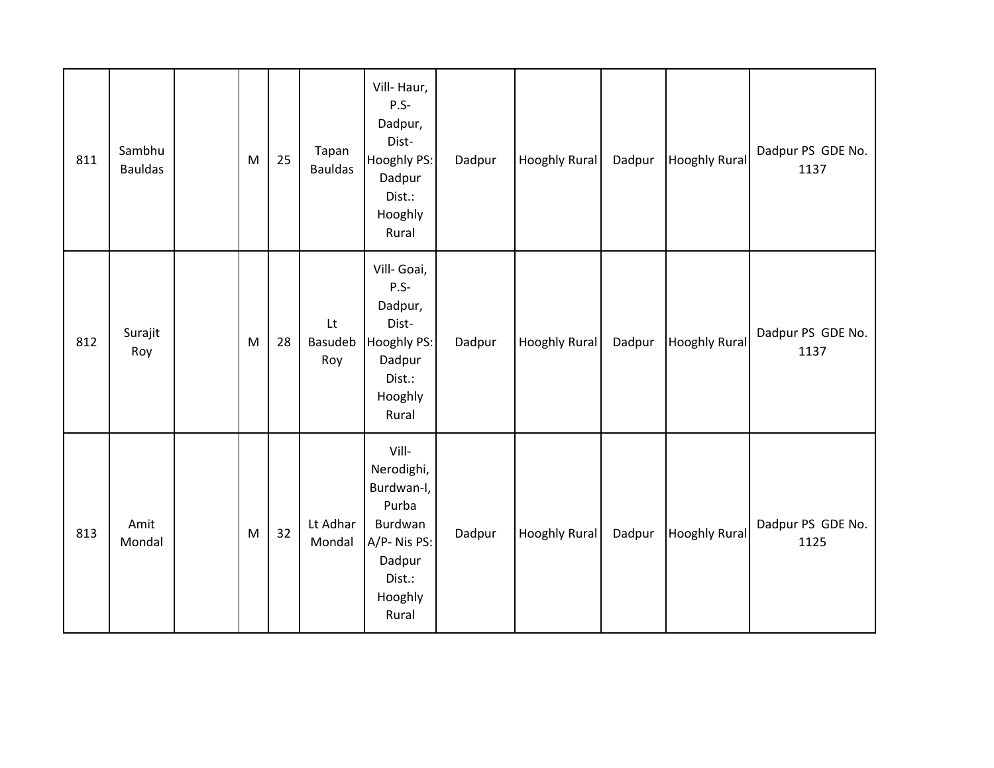| 811 | Sambhu<br><b>Bauldas</b> | M | 25 | Tapan<br><b>Bauldas</b>     | Vill-Haur,<br>$P.S-$<br>Dadpur,<br>Dist-<br>Hooghly PS:<br>Dadpur<br>Dist.:<br>Hooghly<br>Rural              | Dadpur | Hooghly Rural        | Dadpur | <b>Hooghly Rural</b> | Dadpur PS GDE No.<br>1137 |
|-----|--------------------------|---|----|-----------------------------|--------------------------------------------------------------------------------------------------------------|--------|----------------------|--------|----------------------|---------------------------|
| 812 | Surajit<br>Roy           | M | 28 | Lt<br><b>Basudeb</b><br>Roy | Vill- Goai,<br>$P.S-$<br>Dadpur,<br>Dist-<br>Hooghly PS:<br>Dadpur<br>Dist.:<br>Hooghly<br>Rural             | Dadpur | Hooghly Rural        | Dadpur | <b>Hooghly Rural</b> | Dadpur PS GDE No.<br>1137 |
| 813 | Amit<br>Mondal           | M | 32 | Lt Adhar<br>Mondal          | Vill-<br>Nerodighi,<br>Burdwan-I,<br>Purba<br>Burdwan<br>A/P-Nis PS:<br>Dadpur<br>Dist.:<br>Hooghly<br>Rural | Dadpur | <b>Hooghly Rural</b> | Dadpur | <b>Hooghly Rural</b> | Dadpur PS GDE No.<br>1125 |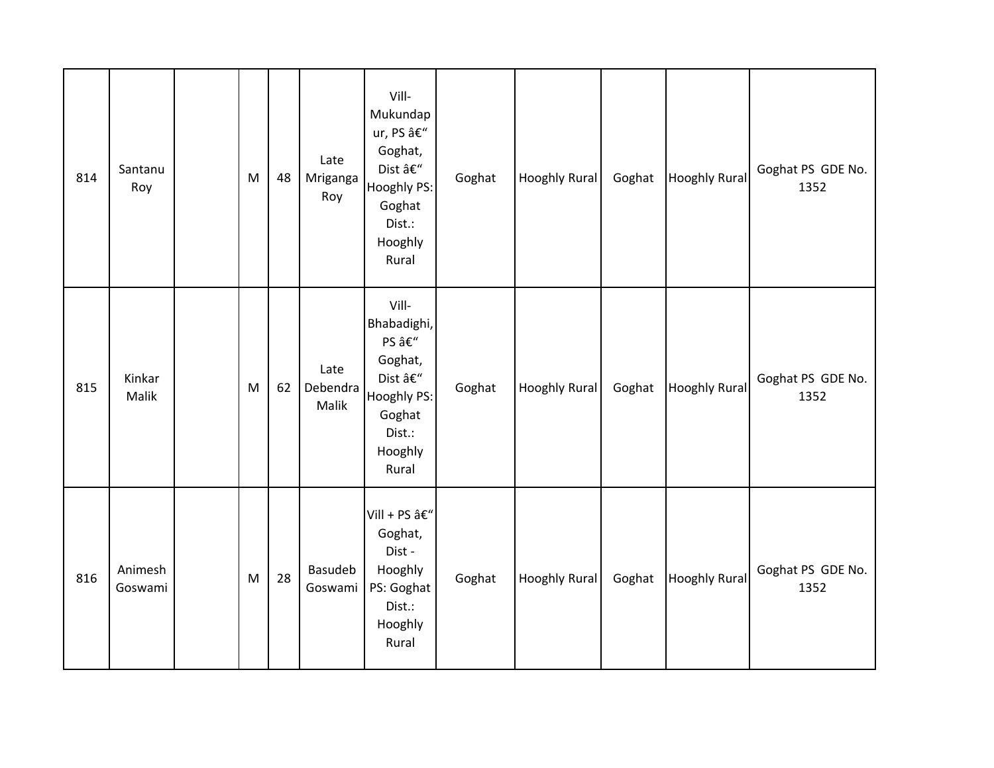| 814 | Santanu<br>Roy     | M | 48 | Late<br>Mriganga<br>Roy   | Vill-<br>Mukundap<br>ur, PS –<br>Goghat,<br>Dist –<br>Hooghly PS:<br>Goghat<br>Dist.:<br>Hooghly<br>Rural | Goghat | Hooghly Rural        | Goghat | <b>Hooghly Rural</b> | Goghat PS GDE No.<br>1352 |
|-----|--------------------|---|----|---------------------------|-----------------------------------------------------------------------------------------------------------|--------|----------------------|--------|----------------------|---------------------------|
| 815 | Kinkar<br>Malik    | M | 62 | Late<br>Debendra<br>Malik | Vill-<br>Bhabadighi,<br>PS –<br>Goghat,<br>Dist –<br>Hooghly PS:<br>Goghat<br>Dist.:<br>Hooghly<br>Rural  | Goghat | Hooghly Rural        | Goghat | <b>Hooghly Rural</b> | Goghat PS GDE No.<br>1352 |
| 816 | Animesh<br>Goswami | M | 28 | Basudeb<br>Goswami        | Vill + PS –<br>Goghat,<br>Dist-<br>Hooghly<br>PS: Goghat<br>Dist.:<br>Hooghly<br>Rural                    | Goghat | <b>Hooghly Rural</b> | Goghat | <b>Hooghly Rural</b> | Goghat PS GDE No.<br>1352 |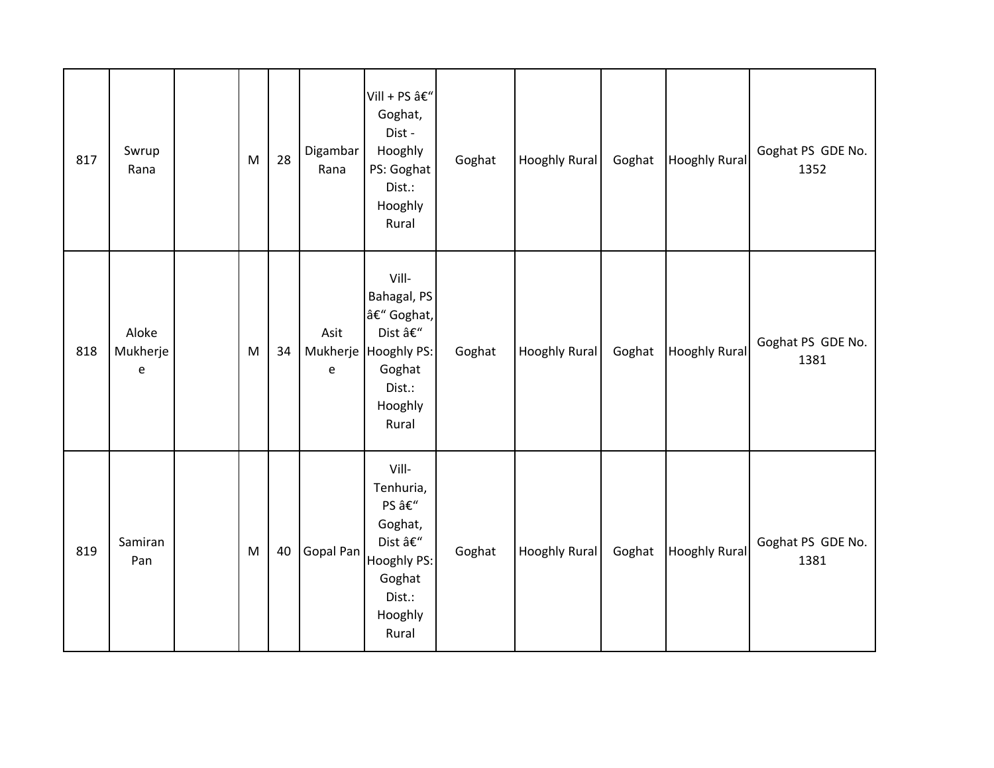| 817 | Swrup<br>Rana          | M | 28 | Digambar<br>Rana | Vill + PS –<br>Goghat,<br>Dist-<br>Hooghly<br>PS: Goghat<br>Dist.:<br>Hooghly<br>Rural                      | Goghat | Hooghly Rural        | Goghat | <b>Hooghly Rural</b> | Goghat PS GDE No.<br>1352 |
|-----|------------------------|---|----|------------------|-------------------------------------------------------------------------------------------------------------|--------|----------------------|--------|----------------------|---------------------------|
| 818 | Aloke<br>Mukherje<br>e | M | 34 | Asit<br>e        | Vill-<br>Bahagal, PS<br>– Goghat,<br>Dist –<br>Mukherje Hooghly PS:<br>Goghat<br>Dist.:<br>Hooghly<br>Rural | Goghat | Hooghly Rural        | Goghat | <b>Hooghly Rural</b> | Goghat PS GDE No.<br>1381 |
| 819 | Samiran<br>Pan         | M | 40 | Gopal Pan        | Vill-<br>Tenhuria,<br>PS –<br>Goghat,<br>Dist –<br>Hooghly PS:<br>Goghat<br>Dist.:<br>Hooghly<br>Rural      | Goghat | <b>Hooghly Rural</b> | Goghat | <b>Hooghly Rural</b> | Goghat PS GDE No.<br>1381 |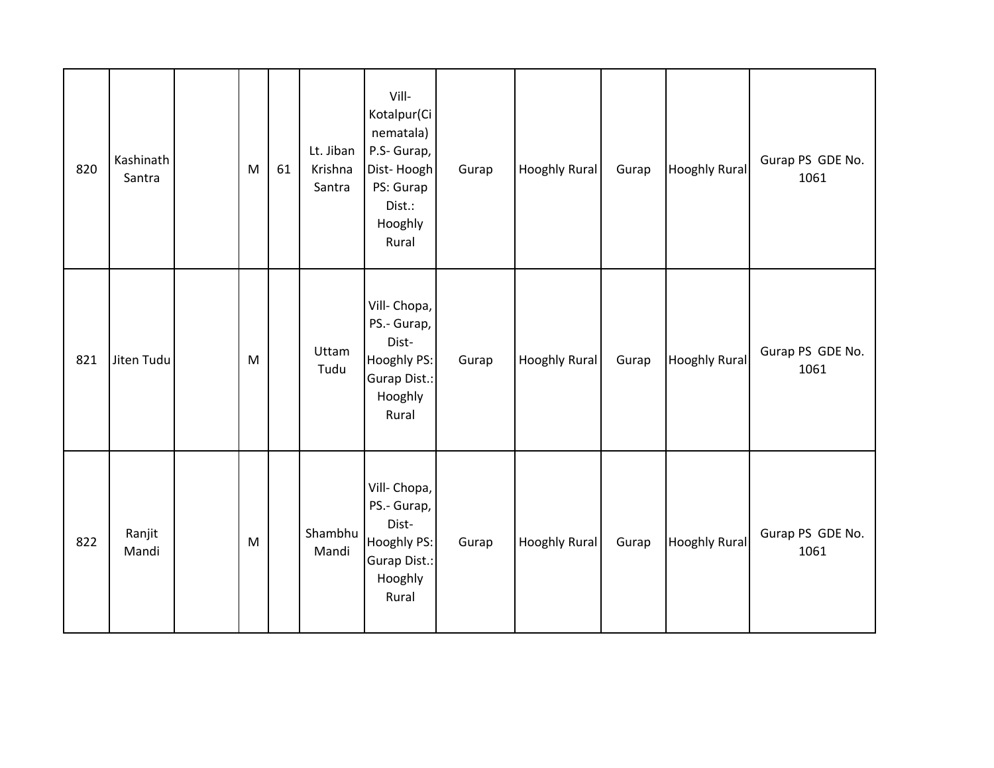| 820 | Kashinath<br>Santra | M | 61 | Lt. Jiban<br>Krishna<br>Santra | Vill-<br>Kotalpur(Ci<br>nematala)<br>P.S- Gurap,<br>Dist-Hoogh<br>PS: Gurap<br>Dist.:<br>Hooghly<br>Rural | Gurap | Hooghly Rural        | Gurap | <b>Hooghly Rural</b> | Gurap PS GDE No.<br>1061 |
|-----|---------------------|---|----|--------------------------------|-----------------------------------------------------------------------------------------------------------|-------|----------------------|-------|----------------------|--------------------------|
| 821 | Jiten Tudu          | M |    | Uttam<br>Tudu                  | Vill- Chopa,<br>PS.- Gurap,<br>Dist-<br>Hooghly PS:<br>Gurap Dist.:<br>Hooghly<br>Rural                   | Gurap | Hooghly Rural        | Gurap | <b>Hooghly Rural</b> | Gurap PS GDE No.<br>1061 |
| 822 | Ranjit<br>Mandi     | M |    | Shambhu<br>Mandi               | Vill- Chopa,<br>PS.- Gurap,<br>Dist-<br>Hooghly PS:<br><b>Gurap Dist.:</b><br>Hooghly<br>Rural            | Gurap | <b>Hooghly Rural</b> | Gurap | <b>Hooghly Rural</b> | Gurap PS GDE No.<br>1061 |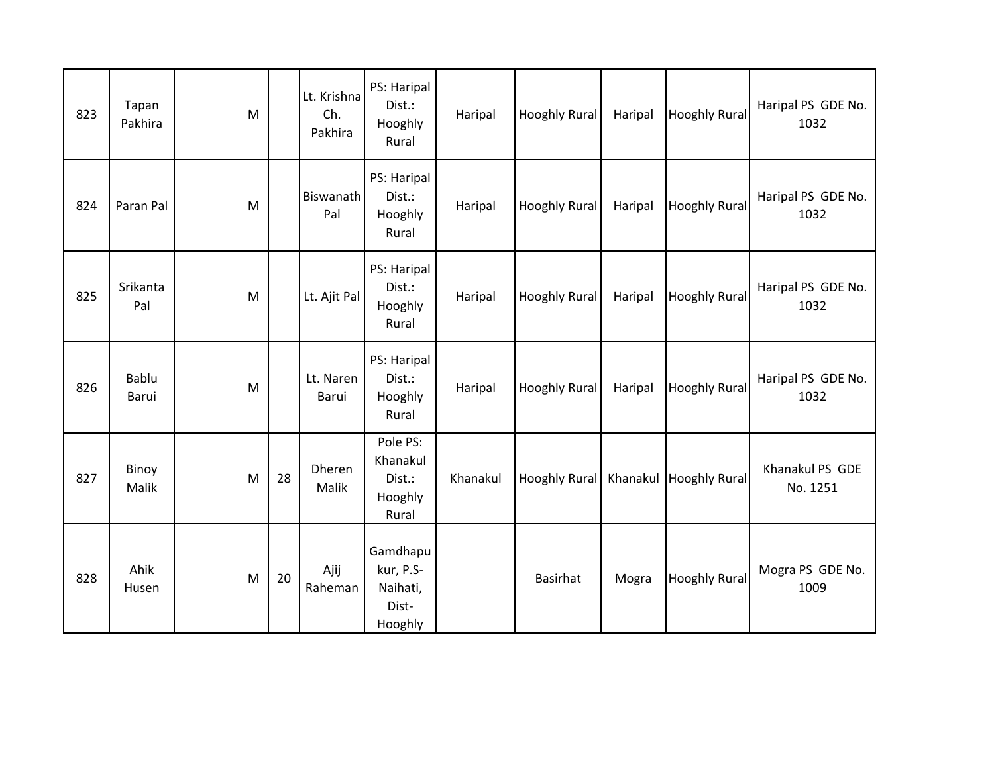| 823 | Tapan<br>Pakhira | M |    | Lt. Krishna<br>Ch.<br>Pakhira | PS: Haripal<br>Dist.:<br>Hooghly<br>Rural             | Haripal  | <b>Hooghly Rural</b>   | Haripal | <b>Hooghly Rural</b> | Haripal PS GDE No.<br>1032  |
|-----|------------------|---|----|-------------------------------|-------------------------------------------------------|----------|------------------------|---------|----------------------|-----------------------------|
| 824 | Paran Pal        | M |    | <b>Biswanath</b><br>Pal       | PS: Haripal<br>Dist.:<br>Hooghly<br>Rural             | Haripal  | <b>Hooghly Rural</b>   | Haripal | <b>Hooghly Rural</b> | Haripal PS GDE No.<br>1032  |
| 825 | Srikanta<br>Pal  | M |    | Lt. Ajit Pal                  | PS: Haripal<br>Dist.:<br>Hooghly<br>Rural             | Haripal  | <b>Hooghly Rural</b>   | Haripal | <b>Hooghly Rural</b> | Haripal PS GDE No.<br>1032  |
| 826 | Bablu<br>Barui   | M |    | Lt. Naren<br>Barui            | PS: Haripal<br>Dist.:<br>Hooghly<br>Rural             | Haripal  | <b>Hooghly Rural</b>   | Haripal | <b>Hooghly Rural</b> | Haripal PS GDE No.<br>1032  |
| 827 | Binoy<br>Malik   | M | 28 | Dheren<br>Malik               | Pole PS:<br>Khanakul<br>Dist.:<br>Hooghly<br>Rural    | Khanakul | Hooghly Rural Khanakul |         | <b>Hooghly Rural</b> | Khanakul PS GDE<br>No. 1251 |
| 828 | Ahik<br>Husen    | M | 20 | Ajij<br>Raheman               | Gamdhapu<br>kur, P.S-<br>Naihati,<br>Dist-<br>Hooghly |          | <b>Basirhat</b>        | Mogra   | <b>Hooghly Rural</b> | Mogra PS GDE No.<br>1009    |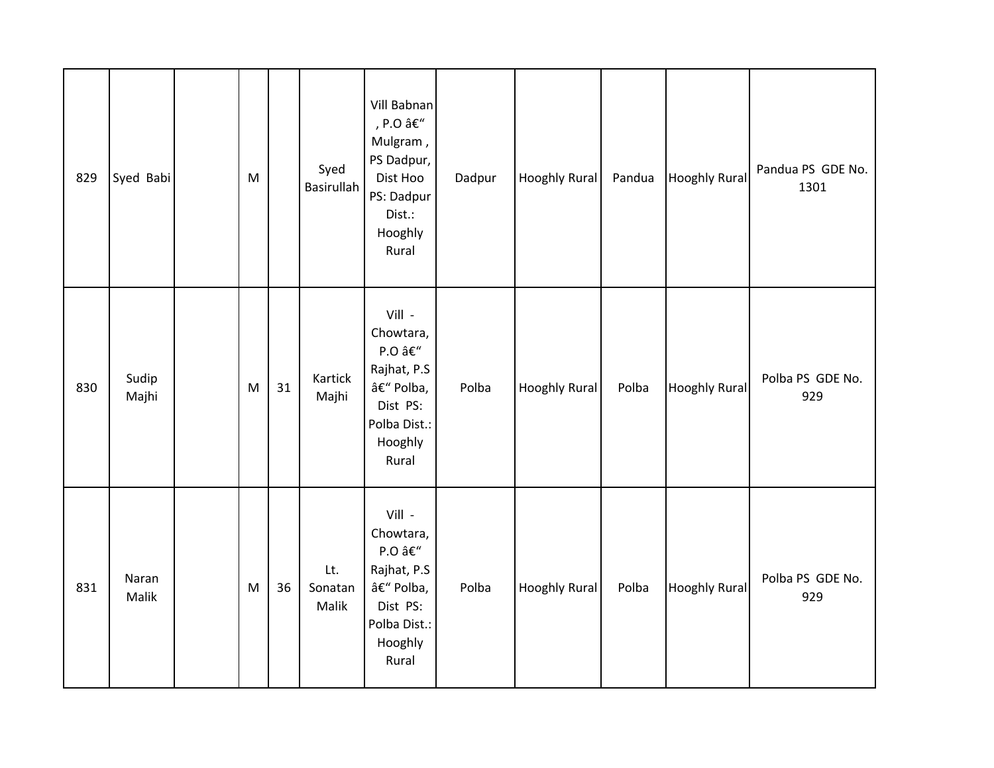| 829 | Syed Babi      | M |    | Syed<br>Basirullah      | Vill Babnan<br>, P.O –<br>Mulgram,<br>PS Dadpur,<br>Dist Hoo<br>PS: Dadpur<br>Dist.:<br>Hooghly<br>Rural | Dadpur | Hooghly Rural | Pandua | <b>Hooghly Rural</b> | Pandua PS GDE No.<br>1301 |
|-----|----------------|---|----|-------------------------|----------------------------------------------------------------------------------------------------------|--------|---------------|--------|----------------------|---------------------------|
| 830 | Sudip<br>Majhi | M | 31 | Kartick<br>Majhi        | Vill -<br>Chowtara,<br>P.O –<br>Rajhat, P.S<br>– Polba,<br>Dist PS:<br>Polba Dist.:<br>Hooghly<br>Rural  | Polba  | Hooghly Rural | Polba  | <b>Hooghly Rural</b> | Polba PS GDE No.<br>929   |
| 831 | Naran<br>Malik | M | 36 | Lt.<br>Sonatan<br>Malik | Vill -<br>Chowtara,<br>P.O –<br>Rajhat, P.S<br>– Polba,<br>Dist PS:<br>Polba Dist.:<br>Hooghly<br>Rural  | Polba  | Hooghly Rural | Polba  | <b>Hooghly Rural</b> | Polba PS GDE No.<br>929   |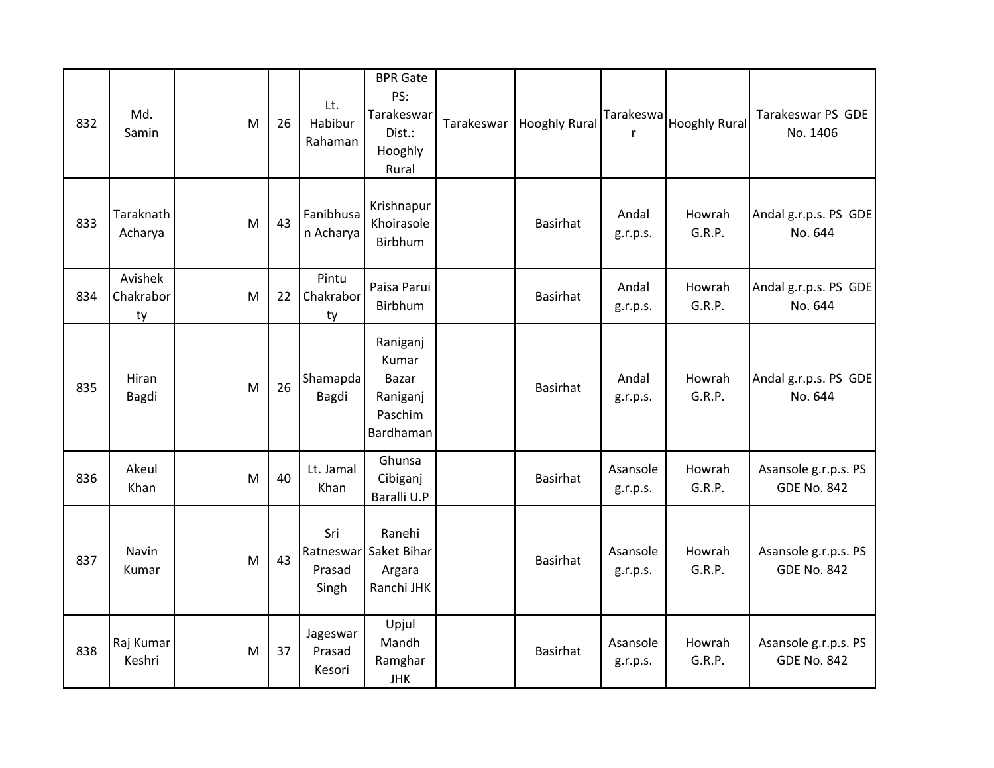| 832 | Md.<br>Samin               | M | 26 | Lt.<br>Habibur<br>Rahaman    | <b>BPR</b> Gate<br>PS:<br>Tarakeswar<br>Dist.:<br>Hooghly<br>Rural | Tarakeswar | Hooghly Rural   | Tarakeswa<br>$\mathsf{r}$ | <b>Hooghly Rural</b> | Tarakeswar PS GDE<br>No. 1406              |
|-----|----------------------------|---|----|------------------------------|--------------------------------------------------------------------|------------|-----------------|---------------------------|----------------------|--------------------------------------------|
| 833 | Taraknath<br>Acharya       | M | 43 | Fanibhusa<br>n Acharya       | Krishnapur<br>Khoirasole<br>Birbhum                                |            | <b>Basirhat</b> | Andal<br>g.r.p.s.         | Howrah<br>G.R.P.     | Andal g.r.p.s. PS GDE<br>No. 644           |
| 834 | Avishek<br>Chakrabor<br>ty | M | 22 | Pintu<br>Chakrabor<br>ty     | Paisa Parui<br>Birbhum                                             |            | <b>Basirhat</b> | Andal<br>g.r.p.s.         | Howrah<br>G.R.P.     | Andal g.r.p.s. PS GDE<br>No. 644           |
| 835 | Hiran<br>Bagdi             | M | 26 | Shamapda<br>Bagdi            | Raniganj<br>Kumar<br>Bazar<br>Raniganj<br>Paschim<br>Bardhaman     |            | <b>Basirhat</b> | Andal<br>g.r.p.s.         | Howrah<br>G.R.P.     | Andal g.r.p.s. PS GDE<br>No. 644           |
| 836 | Akeul<br>Khan              | M | 40 | Lt. Jamal<br>Khan            | Ghunsa<br>Cibiganj<br>Baralli U.P                                  |            | <b>Basirhat</b> | Asansole<br>g.r.p.s.      | Howrah<br>G.R.P.     | Asansole g.r.p.s. PS<br><b>GDE No. 842</b> |
| 837 | Navin<br>Kumar             | M | 43 | Sri<br>Prasad<br>Singh       | Ranehi<br>Ratneswar Saket Bihar<br>Argara<br>Ranchi JHK            |            | <b>Basirhat</b> | Asansole<br>g.r.p.s.      | Howrah<br>G.R.P.     | Asansole g.r.p.s. PS<br><b>GDE No. 842</b> |
| 838 | Raj Kumar<br>Keshri        | M | 37 | Jageswar<br>Prasad<br>Kesori | Upjul<br>Mandh<br>Ramghar<br><b>JHK</b>                            |            | <b>Basirhat</b> | Asansole<br>g.r.p.s.      | Howrah<br>G.R.P.     | Asansole g.r.p.s. PS<br><b>GDE No. 842</b> |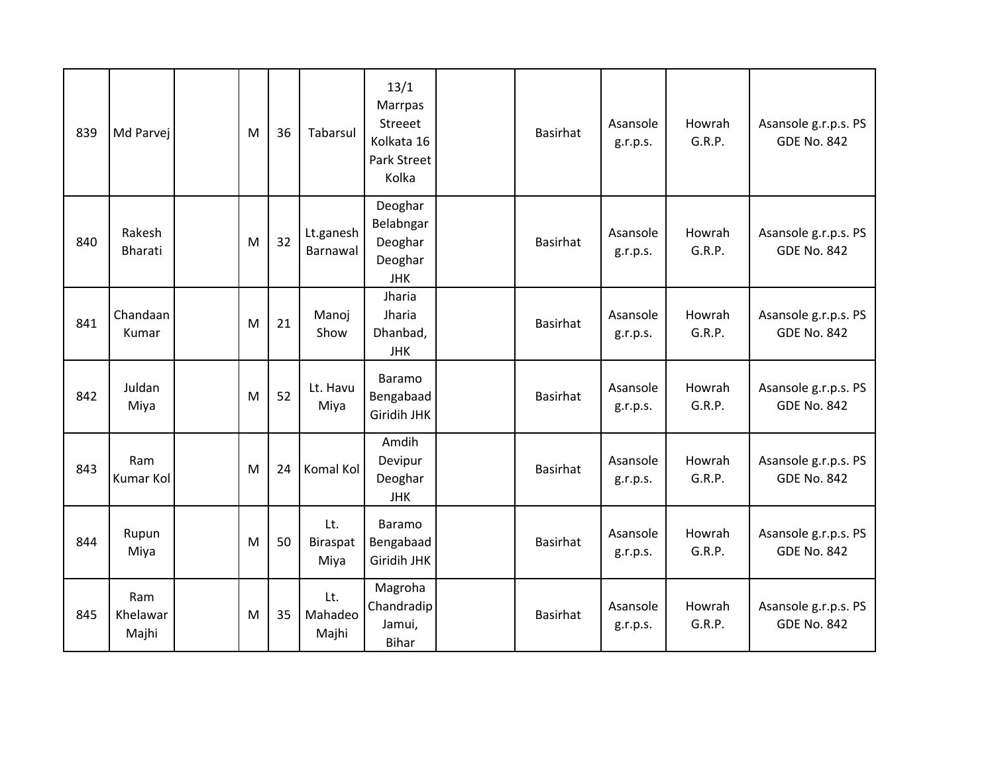| 839 | Md Parvej                | M | 36 | Tabarsul                       | 13/1<br>Marrpas<br>Streeet<br>Kolkata 16<br><b>Park Street</b><br>Kolka | <b>Basirhat</b> | Asansole<br>g.r.p.s. | Howrah<br>G.R.P. | Asansole g.r.p.s. PS<br><b>GDE No. 842</b> |
|-----|--------------------------|---|----|--------------------------------|-------------------------------------------------------------------------|-----------------|----------------------|------------------|--------------------------------------------|
| 840 | Rakesh<br>Bharati        | M | 32 | Lt.ganesh<br>Barnawal          | Deoghar<br>Belabngar<br>Deoghar<br>Deoghar<br><b>JHK</b>                | <b>Basirhat</b> | Asansole<br>g.r.p.s. | Howrah<br>G.R.P. | Asansole g.r.p.s. PS<br><b>GDE No. 842</b> |
| 841 | Chandaan<br>Kumar        | M | 21 | Manoj<br>Show                  | Jharia<br>Jharia<br>Dhanbad,<br><b>JHK</b>                              | <b>Basirhat</b> | Asansole<br>g.r.p.s. | Howrah<br>G.R.P. | Asansole g.r.p.s. PS<br><b>GDE No. 842</b> |
| 842 | Juldan<br>Miya           | M | 52 | Lt. Havu<br>Miya               | Baramo<br>Bengabaad<br>Giridih JHK                                      | <b>Basirhat</b> | Asansole<br>g.r.p.s. | Howrah<br>G.R.P. | Asansole g.r.p.s. PS<br><b>GDE No. 842</b> |
| 843 | Ram<br>Kumar Kol         | M | 24 | Komal Kol                      | Amdih<br>Devipur<br>Deoghar<br><b>JHK</b>                               | <b>Basirhat</b> | Asansole<br>g.r.p.s. | Howrah<br>G.R.P. | Asansole g.r.p.s. PS<br><b>GDE No. 842</b> |
| 844 | Rupun<br>Miya            | M | 50 | Lt.<br><b>Biraspat</b><br>Miya | Baramo<br>Bengabaad<br>Giridih JHK                                      | <b>Basirhat</b> | Asansole<br>g.r.p.s. | Howrah<br>G.R.P. | Asansole g.r.p.s. PS<br><b>GDE No. 842</b> |
| 845 | Ram<br>Khelawar<br>Majhi | M | 35 | Lt.<br>Mahadeo<br>Majhi        | Magroha<br>Chandradip<br>Jamui,<br><b>Bihar</b>                         | <b>Basirhat</b> | Asansole<br>g.r.p.s. | Howrah<br>G.R.P. | Asansole g.r.p.s. PS<br><b>GDE No. 842</b> |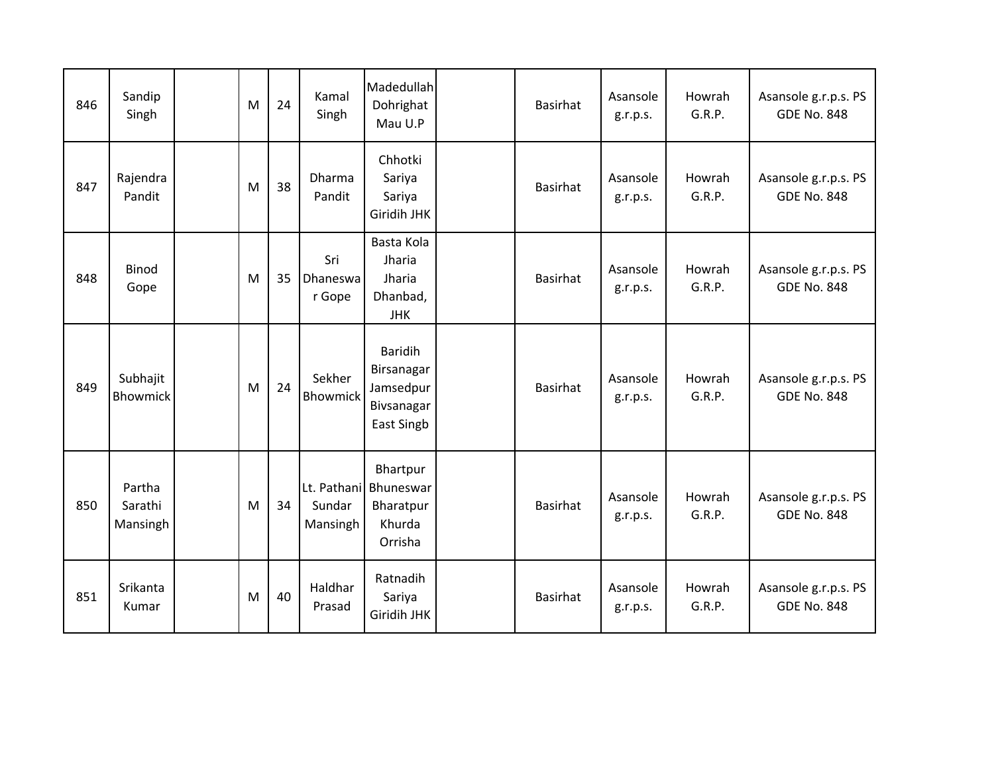| 846 | Sandip<br>Singh               | M | 24 | Kamal<br>Singh            | Madedullah<br>Dohrighat<br>Mau U.P                                           | <b>Basirhat</b> | Asansole<br>g.r.p.s. | Howrah<br>G.R.P. | Asansole g.r.p.s. PS<br><b>GDE No. 848</b> |
|-----|-------------------------------|---|----|---------------------------|------------------------------------------------------------------------------|-----------------|----------------------|------------------|--------------------------------------------|
| 847 | Rajendra<br>Pandit            | M | 38 | Dharma<br>Pandit          | Chhotki<br>Sariya<br>Sariya<br>Giridih JHK                                   | <b>Basirhat</b> | Asansole<br>g.r.p.s. | Howrah<br>G.R.P. | Asansole g.r.p.s. PS<br><b>GDE No. 848</b> |
| 848 | <b>Binod</b><br>Gope          | M | 35 | Sri<br>Dhaneswa<br>r Gope | Basta Kola<br>Jharia<br>Jharia<br>Dhanbad,<br><b>JHK</b>                     | <b>Basirhat</b> | Asansole<br>g.r.p.s. | Howrah<br>G.R.P. | Asansole g.r.p.s. PS<br><b>GDE No. 848</b> |
| 849 | Subhajit<br>Bhowmick          | M | 24 | Sekher<br><b>Bhowmick</b> | <b>Baridih</b><br>Birsanagar<br>Jamsedpur<br>Bivsanagar<br><b>East Singb</b> | <b>Basirhat</b> | Asansole<br>g.r.p.s. | Howrah<br>G.R.P. | Asansole g.r.p.s. PS<br><b>GDE No. 848</b> |
| 850 | Partha<br>Sarathi<br>Mansingh | M | 34 | Sundar<br>Mansingh        | Bhartpur<br>Lt. Pathani Bhuneswar<br>Bharatpur<br>Khurda<br>Orrisha          | <b>Basirhat</b> | Asansole<br>g.r.p.s. | Howrah<br>G.R.P. | Asansole g.r.p.s. PS<br><b>GDE No. 848</b> |
| 851 | Srikanta<br>Kumar             | M | 40 | Haldhar<br>Prasad         | Ratnadih<br>Sariya<br>Giridih JHK                                            | <b>Basirhat</b> | Asansole<br>g.r.p.s. | Howrah<br>G.R.P. | Asansole g.r.p.s. PS<br><b>GDE No. 848</b> |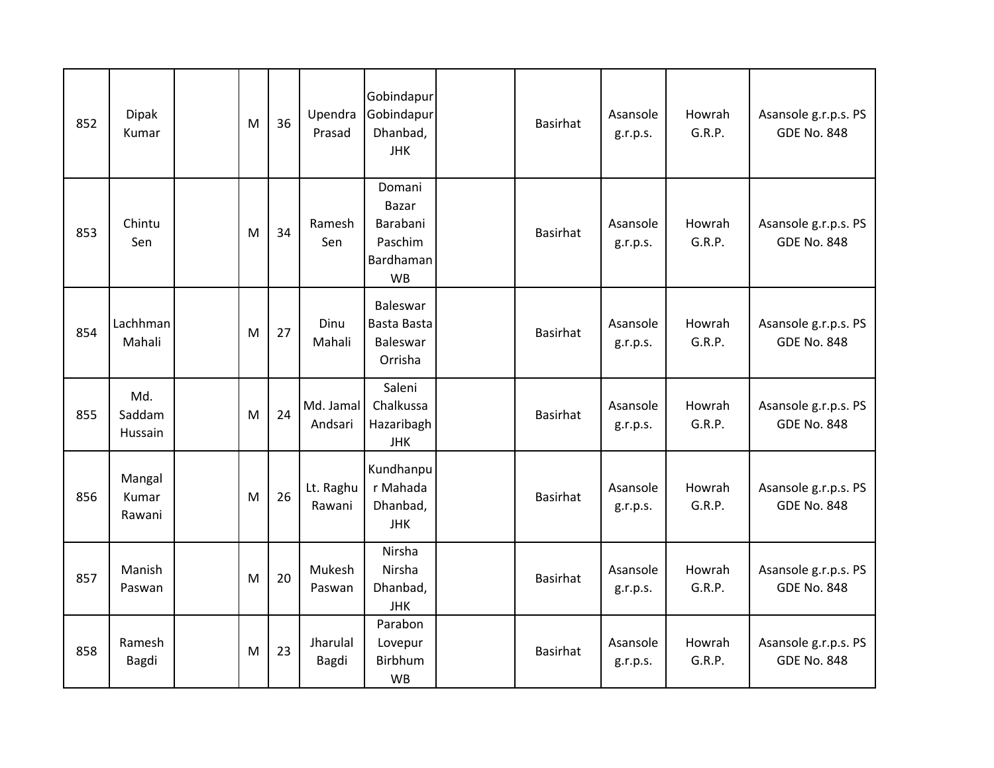| 852 | <b>Dipak</b><br>Kumar     | M | 36 | Upendra<br>Prasad    | Gobindapur<br>Gobindapur<br>Dhanbad,<br><b>JHK</b>                      | <b>Basirhat</b> | Asansole<br>g.r.p.s. | Howrah<br>G.R.P. | Asansole g.r.p.s. PS<br><b>GDE No. 848</b> |
|-----|---------------------------|---|----|----------------------|-------------------------------------------------------------------------|-----------------|----------------------|------------------|--------------------------------------------|
| 853 | Chintu<br>Sen             | M | 34 | Ramesh<br>Sen        | Domani<br><b>Bazar</b><br>Barabani<br>Paschim<br>Bardhaman<br><b>WB</b> | <b>Basirhat</b> | Asansole<br>g.r.p.s. | Howrah<br>G.R.P. | Asansole g.r.p.s. PS<br><b>GDE No. 848</b> |
| 854 | Lachhman<br>Mahali        | M | 27 | Dinu<br>Mahali       | Baleswar<br>Basta Basta<br>Baleswar<br>Orrisha                          | <b>Basirhat</b> | Asansole<br>g.r.p.s. | Howrah<br>G.R.P. | Asansole g.r.p.s. PS<br><b>GDE No. 848</b> |
| 855 | Md.<br>Saddam<br>Hussain  | M | 24 | Md. Jamal<br>Andsari | Saleni<br>Chalkussa<br>Hazaribagh<br><b>JHK</b>                         | Basirhat        | Asansole<br>g.r.p.s. | Howrah<br>G.R.P. | Asansole g.r.p.s. PS<br><b>GDE No. 848</b> |
| 856 | Mangal<br>Kumar<br>Rawani | M | 26 | Lt. Raghu<br>Rawani  | Kundhanpu<br>r Mahada<br>Dhanbad,<br><b>JHK</b>                         | <b>Basirhat</b> | Asansole<br>g.r.p.s. | Howrah<br>G.R.P. | Asansole g.r.p.s. PS<br><b>GDE No. 848</b> |
| 857 | Manish<br>Paswan          | M | 20 | Mukesh<br>Paswan     | Nirsha<br>Nirsha<br>Dhanbad,<br><b>JHK</b>                              | <b>Basirhat</b> | Asansole<br>g.r.p.s. | Howrah<br>G.R.P. | Asansole g.r.p.s. PS<br><b>GDE No. 848</b> |
| 858 | Ramesh<br>Bagdi           | M | 23 | Jharulal<br>Bagdi    | Parabon<br>Lovepur<br>Birbhum<br><b>WB</b>                              | <b>Basirhat</b> | Asansole<br>g.r.p.s. | Howrah<br>G.R.P. | Asansole g.r.p.s. PS<br><b>GDE No. 848</b> |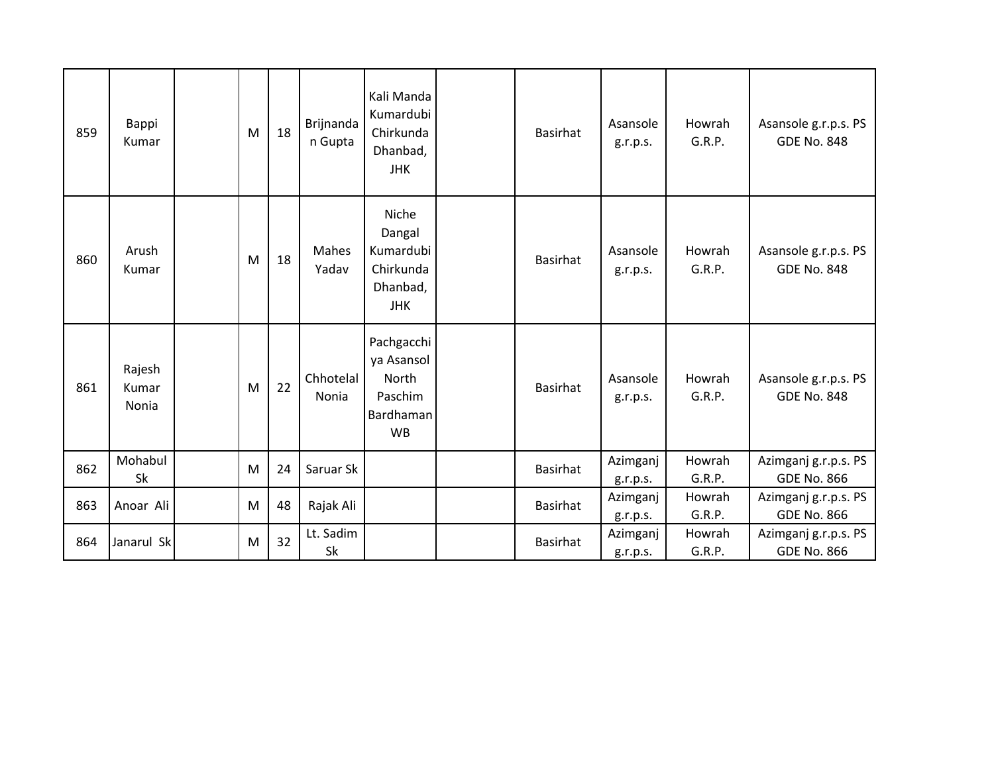| 859 | Bappi<br>Kumar           | M | 18 | Brijnanda<br>n Gupta | Kali Manda<br>Kumardubi<br>Chirkunda<br>Dhanbad,<br><b>JHK</b>         | <b>Basirhat</b> | Asansole<br>g.r.p.s. | Howrah<br>G.R.P. | Asansole g.r.p.s. PS<br><b>GDE No. 848</b> |
|-----|--------------------------|---|----|----------------------|------------------------------------------------------------------------|-----------------|----------------------|------------------|--------------------------------------------|
| 860 | Arush<br>Kumar           | M | 18 | Mahes<br>Yadav       | Niche<br>Dangal<br>Kumardubi<br>Chirkunda<br>Dhanbad,<br><b>JHK</b>    | <b>Basirhat</b> | Asansole<br>g.r.p.s. | Howrah<br>G.R.P. | Asansole g.r.p.s. PS<br><b>GDE No. 848</b> |
| 861 | Rajesh<br>Kumar<br>Nonia | M | 22 | Chhotelal<br>Nonia   | Pachgacchi<br>ya Asansol<br>North<br>Paschim<br>Bardhaman<br><b>WB</b> | <b>Basirhat</b> | Asansole<br>g.r.p.s. | Howrah<br>G.R.P. | Asansole g.r.p.s. PS<br><b>GDE No. 848</b> |
| 862 | Mohabul<br>Sk            | M | 24 | Saruar Sk            |                                                                        | <b>Basirhat</b> | Azimganj<br>g.r.p.s. | Howrah<br>G.R.P. | Azimganj g.r.p.s. PS<br><b>GDE No. 866</b> |
| 863 | Anoar Ali                | M | 48 | Rajak Ali            |                                                                        | <b>Basirhat</b> | Azimganj             | Howrah<br>G.R.P. | Azimganj g.r.p.s. PS<br><b>GDE No. 866</b> |
| 864 | Janarul Sk               | M | 32 | Lt. Sadim            |                                                                        | <b>Basirhat</b> | g.r.p.s.<br>Azimganj | Howrah           | Azimganj g.r.p.s. PS                       |
|     |                          |   |    | Sk                   |                                                                        |                 | g.r.p.s.             | G.R.P.           | <b>GDE No. 866</b>                         |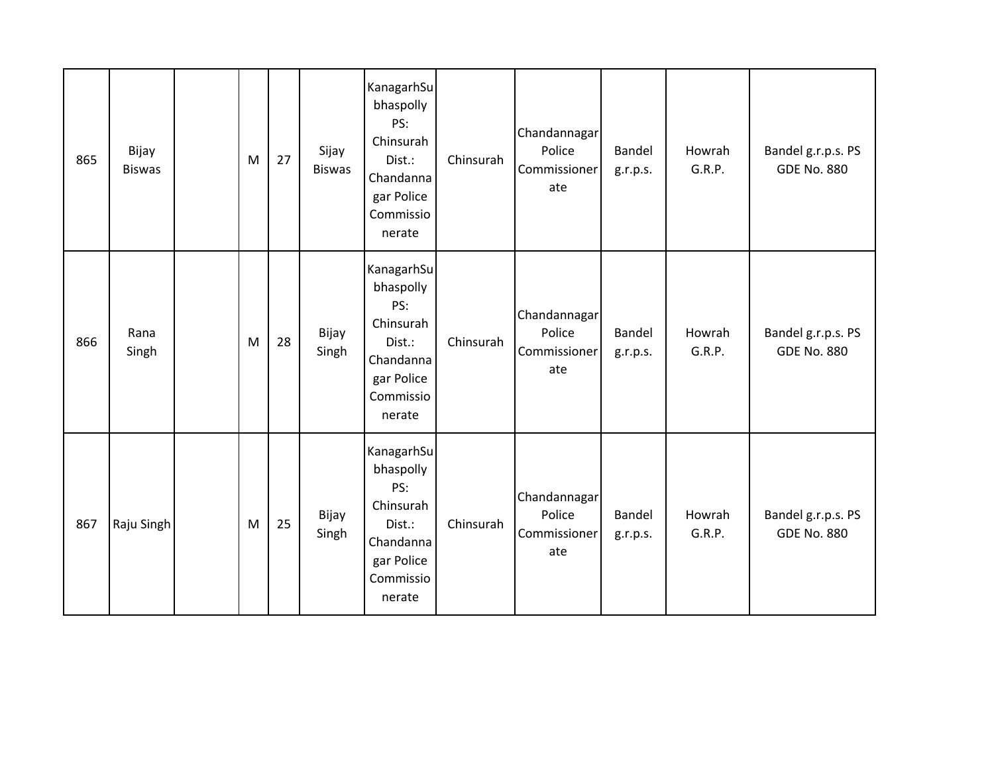| 865 | Bijay<br><b>Biswas</b> | M | 27 | Sijay<br><b>Biswas</b> | KanagarhSu<br>bhaspolly<br>PS:<br>Chinsurah<br>Dist.:<br>Chandanna<br>gar Police<br>Commissio<br>nerate | Chinsurah | Chandannagar<br>Police<br>Commissioner<br>ate | Bandel<br>g.r.p.s. | Howrah<br>G.R.P. | Bandel g.r.p.s. PS<br><b>GDE No. 880</b> |
|-----|------------------------|---|----|------------------------|---------------------------------------------------------------------------------------------------------|-----------|-----------------------------------------------|--------------------|------------------|------------------------------------------|
| 866 | Rana<br>Singh          | M | 28 | Bijay<br>Singh         | KanagarhSu<br>bhaspolly<br>PS:<br>Chinsurah<br>Dist.:<br>Chandanna<br>gar Police<br>Commissio<br>nerate | Chinsurah | Chandannagar<br>Police<br>Commissioner<br>ate | Bandel<br>g.r.p.s. | Howrah<br>G.R.P. | Bandel g.r.p.s. PS<br><b>GDE No. 880</b> |
| 867 | Raju Singh             | M | 25 | Bijay<br>Singh         | KanagarhSu<br>bhaspolly<br>PS:<br>Chinsurah<br>Dist.:<br>Chandanna<br>gar Police<br>Commissio<br>nerate | Chinsurah | Chandannagar<br>Police<br>Commissioner<br>ate | Bandel<br>g.r.p.s. | Howrah<br>G.R.P. | Bandel g.r.p.s. PS<br><b>GDE No. 880</b> |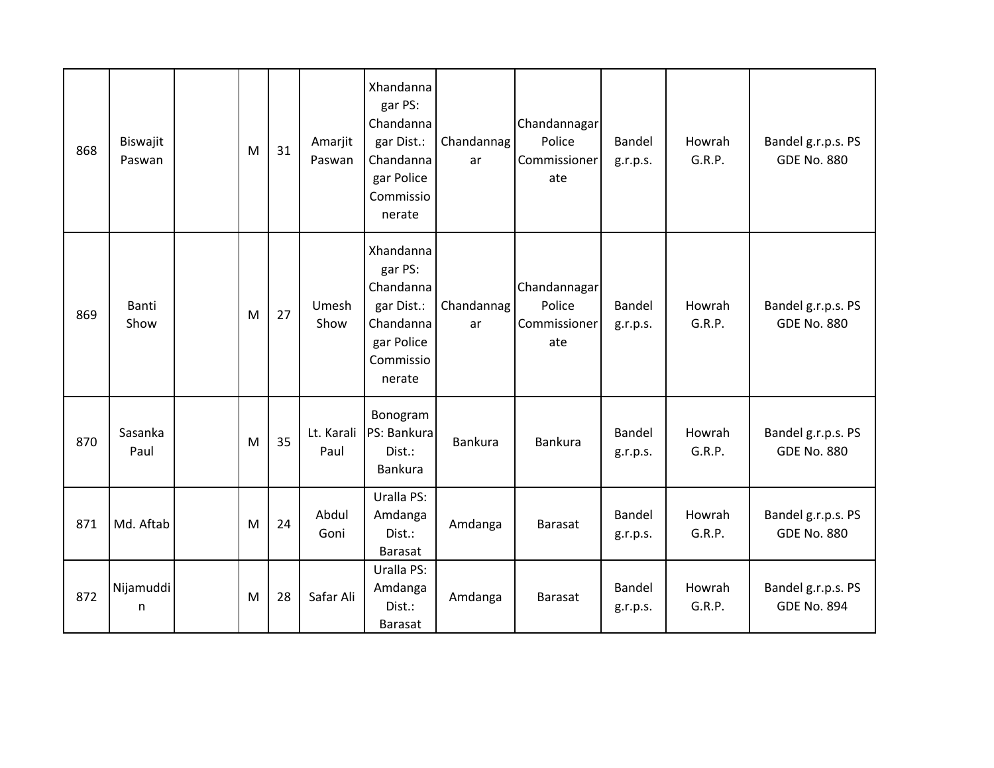| 868 | Biswajit<br>Paswan | M | 31 | Amarjit<br>Paswan  | Xhandanna<br>gar PS:<br>Chandanna<br>gar Dist.:<br>Chandanna<br>gar Police<br>Commissio<br>nerate | Chandannag<br>ar | Chandannagar<br>Police<br>Commissioner<br>ate | Bandel<br>g.r.p.s. | Howrah<br>G.R.P. | Bandel g.r.p.s. PS<br><b>GDE No. 880</b> |
|-----|--------------------|---|----|--------------------|---------------------------------------------------------------------------------------------------|------------------|-----------------------------------------------|--------------------|------------------|------------------------------------------|
| 869 | Banti<br>Show      | M | 27 | Umesh<br>Show      | Xhandanna<br>gar PS:<br>Chandanna<br>gar Dist.:<br>Chandanna<br>gar Police<br>Commissio<br>nerate | Chandannag<br>ar | Chandannagar<br>Police<br>Commissioner<br>ate | Bandel<br>g.r.p.s. | Howrah<br>G.R.P. | Bandel g.r.p.s. PS<br><b>GDE No. 880</b> |
| 870 | Sasanka<br>Paul    | M | 35 | Lt. Karali<br>Paul | Bonogram<br>PS: Bankura<br>Dist.:<br><b>Bankura</b>                                               | Bankura          | <b>Bankura</b>                                | Bandel<br>g.r.p.s. | Howrah<br>G.R.P. | Bandel g.r.p.s. PS<br><b>GDE No. 880</b> |
| 871 | Md. Aftab          | M | 24 | Abdul<br>Goni      | Uralla PS:<br>Amdanga<br>Dist.:<br><b>Barasat</b>                                                 | Amdanga          | <b>Barasat</b>                                | Bandel<br>g.r.p.s. | Howrah<br>G.R.P. | Bandel g.r.p.s. PS<br><b>GDE No. 880</b> |
| 872 | Nijamuddi<br>n     | M | 28 | Safar Ali          | Uralla PS:<br>Amdanga<br>Dist.:<br><b>Barasat</b>                                                 | Amdanga          | Barasat                                       | Bandel<br>g.r.p.s. | Howrah<br>G.R.P. | Bandel g.r.p.s. PS<br><b>GDE No. 894</b> |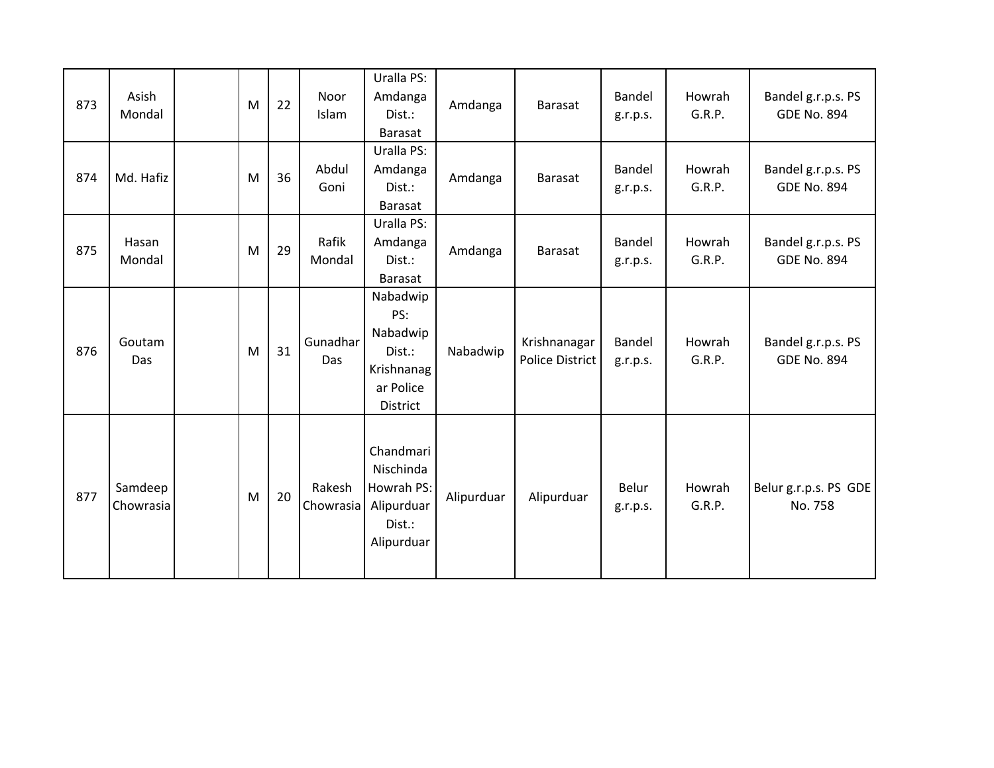| 873 | Asish<br>Mondal      | M | 22 | Noor<br>Islam       | Uralla PS:<br>Amdanga<br>Dist.:<br>Barasat                                   | Amdanga    | <b>Barasat</b>                         | Bandel<br>g.r.p.s. | Howrah<br>G.R.P. | Bandel g.r.p.s. PS<br><b>GDE No. 894</b> |
|-----|----------------------|---|----|---------------------|------------------------------------------------------------------------------|------------|----------------------------------------|--------------------|------------------|------------------------------------------|
| 874 | Md. Hafiz            | M | 36 | Abdul<br>Goni       | Uralla PS:<br>Amdanga<br>Dist.:<br><b>Barasat</b>                            | Amdanga    | Barasat                                | Bandel<br>g.r.p.s. | Howrah<br>G.R.P. | Bandel g.r.p.s. PS<br><b>GDE No. 894</b> |
| 875 | Hasan<br>Mondal      | M | 29 | Rafik<br>Mondal     | Uralla PS:<br>Amdanga<br>Dist.:<br>Barasat                                   | Amdanga    | <b>Barasat</b>                         | Bandel<br>g.r.p.s. | Howrah<br>G.R.P. | Bandel g.r.p.s. PS<br><b>GDE No. 894</b> |
| 876 | Goutam<br>Das        | M | 31 | Gunadhar<br>Das     | Nabadwip<br>PS:<br>Nabadwip<br>Dist.:<br>Krishnanag<br>ar Police<br>District | Nabadwip   | Krishnanagar<br><b>Police District</b> | Bandel<br>g.r.p.s. | Howrah<br>G.R.P. | Bandel g.r.p.s. PS<br><b>GDE No. 894</b> |
| 877 | Samdeep<br>Chowrasia | M | 20 | Rakesh<br>Chowrasia | Chandmari<br>Nischinda<br>Howrah PS:<br>Alipurduar<br>Dist.:<br>Alipurduar   | Alipurduar | Alipurduar                             | Belur<br>g.r.p.s.  | Howrah<br>G.R.P. | Belur g.r.p.s. PS GDE<br>No. 758         |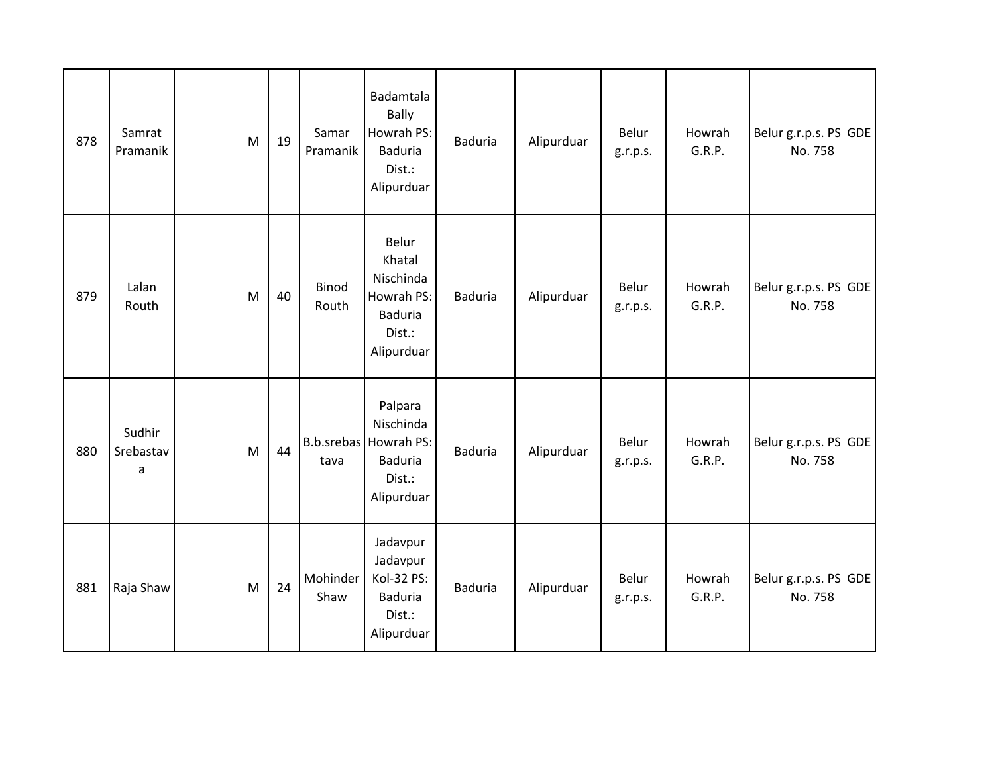| 878 | Samrat<br>Pramanik       | M | 19 | Samar<br>Pramanik | Badamtala<br><b>Bally</b><br>Howrah PS:<br><b>Baduria</b><br>Dist.:<br>Alipurduar       | Baduria        | Alipurduar | Belur<br>g.r.p.s. | Howrah<br>G.R.P. | Belur g.r.p.s. PS GDE<br>No. 758 |
|-----|--------------------------|---|----|-------------------|-----------------------------------------------------------------------------------------|----------------|------------|-------------------|------------------|----------------------------------|
| 879 | Lalan<br>Routh           | M | 40 | Binod<br>Routh    | Belur<br>Khatal<br>Nischinda<br>Howrah PS:<br><b>Baduria</b><br>Dist.:<br>Alipurduar    | <b>Baduria</b> | Alipurduar | Belur<br>g.r.p.s. | Howrah<br>G.R.P. | Belur g.r.p.s. PS GDE<br>No. 758 |
| 880 | Sudhir<br>Srebastav<br>a | M | 44 | tava              | Palpara<br>Nischinda<br>B.b.srebas Howrah PS:<br><b>Baduria</b><br>Dist.:<br>Alipurduar | <b>Baduria</b> | Alipurduar | Belur<br>g.r.p.s. | Howrah<br>G.R.P. | Belur g.r.p.s. PS GDE<br>No. 758 |
| 881 | Raja Shaw                | M | 24 | Mohinder<br>Shaw  | Jadavpur<br>Jadavpur<br>Kol-32 PS:<br><b>Baduria</b><br>Dist.:<br>Alipurduar            | Baduria        | Alipurduar | Belur<br>g.r.p.s. | Howrah<br>G.R.P. | Belur g.r.p.s. PS GDE<br>No. 758 |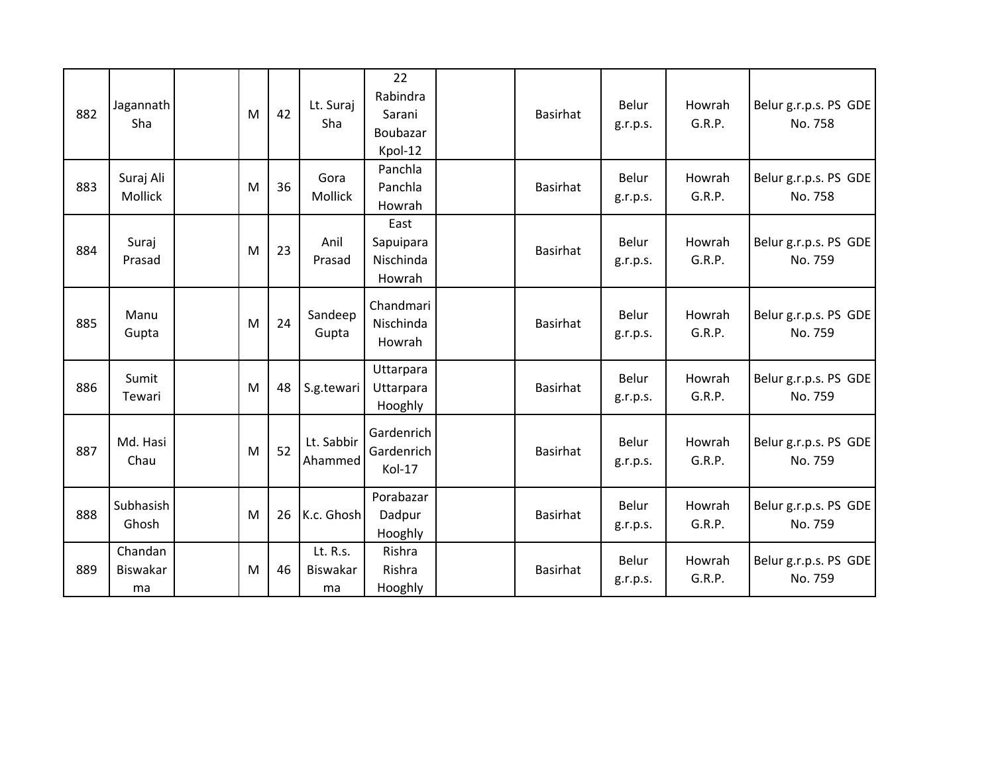| 882 | Jagannath<br>Sha          | M | 42 | Lt. Suraj<br>Sha                  | 22<br>Rabindra<br>Sarani<br>Boubazar<br>Kpol-12 | <b>Basirhat</b> | Belur<br>g.r.p.s. | Howrah<br>G.R.P. | Belur g.r.p.s. PS GDE<br>No. 758 |
|-----|---------------------------|---|----|-----------------------------------|-------------------------------------------------|-----------------|-------------------|------------------|----------------------------------|
| 883 | Suraj Ali<br>Mollick      | M | 36 | Gora<br>Mollick                   | Panchla<br>Panchla<br>Howrah                    | <b>Basirhat</b> | Belur<br>g.r.p.s. | Howrah<br>G.R.P. | Belur g.r.p.s. PS GDE<br>No. 758 |
| 884 | Suraj<br>Prasad           | M | 23 | Anil<br>Prasad                    | East<br>Sapuipara<br>Nischinda<br>Howrah        | <b>Basirhat</b> | Belur<br>g.r.p.s. | Howrah<br>G.R.P. | Belur g.r.p.s. PS GDE<br>No. 759 |
| 885 | Manu<br>Gupta             | M | 24 | Sandeep<br>Gupta                  | Chandmari<br>Nischinda<br>Howrah                | <b>Basirhat</b> | Belur<br>g.r.p.s. | Howrah<br>G.R.P. | Belur g.r.p.s. PS GDE<br>No. 759 |
| 886 | Sumit<br>Tewari           | M | 48 | S.g.tewari                        | Uttarpara<br>Uttarpara<br>Hooghly               | <b>Basirhat</b> | Belur<br>g.r.p.s. | Howrah<br>G.R.P. | Belur g.r.p.s. PS GDE<br>No. 759 |
| 887 | Md. Hasi<br>Chau          | M | 52 | Lt. Sabbir<br>Ahammed             | Gardenrich<br>Gardenrich<br>Kol-17              | <b>Basirhat</b> | Belur<br>g.r.p.s. | Howrah<br>G.R.P. | Belur g.r.p.s. PS GDE<br>No. 759 |
| 888 | Subhasish<br>Ghosh        | M | 26 | K.c. Ghosh                        | Porabazar<br>Dadpur<br>Hooghly                  | <b>Basirhat</b> | Belur<br>g.r.p.s. | Howrah<br>G.R.P. | Belur g.r.p.s. PS GDE<br>No. 759 |
| 889 | Chandan<br>Biswakar<br>ma | M | 46 | Lt. R.s.<br><b>Biswakar</b><br>ma | Rishra<br>Rishra<br>Hooghly                     | <b>Basirhat</b> | Belur<br>g.r.p.s. | Howrah<br>G.R.P. | Belur g.r.p.s. PS GDE<br>No. 759 |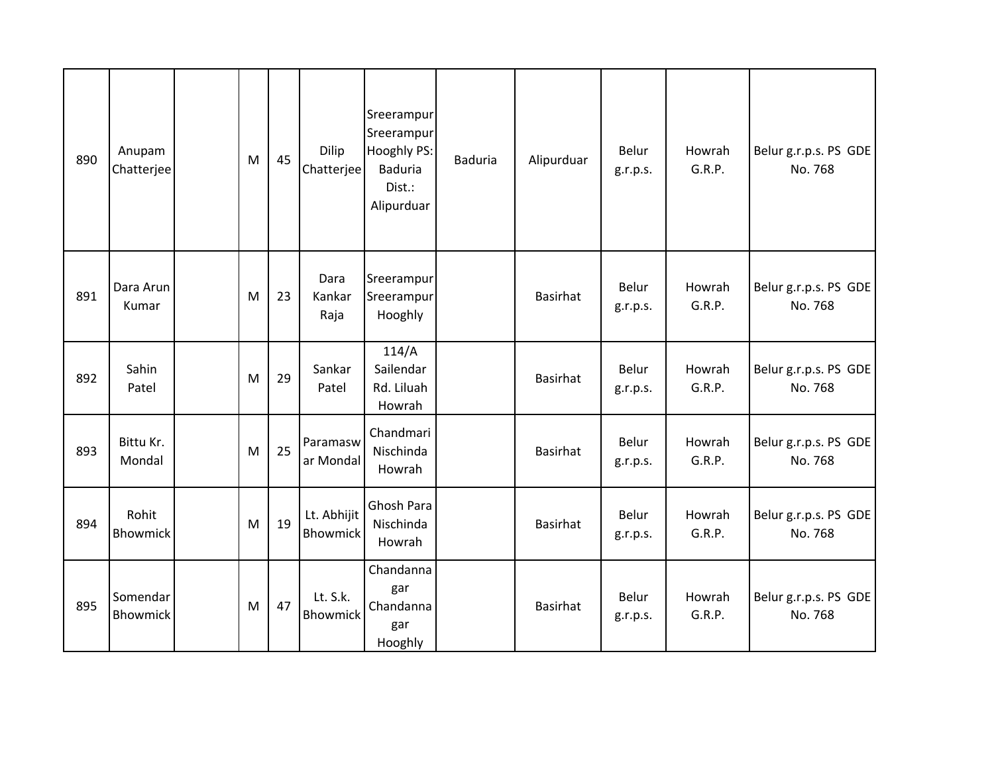| 890 | Anupam<br>Chatterjee        | M | 45 | Dilip<br>Chatterjee            | Sreerampur<br>Sreerampur<br>Hooghly PS:<br><b>Baduria</b><br>Dist.:<br>Alipurduar | <b>Baduria</b> | Alipurduar      | Belur<br>g.r.p.s. | Howrah<br>G.R.P. | Belur g.r.p.s. PS GDE<br>No. 768 |
|-----|-----------------------------|---|----|--------------------------------|-----------------------------------------------------------------------------------|----------------|-----------------|-------------------|------------------|----------------------------------|
| 891 | Dara Arun<br>Kumar          | M | 23 | Dara<br>Kankar<br>Raja         | Sreerampur<br>Sreerampur<br>Hooghly                                               |                | <b>Basirhat</b> | Belur<br>g.r.p.s. | Howrah<br>G.R.P. | Belur g.r.p.s. PS GDE<br>No. 768 |
| 892 | Sahin<br>Patel              | M | 29 | Sankar<br>Patel                | 114/A<br>Sailendar<br>Rd. Liluah<br>Howrah                                        |                | <b>Basirhat</b> | Belur<br>g.r.p.s. | Howrah<br>G.R.P. | Belur g.r.p.s. PS GDE<br>No. 768 |
| 893 | Bittu Kr.<br>Mondal         | M | 25 | Paramasw<br>ar Mondal          | Chandmari<br>Nischinda<br>Howrah                                                  |                | <b>Basirhat</b> | Belur<br>g.r.p.s. | Howrah<br>G.R.P. | Belur g.r.p.s. PS GDE<br>No. 768 |
| 894 | Rohit<br><b>Bhowmick</b>    | M | 19 | Lt. Abhijit<br><b>Bhowmick</b> | Ghosh Para<br>Nischinda<br>Howrah                                                 |                | <b>Basirhat</b> | Belur<br>g.r.p.s. | Howrah<br>G.R.P. | Belur g.r.p.s. PS GDE<br>No. 768 |
| 895 | Somendar<br><b>Bhowmick</b> | M | 47 | Lt. S.k.<br>Bhowmick           | Chandanna<br>gar<br>Chandanna<br>gar<br>Hooghly                                   |                | <b>Basirhat</b> | Belur<br>g.r.p.s. | Howrah<br>G.R.P. | Belur g.r.p.s. PS GDE<br>No. 768 |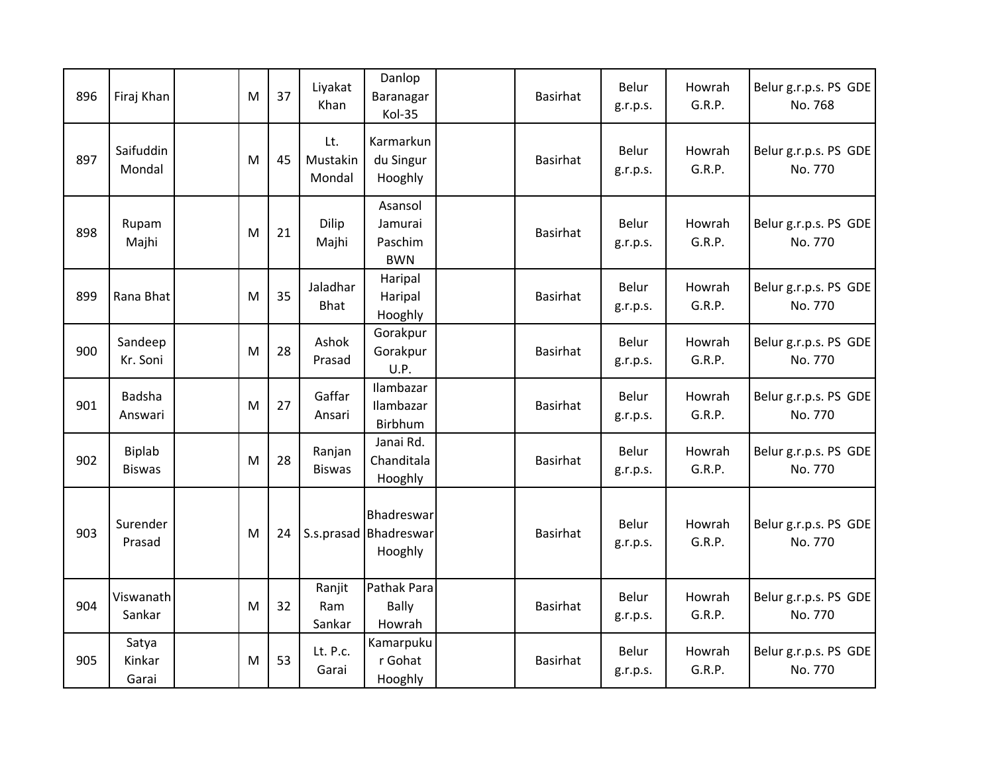| 896 | Firaj Khan               | M | 37 | Liyakat<br>Khan           | Danlop<br>Baranagar<br>Kol-35                  | <b>Basirhat</b> | Belur<br>g.r.p.s. | Howrah<br>G.R.P. | Belur g.r.p.s. PS GDE<br>No. 768 |
|-----|--------------------------|---|----|---------------------------|------------------------------------------------|-----------------|-------------------|------------------|----------------------------------|
| 897 | Saifuddin<br>Mondal      | M | 45 | Lt.<br>Mustakin<br>Mondal | Karmarkun<br>du Singur<br>Hooghly              | <b>Basirhat</b> | Belur<br>g.r.p.s. | Howrah<br>G.R.P. | Belur g.r.p.s. PS GDE<br>No. 770 |
| 898 | Rupam<br>Majhi           | M | 21 | Dilip<br>Majhi            | Asansol<br>Jamurai<br>Paschim<br><b>BWN</b>    | <b>Basirhat</b> | Belur<br>g.r.p.s. | Howrah<br>G.R.P. | Belur g.r.p.s. PS GDE<br>No. 770 |
| 899 | Rana Bhat                | M | 35 | Jaladhar<br><b>Bhat</b>   | Haripal<br>Haripal<br>Hooghly                  | <b>Basirhat</b> | Belur<br>g.r.p.s. | Howrah<br>G.R.P. | Belur g.r.p.s. PS GDE<br>No. 770 |
| 900 | Sandeep<br>Kr. Soni      | M | 28 | Ashok<br>Prasad           | Gorakpur<br>Gorakpur<br>U.P.                   | <b>Basirhat</b> | Belur<br>g.r.p.s. | Howrah<br>G.R.P. | Belur g.r.p.s. PS GDE<br>No. 770 |
| 901 | Badsha<br>Answari        | M | 27 | Gaffar<br>Ansari          | Ilambazar<br>Ilambazar<br>Birbhum              | <b>Basirhat</b> | Belur<br>g.r.p.s. | Howrah<br>G.R.P. | Belur g.r.p.s. PS GDE<br>No. 770 |
| 902 | Biplab<br><b>Biswas</b>  | M | 28 | Ranjan<br><b>Biswas</b>   | Janai Rd.<br>Chanditala<br>Hooghly             | <b>Basirhat</b> | Belur<br>g.r.p.s. | Howrah<br>G.R.P. | Belur g.r.p.s. PS GDE<br>No. 770 |
| 903 | Surender<br>Prasad       | M | 24 |                           | Bhadreswar<br>S.s.prasad Bhadreswar<br>Hooghly | <b>Basirhat</b> | Belur<br>g.r.p.s. | Howrah<br>G.R.P. | Belur g.r.p.s. PS GDE<br>No. 770 |
| 904 | Viswanath<br>Sankar      | M | 32 | Ranjit<br>Ram<br>Sankar   | Pathak Para<br><b>Bally</b><br>Howrah          | <b>Basirhat</b> | Belur<br>g.r.p.s. | Howrah<br>G.R.P. | Belur g.r.p.s. PS GDE<br>No. 770 |
| 905 | Satya<br>Kinkar<br>Garai | M | 53 | Lt. P.c.<br>Garai         | Kamarpuku<br>r Gohat<br>Hooghly                | <b>Basirhat</b> | Belur<br>g.r.p.s. | Howrah<br>G.R.P. | Belur g.r.p.s. PS GDE<br>No. 770 |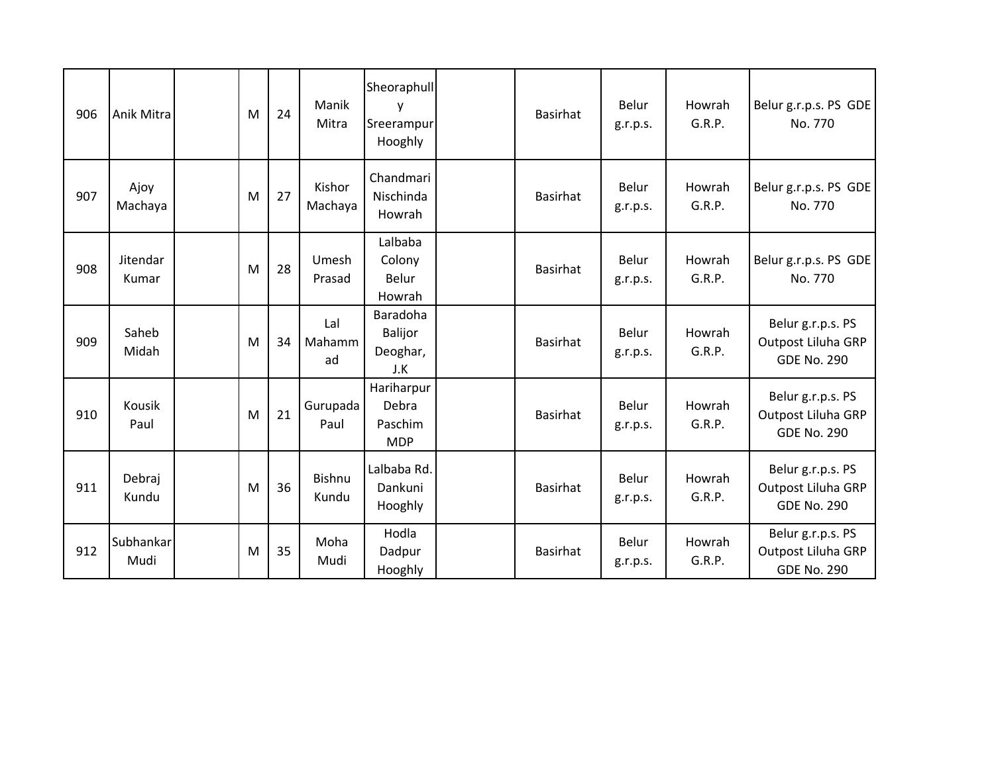| 906 | Anik Mitra        | M | 24 | Manik<br>Mitra      | Sheoraphull<br>у<br>Sreerampur<br>Hooghly    | <b>Basirhat</b> | Belur<br>g.r.p.s. | Howrah<br>G.R.P. | Belur g.r.p.s. PS GDE<br>No. 770                              |
|-----|-------------------|---|----|---------------------|----------------------------------------------|-----------------|-------------------|------------------|---------------------------------------------------------------|
| 907 | Ajoy<br>Machaya   | M | 27 | Kishor<br>Machaya   | Chandmari<br>Nischinda<br>Howrah             | <b>Basirhat</b> | Belur<br>g.r.p.s. | Howrah<br>G.R.P. | Belur g.r.p.s. PS GDE<br>No. 770                              |
| 908 | Jitendar<br>Kumar | M | 28 | Umesh<br>Prasad     | Lalbaba<br>Colony<br>Belur<br>Howrah         | <b>Basirhat</b> | Belur<br>g.r.p.s. | Howrah<br>G.R.P. | Belur g.r.p.s. PS GDE<br>No. 770                              |
| 909 | Saheb<br>Midah    | M | 34 | Lal<br>Mahamm<br>ad | Baradoha<br>Balijor<br>Deoghar,<br>J.K       | <b>Basirhat</b> | Belur<br>g.r.p.s. | Howrah<br>G.R.P. | Belur g.r.p.s. PS<br>Outpost Liluha GRP<br><b>GDE No. 290</b> |
| 910 | Kousik<br>Paul    | M | 21 | Gurupada<br>Paul    | Hariharpur<br>Debra<br>Paschim<br><b>MDP</b> | <b>Basirhat</b> | Belur<br>g.r.p.s. | Howrah<br>G.R.P. | Belur g.r.p.s. PS<br>Outpost Liluha GRP<br><b>GDE No. 290</b> |
| 911 | Debraj<br>Kundu   | M | 36 | Bishnu<br>Kundu     | Lalbaba Rd.<br>Dankuni<br>Hooghly            | <b>Basirhat</b> | Belur<br>g.r.p.s. | Howrah<br>G.R.P. | Belur g.r.p.s. PS<br>Outpost Liluha GRP<br><b>GDE No. 290</b> |
| 912 | Subhankar<br>Mudi | M | 35 | Moha<br>Mudi        | Hodla<br>Dadpur<br>Hooghly                   | <b>Basirhat</b> | Belur<br>g.r.p.s. | Howrah<br>G.R.P. | Belur g.r.p.s. PS<br>Outpost Liluha GRP<br><b>GDE No. 290</b> |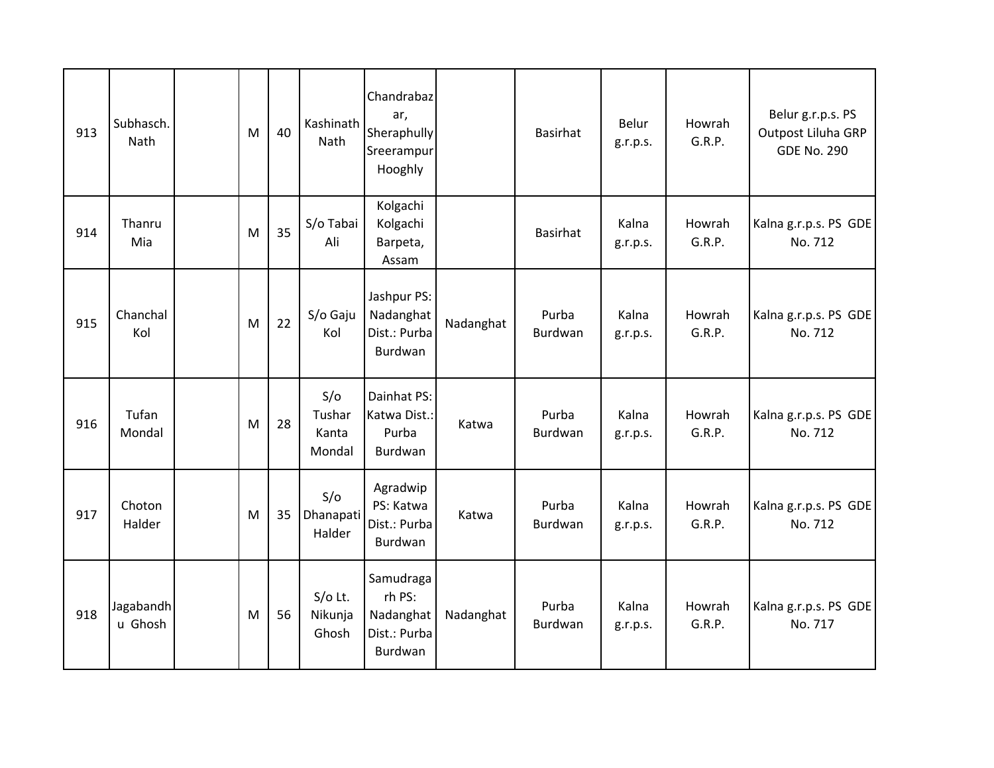| 913 | Subhasch.<br><b>Nath</b> | M | 40 | Kashinath<br><b>Nath</b>         | Chandrabaz<br>ar,<br>Sheraphully<br>Sreerampur<br>Hooghly   |           | <b>Basirhat</b>  | Belur<br>g.r.p.s. | Howrah<br>G.R.P. | Belur g.r.p.s. PS<br>Outpost Liluha GRP<br><b>GDE No. 290</b> |
|-----|--------------------------|---|----|----------------------------------|-------------------------------------------------------------|-----------|------------------|-------------------|------------------|---------------------------------------------------------------|
| 914 | Thanru<br>Mia            | M | 35 | S/o Tabai<br>Ali                 | Kolgachi<br>Kolgachi<br>Barpeta,<br>Assam                   |           | <b>Basirhat</b>  | Kalna<br>g.r.p.s. | Howrah<br>G.R.P. | Kalna g.r.p.s. PS GDE<br>No. 712                              |
| 915 | Chanchal<br>Kol          | M | 22 | S/o Gaju<br>Kol                  | Jashpur PS:<br>Nadanghat<br>Dist.: Purba<br>Burdwan         | Nadanghat | Purba<br>Burdwan | Kalna<br>g.r.p.s. | Howrah<br>G.R.P. | Kalna g.r.p.s. PS GDE<br>No. 712                              |
| 916 | Tufan<br>Mondal          | M | 28 | S/O<br>Tushar<br>Kanta<br>Mondal | Dainhat PS:<br>Katwa Dist.:<br>Purba<br>Burdwan             | Katwa     | Purba<br>Burdwan | Kalna<br>g.r.p.s. | Howrah<br>G.R.P. | Kalna g.r.p.s. PS GDE<br>No. 712                              |
| 917 | Choton<br>Halder         | M | 35 | S/O<br>Dhanapati<br>Halder       | Agradwip<br>PS: Katwa<br>Dist.: Purba<br>Burdwan            | Katwa     | Purba<br>Burdwan | Kalna<br>g.r.p.s. | Howrah<br>G.R.P. | Kalna g.r.p.s. PS GDE<br>No. 712                              |
| 918 | Jagabandh<br>u Ghosh     | M | 56 | $S/O$ Lt.<br>Nikunja<br>Ghosh    | Samudraga<br>rh PS:<br>Nadanghat<br>Dist.: Purba<br>Burdwan | Nadanghat | Purba<br>Burdwan | Kalna<br>g.r.p.s. | Howrah<br>G.R.P. | Kalna g.r.p.s. PS GDE<br>No. 717                              |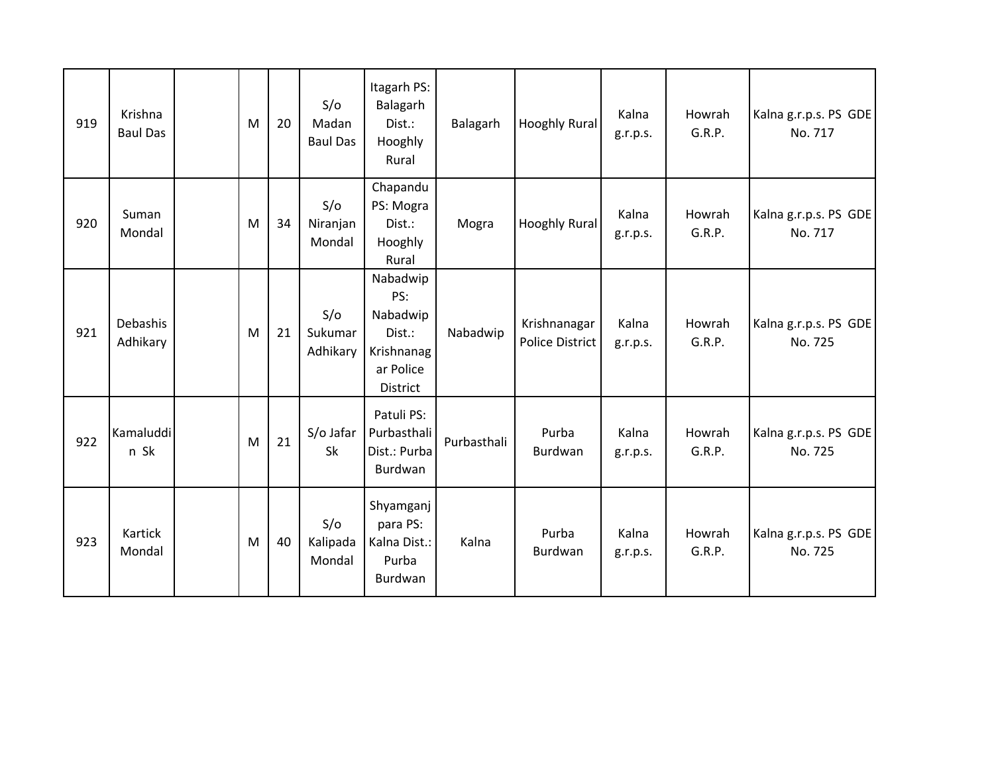| 919 | Krishna<br><b>Baul Das</b> | M | 20 | S/O<br>Madan<br><b>Baul Das</b> | Itagarh PS:<br>Balagarh<br>Dist.:<br>Hooghly<br>Rural                        | Balagarh    | <b>Hooghly Rural</b>                   | Kalna<br>g.r.p.s. | Howrah<br>G.R.P. | Kalna g.r.p.s. PS GDE<br>No. 717 |
|-----|----------------------------|---|----|---------------------------------|------------------------------------------------------------------------------|-------------|----------------------------------------|-------------------|------------------|----------------------------------|
| 920 | Suman<br>Mondal            | M | 34 | S/O<br>Niranjan<br>Mondal       | Chapandu<br>PS: Mogra<br>Dist.:<br>Hooghly<br>Rural                          | Mogra       | Hooghly Rural                          | Kalna<br>g.r.p.s. | Howrah<br>G.R.P. | Kalna g.r.p.s. PS GDE<br>No. 717 |
| 921 | Debashis<br>Adhikary       | M | 21 | S/O<br>Sukumar<br>Adhikary      | Nabadwip<br>PS:<br>Nabadwip<br>Dist.:<br>Krishnanag<br>ar Police<br>District | Nabadwip    | Krishnanagar<br><b>Police District</b> | Kalna<br>g.r.p.s. | Howrah<br>G.R.P. | Kalna g.r.p.s. PS GDE<br>No. 725 |
| 922 | Kamaluddi<br>n Sk          | M | 21 | S/o Jafar<br>Sk                 | Patuli PS:<br>Purbasthali<br>Dist.: Purba<br>Burdwan                         | Purbasthali | Purba<br>Burdwan                       | Kalna<br>g.r.p.s. | Howrah<br>G.R.P. | Kalna g.r.p.s. PS GDE<br>No. 725 |
| 923 | Kartick<br>Mondal          | M | 40 | S/O<br>Kalipada<br>Mondal       | Shyamganj<br>para PS:<br>Kalna Dist.:<br>Purba<br>Burdwan                    | Kalna       | Purba<br>Burdwan                       | Kalna<br>g.r.p.s. | Howrah<br>G.R.P. | Kalna g.r.p.s. PS GDE<br>No. 725 |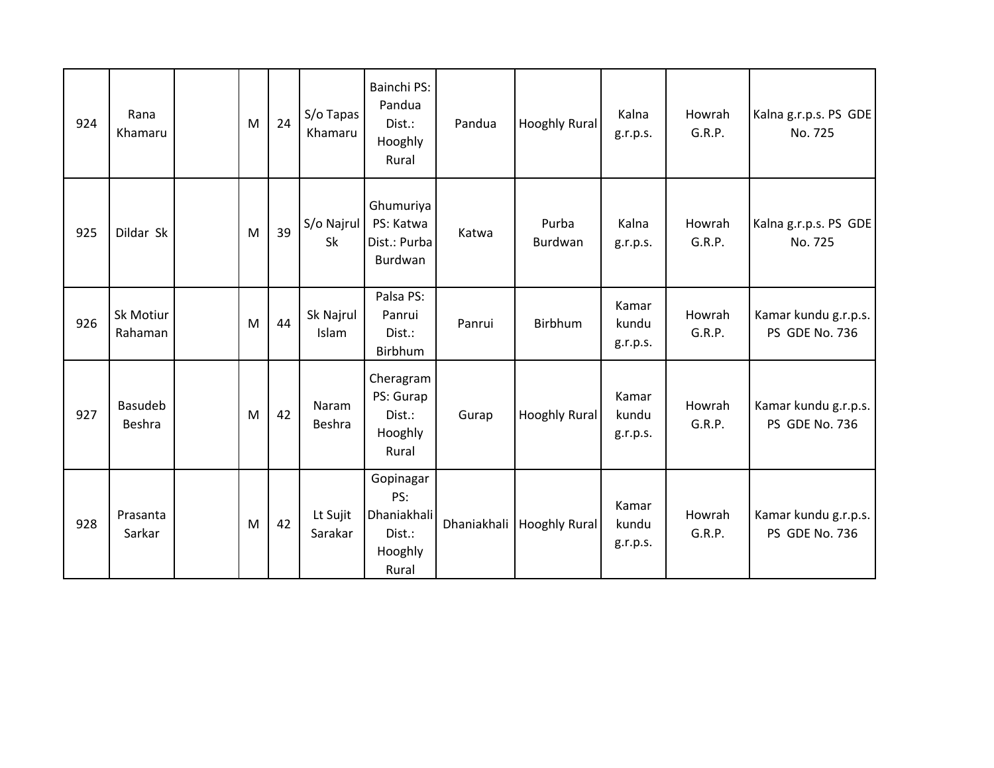| 924 | Rana<br>Khamaru          | M | 24 | S/o Tapas<br>Khamaru | Bainchi PS:<br>Pandua<br>Dist.:<br>Hooghly<br>Rural           | Pandua      | Hooghly Rural        | Kalna<br>g.r.p.s.          | Howrah<br>G.R.P. | Kalna g.r.p.s. PS GDE<br>No. 725       |
|-----|--------------------------|---|----|----------------------|---------------------------------------------------------------|-------------|----------------------|----------------------------|------------------|----------------------------------------|
| 925 | Dildar Sk                | M | 39 | S/o Najrul<br>Sk     | Ghumuriya<br>PS: Katwa<br>Dist.: Purba<br>Burdwan             | Katwa       | Purba<br>Burdwan     | Kalna<br>g.r.p.s.          | Howrah<br>G.R.P. | Kalna g.r.p.s. PS GDE<br>No. 725       |
| 926 | Sk Motiur<br>Rahaman     | M | 44 | Sk Najrul<br>Islam   | Palsa PS:<br>Panrui<br>Dist.:<br>Birbhum                      | Panrui      | <b>Birbhum</b>       | Kamar<br>kundu<br>g.r.p.s. | Howrah<br>G.R.P. | Kamar kundu g.r.p.s.<br>PS GDE No. 736 |
| 927 | <b>Basudeb</b><br>Beshra | M | 42 | Naram<br>Beshra      | Cheragram<br>PS: Gurap<br>Dist.:<br>Hooghly<br>Rural          | Gurap       | <b>Hooghly Rural</b> | Kamar<br>kundu<br>g.r.p.s. | Howrah<br>G.R.P. | Kamar kundu g.r.p.s.<br>PS GDE No. 736 |
| 928 | Prasanta<br>Sarkar       | M | 42 | Lt Sujit<br>Sarakar  | Gopinagar<br>PS:<br>Dhaniakhali<br>Dist.:<br>Hooghly<br>Rural | Dhaniakhali | <b>Hooghly Rural</b> | Kamar<br>kundu<br>g.r.p.s. | Howrah<br>G.R.P. | Kamar kundu g.r.p.s.<br>PS GDE No. 736 |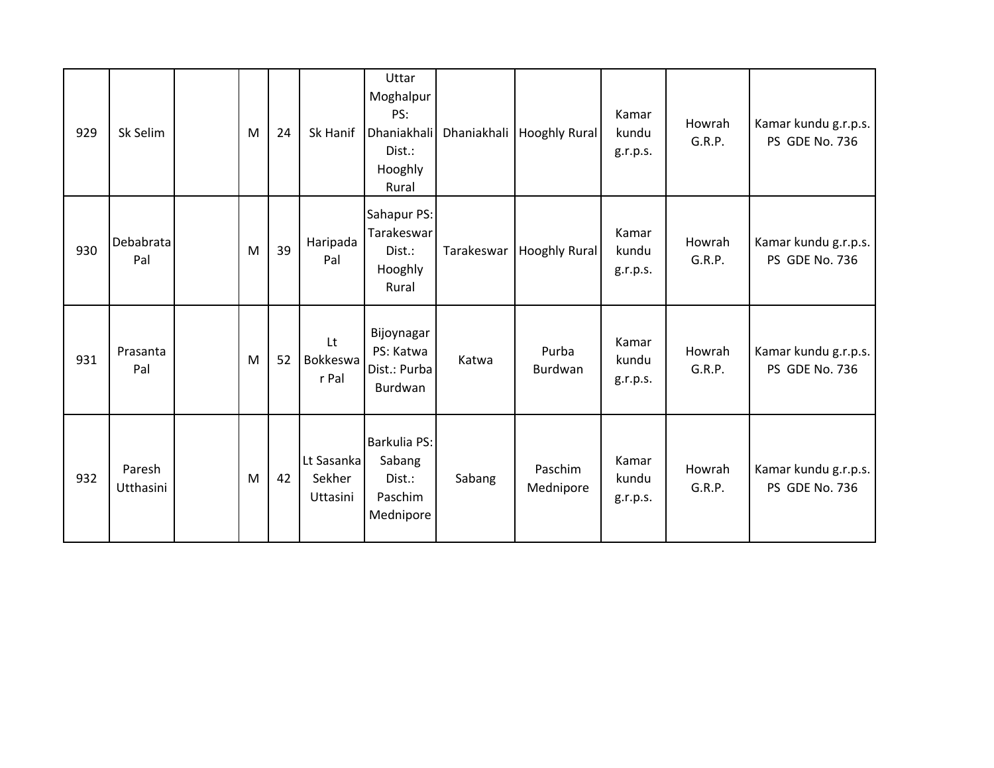| 929 | Sk Selim            | M | 24 | Sk Hanif                         | Uttar<br>Moghalpur<br>PS:<br>Dhaniakhali<br>Dist.:<br>Hooghly<br>Rural |            | Dhaniakhali   Hooghly Rural | Kamar<br>kundu<br>g.r.p.s. | Howrah<br>G.R.P. | Kamar kundu g.r.p.s.<br>PS GDE No. 736 |
|-----|---------------------|---|----|----------------------------------|------------------------------------------------------------------------|------------|-----------------------------|----------------------------|------------------|----------------------------------------|
| 930 | Debabrata<br>Pal    | M | 39 | Haripada<br>Pal                  | Sahapur PS:<br>Tarakeswar<br>Dist.:<br>Hooghly<br>Rural                | Tarakeswar | <b>Hooghly Rural</b>        | Kamar<br>kundu<br>g.r.p.s. | Howrah<br>G.R.P. | Kamar kundu g.r.p.s.<br>PS GDE No. 736 |
| 931 | Prasanta<br>Pal     | M | 52 | Lt<br>Bokkeswa<br>r Pal          | Bijoynagar<br>PS: Katwa<br>Dist.: Purba<br>Burdwan                     | Katwa      | Purba<br>Burdwan            | Kamar<br>kundu<br>g.r.p.s. | Howrah<br>G.R.P. | Kamar kundu g.r.p.s.<br>PS GDE No. 736 |
| 932 | Paresh<br>Utthasini | M | 42 | Lt Sasanka<br>Sekher<br>Uttasini | Barkulia PS:<br>Sabang<br>Dist.:<br>Paschim<br>Mednipore               | Sabang     | Paschim<br>Mednipore        | Kamar<br>kundu<br>g.r.p.s. | Howrah<br>G.R.P. | Kamar kundu g.r.p.s.<br>PS GDE No. 736 |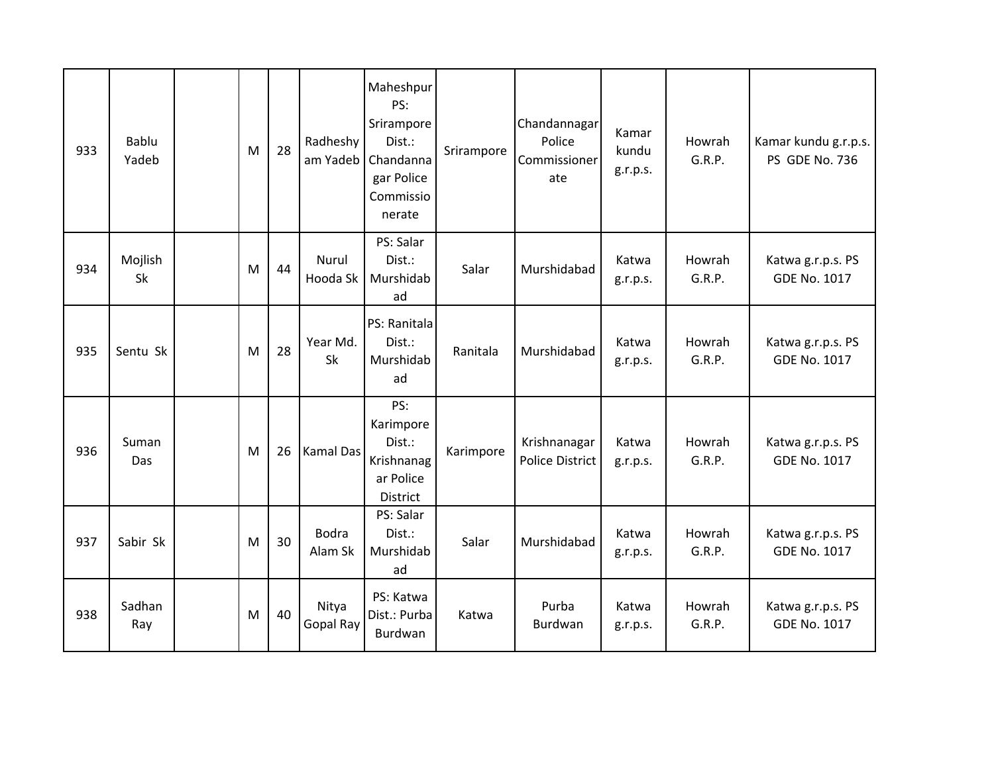| 933 | <b>Bablu</b><br>Yadeb | M | 28 | Radheshy<br>am Yadeb     | Maheshpur<br>PS:<br>Srirampore<br>Dist.:<br>Chandanna<br>gar Police<br>Commissio<br>nerate | Srirampore | Chandannagar<br>Police<br>Commissioner<br>ate | Kamar<br>kundu<br>g.r.p.s. | Howrah<br>G.R.P. | Kamar kundu g.r.p.s.<br>PS GDE No. 736   |
|-----|-----------------------|---|----|--------------------------|--------------------------------------------------------------------------------------------|------------|-----------------------------------------------|----------------------------|------------------|------------------------------------------|
| 934 | Mojlish<br>Sk         | M | 44 | <b>Nurul</b><br>Hooda Sk | PS: Salar<br>Dist.:<br>Murshidab<br>ad                                                     | Salar      | Murshidabad                                   | Katwa<br>g.r.p.s.          | Howrah<br>G.R.P. | Katwa g.r.p.s. PS<br><b>GDE No. 1017</b> |
| 935 | Sentu Sk              | M | 28 | Year Md.<br>Sk           | PS: Ranitala<br>Dist.:<br>Murshidab<br>ad                                                  | Ranitala   | Murshidabad                                   | Katwa<br>g.r.p.s.          | Howrah<br>G.R.P. | Katwa g.r.p.s. PS<br><b>GDE No. 1017</b> |
| 936 | Suman<br>Das          | M | 26 | <b>Kamal Das</b>         | PS:<br>Karimpore<br>Dist.:<br>Krishnanag<br>ar Police<br>District                          | Karimpore  | Krishnanagar<br><b>Police District</b>        | Katwa<br>g.r.p.s.          | Howrah<br>G.R.P. | Katwa g.r.p.s. PS<br><b>GDE No. 1017</b> |
| 937 | Sabir Sk              | M | 30 | <b>Bodra</b><br>Alam Sk  | PS: Salar<br>Dist.:<br>Murshidab<br>ad                                                     | Salar      | Murshidabad                                   | Katwa<br>g.r.p.s.          | Howrah<br>G.R.P. | Katwa g.r.p.s. PS<br><b>GDE No. 1017</b> |
| 938 | Sadhan<br>Ray         | M | 40 | Nitya<br>Gopal Ray       | PS: Katwa<br>Dist.: Purba<br>Burdwan                                                       | Katwa      | Purba<br>Burdwan                              | Katwa<br>g.r.p.s.          | Howrah<br>G.R.P. | Katwa g.r.p.s. PS<br><b>GDE No. 1017</b> |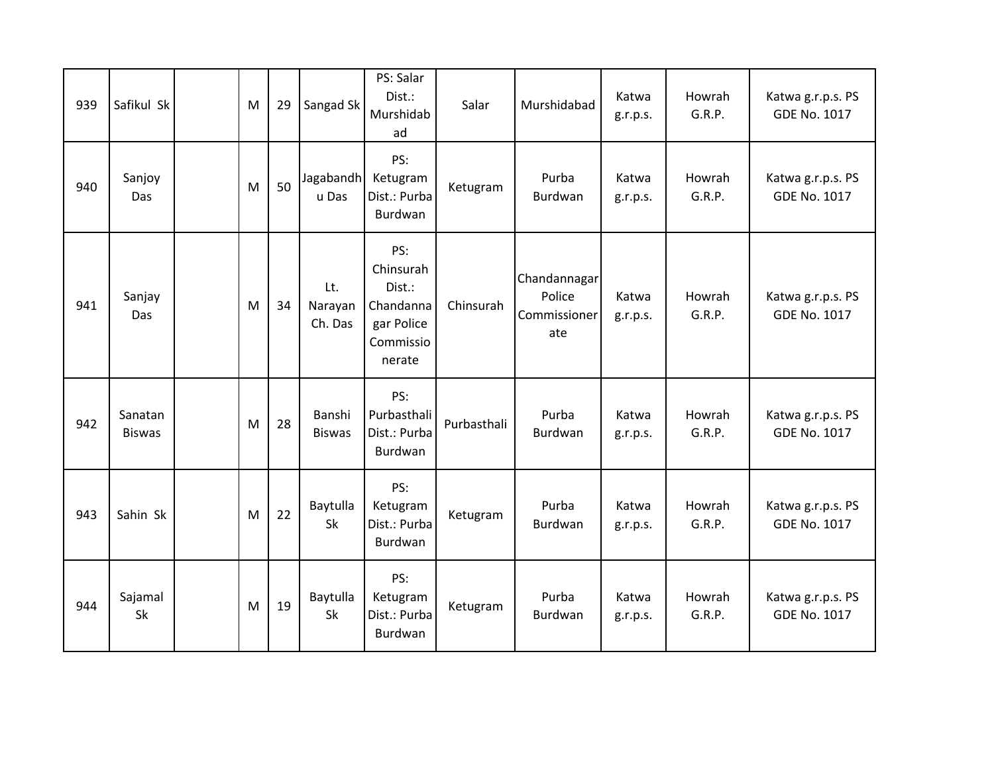| 939 | Safikul Sk               | M | 29 | Sangad Sk                 | PS: Salar<br>Dist.:<br>Murshidab<br>ad                                       | Salar       | Murshidabad                                   | Katwa<br>g.r.p.s. | Howrah<br>G.R.P. | Katwa g.r.p.s. PS<br>GDE No. 1017        |
|-----|--------------------------|---|----|---------------------------|------------------------------------------------------------------------------|-------------|-----------------------------------------------|-------------------|------------------|------------------------------------------|
| 940 | Sanjoy<br>Das            | M | 50 | Jagabandh<br>u Das        | PS:<br>Ketugram<br>Dist.: Purba<br>Burdwan                                   | Ketugram    | Purba<br>Burdwan                              | Katwa<br>g.r.p.s. | Howrah<br>G.R.P. | Katwa g.r.p.s. PS<br><b>GDE No. 1017</b> |
| 941 | Sanjay<br>Das            | M | 34 | Lt.<br>Narayan<br>Ch. Das | PS:<br>Chinsurah<br>Dist.:<br>Chandanna<br>gar Police<br>Commissio<br>nerate | Chinsurah   | Chandannagar<br>Police<br>Commissioner<br>ate | Katwa<br>g.r.p.s. | Howrah<br>G.R.P. | Katwa g.r.p.s. PS<br><b>GDE No. 1017</b> |
| 942 | Sanatan<br><b>Biswas</b> | M | 28 | Banshi<br><b>Biswas</b>   | PS:<br>Purbasthali<br>Dist.: Purba<br>Burdwan                                | Purbasthali | Purba<br>Burdwan                              | Katwa<br>g.r.p.s. | Howrah<br>G.R.P. | Katwa g.r.p.s. PS<br><b>GDE No. 1017</b> |
| 943 | Sahin Sk                 | M | 22 | Baytulla<br>Sk            | PS:<br>Ketugram<br>Dist.: Purba<br>Burdwan                                   | Ketugram    | Purba<br>Burdwan                              | Katwa<br>g.r.p.s. | Howrah<br>G.R.P. | Katwa g.r.p.s. PS<br><b>GDE No. 1017</b> |
| 944 | Sajamal<br>Sk            | M | 19 | Baytulla<br>Sk            | PS:<br>Ketugram<br>Dist.: Purba<br>Burdwan                                   | Ketugram    | Purba<br>Burdwan                              | Katwa<br>g.r.p.s. | Howrah<br>G.R.P. | Katwa g.r.p.s. PS<br>GDE No. 1017        |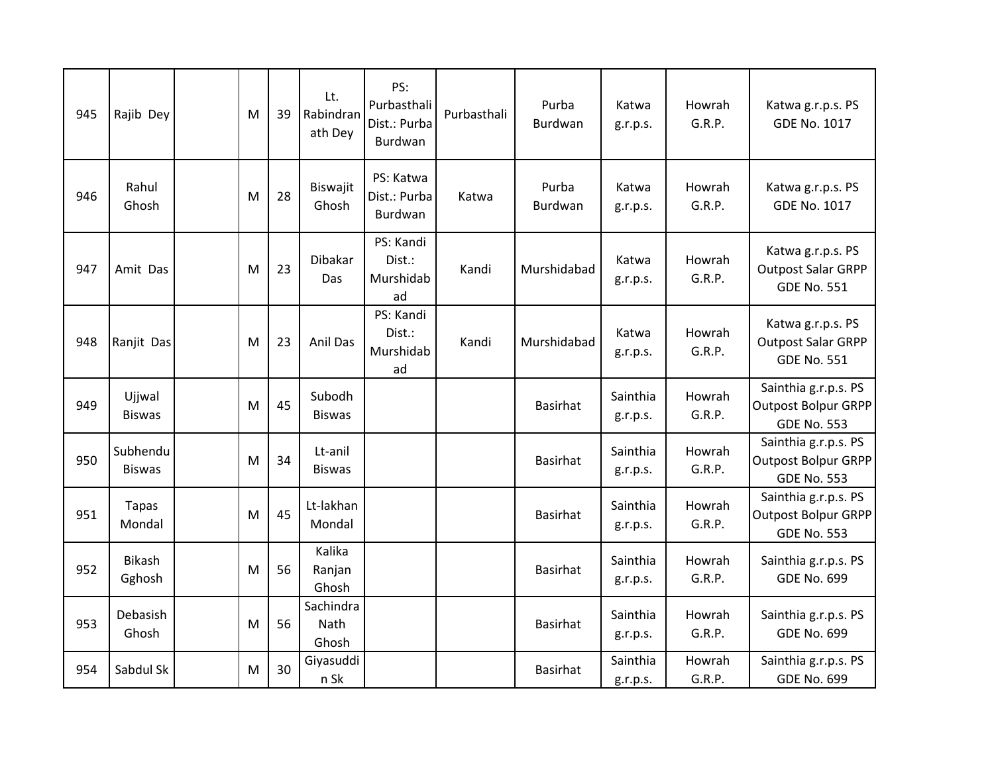| 945 | Rajib Dey                 | M | 39 | Lt.<br>Rabindran<br>ath Dey | PS:<br>Purbasthali<br>Dist.: Purba<br>Burdwan | Purbasthali | Purba<br>Burdwan | Katwa<br>g.r.p.s.    | Howrah<br>G.R.P. | Katwa g.r.p.s. PS<br><b>GDE No. 1017</b>                                 |
|-----|---------------------------|---|----|-----------------------------|-----------------------------------------------|-------------|------------------|----------------------|------------------|--------------------------------------------------------------------------|
| 946 | Rahul<br>Ghosh            | M | 28 | Biswajit<br>Ghosh           | PS: Katwa<br>Dist.: Purba<br>Burdwan          | Katwa       | Purba<br>Burdwan | Katwa<br>g.r.p.s.    | Howrah<br>G.R.P. | Katwa g.r.p.s. PS<br><b>GDE No. 1017</b>                                 |
| 947 | Amit Das                  | M | 23 | <b>Dibakar</b><br>Das       | PS: Kandi<br>Dist.:<br>Murshidab<br>ad        | Kandi       | Murshidabad      | Katwa<br>g.r.p.s.    | Howrah<br>G.R.P. | Katwa g.r.p.s. PS<br><b>Outpost Salar GRPP</b><br><b>GDE No. 551</b>     |
| 948 | Ranjit Das                | M | 23 | Anil Das                    | PS: Kandi<br>Dist.:<br>Murshidab<br>ad        | Kandi       | Murshidabad      | Katwa<br>g.r.p.s.    | Howrah<br>G.R.P. | Katwa g.r.p.s. PS<br><b>Outpost Salar GRPP</b><br><b>GDE No. 551</b>     |
| 949 | Ujjwal<br><b>Biswas</b>   | M | 45 | Subodh<br><b>Biswas</b>     |                                               |             | Basirhat         | Sainthia<br>g.r.p.s. | Howrah<br>G.R.P. | Sainthia g.r.p.s. PS<br><b>Outpost Bolpur GRPP</b><br><b>GDE No. 553</b> |
| 950 | Subhendu<br><b>Biswas</b> | M | 34 | Lt-anil<br><b>Biswas</b>    |                                               |             | <b>Basirhat</b>  | Sainthia<br>g.r.p.s. | Howrah<br>G.R.P. | Sainthia g.r.p.s. PS<br><b>Outpost Bolpur GRPP</b><br><b>GDE No. 553</b> |
| 951 | Tapas<br>Mondal           | M | 45 | Lt-lakhan<br>Mondal         |                                               |             | <b>Basirhat</b>  | Sainthia<br>g.r.p.s. | Howrah<br>G.R.P. | Sainthia g.r.p.s. PS<br><b>Outpost Bolpur GRPP</b><br><b>GDE No. 553</b> |
| 952 | <b>Bikash</b><br>Gghosh   | M | 56 | Kalika<br>Ranjan<br>Ghosh   |                                               |             | <b>Basirhat</b>  | Sainthia<br>g.r.p.s. | Howrah<br>G.R.P. | Sainthia g.r.p.s. PS<br><b>GDE No. 699</b>                               |
| 953 | Debasish<br>Ghosh         | M | 56 | Sachindra<br>Nath<br>Ghosh  |                                               |             | <b>Basirhat</b>  | Sainthia<br>g.r.p.s. | Howrah<br>G.R.P. | Sainthia g.r.p.s. PS<br><b>GDE No. 699</b>                               |
| 954 | Sabdul Sk                 | M | 30 | Giyasuddi<br>n Sk           |                                               |             | <b>Basirhat</b>  | Sainthia<br>g.r.p.s. | Howrah<br>G.R.P. | Sainthia g.r.p.s. PS<br><b>GDE No. 699</b>                               |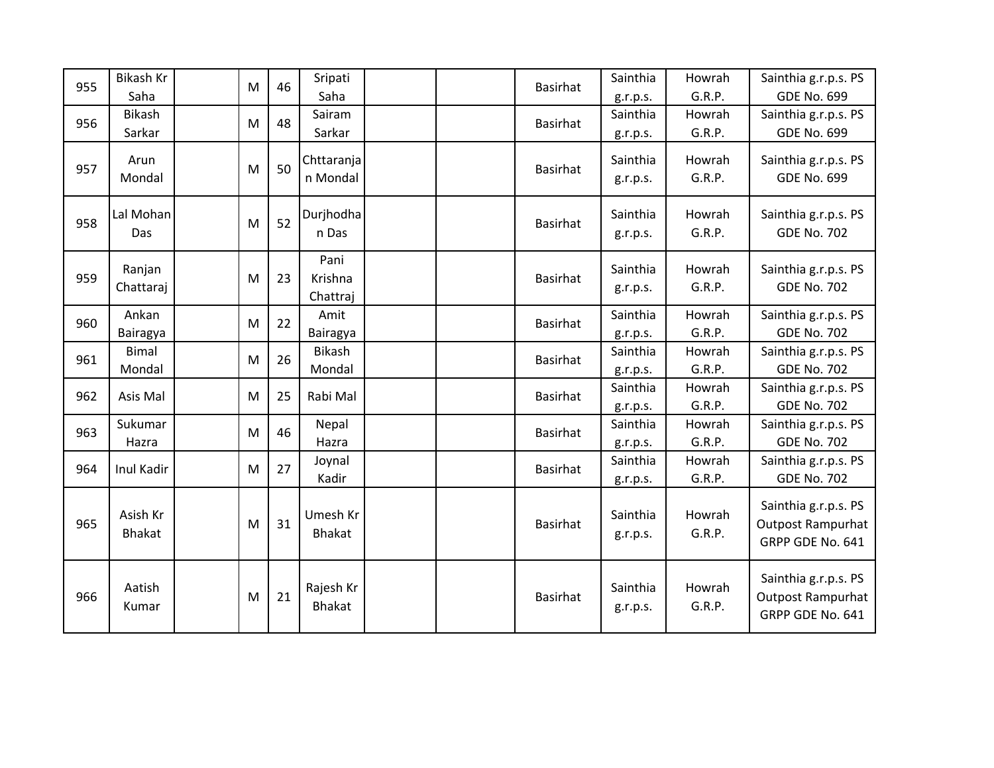| 955 | Bikash Kr<br>Saha         | M | 46 | Sripati<br>Saha             |  | <b>Basirhat</b> | Sainthia<br>g.r.p.s. | Howrah<br>G.R.P. | Sainthia g.r.p.s. PS<br><b>GDE No. 699</b>                           |
|-----|---------------------------|---|----|-----------------------------|--|-----------------|----------------------|------------------|----------------------------------------------------------------------|
| 956 | <b>Bikash</b><br>Sarkar   | M | 48 | Sairam<br>Sarkar            |  | <b>Basirhat</b> | Sainthia<br>g.r.p.s. | Howrah<br>G.R.P. | Sainthia g.r.p.s. PS<br><b>GDE No. 699</b>                           |
| 957 | Arun<br>Mondal            | M | 50 | Chttaranja<br>n Mondal      |  | <b>Basirhat</b> | Sainthia<br>g.r.p.s. | Howrah<br>G.R.P. | Sainthia g.r.p.s. PS<br><b>GDE No. 699</b>                           |
| 958 | Lal Mohan<br>Das          | M | 52 | Durjhodha<br>n Das          |  | <b>Basirhat</b> | Sainthia<br>g.r.p.s. | Howrah<br>G.R.P. | Sainthia g.r.p.s. PS<br><b>GDE No. 702</b>                           |
| 959 | Ranjan<br>Chattaraj       | M | 23 | Pani<br>Krishna<br>Chattraj |  | <b>Basirhat</b> | Sainthia<br>g.r.p.s. | Howrah<br>G.R.P. | Sainthia g.r.p.s. PS<br><b>GDE No. 702</b>                           |
| 960 | Ankan<br>Bairagya         | M | 22 | Amit<br>Bairagya            |  | <b>Basirhat</b> | Sainthia<br>g.r.p.s. | Howrah<br>G.R.P. | Sainthia g.r.p.s. PS<br><b>GDE No. 702</b>                           |
| 961 | <b>Bimal</b><br>Mondal    | M | 26 | Bikash<br>Mondal            |  | <b>Basirhat</b> | Sainthia<br>g.r.p.s. | Howrah<br>G.R.P. | Sainthia g.r.p.s. PS<br><b>GDE No. 702</b>                           |
| 962 | Asis Mal                  | M | 25 | Rabi Mal                    |  | <b>Basirhat</b> | Sainthia<br>g.r.p.s. | Howrah<br>G.R.P. | Sainthia g.r.p.s. PS<br><b>GDE No. 702</b>                           |
| 963 | Sukumar<br>Hazra          | M | 46 | Nepal<br>Hazra              |  | <b>Basirhat</b> | Sainthia<br>g.r.p.s. | Howrah<br>G.R.P. | Sainthia g.r.p.s. PS<br><b>GDE No. 702</b>                           |
| 964 | Inul Kadir                | M | 27 | Joynal<br>Kadir             |  | <b>Basirhat</b> | Sainthia<br>g.r.p.s. | Howrah<br>G.R.P. | Sainthia g.r.p.s. PS<br><b>GDE No. 702</b>                           |
| 965 | Asish Kr<br><b>Bhakat</b> | M | 31 | Umesh Kr<br><b>Bhakat</b>   |  | <b>Basirhat</b> | Sainthia<br>g.r.p.s. | Howrah<br>G.R.P. | Sainthia g.r.p.s. PS<br><b>Outpost Rampurhat</b><br>GRPP GDE No. 641 |
| 966 | Aatish<br>Kumar           | M | 21 | Rajesh Kr<br><b>Bhakat</b>  |  | <b>Basirhat</b> | Sainthia<br>g.r.p.s. | Howrah<br>G.R.P. | Sainthia g.r.p.s. PS<br><b>Outpost Rampurhat</b><br>GRPP GDE No. 641 |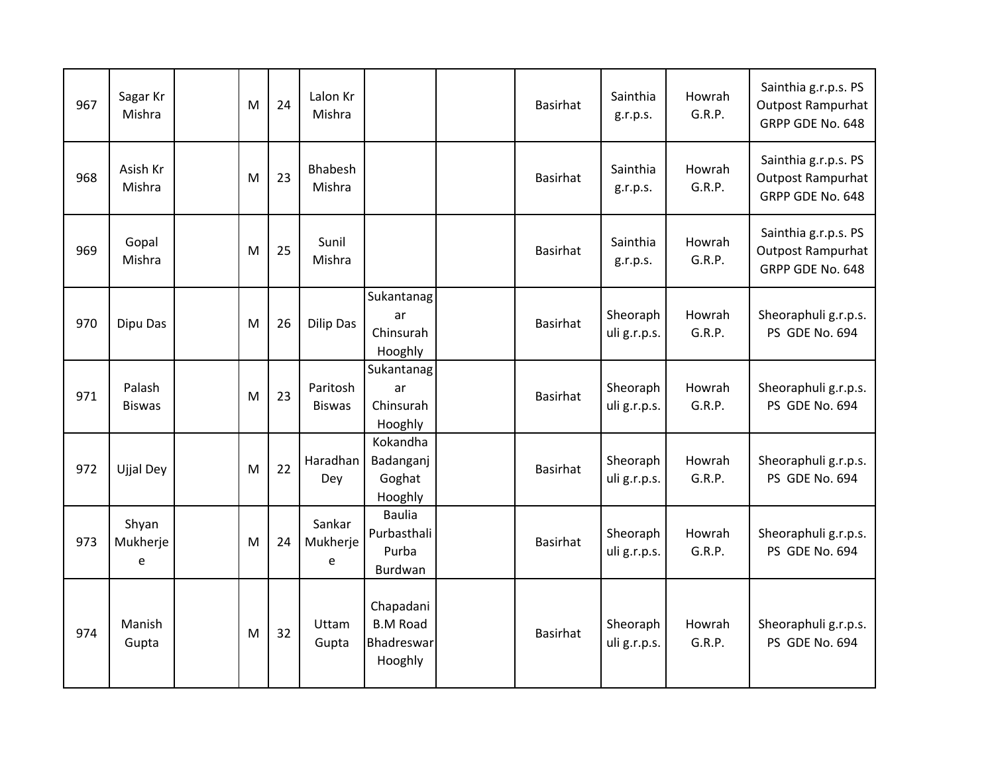| 967 | Sagar Kr<br>Mishra      | M | 24 | Lalon Kr<br>Mishra        |                                                       | <b>Basirhat</b> | Sainthia<br>g.r.p.s.     | Howrah<br>G.R.P. | Sainthia g.r.p.s. PS<br><b>Outpost Rampurhat</b><br>GRPP GDE No. 648 |
|-----|-------------------------|---|----|---------------------------|-------------------------------------------------------|-----------------|--------------------------|------------------|----------------------------------------------------------------------|
| 968 | Asish Kr<br>Mishra      | M | 23 | Bhabesh<br>Mishra         |                                                       | <b>Basirhat</b> | Sainthia<br>g.r.p.s.     | Howrah<br>G.R.P. | Sainthia g.r.p.s. PS<br>Outpost Rampurhat<br>GRPP GDE No. 648        |
| 969 | Gopal<br>Mishra         | M | 25 | Sunil<br>Mishra           |                                                       | <b>Basirhat</b> | Sainthia<br>g.r.p.s.     | Howrah<br>G.R.P. | Sainthia g.r.p.s. PS<br><b>Outpost Rampurhat</b><br>GRPP GDE No. 648 |
| 970 | Dipu Das                | M | 26 | <b>Dilip Das</b>          | Sukantanag<br>ar<br>Chinsurah<br>Hooghly              | <b>Basirhat</b> | Sheoraph<br>uli g.r.p.s. | Howrah<br>G.R.P. | Sheoraphuli g.r.p.s.<br>PS GDE No. 694                               |
| 971 | Palash<br><b>Biswas</b> | M | 23 | Paritosh<br><b>Biswas</b> | Sukantanag<br>ar<br>Chinsurah<br>Hooghly              | <b>Basirhat</b> | Sheoraph<br>uli g.r.p.s. | Howrah<br>G.R.P. | Sheoraphuli g.r.p.s.<br>PS GDE No. 694                               |
| 972 | <b>Ujjal Dey</b>        | M | 22 | Haradhan<br>Dey           | Kokandha<br>Badanganj<br>Goghat<br>Hooghly            | <b>Basirhat</b> | Sheoraph<br>uli g.r.p.s. | Howrah<br>G.R.P. | Sheoraphuli g.r.p.s.<br>PS GDE No. 694                               |
| 973 | Shyan<br>Mukherje<br>e  | M | 24 | Sankar<br>Mukherje<br>e   | <b>Baulia</b><br>Purbasthali<br>Purba<br>Burdwan      | <b>Basirhat</b> | Sheoraph<br>uli g.r.p.s. | Howrah<br>G.R.P. | Sheoraphuli g.r.p.s.<br>PS GDE No. 694                               |
| 974 | Manish<br>Gupta         | M | 32 | Uttam<br>Gupta            | Chapadani<br><b>B.M Road</b><br>Bhadreswar<br>Hooghly | <b>Basirhat</b> | Sheoraph<br>uli g.r.p.s. | Howrah<br>G.R.P. | Sheoraphuli g.r.p.s.<br>PS GDE No. 694                               |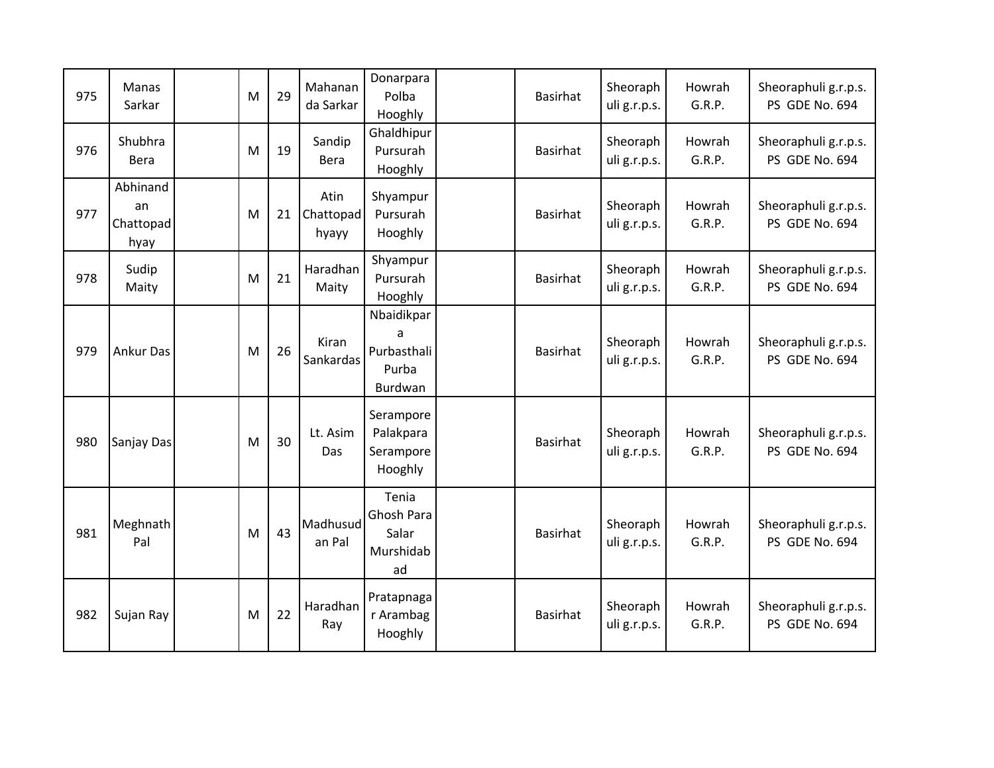| 975 | <b>Manas</b><br>Sarkar              | M | 29 | Mahanan<br>da Sarkar       | Donarpara<br>Polba<br>Hooghly                      | <b>Basirhat</b> | Sheoraph<br>uli g.r.p.s. | Howrah<br>G.R.P. | Sheoraphuli g.r.p.s.<br>PS GDE No. 694 |
|-----|-------------------------------------|---|----|----------------------------|----------------------------------------------------|-----------------|--------------------------|------------------|----------------------------------------|
| 976 | Shubhra<br>Bera                     | M | 19 | Sandip<br>Bera             | Ghaldhipur<br>Pursurah<br>Hooghly                  | <b>Basirhat</b> | Sheoraph<br>uli g.r.p.s. | Howrah<br>G.R.P. | Sheoraphuli g.r.p.s.<br>PS GDE No. 694 |
| 977 | Abhinand<br>an<br>Chattopad<br>hyay | M | 21 | Atin<br>Chattopad<br>hyayy | Shyampur<br>Pursurah<br>Hooghly                    | <b>Basirhat</b> | Sheoraph<br>uli g.r.p.s. | Howrah<br>G.R.P. | Sheoraphuli g.r.p.s.<br>PS GDE No. 694 |
| 978 | Sudip<br>Maity                      | M | 21 | Haradhan<br>Maity          | Shyampur<br>Pursurah<br>Hooghly                    | <b>Basirhat</b> | Sheoraph<br>uli g.r.p.s. | Howrah<br>G.R.P. | Sheoraphuli g.r.p.s.<br>PS GDE No. 694 |
| 979 | <b>Ankur Das</b>                    | M | 26 | Kiran<br>Sankardas         | Nbaidikpar<br>a<br>Purbasthali<br>Purba<br>Burdwan | <b>Basirhat</b> | Sheoraph<br>uli g.r.p.s. | Howrah<br>G.R.P. | Sheoraphuli g.r.p.s.<br>PS GDE No. 694 |
| 980 | Sanjay Das                          | M | 30 | Lt. Asim<br>Das            | Serampore<br>Palakpara<br>Serampore<br>Hooghly     | <b>Basirhat</b> | Sheoraph<br>uli g.r.p.s. | Howrah<br>G.R.P. | Sheoraphuli g.r.p.s.<br>PS GDE No. 694 |
| 981 | Meghnath<br>Pal                     | M | 43 | Madhusud<br>an Pal         | Tenia<br>Ghosh Para<br>Salar<br>Murshidab<br>ad    | <b>Basirhat</b> | Sheoraph<br>uli g.r.p.s. | Howrah<br>G.R.P. | Sheoraphuli g.r.p.s.<br>PS GDE No. 694 |
| 982 | Sujan Ray                           | M | 22 | Haradhan<br>Ray            | Pratapnaga<br>r Arambag<br>Hooghly                 | <b>Basirhat</b> | Sheoraph<br>uli g.r.p.s. | Howrah<br>G.R.P. | Sheoraphuli g.r.p.s.<br>PS GDE No. 694 |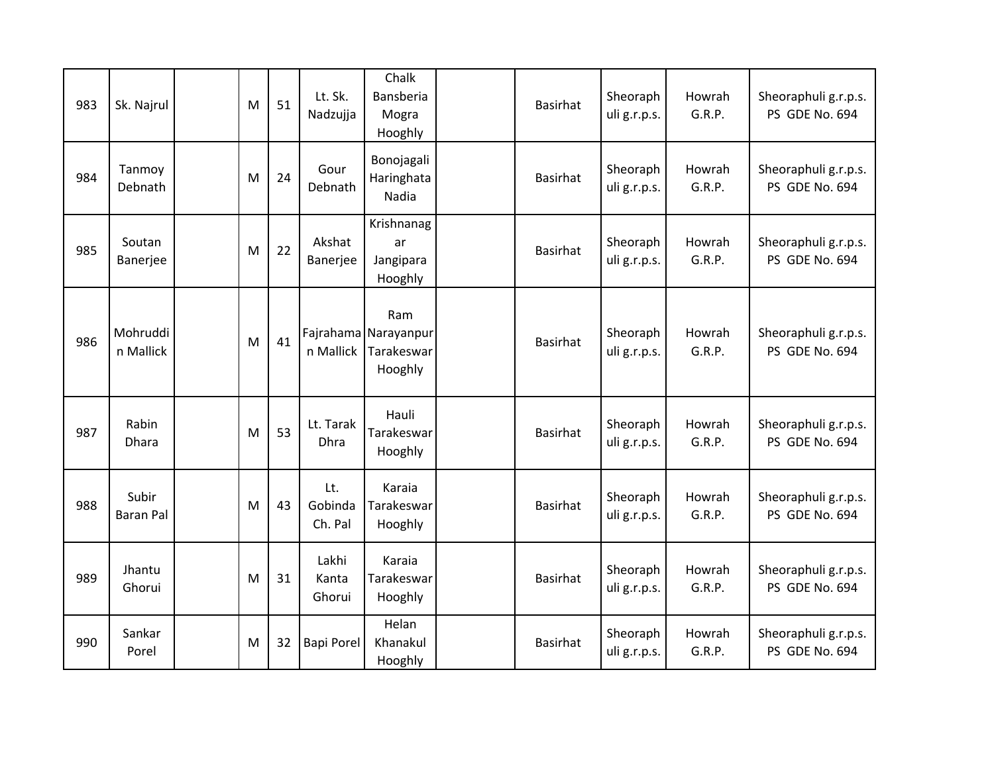| 983 | Sk. Najrul                | M | 51 | Lt. Sk.<br>Nadzujja       | Chalk<br>Bansberia<br>Mogra<br>Hooghly               | <b>Basirhat</b> | Sheoraph<br>uli g.r.p.s. | Howrah<br>G.R.P. | Sheoraphuli g.r.p.s.<br>PS GDE No. 694 |
|-----|---------------------------|---|----|---------------------------|------------------------------------------------------|-----------------|--------------------------|------------------|----------------------------------------|
| 984 | Tanmoy<br>Debnath         | M | 24 | Gour<br>Debnath           | Bonojagali<br>Haringhata<br>Nadia                    | <b>Basirhat</b> | Sheoraph<br>uli g.r.p.s. | Howrah<br>G.R.P. | Sheoraphuli g.r.p.s.<br>PS GDE No. 694 |
| 985 | Soutan<br>Banerjee        | M | 22 | Akshat<br>Banerjee        | Krishnanag<br>ar<br>Jangipara<br>Hooghly             | <b>Basirhat</b> | Sheoraph<br>uli g.r.p.s. | Howrah<br>G.R.P. | Sheoraphuli g.r.p.s.<br>PS GDE No. 694 |
| 986 | Mohruddi<br>n Mallick     | M | 41 | n Mallick                 | Ram<br>Fajrahama Narayanpur<br>Tarakeswar<br>Hooghly | <b>Basirhat</b> | Sheoraph<br>uli g.r.p.s. | Howrah<br>G.R.P. | Sheoraphuli g.r.p.s.<br>PS GDE No. 694 |
| 987 | Rabin<br>Dhara            | M | 53 | Lt. Tarak<br>Dhra         | Hauli<br>Tarakeswar<br>Hooghly                       | <b>Basirhat</b> | Sheoraph<br>uli g.r.p.s. | Howrah<br>G.R.P. | Sheoraphuli g.r.p.s.<br>PS GDE No. 694 |
| 988 | Subir<br><b>Baran Pal</b> | M | 43 | Lt.<br>Gobinda<br>Ch. Pal | Karaia<br>Tarakeswar<br>Hooghly                      | <b>Basirhat</b> | Sheoraph<br>uli g.r.p.s. | Howrah<br>G.R.P. | Sheoraphuli g.r.p.s.<br>PS GDE No. 694 |
| 989 | Jhantu<br>Ghorui          | M | 31 | Lakhi<br>Kanta<br>Ghorui  | Karaia<br>Tarakeswar<br>Hooghly                      | <b>Basirhat</b> | Sheoraph<br>uli g.r.p.s. | Howrah<br>G.R.P. | Sheoraphuli g.r.p.s.<br>PS GDE No. 694 |
| 990 | Sankar<br>Porel           | M | 32 | <b>Bapi Porel</b>         | Helan<br>Khanakul<br>Hooghly                         | <b>Basirhat</b> | Sheoraph<br>uli g.r.p.s. | Howrah<br>G.R.P. | Sheoraphuli g.r.p.s.<br>PS GDE No. 694 |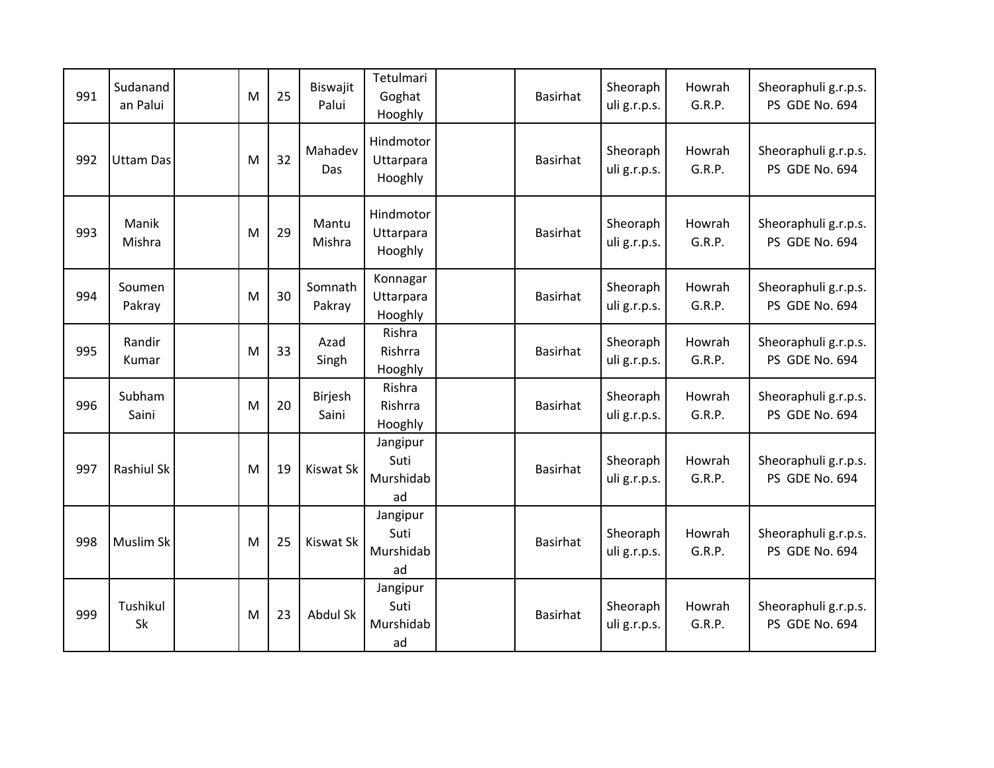| 991 | Sudanand<br>an Palui | M | 25 | Biswajit<br>Palui | Tetulmari<br>Goghat<br>Hooghly      | <b>Basirhat</b> | Sheoraph<br>uli g.r.p.s. | Howrah<br>G.R.P. | Sheoraphuli g.r.p.s.<br>PS GDE No. 694 |
|-----|----------------------|---|----|-------------------|-------------------------------------|-----------------|--------------------------|------------------|----------------------------------------|
| 992 | <b>Uttam Das</b>     | M | 32 | Mahadev<br>Das    | Hindmotor<br>Uttarpara<br>Hooghly   | <b>Basirhat</b> | Sheoraph<br>uli g.r.p.s. | Howrah<br>G.R.P. | Sheoraphuli g.r.p.s.<br>PS GDE No. 694 |
| 993 | Manik<br>Mishra      | M | 29 | Mantu<br>Mishra   | Hindmotor<br>Uttarpara<br>Hooghly   | <b>Basirhat</b> | Sheoraph<br>uli g.r.p.s. | Howrah<br>G.R.P. | Sheoraphuli g.r.p.s.<br>PS GDE No. 694 |
| 994 | Soumen<br>Pakray     | M | 30 | Somnath<br>Pakray | Konnagar<br>Uttarpara<br>Hooghly    | <b>Basirhat</b> | Sheoraph<br>uli g.r.p.s. | Howrah<br>G.R.P. | Sheoraphuli g.r.p.s.<br>PS GDE No. 694 |
| 995 | Randir<br>Kumar      | M | 33 | Azad<br>Singh     | Rishra<br>Rishrra<br>Hooghly        | <b>Basirhat</b> | Sheoraph<br>uli g.r.p.s. | Howrah<br>G.R.P. | Sheoraphuli g.r.p.s.<br>PS GDE No. 694 |
| 996 | Subham<br>Saini      | M | 20 | Birjesh<br>Saini  | Rishra<br>Rishrra<br>Hooghly        | <b>Basirhat</b> | Sheoraph<br>uli g.r.p.s. | Howrah<br>G.R.P. | Sheoraphuli g.r.p.s.<br>PS GDE No. 694 |
| 997 | <b>Rashiul Sk</b>    | M | 19 | <b>Kiswat Sk</b>  | Jangipur<br>Suti<br>Murshidab<br>ad | <b>Basirhat</b> | Sheoraph<br>uli g.r.p.s. | Howrah<br>G.R.P. | Sheoraphuli g.r.p.s.<br>PS GDE No. 694 |
| 998 | Muslim Sk            | M | 25 | <b>Kiswat Sk</b>  | Jangipur<br>Suti<br>Murshidab<br>ad | <b>Basirhat</b> | Sheoraph<br>uli g.r.p.s. | Howrah<br>G.R.P. | Sheoraphuli g.r.p.s.<br>PS GDE No. 694 |
| 999 | Tushikul<br>Sk       | M | 23 | Abdul Sk          | Jangipur<br>Suti<br>Murshidab<br>ad | <b>Basirhat</b> | Sheoraph<br>uli g.r.p.s. | Howrah<br>G.R.P. | Sheoraphuli g.r.p.s.<br>PS GDE No. 694 |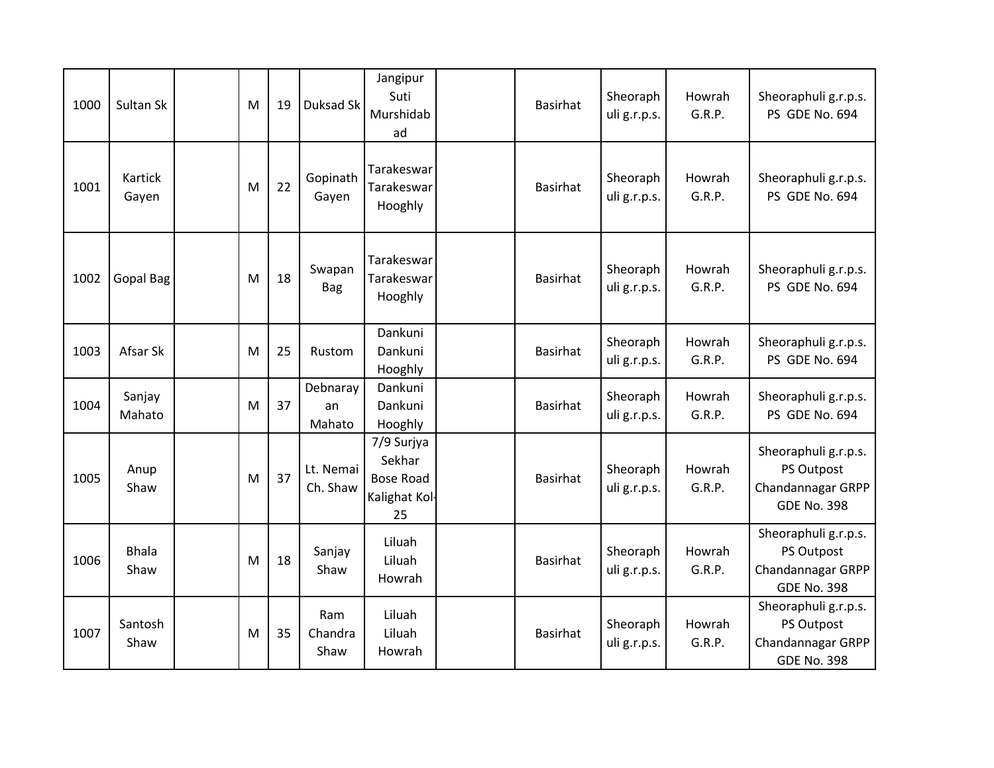| 1000 | Sultan Sk            | M | 19 | Duksad Sk                | Jangipur<br>Suti<br>Murshidab<br>ad                            | <b>Basirhat</b> | Sheoraph<br>uli g.r.p.s. | Howrah<br>G.R.P. | Sheoraphuli g.r.p.s.<br>PS GDE No. 694                                        |
|------|----------------------|---|----|--------------------------|----------------------------------------------------------------|-----------------|--------------------------|------------------|-------------------------------------------------------------------------------|
| 1001 | Kartick<br>Gayen     | M | 22 | Gopinath<br>Gayen        | Tarakeswar<br>Tarakeswar<br>Hooghly                            | <b>Basirhat</b> | Sheoraph<br>uli g.r.p.s. | Howrah<br>G.R.P. | Sheoraphuli g.r.p.s.<br>PS GDE No. 694                                        |
| 1002 | <b>Gopal Bag</b>     | M | 18 | Swapan<br><b>Bag</b>     | Tarakeswar<br>Tarakeswar<br>Hooghly                            | <b>Basirhat</b> | Sheoraph<br>uli g.r.p.s. | Howrah<br>G.R.P. | Sheoraphuli g.r.p.s.<br>PS GDE No. 694                                        |
| 1003 | Afsar Sk             | M | 25 | Rustom                   | Dankuni<br>Dankuni<br>Hooghly                                  | <b>Basirhat</b> | Sheoraph<br>uli g.r.p.s. | Howrah<br>G.R.P. | Sheoraphuli g.r.p.s.<br>PS GDE No. 694                                        |
| 1004 | Sanjay<br>Mahato     | M | 37 | Debnaray<br>an<br>Mahato | Dankuni<br>Dankuni<br>Hooghly                                  | <b>Basirhat</b> | Sheoraph<br>uli g.r.p.s. | Howrah<br>G.R.P. | Sheoraphuli g.r.p.s.<br>PS GDE No. 694                                        |
| 1005 | Anup<br>Shaw         | M | 37 | Lt. Nemai<br>Ch. Shaw    | 7/9 Surjya<br>Sekhar<br><b>Bose Road</b><br>Kalighat Kol<br>25 | <b>Basirhat</b> | Sheoraph<br>uli g.r.p.s. | Howrah<br>G.R.P. | Sheoraphuli g.r.p.s.<br>PS Outpost<br>Chandannagar GRPP<br><b>GDE No. 398</b> |
| 1006 | <b>Bhala</b><br>Shaw | M | 18 | Sanjay<br>Shaw           | Liluah<br>Liluah<br>Howrah                                     | <b>Basirhat</b> | Sheoraph<br>uli g.r.p.s. | Howrah<br>G.R.P. | Sheoraphuli g.r.p.s.<br>PS Outpost<br>Chandannagar GRPP<br><b>GDE No. 398</b> |
| 1007 | Santosh<br>Shaw      | M | 35 | Ram<br>Chandra<br>Shaw   | Liluah<br>Liluah<br>Howrah                                     | <b>Basirhat</b> | Sheoraph<br>uli g.r.p.s. | Howrah<br>G.R.P. | Sheoraphuli g.r.p.s.<br>PS Outpost<br>Chandannagar GRPP<br><b>GDE No. 398</b> |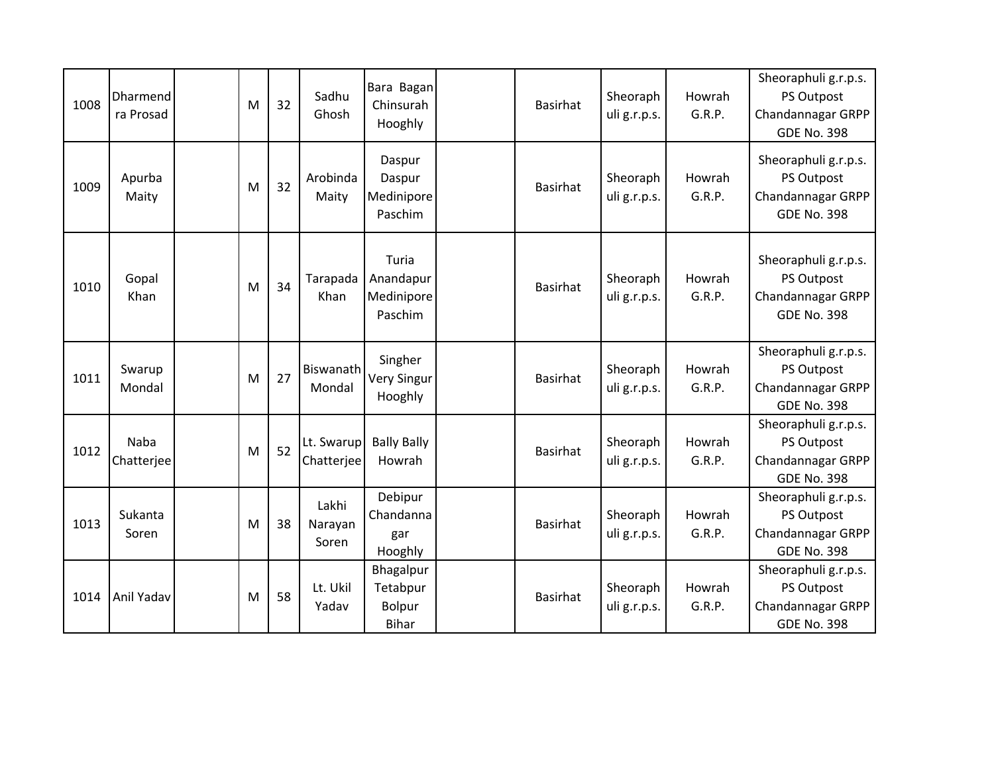| 1008 | Dharmend<br>ra Prosad     | M | 32 | Sadhu<br>Ghosh            | Bara Bagan<br>Chinsurah<br>Hooghly          | <b>Basirhat</b> | Sheoraph<br>uli g.r.p.s. | Howrah<br>G.R.P. | Sheoraphuli g.r.p.s.<br>PS Outpost<br>Chandannagar GRPP<br><b>GDE No. 398</b> |
|------|---------------------------|---|----|---------------------------|---------------------------------------------|-----------------|--------------------------|------------------|-------------------------------------------------------------------------------|
| 1009 | Apurba<br>Maity           | M | 32 | Arobinda<br>Maity         | Daspur<br>Daspur<br>Medinipore<br>Paschim   | <b>Basirhat</b> | Sheoraph<br>uli g.r.p.s. | Howrah<br>G.R.P. | Sheoraphuli g.r.p.s.<br>PS Outpost<br>Chandannagar GRPP<br><b>GDE No. 398</b> |
| 1010 | Gopal<br>Khan             | M | 34 | Tarapada<br>Khan          | Turia<br>Anandapur<br>Medinipore<br>Paschim | <b>Basirhat</b> | Sheoraph<br>uli g.r.p.s. | Howrah<br>G.R.P. | Sheoraphuli g.r.p.s.<br>PS Outpost<br>Chandannagar GRPP<br><b>GDE No. 398</b> |
| 1011 | Swarup<br>Mondal          | M | 27 | Biswanath<br>Mondal       | Singher<br><b>Very Singur</b><br>Hooghly    | <b>Basirhat</b> | Sheoraph<br>uli g.r.p.s. | Howrah<br>G.R.P. | Sheoraphuli g.r.p.s.<br>PS Outpost<br>Chandannagar GRPP<br><b>GDE No. 398</b> |
| 1012 | <b>Naba</b><br>Chatterjee | M | 52 | Lt. Swarup<br>Chatterjee  | <b>Bally Bally</b><br>Howrah                | <b>Basirhat</b> | Sheoraph<br>uli g.r.p.s. | Howrah<br>G.R.P. | Sheoraphuli g.r.p.s.<br>PS Outpost<br>Chandannagar GRPP<br><b>GDE No. 398</b> |
| 1013 | Sukanta<br>Soren          | M | 38 | Lakhi<br>Narayan<br>Soren | Debipur<br>Chandanna<br>gar<br>Hooghly      | <b>Basirhat</b> | Sheoraph<br>uli g.r.p.s. | Howrah<br>G.R.P. | Sheoraphuli g.r.p.s.<br>PS Outpost<br>Chandannagar GRPP<br><b>GDE No. 398</b> |
| 1014 | Anil Yadav                | M | 58 | Lt. Ukil<br>Yadav         | Bhagalpur<br>Tetabpur<br>Bolpur<br>Bihar    | <b>Basirhat</b> | Sheoraph<br>uli g.r.p.s. | Howrah<br>G.R.P. | Sheoraphuli g.r.p.s.<br>PS Outpost<br>Chandannagar GRPP<br><b>GDE No. 398</b> |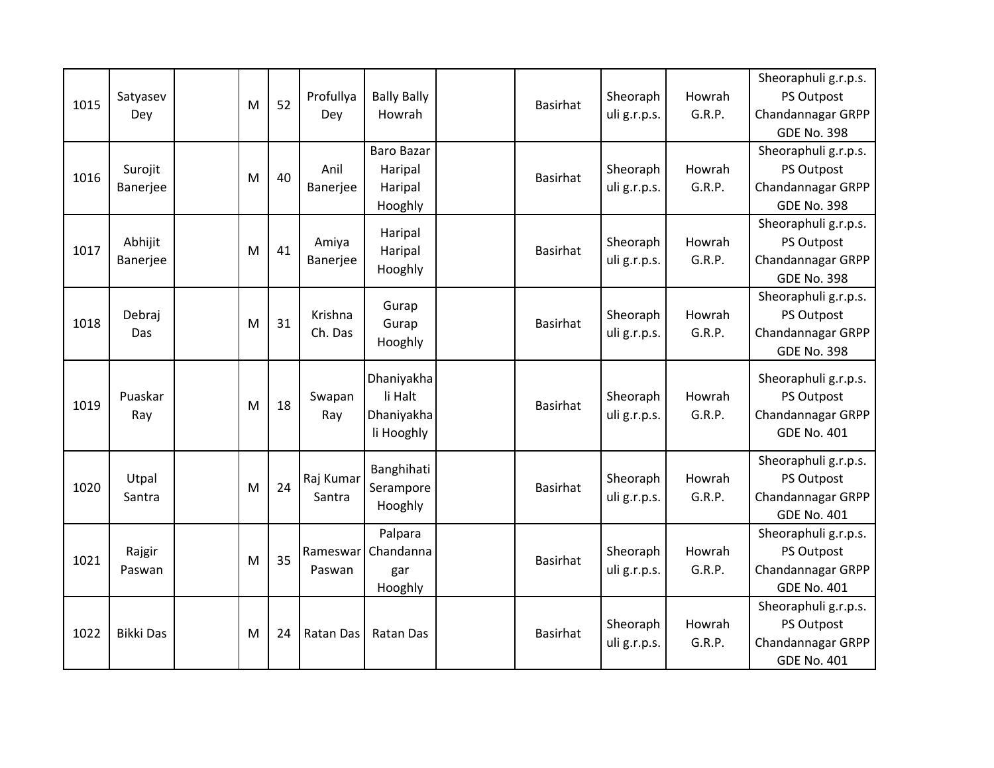|      |                  |   |    |           |                    |                 |              |        | Sheoraphuli g.r.p.s.                    |
|------|------------------|---|----|-----------|--------------------|-----------------|--------------|--------|-----------------------------------------|
| 1015 | Satyasev         | M | 52 | Profullya | <b>Bally Bally</b> | <b>Basirhat</b> | Sheoraph     | Howrah | PS Outpost                              |
|      | Dey              |   |    | Dey       | Howrah             |                 | uli g.r.p.s. | G.R.P. | Chandannagar GRPP                       |
|      |                  |   |    |           |                    |                 |              |        | <b>GDE No. 398</b>                      |
|      |                  |   |    |           | <b>Baro Bazar</b>  |                 |              |        | Sheoraphuli g.r.p.s.                    |
| 1016 | Surojit          | M | 40 | Anil      | Haripal            | <b>Basirhat</b> | Sheoraph     | Howrah | PS Outpost                              |
|      | Banerjee         |   |    | Banerjee  | Haripal            |                 | uli g.r.p.s. | G.R.P. | Chandannagar GRPP                       |
|      |                  |   |    |           | Hooghly            |                 |              |        | <b>GDE No. 398</b>                      |
|      |                  |   |    |           | Haripal            |                 |              |        | Sheoraphuli g.r.p.s.                    |
| 1017 | Abhijit          | M | 41 | Amiya     | Haripal            | <b>Basirhat</b> | Sheoraph     | Howrah | PS Outpost                              |
|      | Banerjee         |   |    | Banerjee  | Hooghly            |                 | uli g.r.p.s. | G.R.P. | Chandannagar GRPP                       |
|      |                  |   |    |           |                    |                 |              |        | <b>GDE No. 398</b>                      |
|      |                  |   |    |           | Gurap              |                 |              |        | Sheoraphuli g.r.p.s.                    |
| 1018 | Debraj           | M | 31 | Krishna   | Gurap              | <b>Basirhat</b> | Sheoraph     | Howrah | PS Outpost                              |
|      | Das              |   |    | Ch. Das   | Hooghly            |                 | uli g.r.p.s. | G.R.P. | Chandannagar GRPP                       |
|      |                  |   |    |           |                    |                 |              |        | <b>GDE No. 398</b>                      |
|      |                  |   |    |           | Dhaniyakha         |                 |              |        | Sheoraphuli g.r.p.s.                    |
|      | Puaskar          |   |    | Swapan    | li Halt            |                 | Sheoraph     | Howrah | PS Outpost                              |
| 1019 | Ray              | M | 18 | Ray       | Dhaniyakha         | <b>Basirhat</b> | uli g.r.p.s. | G.R.P. | Chandannagar GRPP                       |
|      |                  |   |    |           | li Hooghly         |                 |              |        | <b>GDE No. 401</b>                      |
|      |                  |   |    |           |                    |                 |              |        | Sheoraphuli g.r.p.s.                    |
|      | Utpal            |   |    | Raj Kumar | Banghihati         |                 | Sheoraph     | Howrah |                                         |
| 1020 |                  | M | 24 | Santra    | Serampore          | <b>Basirhat</b> |              | G.R.P. | PS Outpost                              |
|      | Santra           |   |    |           | Hooghly            |                 | uli g.r.p.s. |        | Chandannagar GRPP<br><b>GDE No. 401</b> |
|      |                  |   |    |           | Palpara            |                 |              |        | Sheoraphuli g.r.p.s.                    |
|      | Rajgir           |   |    | Rameswar  | Chandanna          |                 | Sheoraph     | Howrah | PS Outpost                              |
| 1021 | Paswan           | M | 35 | Paswan    | gar                | <b>Basirhat</b> | uli g.r.p.s. | G.R.P. | Chandannagar GRPP                       |
|      |                  |   |    |           | Hooghly            |                 |              |        | <b>GDE No. 401</b>                      |
|      |                  |   |    |           |                    |                 |              |        | Sheoraphuli g.r.p.s.                    |
|      |                  |   |    |           |                    |                 | Sheoraph     | Howrah | PS Outpost                              |
| 1022 | <b>Bikki Das</b> | M | 24 | Ratan Das | <b>Ratan Das</b>   | <b>Basirhat</b> | uli g.r.p.s. | G.R.P. | Chandannagar GRPP                       |
|      |                  |   |    |           |                    |                 |              |        | <b>GDE No. 401</b>                      |
|      |                  |   |    |           |                    |                 |              |        |                                         |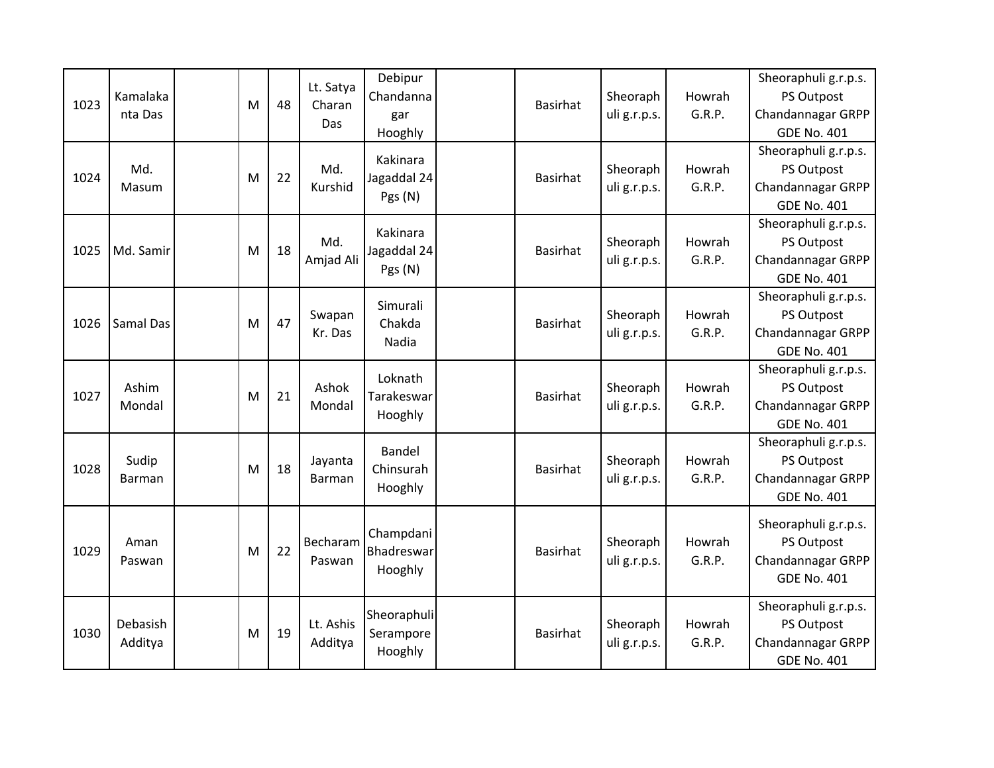| 1023 | Kamalaka<br>nta Das | M | 48 | Lt. Satya<br>Charan<br>Das | Debipur<br>Chandanna<br>gar<br>Hooghly | <b>Basirhat</b> | Sheoraph<br>uli g.r.p.s. | Howrah<br>G.R.P. | Sheoraphuli g.r.p.s.<br>PS Outpost<br>Chandannagar GRPP<br><b>GDE No. 401</b>        |
|------|---------------------|---|----|----------------------------|----------------------------------------|-----------------|--------------------------|------------------|--------------------------------------------------------------------------------------|
| 1024 | Md.<br>Masum        | M | 22 | Md.<br>Kurshid             | Kakinara<br>Jagaddal 24<br>Pgs (N)     | Basirhat        | Sheoraph<br>uli g.r.p.s. | Howrah<br>G.R.P. | Sheoraphuli g.r.p.s.<br>PS Outpost<br>Chandannagar GRPP<br><b>GDE No. 401</b>        |
| 1025 | Md. Samir           | M | 18 | Md.<br>Amjad Ali           | Kakinara<br>Jagaddal 24<br>Pgs (N)     | Basirhat        | Sheoraph<br>uli g.r.p.s. | Howrah<br>G.R.P. | Sheoraphuli g.r.p.s.<br>PS Outpost<br><b>Chandannagar GRPP</b><br><b>GDE No. 401</b> |
| 1026 | <b>Samal Das</b>    | M | 47 | Swapan<br>Kr. Das          | Simurali<br>Chakda<br>Nadia            | <b>Basirhat</b> | Sheoraph<br>uli g.r.p.s. | Howrah<br>G.R.P. | Sheoraphuli g.r.p.s.<br>PS Outpost<br>Chandannagar GRPP<br><b>GDE No. 401</b>        |
| 1027 | Ashim<br>Mondal     | M | 21 | Ashok<br>Mondal            | Loknath<br>Tarakeswar<br>Hooghly       | Basirhat        | Sheoraph<br>uli g.r.p.s. | Howrah<br>G.R.P. | Sheoraphuli g.r.p.s.<br>PS Outpost<br>Chandannagar GRPP<br><b>GDE No. 401</b>        |
| 1028 | Sudip<br>Barman     | M | 18 | Jayanta<br><b>Barman</b>   | <b>Bandel</b><br>Chinsurah<br>Hooghly  | <b>Basirhat</b> | Sheoraph<br>uli g.r.p.s. | Howrah<br>G.R.P. | Sheoraphuli g.r.p.s.<br>PS Outpost<br>Chandannagar GRPP<br><b>GDE No. 401</b>        |
| 1029 | Aman<br>Paswan      | M | 22 | Becharam<br>Paswan         | Champdani<br>Bhadreswar<br>Hooghly     | Basirhat        | Sheoraph<br>uli g.r.p.s. | Howrah<br>G.R.P. | Sheoraphuli g.r.p.s.<br>PS Outpost<br>Chandannagar GRPP<br><b>GDE No. 401</b>        |
| 1030 | Debasish<br>Additya | M | 19 | Lt. Ashis<br>Additya       | Sheoraphuli<br>Serampore<br>Hooghly    | <b>Basirhat</b> | Sheoraph<br>uli g.r.p.s. | Howrah<br>G.R.P. | Sheoraphuli g.r.p.s.<br>PS Outpost<br>Chandannagar GRPP<br><b>GDE No. 401</b>        |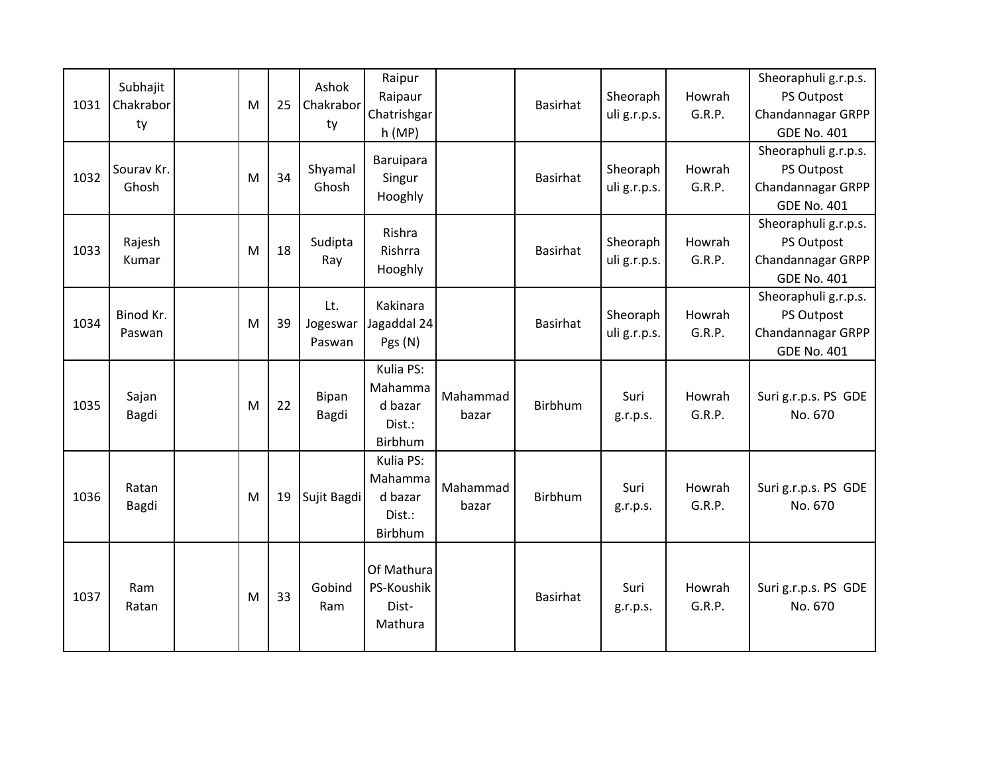| 1031 | Subhajit<br>Chakrabor<br>ty | M | 25 | Ashok<br>Chakrabor<br>ty  | Raipur<br>Raipaur<br>Chatrishgar<br>h(MP)            |                   | <b>Basirhat</b> | Sheoraph<br>uli g.r.p.s. | Howrah<br>G.R.P. | Sheoraphuli g.r.p.s.<br>PS Outpost<br>Chandannagar GRPP<br><b>GDE No. 401</b> |
|------|-----------------------------|---|----|---------------------------|------------------------------------------------------|-------------------|-----------------|--------------------------|------------------|-------------------------------------------------------------------------------|
| 1032 | Sourav Kr.<br>Ghosh         | M | 34 | Shyamal<br>Ghosh          | Baruipara<br>Singur<br>Hooghly                       |                   | <b>Basirhat</b> | Sheoraph<br>uli g.r.p.s. | Howrah<br>G.R.P. | Sheoraphuli g.r.p.s.<br>PS Outpost<br>Chandannagar GRPP<br><b>GDE No. 401</b> |
| 1033 | Rajesh<br>Kumar             | M | 18 | Sudipta<br>Ray            | Rishra<br>Rishrra<br>Hooghly                         |                   | <b>Basirhat</b> | Sheoraph<br>uli g.r.p.s. | Howrah<br>G.R.P. | Sheoraphuli g.r.p.s.<br>PS Outpost<br>Chandannagar GRPP<br><b>GDE No. 401</b> |
| 1034 | Binod Kr.<br>Paswan         | M | 39 | Lt.<br>Jogeswar<br>Paswan | Kakinara<br>Jagaddal 24<br>Pgs (N)                   |                   | <b>Basirhat</b> | Sheoraph<br>uli g.r.p.s. | Howrah<br>G.R.P. | Sheoraphuli g.r.p.s.<br>PS Outpost<br>Chandannagar GRPP<br><b>GDE No. 401</b> |
| 1035 | Sajan<br>Bagdi              | M | 22 | Bipan<br>Bagdi            | Kulia PS:<br>Mahamma<br>d bazar<br>Dist.:<br>Birbhum | Mahammad<br>bazar | Birbhum         | Suri<br>g.r.p.s.         | Howrah<br>G.R.P. | Suri g.r.p.s. PS GDE<br>No. 670                                               |
| 1036 | Ratan<br>Bagdi              | M | 19 | Sujit Bagdi               | Kulia PS:<br>Mahamma<br>d bazar<br>Dist.:<br>Birbhum | Mahammad<br>bazar | Birbhum         | Suri<br>g.r.p.s.         | Howrah<br>G.R.P. | Suri g.r.p.s. PS GDE<br>No. 670                                               |
| 1037 | Ram<br>Ratan                | M | 33 | Gobind<br>Ram             | Of Mathura<br>PS-Koushik<br>Dist-<br>Mathura         |                   | <b>Basirhat</b> | Suri<br>g.r.p.s.         | Howrah<br>G.R.P. | Suri g.r.p.s. PS GDE<br>No. 670                                               |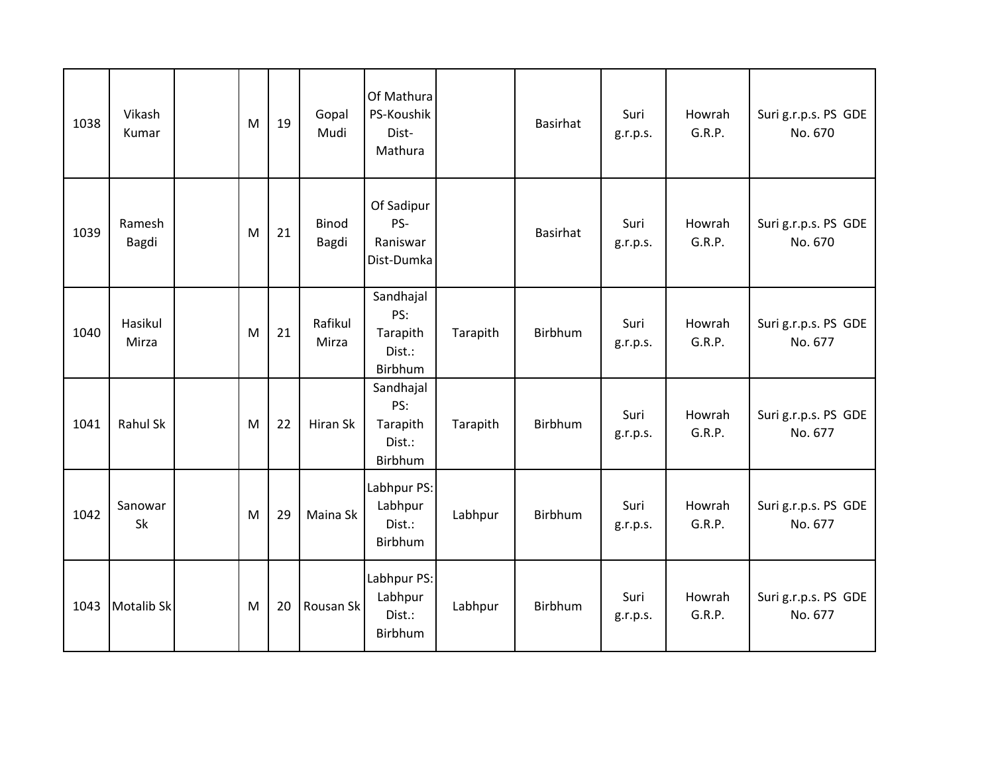| 1038 | Vikash<br>Kumar   | M | 19 | Gopal<br>Mudi         | Of Mathura<br>PS-Koushik<br>Dist-<br>Mathura      |          | Basirhat       | Suri<br>g.r.p.s. | Howrah<br>G.R.P. | Suri g.r.p.s. PS GDE<br>No. 670 |
|------|-------------------|---|----|-----------------------|---------------------------------------------------|----------|----------------|------------------|------------------|---------------------------------|
| 1039 | Ramesh<br>Bagdi   | M | 21 | <b>Binod</b><br>Bagdi | Of Sadipur<br>PS-<br>Raniswar<br>Dist-Dumka       |          | Basirhat       | Suri<br>g.r.p.s. | Howrah<br>G.R.P. | Suri g.r.p.s. PS GDE<br>No. 670 |
| 1040 | Hasikul<br>Mirza  | M | 21 | Rafikul<br>Mirza      | Sandhajal<br>PS:<br>Tarapith<br>Dist.:<br>Birbhum | Tarapith | Birbhum        | Suri<br>g.r.p.s. | Howrah<br>G.R.P. | Suri g.r.p.s. PS GDE<br>No. 677 |
| 1041 | <b>Rahul Sk</b>   | M | 22 | Hiran Sk              | Sandhajal<br>PS:<br>Tarapith<br>Dist.:<br>Birbhum | Tarapith | <b>Birbhum</b> | Suri<br>g.r.p.s. | Howrah<br>G.R.P. | Suri g.r.p.s. PS GDE<br>No. 677 |
| 1042 | Sanowar<br>Sk     | M | 29 | Maina Sk              | Labhpur PS:<br>Labhpur<br>Dist.:<br>Birbhum       | Labhpur  | Birbhum        | Suri<br>g.r.p.s. | Howrah<br>G.R.P. | Suri g.r.p.s. PS GDE<br>No. 677 |
| 1043 | <b>Motalib Sk</b> | M | 20 | Rousan Sk             | Labhpur PS:<br>Labhpur<br>Dist.:<br>Birbhum       | Labhpur  | Birbhum        | Suri<br>g.r.p.s. | Howrah<br>G.R.P. | Suri g.r.p.s. PS GDE<br>No. 677 |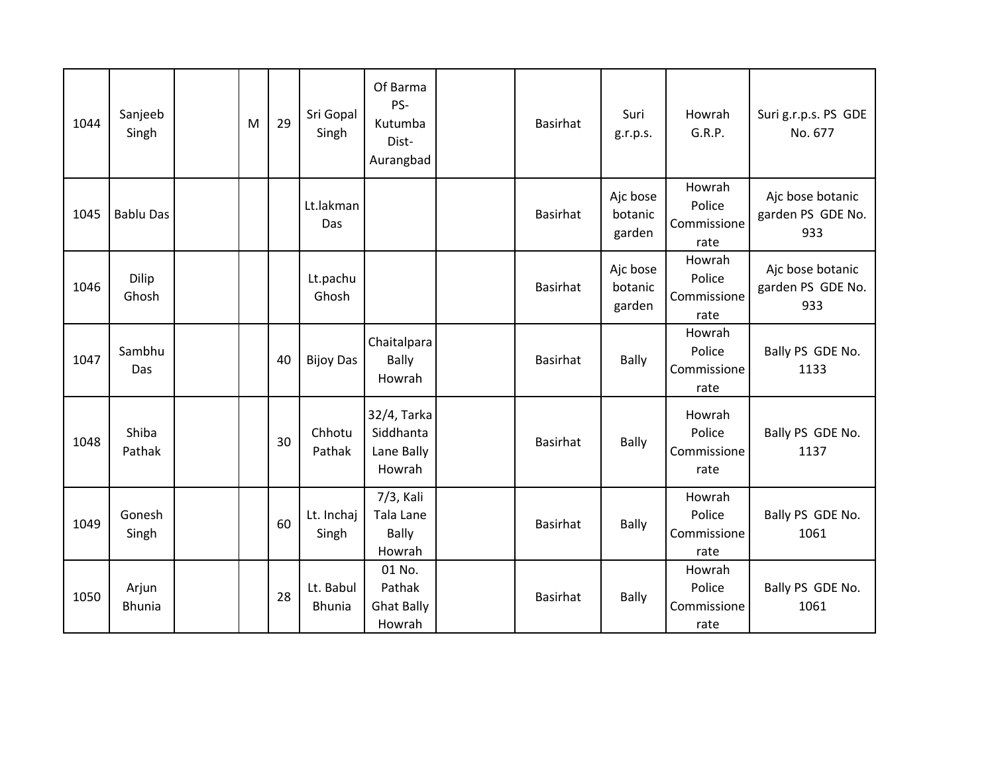| 1044 | Sanjeeb<br>Singh       | M | 29 | Sri Gopal<br>Singh         | Of Barma<br>PS-<br>Kutumba<br>Dist-<br>Aurangbad | <b>Basirhat</b> | Suri<br>g.r.p.s.              | Howrah<br>G.R.P.                        | Suri g.r.p.s. PS GDE<br>No. 677              |
|------|------------------------|---|----|----------------------------|--------------------------------------------------|-----------------|-------------------------------|-----------------------------------------|----------------------------------------------|
| 1045 | <b>Bablu Das</b>       |   |    | Lt.lakman<br>Das           |                                                  | <b>Basirhat</b> | Ajc bose<br>botanic<br>garden | Howrah<br>Police<br>Commissione<br>rate | Ajc bose botanic<br>garden PS GDE No.<br>933 |
| 1046 | Dilip<br>Ghosh         |   |    | Lt.pachu<br>Ghosh          |                                                  | <b>Basirhat</b> | Ajc bose<br>botanic<br>garden | Howrah<br>Police<br>Commissione<br>rate | Ajc bose botanic<br>garden PS GDE No.<br>933 |
| 1047 | Sambhu<br>Das          |   | 40 | <b>Bijoy Das</b>           | Chaitalpara<br><b>Bally</b><br>Howrah            | <b>Basirhat</b> | <b>Bally</b>                  | Howrah<br>Police<br>Commissione<br>rate | Bally PS GDE No.<br>1133                     |
| 1048 | Shiba<br>Pathak        |   | 30 | Chhotu<br>Pathak           | 32/4, Tarka<br>Siddhanta<br>Lane Bally<br>Howrah | <b>Basirhat</b> | <b>Bally</b>                  | Howrah<br>Police<br>Commissione<br>rate | Bally PS GDE No.<br>1137                     |
| 1049 | Gonesh<br>Singh        |   | 60 | Lt. Inchaj<br>Singh        | 7/3, Kali<br>Tala Lane<br><b>Bally</b><br>Howrah | <b>Basirhat</b> | <b>Bally</b>                  | Howrah<br>Police<br>Commissione<br>rate | Bally PS GDE No.<br>1061                     |
| 1050 | Arjun<br><b>Bhunia</b> |   | 28 | Lt. Babul<br><b>Bhunia</b> | 01 No.<br>Pathak<br><b>Ghat Bally</b><br>Howrah  | <b>Basirhat</b> | <b>Bally</b>                  | Howrah<br>Police<br>Commissione<br>rate | Bally PS GDE No.<br>1061                     |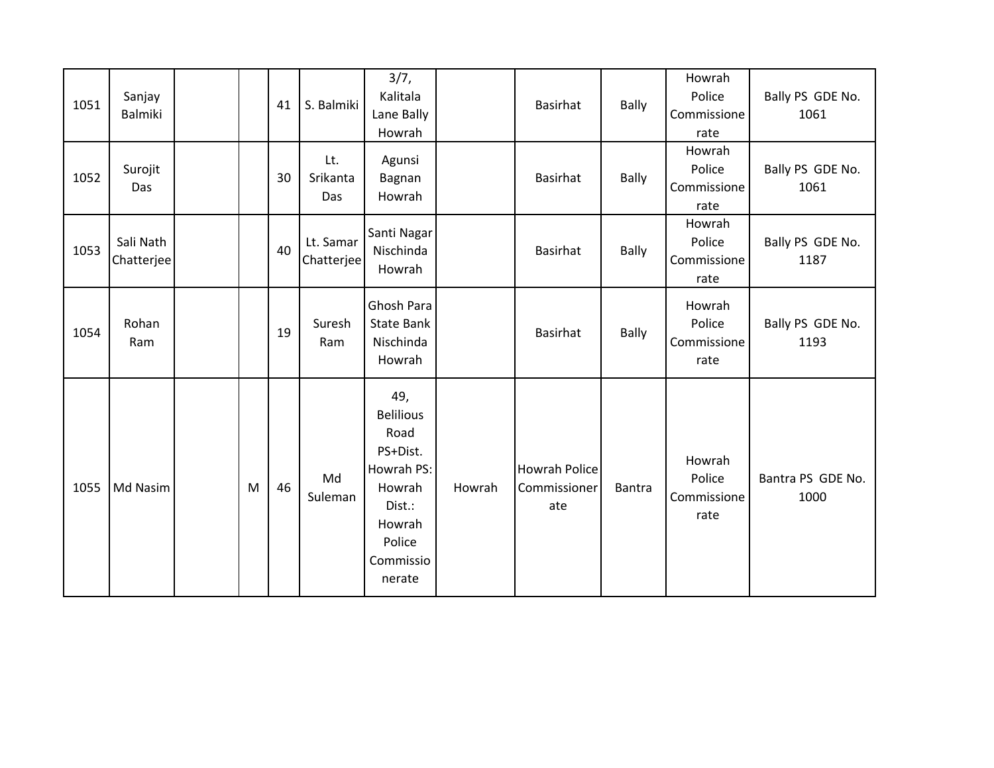| 1051 | Sanjay<br>Balmiki       |   | 41 | S. Balmiki              | 3/7,<br>Kalitala<br>Lane Bally<br>Howrah                                                                                 |        | Basirhat                                    | <b>Bally</b>  | Howrah<br>Police<br>Commissione<br>rate | Bally PS GDE No.<br>1061  |
|------|-------------------------|---|----|-------------------------|--------------------------------------------------------------------------------------------------------------------------|--------|---------------------------------------------|---------------|-----------------------------------------|---------------------------|
| 1052 | Surojit<br>Das          |   | 30 | Lt.<br>Srikanta<br>Das  | Agunsi<br>Bagnan<br>Howrah                                                                                               |        | Basirhat                                    | <b>Bally</b>  | Howrah<br>Police<br>Commissione<br>rate | Bally PS GDE No.<br>1061  |
| 1053 | Sali Nath<br>Chatterjee |   | 40 | Lt. Samar<br>Chatterjee | Santi Nagar<br>Nischinda<br>Howrah                                                                                       |        | Basirhat                                    | <b>Bally</b>  | Howrah<br>Police<br>Commissione<br>rate | Bally PS GDE No.<br>1187  |
| 1054 | Rohan<br>Ram            |   | 19 | Suresh<br>Ram           | Ghosh Para<br><b>State Bank</b><br>Nischinda<br>Howrah                                                                   |        | <b>Basirhat</b>                             | <b>Bally</b>  | Howrah<br>Police<br>Commissione<br>rate | Bally PS GDE No.<br>1193  |
| 1055 | Md Nasim                | M | 46 | Md<br>Suleman           | 49,<br><b>Belilious</b><br>Road<br>PS+Dist.<br>Howrah PS:<br>Howrah<br>Dist.:<br>Howrah<br>Police<br>Commissio<br>nerate | Howrah | <b>Howrah Police</b><br>Commissioner<br>ate | <b>Bantra</b> | Howrah<br>Police<br>Commissione<br>rate | Bantra PS GDE No.<br>1000 |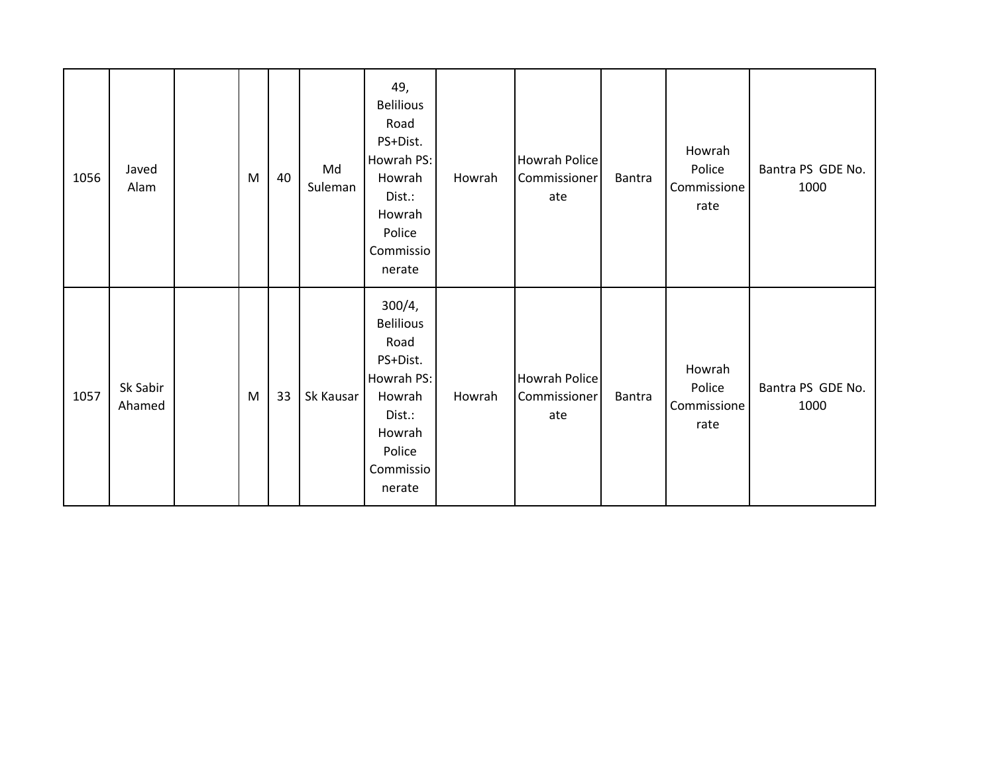| 1056 | Javed<br>Alam      | M | 40 | Md<br>Suleman | 49,<br><b>Belilious</b><br>Road<br>PS+Dist.<br>Howrah PS:<br>Howrah<br>Dist.:<br>Howrah<br>Police<br>Commissio<br>nerate    | Howrah | Howrah Police<br>Commissioner<br>ate | Bantra        | Howrah<br>Police<br>Commissione<br>rate | Bantra PS GDE No.<br>1000 |
|------|--------------------|---|----|---------------|-----------------------------------------------------------------------------------------------------------------------------|--------|--------------------------------------|---------------|-----------------------------------------|---------------------------|
| 1057 | Sk Sabir<br>Ahamed | M | 33 | Sk Kausar     | 300/4,<br><b>Belilious</b><br>Road<br>PS+Dist.<br>Howrah PS:<br>Howrah<br>Dist.:<br>Howrah<br>Police<br>Commissio<br>nerate | Howrah | Howrah Police<br>Commissioner<br>ate | <b>Bantra</b> | Howrah<br>Police<br>Commissione<br>rate | Bantra PS GDE No.<br>1000 |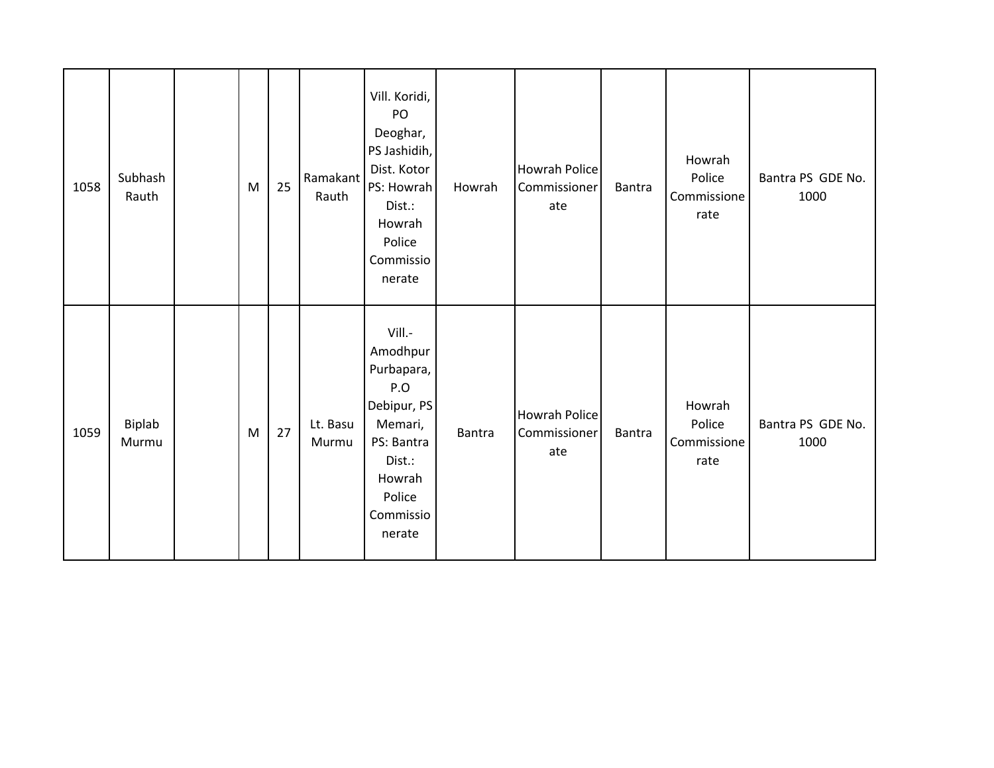| 1058 | Subhash<br>Rauth | M | 25 | Ramakant<br>Rauth | Vill. Koridi,<br>PO<br>Deoghar,<br>PS Jashidih,<br>Dist. Kotor<br>PS: Howrah<br>Dist.:<br>Howrah<br>Police<br>Commissio<br>nerate    | Howrah | <b>Howrah Police</b><br>Commissioner<br>ate | <b>Bantra</b> | Howrah<br>Police<br>Commissione<br>rate | Bantra PS GDE No.<br>1000 |
|------|------------------|---|----|-------------------|--------------------------------------------------------------------------------------------------------------------------------------|--------|---------------------------------------------|---------------|-----------------------------------------|---------------------------|
| 1059 | Biplab<br>Murmu  | M | 27 | Lt. Basu<br>Murmu | Vill.-<br>Amodhpur<br>Purbapara,<br>P.O<br>Debipur, PS<br>Memari,<br>PS: Bantra<br>Dist.:<br>Howrah<br>Police<br>Commissio<br>nerate | Bantra | <b>Howrah Police</b><br>Commissioner<br>ate | <b>Bantra</b> | Howrah<br>Police<br>Commissione<br>rate | Bantra PS GDE No.<br>1000 |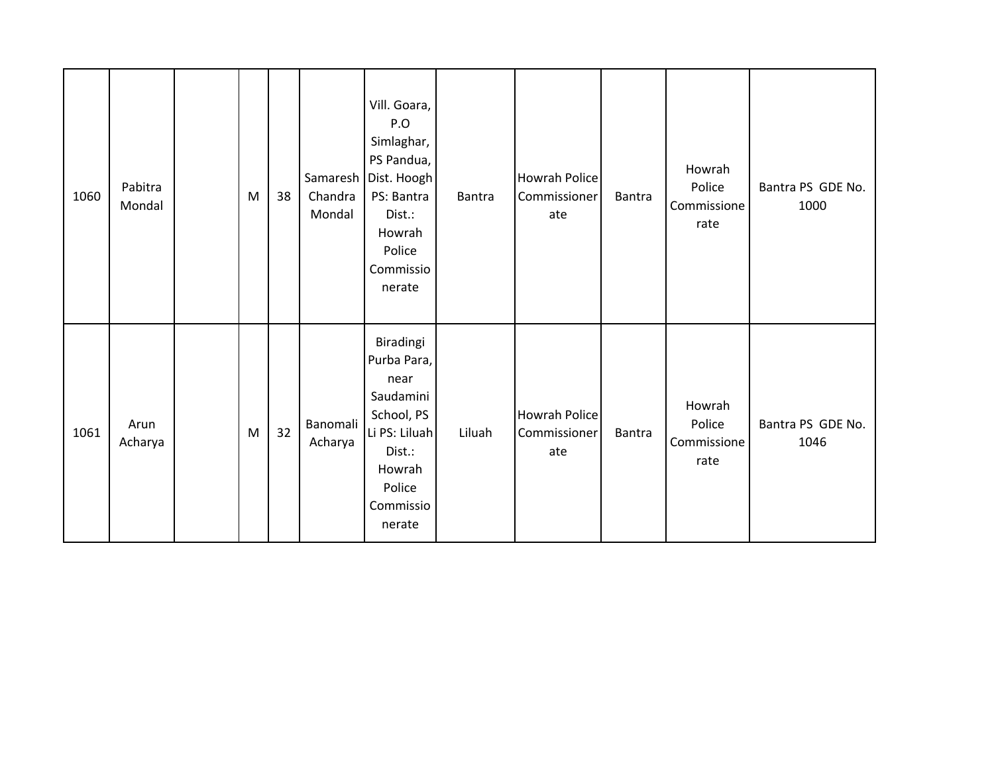| 1060 | Pabitra<br>Mondal | M | 38 | Chandra<br>Mondal   | Vill. Goara,<br>P.O<br>Simlaghar,<br>PS Pandua,<br>Samaresh   Dist. Hoogh<br>PS: Bantra<br>Dist.:<br>Howrah<br>Police<br>Commissio<br>nerate | <b>Bantra</b> | <b>Howrah Police</b><br>Commissioner<br>ate | <b>Bantra</b> | Howrah<br>Police<br>Commissione<br>rate | Bantra PS GDE No.<br>1000 |
|------|-------------------|---|----|---------------------|----------------------------------------------------------------------------------------------------------------------------------------------|---------------|---------------------------------------------|---------------|-----------------------------------------|---------------------------|
| 1061 | Arun<br>Acharya   | M | 32 | Banomali<br>Acharya | Biradingi<br>Purba Para,<br>near<br>Saudamini<br>School, PS<br>Li PS: Liluah<br>Dist.:<br>Howrah<br>Police<br>Commissio<br>nerate            | Liluah        | <b>Howrah Police</b><br>Commissioner<br>ate | <b>Bantra</b> | Howrah<br>Police<br>Commissione<br>rate | Bantra PS GDE No.<br>1046 |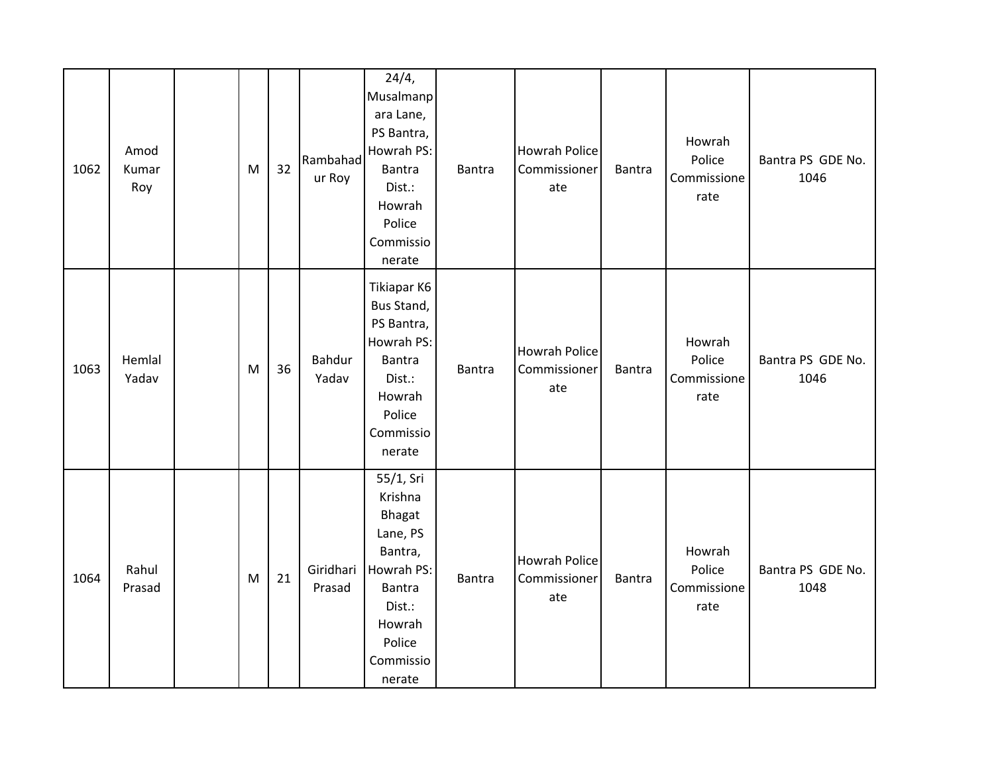| 1062 | Amod<br>Kumar<br>Roy | M | 32 | Rambahad<br>ur Roy  | 24/4,<br>Musalmanp<br>ara Lane,<br>PS Bantra,<br>Howrah PS:<br>Bantra<br>Dist.:<br>Howrah<br>Police<br>Commissio<br>nerate         | <b>Bantra</b> | <b>Howrah Police</b><br>Commissioner<br>ate | <b>Bantra</b> | Howrah<br>Police<br>Commissione<br>rate | Bantra PS GDE No.<br>1046 |
|------|----------------------|---|----|---------------------|------------------------------------------------------------------------------------------------------------------------------------|---------------|---------------------------------------------|---------------|-----------------------------------------|---------------------------|
| 1063 | Hemlal<br>Yadav      | M | 36 | Bahdur<br>Yadav     | Tikiapar K6<br>Bus Stand,<br>PS Bantra,<br>Howrah PS:<br><b>Bantra</b><br>Dist.:<br>Howrah<br>Police<br>Commissio<br>nerate        | Bantra        | <b>Howrah Police</b><br>Commissioner<br>ate | Bantra        | Howrah<br>Police<br>Commissione<br>rate | Bantra PS GDE No.<br>1046 |
| 1064 | Rahul<br>Prasad      | M | 21 | Giridhari<br>Prasad | 55/1, Sri<br>Krishna<br>Bhagat<br>Lane, PS<br>Bantra,<br>Howrah PS:<br>Bantra<br>Dist.:<br>Howrah<br>Police<br>Commissio<br>nerate | Bantra        | <b>Howrah Police</b><br>Commissioner<br>ate | Bantra        | Howrah<br>Police<br>Commissione<br>rate | Bantra PS GDE No.<br>1048 |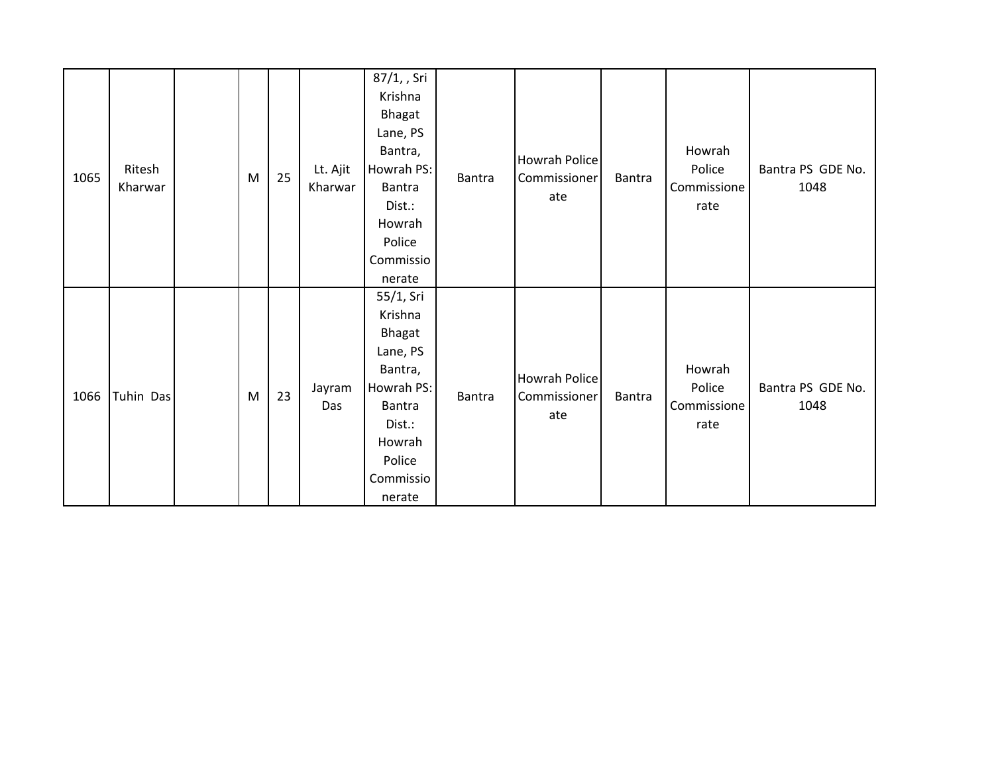| 1065 | Ritesh<br>Kharwar | M | 25 | Lt. Ajit<br>Kharwar | 87/1, , Sri<br>Krishna<br>Bhagat<br>Lane, PS<br>Bantra,<br>Howrah PS:<br>Bantra<br>Dist.:<br>Howrah<br>Police<br>Commissio<br>nerate | Bantra | <b>Howrah Police</b><br>Commissioner<br>ate | <b>Bantra</b> | Howrah<br>Police<br>Commissione<br>rate | Bantra PS GDE No.<br>1048 |
|------|-------------------|---|----|---------------------|--------------------------------------------------------------------------------------------------------------------------------------|--------|---------------------------------------------|---------------|-----------------------------------------|---------------------------|
| 1066 | Tuhin Das         | M | 23 | Jayram<br>Das       | 55/1, Sri<br>Krishna<br>Bhagat<br>Lane, PS<br>Bantra,<br>Howrah PS:<br>Bantra<br>Dist.:<br>Howrah<br>Police<br>Commissio<br>nerate   | Bantra | <b>Howrah Police</b><br>Commissioner<br>ate | <b>Bantra</b> | Howrah<br>Police<br>Commissione<br>rate | Bantra PS GDE No.<br>1048 |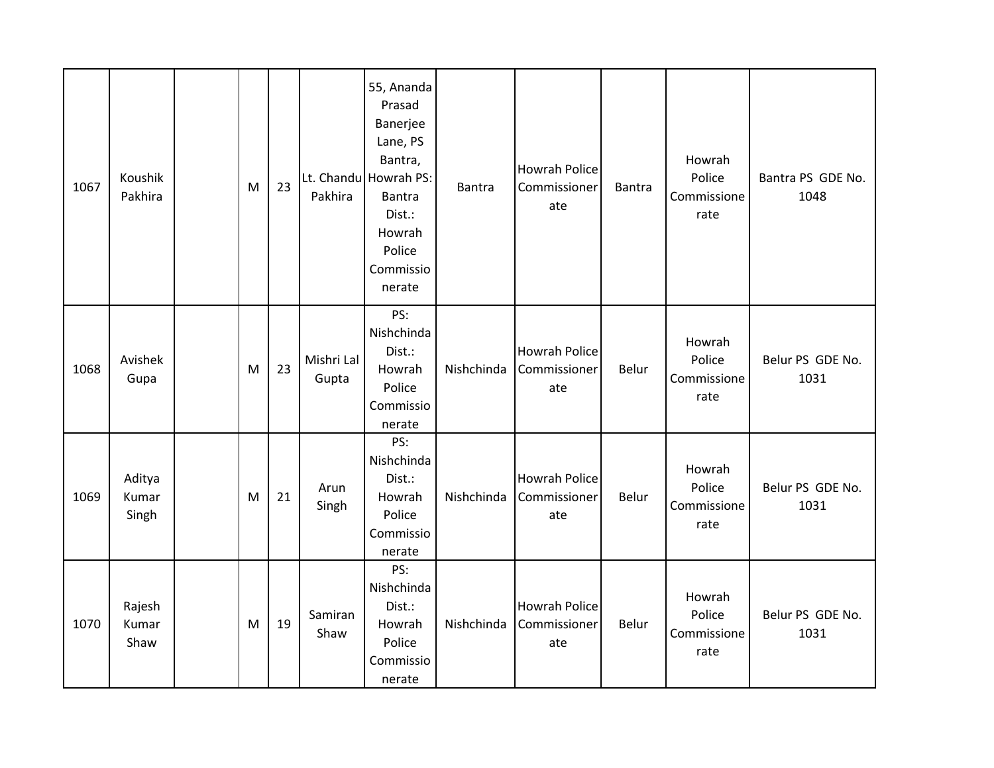| 1067 | Koushik<br>Pakhira       | M | 23 | Pakhira             | 55, Ananda<br>Prasad<br>Banerjee<br>Lane, PS<br>Bantra,<br>Lt. Chandu Howrah PS:<br><b>Bantra</b><br>Dist.:<br>Howrah<br>Police<br>Commissio<br>nerate | <b>Bantra</b> | <b>Howrah Police</b><br>Commissioner<br>ate | Bantra | Howrah<br>Police<br>Commissione<br>rate | Bantra PS GDE No.<br>1048 |
|------|--------------------------|---|----|---------------------|--------------------------------------------------------------------------------------------------------------------------------------------------------|---------------|---------------------------------------------|--------|-----------------------------------------|---------------------------|
| 1068 | Avishek<br>Gupa          | M | 23 | Mishri Lal<br>Gupta | PS:<br>Nishchinda<br>Dist.:<br>Howrah<br>Police<br>Commissio<br>nerate                                                                                 | Nishchinda    | <b>Howrah Police</b><br>Commissioner<br>ate | Belur  | Howrah<br>Police<br>Commissione<br>rate | Belur PS GDE No.<br>1031  |
| 1069 | Aditya<br>Kumar<br>Singh | M | 21 | Arun<br>Singh       | PS:<br>Nishchinda<br>Dist.:<br>Howrah<br>Police<br>Commissio<br>nerate                                                                                 | Nishchinda    | <b>Howrah Police</b><br>Commissioner<br>ate | Belur  | Howrah<br>Police<br>Commissione<br>rate | Belur PS GDE No.<br>1031  |
| 1070 | Rajesh<br>Kumar<br>Shaw  | M | 19 | Samiran<br>Shaw     | PS:<br>Nishchinda<br>Dist.:<br>Howrah<br>Police<br>Commissio<br>nerate                                                                                 | Nishchinda    | <b>Howrah Police</b><br>Commissioner<br>ate | Belur  | Howrah<br>Police<br>Commissione<br>rate | Belur PS GDE No.<br>1031  |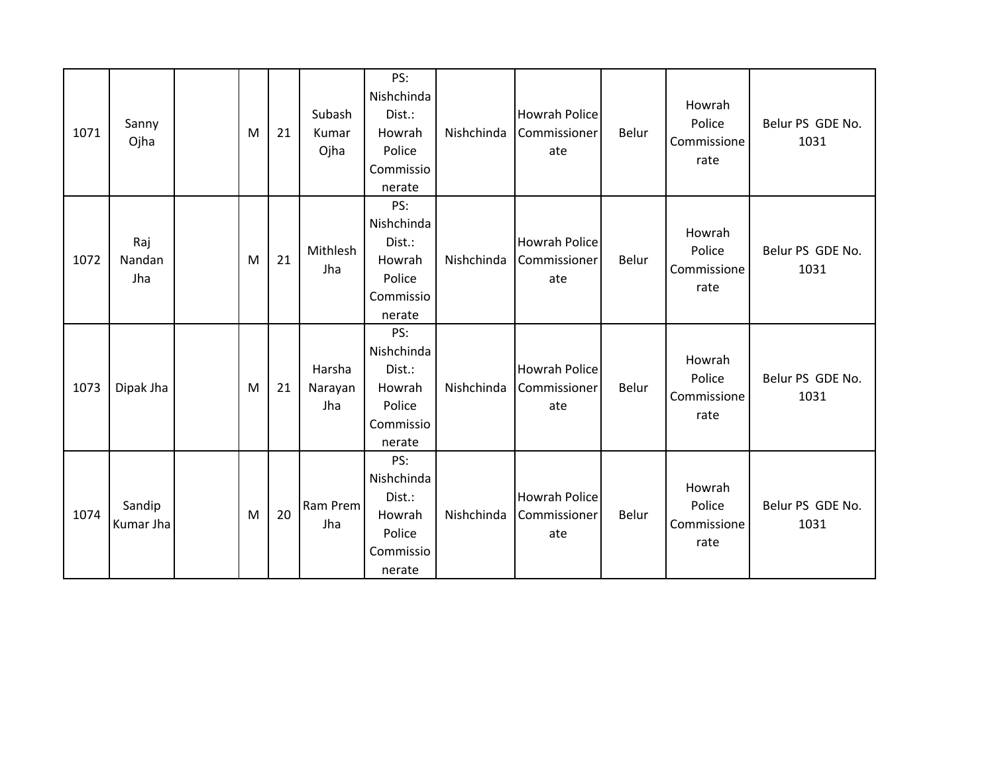| 1071 | Sanny<br>Ojha        | M | 21 | Subash<br>Kumar<br>Ojha  | PS:<br>Nishchinda<br>Dist.:<br>Howrah<br>Police<br>Commissio<br>nerate | Nishchinda | <b>Howrah Police</b><br>Commissioner<br>ate | Belur | Howrah<br>Police<br>Commissione<br>rate | Belur PS GDE No.<br>1031 |
|------|----------------------|---|----|--------------------------|------------------------------------------------------------------------|------------|---------------------------------------------|-------|-----------------------------------------|--------------------------|
| 1072 | Raj<br>Nandan<br>Jha | M | 21 | Mithlesh<br>Jha          | PS:<br>Nishchinda<br>Dist.:<br>Howrah<br>Police<br>Commissio<br>nerate | Nishchinda | <b>Howrah Police</b><br>Commissioner<br>ate | Belur | Howrah<br>Police<br>Commissione<br>rate | Belur PS GDE No.<br>1031 |
| 1073 | Dipak Jha            | M | 21 | Harsha<br>Narayan<br>Jha | PS:<br>Nishchinda<br>Dist.:<br>Howrah<br>Police<br>Commissio<br>nerate | Nishchinda | <b>Howrah Police</b><br>Commissioner<br>ate | Belur | Howrah<br>Police<br>Commissione<br>rate | Belur PS GDE No.<br>1031 |
| 1074 | Sandip<br>Kumar Jha  | M | 20 | Ram Prem<br>Jha          | PS:<br>Nishchinda<br>Dist.:<br>Howrah<br>Police<br>Commissio<br>nerate | Nishchinda | <b>Howrah Police</b><br>Commissioner<br>ate | Belur | Howrah<br>Police<br>Commissione<br>rate | Belur PS GDE No.<br>1031 |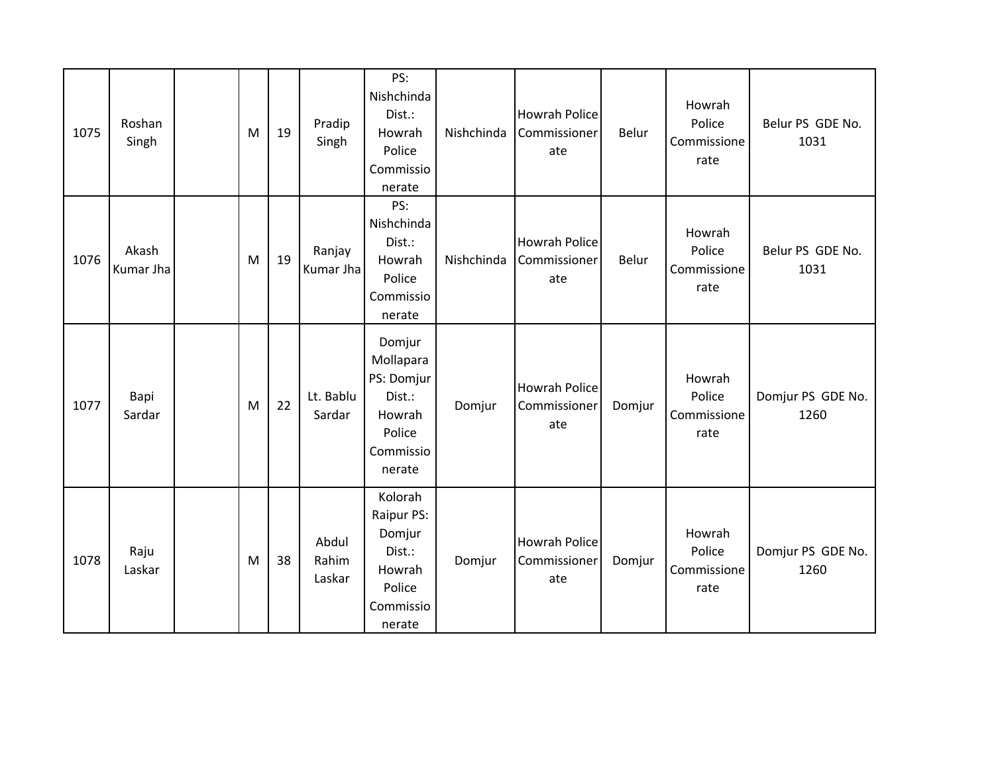| 1075 | Roshan<br>Singh    | M | 19 | Pradip<br>Singh          | PS:<br>Nishchinda<br>Dist.:<br>Howrah<br>Police<br>Commissio<br>nerate                 | Nishchinda | <b>Howrah Police</b><br>Commissioner<br>ate | Belur  | Howrah<br>Police<br>Commissione<br>rate | Belur PS GDE No.<br>1031  |
|------|--------------------|---|----|--------------------------|----------------------------------------------------------------------------------------|------------|---------------------------------------------|--------|-----------------------------------------|---------------------------|
| 1076 | Akash<br>Kumar Jha | M | 19 | Ranjay<br>Kumar Jha      | PS:<br>Nishchinda<br>Dist.:<br>Howrah<br>Police<br>Commissio<br>nerate                 | Nishchinda | <b>Howrah Police</b><br>Commissioner<br>ate | Belur  | Howrah<br>Police<br>Commissione<br>rate | Belur PS GDE No.<br>1031  |
| 1077 | Bapi<br>Sardar     | M | 22 | Lt. Bablu<br>Sardar      | Domjur<br>Mollapara<br>PS: Domjur<br>Dist.:<br>Howrah<br>Police<br>Commissio<br>nerate | Domjur     | <b>Howrah Police</b><br>Commissioner<br>ate | Domjur | Howrah<br>Police<br>Commissione<br>rate | Domjur PS GDE No.<br>1260 |
| 1078 | Raju<br>Laskar     | M | 38 | Abdul<br>Rahim<br>Laskar | Kolorah<br>Raipur PS:<br>Domjur<br>Dist.:<br>Howrah<br>Police<br>Commissio<br>nerate   | Domjur     | <b>Howrah Police</b><br>Commissioner<br>ate | Domjur | Howrah<br>Police<br>Commissione<br>rate | Domjur PS GDE No.<br>1260 |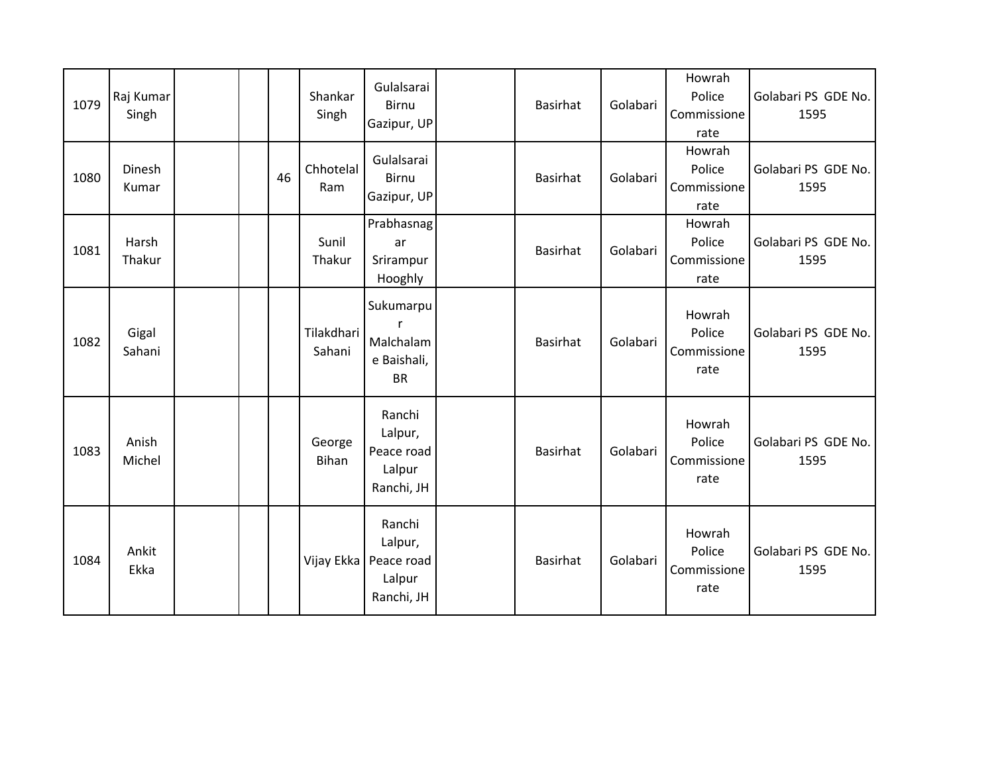| 1079 | Raj Kumar<br>Singh |  |    | Shankar<br>Singh       | Gulalsarai<br><b>Birnu</b><br>Gazipur, UP               | <b>Basirhat</b> | Golabari | Howrah<br>Police<br>Commissione<br>rate | Golabari PS GDE No.<br>1595 |
|------|--------------------|--|----|------------------------|---------------------------------------------------------|-----------------|----------|-----------------------------------------|-----------------------------|
| 1080 | Dinesh<br>Kumar    |  | 46 | Chhotelal<br>Ram       | Gulalsarai<br>Birnu<br>Gazipur, UP                      | <b>Basirhat</b> | Golabari | Howrah<br>Police<br>Commissione<br>rate | Golabari PS GDE No.<br>1595 |
| 1081 | Harsh<br>Thakur    |  |    | Sunil<br>Thakur        | Prabhasnag<br>ar<br>Srirampur<br>Hooghly                | <b>Basirhat</b> | Golabari | Howrah<br>Police<br>Commissione<br>rate | Golabari PS GDE No.<br>1595 |
| 1082 | Gigal<br>Sahani    |  |    | Tilakdhari<br>Sahani   | Sukumarpu<br>Malchalam<br>e Baishali,<br><b>BR</b>      | <b>Basirhat</b> | Golabari | Howrah<br>Police<br>Commissione<br>rate | Golabari PS GDE No.<br>1595 |
| 1083 | Anish<br>Michel    |  |    | George<br><b>Bihan</b> | Ranchi<br>Lalpur,<br>Peace road<br>Lalpur<br>Ranchi, JH | <b>Basirhat</b> | Golabari | Howrah<br>Police<br>Commissione<br>rate | Golabari PS GDE No.<br>1595 |
| 1084 | Ankit<br>Ekka      |  |    | Vijay Ekka             | Ranchi<br>Lalpur,<br>Peace road<br>Lalpur<br>Ranchi, JH | <b>Basirhat</b> | Golabari | Howrah<br>Police<br>Commissione<br>rate | Golabari PS GDE No.<br>1595 |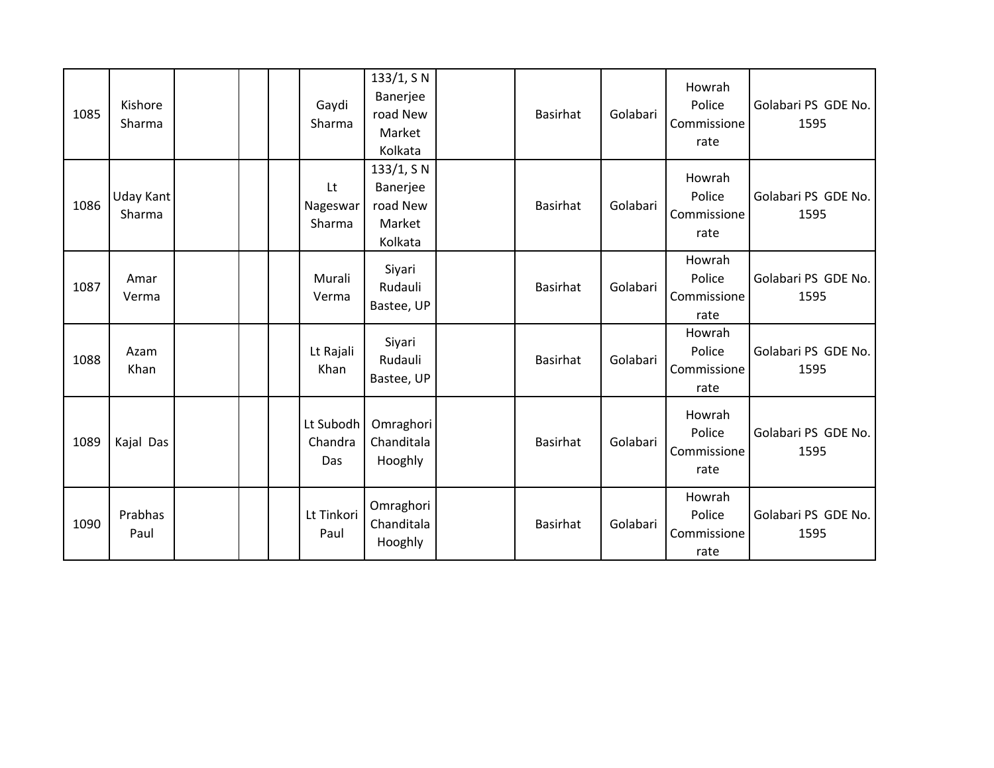| 1085 | Kishore<br>Sharma   |  | Gaydi<br>Sharma             | 133/1, S N<br>Banerjee<br>road New<br>Market<br>Kolkata | <b>Basirhat</b> | Golabari | Howrah<br>Police<br>Commissione<br>rate | Golabari PS GDE No.<br>1595 |
|------|---------------------|--|-----------------------------|---------------------------------------------------------|-----------------|----------|-----------------------------------------|-----------------------------|
| 1086 | Uday Kant<br>Sharma |  | Lt<br>Nageswar<br>Sharma    | 133/1, S N<br>Banerjee<br>road New<br>Market<br>Kolkata | Basirhat        | Golabari | Howrah<br>Police<br>Commissione<br>rate | Golabari PS GDE No.<br>1595 |
| 1087 | Amar<br>Verma       |  | Murali<br>Verma             | Siyari<br>Rudauli<br>Bastee, UP                         | <b>Basirhat</b> | Golabari | Howrah<br>Police<br>Commissione<br>rate | Golabari PS GDE No.<br>1595 |
| 1088 | Azam<br>Khan        |  | Lt Rajali<br>Khan           | Siyari<br>Rudauli<br>Bastee, UP                         | <b>Basirhat</b> | Golabari | Howrah<br>Police<br>Commissione<br>rate | Golabari PS GDE No.<br>1595 |
| 1089 | Kajal Das           |  | Lt Subodh<br>Chandra<br>Das | Omraghori<br>Chanditala<br>Hooghly                      | <b>Basirhat</b> | Golabari | Howrah<br>Police<br>Commissione<br>rate | Golabari PS GDE No.<br>1595 |
| 1090 | Prabhas<br>Paul     |  | Lt Tinkori<br>Paul          | Omraghori<br>Chanditala<br>Hooghly                      | Basirhat        | Golabari | Howrah<br>Police<br>Commissione<br>rate | Golabari PS GDE No.<br>1595 |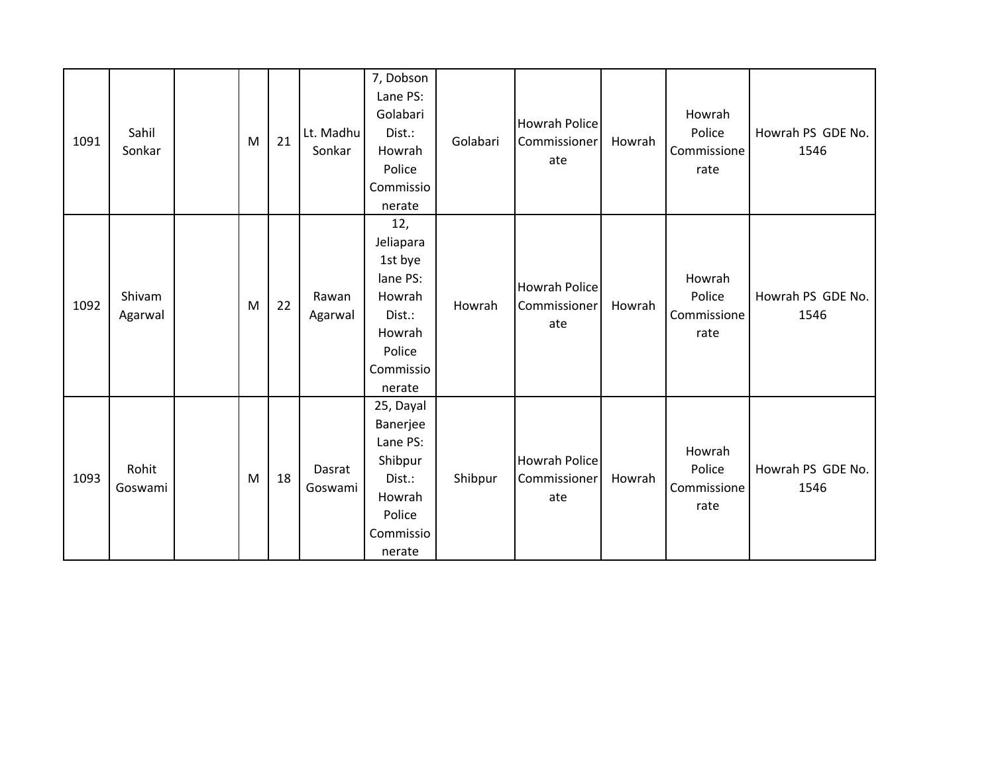| 1091 | Sahil<br>Sonkar   | M | 21 | Lt. Madhu<br>Sonkar | 7, Dobson<br>Lane PS:<br>Golabari<br>Dist.:<br>Howrah<br>Police<br>Commissio<br>nerate                 | Golabari | <b>Howrah Police</b><br>Commissioner<br>ate | Howrah | Howrah<br>Police<br>Commissione<br>rate | Howrah PS GDE No.<br>1546 |
|------|-------------------|---|----|---------------------|--------------------------------------------------------------------------------------------------------|----------|---------------------------------------------|--------|-----------------------------------------|---------------------------|
| 1092 | Shivam<br>Agarwal | M | 22 | Rawan<br>Agarwal    | 12,<br>Jeliapara<br>1st bye<br>lane PS:<br>Howrah<br>Dist.:<br>Howrah<br>Police<br>Commissio<br>nerate | Howrah   | <b>Howrah Police</b><br>Commissioner<br>ate | Howrah | Howrah<br>Police<br>Commissione<br>rate | Howrah PS GDE No.<br>1546 |
| 1093 | Rohit<br>Goswami  | M | 18 | Dasrat<br>Goswami   | 25, Dayal<br>Banerjee<br>Lane PS:<br>Shibpur<br>Dist.:<br>Howrah<br>Police<br>Commissio<br>nerate      | Shibpur  | <b>Howrah Police</b><br>Commissioner<br>ate | Howrah | Howrah<br>Police<br>Commissione<br>rate | Howrah PS GDE No.<br>1546 |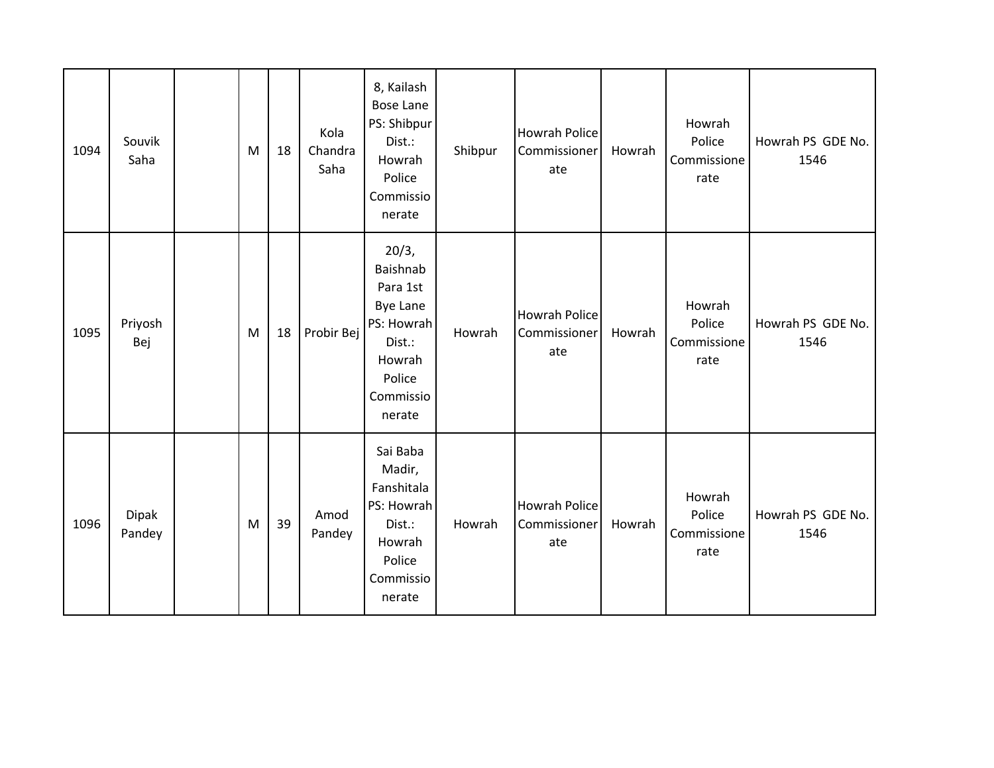| 1094 | Souvik<br>Saha         | M | 18 | Kola<br>Chandra<br>Saha | 8, Kailash<br><b>Bose Lane</b><br>PS: Shibpur<br>Dist.:<br>Howrah<br>Police<br>Commissio<br>nerate                  | Shibpur | <b>Howrah Police</b><br>Commissioner<br>ate | Howrah | Howrah<br>Police<br>Commissione<br>rate | Howrah PS GDE No.<br>1546 |
|------|------------------------|---|----|-------------------------|---------------------------------------------------------------------------------------------------------------------|---------|---------------------------------------------|--------|-----------------------------------------|---------------------------|
| 1095 | Priyosh<br>Bej         | M | 18 | Probir Bej              | 20/3,<br>Baishnab<br>Para 1st<br><b>Bye Lane</b><br>PS: Howrah<br>Dist.:<br>Howrah<br>Police<br>Commissio<br>nerate | Howrah  | <b>Howrah Police</b><br>Commissioner<br>ate | Howrah | Howrah<br>Police<br>Commissione<br>rate | Howrah PS GDE No.<br>1546 |
| 1096 | <b>Dipak</b><br>Pandey | M | 39 | Amod<br>Pandey          | Sai Baba<br>Madir,<br>Fanshitala<br>PS: Howrah<br>Dist.:<br>Howrah<br>Police<br>Commissio<br>nerate                 | Howrah  | <b>Howrah Police</b><br>Commissioner<br>ate | Howrah | Howrah<br>Police<br>Commissione<br>rate | Howrah PS GDE No.<br>1546 |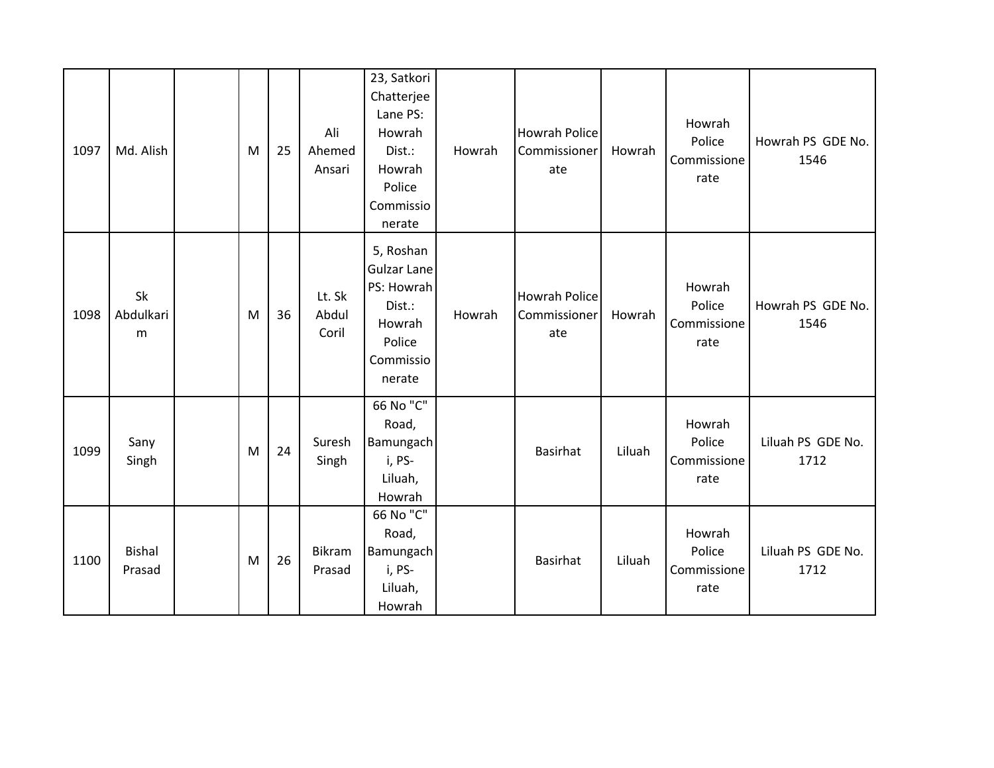| 1097 | Md. Alish               | M | 25 | Ali<br>Ahemed<br>Ansari  | 23, Satkori<br>Chatterjee<br>Lane PS:<br>Howrah<br>Dist.:<br>Howrah<br>Police<br>Commissio<br>nerate | Howrah | <b>Howrah Police</b><br>Commissioner<br>ate | Howrah | Howrah<br>Police<br>Commissione<br>rate | Howrah PS GDE No.<br>1546 |
|------|-------------------------|---|----|--------------------------|------------------------------------------------------------------------------------------------------|--------|---------------------------------------------|--------|-----------------------------------------|---------------------------|
| 1098 | Sk<br>Abdulkari<br>m    | M | 36 | Lt. Sk<br>Abdul<br>Coril | 5, Roshan<br><b>Gulzar Lane</b><br>PS: Howrah<br>Dist.:<br>Howrah<br>Police<br>Commissio<br>nerate   | Howrah | <b>Howrah Police</b><br>Commissioner<br>ate | Howrah | Howrah<br>Police<br>Commissione<br>rate | Howrah PS GDE No.<br>1546 |
| 1099 | Sany<br>Singh           | M | 24 | Suresh<br>Singh          | 66 No "C"<br>Road,<br>Bamungach<br>i, PS-<br>Liluah,<br>Howrah                                       |        | <b>Basirhat</b>                             | Liluah | Howrah<br>Police<br>Commissione<br>rate | Liluah PS GDE No.<br>1712 |
| 1100 | <b>Bishal</b><br>Prasad | M | 26 | <b>Bikram</b><br>Prasad  | 66 No "C"<br>Road,<br>Bamungach<br>i, PS-<br>Liluah,<br>Howrah                                       |        | <b>Basirhat</b>                             | Liluah | Howrah<br>Police<br>Commissione<br>rate | Liluah PS GDE No.<br>1712 |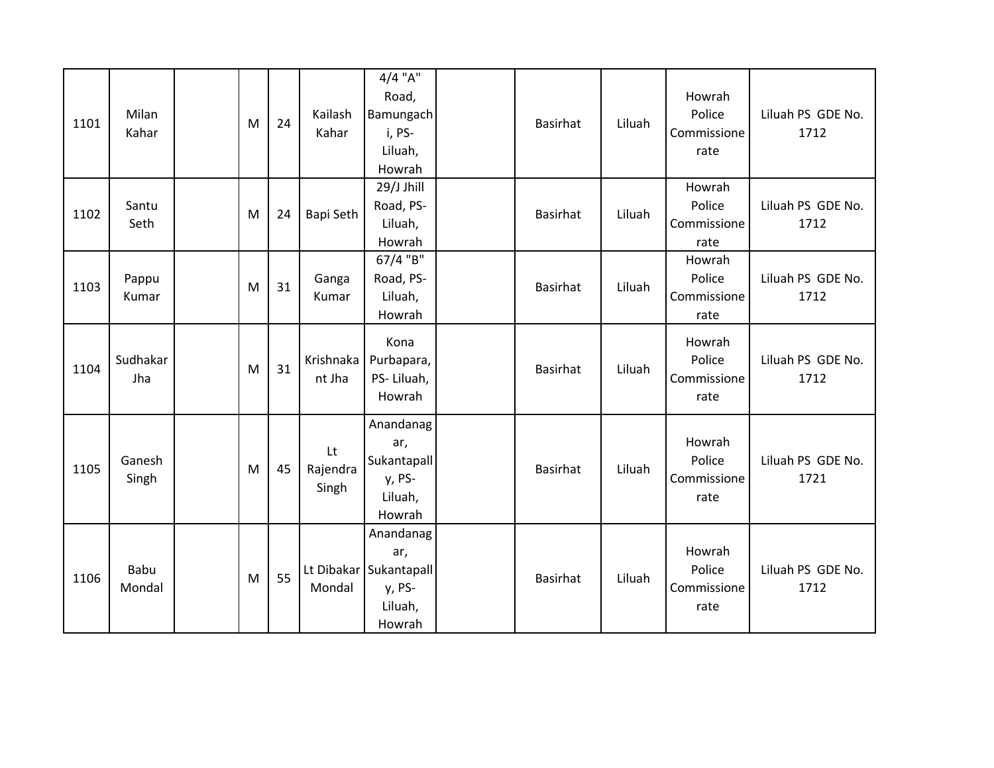| 1101 | Milan<br>Kahar  | M | 24 | Kailash<br>Kahar        | $4/4$ "A"<br>Road,<br>Bamungach<br>i, PS-<br>Liluah,<br>Howrah            | <b>Basirhat</b> | Liluah | Howrah<br>Police<br>Commissione<br>rate | Liluah PS GDE No.<br>1712 |
|------|-----------------|---|----|-------------------------|---------------------------------------------------------------------------|-----------------|--------|-----------------------------------------|---------------------------|
| 1102 | Santu<br>Seth   | M | 24 | Bapi Seth               | 29/J Jhill<br>Road, PS-<br>Liluah,<br>Howrah                              | <b>Basirhat</b> | Liluah | Howrah<br>Police<br>Commissione<br>rate | Liluah PS GDE No.<br>1712 |
| 1103 | Pappu<br>Kumar  | M | 31 | Ganga<br>Kumar          | 67/4 "B"<br>Road, PS-<br>Liluah,<br>Howrah                                | <b>Basirhat</b> | Liluah | Howrah<br>Police<br>Commissione<br>rate | Liluah PS GDE No.<br>1712 |
| 1104 | Sudhakar<br>Jha | M | 31 | Krishnaka<br>nt Jha     | Kona<br>Purbapara,<br>PS-Liluah,<br>Howrah                                | <b>Basirhat</b> | Liluah | Howrah<br>Police<br>Commissione<br>rate | Liluah PS GDE No.<br>1712 |
| 1105 | Ganesh<br>Singh | M | 45 | Lt<br>Rajendra<br>Singh | Anandanag<br>ar,<br>Sukantapall<br>y, PS-<br>Liluah,<br>Howrah            | <b>Basirhat</b> | Liluah | Howrah<br>Police<br>Commissione<br>rate | Liluah PS GDE No.<br>1721 |
| 1106 | Babu<br>Mondal  | M | 55 | Mondal                  | Anandanag<br>ar,<br>Lt Dibakar Sukantapall<br>y, PS-<br>Liluah,<br>Howrah | <b>Basirhat</b> | Liluah | Howrah<br>Police<br>Commissione<br>rate | Liluah PS GDE No.<br>1712 |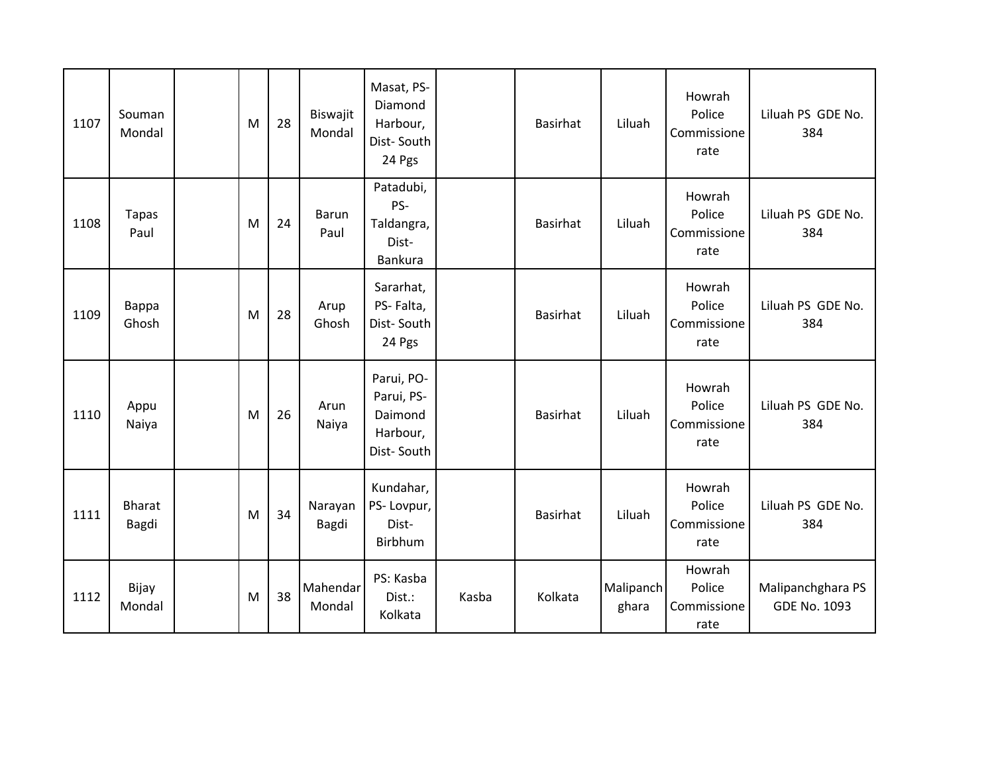| 1107 | Souman<br>Mondal       | M | 28 | Biswajit<br>Mondal | Masat, PS-<br>Diamond<br>Harbour,<br>Dist-South<br>24 Pgs     |       | <b>Basirhat</b> | Liluah             | Howrah<br>Police<br>Commissione<br>rate | Liluah PS GDE No.<br>384                 |
|------|------------------------|---|----|--------------------|---------------------------------------------------------------|-------|-----------------|--------------------|-----------------------------------------|------------------------------------------|
| 1108 | <b>Tapas</b><br>Paul   | M | 24 | Barun<br>Paul      | Patadubi,<br>PS-<br>Taldangra,<br>Dist-<br><b>Bankura</b>     |       | Basirhat        | Liluah             | Howrah<br>Police<br>Commissione<br>rate | Liluah PS GDE No.<br>384                 |
| 1109 | Bappa<br>Ghosh         | M | 28 | Arup<br>Ghosh      | Sararhat,<br>PS-Falta,<br>Dist-South<br>24 Pgs                |       | Basirhat        | Liluah             | Howrah<br>Police<br>Commissione<br>rate | Liluah PS GDE No.<br>384                 |
| 1110 | Appu<br>Naiya          | M | 26 | Arun<br>Naiya      | Parui, PO-<br>Parui, PS-<br>Daimond<br>Harbour,<br>Dist-South |       | <b>Basirhat</b> | Liluah             | Howrah<br>Police<br>Commissione<br>rate | Liluah PS GDE No.<br>384                 |
| 1111 | <b>Bharat</b><br>Bagdi | M | 34 | Narayan<br>Bagdi   | Kundahar,<br>PS-Lovpur,<br>Dist-<br>Birbhum                   |       | Basirhat        | Liluah             | Howrah<br>Police<br>Commissione<br>rate | Liluah PS GDE No.<br>384                 |
| 1112 | Bijay<br>Mondal        | M | 38 | Mahendar<br>Mondal | PS: Kasba<br>Dist.:<br>Kolkata                                | Kasba | Kolkata         | Malipanch<br>ghara | Howrah<br>Police<br>Commissione<br>rate | Malipanchghara PS<br><b>GDE No. 1093</b> |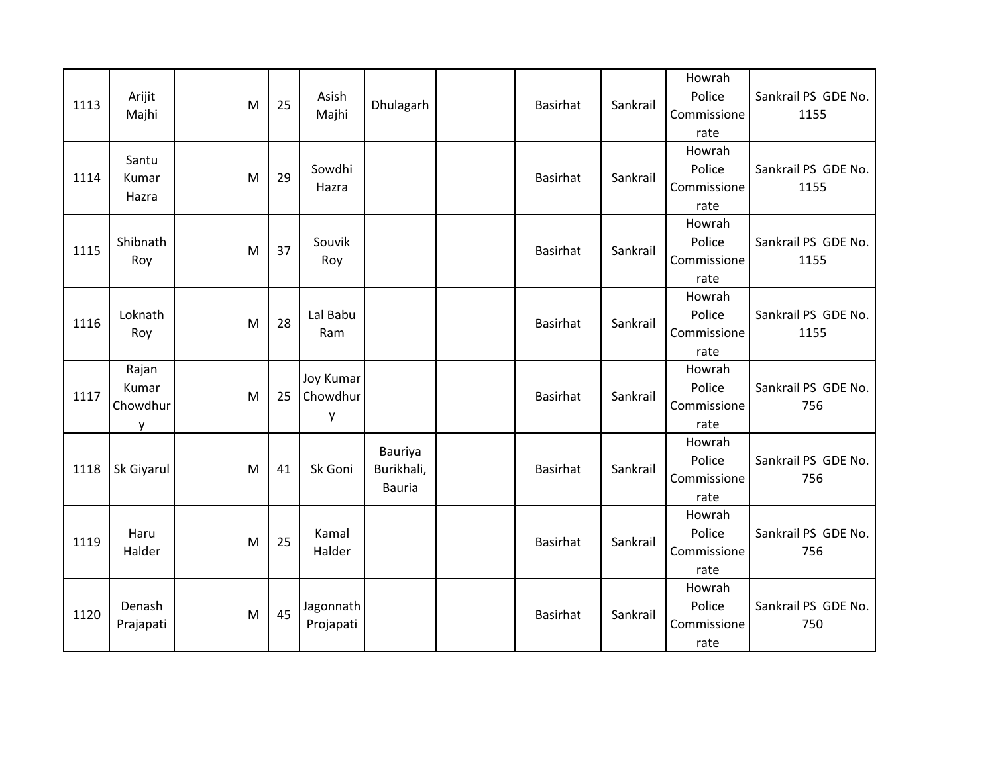| 1113 | Arijit<br>Majhi                 | M | 25 | Asish<br>Majhi                    | Dhulagarh                              | <b>Basirhat</b> | Sankrail | Howrah<br>Police<br>Commissione<br>rate | Sankrail PS GDE No.<br>1155 |
|------|---------------------------------|---|----|-----------------------------------|----------------------------------------|-----------------|----------|-----------------------------------------|-----------------------------|
| 1114 | Santu<br>Kumar<br>Hazra         | M | 29 | Sowdhi<br>Hazra                   |                                        | <b>Basirhat</b> | Sankrail | Howrah<br>Police<br>Commissione<br>rate | Sankrail PS GDE No.<br>1155 |
| 1115 | Shibnath<br>Roy                 | M | 37 | Souvik<br>Roy                     |                                        | <b>Basirhat</b> | Sankrail | Howrah<br>Police<br>Commissione<br>rate | Sankrail PS GDE No.<br>1155 |
| 1116 | Loknath<br>Roy                  | M | 28 | Lal Babu<br>Ram                   |                                        | <b>Basirhat</b> | Sankrail | Howrah<br>Police<br>Commissione<br>rate | Sankrail PS GDE No.<br>1155 |
| 1117 | Rajan<br>Kumar<br>Chowdhur<br>у | M | 25 | <b>Joy Kumar</b><br>Chowdhur<br>y |                                        | <b>Basirhat</b> | Sankrail | Howrah<br>Police<br>Commissione<br>rate | Sankrail PS GDE No.<br>756  |
| 1118 | <b>Sk Giyarul</b>               | M | 41 | Sk Goni                           | Bauriya<br>Burikhali,<br><b>Bauria</b> | <b>Basirhat</b> | Sankrail | Howrah<br>Police<br>Commissione<br>rate | Sankrail PS GDE No.<br>756  |
| 1119 | Haru<br>Halder                  | M | 25 | Kamal<br>Halder                   |                                        | <b>Basirhat</b> | Sankrail | Howrah<br>Police<br>Commissione<br>rate | Sankrail PS GDE No.<br>756  |
| 1120 | Denash                          | M | 45 | Jagonnath<br>Projapati            |                                        | <b>Basirhat</b> | Sankrail | Howrah<br>Police                        | Sankrail PS GDE No.         |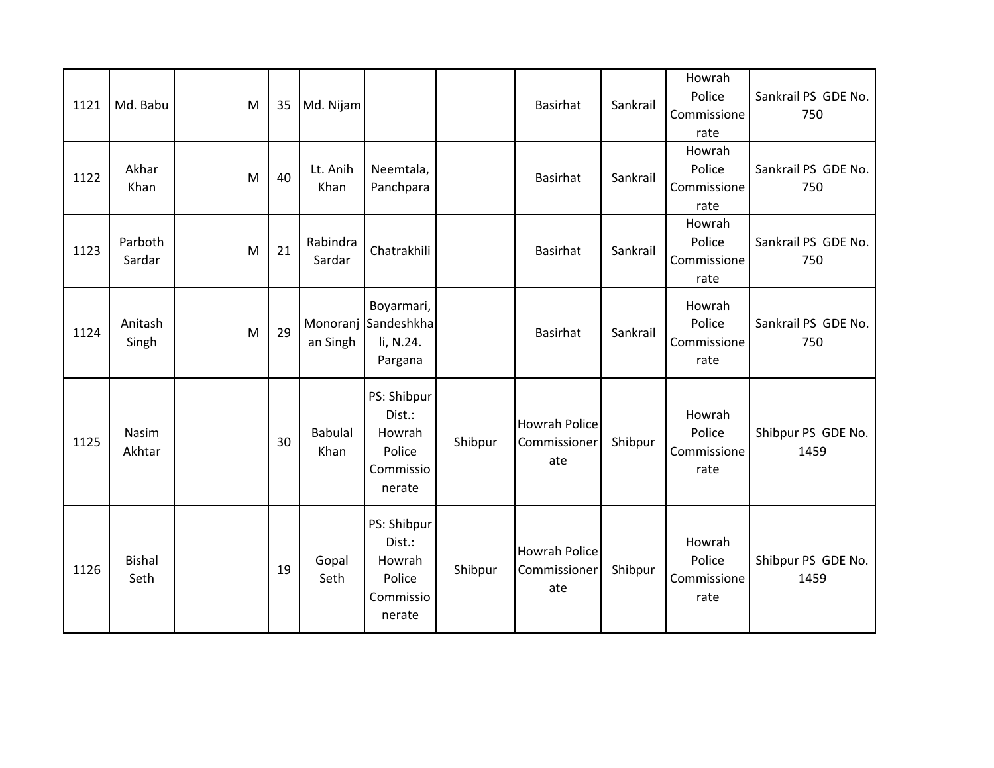| 1121 | Md. Babu              | M | 35 | Md. Nijam              |                                                                  |         | <b>Basirhat</b>                             | Sankrail | Howrah<br>Police<br>Commissione<br>rate | Sankrail PS GDE No.<br>750 |
|------|-----------------------|---|----|------------------------|------------------------------------------------------------------|---------|---------------------------------------------|----------|-----------------------------------------|----------------------------|
| 1122 | Akhar<br>Khan         | M | 40 | Lt. Anih<br>Khan       | Neemtala,<br>Panchpara                                           |         | <b>Basirhat</b>                             | Sankrail | Howrah<br>Police<br>Commissione<br>rate | Sankrail PS GDE No.<br>750 |
| 1123 | Parboth<br>Sardar     | M | 21 | Rabindra<br>Sardar     | Chatrakhili                                                      |         | <b>Basirhat</b>                             | Sankrail | Howrah<br>Police<br>Commissione<br>rate | Sankrail PS GDE No.<br>750 |
| 1124 | Anitash<br>Singh      | M | 29 | Monoranj<br>an Singh   | Boyarmari,<br>Sandeshkha<br>li, N.24.<br>Pargana                 |         | <b>Basirhat</b>                             | Sankrail | Howrah<br>Police<br>Commissione<br>rate | Sankrail PS GDE No.<br>750 |
| 1125 | Nasim<br>Akhtar       |   | 30 | <b>Babulal</b><br>Khan | PS: Shibpur<br>Dist.:<br>Howrah<br>Police<br>Commissio<br>nerate | Shibpur | <b>Howrah Police</b><br>Commissioner<br>ate | Shibpur  | Howrah<br>Police<br>Commissione<br>rate | Shibpur PS GDE No.<br>1459 |
| 1126 | <b>Bishal</b><br>Seth |   | 19 | Gopal<br>Seth          | PS: Shibpur<br>Dist.:<br>Howrah<br>Police<br>Commissio<br>nerate | Shibpur | <b>Howrah Police</b><br>Commissioner<br>ate | Shibpur  | Howrah<br>Police<br>Commissione<br>rate | Shibpur PS GDE No.<br>1459 |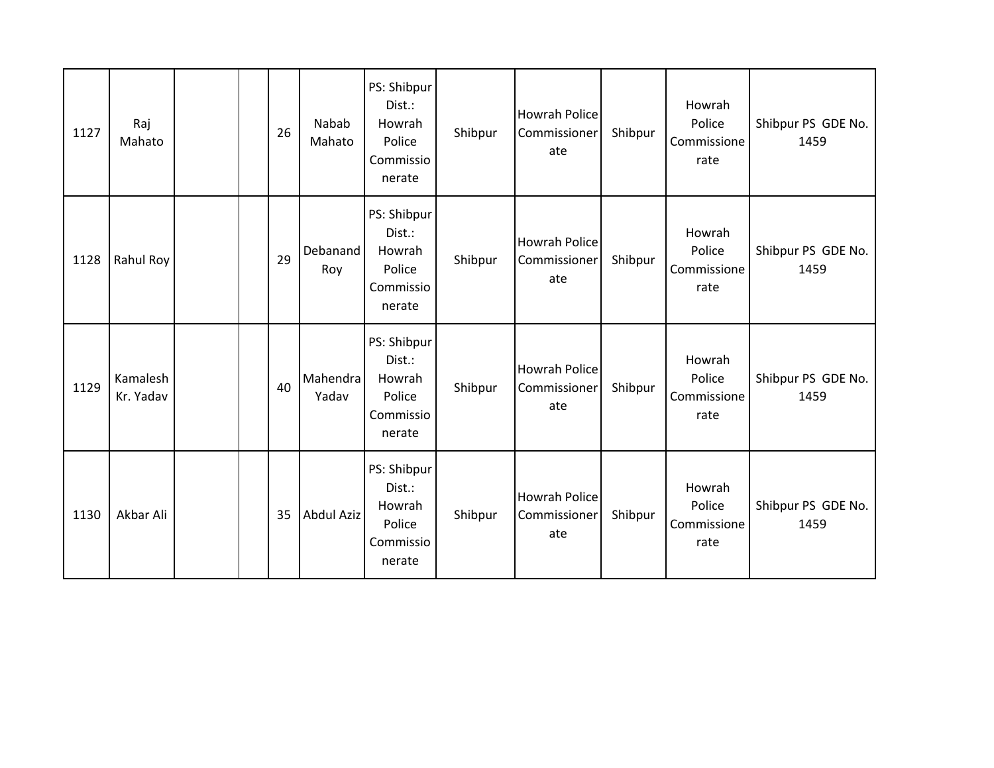| 1127 | Raj<br>Mahato         |  | 26 | Nabab<br>Mahato        | PS: Shibpur<br>Dist.:<br>Howrah<br>Police<br>Commissio<br>nerate | Shibpur | <b>Howrah Police</b><br>Commissioner<br>ate | Shibpur | Howrah<br>Police<br>Commissione<br>rate | Shibpur PS GDE No.<br>1459 |
|------|-----------------------|--|----|------------------------|------------------------------------------------------------------|---------|---------------------------------------------|---------|-----------------------------------------|----------------------------|
| 1128 | Rahul Roy             |  | 29 | <b>Debanand</b><br>Roy | PS: Shibpur<br>Dist.:<br>Howrah<br>Police<br>Commissio<br>nerate | Shibpur | <b>Howrah Police</b><br>Commissioner<br>ate | Shibpur | Howrah<br>Police<br>Commissione<br>rate | Shibpur PS GDE No.<br>1459 |
| 1129 | Kamalesh<br>Kr. Yadav |  | 40 | Mahendra<br>Yadav      | PS: Shibpur<br>Dist.:<br>Howrah<br>Police<br>Commissio<br>nerate | Shibpur | <b>Howrah Police</b><br>Commissioner<br>ate | Shibpur | Howrah<br>Police<br>Commissione<br>rate | Shibpur PS GDE No.<br>1459 |
| 1130 | Akbar Ali             |  | 35 | <b>Abdul Aziz</b>      | PS: Shibpur<br>Dist.:<br>Howrah<br>Police<br>Commissio<br>nerate | Shibpur | <b>Howrah Police</b><br>Commissioner<br>ate | Shibpur | Howrah<br>Police<br>Commissione<br>rate | Shibpur PS GDE No.<br>1459 |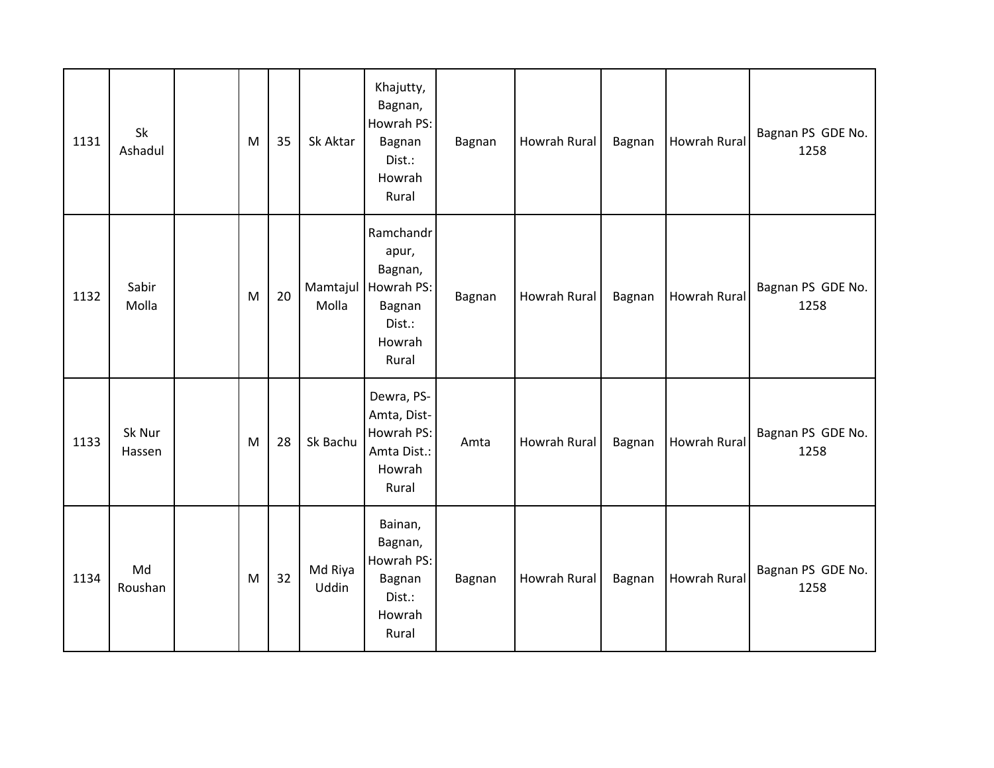| 1131 | Sk<br>Ashadul    | M | 35 | Sk Aktar          | Khajutty,<br>Bagnan,<br>Howrah PS:<br>Bagnan<br>Dist.:<br>Howrah<br>Rural          | Bagnan | Howrah Rural | Bagnan | <b>Howrah Rural</b> | Bagnan PS GDE No.<br>1258 |
|------|------------------|---|----|-------------------|------------------------------------------------------------------------------------|--------|--------------|--------|---------------------|---------------------------|
| 1132 | Sabir<br>Molla   | M | 20 | Mamtajul<br>Molla | Ramchandr<br>apur,<br>Bagnan,<br>Howrah PS:<br>Bagnan<br>Dist.:<br>Howrah<br>Rural | Bagnan | Howrah Rural | Bagnan | <b>Howrah Rural</b> | Bagnan PS GDE No.<br>1258 |
| 1133 | Sk Nur<br>Hassen | M | 28 | Sk Bachu          | Dewra, PS-<br>Amta, Dist-<br>Howrah PS:<br>Amta Dist.:<br>Howrah<br>Rural          | Amta   | Howrah Rural | Bagnan | <b>Howrah Rural</b> | Bagnan PS GDE No.<br>1258 |
| 1134 | Md<br>Roushan    | M | 32 | Md Riya<br>Uddin  | Bainan,<br>Bagnan,<br>Howrah PS:<br>Bagnan<br>Dist.:<br>Howrah<br>Rural            | Bagnan | Howrah Rural | Bagnan | <b>Howrah Rural</b> | Bagnan PS GDE No.<br>1258 |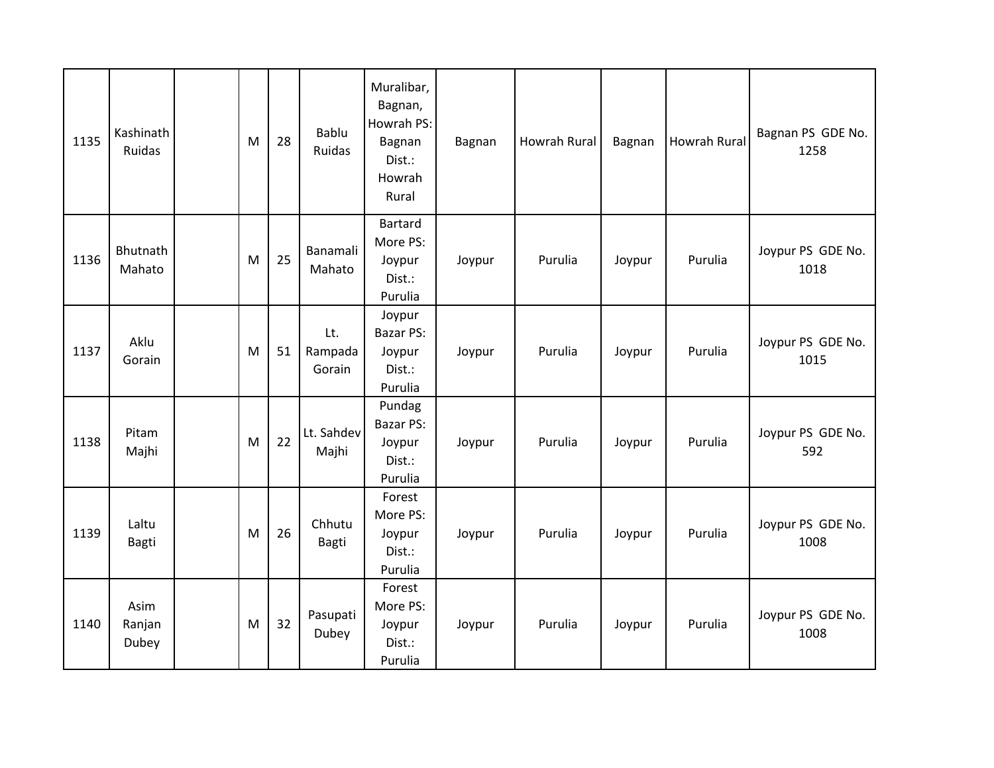| 1135 | Kashinath<br>Ruidas     | M | 28 | <b>Bablu</b><br>Ruidas   | Muralibar,<br>Bagnan,<br>Howrah PS:<br>Bagnan<br>Dist.:<br>Howrah<br>Rural | Bagnan | Howrah Rural | Bagnan | Howrah Rural | Bagnan PS GDE No.<br>1258 |
|------|-------------------------|---|----|--------------------------|----------------------------------------------------------------------------|--------|--------------|--------|--------------|---------------------------|
| 1136 | Bhutnath<br>Mahato      | M | 25 | Banamali<br>Mahato       | <b>Bartard</b><br>More PS:<br>Joypur<br>Dist.:<br>Purulia                  | Joypur | Purulia      | Joypur | Purulia      | Joypur PS GDE No.<br>1018 |
| 1137 | Aklu<br>Gorain          | M | 51 | Lt.<br>Rampada<br>Gorain | Joypur<br><b>Bazar PS:</b><br>Joypur<br>Dist.:<br>Purulia                  | Joypur | Purulia      | Joypur | Purulia      | Joypur PS GDE No.<br>1015 |
| 1138 | Pitam<br>Majhi          | M | 22 | Lt. Sahdev<br>Majhi      | Pundag<br>Bazar PS:<br>Joypur<br>Dist.:<br>Purulia                         | Joypur | Purulia      | Joypur | Purulia      | Joypur PS GDE No.<br>592  |
| 1139 | Laltu<br>Bagti          | M | 26 | Chhutu<br><b>Bagti</b>   | Forest<br>More PS:<br>Joypur<br>Dist.:<br>Purulia                          | Joypur | Purulia      | Joypur | Purulia      | Joypur PS GDE No.<br>1008 |
| 1140 | Asim<br>Ranjan<br>Dubey | M | 32 | Pasupati<br>Dubey        | Forest<br>More PS:<br>Joypur<br>Dist.:<br>Purulia                          | Joypur | Purulia      | Joypur | Purulia      | Joypur PS GDE No.<br>1008 |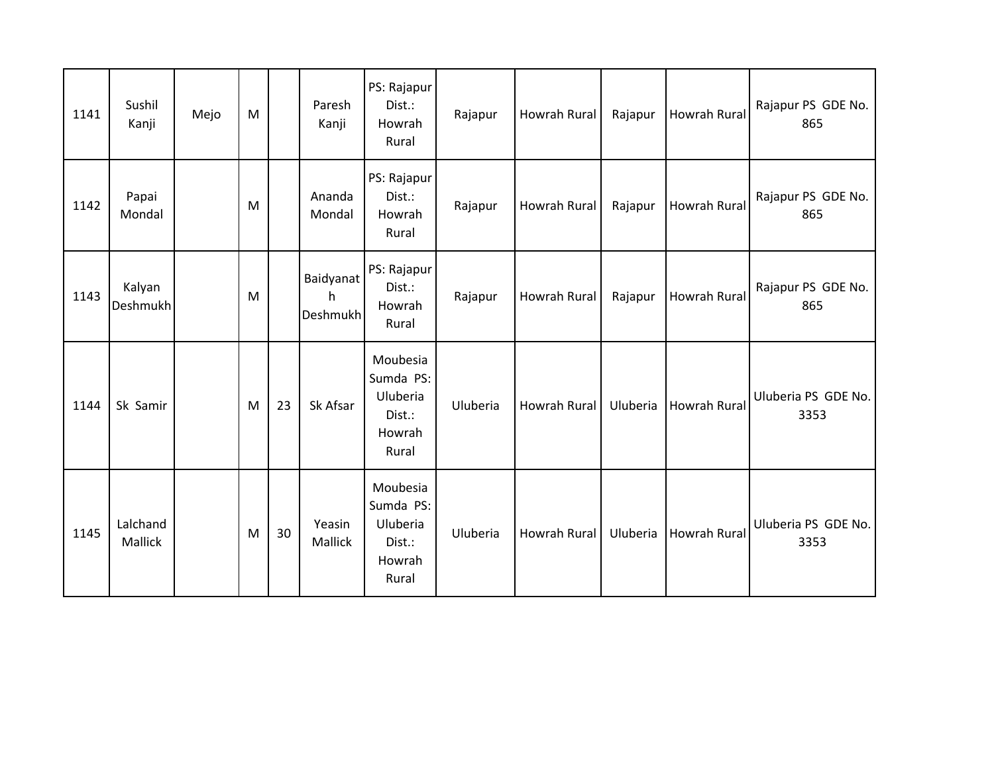| 1141 | Sushil<br>Kanji            | Mejo | M |    | Paresh<br>Kanji                   | PS: Rajapur<br>Dist.:<br>Howrah<br>Rural                       | Rajapur  | Howrah Rural        | Rajapur  | <b>Howrah Rural</b> | Rajapur PS GDE No.<br>865   |
|------|----------------------------|------|---|----|-----------------------------------|----------------------------------------------------------------|----------|---------------------|----------|---------------------|-----------------------------|
| 1142 | Papai<br>Mondal            |      | M |    | Ananda<br>Mondal                  | PS: Rajapur<br>Dist.:<br>Howrah<br>Rural                       | Rajapur  | Howrah Rural        | Rajapur  | <b>Howrah Rural</b> | Rajapur PS GDE No.<br>865   |
| 1143 | Kalyan<br>Deshmukh         |      | M |    | <b>Baidyanat</b><br>h<br>Deshmukh | PS: Rajapur<br>Dist.:<br>Howrah<br>Rural                       | Rajapur  | Howrah Rural        | Rajapur  | <b>Howrah Rural</b> | Rajapur PS GDE No.<br>865   |
| 1144 | Sk Samir                   |      | M | 23 | Sk Afsar                          | Moubesia<br>Sumda PS:<br>Uluberia<br>Dist.:<br>Howrah<br>Rural | Uluberia | <b>Howrah Rural</b> | Uluberia | <b>Howrah Rural</b> | Uluberia PS GDE No.<br>3353 |
| 1145 | Lalchand<br><b>Mallick</b> |      | M | 30 | Yeasin<br>Mallick                 | Moubesia<br>Sumda PS:<br>Uluberia<br>Dist.:<br>Howrah<br>Rural | Uluberia | <b>Howrah Rural</b> | Uluberia | <b>Howrah Rural</b> | Uluberia PS GDE No.<br>3353 |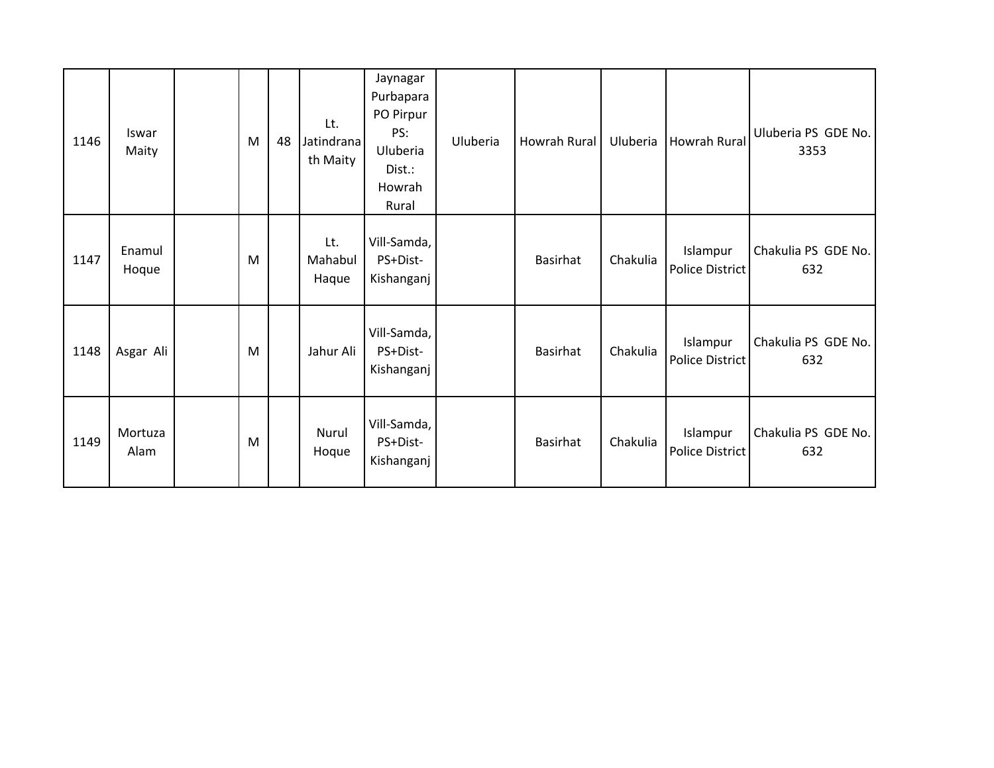| 1146 | Iswar<br>Maity  | M | 48 | Lt.<br>Jatindrana<br>th Maity | Jaynagar<br>Purbapara<br>PO Pirpur<br>PS:<br>Uluberia<br>Dist.:<br>Howrah<br>Rural | Uluberia | Howrah Rural    | Uluberia | <b>Howrah Rural</b>                | Uluberia PS GDE No.<br>3353 |
|------|-----------------|---|----|-------------------------------|------------------------------------------------------------------------------------|----------|-----------------|----------|------------------------------------|-----------------------------|
| 1147 | Enamul<br>Hoque | M |    | Lt.<br>Mahabul<br>Haque       | Vill-Samda,<br>PS+Dist-<br>Kishanganj                                              |          | <b>Basirhat</b> | Chakulia | Islampur<br><b>Police District</b> | Chakulia PS GDE No.<br>632  |
| 1148 | Asgar Ali       | M |    | Jahur Ali                     | Vill-Samda,<br>PS+Dist-<br>Kishanganj                                              |          | <b>Basirhat</b> | Chakulia | Islampur<br>Police District        | Chakulia PS GDE No.<br>632  |
| 1149 | Mortuza<br>Alam | M |    | Nurul<br>Hoque                | Vill-Samda,<br>PS+Dist-<br>Kishanganj                                              |          | <b>Basirhat</b> | Chakulia | Islampur<br>Police District        | Chakulia PS GDE No.<br>632  |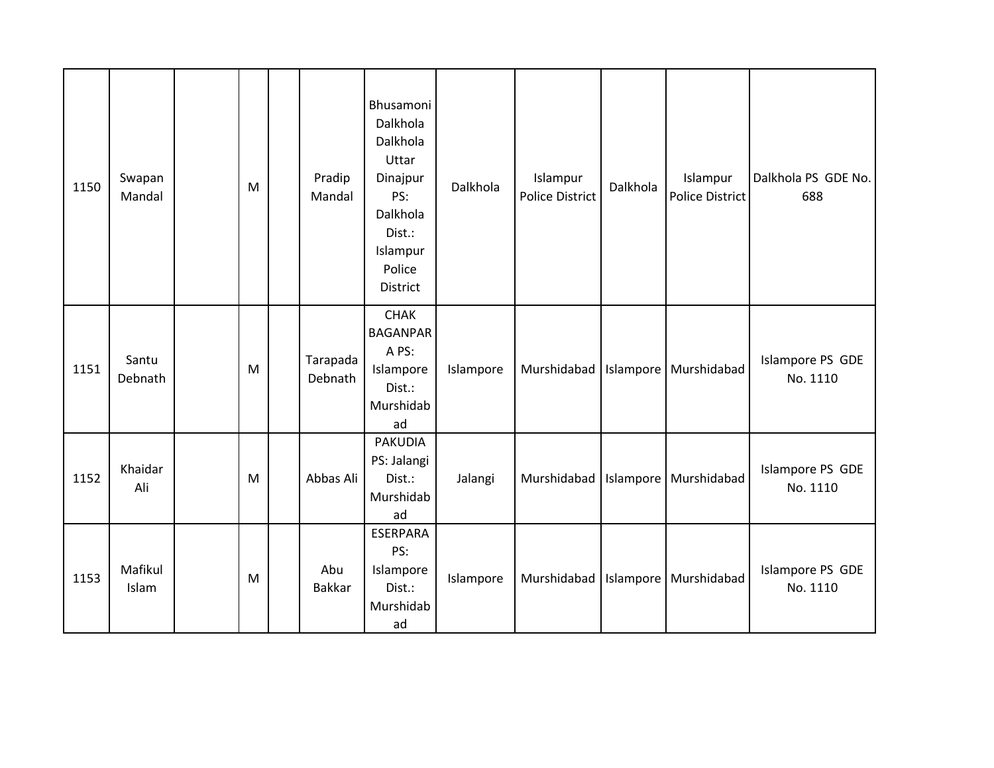| 1150 | Swapan<br>Mandal | M | Pradip<br>Mandal    | Bhusamoni<br>Dalkhola<br>Dalkhola<br>Uttar<br>Dinajpur<br>PS:<br>Dalkhola<br>Dist.:<br>Islampur<br>Police<br><b>District</b> | Dalkhola  | Islampur<br><b>Police District</b> | Dalkhola | Islampur<br>Police District           | Dalkhola PS GDE No.<br>688   |
|------|------------------|---|---------------------|------------------------------------------------------------------------------------------------------------------------------|-----------|------------------------------------|----------|---------------------------------------|------------------------------|
| 1151 | Santu<br>Debnath | M | Tarapada<br>Debnath | <b>CHAK</b><br><b>BAGANPAR</b><br>A PS:<br>Islampore<br>Dist.:<br>Murshidab<br>ad                                            | Islampore |                                    |          | Murshidabad   Islampore   Murshidabad | Islampore PS GDE<br>No. 1110 |
| 1152 | Khaidar<br>Ali   | M | Abbas Ali           | <b>PAKUDIA</b><br>PS: Jalangi<br>Dist.:<br>Murshidab<br>ad                                                                   | Jalangi   | Murshidabad                        |          | Islampore   Murshidabad               | Islampore PS GDE<br>No. 1110 |
| 1153 | Mafikul<br>Islam | M | Abu<br>Bakkar       | <b>ESERPARA</b><br>PS:<br>Islampore<br>Dist.:<br>Murshidab<br>ad                                                             | Islampore |                                    |          | Murshidabad   Islampore   Murshidabad | Islampore PS GDE<br>No. 1110 |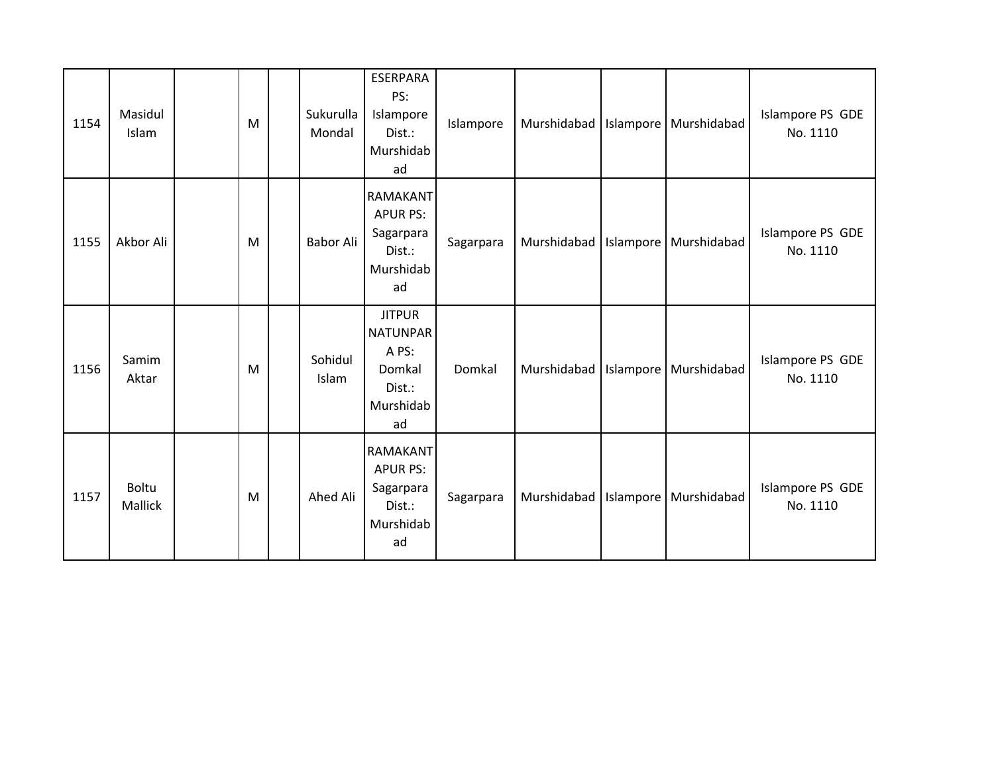| 1154 | Masidul<br>Islam        | M | Sukurulla<br>Mondal | <b>ESERPARA</b><br>PS:<br>Islampore<br>Dist.:<br>Murshidab<br>ad                 | Islampore |  | Murshidabad   Islampore   Murshidabad | Islampore PS GDE<br>No. 1110 |
|------|-------------------------|---|---------------------|----------------------------------------------------------------------------------|-----------|--|---------------------------------------|------------------------------|
| 1155 | Akbor Ali               | M | Babor Ali           | RAMAKANT<br><b>APUR PS:</b><br>Sagarpara<br>Dist.:<br>Murshidab<br>ad            | Sagarpara |  | Murshidabad   Islampore   Murshidabad | Islampore PS GDE<br>No. 1110 |
| 1156 | Samim<br>Aktar          | M | Sohidul<br>Islam    | <b>JITPUR</b><br><b>NATUNPAR</b><br>A PS:<br>Domkal<br>Dist.:<br>Murshidab<br>ad | Domkal    |  | Murshidabad   Islampore   Murshidabad | Islampore PS GDE<br>No. 1110 |
| 1157 | <b>Boltu</b><br>Mallick | M | Ahed Ali            | <b>RAMAKANT</b><br><b>APUR PS:</b><br>Sagarpara<br>Dist.:<br>Murshidab<br>ad     | Sagarpara |  | Murshidabad   Islampore   Murshidabad | Islampore PS GDE<br>No. 1110 |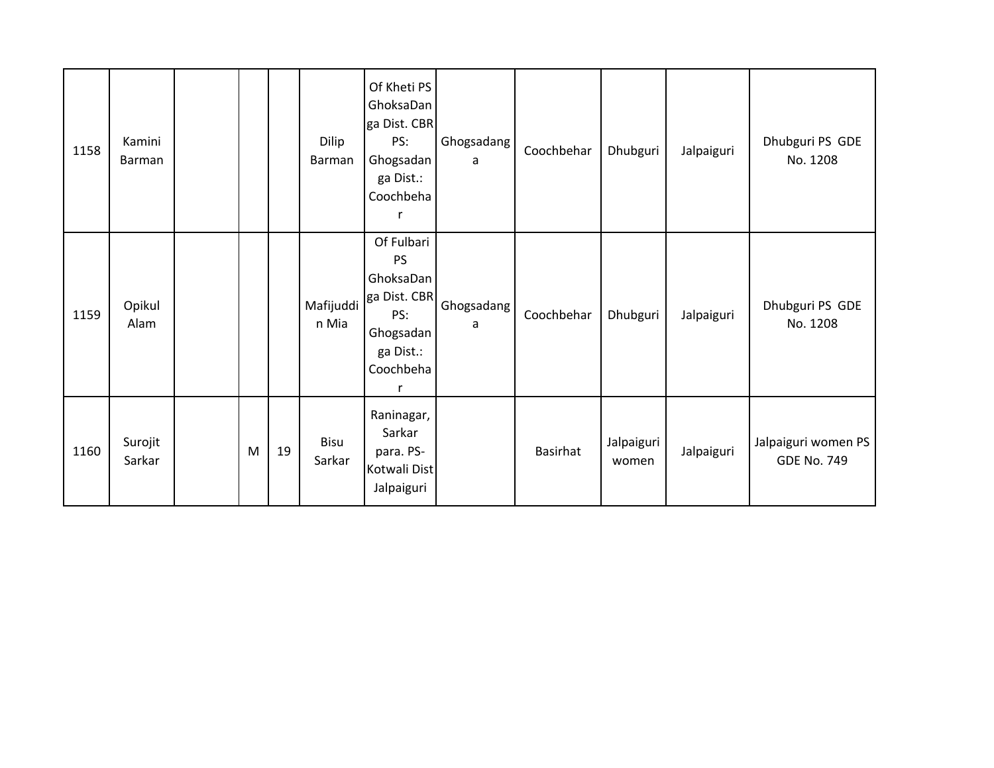| 1158 | Kamini<br><b>Barman</b> |   |    | Dilip<br>Barman    | Of Kheti PS<br>GhoksaDan<br>ga Dist. CBR<br>PS:<br>Ghogsadan<br>ga Dist.:<br>Coochbeha             | Ghogsadang<br>a | Coochbehar      | Dhubguri            | Jalpaiguri | Dhubguri PS GDE<br>No. 1208               |
|------|-------------------------|---|----|--------------------|----------------------------------------------------------------------------------------------------|-----------------|-----------------|---------------------|------------|-------------------------------------------|
| 1159 | Opikul<br>Alam          |   |    | Mafijuddi<br>n Mia | Of Fulbari<br><b>PS</b><br>GhoksaDan<br>ga Dist. CBR<br>PS:<br>Ghogsadan<br>ga Dist.:<br>Coochbeha | Ghogsadang<br>a | Coochbehar      | Dhubguri            | Jalpaiguri | Dhubguri PS GDE<br>No. 1208               |
| 1160 | Surojit<br>Sarkar       | M | 19 | Bisu<br>Sarkar     | Raninagar,<br>Sarkar<br>para. PS-<br>Kotwali Dist<br>Jalpaiguri                                    |                 | <b>Basirhat</b> | Jalpaiguri<br>women | Jalpaiguri | Jalpaiguri women PS<br><b>GDE No. 749</b> |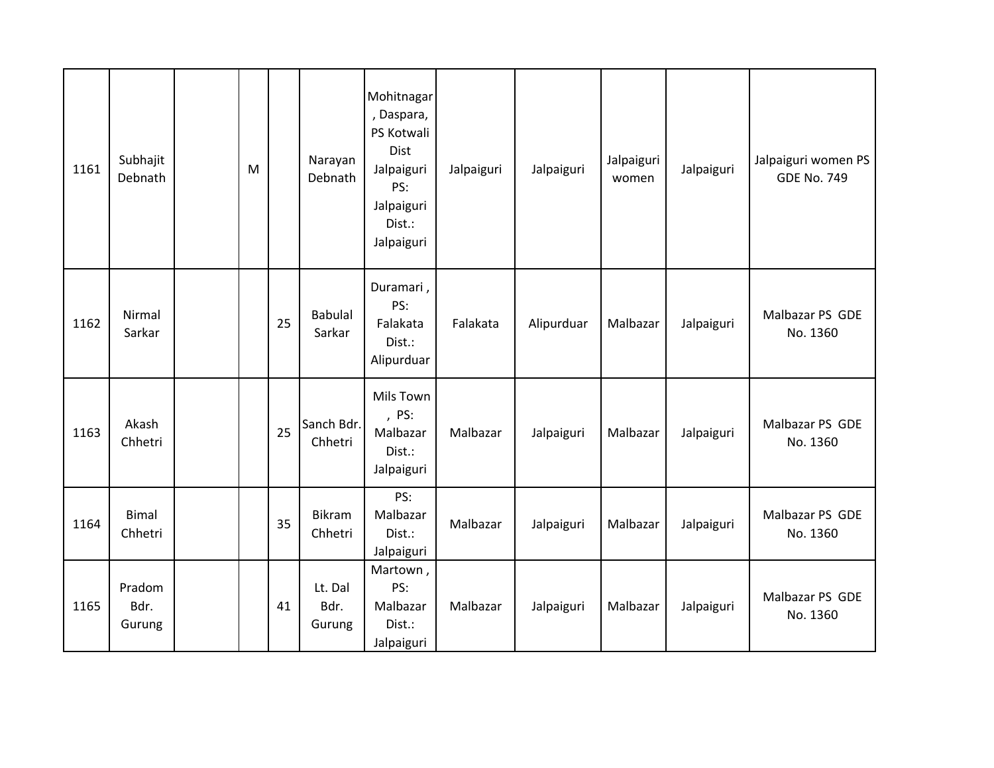| 1161 | Subhajit<br>Debnath      | M |    | Narayan<br>Debnath        | Mohitnagar<br>, Daspara,<br>PS Kotwali<br>Dist<br>Jalpaiguri<br>PS:<br>Jalpaiguri<br>Dist.:<br>Jalpaiguri | Jalpaiguri | Jalpaiguri | Jalpaiguri<br>women | Jalpaiguri | Jalpaiguri women PS<br><b>GDE No. 749</b> |
|------|--------------------------|---|----|---------------------------|-----------------------------------------------------------------------------------------------------------|------------|------------|---------------------|------------|-------------------------------------------|
| 1162 | Nirmal<br>Sarkar         |   | 25 | <b>Babulal</b><br>Sarkar  | Duramari,<br>PS:<br>Falakata<br>Dist.:<br>Alipurduar                                                      | Falakata   | Alipurduar | Malbazar            | Jalpaiguri | Malbazar PS GDE<br>No. 1360               |
| 1163 | Akash<br>Chhetri         |   | 25 | Sanch Bdr.<br>Chhetri     | Mils Town<br>, PS:<br>Malbazar<br>Dist.:<br>Jalpaiguri                                                    | Malbazar   | Jalpaiguri | Malbazar            | Jalpaiguri | Malbazar PS GDE<br>No. 1360               |
| 1164 | <b>Bimal</b><br>Chhetri  |   | 35 | <b>Bikram</b><br>Chhetri  | PS:<br>Malbazar<br>Dist.:<br>Jalpaiguri                                                                   | Malbazar   | Jalpaiguri | Malbazar            | Jalpaiguri | Malbazar PS GDE<br>No. 1360               |
| 1165 | Pradom<br>Bdr.<br>Gurung |   | 41 | Lt. Dal<br>Bdr.<br>Gurung | Martown,<br>PS:<br>Malbazar<br>Dist.:<br>Jalpaiguri                                                       | Malbazar   | Jalpaiguri | Malbazar            | Jalpaiguri | Malbazar PS GDE<br>No. 1360               |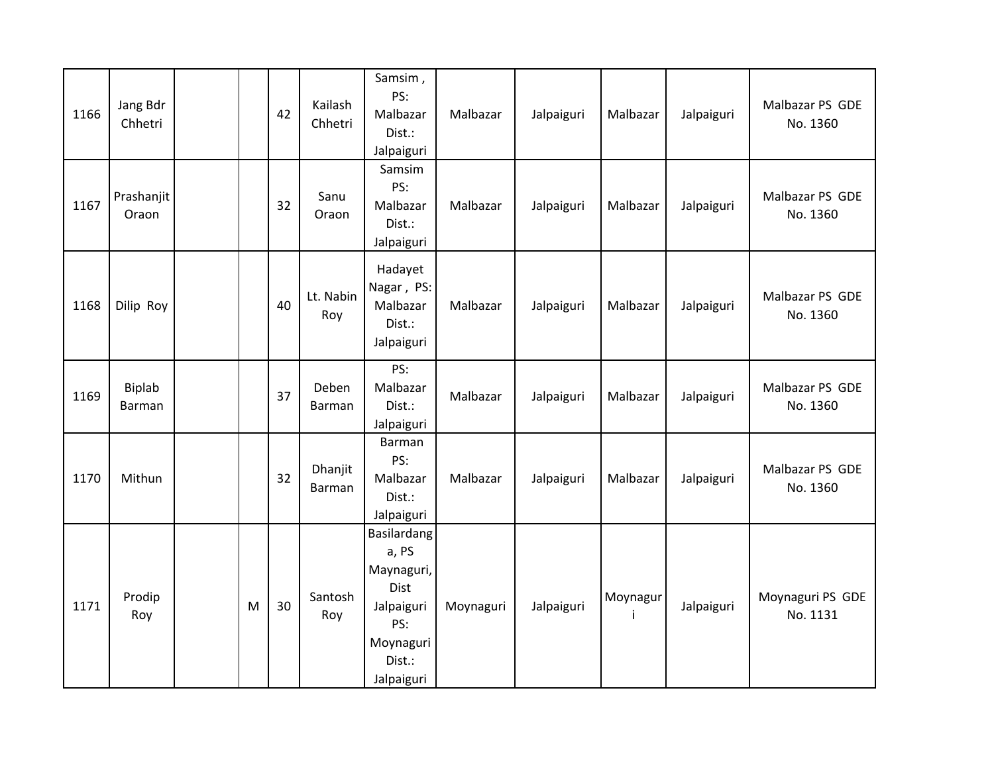| 1166 | Jang Bdr<br>Chhetri |   | 42 | Kailash<br>Chhetri | Samsim,<br>PS:<br>Malbazar<br>Dist.:<br>Jalpaiguri                                                   | Malbazar  | Jalpaiguri | Malbazar      | Jalpaiguri | Malbazar PS GDE<br>No. 1360  |
|------|---------------------|---|----|--------------------|------------------------------------------------------------------------------------------------------|-----------|------------|---------------|------------|------------------------------|
| 1167 | Prashanjit<br>Oraon |   | 32 | Sanu<br>Oraon      | Samsim<br>PS:<br>Malbazar<br>Dist.:<br>Jalpaiguri                                                    | Malbazar  | Jalpaiguri | Malbazar      | Jalpaiguri | Malbazar PS GDE<br>No. 1360  |
| 1168 | Dilip Roy           |   | 40 | Lt. Nabin<br>Roy   | Hadayet<br>Nagar, PS:<br>Malbazar<br>Dist.:<br>Jalpaiguri                                            | Malbazar  | Jalpaiguri | Malbazar      | Jalpaiguri | Malbazar PS GDE<br>No. 1360  |
| 1169 | Biplab<br>Barman    |   | 37 | Deben<br>Barman    | PS:<br>Malbazar<br>Dist.:<br>Jalpaiguri                                                              | Malbazar  | Jalpaiguri | Malbazar      | Jalpaiguri | Malbazar PS GDE<br>No. 1360  |
| 1170 | Mithun              |   | 32 | Dhanjit<br>Barman  | Barman<br>PS:<br>Malbazar<br>Dist.:<br>Jalpaiguri                                                    | Malbazar  | Jalpaiguri | Malbazar      | Jalpaiguri | Malbazar PS GDE<br>No. 1360  |
| 1171 | Prodip<br>Roy       | M | 30 | Santosh<br>Roy     | Basilardang<br>a, PS<br>Maynaguri,<br>Dist<br>Jalpaiguri<br>PS:<br>Moynaguri<br>Dist.:<br>Jalpaiguri | Moynaguri | Jalpaiguri | Moynagur<br>Ť | Jalpaiguri | Moynaguri PS GDE<br>No. 1131 |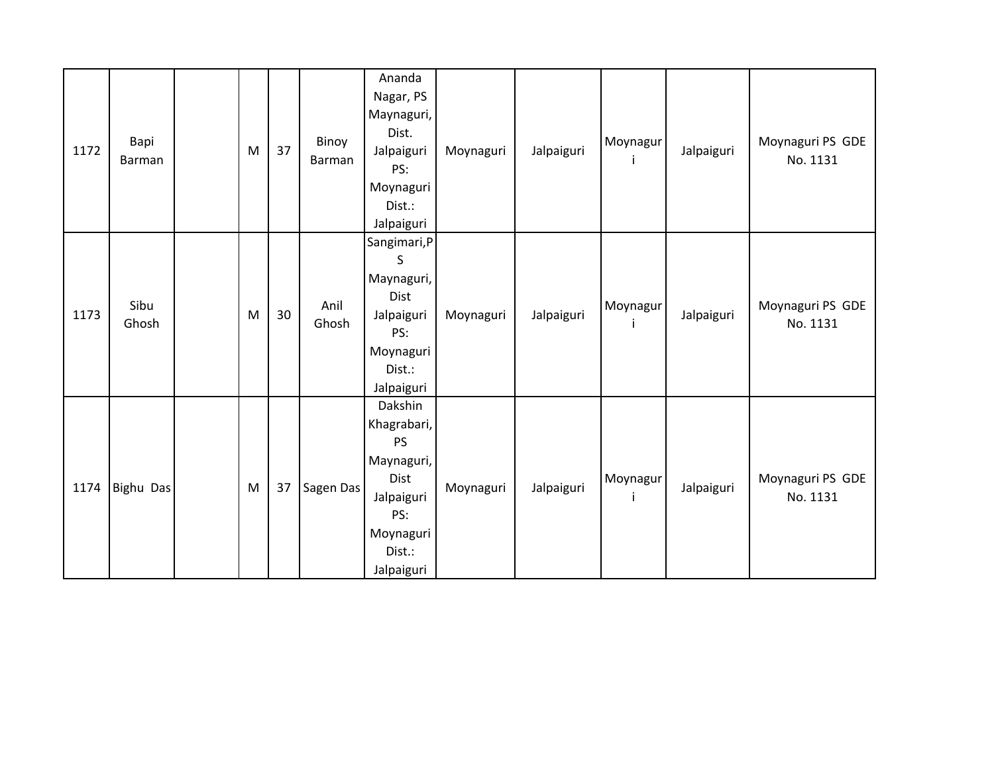| 1172 | Bapi<br>Barman | M | 37 | Binoy<br>Barman | Ananda<br>Nagar, PS<br>Maynaguri,<br>Dist.<br>Jalpaiguri<br>PS:<br>Moynaguri<br>Dist.:<br>Jalpaiguri                | Moynaguri | Jalpaiguri | Moynagur<br>Ť | Jalpaiguri | Moynaguri PS GDE<br>No. 1131 |
|------|----------------|---|----|-----------------|---------------------------------------------------------------------------------------------------------------------|-----------|------------|---------------|------------|------------------------------|
| 1173 | Sibu<br>Ghosh  | M | 30 | Anil<br>Ghosh   | Sangimari, P<br>S<br>Maynaguri,<br>Dist<br>Jalpaiguri<br>PS:<br>Moynaguri<br>Dist.:<br>Jalpaiguri                   | Moynaguri | Jalpaiguri | Moynagur<br>Ť | Jalpaiguri | Moynaguri PS GDE<br>No. 1131 |
| 1174 | Bighu Das      | M | 37 | Sagen Das       | Dakshin<br>Khagrabari,<br><b>PS</b><br>Maynaguri,<br>Dist<br>Jalpaiguri<br>PS:<br>Moynaguri<br>Dist.:<br>Jalpaiguri | Moynaguri | Jalpaiguri | Moynagur      | Jalpaiguri | Moynaguri PS GDE<br>No. 1131 |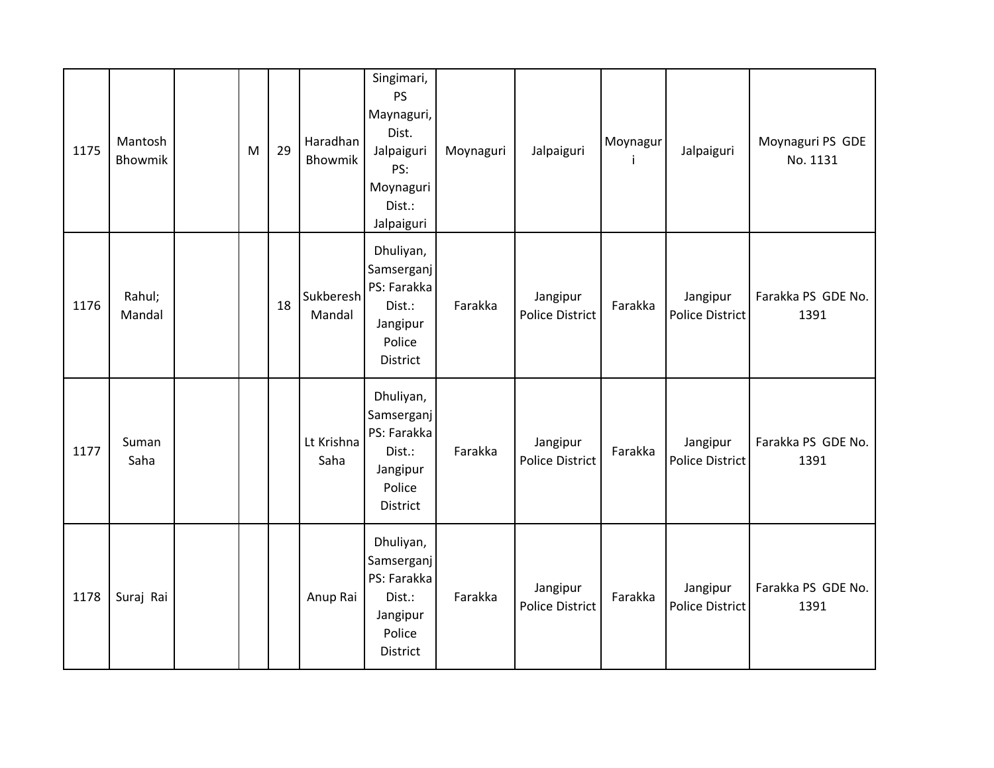| 1175 | Mantosh<br>Bhowmik | M | 29 | Haradhan<br>Bhowmik | Singimari,<br><b>PS</b><br>Maynaguri,<br>Dist.<br>Jalpaiguri<br>PS:<br>Moynaguri<br>Dist.:<br>Jalpaiguri | Moynaguri | Jalpaiguri                         | Moynagur | Jalpaiguri                         | Moynaguri PS GDE<br>No. 1131 |
|------|--------------------|---|----|---------------------|----------------------------------------------------------------------------------------------------------|-----------|------------------------------------|----------|------------------------------------|------------------------------|
| 1176 | Rahul;<br>Mandal   |   | 18 | Sukberesh<br>Mandal | Dhuliyan,<br>Samserganj<br>PS: Farakka<br>Dist.:<br>Jangipur<br>Police<br>District                       | Farakka   | Jangipur<br><b>Police District</b> | Farakka  | Jangipur<br><b>Police District</b> | Farakka PS GDE No.<br>1391   |
| 1177 | Suman<br>Saha      |   |    | Lt Krishna<br>Saha  | Dhuliyan,<br>Samserganj<br>PS: Farakka<br>Dist.:<br>Jangipur<br>Police<br>District                       | Farakka   | Jangipur<br><b>Police District</b> | Farakka  | Jangipur<br><b>Police District</b> | Farakka PS GDE No.<br>1391   |
| 1178 | Suraj Rai          |   |    | Anup Rai            | Dhuliyan,<br>Samserganj<br>PS: Farakka<br>Dist.:<br>Jangipur<br>Police<br>District                       | Farakka   | Jangipur<br><b>Police District</b> | Farakka  | Jangipur<br>Police District        | Farakka PS GDE No.<br>1391   |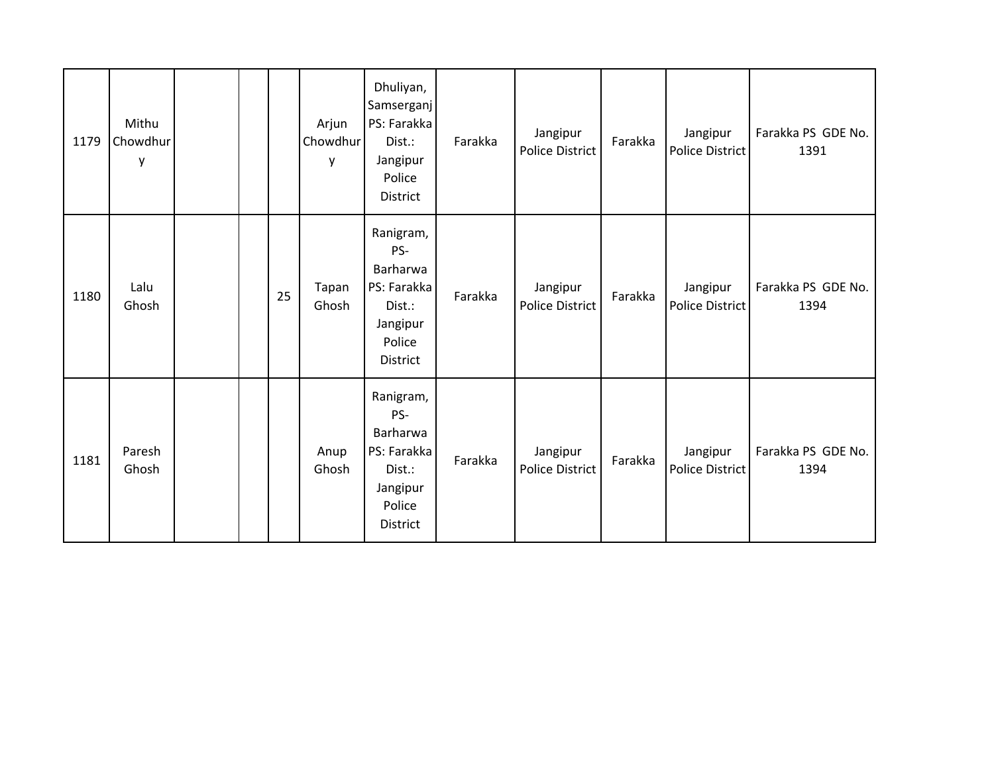| 1179 | Mithu<br>Chowdhur<br>y |  |    | Arjun<br>Chowdhur<br>y | Dhuliyan,<br>Samserganj<br>PS: Farakka<br>Dist.:<br>Jangipur<br>Police<br>District      | Farakka | Jangipur<br><b>Police District</b> | Farakka | Jangipur<br>Police District | Farakka PS GDE No.<br>1391 |
|------|------------------------|--|----|------------------------|-----------------------------------------------------------------------------------------|---------|------------------------------------|---------|-----------------------------|----------------------------|
| 1180 | Lalu<br>Ghosh          |  | 25 | Tapan<br>Ghosh         | Ranigram,<br>PS-<br>Barharwa<br>PS: Farakka<br>Dist.:<br>Jangipur<br>Police<br>District | Farakka | Jangipur<br><b>Police District</b> | Farakka | Jangipur<br>Police District | Farakka PS GDE No.<br>1394 |
| 1181 | Paresh<br>Ghosh        |  |    | Anup<br>Ghosh          | Ranigram,<br>PS-<br>Barharwa<br>PS: Farakka<br>Dist.:<br>Jangipur<br>Police<br>District | Farakka | Jangipur<br><b>Police District</b> | Farakka | Jangipur<br>Police District | Farakka PS GDE No.<br>1394 |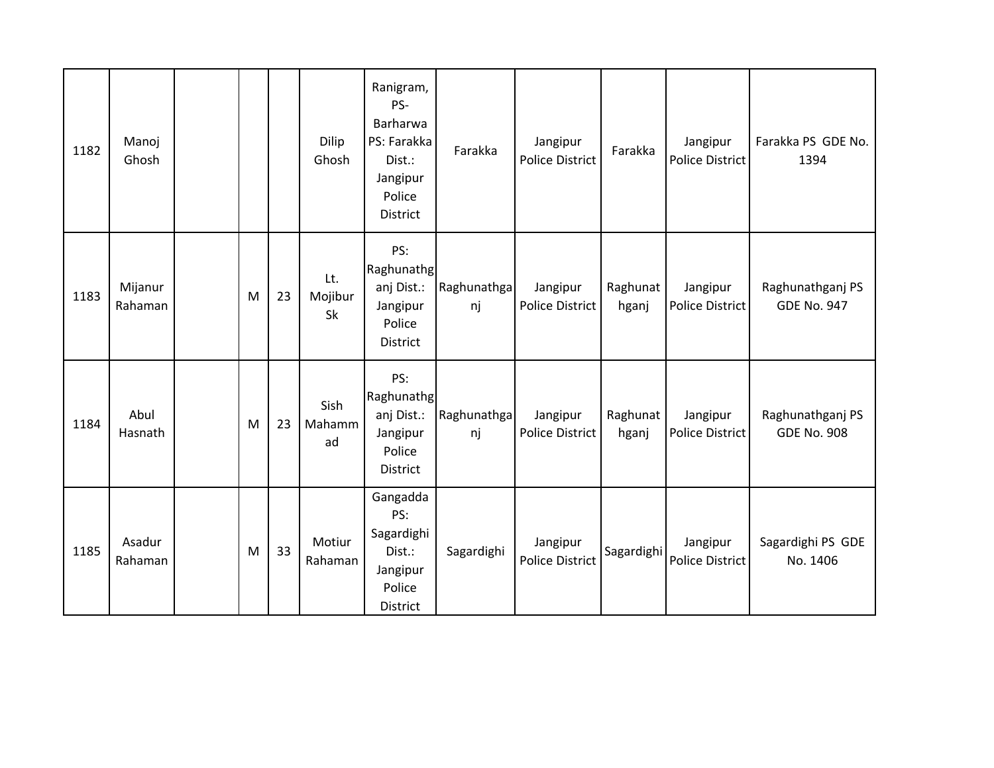| 1182 | Manoj<br>Ghosh     |   |    | <b>Dilip</b><br>Ghosh       | Ranigram,<br>PS-<br>Barharwa<br>PS: Farakka<br>Dist.:<br>Jangipur<br>Police<br>District | Farakka           | Jangipur<br><b>Police District</b> | Farakka           | Jangipur<br>Police District        | Farakka PS GDE No.<br>1394             |
|------|--------------------|---|----|-----------------------------|-----------------------------------------------------------------------------------------|-------------------|------------------------------------|-------------------|------------------------------------|----------------------------------------|
| 1183 | Mijanur<br>Rahaman | M | 23 | Lt.<br>Mojibur<br><b>Sk</b> | PS:<br>Raghunathg<br>anj Dist.:<br>Jangipur<br>Police<br>District                       | Raghunathga<br>nj | Jangipur<br>Police District        | Raghunat<br>hganj | Jangipur<br>Police District        | Raghunathganj PS<br><b>GDE No. 947</b> |
| 1184 | Abul<br>Hasnath    | M | 23 | Sish<br>Mahamm<br>ad        | PS:<br>Raghunathg<br>anj Dist.:<br>Jangipur<br>Police<br>District                       | Raghunathga<br>nj | Jangipur<br><b>Police District</b> | Raghunat<br>hganj | Jangipur<br>Police District        | Raghunathganj PS<br><b>GDE No. 908</b> |
| 1185 | Asadur<br>Rahaman  | M | 33 | Motiur<br>Rahaman           | Gangadda<br>PS:<br>Sagardighi<br>Dist.:<br>Jangipur<br>Police<br>District               | Sagardighi        | Jangipur<br><b>Police District</b> | Sagardighi        | Jangipur<br><b>Police District</b> | Sagardighi PS GDE<br>No. 1406          |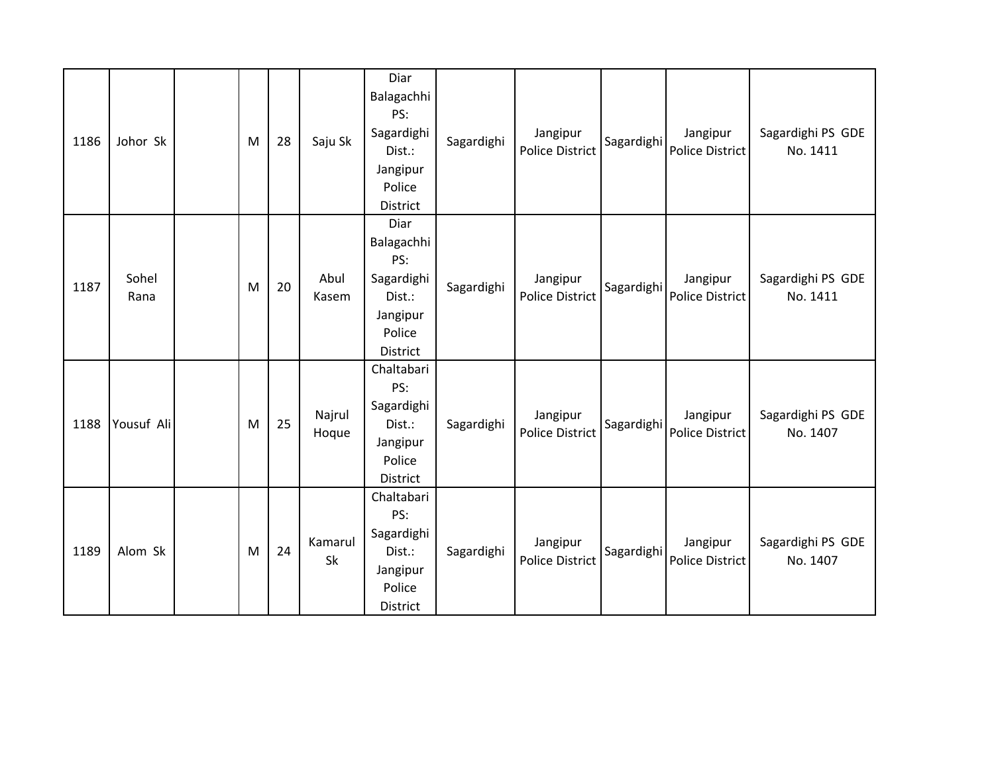| 1186 | Johor Sk      | M | 28 | Saju Sk         | Diar<br>Balagachhi<br>PS:<br>Sagardighi<br>Dist.:<br>Jangipur<br>Police<br><b>District</b> | Sagardighi | Jangipur<br><b>Police District</b> | Sagardighi | Jangipur<br>Police District        | Sagardighi PS GDE<br>No. 1411 |
|------|---------------|---|----|-----------------|--------------------------------------------------------------------------------------------|------------|------------------------------------|------------|------------------------------------|-------------------------------|
| 1187 | Sohel<br>Rana | M | 20 | Abul<br>Kasem   | Diar<br>Balagachhi<br>PS:<br>Sagardighi<br>Dist.:<br>Jangipur<br>Police<br><b>District</b> | Sagardighi | Jangipur<br><b>Police District</b> | Sagardighi | Jangipur<br><b>Police District</b> | Sagardighi PS GDE<br>No. 1411 |
| 1188 | Yousuf Ali    | M | 25 | Najrul<br>Hoque | Chaltabari<br>PS:<br>Sagardighi<br>Dist.:<br>Jangipur<br>Police<br>District                | Sagardighi | Jangipur<br><b>Police District</b> | Sagardighi | Jangipur<br><b>Police District</b> | Sagardighi PS GDE<br>No. 1407 |
| 1189 | Alom Sk       | M | 24 | Kamarul<br>Sk   | Chaltabari<br>PS:<br>Sagardighi<br>Dist.:<br>Jangipur<br>Police<br>District                | Sagardighi | Jangipur<br><b>Police District</b> | Sagardighi | Jangipur<br><b>Police District</b> | Sagardighi PS GDE<br>No. 1407 |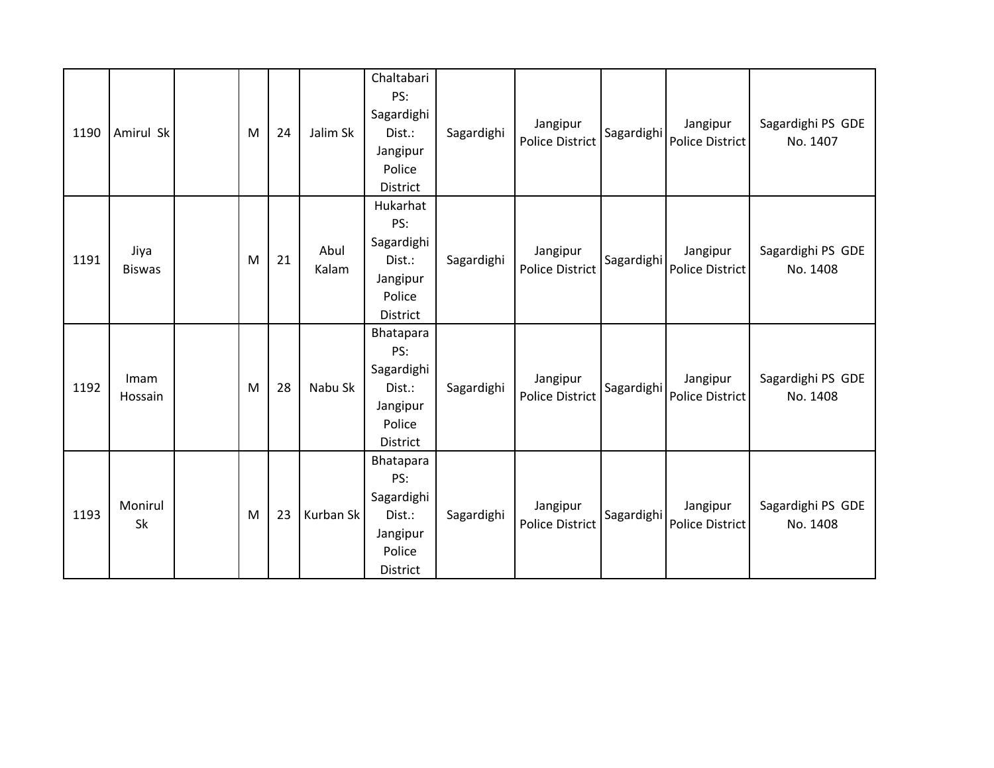| 1190 | Amirul Sk             | M | 24 | Jalim Sk      | Chaltabari<br>PS:<br>Sagardighi<br>Dist.:<br>Jangipur<br>Police<br>District | Sagardighi | Jangipur<br><b>Police District</b> | Sagardighi | Jangipur<br>Police District        | Sagardighi PS GDE<br>No. 1407 |
|------|-----------------------|---|----|---------------|-----------------------------------------------------------------------------|------------|------------------------------------|------------|------------------------------------|-------------------------------|
| 1191 | Jiya<br><b>Biswas</b> | M | 21 | Abul<br>Kalam | Hukarhat<br>PS:<br>Sagardighi<br>Dist.:<br>Jangipur<br>Police<br>District   | Sagardighi | Jangipur<br><b>Police District</b> | Sagardighi | Jangipur<br>Police District        | Sagardighi PS GDE<br>No. 1408 |
| 1192 | Imam<br>Hossain       | M | 28 | Nabu Sk       | Bhatapara<br>PS:<br>Sagardighi<br>Dist.:<br>Jangipur<br>Police<br>District  | Sagardighi | Jangipur<br><b>Police District</b> | Sagardighi | Jangipur<br><b>Police District</b> | Sagardighi PS GDE<br>No. 1408 |
| 1193 | Monirul<br>Sk         | M | 23 | Kurban Sk     | Bhatapara<br>PS:<br>Sagardighi<br>Dist.:<br>Jangipur<br>Police<br>District  | Sagardighi | Jangipur<br><b>Police District</b> | Sagardighi | Jangipur<br>Police District        | Sagardighi PS GDE<br>No. 1408 |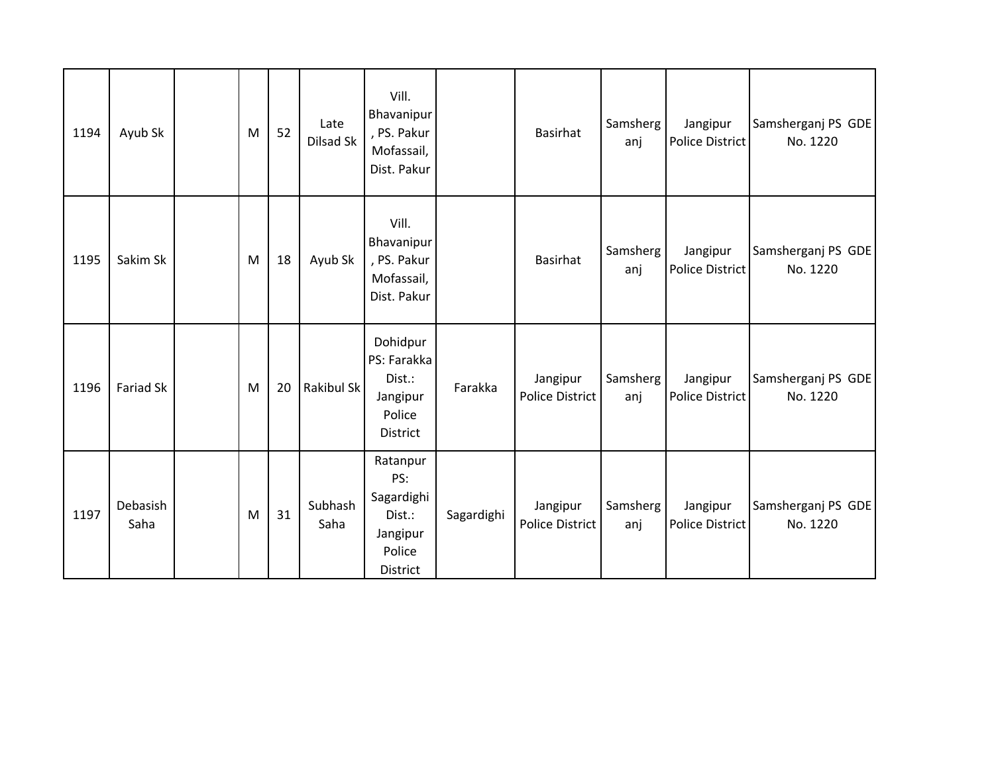| 1194 | Ayub Sk          | M | 52 | Late<br>Dilsad Sk | Vill.<br>Bhavanipur<br>, PS. Pakur<br>Mofassail,<br>Dist. Pakur           |            | <b>Basirhat</b>                    | Samsherg<br>anj | Jangipur<br>Police District        | Samsherganj PS GDE<br>No. 1220 |
|------|------------------|---|----|-------------------|---------------------------------------------------------------------------|------------|------------------------------------|-----------------|------------------------------------|--------------------------------|
| 1195 | Sakim Sk         | M | 18 | Ayub Sk           | Vill.<br>Bhavanipur<br>, PS. Pakur<br>Mofassail,<br>Dist. Pakur           |            | <b>Basirhat</b>                    | Samsherg<br>anj | Jangipur<br><b>Police District</b> | Samsherganj PS GDE<br>No. 1220 |
| 1196 | <b>Fariad Sk</b> | M | 20 | Rakibul Sk        | Dohidpur<br>PS: Farakka<br>Dist.:<br>Jangipur<br>Police<br>District       | Farakka    | Jangipur<br><b>Police District</b> | Samsherg<br>anj | Jangipur<br><b>Police District</b> | Samsherganj PS GDE<br>No. 1220 |
| 1197 | Debasish<br>Saha | M | 31 | Subhash<br>Saha   | Ratanpur<br>PS:<br>Sagardighi<br>Dist.:<br>Jangipur<br>Police<br>District | Sagardighi | Jangipur<br><b>Police District</b> | Samsherg<br>anj | Jangipur<br>Police District        | Samsherganj PS GDE<br>No. 1220 |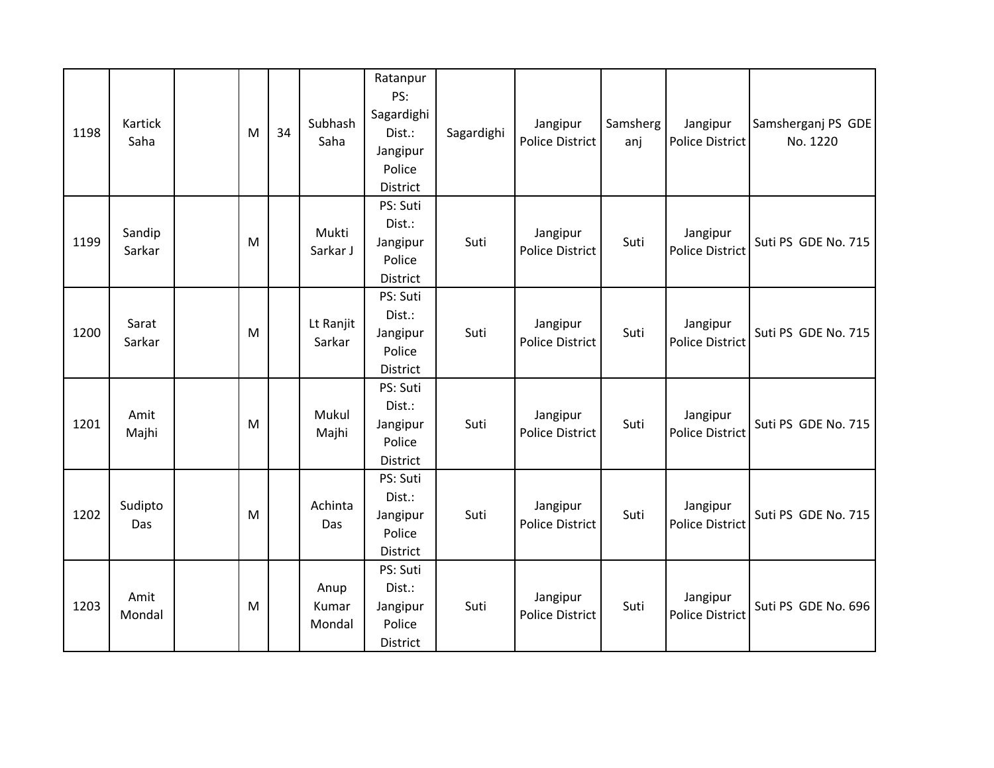| 1198 | Kartick<br>Saha  | M | 34 | Subhash<br>Saha         | Ratanpur<br>PS:<br>Sagardighi<br>Dist.:<br>Jangipur<br>Police<br>District | Sagardighi | Jangipur<br><b>Police District</b> | Samsherg<br>anj | Jangipur<br><b>Police District</b> | Samsherganj PS GDE<br>No. 1220 |
|------|------------------|---|----|-------------------------|---------------------------------------------------------------------------|------------|------------------------------------|-----------------|------------------------------------|--------------------------------|
| 1199 | Sandip<br>Sarkar | M |    | Mukti<br>Sarkar J       | PS: Suti<br>Dist.:<br>Jangipur<br>Police<br><b>District</b>               | Suti       | Jangipur<br><b>Police District</b> | Suti            | Jangipur<br><b>Police District</b> | Suti PS GDE No. 715            |
| 1200 | Sarat<br>Sarkar  | M |    | Lt Ranjit<br>Sarkar     | PS: Suti<br>Dist.:<br>Jangipur<br>Police<br>District                      | Suti       | Jangipur<br><b>Police District</b> | Suti            | Jangipur<br><b>Police District</b> | Suti PS GDE No. 715            |
| 1201 | Amit<br>Majhi    | M |    | Mukul<br>Majhi          | PS: Suti<br>Dist.:<br>Jangipur<br>Police<br>District                      | Suti       | Jangipur<br><b>Police District</b> | Suti            | Jangipur<br>Police District        | Suti PS GDE No. 715            |
| 1202 | Sudipto<br>Das   | M |    | Achinta<br>Das          | PS: Suti<br>Dist.:<br>Jangipur<br>Police<br>District                      | Suti       | Jangipur<br><b>Police District</b> | Suti            | Jangipur<br>Police District        | Suti PS GDE No. 715            |
| 1203 | Amit<br>Mondal   | M |    | Anup<br>Kumar<br>Mondal | PS: Suti<br>Dist.:<br>Jangipur<br>Police<br>District                      | Suti       | Jangipur<br><b>Police District</b> | Suti            | Jangipur<br><b>Police District</b> | Suti PS GDE No. 696            |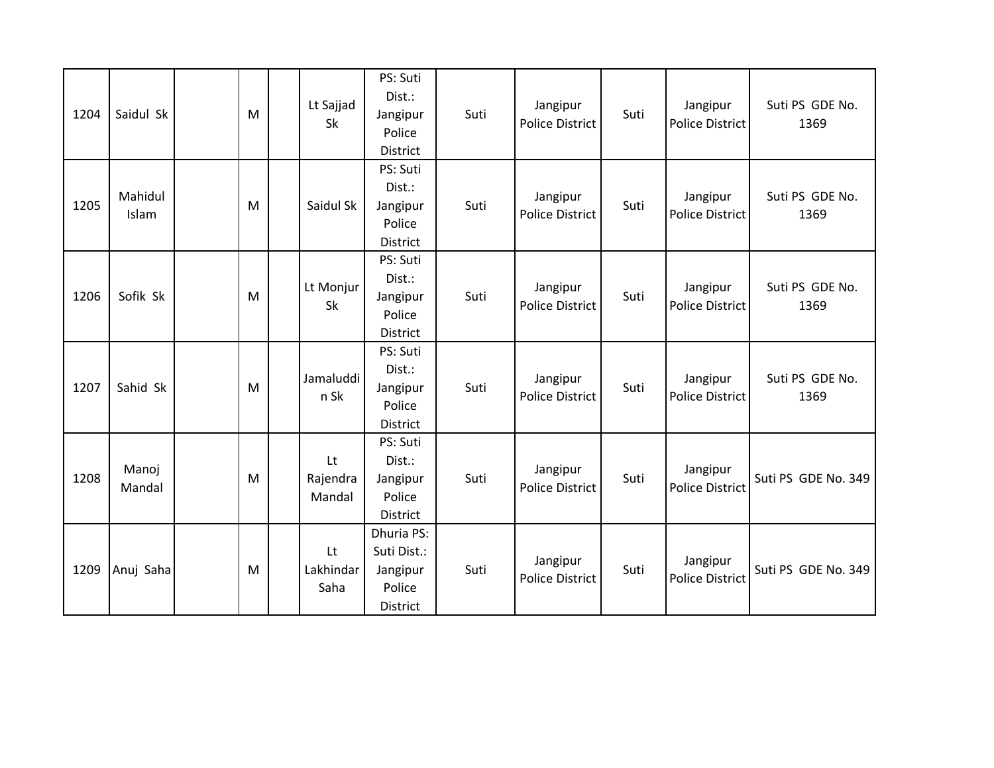| 1204 | Saidul Sk        | M | Lt Sajjad<br>Sk          | PS: Suti<br>Dist.:<br>Jangipur<br>Police<br>District        | Suti | Jangipur<br><b>Police District</b> | Suti | Jangipur<br>Police District        | Suti PS GDE No.<br>1369 |
|------|------------------|---|--------------------------|-------------------------------------------------------------|------|------------------------------------|------|------------------------------------|-------------------------|
| 1205 | Mahidul<br>Islam | M | Saidul Sk                | PS: Suti<br>Dist.:<br>Jangipur<br>Police<br>District        | Suti | Jangipur<br><b>Police District</b> | Suti | Jangipur<br><b>Police District</b> | Suti PS GDE No.<br>1369 |
| 1206 | Sofik Sk         | M | Lt Monjur<br>Sk          | PS: Suti<br>Dist.:<br>Jangipur<br>Police<br>District        | Suti | Jangipur<br><b>Police District</b> | Suti | Jangipur<br><b>Police District</b> | Suti PS GDE No.<br>1369 |
| 1207 | Sahid Sk         | M | Jamaluddi<br>n Sk        | PS: Suti<br>Dist.:<br>Jangipur<br>Police<br><b>District</b> | Suti | Jangipur<br><b>Police District</b> | Suti | Jangipur<br><b>Police District</b> | Suti PS GDE No.<br>1369 |
| 1208 | Manoj<br>Mandal  | M | Lt<br>Rajendra<br>Mandal | PS: Suti<br>Dist.:<br>Jangipur<br>Police<br>District        | Suti | Jangipur<br><b>Police District</b> | Suti | Jangipur<br><b>Police District</b> | Suti PS GDE No. 349     |
| 1209 | Anuj Saha        | M | Lt<br>Lakhindar<br>Saha  | Dhuria PS:<br>Suti Dist.:<br>Jangipur<br>Police<br>District | Suti | Jangipur<br><b>Police District</b> | Suti | Jangipur<br><b>Police District</b> | Suti PS GDE No. 349     |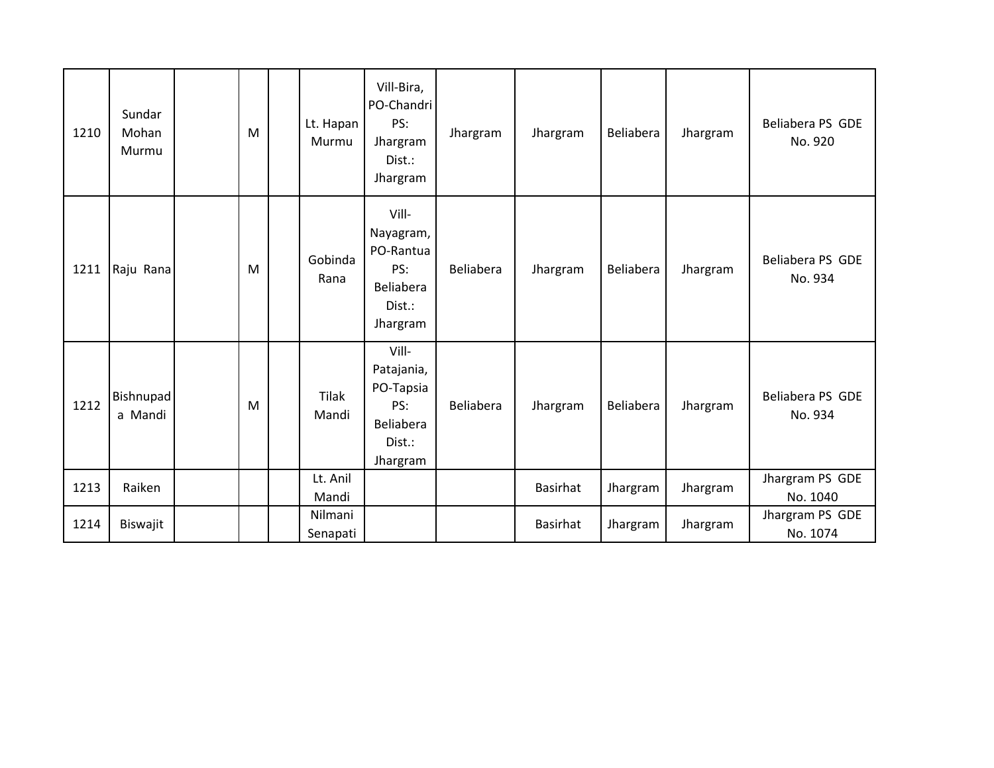| 1210 | Sundar<br>Mohan<br>Murmu | M | Lt. Hapan<br>Murmu    | Vill-Bira,<br>PO-Chandri<br>PS:<br>Jhargram<br>Dist.:<br>Jhargram          | Jhargram  | Jhargram        | Beliabera | Jhargram | Beliabera PS GDE<br>No. 920 |
|------|--------------------------|---|-----------------------|----------------------------------------------------------------------------|-----------|-----------------|-----------|----------|-----------------------------|
| 1211 | Raju Rana                | M | Gobinda<br>Rana       | Vill-<br>Nayagram,<br>PO-Rantua<br>PS:<br>Beliabera<br>Dist.:<br>Jhargram  | Beliabera | Jhargram        | Beliabera | Jhargram | Beliabera PS GDE<br>No. 934 |
| 1212 | Bishnupad<br>a Mandi     | M | <b>Tilak</b><br>Mandi | Vill-<br>Patajania,<br>PO-Tapsia<br>PS:<br>Beliabera<br>Dist.:<br>Jhargram | Beliabera | Jhargram        | Beliabera | Jhargram | Beliabera PS GDE<br>No. 934 |
| 1213 | Raiken                   |   | Lt. Anil<br>Mandi     |                                                                            |           | Basirhat        | Jhargram  | Jhargram | Jhargram PS GDE<br>No. 1040 |
| 1214 | Biswajit                 |   | Nilmani<br>Senapati   |                                                                            |           | <b>Basirhat</b> | Jhargram  | Jhargram | Jhargram PS GDE<br>No. 1074 |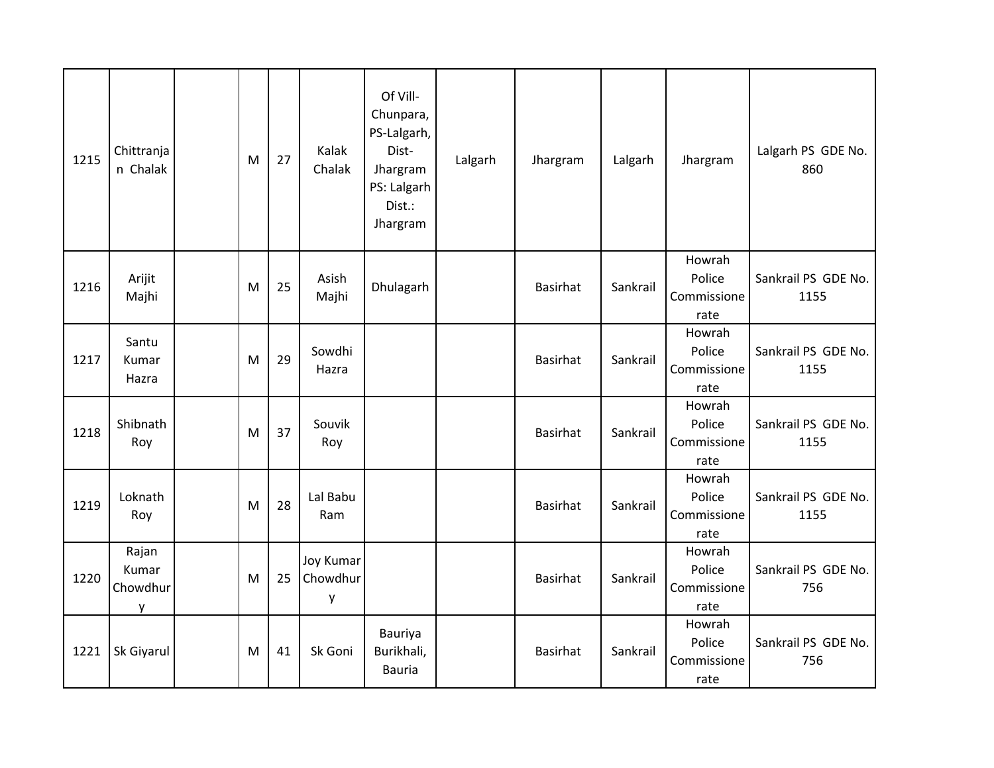| 1215 | Chittranja<br>n Chalak          | M | 27 | Kalak<br>Chalak                   | Of Vill-<br>Chunpara,<br>PS-Lalgarh,<br>Dist-<br>Jhargram<br>PS: Lalgarh<br>Dist.:<br>Jhargram | Lalgarh | Jhargram        | Lalgarh  | Jhargram                                | Lalgarh PS GDE No.<br>860   |
|------|---------------------------------|---|----|-----------------------------------|------------------------------------------------------------------------------------------------|---------|-----------------|----------|-----------------------------------------|-----------------------------|
| 1216 | Arijit<br>Majhi                 | M | 25 | Asish<br>Majhi                    | Dhulagarh                                                                                      |         | <b>Basirhat</b> | Sankrail | Howrah<br>Police<br>Commissione<br>rate | Sankrail PS GDE No.<br>1155 |
| 1217 | Santu<br>Kumar<br>Hazra         | M | 29 | Sowdhi<br>Hazra                   |                                                                                                |         | <b>Basirhat</b> | Sankrail | Howrah<br>Police<br>Commissione<br>rate | Sankrail PS GDE No.<br>1155 |
| 1218 | Shibnath<br>Roy                 | M | 37 | Souvik<br>Roy                     |                                                                                                |         | <b>Basirhat</b> | Sankrail | Howrah<br>Police<br>Commissione<br>rate | Sankrail PS GDE No.<br>1155 |
| 1219 | Loknath<br>Roy                  | M | 28 | Lal Babu<br>Ram                   |                                                                                                |         | <b>Basirhat</b> | Sankrail | Howrah<br>Police<br>Commissione<br>rate | Sankrail PS GDE No.<br>1155 |
| 1220 | Rajan<br>Kumar<br>Chowdhur<br>у | M | 25 | <b>Joy Kumar</b><br>Chowdhur<br>y |                                                                                                |         | <b>Basirhat</b> | Sankrail | Howrah<br>Police<br>Commissione<br>rate | Sankrail PS GDE No.<br>756  |
| 1221 | Sk Giyarul                      | M | 41 | Sk Goni                           | Bauriya<br>Burikhali,<br><b>Bauria</b>                                                         |         | <b>Basirhat</b> | Sankrail | Howrah<br>Police<br>Commissione<br>rate | Sankrail PS GDE No.<br>756  |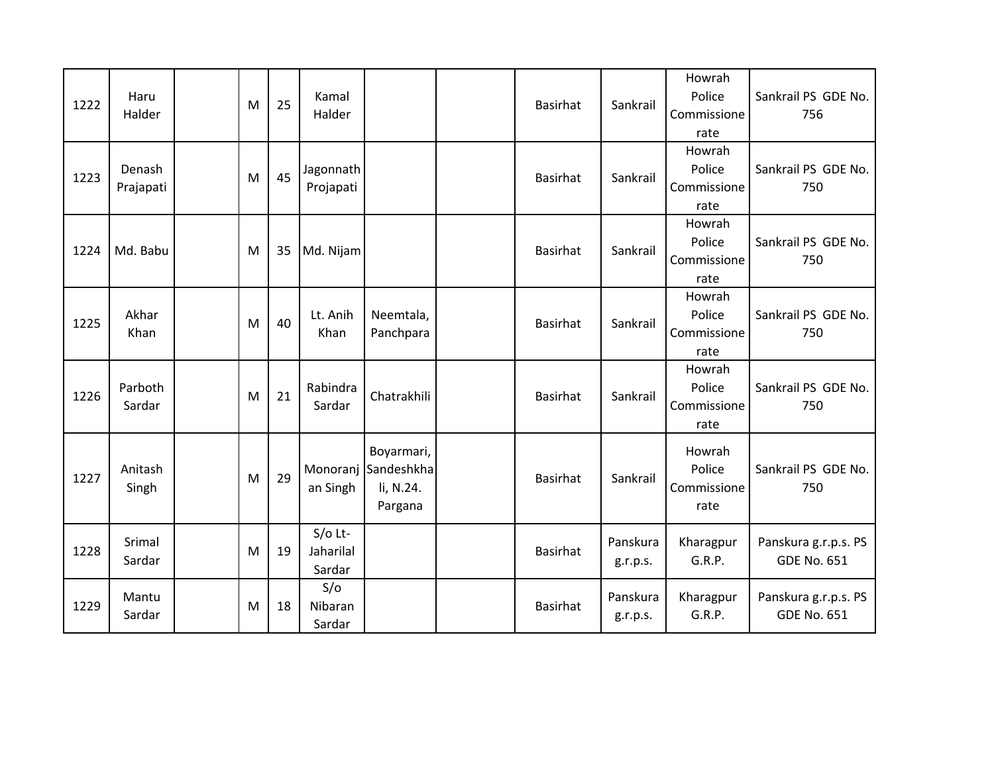| 1222 | Haru<br>Halder      | M | 25 | Kamal<br>Halder                  |                                                  | Basirhat        | Sankrail             | Howrah<br>Police<br>Commissione<br>rate | Sankrail PS GDE No.<br>756                 |
|------|---------------------|---|----|----------------------------------|--------------------------------------------------|-----------------|----------------------|-----------------------------------------|--------------------------------------------|
| 1223 | Denash<br>Prajapati | M | 45 | Jagonnath<br>Projapati           |                                                  | Basirhat        | Sankrail             | Howrah<br>Police<br>Commissione<br>rate | Sankrail PS GDE No.<br>750                 |
| 1224 | Md. Babu            | M | 35 | Md. Nijam                        |                                                  | <b>Basirhat</b> | Sankrail             | Howrah<br>Police<br>Commissione<br>rate | Sankrail PS GDE No.<br>750                 |
| 1225 | Akhar<br>Khan       | M | 40 | Lt. Anih<br>Khan                 | Neemtala,<br>Panchpara                           | <b>Basirhat</b> | Sankrail             | Howrah<br>Police<br>Commissione<br>rate | Sankrail PS GDE No.<br>750                 |
| 1226 | Parboth<br>Sardar   | M | 21 | Rabindra<br>Sardar               | Chatrakhili                                      | Basirhat        | Sankrail             | Howrah<br>Police<br>Commissione<br>rate | Sankrail PS GDE No.<br>750                 |
| 1227 | Anitash<br>Singh    | M | 29 | Monoranj<br>an Singh             | Boyarmari,<br>Sandeshkha<br>li, N.24.<br>Pargana | <b>Basirhat</b> | Sankrail             | Howrah<br>Police<br>Commissione<br>rate | Sankrail PS GDE No.<br>750                 |
| 1228 | Srimal<br>Sardar    | M | 19 | $S/O$ Lt-<br>Jaharilal<br>Sardar |                                                  | Basirhat        | Panskura<br>g.r.p.s. | Kharagpur<br>G.R.P.                     | Panskura g.r.p.s. PS<br><b>GDE No. 651</b> |
| 1229 | Mantu<br>Sardar     | M | 18 | S/O<br>Nibaran<br>Sardar         |                                                  | <b>Basirhat</b> | Panskura<br>g.r.p.s. | Kharagpur<br>G.R.P.                     | Panskura g.r.p.s. PS<br><b>GDE No. 651</b> |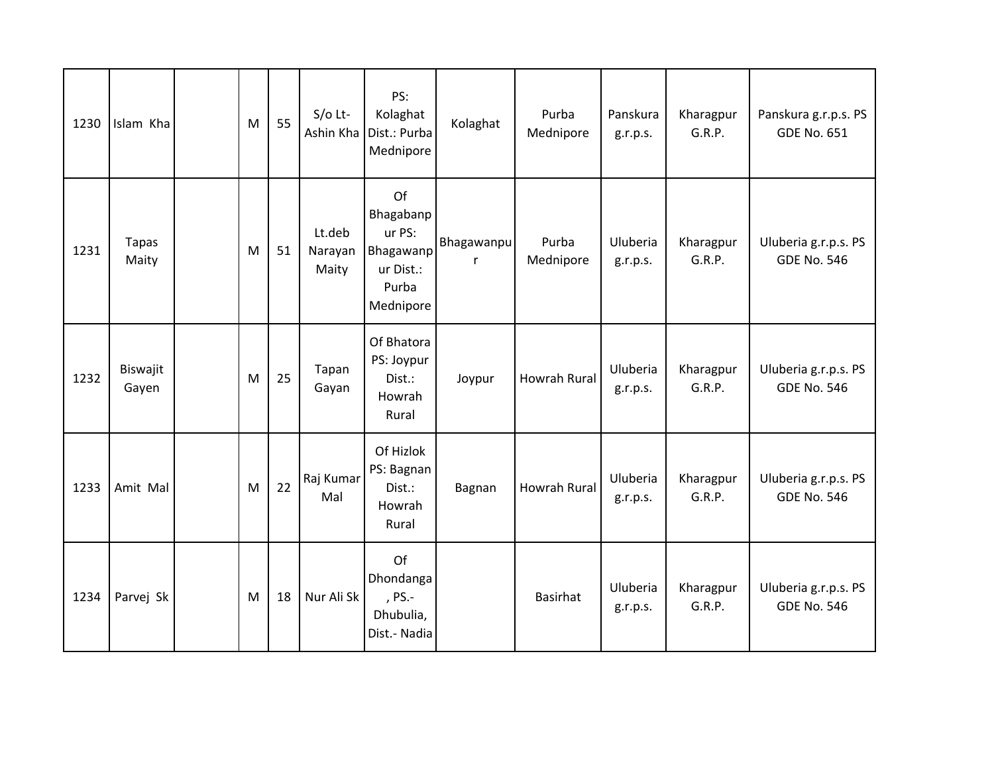| 1230 | Islam Kha             | M | 55 | $S/O$ Lt-<br>Ashin Kha     | PS:<br>Kolaghat<br>Dist.: Purba<br>Mednipore                              | Kolaghat        | Purba<br>Mednipore  | Panskura<br>g.r.p.s. | Kharagpur<br>G.R.P. | Panskura g.r.p.s. PS<br><b>GDE No. 651</b> |
|------|-----------------------|---|----|----------------------------|---------------------------------------------------------------------------|-----------------|---------------------|----------------------|---------------------|--------------------------------------------|
| 1231 | <b>Tapas</b><br>Maity | M | 51 | Lt.deb<br>Narayan<br>Maity | Of<br>Bhagabanp<br>ur PS:<br>Bhagawanp<br>ur Dist.:<br>Purba<br>Mednipore | Bhagawanpu<br>r | Purba<br>Mednipore  | Uluberia<br>g.r.p.s. | Kharagpur<br>G.R.P. | Uluberia g.r.p.s. PS<br><b>GDE No. 546</b> |
| 1232 | Biswajit<br>Gayen     | M | 25 | Tapan<br>Gayan             | Of Bhatora<br>PS: Joypur<br>Dist.:<br>Howrah<br>Rural                     | Joypur          | <b>Howrah Rural</b> | Uluberia<br>g.r.p.s. | Kharagpur<br>G.R.P. | Uluberia g.r.p.s. PS<br><b>GDE No. 546</b> |
| 1233 | Amit Mal              | M | 22 | Raj Kumar<br>Mal           | Of Hizlok<br>PS: Bagnan<br>Dist.:<br>Howrah<br>Rural                      | Bagnan          | Howrah Rural        | Uluberia<br>g.r.p.s. | Kharagpur<br>G.R.P. | Uluberia g.r.p.s. PS<br><b>GDE No. 546</b> |
| 1234 | Parvej Sk             | M | 18 | Nur Ali Sk                 | Of<br>Dhondanga<br>, PS.-<br>Dhubulia,<br>Dist.- Nadia                    |                 | <b>Basirhat</b>     | Uluberia<br>g.r.p.s. | Kharagpur<br>G.R.P. | Uluberia g.r.p.s. PS<br><b>GDE No. 546</b> |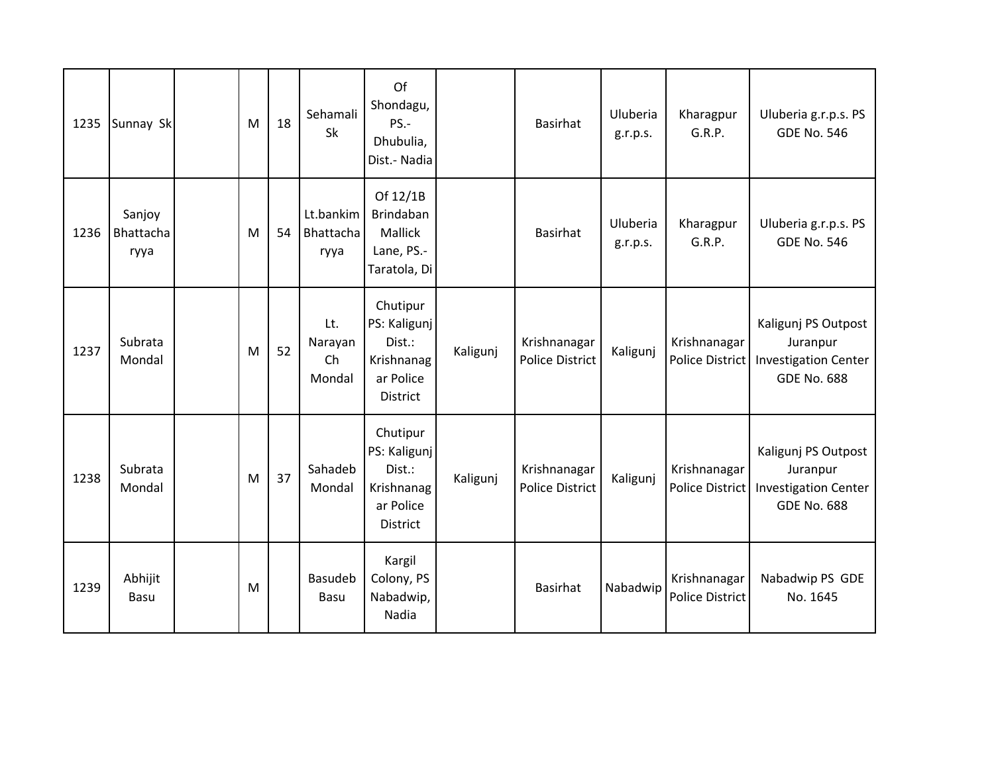| 1235 | Sunnay Sk                   | M | 18 | Sehamali<br>Sk                 | Of<br>Shondagu,<br>PS.-<br>Dhubulia,<br>Dist.- Nadia                             |          | <b>Basirhat</b>                        | Uluberia<br>g.r.p.s. | Kharagpur<br>G.R.P.                    | Uluberia g.r.p.s. PS<br><b>GDE No. 546</b>                                           |
|------|-----------------------------|---|----|--------------------------------|----------------------------------------------------------------------------------|----------|----------------------------------------|----------------------|----------------------------------------|--------------------------------------------------------------------------------------|
| 1236 | Sanjoy<br>Bhattacha<br>ryya | M | 54 | Lt.bankim<br>Bhattacha<br>ryya | Of 12/1B<br>Brindaban<br>Mallick<br>Lane, PS.-<br>Taratola, Di                   |          | <b>Basirhat</b>                        | Uluberia<br>g.r.p.s. | Kharagpur<br>G.R.P.                    | Uluberia g.r.p.s. PS<br><b>GDE No. 546</b>                                           |
| 1237 | Subrata<br>Mondal           | M | 52 | Lt.<br>Narayan<br>Ch<br>Mondal | Chutipur<br>PS: Kaligunj<br>Dist.:<br>Krishnanag<br>ar Police<br>District        | Kaligunj | Krishnanagar<br><b>Police District</b> | Kaligunj             | Krishnanagar<br>Police District        | Kaligunj PS Outpost<br>Juranpur<br><b>Investigation Center</b><br><b>GDE No. 688</b> |
| 1238 | Subrata<br>Mondal           | M | 37 | Sahadeb<br>Mondal              | Chutipur<br>PS: Kaligunj<br>Dist.:<br>Krishnanag<br>ar Police<br><b>District</b> | Kaligunj | Krishnanagar<br><b>Police District</b> | Kaligunj             | Krishnanagar<br>Police District        | Kaligunj PS Outpost<br>Juranpur<br><b>Investigation Center</b><br><b>GDE No. 688</b> |
| 1239 | Abhijit<br><b>Basu</b>      | M |    | Basudeb<br>Basu                | Kargil<br>Colony, PS<br>Nabadwip,<br>Nadia                                       |          | <b>Basirhat</b>                        | Nabadwip             | Krishnanagar<br><b>Police District</b> | Nabadwip PS GDE<br>No. 1645                                                          |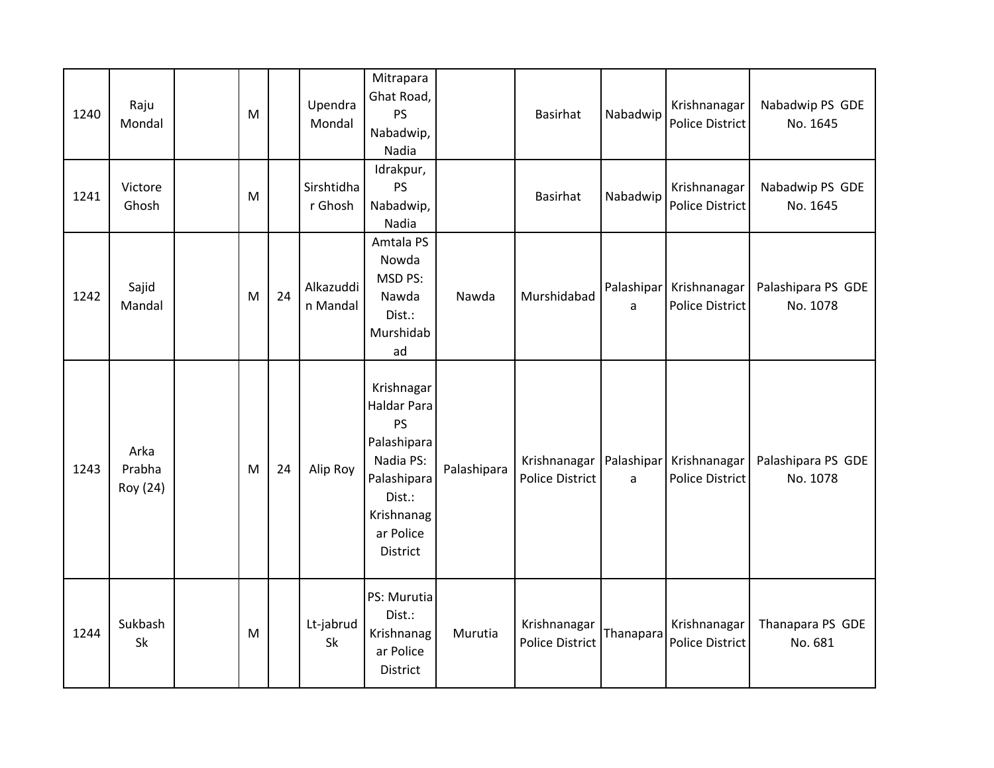| 1240 | Raju<br>Mondal             | M |    | Upendra<br>Mondal     | Mitrapara<br>Ghat Road,<br>PS<br>Nabadwip,<br>Nadia                                                                                       |             | <b>Basirhat</b>                        | Nabadwip                   | Krishnanagar<br>Police District            | Nabadwip PS GDE<br>No. 1645    |
|------|----------------------------|---|----|-----------------------|-------------------------------------------------------------------------------------------------------------------------------------------|-------------|----------------------------------------|----------------------------|--------------------------------------------|--------------------------------|
| 1241 | Victore<br>Ghosh           | M |    | Sirshtidha<br>r Ghosh | Idrakpur,<br><b>PS</b><br>Nabadwip,<br>Nadia                                                                                              |             | <b>Basirhat</b>                        | Nabadwip                   | Krishnanagar<br><b>Police District</b>     | Nabadwip PS GDE<br>No. 1645    |
| 1242 | Sajid<br>Mandal            | M | 24 | Alkazuddi<br>n Mandal | Amtala PS<br>Nowda<br>MSD PS:<br>Nawda<br>Dist.:<br>Murshidab<br>ad                                                                       | Nawda       | Murshidabad                            | a                          | Palashipar Krishnanagar<br>Police District | Palashipara PS GDE<br>No. 1078 |
| 1243 | Arka<br>Prabha<br>Roy (24) | M | 24 | Alip Roy              | Krishnagar<br><b>Haldar Para</b><br><b>PS</b><br>Palashipara<br>Nadia PS:<br>Palashipara<br>Dist.:<br>Krishnanag<br>ar Police<br>District | Palashipara | Krishnanagar<br><b>Police District</b> | Palashipar<br>$\mathsf{a}$ | Krishnanagar<br><b>Police District</b>     | Palashipara PS GDE<br>No. 1078 |
| 1244 | Sukbash<br>Sk              | M |    | Lt-jabrud<br>Sk       | PS: Murutia<br>Dist.:<br>Krishnanag<br>ar Police<br>District                                                                              | Murutia     | Krishnanagar<br><b>Police District</b> | Thanapara                  | Krishnanagar<br><b>Police District</b>     | Thanapara PS GDE<br>No. 681    |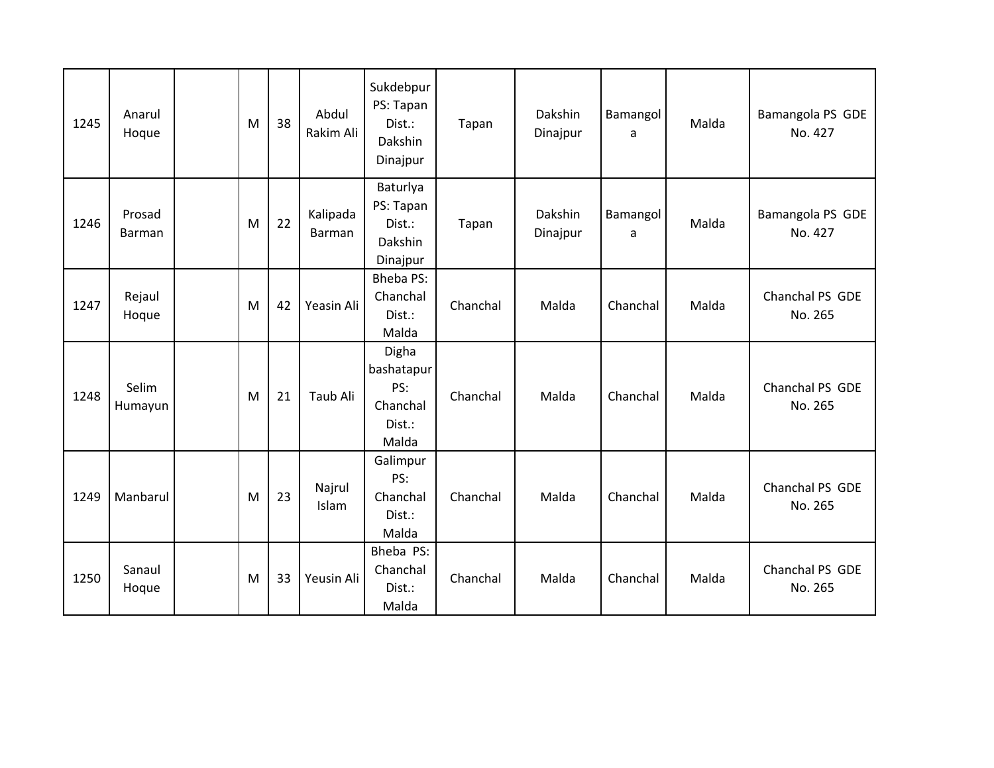| 1245 | Anarul<br>Hoque  | M | 38 | Abdul<br>Rakim Ali | Sukdebpur<br>PS: Tapan<br>Dist.:<br>Dakshin<br>Dinajpur   | Tapan    | Dakshin<br>Dinajpur | <b>Bamangol</b><br>a | Malda | Bamangola PS GDE<br>No. 427 |
|------|------------------|---|----|--------------------|-----------------------------------------------------------|----------|---------------------|----------------------|-------|-----------------------------|
| 1246 | Prosad<br>Barman | M | 22 | Kalipada<br>Barman | Baturlya<br>PS: Tapan<br>Dist.:<br>Dakshin<br>Dinajpur    | Tapan    | Dakshin<br>Dinajpur | Bamangol<br>a        | Malda | Bamangola PS GDE<br>No. 427 |
| 1247 | Rejaul<br>Hoque  | M | 42 | Yeasin Ali         | <b>Bheba PS:</b><br>Chanchal<br>Dist.:<br>Malda           | Chanchal | Malda               | Chanchal             | Malda | Chanchal PS GDE<br>No. 265  |
| 1248 | Selim<br>Humayun | M | 21 | Taub Ali           | Digha<br>bashatapur<br>PS:<br>Chanchal<br>Dist.:<br>Malda | Chanchal | Malda               | Chanchal             | Malda | Chanchal PS GDE<br>No. 265  |
| 1249 | Manbarul         | M | 23 | Najrul<br>Islam    | Galimpur<br>PS:<br>Chanchal<br>Dist.:<br>Malda            | Chanchal | Malda               | Chanchal             | Malda | Chanchal PS GDE<br>No. 265  |
| 1250 | Sanaul<br>Hoque  | M | 33 | Yeusin Ali         | Bheba PS:<br>Chanchal<br>Dist.:<br>Malda                  | Chanchal | Malda               | Chanchal             | Malda | Chanchal PS GDE<br>No. 265  |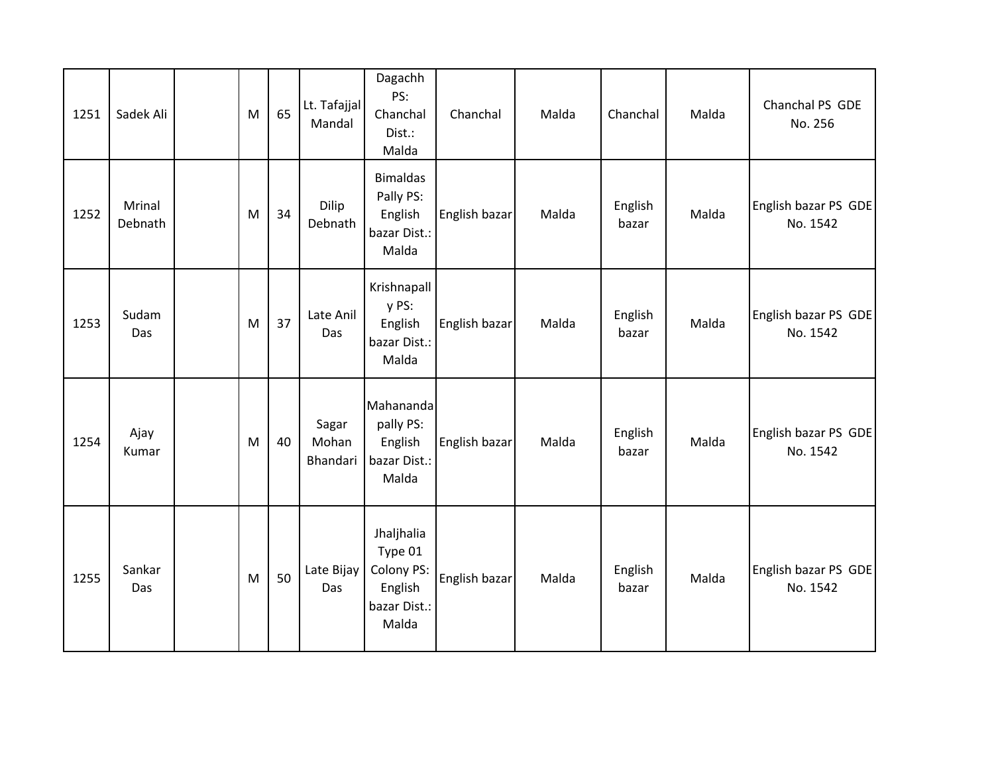| 1251 | Sadek Ali                | M | 65 | Lt. Tafajjal<br>Mandal     | Dagachh<br>PS:<br>Chanchal<br>Dist.:<br>Malda                           | Chanchal      | Malda | Chanchal         | Malda | Chanchal PS GDE<br>No. 256       |
|------|--------------------------|---|----|----------------------------|-------------------------------------------------------------------------|---------------|-------|------------------|-------|----------------------------------|
| 1252 | <b>Mrinal</b><br>Debnath | M | 34 | Dilip<br>Debnath           | <b>Bimaldas</b><br>Pally PS:<br>English<br>bazar Dist.:<br>Malda        | English bazar | Malda | English<br>bazar | Malda | English bazar PS GDE<br>No. 1542 |
| 1253 | Sudam<br>Das             | M | 37 | Late Anil<br>Das           | Krishnapall<br>y PS:<br>English<br>bazar Dist.:<br>Malda                | English bazar | Malda | English<br>bazar | Malda | English bazar PS GDE<br>No. 1542 |
| 1254 | Ajay<br>Kumar            | M | 40 | Sagar<br>Mohan<br>Bhandari | Mahananda<br>pally PS:<br>English<br>bazar Dist.:<br>Malda              | English bazar | Malda | English<br>bazar | Malda | English bazar PS GDE<br>No. 1542 |
| 1255 | Sankar<br>Das            | M | 50 | Late Bijay<br>Das          | Jhaljhalia<br>Type 01<br>Colony PS:<br>English<br>bazar Dist.:<br>Malda | English bazar | Malda | English<br>bazar | Malda | English bazar PS GDE<br>No. 1542 |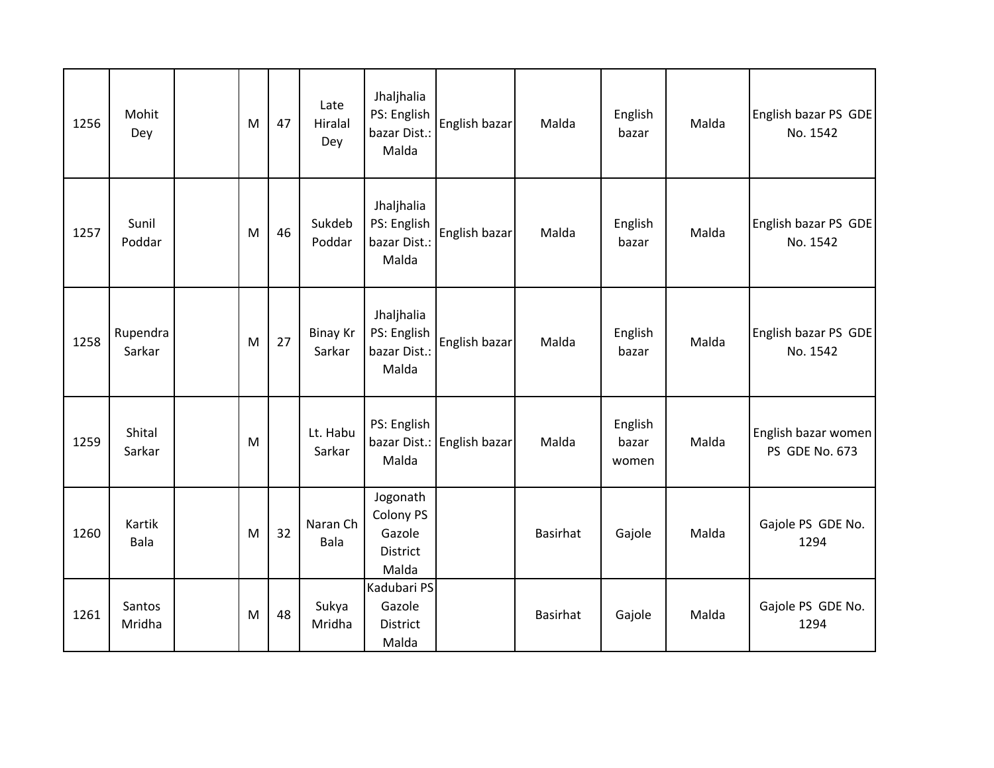| 1256 | Mohit<br>Dey       | M | 47 | Late<br><b>Hiralal</b><br>Dey | Jhaljhalia<br>PS: English<br>bazar Dist.:<br>Malda   | English bazar | Malda           | English<br>bazar          | Malda | English bazar PS GDE<br>No. 1542      |
|------|--------------------|---|----|-------------------------------|------------------------------------------------------|---------------|-----------------|---------------------------|-------|---------------------------------------|
| 1257 | Sunil<br>Poddar    | M | 46 | Sukdeb<br>Poddar              | Jhaljhalia<br>PS: English<br>bazar Dist.:<br>Malda   | English bazar | Malda           | English<br>bazar          | Malda | English bazar PS GDE<br>No. 1542      |
| 1258 | Rupendra<br>Sarkar | M | 27 | <b>Binay Kr</b><br>Sarkar     | Jhaljhalia<br>PS: English<br>bazar Dist.:<br>Malda   | English bazar | Malda           | English<br>bazar          | Malda | English bazar PS GDE<br>No. 1542      |
| 1259 | Shital<br>Sarkar   | M |    | Lt. Habu<br>Sarkar            | PS: English<br>bazar Dist.:<br>Malda                 | English bazar | Malda           | English<br>bazar<br>women | Malda | English bazar women<br>PS GDE No. 673 |
| 1260 | Kartik<br>Bala     | M | 32 | Naran Ch<br>Bala              | Jogonath<br>Colony PS<br>Gazole<br>District<br>Malda |               | Basirhat        | Gajole                    | Malda | Gajole PS GDE No.<br>1294             |
| 1261 | Santos<br>Mridha   | M | 48 | Sukya<br>Mridha               | Kadubari PS<br>Gazole<br><b>District</b><br>Malda    |               | <b>Basirhat</b> | Gajole                    | Malda | Gajole PS GDE No.<br>1294             |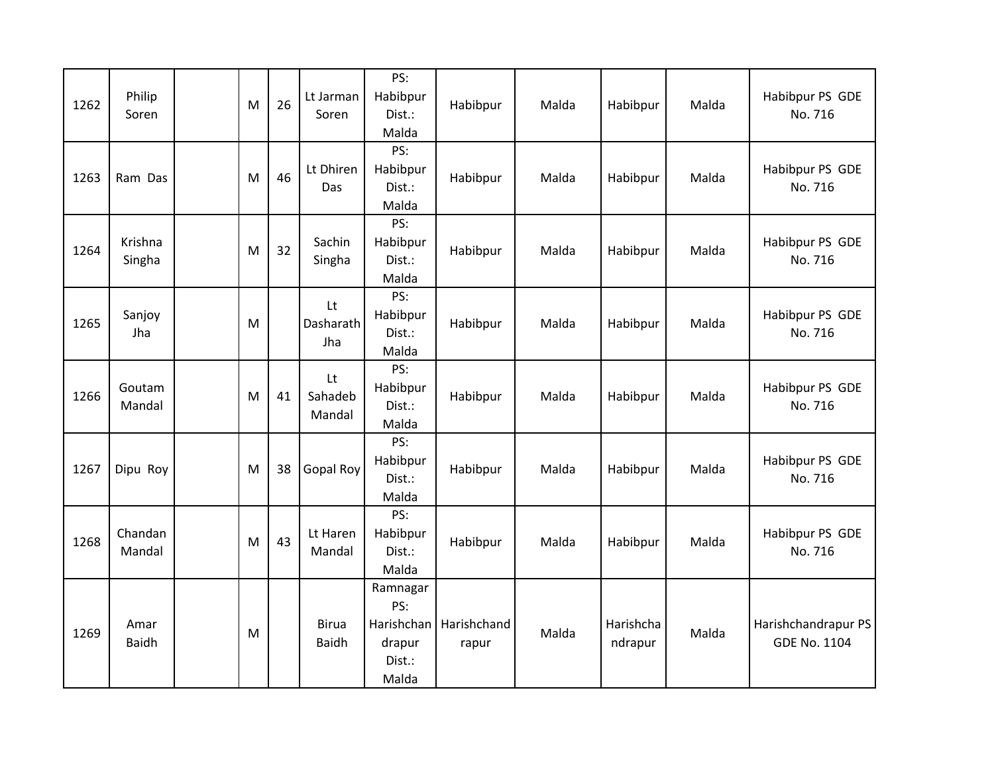| 1262 | Philip<br>Soren      | M | 26 | Lt Jarman<br>Soren           | PS:<br>Habibpur<br>Dist.:<br>Malda                         | Habibpur             | Malda | Habibpur             | Malda | Habibpur PS GDE<br>No. 716                 |
|------|----------------------|---|----|------------------------------|------------------------------------------------------------|----------------------|-------|----------------------|-------|--------------------------------------------|
| 1263 | Ram Das              | M | 46 | Lt Dhiren<br>Das             | PS:<br>Habibpur<br>Dist.:<br>Malda                         | Habibpur             | Malda | Habibpur             | Malda | Habibpur PS GDE<br>No. 716                 |
| 1264 | Krishna<br>Singha    | M | 32 | Sachin<br>Singha             | PS:<br>Habibpur<br>Dist.:<br>Malda                         | Habibpur             | Malda | Habibpur             | Malda | Habibpur PS GDE<br>No. 716                 |
| 1265 | Sanjoy<br>Jha        | M |    | Lt<br>Dasharath<br>Jha       | PS:<br>Habibpur<br>Dist.:<br>Malda                         | Habibpur             | Malda | Habibpur             | Malda | Habibpur PS GDE<br>No. 716                 |
| 1266 | Goutam<br>Mandal     | M | 41 | Lt<br>Sahadeb<br>Mandal      | PS:<br>Habibpur<br>Dist.:<br>Malda                         | Habibpur             | Malda | Habibpur             | Malda | Habibpur PS GDE<br>No. 716                 |
| 1267 | Dipu Roy             | M | 38 | Gopal Roy                    | PS:<br>Habibpur<br>Dist.:<br>Malda                         | Habibpur             | Malda | Habibpur             | Malda | Habibpur PS GDE<br>No. 716                 |
| 1268 | Chandan<br>Mandal    | M | 43 | Lt Haren<br>Mandal           | PS:<br>Habibpur<br>Dist.:<br>Malda                         | Habibpur             | Malda | Habibpur             | Malda | Habibpur PS GDE<br>No. 716                 |
| 1269 | Amar<br><b>Baidh</b> | M |    | <b>Birua</b><br><b>Baidh</b> | Ramnagar<br>PS:<br>Harishchan<br>drapur<br>Dist.:<br>Malda | Harishchand<br>rapur | Malda | Harishcha<br>ndrapur | Malda | Harishchandrapur PS<br><b>GDE No. 1104</b> |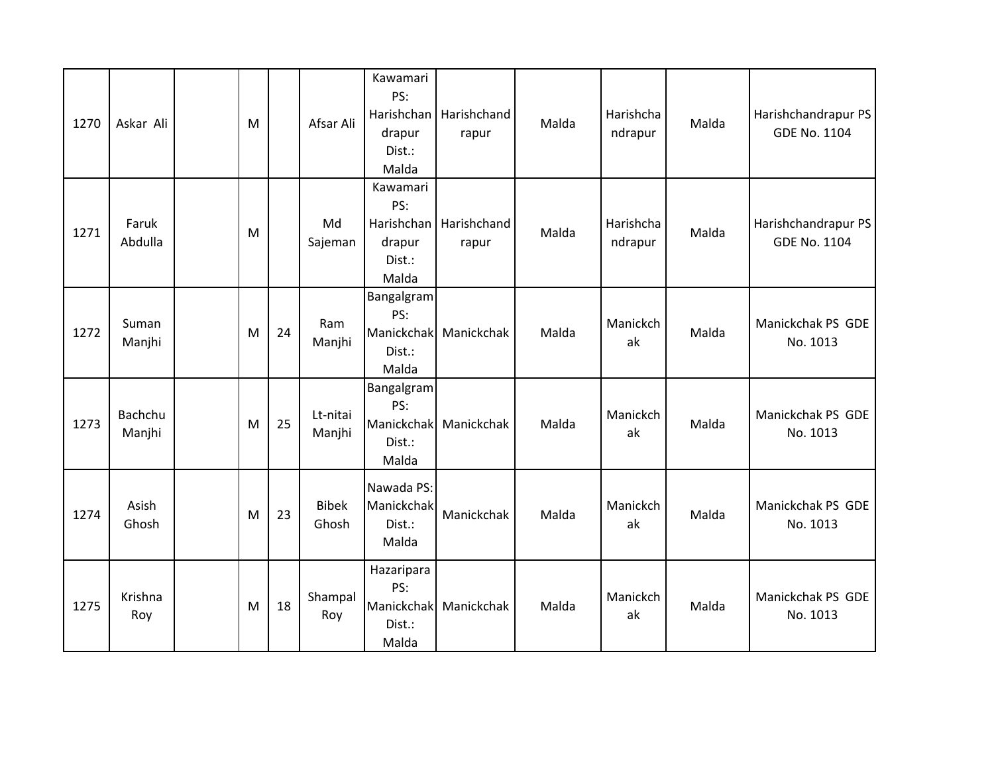| 1270 | Askar Ali         | M |    | Afsar Ali             | Kawamari<br>PS:<br>Harishchan<br>drapur<br>Dist.:<br>Malda | Harishchand<br>rapur | Malda | Harishcha<br>ndrapur | Malda | Harishchandrapur PS<br><b>GDE No. 1104</b> |
|------|-------------------|---|----|-----------------------|------------------------------------------------------------|----------------------|-------|----------------------|-------|--------------------------------------------|
| 1271 | Faruk<br>Abdulla  | M |    | Md<br>Sajeman         | Kawamari<br>PS:<br>Harishchan<br>drapur<br>Dist.:<br>Malda | Harishchand<br>rapur | Malda | Harishcha<br>ndrapur | Malda | Harishchandrapur PS<br><b>GDE No. 1104</b> |
| 1272 | Suman<br>Manjhi   | M | 24 | Ram<br>Manjhi         | Bangalgram<br>PS:<br>Manickchak<br>Dist.:<br>Malda         | Manickchak           | Malda | Manickch<br>ak       | Malda | Manickchak PS GDE<br>No. 1013              |
| 1273 | Bachchu<br>Manjhi | M | 25 | Lt-nitai<br>Manjhi    | Bangalgram<br>PS:<br>Manickchak<br>Dist.:<br>Malda         | Manickchak           | Malda | Manickch<br>ak       | Malda | Manickchak PS GDE<br>No. 1013              |
| 1274 | Asish<br>Ghosh    | M | 23 | <b>Bibek</b><br>Ghosh | Nawada PS:<br>Manickchak<br>Dist.:<br>Malda                | Manickchak           | Malda | Manickch<br>ak       | Malda | Manickchak PS GDE<br>No. 1013              |
| 1275 | Krishna<br>Roy    | M | 18 | Shampal<br>Roy        | Hazaripara<br>PS:<br>Manickchak<br>Dist.:<br>Malda         | Manickchak           | Malda | Manickch<br>ak       | Malda | Manickchak PS GDE<br>No. 1013              |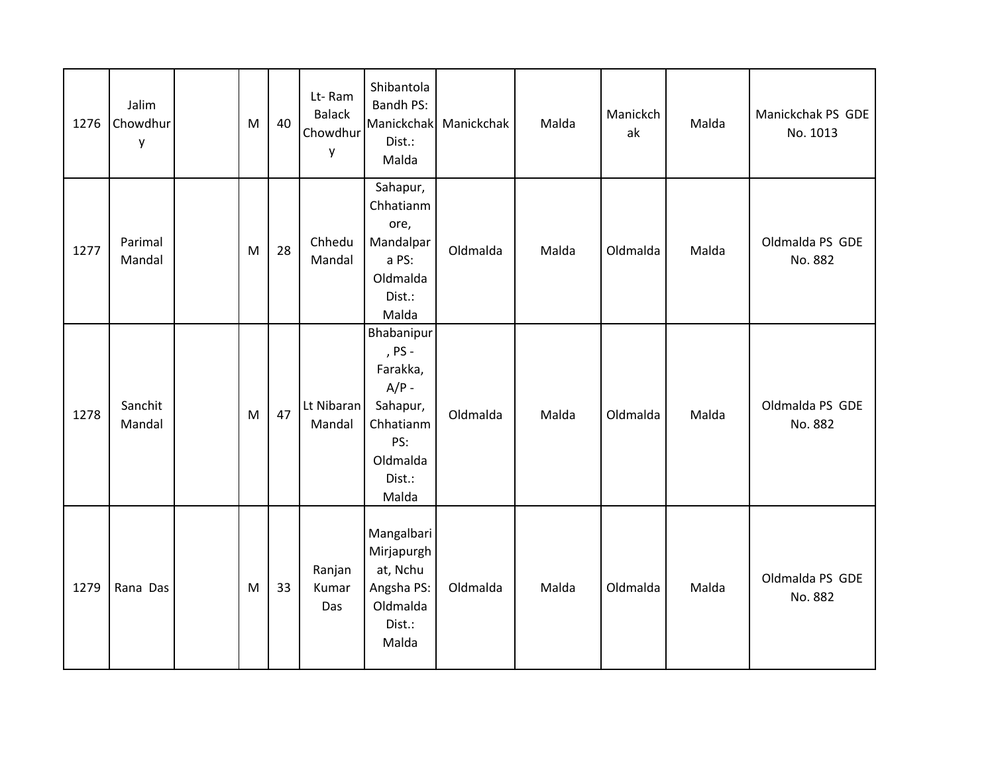| 1276 | Jalim<br>Chowdhur<br>у | M | 40 | Lt-Ram<br><b>Balack</b><br>Chowdhur<br>y | Shibantola<br>Bandh PS:<br>Manickchak<br>Dist.:<br>Malda                                                   | Manickchak | Malda | Manickch<br>ak | Malda | Manickchak PS GDE<br>No. 1013 |
|------|------------------------|---|----|------------------------------------------|------------------------------------------------------------------------------------------------------------|------------|-------|----------------|-------|-------------------------------|
| 1277 | Parimal<br>Mandal      | M | 28 | Chhedu<br>Mandal                         | Sahapur,<br>Chhatianm<br>ore,<br>Mandalpar<br>a PS:<br>Oldmalda<br>Dist.:<br>Malda                         | Oldmalda   | Malda | Oldmalda       | Malda | Oldmalda PS GDE<br>No. 882    |
| 1278 | Sanchit<br>Mandal      | M | 47 | Lt Nibaran<br>Mandal                     | Bhabanipur<br>, PS -<br>Farakka,<br>$A/P -$<br>Sahapur,<br>Chhatianm<br>PS:<br>Oldmalda<br>Dist.:<br>Malda | Oldmalda   | Malda | Oldmalda       | Malda | Oldmalda PS GDE<br>No. 882    |
| 1279 | Rana Das               | M | 33 | Ranjan<br>Kumar<br>Das                   | Mangalbari<br>Mirjapurgh<br>at, Nchu<br>Angsha PS:<br>Oldmalda<br>Dist.:<br>Malda                          | Oldmalda   | Malda | Oldmalda       | Malda | Oldmalda PS GDE<br>No. 882    |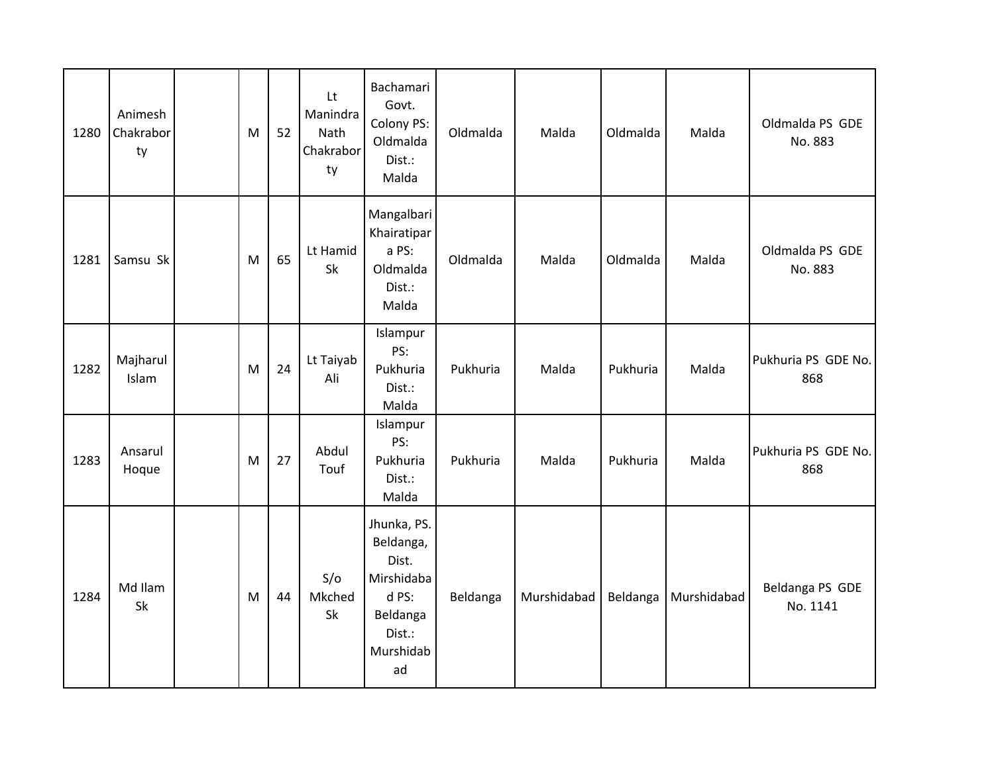| 1280 | Animesh<br>Chakrabor<br>ty | M | 52 | Lt<br>Manindra<br>Nath<br>Chakrabor<br>ty | Bachamari<br>Govt.<br>Colony PS:<br>Oldmalda<br>Dist.:<br>Malda                                   | Oldmalda | Malda       | Oldmalda | Malda       | Oldmalda PS GDE<br>No. 883  |
|------|----------------------------|---|----|-------------------------------------------|---------------------------------------------------------------------------------------------------|----------|-------------|----------|-------------|-----------------------------|
| 1281 | Samsu Sk                   | M | 65 | Lt Hamid<br>Sk                            | Mangalbari<br>Khairatipar<br>a PS:<br>Oldmalda<br>Dist.:<br>Malda                                 | Oldmalda | Malda       | Oldmalda | Malda       | Oldmalda PS GDE<br>No. 883  |
| 1282 | Majharul<br>Islam          | M | 24 | Lt Taiyab<br>Ali                          | Islampur<br>PS:<br>Pukhuria<br>Dist.:<br>Malda                                                    | Pukhuria | Malda       | Pukhuria | Malda       | Pukhuria PS GDE No.<br>868  |
| 1283 | Ansarul<br>Hoque           | M | 27 | Abdul<br>Touf                             | Islampur<br>PS:<br>Pukhuria<br>Dist.:<br>Malda                                                    | Pukhuria | Malda       | Pukhuria | Malda       | Pukhuria PS GDE No.<br>868  |
| 1284 | Md Ilam<br>Sk              | M | 44 | S/O<br>Mkched<br>Sk                       | Jhunka, PS.<br>Beldanga,<br>Dist.<br>Mirshidaba<br>d PS:<br>Beldanga<br>Dist.:<br>Murshidab<br>ad | Beldanga | Murshidabad | Beldanga | Murshidabad | Beldanga PS GDE<br>No. 1141 |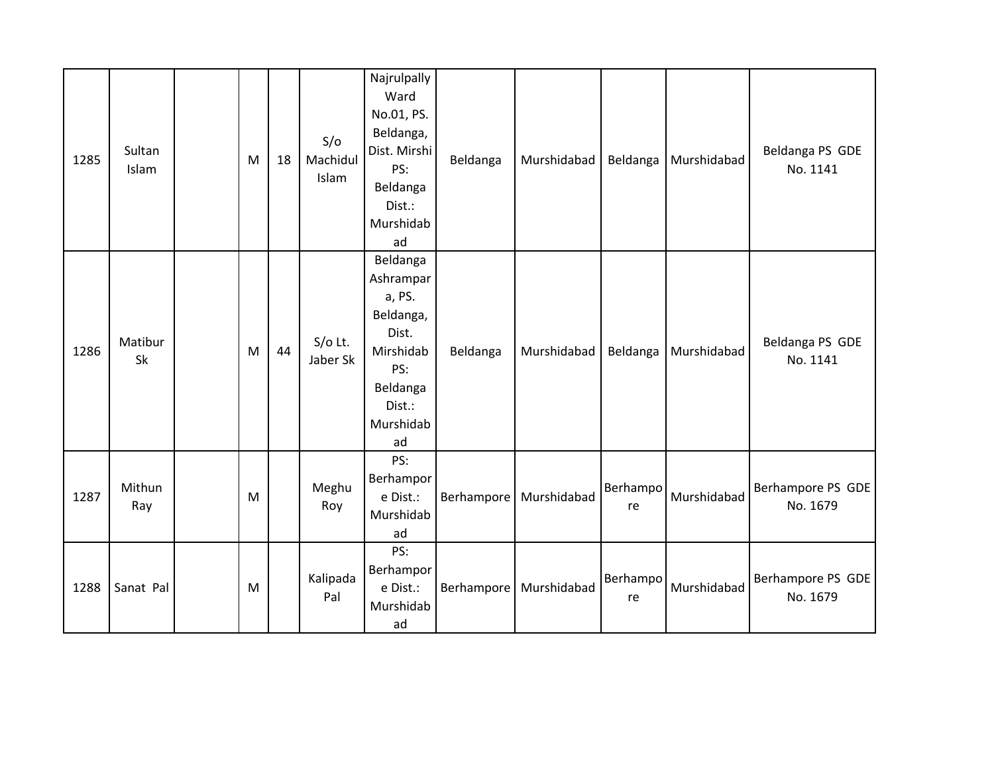| 1285 | Sultan<br>Islam | M | 18 | S/O<br>Machidul<br>Islam | Najrulpally<br>Ward<br>No.01, PS.<br>Beldanga,<br>Dist. Mirshi<br>PS:<br>Beldanga<br>Dist.:<br>Murshidab<br>ad     | Beldanga          | Murshidabad | Beldanga       | Murshidabad            | Beldanga PS GDE<br>No. 1141   |
|------|-----------------|---|----|--------------------------|--------------------------------------------------------------------------------------------------------------------|-------------------|-------------|----------------|------------------------|-------------------------------|
| 1286 | Matibur<br>Sk   | M | 44 | $S/O$ Lt.<br>Jaber Sk    | Beldanga<br>Ashrampar<br>a, PS.<br>Beldanga,<br>Dist.<br>Mirshidab<br>PS:<br>Beldanga<br>Dist.:<br>Murshidab<br>ad | Beldanga          | Murshidabad |                | Beldanga   Murshidabad | Beldanga PS GDE<br>No. 1141   |
| 1287 | Mithun<br>Ray   | M |    | Meghu<br>Roy             | PS:<br>Berhampor<br>e Dist.:<br>Murshidab<br>ad                                                                    | Berhampore        | Murshidabad | Berhampo<br>re | Murshidabad            | Berhampore PS GDE<br>No. 1679 |
| 1288 | Sanat Pal       | M |    | Kalipada<br>Pal          | PS:<br>Berhampor<br>e Dist.:<br>Murshidab<br>ad                                                                    | <b>Berhampore</b> | Murshidabad | Berhampo<br>re | Murshidabad            | Berhampore PS GDE<br>No. 1679 |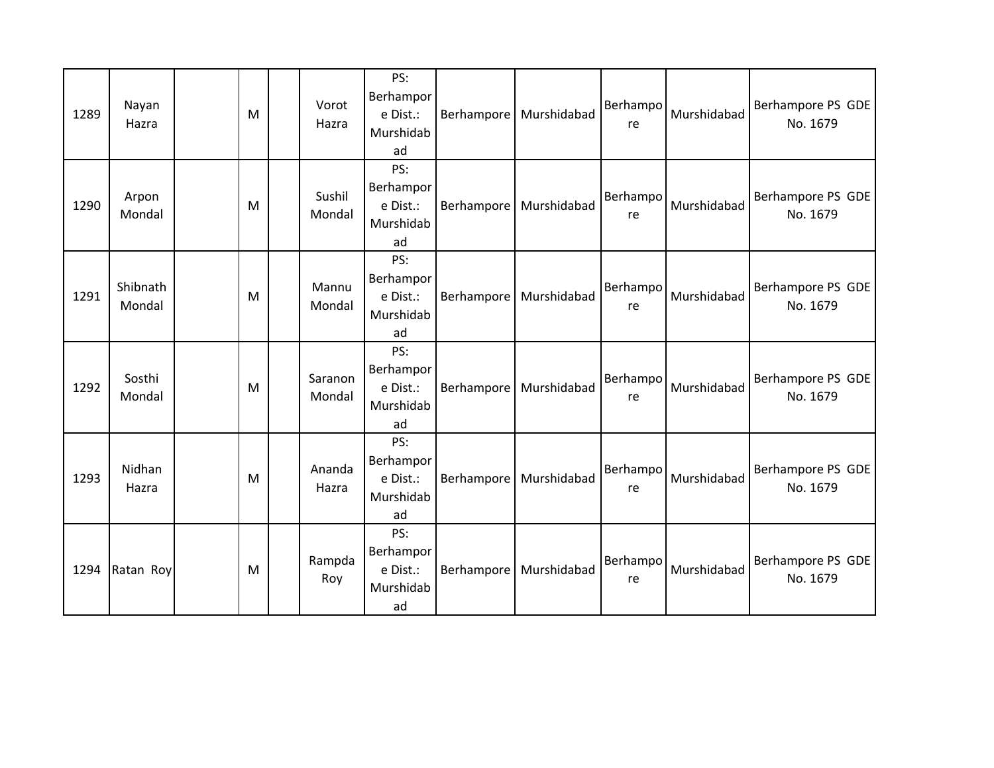| 1289 | Nayan<br>Hazra     | M | Vorot<br>Hazra    | PS:<br>Berhampor<br>e Dist.:<br>Murshidab<br>ad |                   | Berhampore   Murshidabad | Berhampo<br>re | Murshidabad | Berhampore PS GDE<br>No. 1679 |
|------|--------------------|---|-------------------|-------------------------------------------------|-------------------|--------------------------|----------------|-------------|-------------------------------|
| 1290 | Arpon<br>Mondal    | M | Sushil<br>Mondal  | PS:<br>Berhampor<br>e Dist.:<br>Murshidab<br>ad |                   | Berhampore   Murshidabad | Berhampo<br>re | Murshidabad | Berhampore PS GDE<br>No. 1679 |
| 1291 | Shibnath<br>Mondal | M | Mannu<br>Mondal   | PS:<br>Berhampor<br>e Dist.:<br>Murshidab<br>ad | <b>Berhampore</b> | Murshidabad              | Berhampo<br>re | Murshidabad | Berhampore PS GDE<br>No. 1679 |
| 1292 | Sosthi<br>Mondal   | M | Saranon<br>Mondal | PS:<br>Berhampor<br>e Dist.:<br>Murshidab<br>ad |                   | Berhampore   Murshidabad | Berhampo<br>re | Murshidabad | Berhampore PS GDE<br>No. 1679 |
| 1293 | Nidhan<br>Hazra    | M | Ananda<br>Hazra   | PS:<br>Berhampor<br>e Dist.:<br>Murshidab<br>ad | Berhampore        | Murshidabad              | Berhampo<br>re | Murshidabad | Berhampore PS GDE<br>No. 1679 |
| 1294 | Ratan Roy          | M | Rampda<br>Roy     | PS:<br>Berhampor<br>e Dist.:<br>Murshidab<br>ad |                   | Berhampore   Murshidabad | Berhampo<br>re | Murshidabad | Berhampore PS GDE<br>No. 1679 |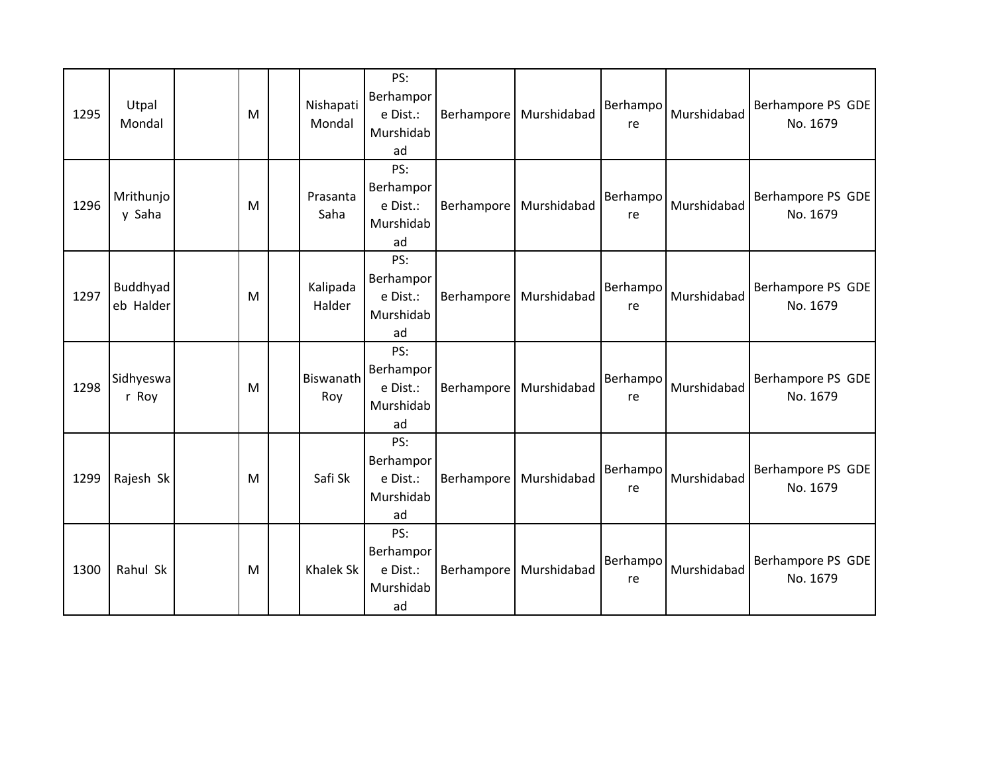| 1295 | Utpal<br>Mondal       | M | Nishapati<br>Mondal | PS:<br>Berhampor<br>e Dist.:<br>Murshidab<br>ad |                   | Berhampore   Murshidabad | Berhampo<br>re | Murshidabad | Berhampore PS GDE<br>No. 1679 |
|------|-----------------------|---|---------------------|-------------------------------------------------|-------------------|--------------------------|----------------|-------------|-------------------------------|
| 1296 | Mrithunjo<br>y Saha   | M | Prasanta<br>Saha    | PS:<br>Berhampor<br>e Dist.:<br>Murshidab<br>ad |                   | Berhampore   Murshidabad | Berhampo<br>re | Murshidabad | Berhampore PS GDE<br>No. 1679 |
| 1297 | Buddhyad<br>eb Halder | M | Kalipada<br>Halder  | PS:<br>Berhampor<br>e Dist.:<br>Murshidab<br>ad | <b>Berhampore</b> | Murshidabad              | Berhampo<br>re | Murshidabad | Berhampore PS GDE<br>No. 1679 |
| 1298 | Sidhyeswa<br>r Roy    | M | Biswanath<br>Roy    | PS:<br>Berhampor<br>e Dist.:<br>Murshidab<br>ad |                   | Berhampore   Murshidabad | Berhampo<br>re | Murshidabad | Berhampore PS GDE<br>No. 1679 |
| 1299 | Rajesh Sk             | M | Safi Sk             | PS:<br>Berhampor<br>e Dist.:<br>Murshidab<br>ad | Berhampore        | Murshidabad              | Berhampo<br>re | Murshidabad | Berhampore PS GDE<br>No. 1679 |
| 1300 | Rahul Sk              | M | Khalek Sk           | PS:<br>Berhampor<br>e Dist.:<br>Murshidab<br>ad |                   | Berhampore   Murshidabad | Berhampo<br>re | Murshidabad | Berhampore PS GDE<br>No. 1679 |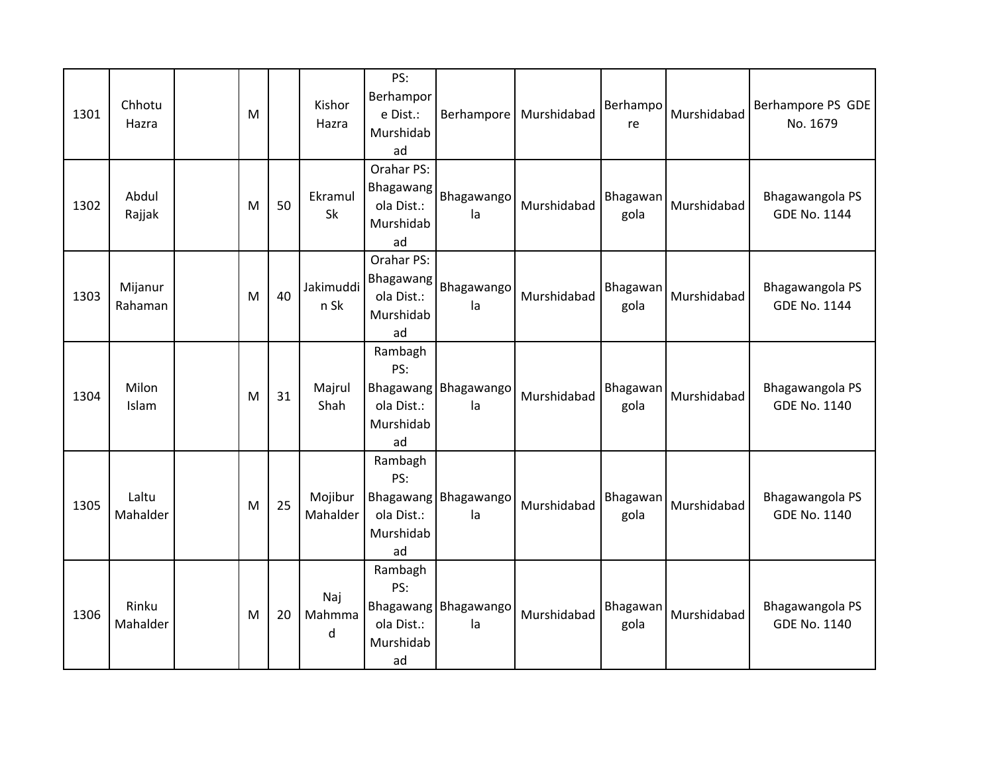| 1301 | Chhotu<br>Hazra    | M |    | Kishor<br>Hazra      | PS:<br>Berhampor<br>e Dist.:<br>Murshidab<br>ad          | Berhampore                   | Murshidabad | Berhampo<br>re   | Murshidabad | Berhampore PS GDE<br>No. 1679          |
|------|--------------------|---|----|----------------------|----------------------------------------------------------|------------------------------|-------------|------------------|-------------|----------------------------------------|
| 1302 | Abdul<br>Rajjak    | M | 50 | Ekramul<br><b>Sk</b> | Orahar PS:<br>Bhagawang<br>ola Dist.:<br>Murshidab<br>ad | Bhagawango<br>la             | Murshidabad | Bhagawan<br>gola | Murshidabad | Bhagawangola PS<br><b>GDE No. 1144</b> |
| 1303 | Mijanur<br>Rahaman | M | 40 | Jakimuddi<br>n Sk    | Orahar PS:<br>Bhagawang<br>ola Dist.:<br>Murshidab<br>ad | Bhagawango<br>la             | Murshidabad | Bhagawan<br>gola | Murshidabad | Bhagawangola PS<br><b>GDE No. 1144</b> |
| 1304 | Milon<br>Islam     | M | 31 | Majrul<br>Shah       | Rambagh<br>PS:<br>ola Dist.:<br>Murshidab<br>ad          | Bhagawang Bhagawango<br>la   | Murshidabad | Bhagawan<br>gola | Murshidabad | Bhagawangola PS<br><b>GDE No. 1140</b> |
| 1305 | Laltu<br>Mahalder  | M | 25 | Mojibur<br>Mahalder  | Rambagh<br>PS:<br>ola Dist.:<br>Murshidab<br>ad          | Bhagawang Bhagawango<br>la   | Murshidabad | Bhagawan<br>gola | Murshidabad | Bhagawangola PS<br>GDE No. 1140        |
| 1306 | Rinku<br>Mahalder  | M | 20 | Naj<br>Mahmma<br>d   | Rambagh<br>PS:<br>ola Dist.:<br>Murshidab<br>ad          | Bhagawang   Bhagawango<br>la | Murshidabad | Bhagawan<br>gola | Murshidabad | Bhagawangola PS<br><b>GDE No. 1140</b> |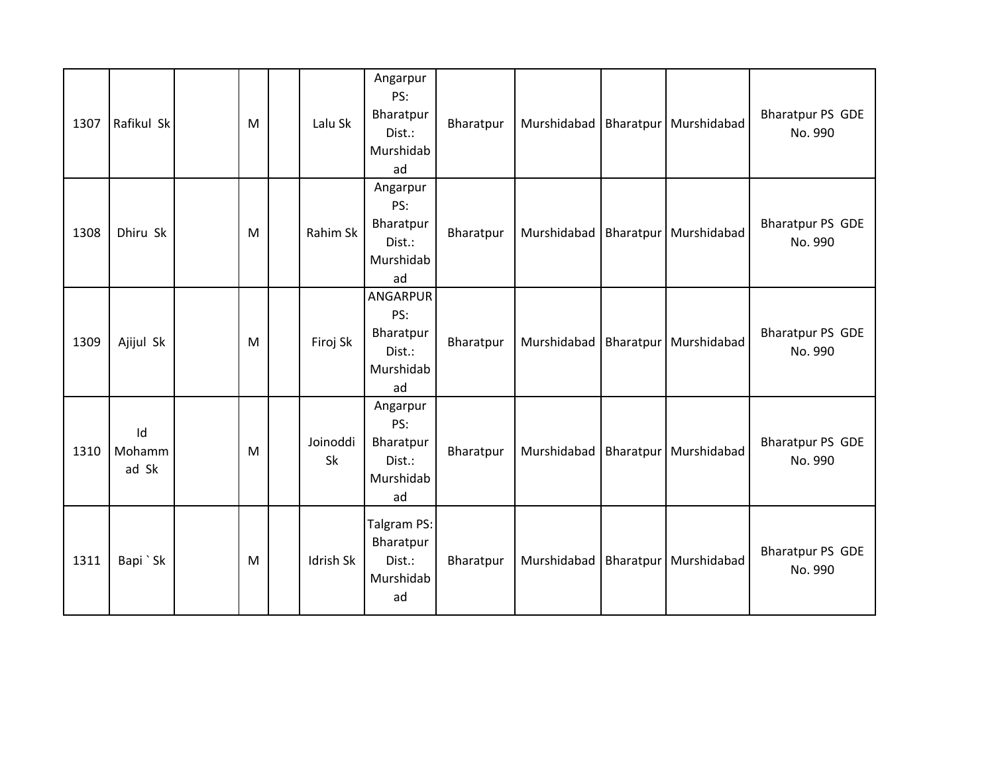| 1307 | Rafikul Sk            | M | Lalu Sk        | Angarpur<br>PS:<br>Bharatpur<br>Dist.:<br>Murshidab<br>ad | Bharatpur | Murshidabad   Bharatpur | Murshidabad | <b>Bharatpur PS GDE</b><br>No. 990 |
|------|-----------------------|---|----------------|-----------------------------------------------------------|-----------|-------------------------|-------------|------------------------------------|
| 1308 | Dhiru Sk              | M | Rahim Sk       | Angarpur<br>PS:<br>Bharatpur<br>Dist.:<br>Murshidab<br>ad | Bharatpur | Murshidabad   Bharatpur | Murshidabad | <b>Bharatpur PS GDE</b><br>No. 990 |
| 1309 | Ajijul Sk             | M | Firoj Sk       | ANGARPUR<br>PS:<br>Bharatpur<br>Dist.:<br>Murshidab<br>ad | Bharatpur | Murshidabad   Bharatpur | Murshidabad | <b>Bharatpur PS GDE</b><br>No. 990 |
| 1310 | Id<br>Mohamm<br>ad Sk | M | Joinoddi<br>Sk | Angarpur<br>PS:<br>Bharatpur<br>Dist.:<br>Murshidab<br>ad | Bharatpur | Murshidabad Bharatpur   | Murshidabad | <b>Bharatpur PS GDE</b><br>No. 990 |
| 1311 | Bapi `Sk              | M | Idrish Sk      | Talgram PS:<br>Bharatpur<br>Dist.:<br>Murshidab<br>ad     | Bharatpur | Murshidabad   Bharatpur | Murshidabad | <b>Bharatpur PS GDE</b><br>No. 990 |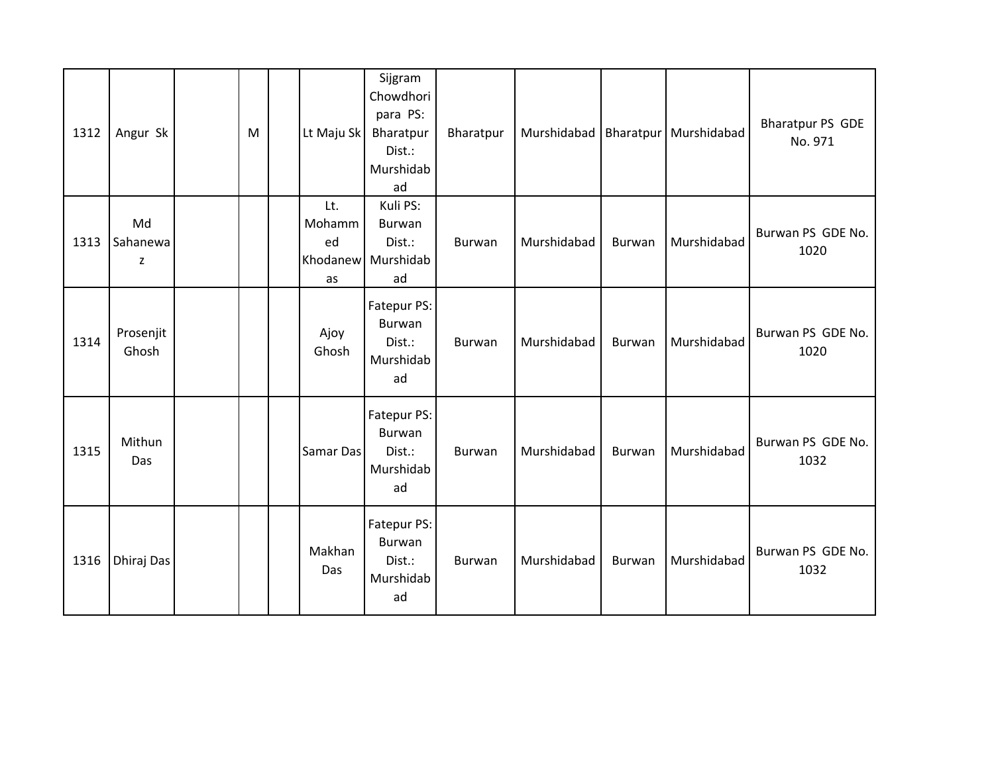| 1312 | Angur Sk            | M | Lt Maju Sk                | Sijgram<br>Chowdhori<br>para PS:<br>Bharatpur<br>Dist.:<br>Murshidab<br>ad | Bharatpur | Murshidabad   Bharatpur |               | Murshidabad | <b>Bharatpur PS GDE</b><br>No. 971 |
|------|---------------------|---|---------------------------|----------------------------------------------------------------------------|-----------|-------------------------|---------------|-------------|------------------------------------|
| 1313 | Md<br>Sahanewa<br>z |   | Lt.<br>Mohamm<br>ed<br>as | Kuli PS:<br><b>Burwan</b><br>Dist.:<br>Khodanew Murshidab<br>ad            | Burwan    | Murshidabad             | Burwan        | Murshidabad | Burwan PS GDE No.<br>1020          |
| 1314 | Prosenjit<br>Ghosh  |   | Ajoy<br>Ghosh             | Fatepur PS:<br>Burwan<br>Dist.:<br>Murshidab<br>ad                         | Burwan    | Murshidabad             | Burwan        | Murshidabad | Burwan PS GDE No.<br>1020          |
| 1315 | Mithun<br>Das       |   | Samar Das                 | Fatepur PS:<br><b>Burwan</b><br>Dist.:<br>Murshidab<br>ad                  | Burwan    | Murshidabad             | <b>Burwan</b> | Murshidabad | Burwan PS GDE No.<br>1032          |
| 1316 | Dhiraj Das          |   | Makhan<br>Das             | Fatepur PS:<br>Burwan<br>Dist.:<br>Murshidab<br>ad                         | Burwan    | Murshidabad             | Burwan        | Murshidabad | Burwan PS GDE No.<br>1032          |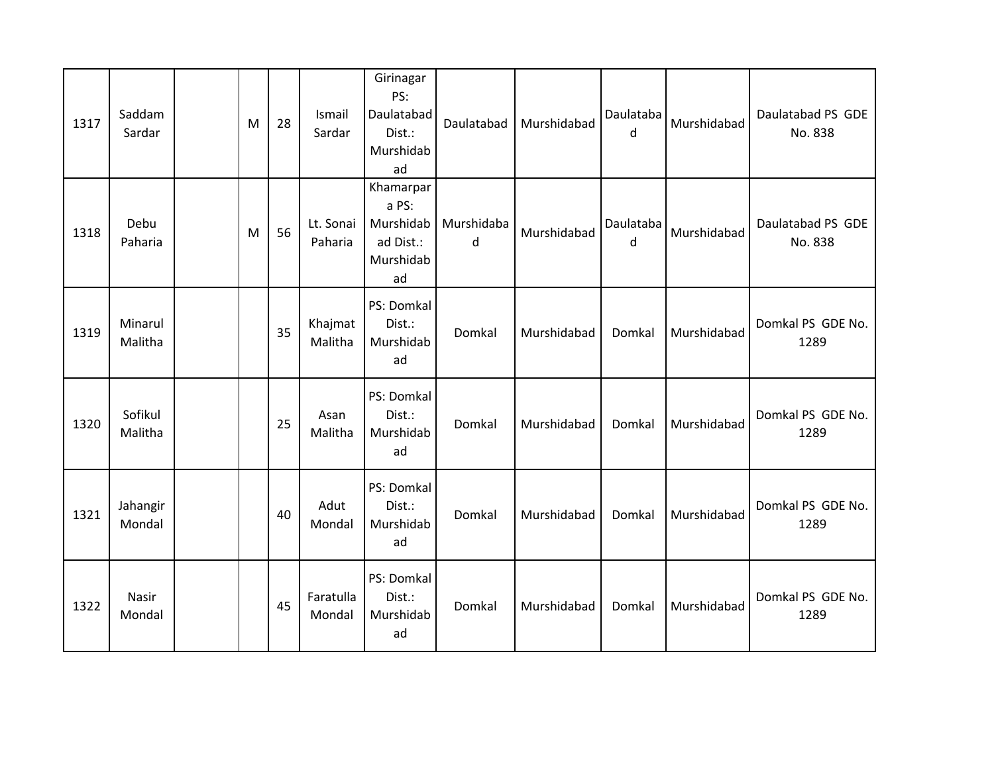| 1317 | Saddam<br>Sardar   | M | 28 | Ismail<br>Sardar     | Girinagar<br>PS:<br>Daulatabad<br>Dist.:<br>Murshidab<br>ad     | Daulatabad      | Murshidabad | Daulataba<br>d | Murshidabad | Daulatabad PS GDE<br>No. 838 |
|------|--------------------|---|----|----------------------|-----------------------------------------------------------------|-----------------|-------------|----------------|-------------|------------------------------|
| 1318 | Debu<br>Paharia    | M | 56 | Lt. Sonai<br>Paharia | Khamarpar<br>a PS:<br>Murshidab<br>ad Dist.:<br>Murshidab<br>ad | Murshidaba<br>d | Murshidabad | Daulataba<br>d | Murshidabad | Daulatabad PS GDE<br>No. 838 |
| 1319 | Minarul<br>Malitha |   | 35 | Khajmat<br>Malitha   | PS: Domkal<br>Dist.:<br>Murshidab<br>ad                         | Domkal          | Murshidabad | Domkal         | Murshidabad | Domkal PS GDE No.<br>1289    |
| 1320 | Sofikul<br>Malitha |   | 25 | Asan<br>Malitha      | PS: Domkal<br>Dist.:<br>Murshidab<br>ad                         | Domkal          | Murshidabad | Domkal         | Murshidabad | Domkal PS GDE No.<br>1289    |
| 1321 | Jahangir<br>Mondal |   | 40 | Adut<br>Mondal       | PS: Domkal<br>Dist.:<br>Murshidab<br>ad                         | Domkal          | Murshidabad | Domkal         | Murshidabad | Domkal PS GDE No.<br>1289    |
| 1322 | Nasir<br>Mondal    |   | 45 | Faratulla<br>Mondal  | PS: Domkal<br>Dist.:<br>Murshidab<br>ad                         | Domkal          | Murshidabad | Domkal         | Murshidabad | Domkal PS GDE No.<br>1289    |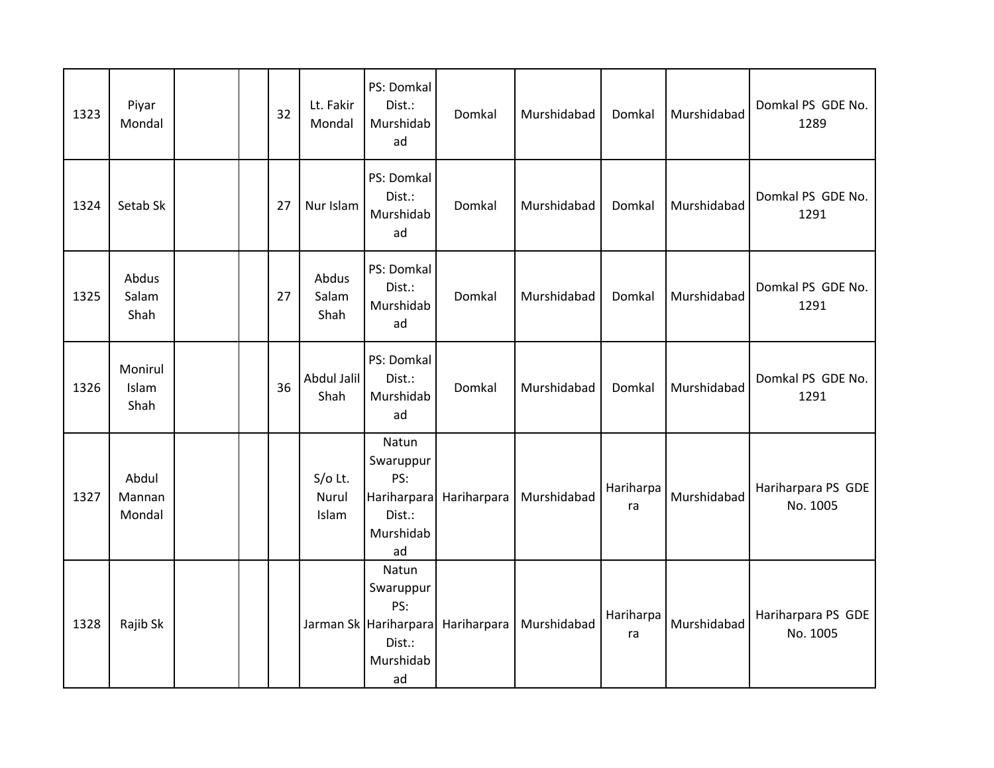| 1323 | Piyar<br>Mondal           | 32 | Lt. Fakir<br>Mondal         | PS: Domkal<br>Dist.:<br>Murshidab<br>ad                                         | Domkal      | Murshidabad | Domkal          | Murshidabad | Domkal PS GDE No.<br>1289      |
|------|---------------------------|----|-----------------------------|---------------------------------------------------------------------------------|-------------|-------------|-----------------|-------------|--------------------------------|
| 1324 | Setab Sk                  | 27 | Nur Islam                   | PS: Domkal<br>Dist.:<br>Murshidab<br>ad                                         | Domkal      | Murshidabad | Domkal          | Murshidabad | Domkal PS GDE No.<br>1291      |
| 1325 | Abdus<br>Salam<br>Shah    | 27 | Abdus<br>Salam<br>Shah      | PS: Domkal<br>Dist.:<br>Murshidab<br>ad                                         | Domkal      | Murshidabad | Domkal          | Murshidabad | Domkal PS GDE No.<br>1291      |
| 1326 | Monirul<br>Islam<br>Shah  | 36 | Abdul Jalil<br>Shah         | PS: Domkal<br>Dist.:<br>Murshidab<br>ad                                         | Domkal      | Murshidabad | Domkal          | Murshidabad | Domkal PS GDE No.<br>1291      |
| 1327 | Abdul<br>Mannan<br>Mondal |    | $S/O$ Lt.<br>Nurul<br>Islam | Natun<br>Swaruppur<br>PS:<br>Hariharpara<br>Dist.:<br>Murshidab<br>ad           | Hariharpara | Murshidabad | Hariharpa<br>ra | Murshidabad | Hariharpara PS GDE<br>No. 1005 |
| 1328 | Rajib Sk                  |    |                             | Natun<br>Swaruppur<br>PS:<br>Jarman Sk Hariharpara<br>Dist.:<br>Murshidab<br>ad | Hariharpara | Murshidabad | Hariharpa<br>ra | Murshidabad | Hariharpara PS GDE<br>No. 1005 |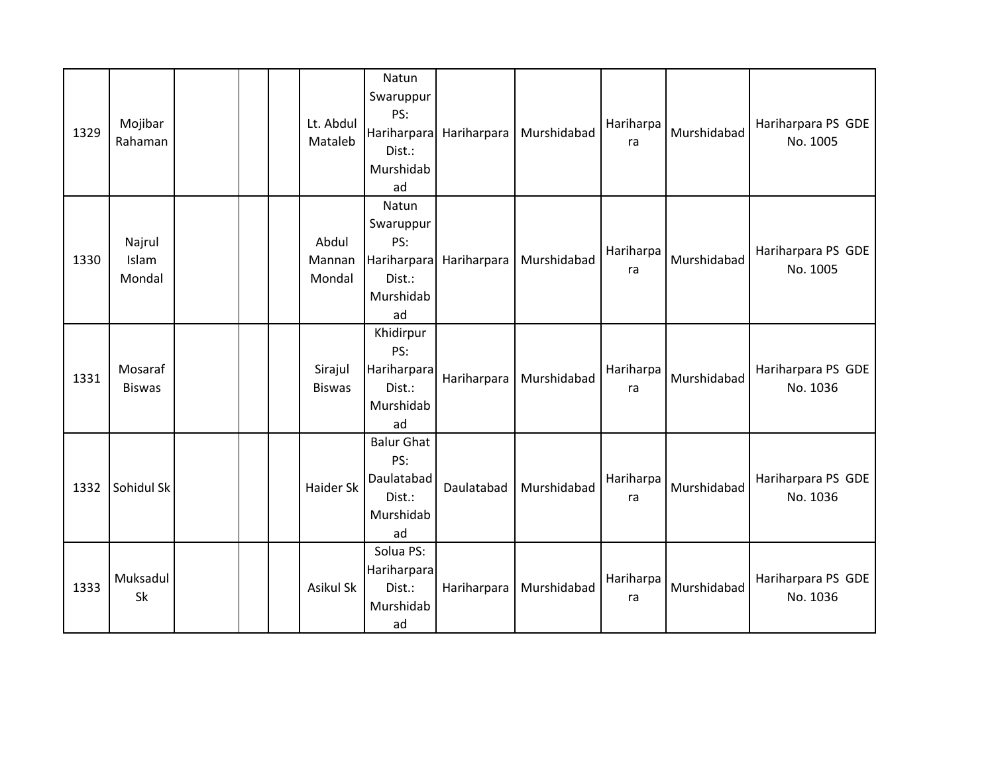| 1329 | Mojibar<br>Rahaman        |  | Lt. Abdul<br>Mataleb      | Natun<br>Swaruppur<br>PS:<br>Hariharpara<br>Dist.:<br>Murshidab<br>ad | Hariharpara | Murshidabad | Hariharpa<br>ra | Murshidabad | Hariharpara PS GDE<br>No. 1005 |
|------|---------------------------|--|---------------------------|-----------------------------------------------------------------------|-------------|-------------|-----------------|-------------|--------------------------------|
| 1330 | Najrul<br>Islam<br>Mondal |  | Abdul<br>Mannan<br>Mondal | Natun<br>Swaruppur<br>PS:<br>Hariharpara<br>Dist.:<br>Murshidab<br>ad | Hariharpara | Murshidabad | Hariharpa<br>ra | Murshidabad | Hariharpara PS GDE<br>No. 1005 |
| 1331 | Mosaraf<br><b>Biswas</b>  |  | Sirajul<br><b>Biswas</b>  | Khidirpur<br>PS:<br>Hariharpara<br>Dist.:<br>Murshidab<br>ad          | Hariharpara | Murshidabad | Hariharpa<br>ra | Murshidabad | Hariharpara PS GDE<br>No. 1036 |
| 1332 | Sohidul Sk                |  | <b>Haider Sk</b>          | <b>Balur Ghat</b><br>PS:<br>Daulatabad<br>Dist.:<br>Murshidab<br>ad   | Daulatabad  | Murshidabad | Hariharpa<br>ra | Murshidabad | Hariharpara PS GDE<br>No. 1036 |
| 1333 | Muksadul<br>Sk            |  | Asikul Sk                 | Solua PS:<br>Hariharpara<br>Dist.:<br>Murshidab<br>ad                 | Hariharpara | Murshidabad | Hariharpa<br>ra | Murshidabad | Hariharpara PS GDE<br>No. 1036 |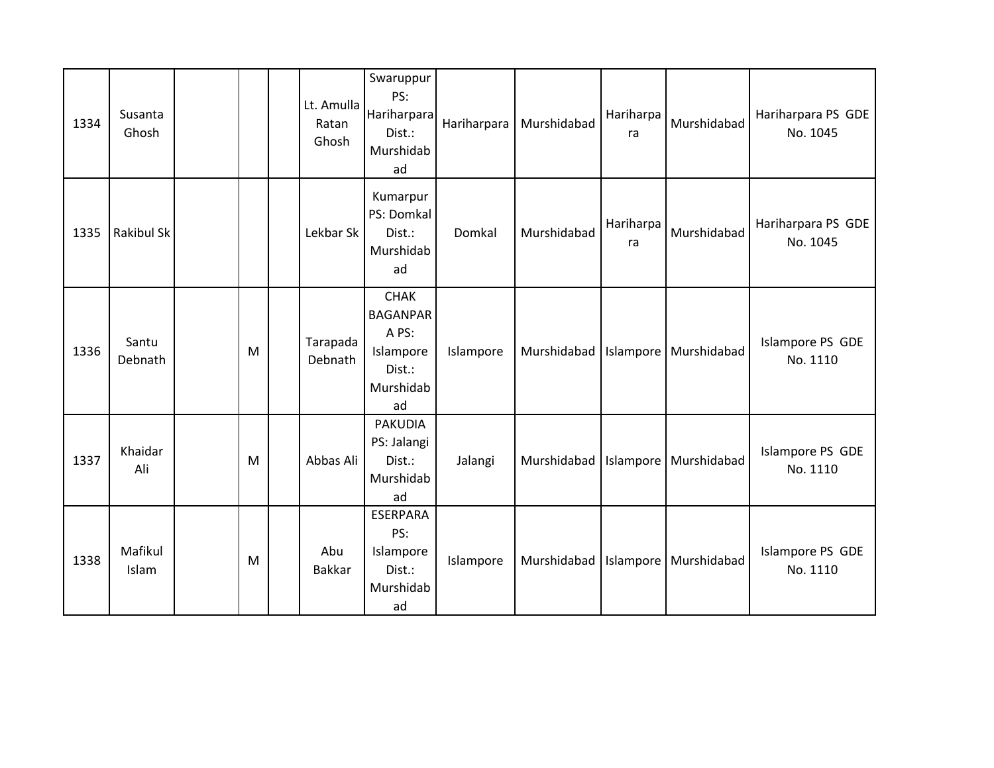| 1334 | Susanta<br>Ghosh  |   | Lt. Amulla<br>Ratan<br>Ghosh | Swaruppur<br>PS:<br>Hariharpara<br>Dist.:<br>Murshidab<br>ad                      | Hariharpara | Murshidabad | Hariharpa<br>ra | Murshidabad                           | Hariharpara PS GDE<br>No. 1045 |
|------|-------------------|---|------------------------------|-----------------------------------------------------------------------------------|-------------|-------------|-----------------|---------------------------------------|--------------------------------|
| 1335 | <b>Rakibul Sk</b> |   | Lekbar Sk                    | Kumarpur<br>PS: Domkal<br>Dist.:<br>Murshidab<br>ad                               | Domkal      | Murshidabad | Hariharpa<br>ra | Murshidabad                           | Hariharpara PS GDE<br>No. 1045 |
| 1336 | Santu<br>Debnath  | M | Tarapada<br>Debnath          | <b>CHAK</b><br><b>BAGANPAR</b><br>A PS:<br>Islampore<br>Dist.:<br>Murshidab<br>ad | Islampore   |             |                 | Murshidabad   Islampore   Murshidabad | Islampore PS GDE<br>No. 1110   |
| 1337 | Khaidar<br>Ali    | M | Abbas Ali                    | <b>PAKUDIA</b><br>PS: Jalangi<br>Dist.:<br>Murshidab<br>ad                        | Jalangi     | Murshidabad |                 | Islampore   Murshidabad               | Islampore PS GDE<br>No. 1110   |
| 1338 | Mafikul<br>Islam  | M | Abu<br>Bakkar                | <b>ESERPARA</b><br>PS:<br>Islampore<br>Dist.:<br>Murshidab<br>ad                  | Islampore   | Murshidabad |                 | Islampore   Murshidabad               | Islampore PS GDE<br>No. 1110   |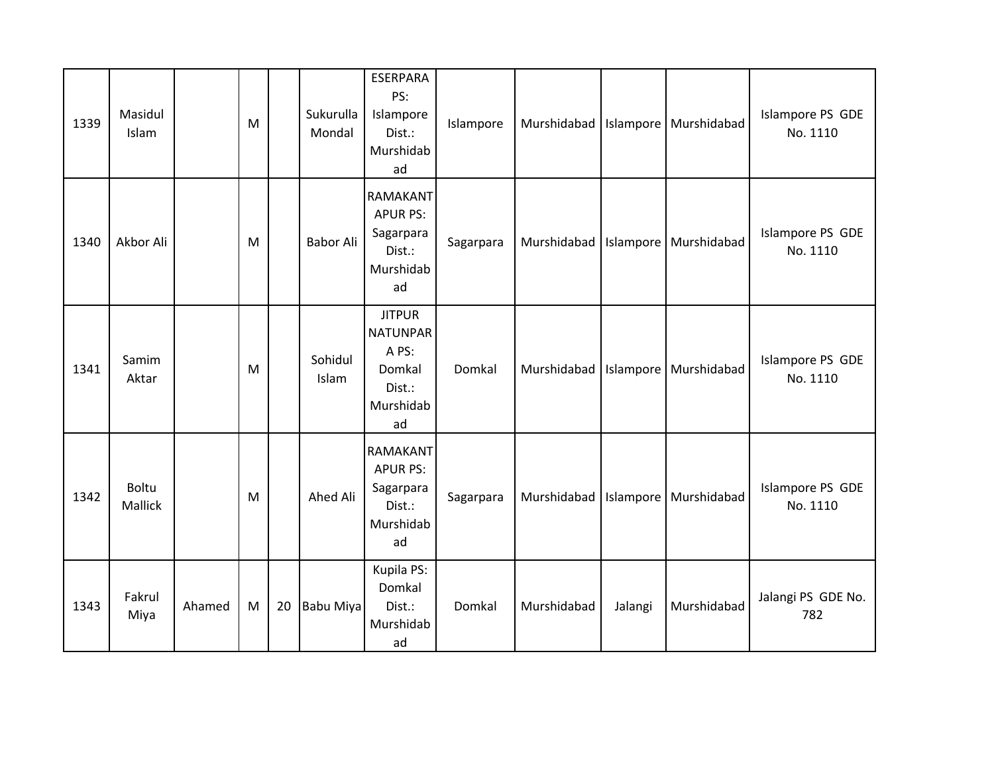| 1339 | Masidul<br>Islam        |        | M |    | Sukurulla<br>Mondal | <b>ESERPARA</b><br>PS:<br>Islampore<br>Dist.:<br>Murshidab<br>ad                 | Islampore | Murshidabad   Islampore   Murshidabad |           |             | Islampore PS GDE<br>No. 1110 |
|------|-------------------------|--------|---|----|---------------------|----------------------------------------------------------------------------------|-----------|---------------------------------------|-----------|-------------|------------------------------|
| 1340 | Akbor Ali               |        | M |    | <b>Babor Ali</b>    | <b>RAMAKANT</b><br><b>APUR PS:</b><br>Sagarpara<br>Dist.:<br>Murshidab<br>ad     | Sagarpara | Murshidabad                           | Islampore | Murshidabad | Islampore PS GDE<br>No. 1110 |
| 1341 | Samim<br>Aktar          |        | M |    | Sohidul<br>Islam    | <b>JITPUR</b><br><b>NATUNPAR</b><br>A PS:<br>Domkal<br>Dist.:<br>Murshidab<br>ad | Domkal    | Murshidabad   Islampore   Murshidabad |           |             | Islampore PS GDE<br>No. 1110 |
| 1342 | <b>Boltu</b><br>Mallick |        | M |    | Ahed Ali            | <b>RAMAKANT</b><br><b>APUR PS:</b><br>Sagarpara<br>Dist.:<br>Murshidab<br>ad     | Sagarpara | Murshidabad   Islampore               |           | Murshidabad | Islampore PS GDE<br>No. 1110 |
| 1343 | Fakrul<br>Miya          | Ahamed | M | 20 | <b>Babu Miya</b>    | Kupila PS:<br>Domkal<br>Dist.:<br>Murshidab<br>ad                                | Domkal    | Murshidabad                           | Jalangi   | Murshidabad | Jalangi PS GDE No.<br>782    |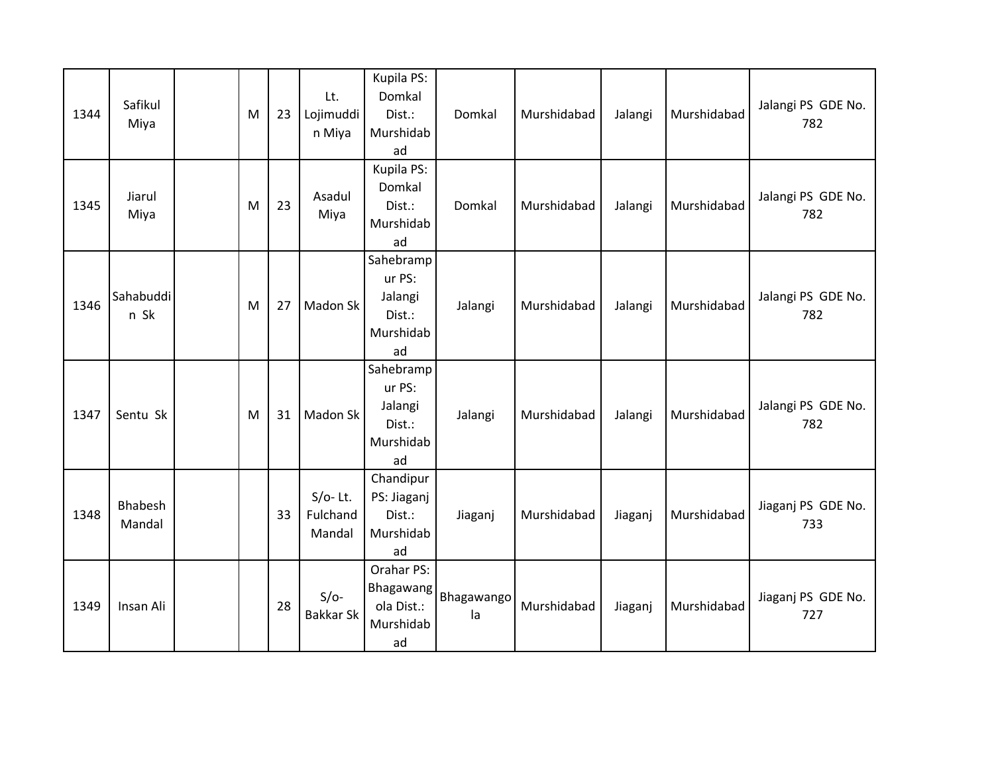| 1344 | Safikul<br>Miya   | M | 23 | Lt.<br>Lojimuddi<br>n Miya       | Kupila PS:<br>Domkal<br>Dist.:<br>Murshidab<br>ad           | Domkal           | Murshidabad | Jalangi | Murshidabad | Jalangi PS GDE No.<br>782 |
|------|-------------------|---|----|----------------------------------|-------------------------------------------------------------|------------------|-------------|---------|-------------|---------------------------|
| 1345 | Jiarul<br>Miya    | M | 23 | Asadul<br>Miya                   | Kupila PS:<br>Domkal<br>Dist.:<br>Murshidab<br>ad           | Domkal           | Murshidabad | Jalangi | Murshidabad | Jalangi PS GDE No.<br>782 |
| 1346 | Sahabuddi<br>n Sk | M | 27 | Madon Sk                         | Sahebramp<br>ur PS:<br>Jalangi<br>Dist.:<br>Murshidab<br>ad | Jalangi          | Murshidabad | Jalangi | Murshidabad | Jalangi PS GDE No.<br>782 |
| 1347 | Sentu Sk          | M | 31 | Madon Sk                         | Sahebramp<br>ur PS:<br>Jalangi<br>Dist.:<br>Murshidab<br>ad | Jalangi          | Murshidabad | Jalangi | Murshidabad | Jalangi PS GDE No.<br>782 |
| 1348 | Bhabesh<br>Mandal |   | 33 | $S/O-$ Lt.<br>Fulchand<br>Mandal | Chandipur<br>PS: Jiaganj<br>Dist.:<br>Murshidab<br>ad       | Jiaganj          | Murshidabad | Jiaganj | Murshidabad | Jiaganj PS GDE No.<br>733 |
| 1349 | Insan Ali         |   | 28 | $S/O-$<br><b>Bakkar Sk</b>       | Orahar PS:<br>Bhagawang<br>ola Dist.:<br>Murshidab<br>ad    | Bhagawango<br>la | Murshidabad | Jiaganj | Murshidabad | Jiaganj PS GDE No.<br>727 |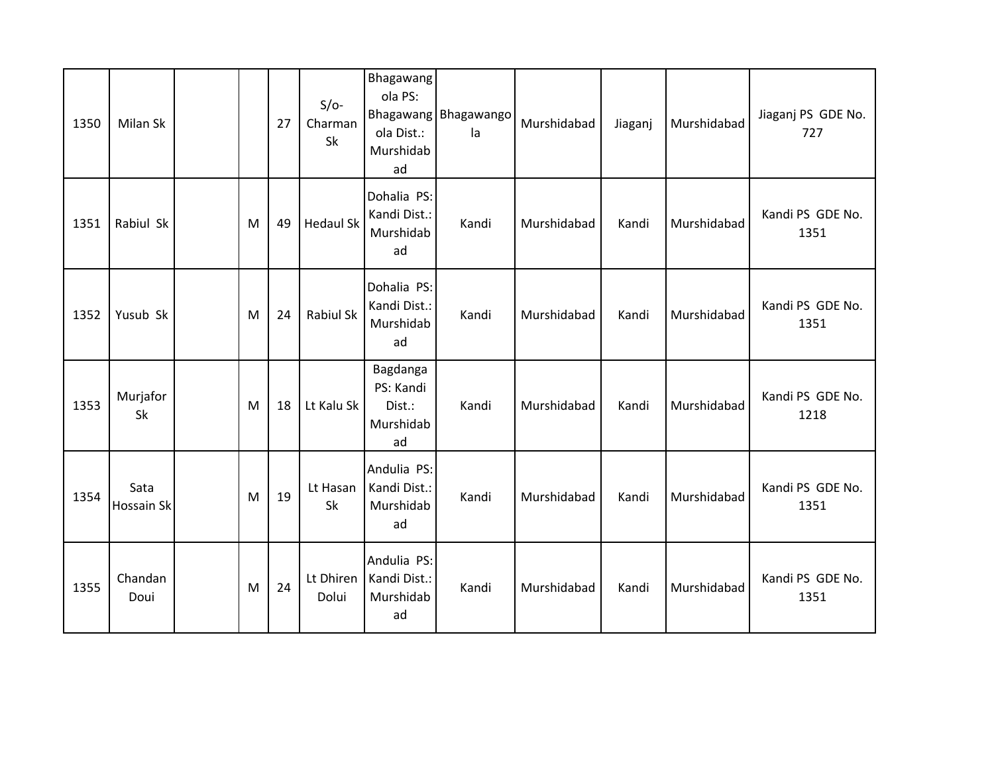| 1350 | Milan Sk                  |   | 27 | $S/O-$<br>Charman<br>Sk | Bhagawang<br>ola PS:<br>ola Dist.:<br>Murshidab<br>ad | Bhagawang Bhagawango<br>la | Murshidabad | Jiaganj | Murshidabad | Jiaganj PS GDE No.<br>727 |
|------|---------------------------|---|----|-------------------------|-------------------------------------------------------|----------------------------|-------------|---------|-------------|---------------------------|
| 1351 | Rabiul Sk                 | M | 49 | <b>Hedaul Sk</b>        | Dohalia PS:<br>Kandi Dist.:<br>Murshidab<br>ad        | Kandi                      | Murshidabad | Kandi   | Murshidabad | Kandi PS GDE No.<br>1351  |
| 1352 | Yusub Sk                  | M | 24 | Rabiul Sk               | Dohalia PS:<br>Kandi Dist.:<br>Murshidab<br>ad        | Kandi                      | Murshidabad | Kandi   | Murshidabad | Kandi PS GDE No.<br>1351  |
| 1353 | Murjafor<br>Sk            | M | 18 | Lt Kalu Sk              | Bagdanga<br>PS: Kandi<br>Dist.:<br>Murshidab<br>ad    | Kandi                      | Murshidabad | Kandi   | Murshidabad | Kandi PS GDE No.<br>1218  |
| 1354 | Sata<br><b>Hossain Sk</b> | M | 19 | Lt Hasan<br>Sk          | Andulia PS:<br>Kandi Dist.:<br>Murshidab<br>ad        | Kandi                      | Murshidabad | Kandi   | Murshidabad | Kandi PS GDE No.<br>1351  |
| 1355 | Chandan<br>Doui           | M | 24 | Lt Dhiren<br>Dolui      | Andulia PS:<br>Kandi Dist.:<br>Murshidab<br>ad        | Kandi                      | Murshidabad | Kandi   | Murshidabad | Kandi PS GDE No.<br>1351  |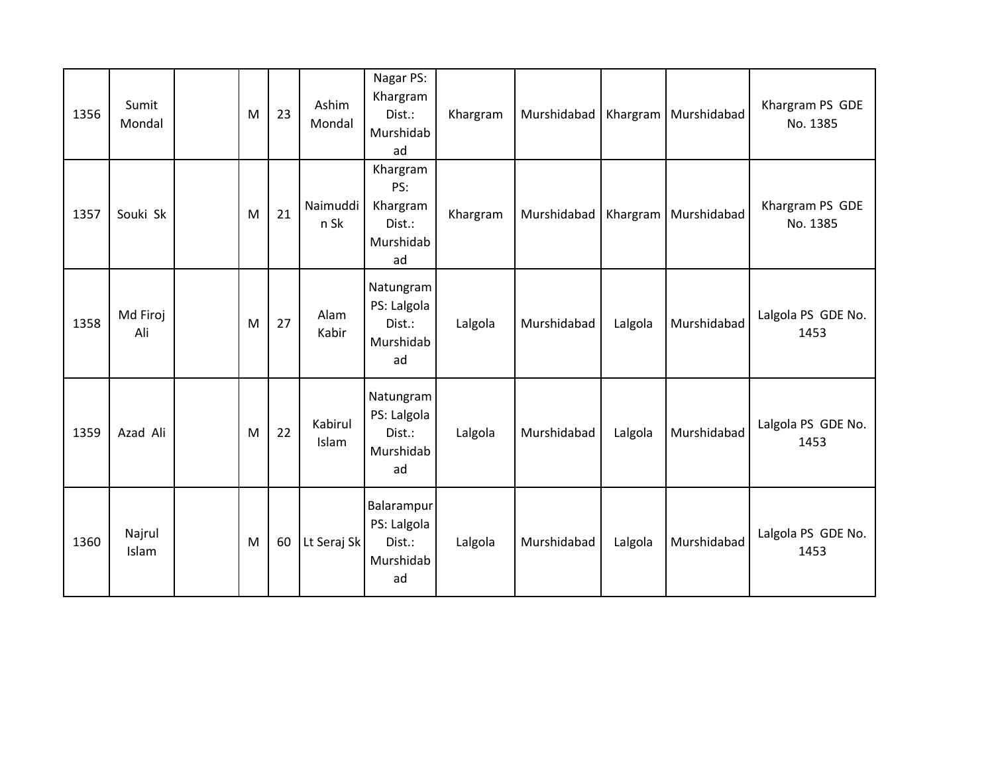| 1356 | Sumit<br>Mondal | M | 23 | Ashim<br>Mondal         | Nagar PS:<br>Khargram<br>Dist.:<br>Murshidab<br>ad       | Khargram | Murshidabad |         | Khargram   Murshidabad | Khargram PS GDE<br>No. 1385 |
|------|-----------------|---|----|-------------------------|----------------------------------------------------------|----------|-------------|---------|------------------------|-----------------------------|
| 1357 | Souki Sk        | M | 21 | Naimuddi<br>n Sk        | Khargram<br>PS:<br>Khargram<br>Dist.:<br>Murshidab<br>ad | Khargram | Murshidabad |         | Khargram   Murshidabad | Khargram PS GDE<br>No. 1385 |
| 1358 | Md Firoj<br>Ali | M | 27 | Alam<br>Kabir           | Natungram<br>PS: Lalgola<br>Dist.:<br>Murshidab<br>ad    | Lalgola  | Murshidabad | Lalgola | Murshidabad            | Lalgola PS GDE No.<br>1453  |
| 1359 | Azad Ali        | M | 22 | Kabirul<br><b>Islam</b> | Natungram<br>PS: Lalgola<br>Dist.:<br>Murshidab<br>ad    | Lalgola  | Murshidabad | Lalgola | Murshidabad            | Lalgola PS GDE No.<br>1453  |
| 1360 | Najrul<br>Islam | M | 60 | Lt Seraj Sk             | Balarampur<br>PS: Lalgola<br>Dist.:<br>Murshidab<br>ad   | Lalgola  | Murshidabad | Lalgola | Murshidabad            | Lalgola PS GDE No.<br>1453  |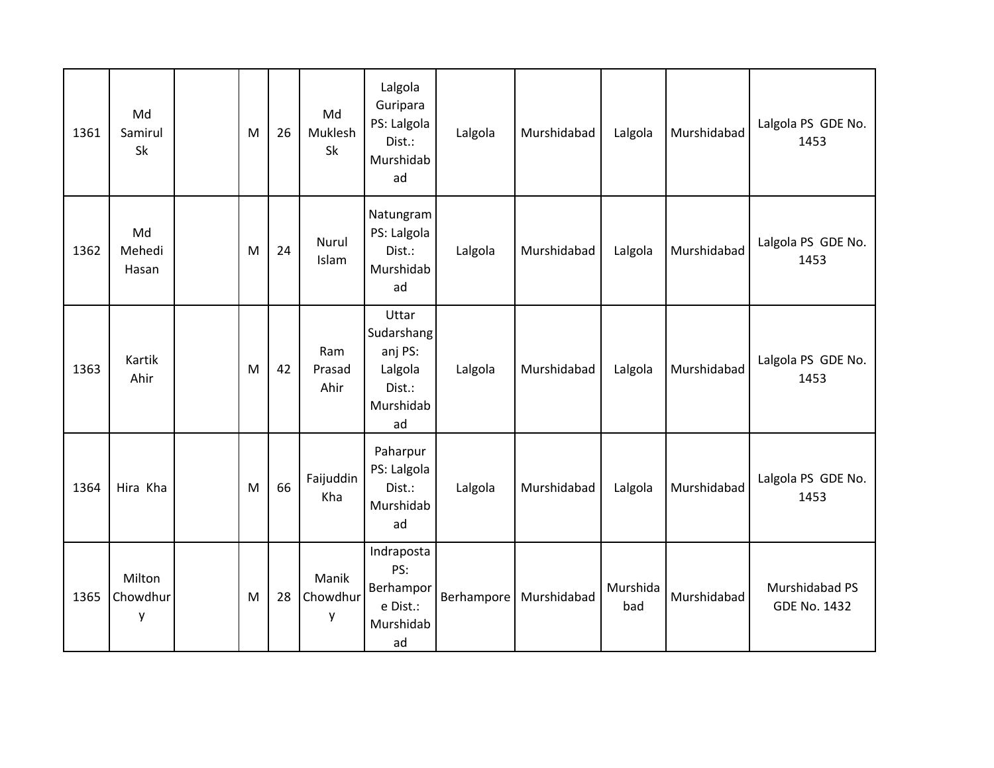| 1361 | Md<br>Samirul<br>Sk     | M | 26 | Md<br>Muklesh<br>Sk    | Lalgola<br>Guripara<br>PS: Lalgola<br>Dist.:<br>Murshidab<br>ad        | Lalgola    | Murshidabad | Lalgola         | Murshidabad | Lalgola PS GDE No.<br>1453            |
|------|-------------------------|---|----|------------------------|------------------------------------------------------------------------|------------|-------------|-----------------|-------------|---------------------------------------|
| 1362 | Md<br>Mehedi<br>Hasan   | M | 24 | <b>Nurul</b><br>Islam  | Natungram<br>PS: Lalgola<br>Dist.:<br>Murshidab<br>ad                  | Lalgola    | Murshidabad | Lalgola         | Murshidabad | Lalgola PS GDE No.<br>1453            |
| 1363 | Kartik<br>Ahir          | M | 42 | Ram<br>Prasad<br>Ahir  | Uttar<br>Sudarshang<br>anj PS:<br>Lalgola<br>Dist.:<br>Murshidab<br>ad | Lalgola    | Murshidabad | Lalgola         | Murshidabad | Lalgola PS GDE No.<br>1453            |
| 1364 | Hira Kha                | M | 66 | Faijuddin<br>Kha       | Paharpur<br>PS: Lalgola<br>Dist.:<br>Murshidab<br>ad                   | Lalgola    | Murshidabad | Lalgola         | Murshidabad | Lalgola PS GDE No.<br>1453            |
| 1365 | Milton<br>Chowdhur<br>у | M | 28 | Manik<br>Chowdhur<br>y | Indraposta<br>PS:<br>Berhampor<br>e Dist.:<br>Murshidab<br>ad          | Berhampore | Murshidabad | Murshida<br>bad | Murshidabad | Murshidabad PS<br><b>GDE No. 1432</b> |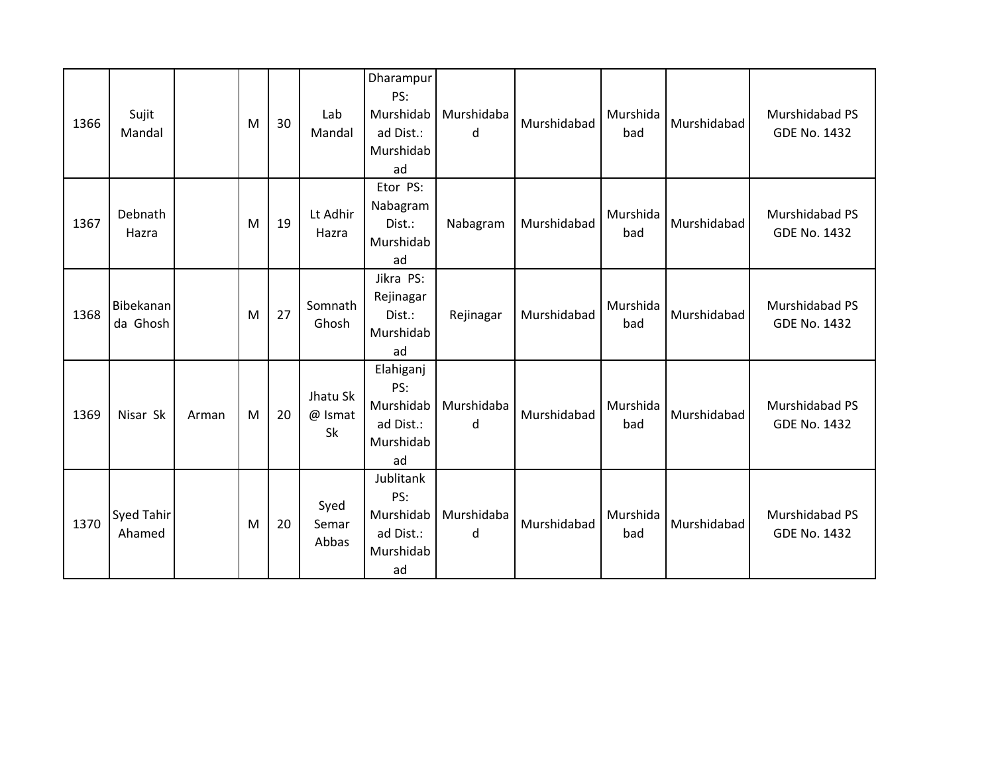| 1366 | Sujit<br>Mandal             |       | M | 30 | Lab<br>Mandal             | Dharampur<br>PS:<br>Murshidab<br>ad Dist.:<br>Murshidab<br>ad | Murshidaba<br>d | Murshidabad | Murshida<br>bad | Murshidabad | Murshidabad PS<br><b>GDE No. 1432</b> |
|------|-----------------------------|-------|---|----|---------------------------|---------------------------------------------------------------|-----------------|-------------|-----------------|-------------|---------------------------------------|
| 1367 | Debnath<br>Hazra            |       | M | 19 | Lt Adhir<br>Hazra         | Etor PS:<br>Nabagram<br>Dist.:<br>Murshidab<br>ad             | Nabagram        | Murshidabad | Murshida<br>bad | Murshidabad | Murshidabad PS<br><b>GDE No. 1432</b> |
| 1368 | Bibekanan<br>da Ghosh       |       | M | 27 | Somnath<br>Ghosh          | Jikra PS:<br>Rejinagar<br>Dist.:<br>Murshidab<br>ad           | Rejinagar       | Murshidabad | Murshida<br>bad | Murshidabad | Murshidabad PS<br><b>GDE No. 1432</b> |
| 1369 | Nisar Sk                    | Arman | M | 20 | Jhatu Sk<br>@ Ismat<br>Sk | Elahiganj<br>PS:<br>Murshidab<br>ad Dist.:<br>Murshidab<br>ad | Murshidaba<br>d | Murshidabad | Murshida<br>bad | Murshidabad | Murshidabad PS<br><b>GDE No. 1432</b> |
| 1370 | <b>Syed Tahir</b><br>Ahamed |       | M | 20 | Syed<br>Semar<br>Abbas    | Jublitank<br>PS:<br>Murshidab<br>ad Dist.:<br>Murshidab<br>ad | Murshidaba<br>d | Murshidabad | Murshida<br>bad | Murshidabad | Murshidabad PS<br><b>GDE No. 1432</b> |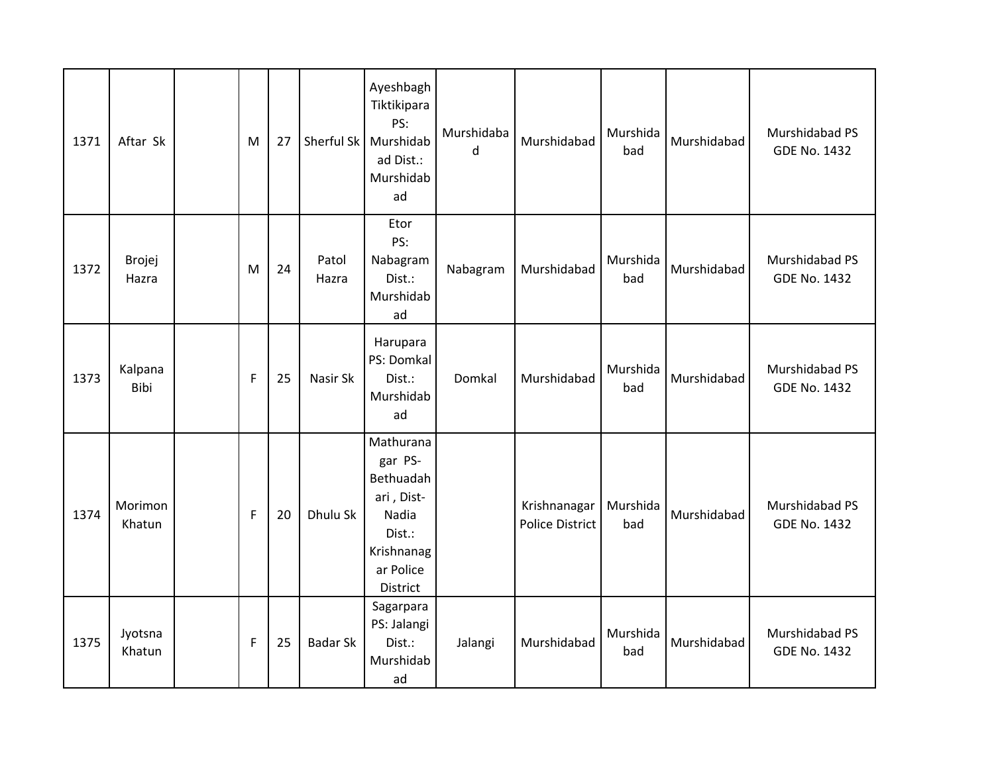| 1371 | Aftar Sk               | M | 27 | Sherful Sk      | Ayeshbagh<br>Tiktikipara<br>PS:<br>Murshidab<br>ad Dist.:<br>Murshidab<br>ad                              | Murshidaba<br>d | Murshidabad                            | Murshida<br>bad | Murshidabad | Murshidabad PS<br><b>GDE No. 1432</b> |
|------|------------------------|---|----|-----------------|-----------------------------------------------------------------------------------------------------------|-----------------|----------------------------------------|-----------------|-------------|---------------------------------------|
| 1372 | <b>Brojej</b><br>Hazra | M | 24 | Patol<br>Hazra  | Etor<br>PS:<br>Nabagram<br>Dist.:<br>Murshidab<br>ad                                                      | Nabagram        | Murshidabad                            | Murshida<br>bad | Murshidabad | Murshidabad PS<br><b>GDE No. 1432</b> |
| 1373 | Kalpana<br>Bibi        | F | 25 | Nasir Sk        | Harupara<br>PS: Domkal<br>Dist.:<br>Murshidab<br>ad                                                       | Domkal          | Murshidabad                            | Murshida<br>bad | Murshidabad | Murshidabad PS<br><b>GDE No. 1432</b> |
| 1374 | Morimon<br>Khatun      | F | 20 | Dhulu Sk        | Mathurana<br>gar PS-<br>Bethuadah<br>ari, Dist-<br>Nadia<br>Dist.:<br>Krishnanag<br>ar Police<br>District |                 | Krishnanagar<br><b>Police District</b> | Murshida<br>bad | Murshidabad | Murshidabad PS<br><b>GDE No. 1432</b> |
| 1375 | Jyotsna<br>Khatun      | F | 25 | <b>Badar Sk</b> | Sagarpara<br>PS: Jalangi<br>Dist.:<br>Murshidab<br>ad                                                     | Jalangi         | Murshidabad                            | Murshida<br>bad | Murshidabad | Murshidabad PS<br><b>GDE No. 1432</b> |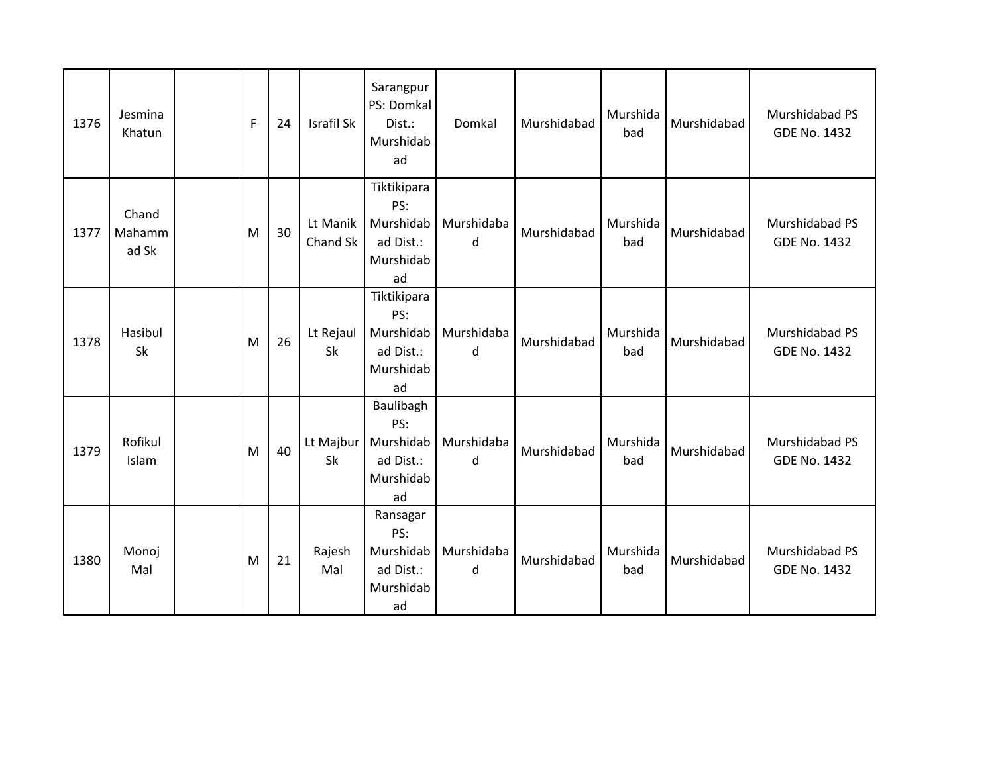| 1376 | Jesmina<br>Khatun        | F | 24 | Israfil Sk           | Sarangpur<br>PS: Domkal<br>Dist.:<br>Murshidab<br>ad            | Domkal          | Murshidabad | Murshida<br>bad | Murshidabad | Murshidabad PS<br><b>GDE No. 1432</b> |
|------|--------------------------|---|----|----------------------|-----------------------------------------------------------------|-----------------|-------------|-----------------|-------------|---------------------------------------|
| 1377 | Chand<br>Mahamm<br>ad Sk | M | 30 | Lt Manik<br>Chand Sk | Tiktikipara<br>PS:<br>Murshidab<br>ad Dist.:<br>Murshidab<br>ad | Murshidaba<br>d | Murshidabad | Murshida<br>bad | Murshidabad | Murshidabad PS<br><b>GDE No. 1432</b> |
| 1378 | Hasibul<br>Sk            | M | 26 | Lt Rejaul<br>Sk      | Tiktikipara<br>PS:<br>Murshidab<br>ad Dist.:<br>Murshidab<br>ad | Murshidaba<br>d | Murshidabad | Murshida<br>bad | Murshidabad | Murshidabad PS<br><b>GDE No. 1432</b> |
| 1379 | Rofikul<br>Islam         | M | 40 | Lt Majbur<br>Sk      | Baulibagh<br>PS:<br>Murshidab<br>ad Dist.:<br>Murshidab<br>ad   | Murshidaba<br>d | Murshidabad | Murshida<br>bad | Murshidabad | Murshidabad PS<br><b>GDE No. 1432</b> |
| 1380 | Monoj<br>Mal             | M | 21 | Rajesh<br>Mal        | Ransagar<br>PS:<br>Murshidab<br>ad Dist.:<br>Murshidab<br>ad    | Murshidaba<br>d | Murshidabad | Murshida<br>bad | Murshidabad | Murshidabad PS<br><b>GDE No. 1432</b> |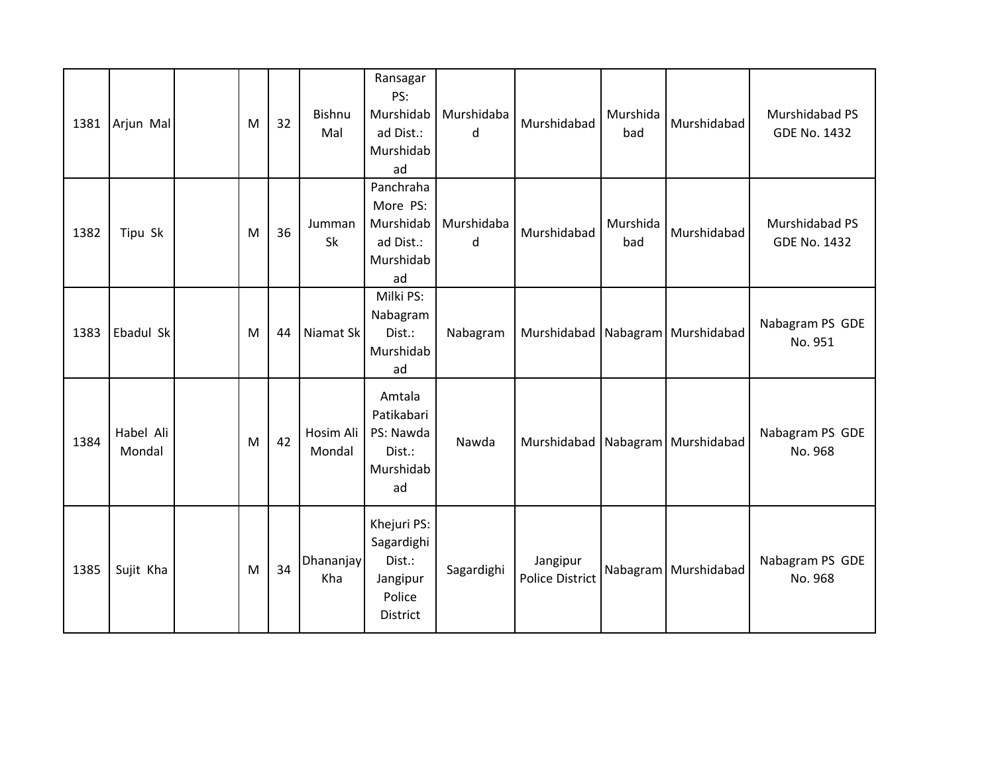| 1381 | Arjun Mal           | M | 32 | Bishnu<br>Mal           | Ransagar<br>PS:<br>Murshidab<br>ad Dist.:<br>Murshidab<br>ad                 | Murshidaba<br>d | Murshidabad                        | Murshida<br>bad | Murshidabad                          | Murshidabad PS<br><b>GDE No. 1432</b> |
|------|---------------------|---|----|-------------------------|------------------------------------------------------------------------------|-----------------|------------------------------------|-----------------|--------------------------------------|---------------------------------------|
| 1382 | Tipu Sk             | M | 36 | Jumman<br>Sk            | Panchraha<br>More PS:<br>Murshidab<br>ad Dist.:<br>Murshidab<br>ad           | Murshidaba<br>d | Murshidabad                        | Murshida<br>bad | Murshidabad                          | Murshidabad PS<br><b>GDE No. 1432</b> |
| 1383 | Ebadul Sk           | M | 44 | Niamat Sk               | Milki PS:<br>Nabagram<br>Dist.:<br>Murshidab<br>ad                           | Nabagram        |                                    |                 | Murshidabad   Nabagram   Murshidabad | Nabagram PS GDE<br>No. 951            |
| 1384 | Habel Ali<br>Mondal | M | 42 | Hosim Ali<br>Mondal     | Amtala<br>Patikabari<br>PS: Nawda<br>Dist.:<br>Murshidab<br>ad               | Nawda           |                                    |                 | Murshidabad   Nabagram   Murshidabad | Nabagram PS GDE<br>No. 968            |
| 1385 | Sujit Kha           | M | 34 | <b>Dhananjay</b><br>Kha | Khejuri PS:<br>Sagardighi<br>Dist.:<br>Jangipur<br>Police<br><b>District</b> | Sagardighi      | Jangipur<br><b>Police District</b> |                 | Nabagram   Murshidabad               | Nabagram PS GDE<br>No. 968            |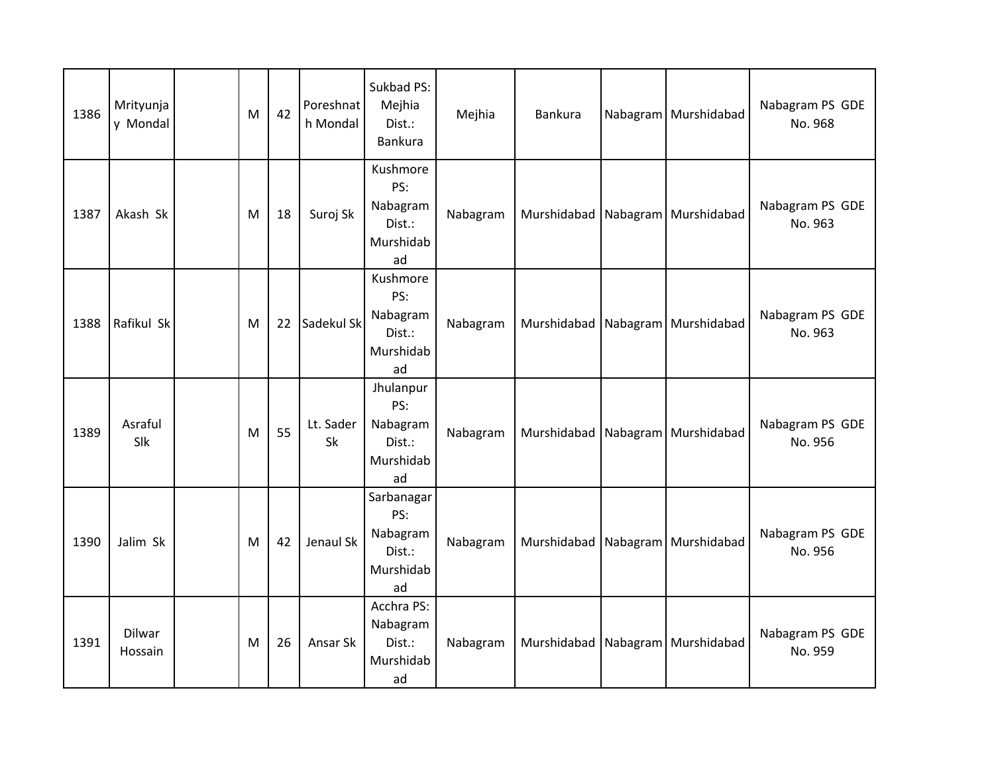| 1386 | Mrityunja<br>y Mondal | M | 42 | Poreshnat<br>h Mondal | Sukbad PS:<br>Mejhia<br>Dist.:<br>Bankura                  | Mejhia   | Bankura                              | Nabagram   Murshidabad               | Nabagram PS GDE<br>No. 968 |
|------|-----------------------|---|----|-----------------------|------------------------------------------------------------|----------|--------------------------------------|--------------------------------------|----------------------------|
| 1387 | Akash Sk              | M | 18 | Suroj Sk              | Kushmore<br>PS:<br>Nabagram<br>Dist.:<br>Murshidab<br>ad   | Nabagram |                                      | Murshidabad   Nabagram   Murshidabad | Nabagram PS GDE<br>No. 963 |
| 1388 | Rafikul Sk            | M | 22 | Sadekul Sk            | Kushmore<br>PS:<br>Nabagram<br>Dist.:<br>Murshidab<br>ad   | Nabagram |                                      | Murshidabad   Nabagram   Murshidabad | Nabagram PS GDE<br>No. 963 |
| 1389 | Asraful<br>Slk        | M | 55 | Lt. Sader<br>Sk       | Jhulanpur<br>PS:<br>Nabagram<br>Dist.:<br>Murshidab<br>ad  | Nabagram |                                      | Murshidabad   Nabagram   Murshidabad | Nabagram PS GDE<br>No. 956 |
| 1390 | Jalim Sk              | M | 42 | Jenaul Sk             | Sarbanagar<br>PS:<br>Nabagram<br>Dist.:<br>Murshidab<br>ad | Nabagram | Murshidabad Nabagram Murshidabad     |                                      | Nabagram PS GDE<br>No. 956 |
| 1391 | Dilwar<br>Hossain     | M | 26 | Ansar Sk              | Acchra PS:<br>Nabagram<br>Dist.:<br>Murshidab<br>ad        | Nabagram | Murshidabad   Nabagram   Murshidabad |                                      | Nabagram PS GDE<br>No. 959 |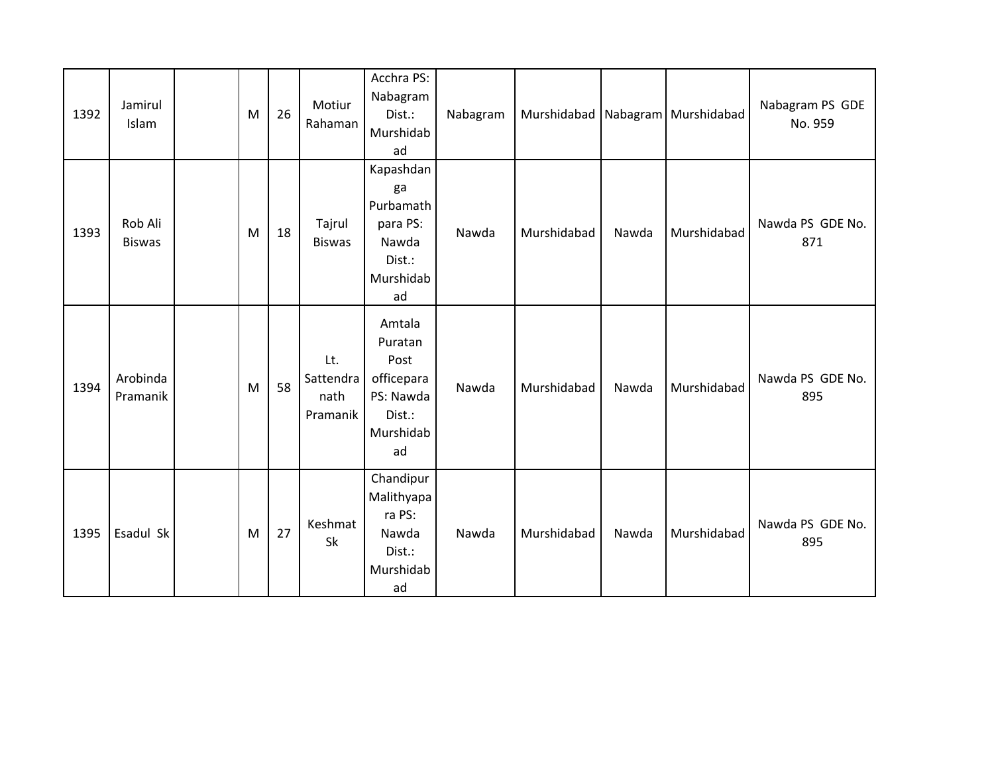| 1392 | Jamirul<br>Islam         | M | 26 | Motiur<br>Rahaman                    | Acchra PS:<br>Nabagram<br>Dist.:<br>Murshidab<br>ad                               | Nabagram |             |       | Murshidabad Nabagram Murshidabad | Nabagram PS GDE<br>No. 959 |
|------|--------------------------|---|----|--------------------------------------|-----------------------------------------------------------------------------------|----------|-------------|-------|----------------------------------|----------------------------|
| 1393 | Rob Ali<br><b>Biswas</b> | M | 18 | Tajrul<br><b>Biswas</b>              | Kapashdan<br>ga<br>Purbamath<br>para PS:<br>Nawda<br>Dist.:<br>Murshidab<br>ad    | Nawda    | Murshidabad | Nawda | Murshidabad                      | Nawda PS GDE No.<br>871    |
| 1394 | Arobinda<br>Pramanik     | M | 58 | Lt.<br>Sattendra<br>nath<br>Pramanik | Amtala<br>Puratan<br>Post<br>officepara<br>PS: Nawda<br>Dist.:<br>Murshidab<br>ad | Nawda    | Murshidabad | Nawda | Murshidabad                      | Nawda PS GDE No.<br>895    |
| 1395 | Esadul Sk                | M | 27 | Keshmat<br>Sk                        | Chandipur<br>Malithyapa<br>ra PS:<br>Nawda<br>Dist.:<br>Murshidab<br>ad           | Nawda    | Murshidabad | Nawda | Murshidabad                      | Nawda PS GDE No.<br>895    |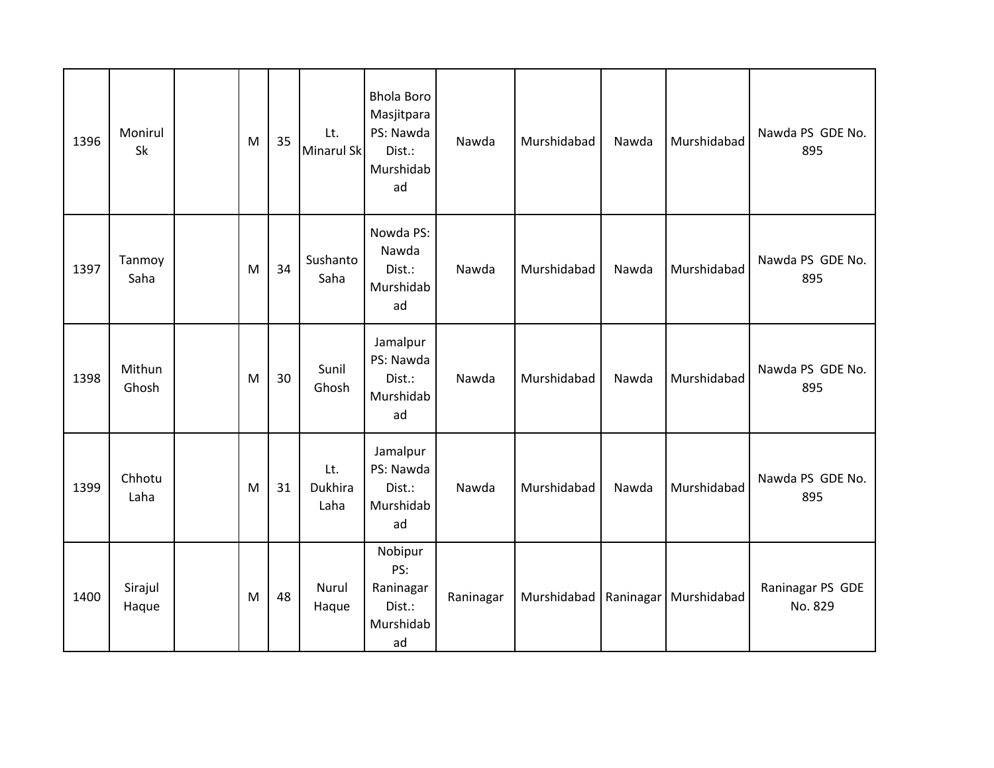| 1396 | Monirul<br>Sk    | M | 35 | Lt.<br>Minarul Sk      | <b>Bhola Boro</b><br>Masjitpara<br>PS: Nawda<br>Dist.:<br>Murshidab<br>ad | Nawda     | Murshidabad | Nawda | Murshidabad                           | Nawda PS GDE No.<br>895     |
|------|------------------|---|----|------------------------|---------------------------------------------------------------------------|-----------|-------------|-------|---------------------------------------|-----------------------------|
| 1397 | Tanmoy<br>Saha   | M | 34 | Sushanto<br>Saha       | Nowda PS:<br>Nawda<br>Dist.:<br>Murshidab<br>ad                           | Nawda     | Murshidabad | Nawda | Murshidabad                           | Nawda PS GDE No.<br>895     |
| 1398 | Mithun<br>Ghosh  | M | 30 | Sunil<br>Ghosh         | Jamalpur<br>PS: Nawda<br>Dist.:<br>Murshidab<br>ad                        | Nawda     | Murshidabad | Nawda | Murshidabad                           | Nawda PS GDE No.<br>895     |
| 1399 | Chhotu<br>Laha   | M | 31 | Lt.<br>Dukhira<br>Laha | Jamalpur<br>PS: Nawda<br>Dist.:<br>Murshidab<br>ad                        | Nawda     | Murshidabad | Nawda | Murshidabad                           | Nawda PS GDE No.<br>895     |
| 1400 | Sirajul<br>Haque | M | 48 | Nurul<br>Haque         | Nobipur<br>PS:<br>Raninagar<br>Dist.:<br>Murshidab<br>ad                  | Raninagar |             |       | Murshidabad   Raninagar   Murshidabad | Raninagar PS GDE<br>No. 829 |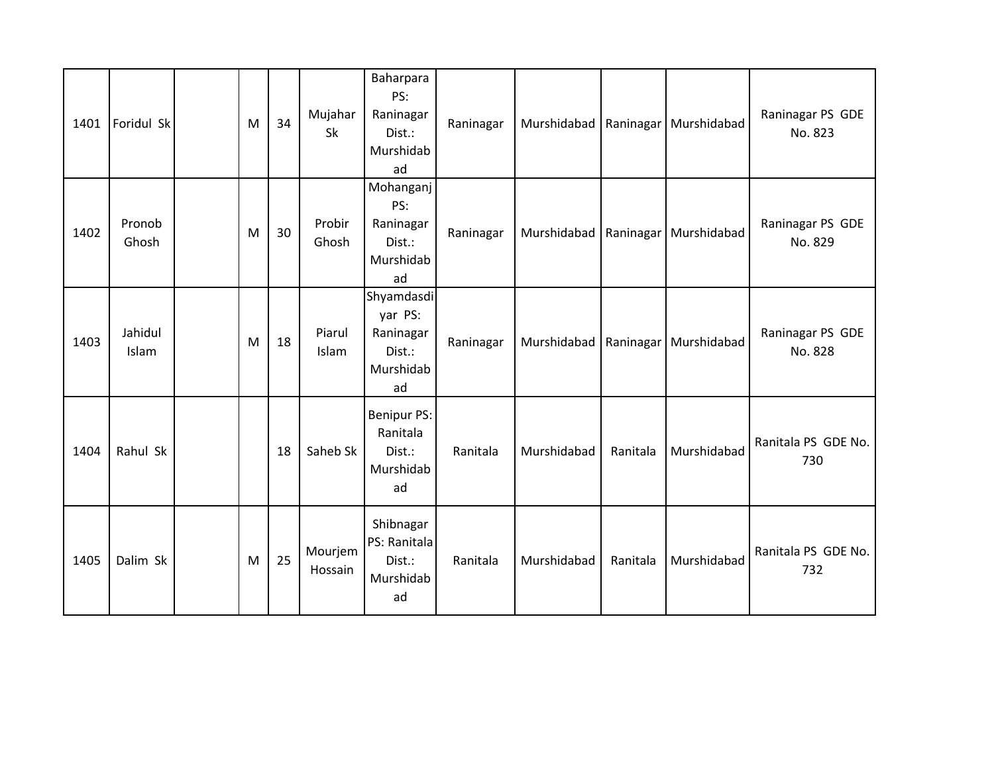| 1401 | Foridul Sk       | M | 34 | Mujahar<br>Sk      | Baharpara<br>PS:<br>Raninagar<br>Dist.:<br>Murshidab<br>ad      | Raninagar | Murshidabad   Raninagar |          | Murshidabad | Raninagar PS GDE<br>No. 823 |
|------|------------------|---|----|--------------------|-----------------------------------------------------------------|-----------|-------------------------|----------|-------------|-----------------------------|
| 1402 | Pronob<br>Ghosh  | M | 30 | Probir<br>Ghosh    | Mohanganj<br>PS:<br>Raninagar<br>Dist.:<br>Murshidab<br>ad      | Raninagar | Murshidabad Raninagar   |          | Murshidabad | Raninagar PS GDE<br>No. 829 |
| 1403 | Jahidul<br>Islam | M | 18 | Piarul<br>Islam    | Shyamdasdi<br>yar PS:<br>Raninagar<br>Dist.:<br>Murshidab<br>ad | Raninagar | Murshidabad   Raninagar |          | Murshidabad | Raninagar PS GDE<br>No. 828 |
| 1404 | Rahul Sk         |   | 18 | Saheb Sk           | <b>Benipur PS:</b><br>Ranitala<br>Dist.:<br>Murshidab<br>ad     | Ranitala  | Murshidabad             | Ranitala | Murshidabad | Ranitala PS GDE No.<br>730  |
| 1405 | Dalim Sk         | M | 25 | Mourjem<br>Hossain | Shibnagar<br>PS: Ranitala<br>Dist.:<br>Murshidab<br>ad          | Ranitala  | Murshidabad             | Ranitala | Murshidabad | Ranitala PS GDE No.<br>732  |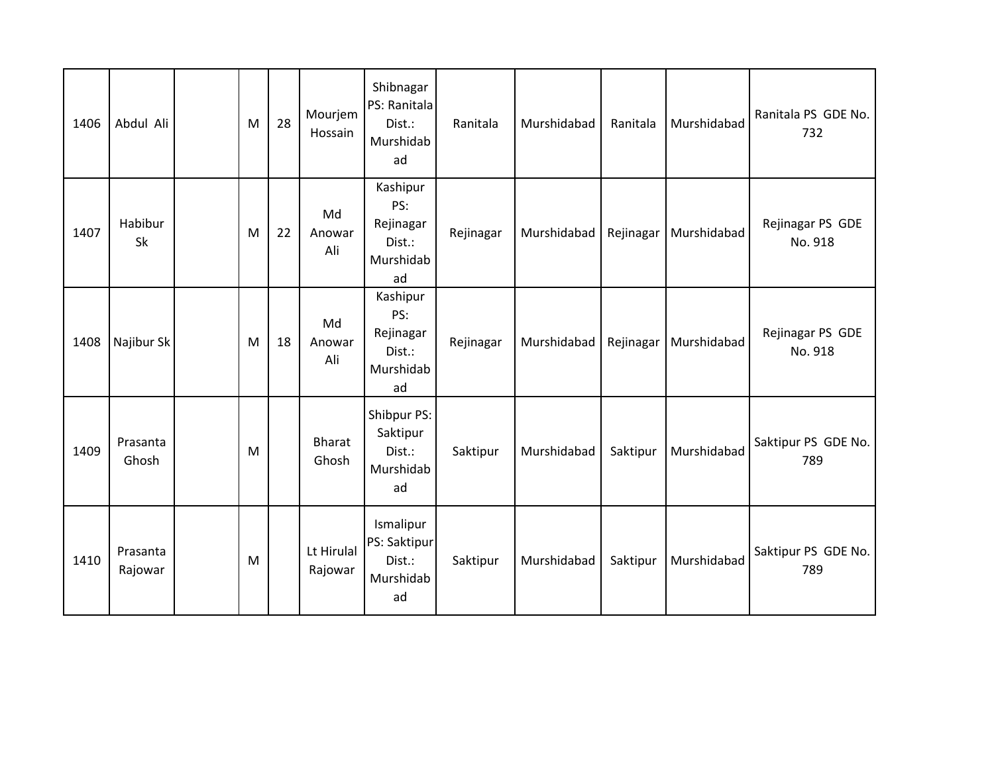| 1406 | Abdul Ali           | M | 28 | Mourjem<br>Hossain     | Shibnagar<br>PS: Ranitala<br>Dist.:<br>Murshidab<br>ad    | Ranitala  | Murshidabad | Ranitala  | Murshidabad | Ranitala PS GDE No.<br>732  |
|------|---------------------|---|----|------------------------|-----------------------------------------------------------|-----------|-------------|-----------|-------------|-----------------------------|
| 1407 | Habibur<br>Sk       | M | 22 | Md<br>Anowar<br>Ali    | Kashipur<br>PS:<br>Rejinagar<br>Dist.:<br>Murshidab<br>ad | Rejinagar | Murshidabad | Rejinagar | Murshidabad | Rejinagar PS GDE<br>No. 918 |
| 1408 | Najibur Sk          | M | 18 | Md<br>Anowar<br>Ali    | Kashipur<br>PS:<br>Rejinagar<br>Dist.:<br>Murshidab<br>ad | Rejinagar | Murshidabad | Rejinagar | Murshidabad | Rejinagar PS GDE<br>No. 918 |
| 1409 | Prasanta<br>Ghosh   | M |    | <b>Bharat</b><br>Ghosh | Shibpur PS:<br>Saktipur<br>Dist.:<br>Murshidab<br>ad      | Saktipur  | Murshidabad | Saktipur  | Murshidabad | Saktipur PS GDE No.<br>789  |
| 1410 | Prasanta<br>Rajowar | M |    | Lt Hirulal<br>Rajowar  | Ismalipur<br>PS: Saktipur<br>Dist.:<br>Murshidab<br>ad    | Saktipur  | Murshidabad | Saktipur  | Murshidabad | Saktipur PS GDE No.<br>789  |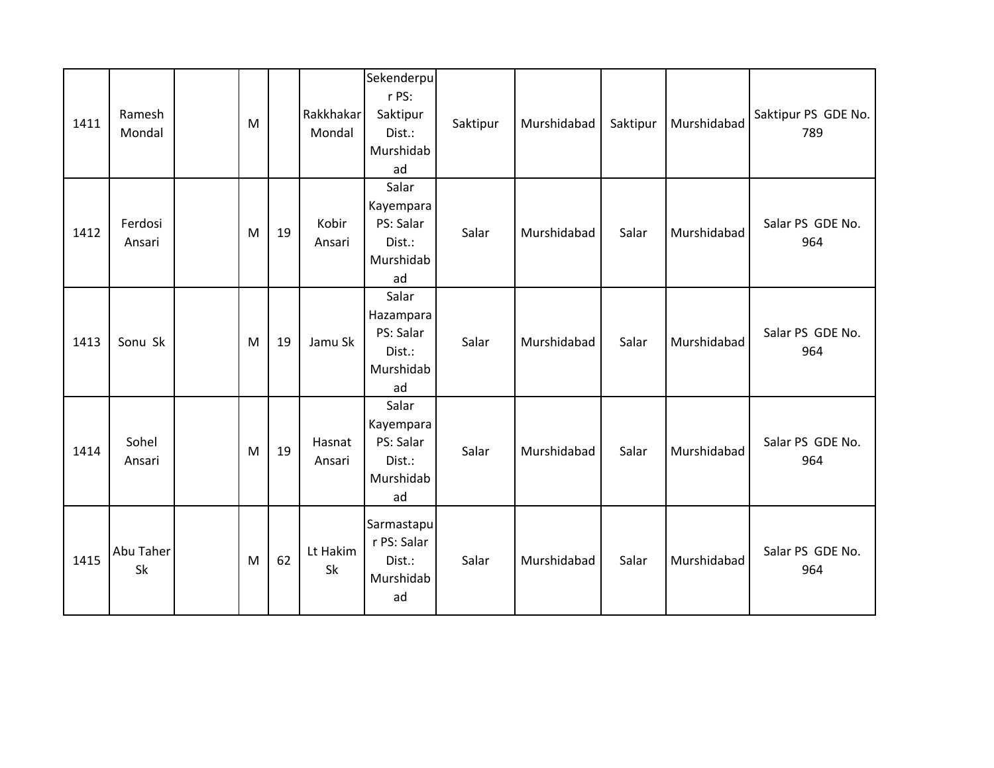| 1411 | Ramesh<br>Mondal  | M |    | Rakkhakar<br>Mondal | Sekenderpu<br>r PS:<br>Saktipur<br>Dist.:<br>Murshidab<br>ad | Saktipur | Murshidabad | Saktipur | Murshidabad | Saktipur PS GDE No.<br>789 |
|------|-------------------|---|----|---------------------|--------------------------------------------------------------|----------|-------------|----------|-------------|----------------------------|
| 1412 | Ferdosi<br>Ansari | M | 19 | Kobir<br>Ansari     | Salar<br>Kayempara<br>PS: Salar<br>Dist.:<br>Murshidab<br>ad | Salar    | Murshidabad | Salar    | Murshidabad | Salar PS GDE No.<br>964    |
| 1413 | Sonu Sk           | M | 19 | Jamu Sk             | Salar<br>Hazampara<br>PS: Salar<br>Dist.:<br>Murshidab<br>ad | Salar    | Murshidabad | Salar    | Murshidabad | Salar PS GDE No.<br>964    |
| 1414 | Sohel<br>Ansari   | M | 19 | Hasnat<br>Ansari    | Salar<br>Kayempara<br>PS: Salar<br>Dist.:<br>Murshidab<br>ad | Salar    | Murshidabad | Salar    | Murshidabad | Salar PS GDE No.<br>964    |
| 1415 | Abu Taher<br>Sk   | M | 62 | Lt Hakim<br>Sk      | Sarmastapu<br>r PS: Salar<br>Dist.:<br>Murshidab<br>ad       | Salar    | Murshidabad | Salar    | Murshidabad | Salar PS GDE No.<br>964    |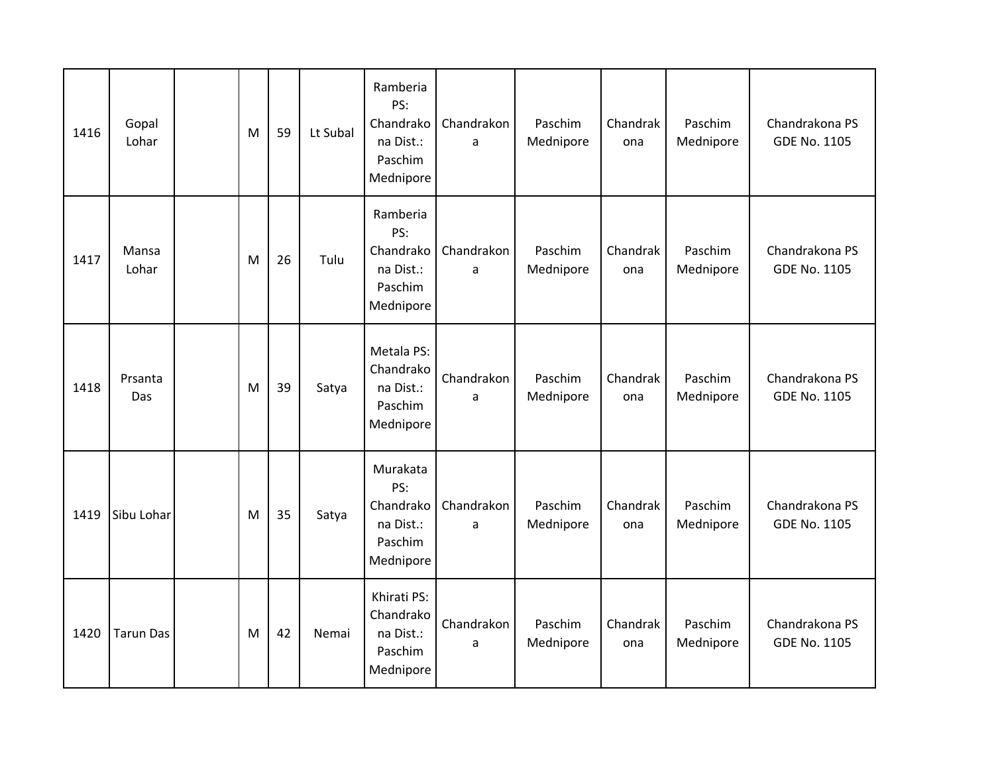| 1416 | Gopal<br>Lohar   | M | 59 | Lt Subal | Ramberia<br>PS:<br>Chandrako<br>na Dist.:<br>Paschim<br>Mednipore | Chandrakon<br>a | Paschim<br>Mednipore | Chandrak<br>ona | Paschim<br>Mednipore | Chandrakona PS<br><b>GDE No. 1105</b> |
|------|------------------|---|----|----------|-------------------------------------------------------------------|-----------------|----------------------|-----------------|----------------------|---------------------------------------|
| 1417 | Mansa<br>Lohar   | M | 26 | Tulu     | Ramberia<br>PS:<br>Chandrako<br>na Dist.:<br>Paschim<br>Mednipore | Chandrakon<br>a | Paschim<br>Mednipore | Chandrak<br>ona | Paschim<br>Mednipore | Chandrakona PS<br>GDE No. 1105        |
| 1418 | Prsanta<br>Das   | M | 39 | Satya    | Metala PS:<br>Chandrako<br>na Dist.:<br>Paschim<br>Mednipore      | Chandrakon<br>a | Paschim<br>Mednipore | Chandrak<br>ona | Paschim<br>Mednipore | Chandrakona PS<br><b>GDE No. 1105</b> |
| 1419 | Sibu Lohar       | M | 35 | Satya    | Murakata<br>PS:<br>Chandrako<br>na Dist.:<br>Paschim<br>Mednipore | Chandrakon<br>a | Paschim<br>Mednipore | Chandrak<br>ona | Paschim<br>Mednipore | Chandrakona PS<br><b>GDE No. 1105</b> |
| 1420 | <b>Tarun Das</b> | M | 42 | Nemai    | Khirati PS:<br>Chandrako<br>na Dist.:<br>Paschim<br>Mednipore     | Chandrakon<br>a | Paschim<br>Mednipore | Chandrak<br>ona | Paschim<br>Mednipore | Chandrakona PS<br><b>GDE No. 1105</b> |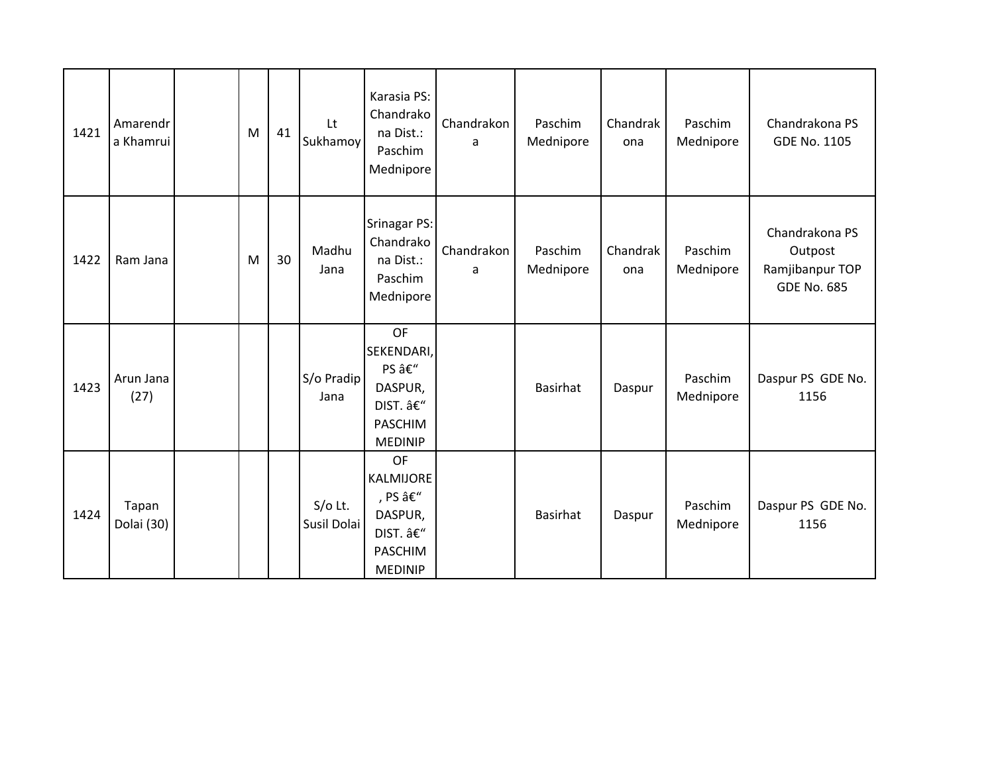| 1421 | Amarendr<br>a Khamrui | M | 41 | Lt<br>Sukhamoy           | Karasia PS:<br>Chandrako<br>na Dist.:<br>Paschim<br>Mednipore                              | Chandrakon<br>a | Paschim<br>Mednipore | Chandrak<br>ona | Paschim<br>Mednipore | Chandrakona PS<br><b>GDE No. 1105</b>                              |
|------|-----------------------|---|----|--------------------------|--------------------------------------------------------------------------------------------|-----------------|----------------------|-----------------|----------------------|--------------------------------------------------------------------|
| 1422 | Ram Jana              | M | 30 | Madhu<br>Jana            | <b>Srinagar PS:</b><br>Chandrako<br>na Dist.:<br>Paschim<br>Mednipore                      | Chandrakon<br>a | Paschim<br>Mednipore | Chandrak<br>ona | Paschim<br>Mednipore | Chandrakona PS<br>Outpost<br>Ramjibanpur TOP<br><b>GDE No. 685</b> |
| 1423 | Arun Jana<br>(27)     |   |    | S/o Pradip<br>Jana       | OF<br>SEKENDARI,<br>PS –<br>DASPUR,<br>DIST. –<br><b>PASCHIM</b><br><b>MEDINIP</b>         |                 | <b>Basirhat</b>      | Daspur          | Paschim<br>Mednipore | Daspur PS GDE No.<br>1156                                          |
| 1424 | Tapan<br>Dolai (30)   |   |    | $S/O$ Lt.<br>Susil Dolai | <b>OF</b><br>KALMIJORE<br>, PS –<br>DASPUR,<br>DIST. –<br><b>PASCHIM</b><br><b>MEDINIP</b> |                 | <b>Basirhat</b>      | Daspur          | Paschim<br>Mednipore | Daspur PS GDE No.<br>1156                                          |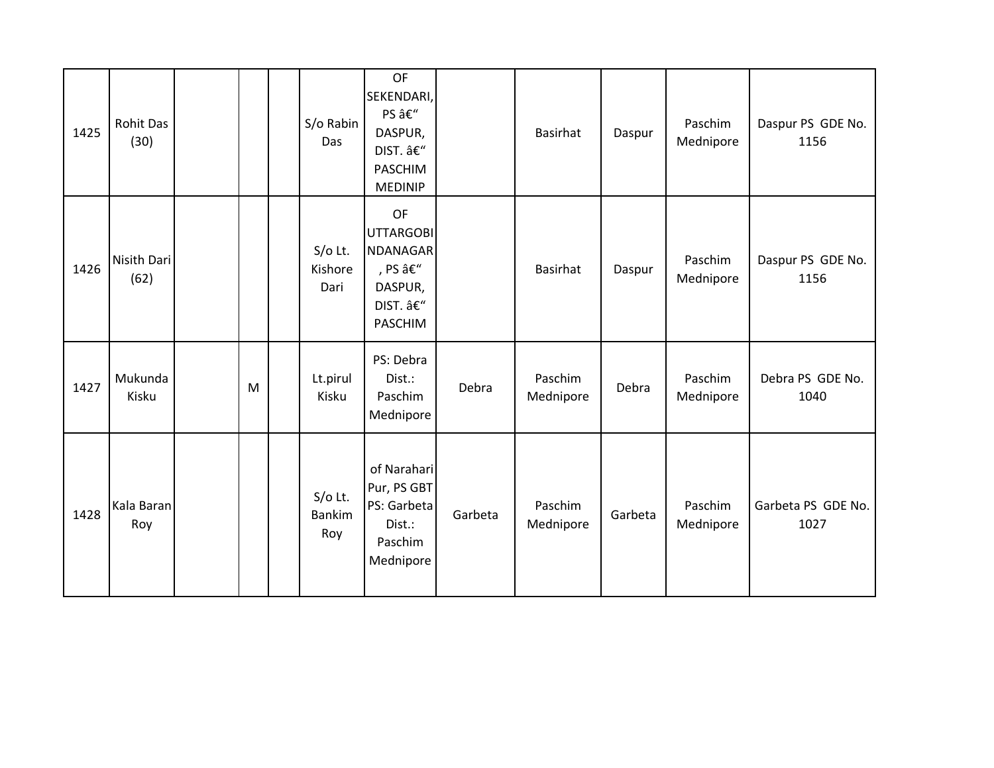| 1425 | <b>Rohit Das</b><br>(30) |   | S/o Rabin<br>Das                | OF<br>SEKENDARI,<br>PS –<br>DASPUR,<br>DIST. –<br><b>PASCHIM</b><br><b>MEDINIP</b>   |         | Basirhat             | Daspur  | Paschim<br>Mednipore | Daspur PS GDE No.<br>1156  |
|------|--------------------------|---|---------------------------------|--------------------------------------------------------------------------------------|---------|----------------------|---------|----------------------|----------------------------|
| 1426 | Nisith Dari<br>(62)      |   | $S/O$ Lt.<br>Kishore<br>Dari    | OF<br><b>UTTARGOBI</b><br><b>NDANAGAR</b><br>, PS –<br>DASPUR,<br>DIST. –<br>PASCHIM |         | Basirhat             | Daspur  | Paschim<br>Mednipore | Daspur PS GDE No.<br>1156  |
| 1427 | Mukunda<br>Kisku         | M | Lt.pirul<br>Kisku               | PS: Debra<br>Dist.:<br>Paschim<br>Mednipore                                          | Debra   | Paschim<br>Mednipore | Debra   | Paschim<br>Mednipore | Debra PS GDE No.<br>1040   |
| 1428 | Kala Baran<br>Roy        |   | S/o Lt.<br><b>Bankim</b><br>Roy | of Narahari<br>Pur, PS GBT<br>PS: Garbeta<br>Dist.:<br>Paschim<br>Mednipore          | Garbeta | Paschim<br>Mednipore | Garbeta | Paschim<br>Mednipore | Garbeta PS GDE No.<br>1027 |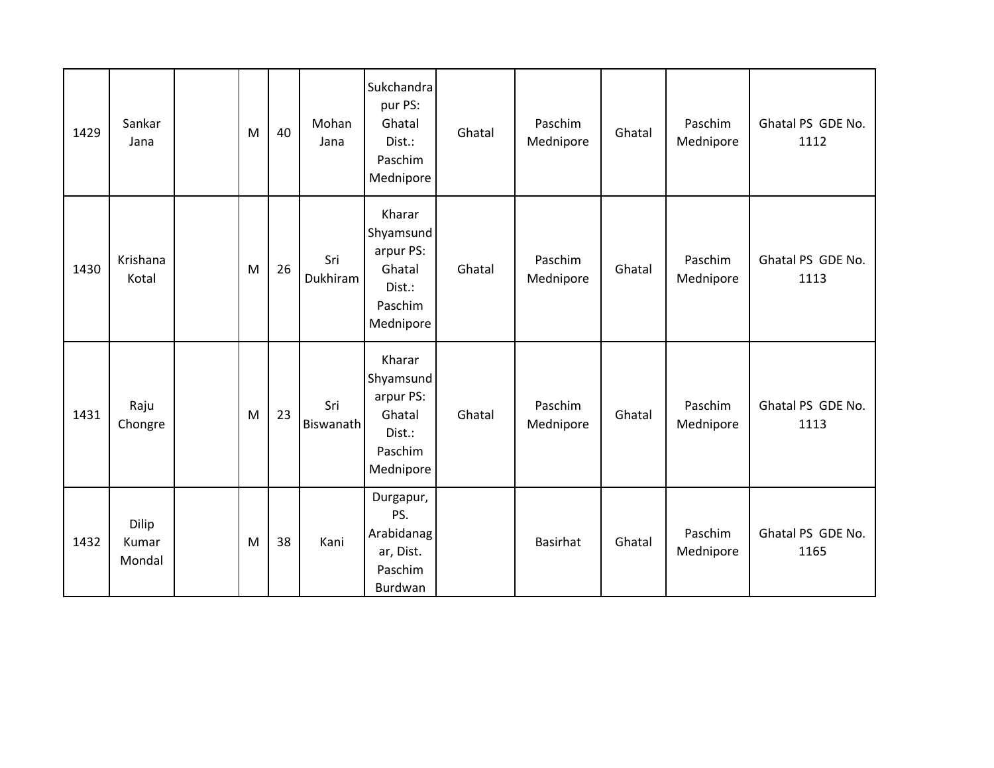| 1429 | Sankar<br>Jana           | M | 40 | Mohan<br>Jana    | Sukchandra<br>pur PS:<br>Ghatal<br>Dist.:<br>Paschim<br>Mednipore            | Ghatal | Paschim<br>Mednipore | Ghatal | Paschim<br>Mednipore | Ghatal PS GDE No.<br>1112 |
|------|--------------------------|---|----|------------------|------------------------------------------------------------------------------|--------|----------------------|--------|----------------------|---------------------------|
| 1430 | Krishana<br>Kotal        | M | 26 | Sri<br>Dukhiram  | Kharar<br>Shyamsund<br>arpur PS:<br>Ghatal<br>Dist.:<br>Paschim<br>Mednipore | Ghatal | Paschim<br>Mednipore | Ghatal | Paschim<br>Mednipore | Ghatal PS GDE No.<br>1113 |
| 1431 | Raju<br>Chongre          | M | 23 | Sri<br>Biswanath | Kharar<br>Shyamsund<br>arpur PS:<br>Ghatal<br>Dist.:<br>Paschim<br>Mednipore | Ghatal | Paschim<br>Mednipore | Ghatal | Paschim<br>Mednipore | Ghatal PS GDE No.<br>1113 |
| 1432 | Dilip<br>Kumar<br>Mondal | M | 38 | Kani             | Durgapur,<br>PS.<br>Arabidanag<br>ar, Dist.<br>Paschim<br>Burdwan            |        | <b>Basirhat</b>      | Ghatal | Paschim<br>Mednipore | Ghatal PS GDE No.<br>1165 |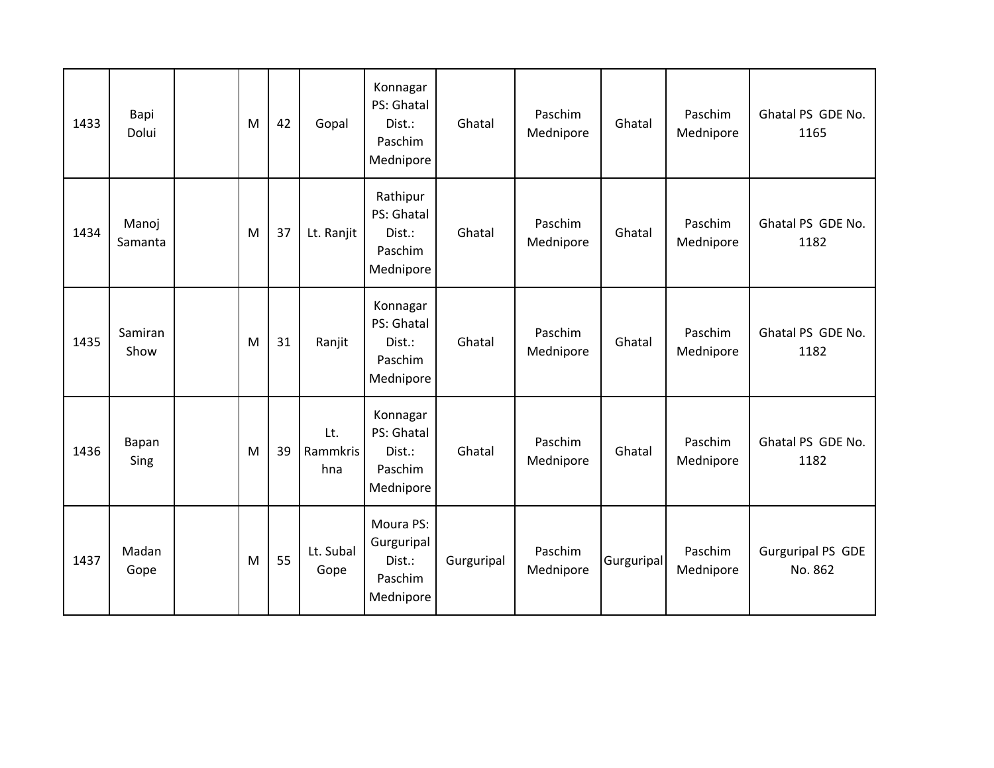| 1433 | Bapi<br>Dolui    | M | 42 | Gopal                  | Konnagar<br>PS: Ghatal<br>Dist.:<br>Paschim<br>Mednipore  | Ghatal     | Paschim<br>Mednipore | Ghatal     | Paschim<br>Mednipore | Ghatal PS GDE No.<br>1165           |
|------|------------------|---|----|------------------------|-----------------------------------------------------------|------------|----------------------|------------|----------------------|-------------------------------------|
| 1434 | Manoj<br>Samanta | M | 37 | Lt. Ranjit             | Rathipur<br>PS: Ghatal<br>Dist.:<br>Paschim<br>Mednipore  | Ghatal     | Paschim<br>Mednipore | Ghatal     | Paschim<br>Mednipore | Ghatal PS GDE No.<br>1182           |
| 1435 | Samiran<br>Show  | M | 31 | Ranjit                 | Konnagar<br>PS: Ghatal<br>Dist.:<br>Paschim<br>Mednipore  | Ghatal     | Paschim<br>Mednipore | Ghatal     | Paschim<br>Mednipore | Ghatal PS GDE No.<br>1182           |
| 1436 | Bapan<br>Sing    | M | 39 | Lt.<br>Rammkris<br>hna | Konnagar<br>PS: Ghatal<br>Dist.:<br>Paschim<br>Mednipore  | Ghatal     | Paschim<br>Mednipore | Ghatal     | Paschim<br>Mednipore | Ghatal PS GDE No.<br>1182           |
| 1437 | Madan<br>Gope    | M | 55 | Lt. Subal<br>Gope      | Moura PS:<br>Gurguripal<br>Dist.:<br>Paschim<br>Mednipore | Gurguripal | Paschim<br>Mednipore | Gurguripal | Paschim<br>Mednipore | <b>Gurguripal PS GDE</b><br>No. 862 |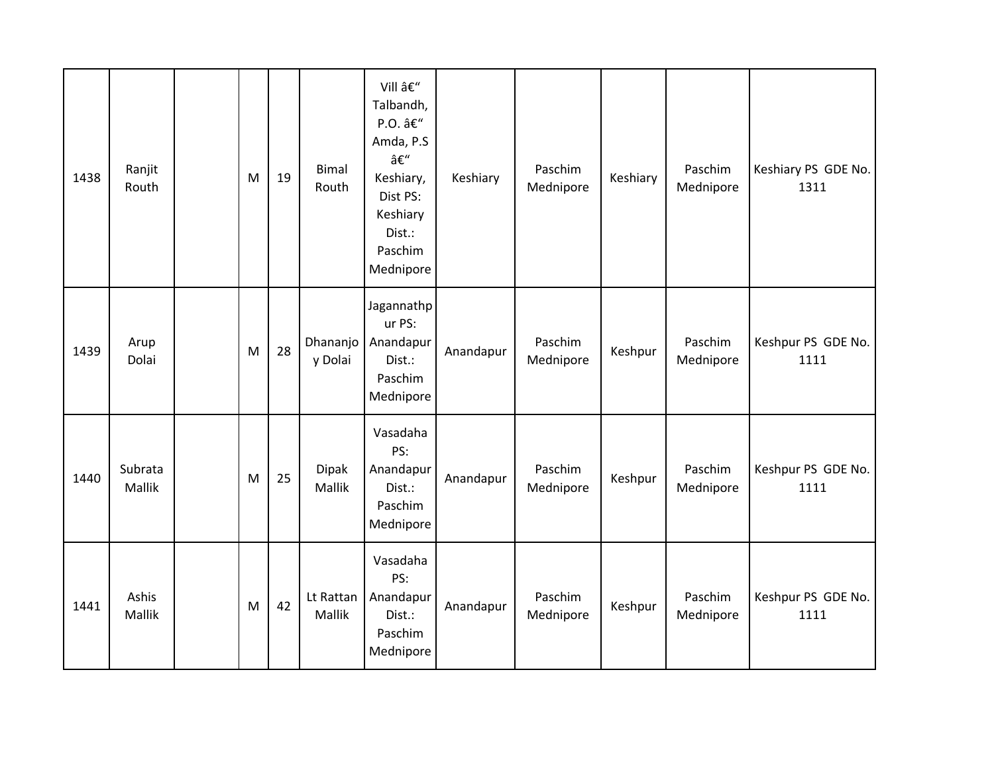| 1438 | Ranjit<br>Routh          | M | 19 | <b>Bimal</b><br>Routh  | Vill –<br>Talbandh,<br>P.O. –<br>Amda, P.S<br>–<br>Keshiary,<br>Dist PS:<br>Keshiary<br>Dist.:<br>Paschim<br>Mednipore | Keshiary  | Paschim<br>Mednipore | Keshiary | Paschim<br>Mednipore | Keshiary PS GDE No.<br>1311 |
|------|--------------------------|---|----|------------------------|------------------------------------------------------------------------------------------------------------------------|-----------|----------------------|----------|----------------------|-----------------------------|
| 1439 | Arup<br>Dolai            | M | 28 | Dhananjo<br>y Dolai    | Jagannathp<br>ur PS:<br>Anandapur<br>Dist.:<br>Paschim<br>Mednipore                                                    | Anandapur | Paschim<br>Mednipore | Keshpur  | Paschim<br>Mednipore | Keshpur PS GDE No.<br>1111  |
| 1440 | Subrata<br><b>Mallik</b> | M | 25 | <b>Dipak</b><br>Mallik | Vasadaha<br>PS:<br>Anandapur<br>Dist.:<br>Paschim<br>Mednipore                                                         | Anandapur | Paschim<br>Mednipore | Keshpur  | Paschim<br>Mednipore | Keshpur PS GDE No.<br>1111  |
| 1441 | Ashis<br>Mallik          | M | 42 | Lt Rattan<br>Mallik    | Vasadaha<br>PS:<br>Anandapur<br>Dist.:<br>Paschim<br>Mednipore                                                         | Anandapur | Paschim<br>Mednipore | Keshpur  | Paschim<br>Mednipore | Keshpur PS GDE No.<br>1111  |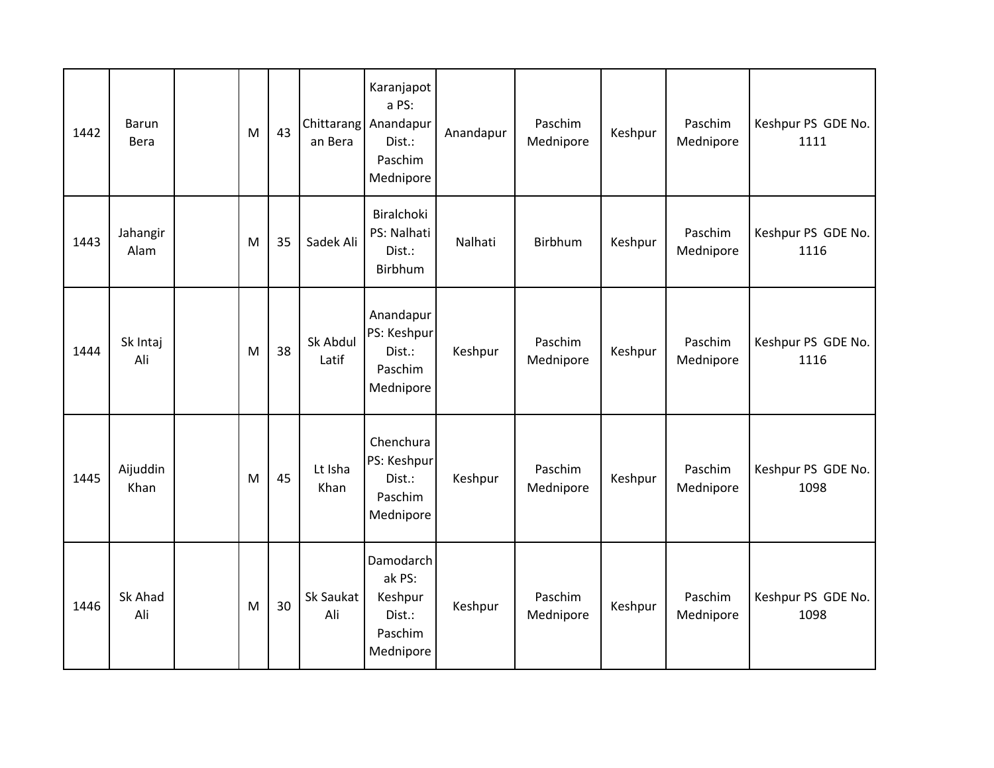| 1442 | <b>Barun</b><br>Bera | M | 43 | an Bera           | Karanjapot<br>a PS:<br>Chittarang Anandapur<br>Dist.:<br>Paschim<br>Mednipore | Anandapur | Paschim<br>Mednipore | Keshpur | Paschim<br>Mednipore | Keshpur PS GDE No.<br>1111 |
|------|----------------------|---|----|-------------------|-------------------------------------------------------------------------------|-----------|----------------------|---------|----------------------|----------------------------|
| 1443 | Jahangir<br>Alam     | M | 35 | Sadek Ali         | Biralchoki<br>PS: Nalhati<br>Dist.:<br>Birbhum                                | Nalhati   | <b>Birbhum</b>       | Keshpur | Paschim<br>Mednipore | Keshpur PS GDE No.<br>1116 |
| 1444 | Sk Intaj<br>Ali      | M | 38 | Sk Abdul<br>Latif | Anandapur<br>PS: Keshpur<br>Dist.:<br>Paschim<br>Mednipore                    | Keshpur   | Paschim<br>Mednipore | Keshpur | Paschim<br>Mednipore | Keshpur PS GDE No.<br>1116 |
| 1445 | Aijuddin<br>Khan     | M | 45 | Lt Isha<br>Khan   | Chenchura<br>PS: Keshpur<br>Dist.:<br>Paschim<br>Mednipore                    | Keshpur   | Paschim<br>Mednipore | Keshpur | Paschim<br>Mednipore | Keshpur PS GDE No.<br>1098 |
| 1446 | Sk Ahad<br>Ali       | M | 30 | Sk Saukat<br>Ali  | Damodarch<br>ak PS:<br>Keshpur<br>Dist.:<br>Paschim<br>Mednipore              | Keshpur   | Paschim<br>Mednipore | Keshpur | Paschim<br>Mednipore | Keshpur PS GDE No.<br>1098 |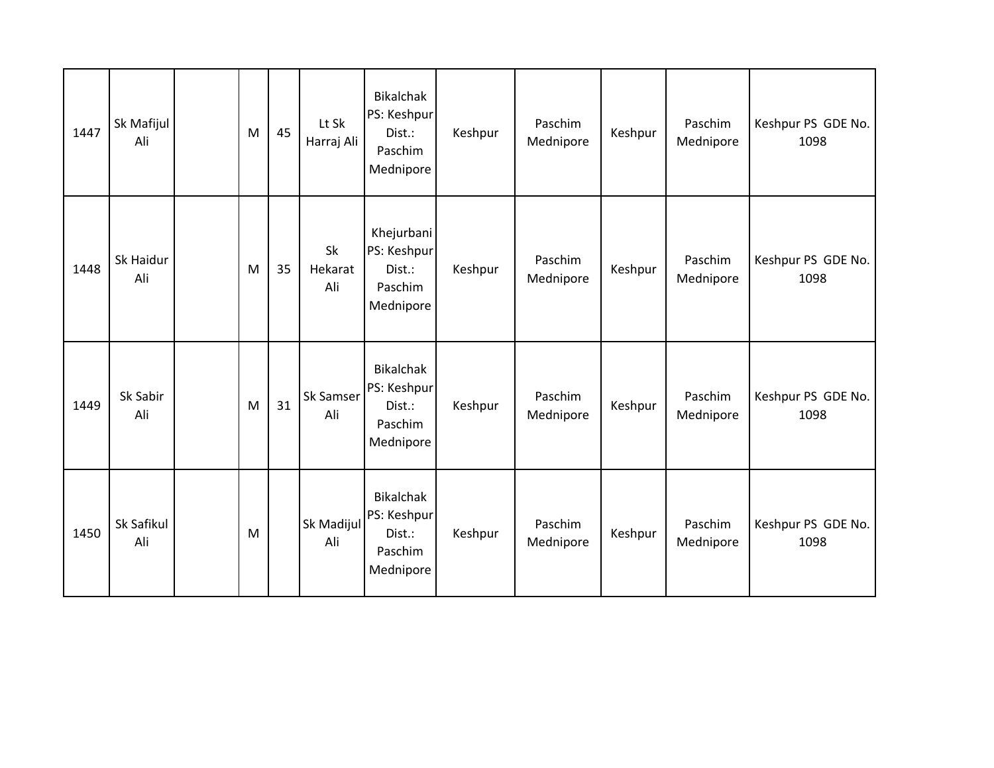| 1447 | Sk Mafijul<br>Ali | M | 45 | Lt Sk<br>Harraj Ali  | <b>Bikalchak</b><br>PS: Keshpur<br>Dist.:<br>Paschim<br>Mednipore | Keshpur | Paschim<br>Mednipore | Keshpur | Paschim<br>Mednipore | Keshpur PS GDE No.<br>1098 |
|------|-------------------|---|----|----------------------|-------------------------------------------------------------------|---------|----------------------|---------|----------------------|----------------------------|
| 1448 | Sk Haidur<br>Ali  | M | 35 | Sk<br>Hekarat<br>Ali | Khejurbani<br>PS: Keshpur<br>Dist.:<br>Paschim<br>Mednipore       | Keshpur | Paschim<br>Mednipore | Keshpur | Paschim<br>Mednipore | Keshpur PS GDE No.<br>1098 |
| 1449 | Sk Sabir<br>Ali   | M | 31 | Sk Samser<br>Ali     | <b>Bikalchak</b><br>PS: Keshpur<br>Dist.:<br>Paschim<br>Mednipore | Keshpur | Paschim<br>Mednipore | Keshpur | Paschim<br>Mednipore | Keshpur PS GDE No.<br>1098 |
| 1450 | Sk Safikul<br>Ali | M |    | Sk Madijul<br>Ali    | <b>Bikalchak</b><br>PS: Keshpur<br>Dist.:<br>Paschim<br>Mednipore | Keshpur | Paschim<br>Mednipore | Keshpur | Paschim<br>Mednipore | Keshpur PS GDE No.<br>1098 |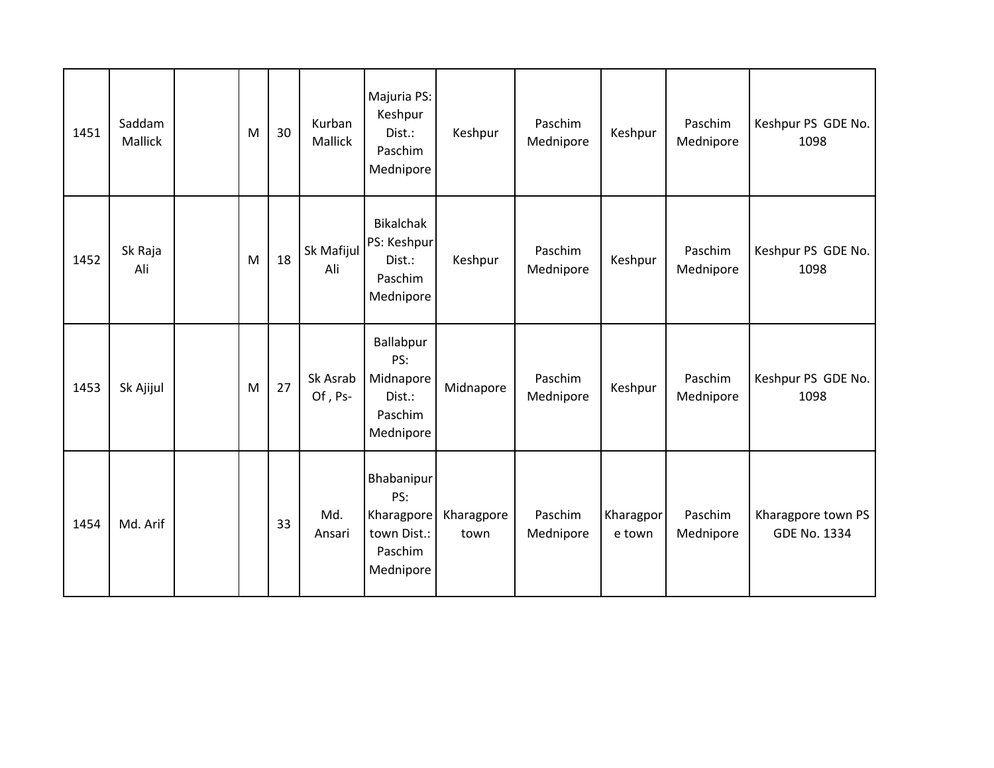| 1451 | Saddam<br>Mallick | M | 30 | Kurban<br>Mallick   | Majuria PS:<br>Keshpur<br>Dist.:<br>Paschim<br>Mednipore               | Keshpur            | Paschim<br>Mednipore | Keshpur             | Paschim<br>Mednipore | Keshpur PS GDE No.<br>1098                |
|------|-------------------|---|----|---------------------|------------------------------------------------------------------------|--------------------|----------------------|---------------------|----------------------|-------------------------------------------|
| 1452 | Sk Raja<br>Ali    | M | 18 | Sk Mafijul<br>Ali   | <b>Bikalchak</b><br>PS: Keshpur<br>Dist.:<br>Paschim<br>Mednipore      | Keshpur            | Paschim<br>Mednipore | Keshpur             | Paschim<br>Mednipore | Keshpur PS GDE No.<br>1098                |
| 1453 | Sk Ajijul         | M | 27 | Sk Asrab<br>Of, Ps- | Ballabpur<br>PS:<br>Midnapore<br>Dist.:<br>Paschim<br>Mednipore        | Midnapore          | Paschim<br>Mednipore | Keshpur             | Paschim<br>Mednipore | Keshpur PS GDE No.<br>1098                |
| 1454 | Md. Arif          |   | 33 | Md.<br>Ansari       | Bhabanipur<br>PS:<br>Kharagpore<br>town Dist.:<br>Paschim<br>Mednipore | Kharagpore<br>town | Paschim<br>Mednipore | Kharagpor<br>e town | Paschim<br>Mednipore | Kharagpore town PS<br><b>GDE No. 1334</b> |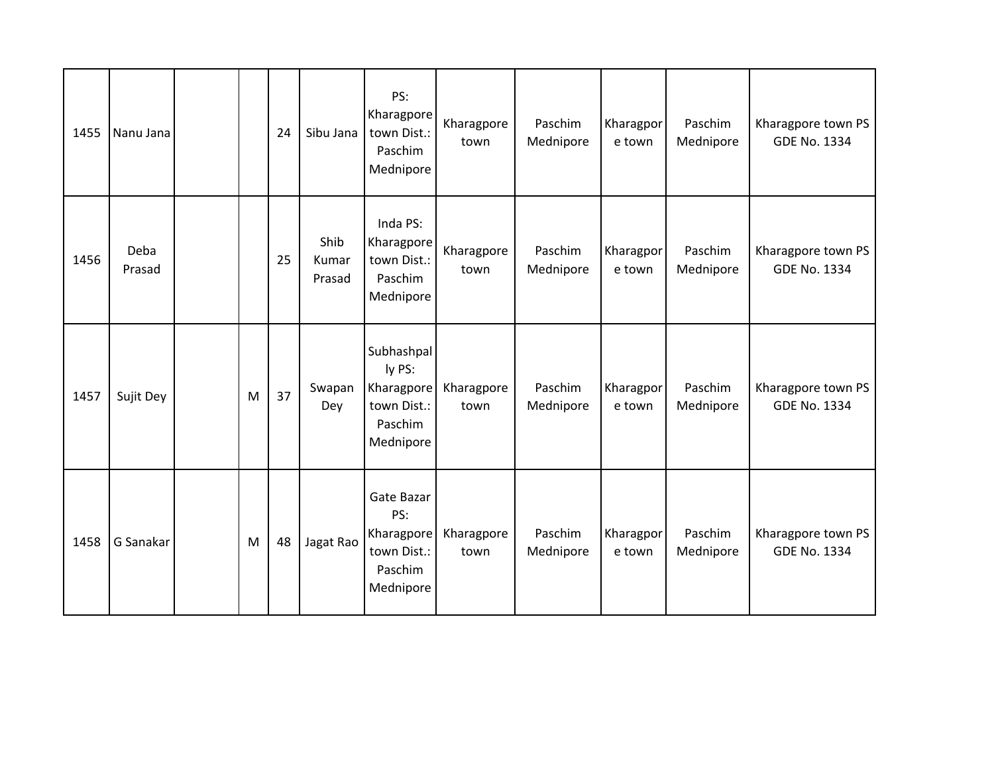| 1455 | Nanu Jana      |   | 24 | Sibu Jana               | PS:<br>Kharagpore<br>town Dist.:<br>Paschim<br>Mednipore                  | Kharagpore<br>town | Paschim<br>Mednipore | Kharagpor<br>e town | Paschim<br>Mednipore | Kharagpore town PS<br><b>GDE No. 1334</b> |
|------|----------------|---|----|-------------------------|---------------------------------------------------------------------------|--------------------|----------------------|---------------------|----------------------|-------------------------------------------|
| 1456 | Deba<br>Prasad |   | 25 | Shib<br>Kumar<br>Prasad | Inda PS:<br>Kharagpore<br>town Dist.:<br>Paschim<br>Mednipore             | Kharagpore<br>town | Paschim<br>Mednipore | Kharagpor<br>e town | Paschim<br>Mednipore | Kharagpore town PS<br><b>GDE No. 1334</b> |
| 1457 | Sujit Dey      | M | 37 | Swapan<br>Dey           | Subhashpal<br>ly PS:<br>Kharagpore<br>town Dist.:<br>Paschim<br>Mednipore | Kharagpore<br>town | Paschim<br>Mednipore | Kharagpor<br>e town | Paschim<br>Mednipore | Kharagpore town PS<br><b>GDE No. 1334</b> |
| 1458 | G Sanakar      | M | 48 | Jagat Rao               | Gate Bazar<br>PS:<br>Kharagpore<br>town Dist.:<br>Paschim<br>Mednipore    | Kharagpore<br>town | Paschim<br>Mednipore | Kharagpor<br>e town | Paschim<br>Mednipore | Kharagpore town PS<br><b>GDE No. 1334</b> |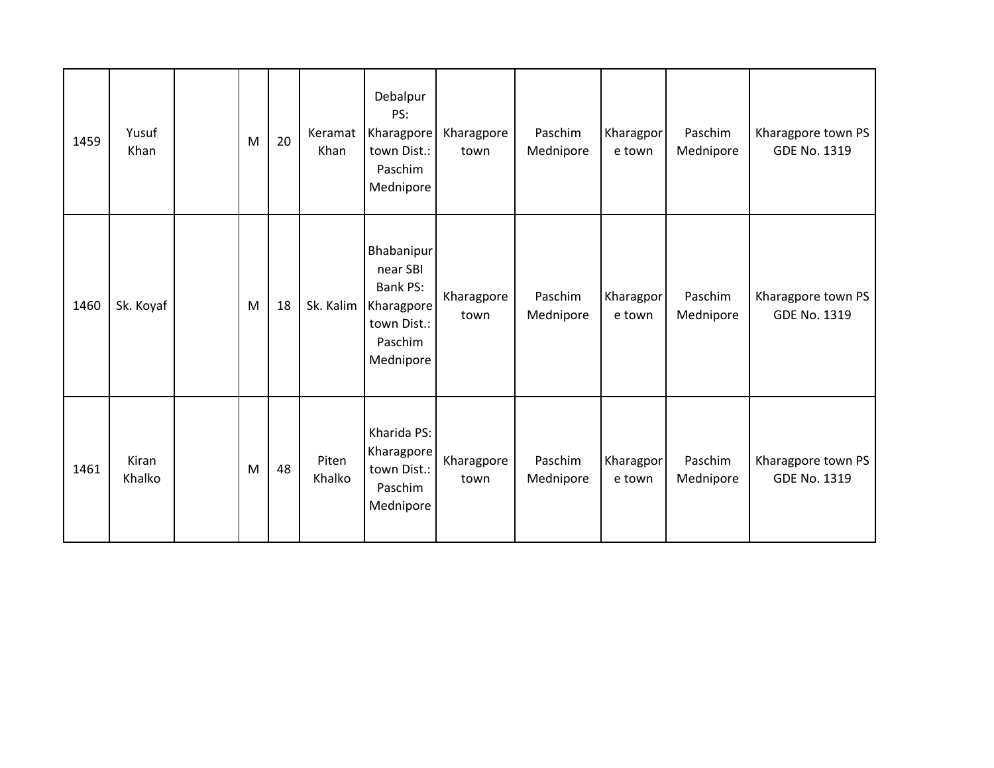| 1459 | Yusuf<br>Khan   | M | 20 | Keramat<br>Khan | Debalpur<br>PS:<br>Kharagpore<br>town Dist.:<br>Paschim<br>Mednipore                           | Kharagpore<br>town | Paschim<br>Mednipore | Kharagpor<br>e town | Paschim<br>Mednipore | Kharagpore town PS<br>GDE No. 1319        |
|------|-----------------|---|----|-----------------|------------------------------------------------------------------------------------------------|--------------------|----------------------|---------------------|----------------------|-------------------------------------------|
| 1460 | Sk. Koyaf       | M | 18 | Sk. Kalim       | Bhabanipur<br>near SBI<br><b>Bank PS:</b><br>Kharagpore<br>town Dist.:<br>Paschim<br>Mednipore | Kharagpore<br>town | Paschim<br>Mednipore | Kharagpor<br>e town | Paschim<br>Mednipore | Kharagpore town PS<br><b>GDE No. 1319</b> |
| 1461 | Kiran<br>Khalko | M | 48 | Piten<br>Khalko | Kharida PS:<br>Kharagpore<br>town Dist.:<br>Paschim<br>Mednipore                               | Kharagpore<br>town | Paschim<br>Mednipore | Kharagpor<br>e town | Paschim<br>Mednipore | Kharagpore town PS<br><b>GDE No. 1319</b> |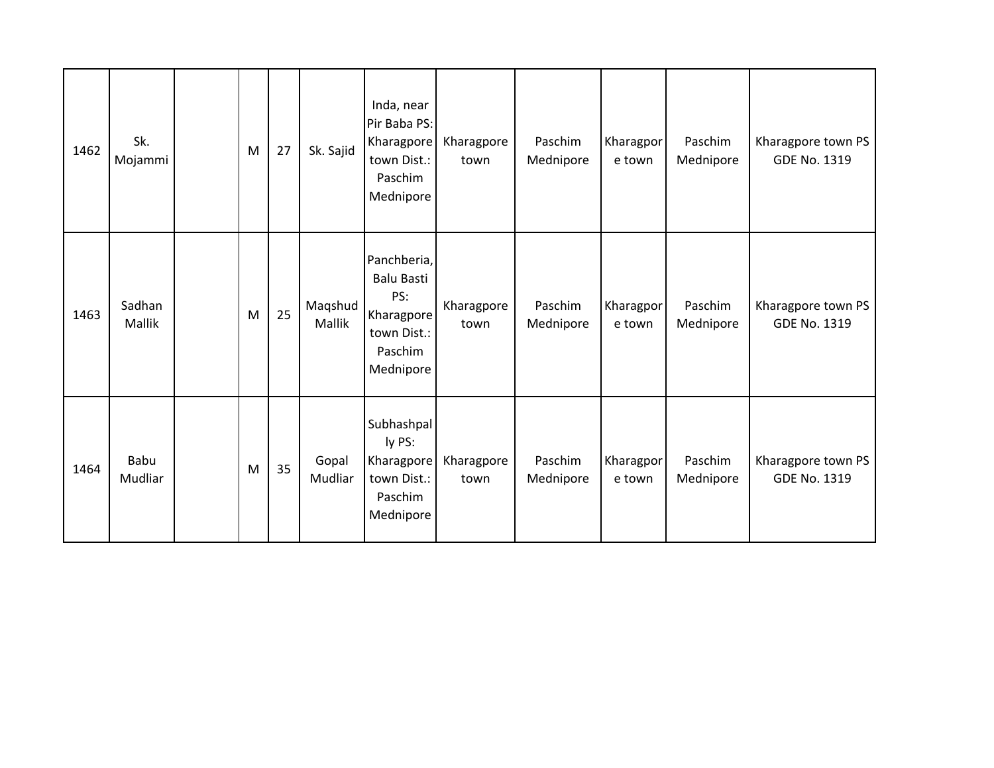| 1462 | Sk.<br>Mojammi   | M | 27 | Sk. Sajid         | Inda, near<br>Pir Baba PS:<br>Kharagpore<br>town Dist.:<br>Paschim<br>Mednipore              | Kharagpore<br>town | Paschim<br>Mednipore | Kharagpor<br>e town | Paschim<br>Mednipore | Kharagpore town PS<br>GDE No. 1319        |
|------|------------------|---|----|-------------------|----------------------------------------------------------------------------------------------|--------------------|----------------------|---------------------|----------------------|-------------------------------------------|
| 1463 | Sadhan<br>Mallik | M | 25 | Maqshud<br>Mallik | Panchberia,<br><b>Balu Basti</b><br>PS:<br>Kharagpore<br>town Dist.:<br>Paschim<br>Mednipore | Kharagpore<br>town | Paschim<br>Mednipore | Kharagpor<br>e town | Paschim<br>Mednipore | Kharagpore town PS<br>GDE No. 1319        |
| 1464 | Babu<br>Mudliar  | M | 35 | Gopal<br>Mudliar  | Subhashpal<br>ly PS:<br>Kharagpore<br>town Dist.:<br>Paschim<br>Mednipore                    | Kharagpore<br>town | Paschim<br>Mednipore | Kharagpor<br>e town | Paschim<br>Mednipore | Kharagpore town PS<br><b>GDE No. 1319</b> |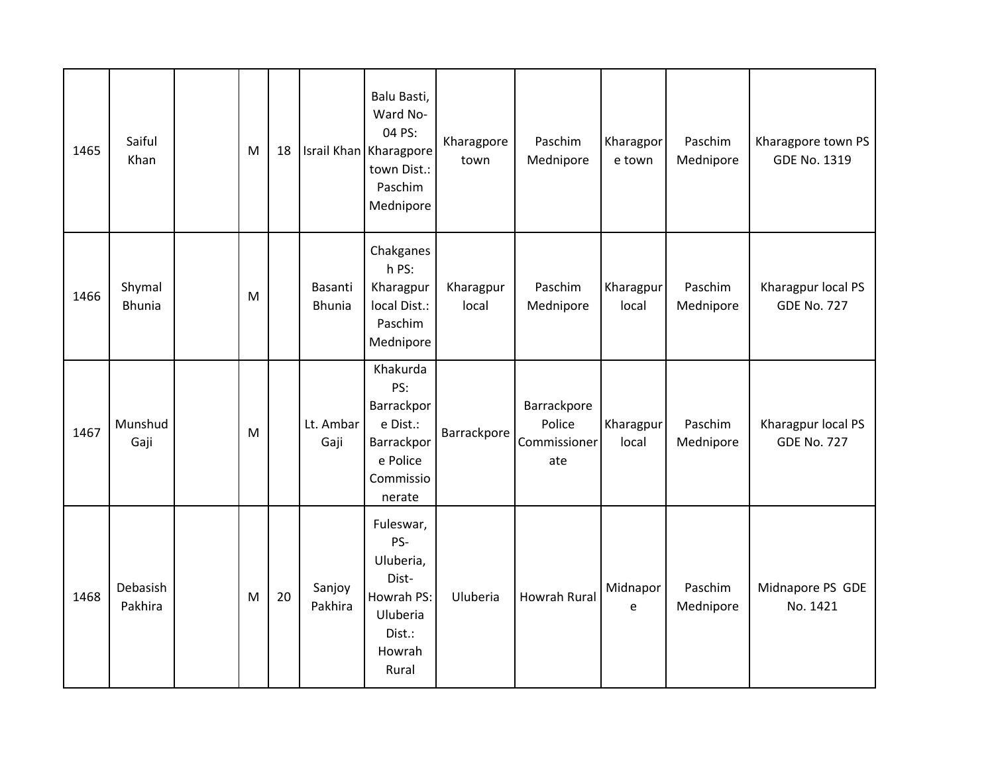| 1465 | Saiful<br>Khan          | M | 18 |                          | Balu Basti,<br>Ward No-<br>04 PS:<br>Israil Khan Kharagpore<br>town Dist.:<br>Paschim<br>Mednipore | Kharagpore<br>town | Paschim<br>Mednipore                         | Kharagpor<br>e town | Paschim<br>Mednipore | Kharagpore town PS<br><b>GDE No. 1319</b> |
|------|-------------------------|---|----|--------------------------|----------------------------------------------------------------------------------------------------|--------------------|----------------------------------------------|---------------------|----------------------|-------------------------------------------|
| 1466 | Shymal<br><b>Bhunia</b> | M |    | Basanti<br><b>Bhunia</b> | Chakganes<br>h PS:<br>Kharagpur<br>local Dist.:<br>Paschim<br>Mednipore                            | Kharagpur<br>local | Paschim<br>Mednipore                         | Kharagpur<br>local  | Paschim<br>Mednipore | Kharagpur local PS<br><b>GDE No. 727</b>  |
| 1467 | Munshud<br>Gaji         | M |    | Lt. Ambar<br>Gaji        | Khakurda<br>PS:<br>Barrackpor<br>e Dist.:<br>Barrackpor<br>e Police<br>Commissio<br>nerate         | Barrackpore        | Barrackpore<br>Police<br>Commissioner<br>ate | Kharagpur<br>local  | Paschim<br>Mednipore | Kharagpur local PS<br><b>GDE No. 727</b>  |
| 1468 | Debasish<br>Pakhira     | M | 20 | Sanjoy<br>Pakhira        | Fuleswar,<br>PS-<br>Uluberia,<br>Dist-<br>Howrah PS:<br>Uluberia<br>Dist.:<br>Howrah<br>Rural      | Uluberia           | <b>Howrah Rural</b>                          | Midnapor<br>e       | Paschim<br>Mednipore | Midnapore PS GDE<br>No. 1421              |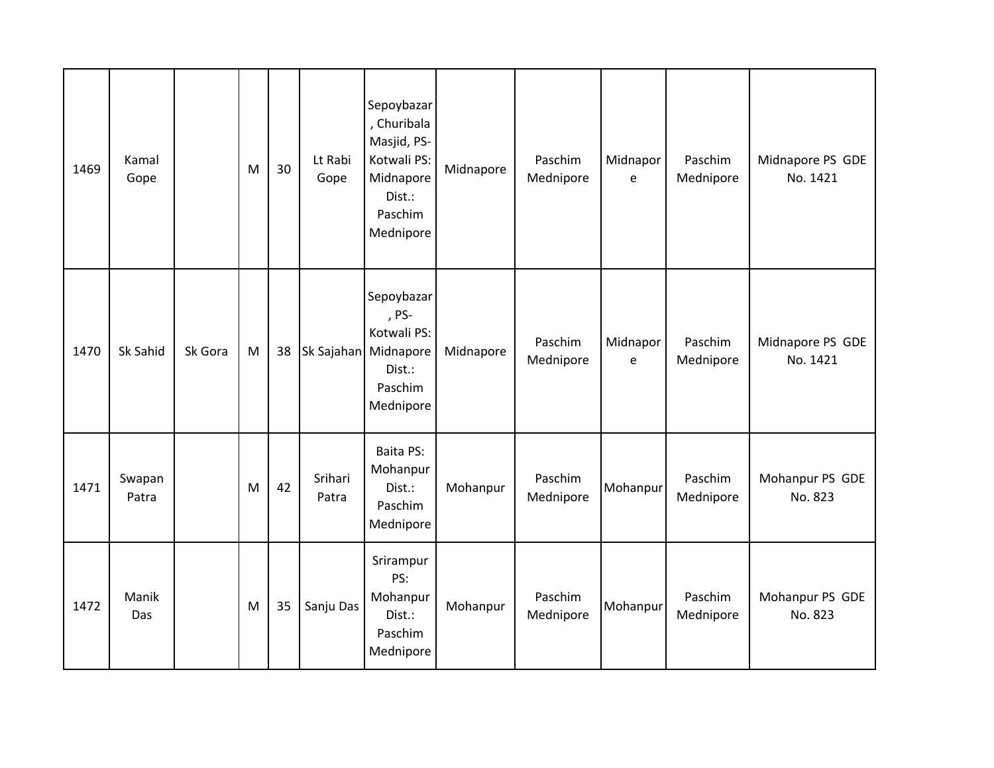| 1469 | Kamal<br>Gope   |         | M | 30 | Lt Rabi<br>Gope  | Sepoybazar<br>, Churibala<br>Masjid, PS-<br>Kotwali PS:<br>Midnapore<br>Dist.:<br>Paschim<br>Mednipore | Midnapore | Paschim<br>Mednipore | Midnapor<br>e | Paschim<br>Mednipore | Midnapore PS GDE<br>No. 1421 |
|------|-----------------|---------|---|----|------------------|--------------------------------------------------------------------------------------------------------|-----------|----------------------|---------------|----------------------|------------------------------|
| 1470 | Sk Sahid        | Sk Gora | M | 38 |                  | Sepoybazar<br>, PS-<br>Kotwali PS:<br>Sk Sajahan Midnapore<br>Dist.:<br>Paschim<br>Mednipore           | Midnapore | Paschim<br>Mednipore | Midnapor<br>e | Paschim<br>Mednipore | Midnapore PS GDE<br>No. 1421 |
| 1471 | Swapan<br>Patra |         | M | 42 | Srihari<br>Patra | Baita PS:<br>Mohanpur<br>Dist.:<br>Paschim<br>Mednipore                                                | Mohanpur  | Paschim<br>Mednipore | Mohanpur      | Paschim<br>Mednipore | Mohanpur PS GDE<br>No. 823   |
| 1472 | Manik<br>Das    |         | M | 35 | Sanju Das        | Srirampur<br>PS:<br>Mohanpur<br>Dist.:<br>Paschim<br>Mednipore                                         | Mohanpur  | Paschim<br>Mednipore | Mohanpur      | Paschim<br>Mednipore | Mohanpur PS GDE<br>No. 823   |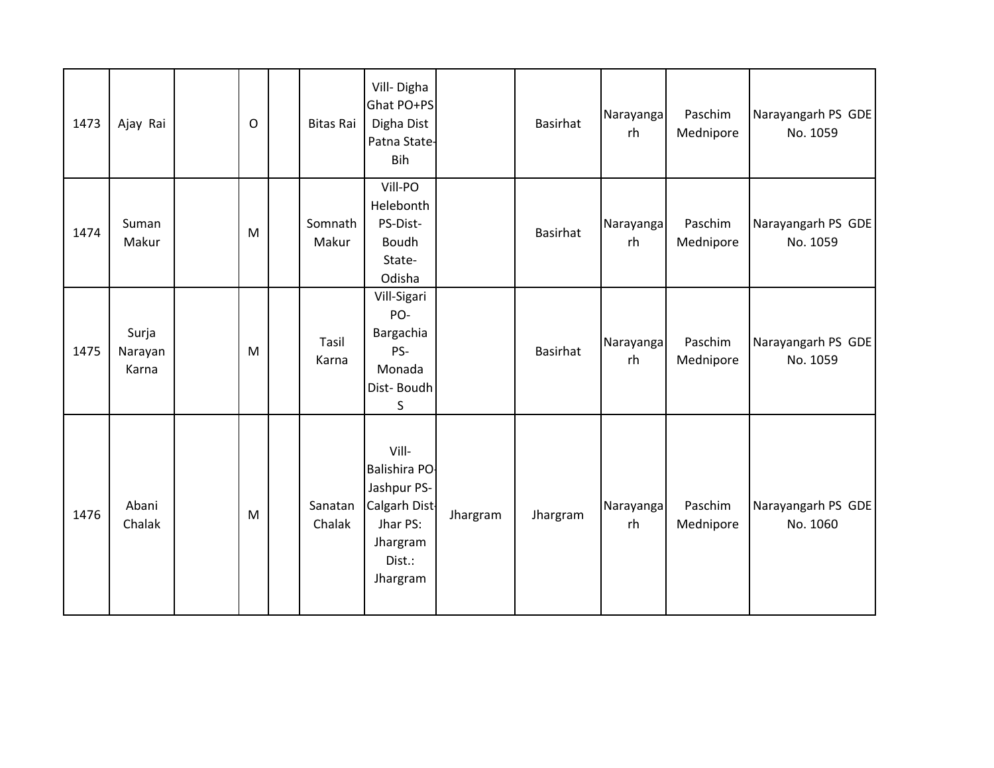| 1473 | Ajay Rai                  | $\mathsf O$ | <b>Bitas Rai</b>  | Vill-Digha<br>Ghat PO+PS<br>Digha Dist<br>Patna State-<br>Bih                                        |          | <b>Basirhat</b> | Narayanga<br>rh | Paschim<br>Mednipore | Narayangarh PS GDE<br>No. 1059 |
|------|---------------------------|-------------|-------------------|------------------------------------------------------------------------------------------------------|----------|-----------------|-----------------|----------------------|--------------------------------|
| 1474 | Suman<br>Makur            | M           | Somnath<br>Makur  | Vill-PO<br>Helebonth<br>PS-Dist-<br>Boudh<br>State-<br>Odisha                                        |          | <b>Basirhat</b> | Narayanga<br>rh | Paschim<br>Mednipore | Narayangarh PS GDE<br>No. 1059 |
| 1475 | Surja<br>Narayan<br>Karna | M           | Tasil<br>Karna    | Vill-Sigari<br>PO-<br>Bargachia<br>PS-<br>Monada<br>Dist-Boudh<br>S                                  |          | <b>Basirhat</b> | Narayanga<br>rh | Paschim<br>Mednipore | Narayangarh PS GDE<br>No. 1059 |
| 1476 | Abani<br>Chalak           | M           | Sanatan<br>Chalak | Vill-<br>Balishira PO-<br>Jashpur PS-<br>Calgarh Dist-<br>Jhar PS:<br>Jhargram<br>Dist.:<br>Jhargram | Jhargram | Jhargram        | Narayanga<br>rh | Paschim<br>Mednipore | Narayangarh PS GDE<br>No. 1060 |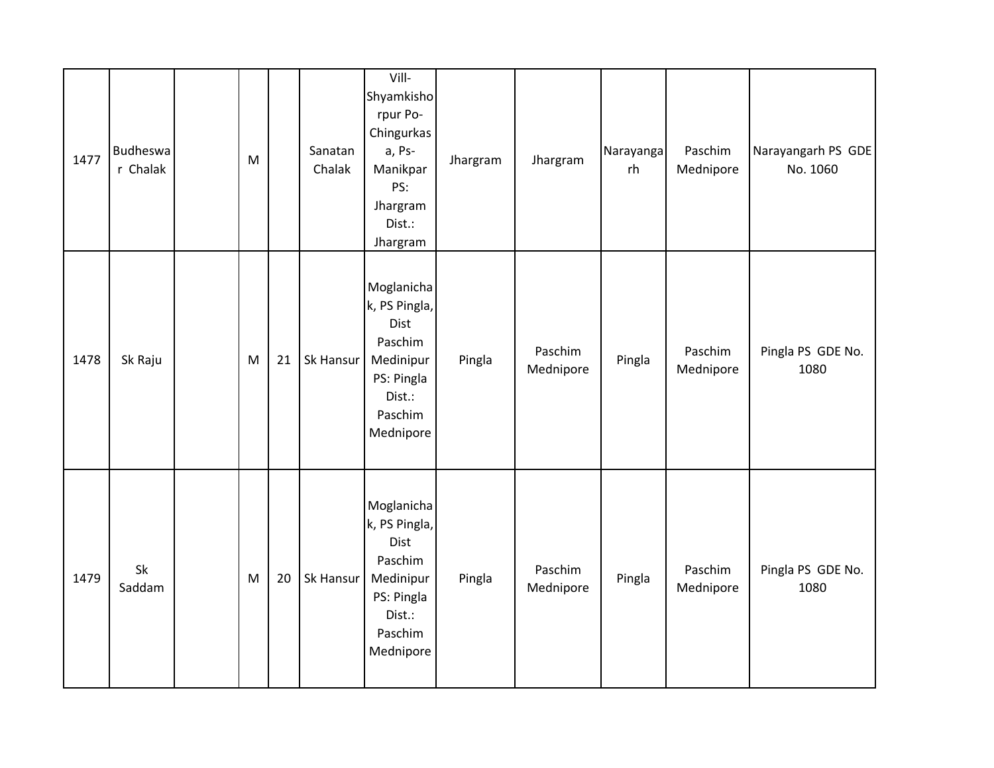| 1477 | <b>Budheswa</b><br>r Chalak | M |    | Sanatan<br>Chalak | Vill-<br>Shyamkisho<br>rpur Po-<br>Chingurkas<br>a, Ps-<br>Manikpar<br>PS:<br>Jhargram<br>Dist.:<br>Jhargram | Jhargram | Jhargram             | Narayanga<br>rh | Paschim<br>Mednipore | Narayangarh PS GDE<br>No. 1060 |
|------|-----------------------------|---|----|-------------------|--------------------------------------------------------------------------------------------------------------|----------|----------------------|-----------------|----------------------|--------------------------------|
| 1478 | Sk Raju                     | M | 21 | Sk Hansur         | Moglanicha<br>k, PS Pingla,<br>Dist<br>Paschim<br>Medinipur<br>PS: Pingla<br>Dist.:<br>Paschim<br>Mednipore  | Pingla   | Paschim<br>Mednipore | Pingla          | Paschim<br>Mednipore | Pingla PS GDE No.<br>1080      |
| 1479 | Sk<br>Saddam                | M | 20 | Sk Hansur         | Moglanicha<br>k, PS Pingla,<br>Dist<br>Paschim<br>Medinipur<br>PS: Pingla<br>Dist.:<br>Paschim<br>Mednipore  | Pingla   | Paschim<br>Mednipore | Pingla          | Paschim<br>Mednipore | Pingla PS GDE No.<br>1080      |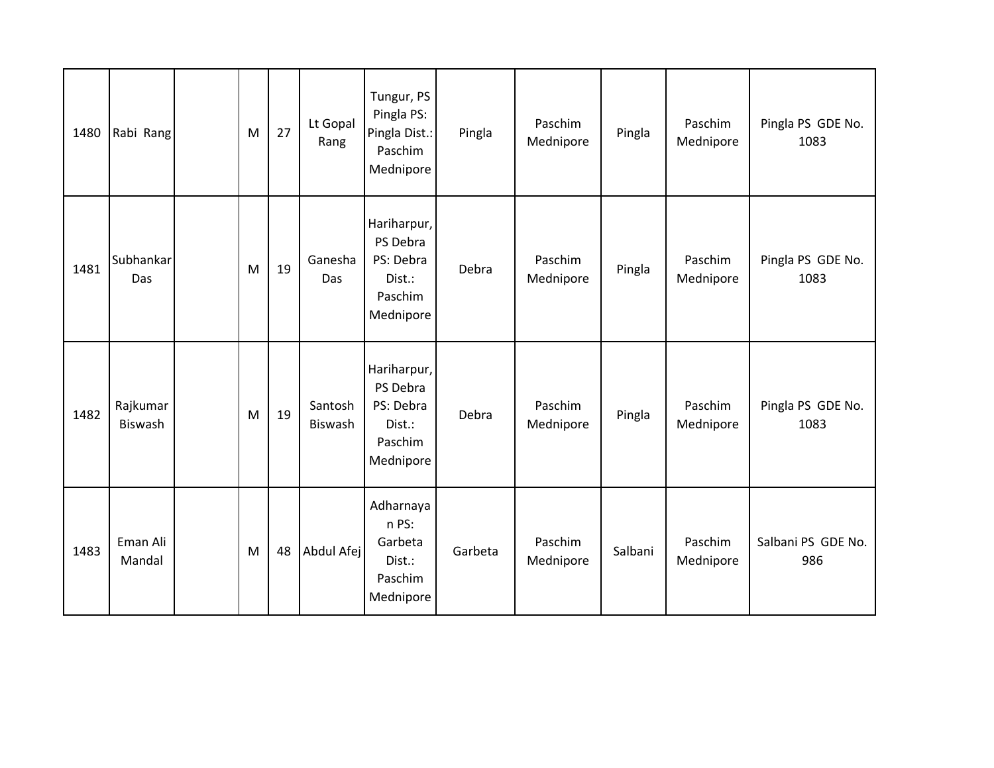| 1480 | Rabi Rang           | M | 27 | Lt Gopal<br>Rang   | Tungur, PS<br>Pingla PS:<br>Pingla Dist.:<br>Paschim<br>Mednipore      | Pingla  | Paschim<br>Mednipore | Pingla  | Paschim<br>Mednipore | Pingla PS GDE No.<br>1083 |
|------|---------------------|---|----|--------------------|------------------------------------------------------------------------|---------|----------------------|---------|----------------------|---------------------------|
| 1481 | Subhankar<br>Das    | M | 19 | Ganesha<br>Das     | Hariharpur,<br>PS Debra<br>PS: Debra<br>Dist.:<br>Paschim<br>Mednipore | Debra   | Paschim<br>Mednipore | Pingla  | Paschim<br>Mednipore | Pingla PS GDE No.<br>1083 |
| 1482 | Rajkumar<br>Biswash | M | 19 | Santosh<br>Biswash | Hariharpur,<br>PS Debra<br>PS: Debra<br>Dist.:<br>Paschim<br>Mednipore | Debra   | Paschim<br>Mednipore | Pingla  | Paschim<br>Mednipore | Pingla PS GDE No.<br>1083 |
| 1483 | Eman Ali<br>Mandal  | M | 48 | Abdul Afej         | Adharnaya<br>n PS:<br>Garbeta<br>Dist.:<br>Paschim<br>Mednipore        | Garbeta | Paschim<br>Mednipore | Salbani | Paschim<br>Mednipore | Salbani PS GDE No.<br>986 |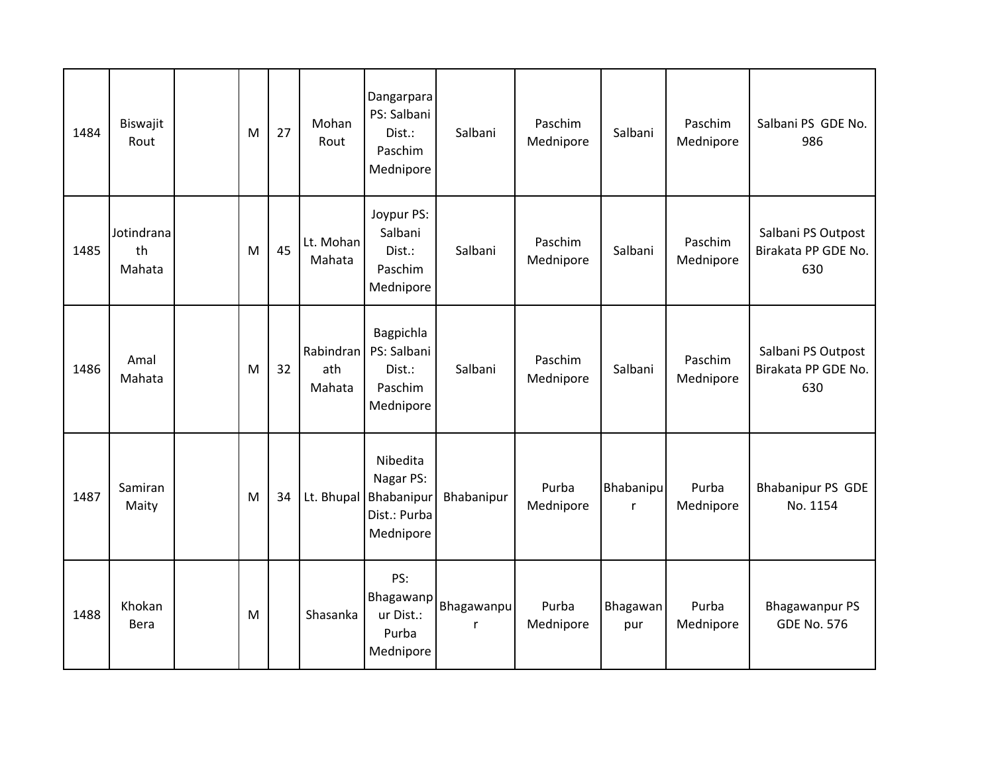| 1484 | Biswajit<br>Rout           | M | 27 | Mohan<br>Rout              | Dangarpara<br>PS: Salbani<br>Dist.:<br>Paschim<br>Mednipore      | Salbani         | Paschim<br>Mednipore | Salbani                          | Paschim<br>Mednipore | Salbani PS GDE No.<br>986                        |
|------|----------------------------|---|----|----------------------------|------------------------------------------------------------------|-----------------|----------------------|----------------------------------|----------------------|--------------------------------------------------|
| 1485 | Jotindrana<br>th<br>Mahata | M | 45 | Lt. Mohan<br>Mahata        | Joypur PS:<br>Salbani<br>Dist.:<br>Paschim<br>Mednipore          | Salbani         | Paschim<br>Mednipore | Salbani                          | Paschim<br>Mednipore | Salbani PS Outpost<br>Birakata PP GDE No.<br>630 |
| 1486 | Amal<br>Mahata             | M | 32 | Rabindran<br>ath<br>Mahata | Bagpichla<br>PS: Salbani<br>Dist.:<br>Paschim<br>Mednipore       | Salbani         | Paschim<br>Mednipore | Salbani                          | Paschim<br>Mednipore | Salbani PS Outpost<br>Birakata PP GDE No.<br>630 |
| 1487 | Samiran<br>Maity           | M | 34 | Lt. Bhupal                 | Nibedita<br>Nagar PS:<br>Bhabanipur<br>Dist.: Purba<br>Mednipore | Bhabanipur      | Purba<br>Mednipore   | <b>Bhabanipu</b><br>$\mathsf{r}$ | Purba<br>Mednipore   | <b>Bhabanipur PS GDE</b><br>No. 1154             |
| 1488 | Khokan<br>Bera             | M |    | Shasanka                   | PS:<br>Bhagawanp<br>ur Dist.:<br>Purba<br>Mednipore              | Bhagawanpu<br>r | Purba<br>Mednipore   | Bhagawan<br>pur                  | Purba<br>Mednipore   | <b>Bhagawanpur PS</b><br><b>GDE No. 576</b>      |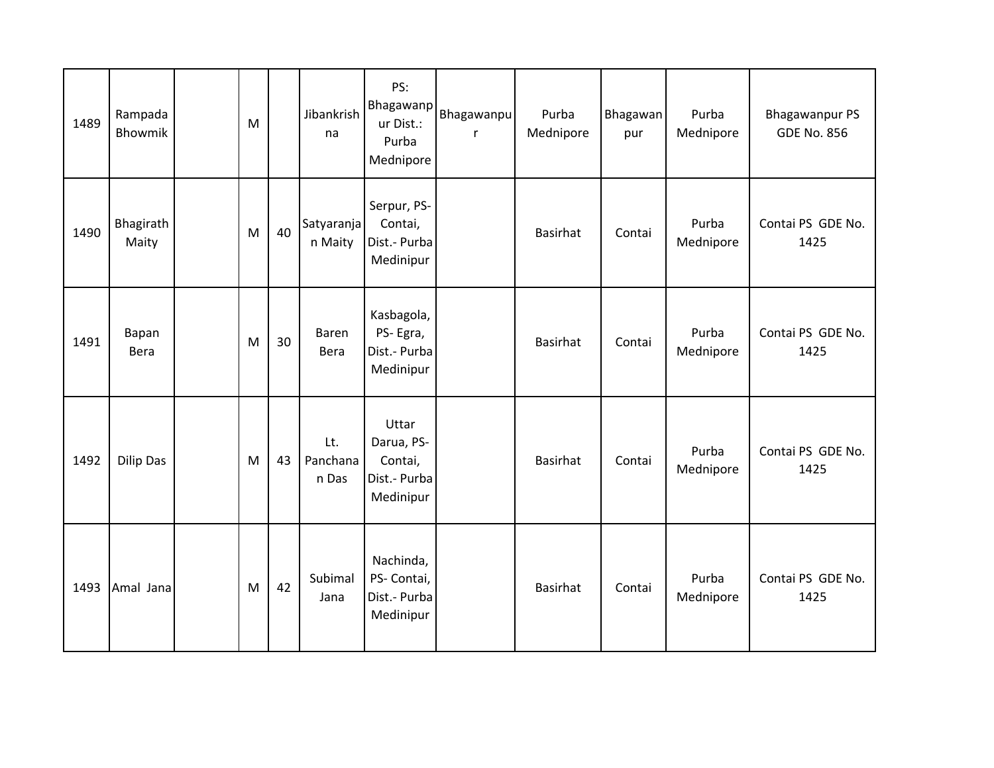| 1489 | Rampada<br>Bhowmik | M |    | Jibankrish<br>na         | PS:<br>Bhagawanp<br>ur Dist.:<br>Purba<br>Mednipore         | Bhagawanpu<br>r | Purba<br>Mednipore | Bhagawan<br>pur | Purba<br>Mednipore | <b>Bhagawanpur PS</b><br><b>GDE No. 856</b> |
|------|--------------------|---|----|--------------------------|-------------------------------------------------------------|-----------------|--------------------|-----------------|--------------------|---------------------------------------------|
| 1490 | Bhagirath<br>Maity | M | 40 | Satyaranja<br>n Maity    | Serpur, PS-<br>Contai,<br>Dist.- Purba<br>Medinipur         |                 | <b>Basirhat</b>    | Contai          | Purba<br>Mednipore | Contai PS GDE No.<br>1425                   |
| 1491 | Bapan<br>Bera      | M | 30 | Baren<br><b>Bera</b>     | Kasbagola,<br>PS-Egra,<br>Dist.- Purba<br>Medinipur         |                 | Basirhat           | Contai          | Purba<br>Mednipore | Contai PS GDE No.<br>1425                   |
| 1492 | <b>Dilip Das</b>   | M | 43 | Lt.<br>Panchana<br>n Das | Uttar<br>Darua, PS-<br>Contai,<br>Dist.- Purba<br>Medinipur |                 | <b>Basirhat</b>    | Contai          | Purba<br>Mednipore | Contai PS GDE No.<br>1425                   |
| 1493 | Amal Jana          | M | 42 | Subimal<br>Jana          | Nachinda,<br>PS- Contai,<br>Dist.- Purba<br>Medinipur       |                 | Basirhat           | Contai          | Purba<br>Mednipore | Contai PS GDE No.<br>1425                   |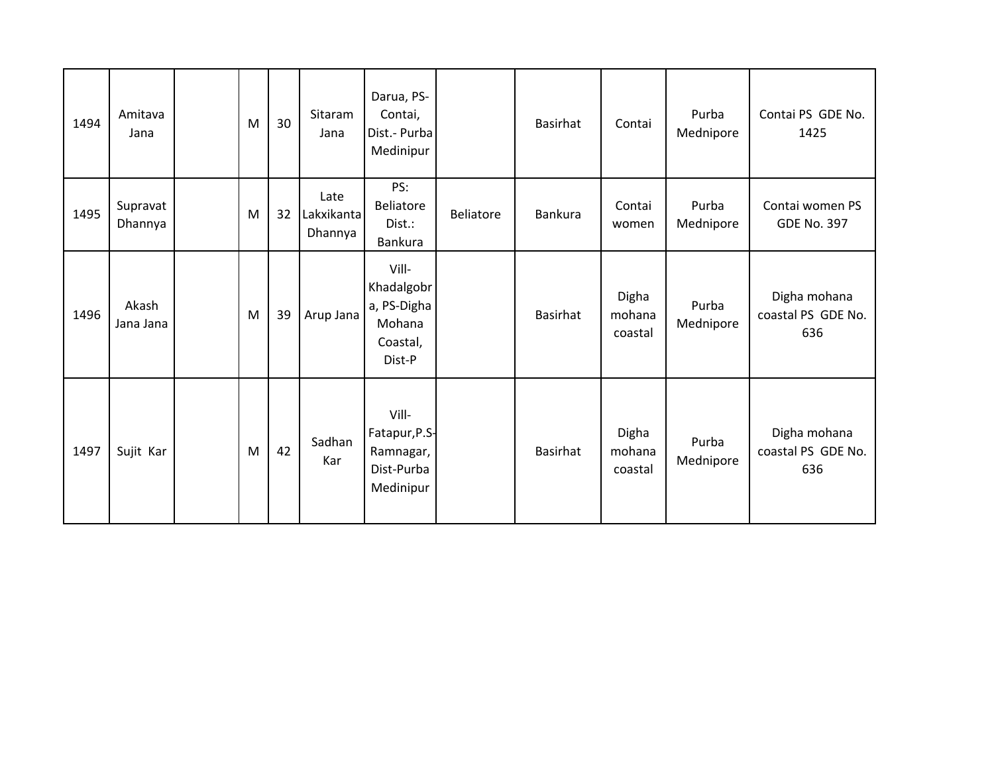| 1494 | Amitava<br>Jana     | M | 30 | Sitaram<br>Jana               | Darua, PS-<br>Contai,<br>Dist.- Purba<br>Medinipur                 |                  | <b>Basirhat</b> | Contai                     | Purba<br>Mednipore | Contai PS GDE No.<br>1425                 |
|------|---------------------|---|----|-------------------------------|--------------------------------------------------------------------|------------------|-----------------|----------------------------|--------------------|-------------------------------------------|
| 1495 | Supravat<br>Dhannya | M | 32 | Late<br>Lakxikanta<br>Dhannya | PS:<br><b>Beliatore</b><br>Dist.:<br>Bankura                       | <b>Beliatore</b> | Bankura         | Contai<br>women            | Purba<br>Mednipore | Contai women PS<br><b>GDE No. 397</b>     |
| 1496 | Akash<br>Jana Jana  | M | 39 | Arup Jana                     | Vill-<br>Khadalgobr<br>a, PS-Digha<br>Mohana<br>Coastal,<br>Dist-P |                  | <b>Basirhat</b> | Digha<br>mohana<br>coastal | Purba<br>Mednipore | Digha mohana<br>coastal PS GDE No.<br>636 |
| 1497 | Sujit Kar           | M | 42 | Sadhan<br>Kar                 | Vill-<br>Fatapur, P.S-<br>Ramnagar,<br>Dist-Purba<br>Medinipur     |                  | <b>Basirhat</b> | Digha<br>mohana<br>coastal | Purba<br>Mednipore | Digha mohana<br>coastal PS GDE No.<br>636 |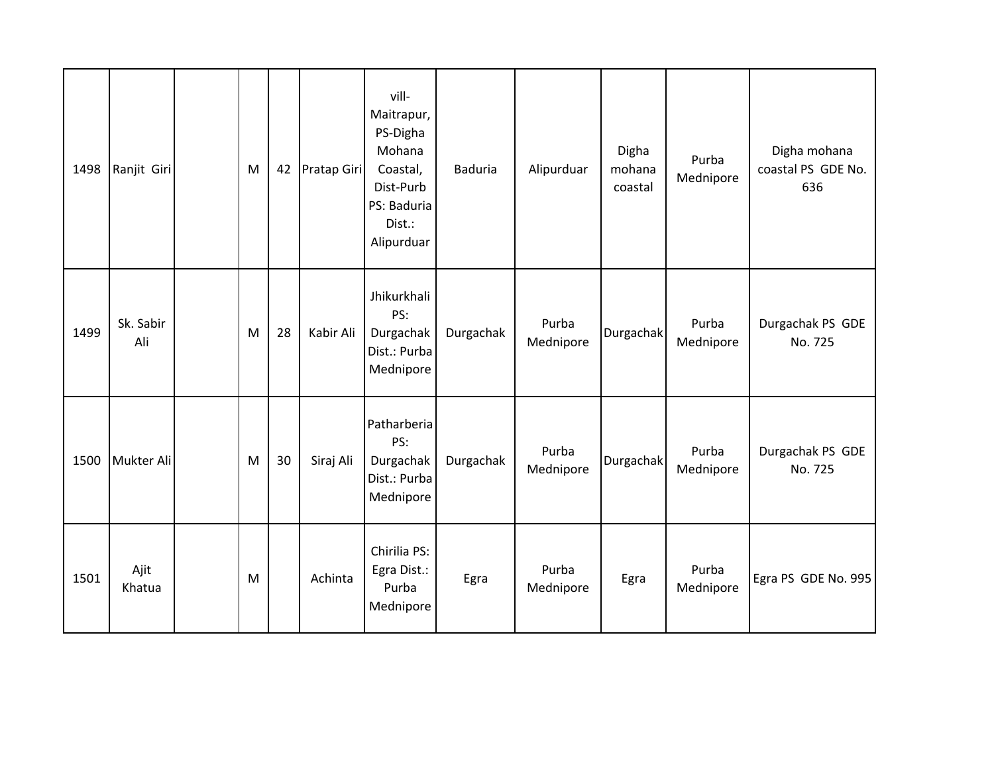| 1498 | Ranjit Giri      | M | 42 | Pratap Giri | vill-<br>Maitrapur,<br>PS-Digha<br>Mohana<br>Coastal,<br>Dist-Purb<br>PS: Baduria<br>Dist.:<br>Alipurduar | <b>Baduria</b> | Alipurduar         | Digha<br>mohana<br>coastal | Purba<br>Mednipore | Digha mohana<br>coastal PS GDE No.<br>636 |
|------|------------------|---|----|-------------|-----------------------------------------------------------------------------------------------------------|----------------|--------------------|----------------------------|--------------------|-------------------------------------------|
| 1499 | Sk. Sabir<br>Ali | M | 28 | Kabir Ali   | Jhikurkhali<br>PS:<br>Durgachak<br>Dist.: Purba<br>Mednipore                                              | Durgachak      | Purba<br>Mednipore | Durgachak                  | Purba<br>Mednipore | Durgachak PS GDE<br>No. 725               |
| 1500 | Mukter Ali       | M | 30 | Siraj Ali   | Patharberia<br>PS:<br>Durgachak<br>Dist.: Purba<br>Mednipore                                              | Durgachak      | Purba<br>Mednipore | Durgachak                  | Purba<br>Mednipore | Durgachak PS GDE<br>No. 725               |
| 1501 | Ajit<br>Khatua   | M |    | Achinta     | Chirilia PS:<br>Egra Dist.:<br>Purba<br>Mednipore                                                         | Egra           | Purba<br>Mednipore | Egra                       | Purba<br>Mednipore | Egra PS GDE No. 995                       |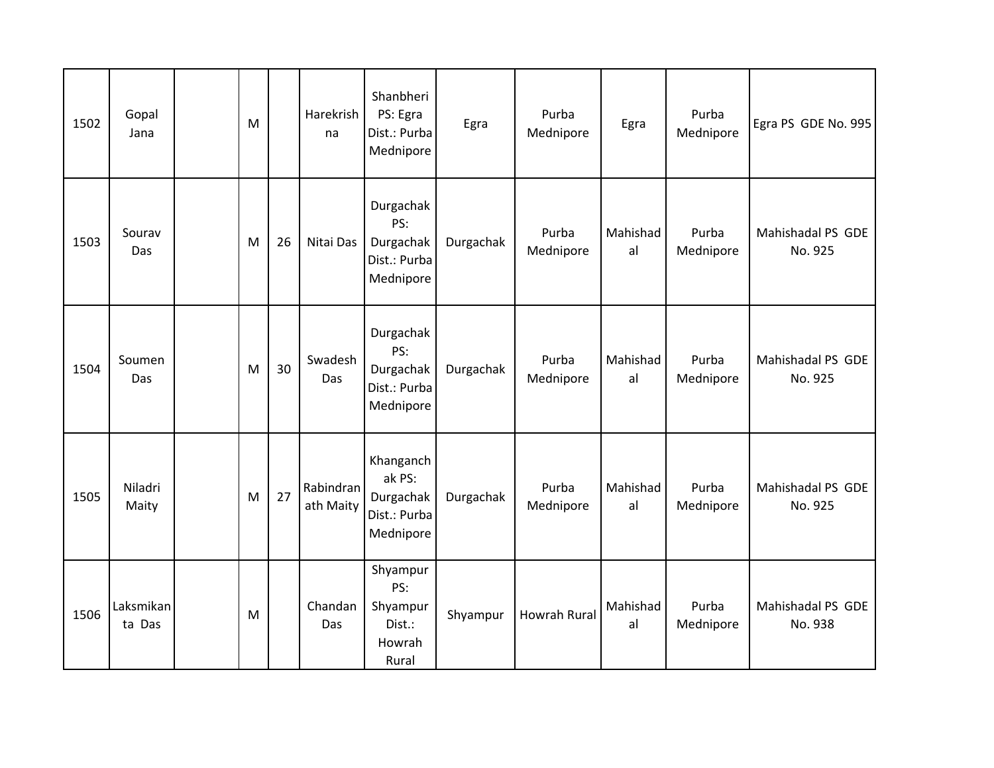| 1502 | Gopal<br>Jana       | M |    | Harekrish<br>na        | Shanbheri<br>PS: Egra<br>Dist.: Purba<br>Mednipore            | Egra      | Purba<br>Mednipore  | Egra           | Purba<br>Mednipore | Egra PS GDE No. 995          |
|------|---------------------|---|----|------------------------|---------------------------------------------------------------|-----------|---------------------|----------------|--------------------|------------------------------|
| 1503 | Sourav<br>Das       | M | 26 | Nitai Das              | Durgachak<br>PS:<br>Durgachak<br>Dist.: Purba<br>Mednipore    | Durgachak | Purba<br>Mednipore  | Mahishad<br>al | Purba<br>Mednipore | Mahishadal PS GDE<br>No. 925 |
| 1504 | Soumen<br>Das       | M | 30 | Swadesh<br>Das         | Durgachak<br>PS:<br>Durgachak<br>Dist.: Purba<br>Mednipore    | Durgachak | Purba<br>Mednipore  | Mahishad<br>al | Purba<br>Mednipore | Mahishadal PS GDE<br>No. 925 |
| 1505 | Niladri<br>Maity    | M | 27 | Rabindran<br>ath Maity | Khanganch<br>ak PS:<br>Durgachak<br>Dist.: Purba<br>Mednipore | Durgachak | Purba<br>Mednipore  | Mahishad<br>al | Purba<br>Mednipore | Mahishadal PS GDE<br>No. 925 |
| 1506 | Laksmikan<br>ta Das | M |    | Chandan<br>Das         | Shyampur<br>PS:<br>Shyampur<br>Dist.:<br>Howrah<br>Rural      | Shyampur  | <b>Howrah Rural</b> | Mahishad<br>al | Purba<br>Mednipore | Mahishadal PS GDE<br>No. 938 |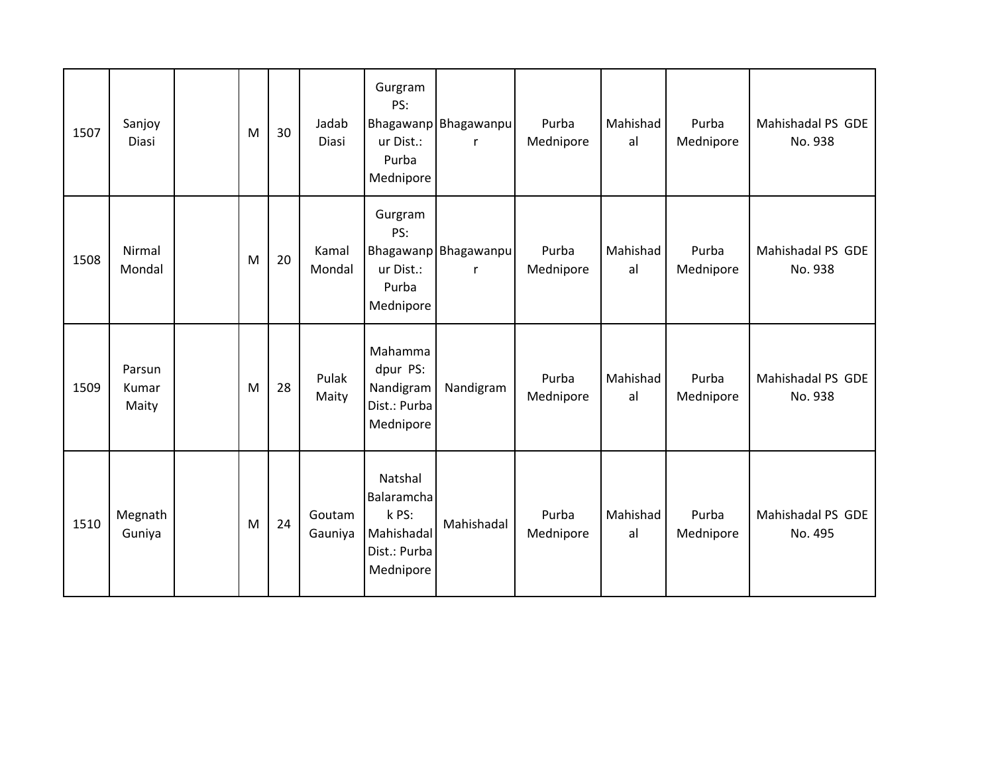| 1507 | Sanjoy<br><b>Diasi</b>   | M | 30 | Jadab<br><b>Diasi</b> | Gurgram<br>PS:<br>ur Dist.:<br>Purba<br>Mednipore                         | Bhagawanp Bhagawanpu<br>r            | Purba<br>Mednipore | Mahishad<br>al | Purba<br>Mednipore | Mahishadal PS GDE<br>No. 938 |
|------|--------------------------|---|----|-----------------------|---------------------------------------------------------------------------|--------------------------------------|--------------------|----------------|--------------------|------------------------------|
| 1508 | Nirmal<br>Mondal         | M | 20 | Kamal<br>Mondal       | Gurgram<br>PS:<br>ur Dist.:<br>Purba<br>Mednipore                         | Bhagawanp Bhagawanpu<br>$\mathsf{r}$ | Purba<br>Mednipore | Mahishad<br>al | Purba<br>Mednipore | Mahishadal PS GDE<br>No. 938 |
| 1509 | Parsun<br>Kumar<br>Maity | M | 28 | Pulak<br>Maity        | Mahamma<br>dpur PS:<br>Nandigram<br>Dist.: Purba<br>Mednipore             | Nandigram                            | Purba<br>Mednipore | Mahishad<br>al | Purba<br>Mednipore | Mahishadal PS GDE<br>No. 938 |
| 1510 | Megnath<br>Guniya        | M | 24 | Goutam<br>Gauniya     | Natshal<br>Balaramcha<br>k PS:<br>Mahishadal<br>Dist.: Purba<br>Mednipore | Mahishadal                           | Purba<br>Mednipore | Mahishad<br>al | Purba<br>Mednipore | Mahishadal PS GDE<br>No. 495 |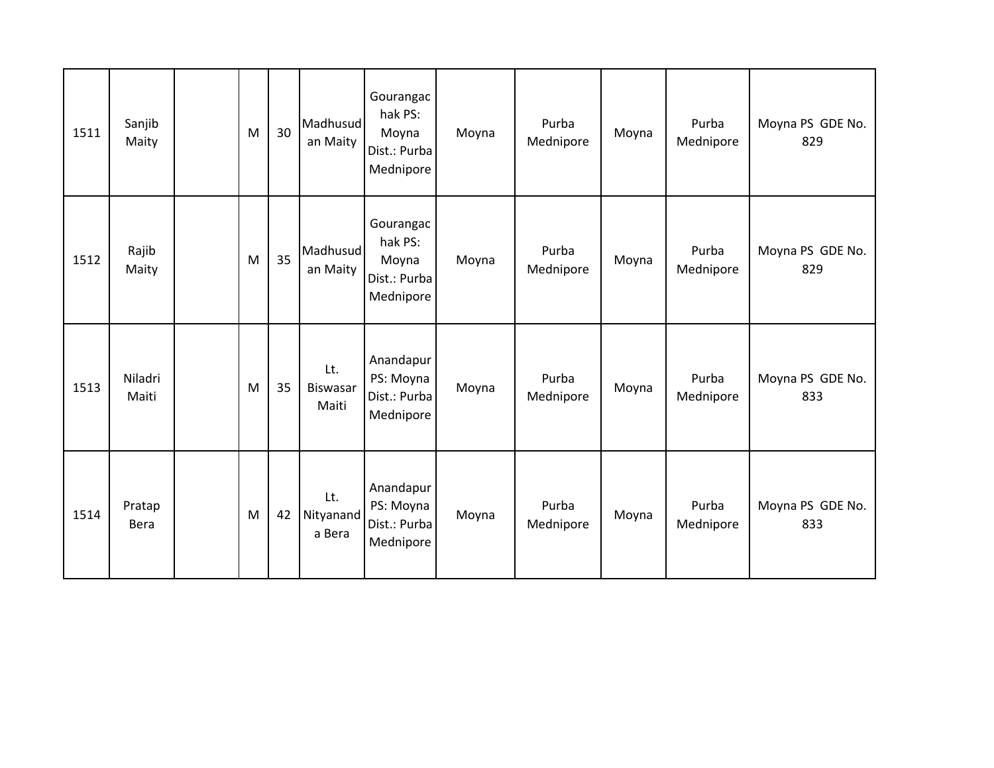| 1511 | Sanjib<br>Maity       | M | 30 | Madhusud<br>an Maity            | Gourangac<br>hak PS:<br>Moyna<br>Dist.: Purba<br>Mednipore | Moyna | Purba<br>Mednipore | Moyna | Purba<br>Mednipore | Moyna PS GDE No.<br>829 |
|------|-----------------------|---|----|---------------------------------|------------------------------------------------------------|-------|--------------------|-------|--------------------|-------------------------|
| 1512 | Rajib<br>Maity        | M | 35 | Madhusud<br>an Maity            | Gourangac<br>hak PS:<br>Moyna<br>Dist.: Purba<br>Mednipore | Moyna | Purba<br>Mednipore | Moyna | Purba<br>Mednipore | Moyna PS GDE No.<br>829 |
| 1513 | Niladri<br>Maiti      | M | 35 | Lt.<br><b>Biswasar</b><br>Maiti | Anandapur<br>PS: Moyna<br>Dist.: Purba<br>Mednipore        | Moyna | Purba<br>Mednipore | Moyna | Purba<br>Mednipore | Moyna PS GDE No.<br>833 |
| 1514 | Pratap<br><b>Bera</b> | M | 42 | Lt.<br>Nityanand<br>a Bera      | Anandapur<br>PS: Moyna<br>Dist.: Purba<br>Mednipore        | Moyna | Purba<br>Mednipore | Moyna | Purba<br>Mednipore | Moyna PS GDE No.<br>833 |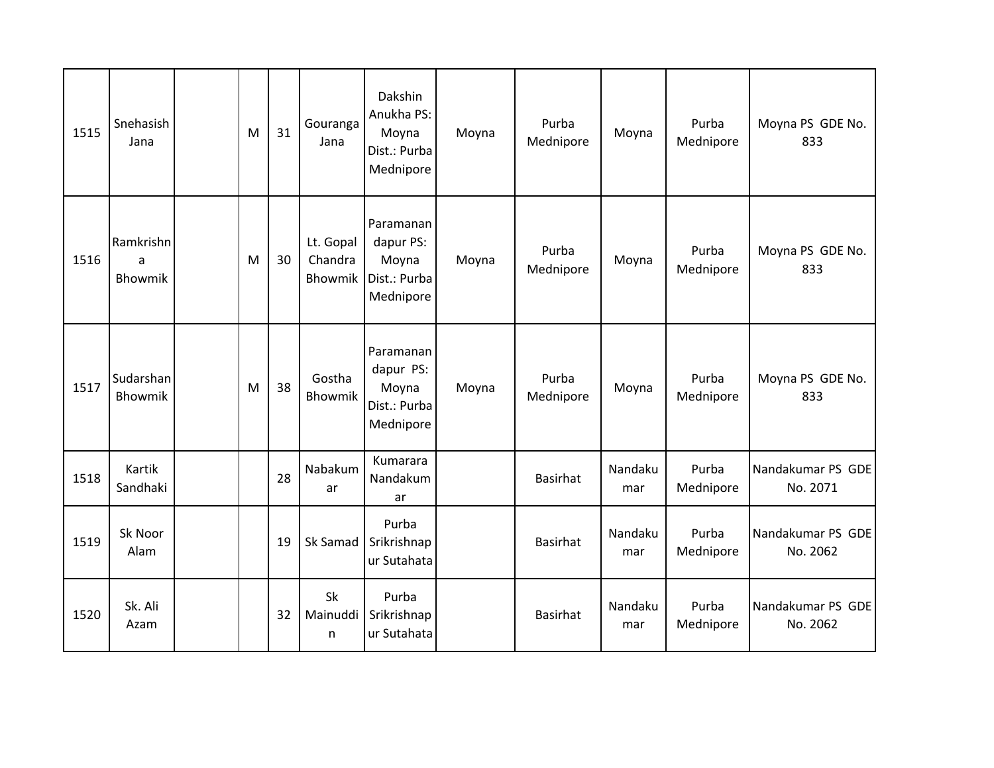| 1515 | Snehasish<br>Jana         | M | 31 | Gouranga<br>Jana                | Dakshin<br>Anukha PS:<br>Moyna<br>Dist.: Purba<br>Mednipore  | Moyna | Purba<br>Mednipore | Moyna          | Purba<br>Mednipore | Moyna PS GDE No.<br>833       |
|------|---------------------------|---|----|---------------------------------|--------------------------------------------------------------|-------|--------------------|----------------|--------------------|-------------------------------|
| 1516 | Ramkrishn<br>a<br>Bhowmik | M | 30 | Lt. Gopal<br>Chandra<br>Bhowmik | Paramanan<br>dapur PS:<br>Moyna<br>Dist.: Purba<br>Mednipore | Moyna | Purba<br>Mednipore | Moyna          | Purba<br>Mednipore | Moyna PS GDE No.<br>833       |
| 1517 | Sudarshan<br>Bhowmik      | M | 38 | Gostha<br><b>Bhowmik</b>        | Paramanan<br>dapur PS:<br>Moyna<br>Dist.: Purba<br>Mednipore | Moyna | Purba<br>Mednipore | Moyna          | Purba<br>Mednipore | Moyna PS GDE No.<br>833       |
| 1518 | Kartik<br>Sandhaki        |   | 28 | Nabakum<br>ar                   | Kumarara<br>Nandakum<br>ar                                   |       | <b>Basirhat</b>    | Nandaku<br>mar | Purba<br>Mednipore | Nandakumar PS GDE<br>No. 2071 |
| 1519 | Sk Noor<br>Alam           |   | 19 | Sk Samad                        | Purba<br>Srikrishnap<br>ur Sutahata                          |       | <b>Basirhat</b>    | Nandaku<br>mar | Purba<br>Mednipore | Nandakumar PS GDE<br>No. 2062 |
| 1520 | Sk. Ali<br>Azam           |   | 32 | Sk<br>Mainuddi<br>n             | Purba<br>Srikrishnap<br>ur Sutahata                          |       | <b>Basirhat</b>    | Nandaku<br>mar | Purba<br>Mednipore | Nandakumar PS GDE<br>No. 2062 |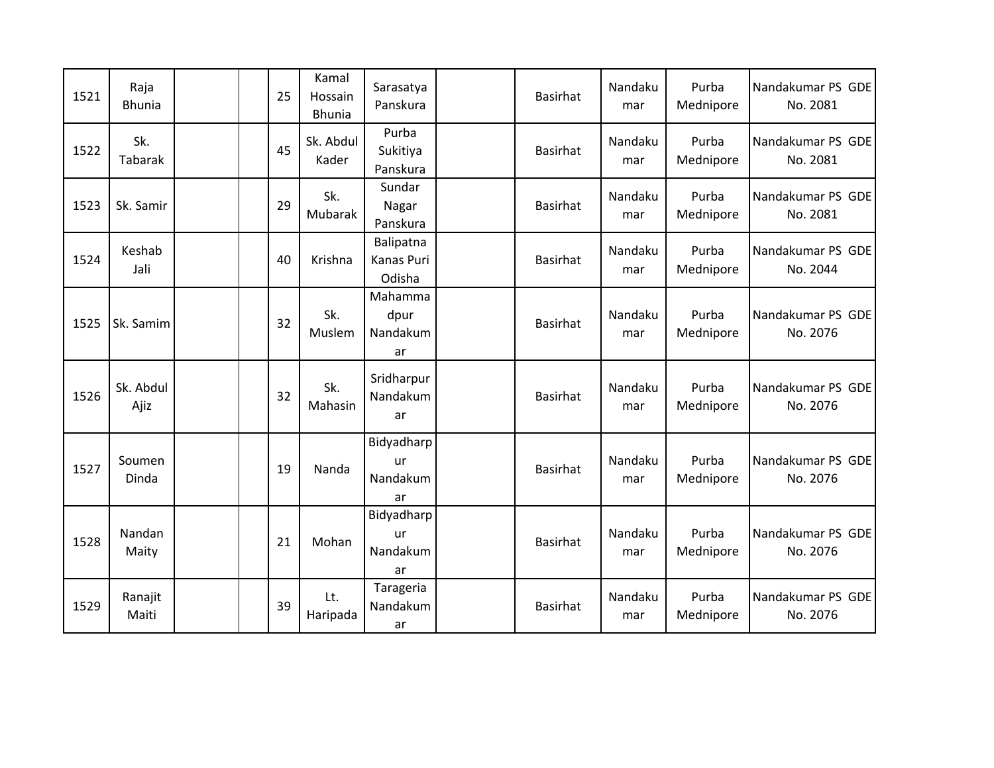| 1521 | Raja<br><b>Bhunia</b> | 25 | Kamal<br>Hossain<br><b>Bhunia</b> | Sarasatya<br>Panskura                    | Basirhat        | Nandaku<br>mar | Purba<br>Mednipore | Nandakumar PS GDE<br>No. 2081 |
|------|-----------------------|----|-----------------------------------|------------------------------------------|-----------------|----------------|--------------------|-------------------------------|
| 1522 | Sk.<br>Tabarak        | 45 | Sk. Abdul<br>Kader                | Purba<br>Sukitiya<br>Panskura            | <b>Basirhat</b> | Nandaku<br>mar | Purba<br>Mednipore | Nandakumar PS GDE<br>No. 2081 |
| 1523 | Sk. Samir             | 29 | Sk.<br>Mubarak                    | Sundar<br>Nagar<br>Panskura              | Basirhat        | Nandaku<br>mar | Purba<br>Mednipore | Nandakumar PS GDE<br>No. 2081 |
| 1524 | Keshab<br>Jali        | 40 | Krishna                           | Balipatna<br><b>Kanas Puri</b><br>Odisha | <b>Basirhat</b> | Nandaku<br>mar | Purba<br>Mednipore | Nandakumar PS GDE<br>No. 2044 |
| 1525 | Sk. Samim             | 32 | Sk.<br>Muslem                     | Mahamma<br>dpur<br>Nandakum<br>ar        | <b>Basirhat</b> | Nandaku<br>mar | Purba<br>Mednipore | Nandakumar PS GDE<br>No. 2076 |
| 1526 | Sk. Abdul<br>Ajiz     | 32 | Sk.<br>Mahasin                    | Sridharpur<br>Nandakum<br>ar             | <b>Basirhat</b> | Nandaku<br>mar | Purba<br>Mednipore | Nandakumar PS GDE<br>No. 2076 |
| 1527 | Soumen<br>Dinda       | 19 | Nanda                             | Bidyadharp<br>ur<br>Nandakum<br>ar       | <b>Basirhat</b> | Nandaku<br>mar | Purba<br>Mednipore | Nandakumar PS GDE<br>No. 2076 |
| 1528 | Nandan<br>Maity       | 21 | Mohan                             | Bidyadharp<br>ur<br>Nandakum<br>ar       | <b>Basirhat</b> | Nandaku<br>mar | Purba<br>Mednipore | Nandakumar PS GDE<br>No. 2076 |
| 1529 | Ranajit<br>Maiti      | 39 | Lt.<br>Haripada                   | Tarageria<br>Nandakum<br>ar              | <b>Basirhat</b> | Nandaku<br>mar | Purba<br>Mednipore | Nandakumar PS GDE<br>No. 2076 |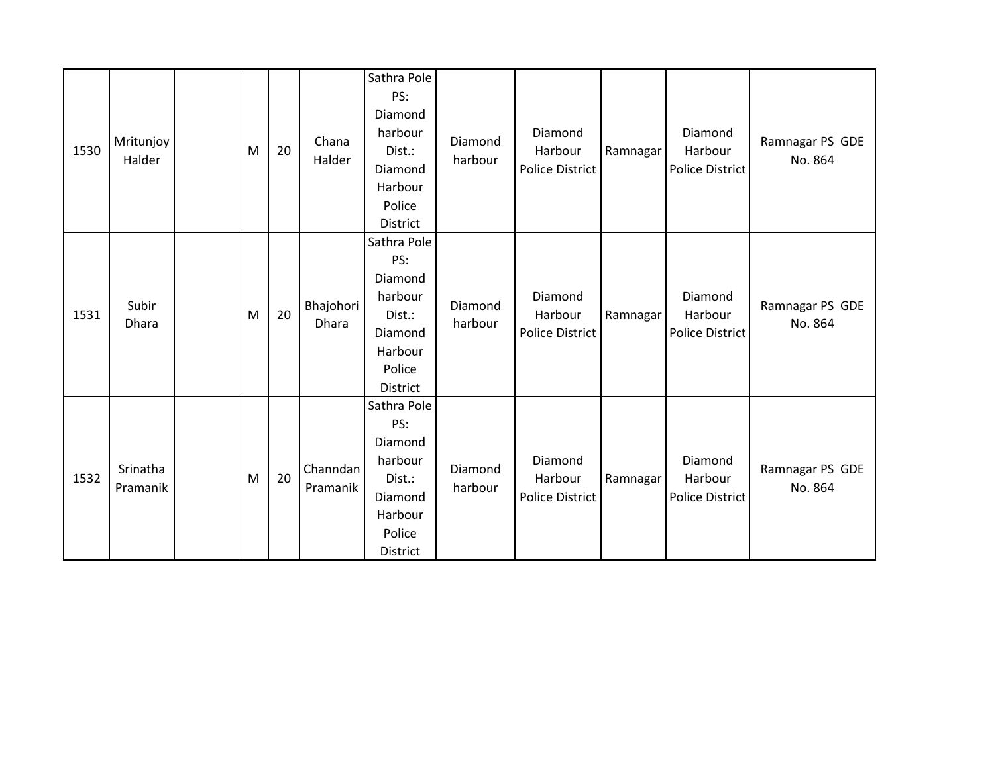| 1530 | Mritunjoy<br>Halder  | M | 20 | Chana<br>Halder      | Sathra Pole<br>PS:<br>Diamond<br>harbour<br>Dist.:<br>Diamond<br>Harbour<br>Police<br>District | Diamond<br>harbour | Diamond<br>Harbour<br><b>Police District</b> | Ramnagar | Diamond<br>Harbour<br><b>Police District</b> | Ramnagar PS GDE<br>No. 864 |
|------|----------------------|---|----|----------------------|------------------------------------------------------------------------------------------------|--------------------|----------------------------------------------|----------|----------------------------------------------|----------------------------|
| 1531 | Subir<br>Dhara       | M | 20 | Bhajohori<br>Dhara   | Sathra Pole<br>PS:<br>Diamond<br>harbour<br>Dist.:<br>Diamond<br>Harbour<br>Police<br>District | Diamond<br>harbour | Diamond<br>Harbour<br><b>Police District</b> | Ramnagar | Diamond<br>Harbour<br>Police District        | Ramnagar PS GDE<br>No. 864 |
| 1532 | Srinatha<br>Pramanik | M | 20 | Channdan<br>Pramanik | Sathra Pole<br>PS:<br>Diamond<br>harbour<br>Dist.:<br>Diamond<br>Harbour<br>Police<br>District | Diamond<br>harbour | Diamond<br>Harbour<br><b>Police District</b> | Ramnagar | Diamond<br>Harbour<br><b>Police District</b> | Ramnagar PS GDE<br>No. 864 |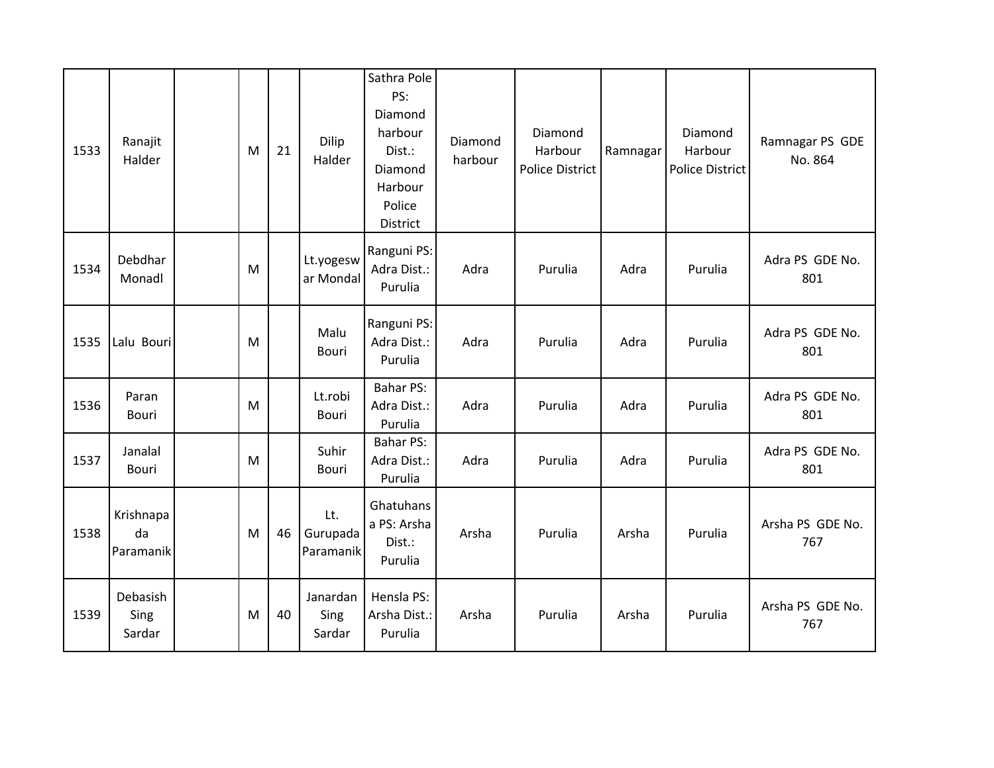| 1533 | Ranajit<br>Halder            | M | 21 | Dilip<br>Halder              | Sathra Pole<br>PS:<br>Diamond<br>harbour<br>Dist.:<br>Diamond<br>Harbour<br>Police<br>District | Diamond<br>harbour | Diamond<br>Harbour<br><b>Police District</b> | Ramnagar | Diamond<br>Harbour<br><b>Police District</b> | Ramnagar PS GDE<br>No. 864 |
|------|------------------------------|---|----|------------------------------|------------------------------------------------------------------------------------------------|--------------------|----------------------------------------------|----------|----------------------------------------------|----------------------------|
| 1534 | Debdhar<br>Monadl            | M |    | Lt.yogesw<br>ar Mondal       | Ranguni PS:<br>Adra Dist.:<br>Purulia                                                          | Adra               | Purulia                                      | Adra     | Purulia                                      | Adra PS GDE No.<br>801     |
| 1535 | Lalu Bouri                   | M |    | Malu<br>Bouri                | Ranguni PS:<br>Adra Dist.:<br>Purulia                                                          | Adra               | Purulia                                      | Adra     | Purulia                                      | Adra PS GDE No.<br>801     |
| 1536 | Paran<br>Bouri               | M |    | Lt.robi<br>Bouri             | <b>Bahar PS:</b><br>Adra Dist.:<br>Purulia                                                     | Adra               | Purulia                                      | Adra     | Purulia                                      | Adra PS GDE No.<br>801     |
| 1537 | Janalal<br>Bouri             | M |    | Suhir<br>Bouri               | <b>Bahar PS:</b><br>Adra Dist.:<br>Purulia                                                     | Adra               | Purulia                                      | Adra     | Purulia                                      | Adra PS GDE No.<br>801     |
| 1538 | Krishnapa<br>da<br>Paramanik | M | 46 | Lt.<br>Gurupada<br>Paramanik | Ghatuhans<br>a PS: Arsha<br>Dist.:<br>Purulia                                                  | Arsha              | Purulia                                      | Arsha    | Purulia                                      | Arsha PS GDE No.<br>767    |
| 1539 | Debasish<br>Sing<br>Sardar   | M | 40 | Janardan<br>Sing<br>Sardar   | Hensla PS:<br>Arsha Dist.:<br>Purulia                                                          | Arsha              | Purulia                                      | Arsha    | Purulia                                      | Arsha PS GDE No.<br>767    |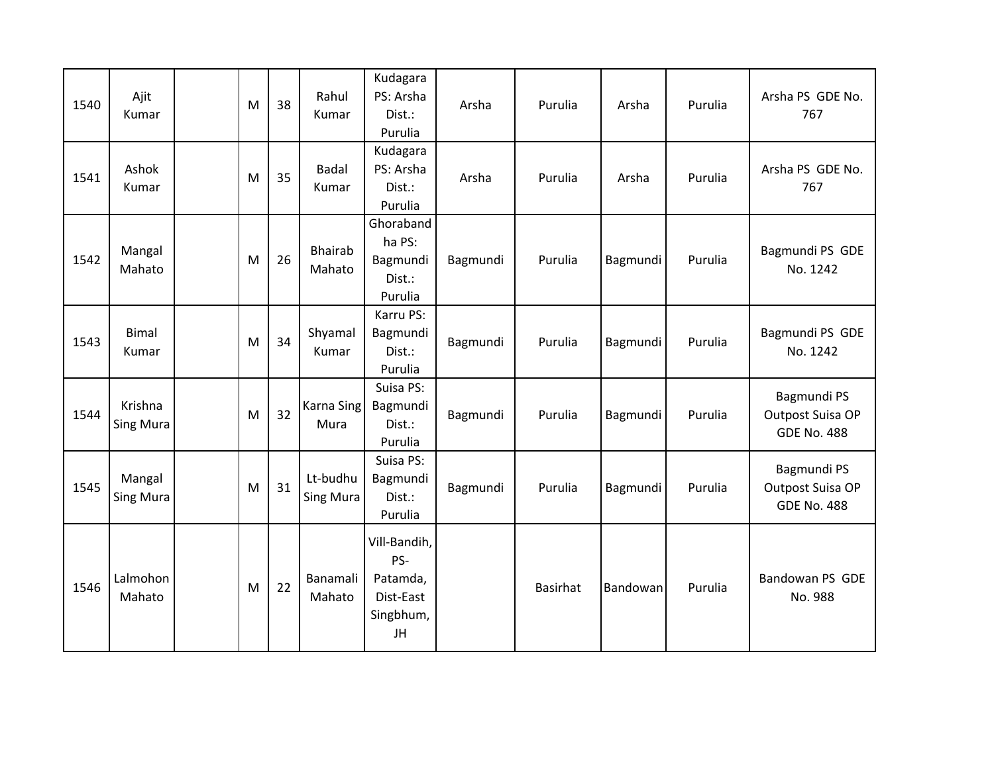| 1540 | Ajit<br>Kumar               | M | 38 | Rahul<br>Kumar           | Kudagara<br>PS: Arsha<br>Dist.:<br>Purulia                      | Arsha    | Purulia         | Arsha           | Purulia | Arsha PS GDE No.<br>767                               |
|------|-----------------------------|---|----|--------------------------|-----------------------------------------------------------------|----------|-----------------|-----------------|---------|-------------------------------------------------------|
| 1541 | Ashok<br>Kumar              | M | 35 | <b>Badal</b><br>Kumar    | Kudagara<br>PS: Arsha<br>Dist.:<br>Purulia                      | Arsha    | Purulia         | Arsha           | Purulia | Arsha PS GDE No.<br>767                               |
| 1542 | Mangal<br>Mahato            | M | 26 | <b>Bhairab</b><br>Mahato | Ghoraband<br>ha PS:<br>Bagmundi<br>Dist.:<br>Purulia            | Bagmundi | Purulia         | <b>Bagmundi</b> | Purulia | Bagmundi PS GDE<br>No. 1242                           |
| 1543 | <b>Bimal</b><br>Kumar       | M | 34 | Shyamal<br>Kumar         | Karru PS:<br>Bagmundi<br>Dist.:<br>Purulia                      | Bagmundi | Purulia         | Bagmundi        | Purulia | Bagmundi PS GDE<br>No. 1242                           |
| 1544 | Krishna<br><b>Sing Mura</b> | M | 32 | Karna Sing<br>Mura       | Suisa PS:<br>Bagmundi<br>Dist.:<br>Purulia                      | Bagmundi | Purulia         | Bagmundi        | Purulia | Bagmundi PS<br>Outpost Suisa OP<br><b>GDE No. 488</b> |
| 1545 | Mangal<br><b>Sing Mura</b>  | M | 31 | Lt-budhu<br>Sing Mura    | Suisa PS:<br>Bagmundi<br>Dist.:<br>Purulia                      | Bagmundi | Purulia         | Bagmundi        | Purulia | Bagmundi PS<br>Outpost Suisa OP<br><b>GDE No. 488</b> |
| 1546 | Lalmohon<br>Mahato          | M | 22 | Banamali<br>Mahato       | Vill-Bandih,<br>PS-<br>Patamda,<br>Dist-East<br>Singbhum,<br>JH |          | <b>Basirhat</b> | Bandowan        | Purulia | Bandowan PS GDE<br>No. 988                            |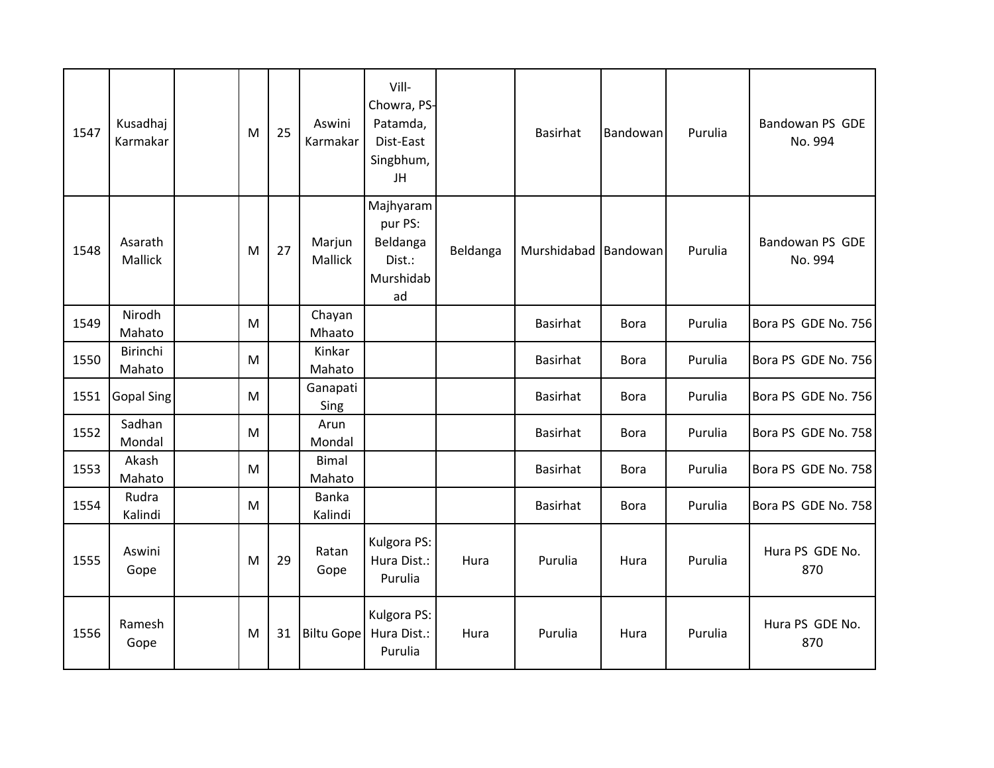| 1547 | Kusadhaj<br>Karmakar | M | 25 | Aswini<br>Karmakar     | Vill-<br>Chowra, PS-<br>Patamda,<br>Dist-East<br>Singbhum,<br>JH |          | Basirhat             | Bandowan    | Purulia | Bandowan PS GDE<br>No. 994 |
|------|----------------------|---|----|------------------------|------------------------------------------------------------------|----------|----------------------|-------------|---------|----------------------------|
| 1548 | Asarath<br>Mallick   | M | 27 | Marjun<br>Mallick      | Majhyaram<br>pur PS:<br>Beldanga<br>Dist.:<br>Murshidab<br>ad    | Beldanga | Murshidabad Bandowan |             | Purulia | Bandowan PS GDE<br>No. 994 |
| 1549 | Nirodh<br>Mahato     | M |    | Chayan<br>Mhaato       |                                                                  |          | <b>Basirhat</b>      | <b>Bora</b> | Purulia | Bora PS GDE No. 756        |
| 1550 | Birinchi<br>Mahato   | M |    | Kinkar<br>Mahato       |                                                                  |          | <b>Basirhat</b>      | <b>Bora</b> | Purulia | Bora PS GDE No. 756        |
| 1551 | <b>Gopal Sing</b>    | M |    | Ganapati<br>Sing       |                                                                  |          | <b>Basirhat</b>      | <b>Bora</b> | Purulia | Bora PS GDE No. 756        |
| 1552 | Sadhan<br>Mondal     | M |    | Arun<br>Mondal         |                                                                  |          | <b>Basirhat</b>      | <b>Bora</b> | Purulia | Bora PS GDE No. 758        |
| 1553 | Akash<br>Mahato      | M |    | <b>Bimal</b><br>Mahato |                                                                  |          | <b>Basirhat</b>      | <b>Bora</b> | Purulia | Bora PS GDE No. 758        |
| 1554 | Rudra<br>Kalindi     | M |    | Banka<br>Kalindi       |                                                                  |          | <b>Basirhat</b>      | <b>Bora</b> | Purulia | Bora PS GDE No. 758        |
| 1555 | Aswini<br>Gope       | M | 29 | Ratan<br>Gope          | Kulgora PS:<br>Hura Dist.:<br>Purulia                            | Hura     | Purulia              | Hura        | Purulia | Hura PS GDE No.<br>870     |
| 1556 | Ramesh<br>Gope       | M | 31 | <b>Biltu Gope</b>      | Kulgora PS:<br>Hura Dist.:<br>Purulia                            | Hura     | Purulia              | Hura        | Purulia | Hura PS GDE No.<br>870     |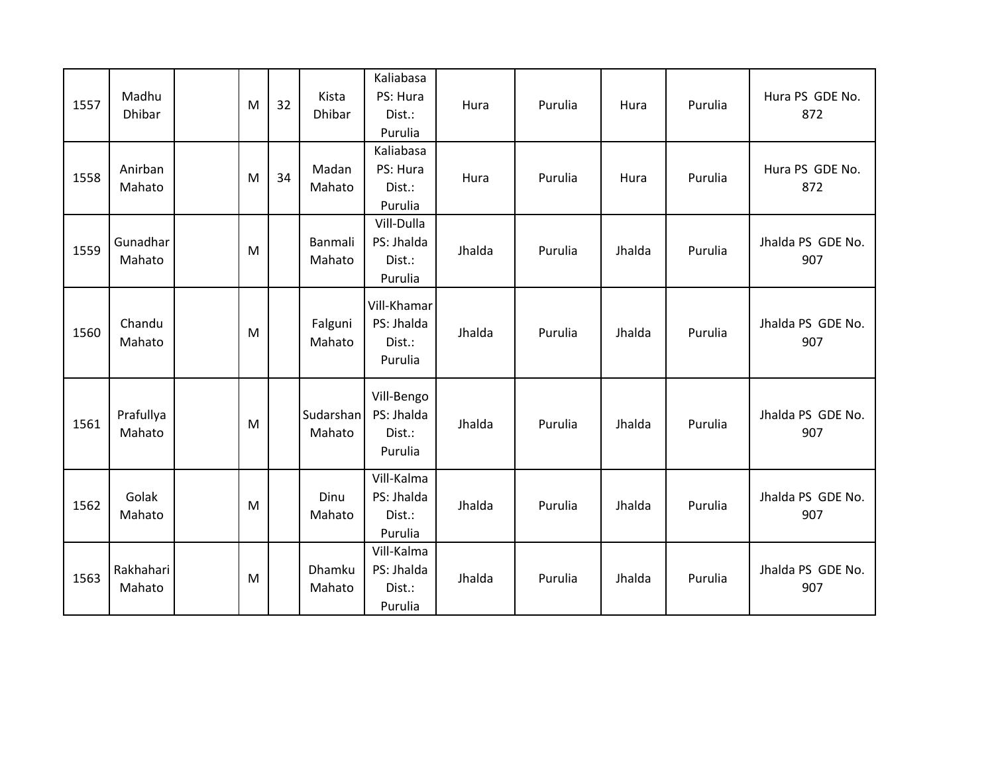| 1557 | Madhu<br><b>Dhibar</b> | M | 32 | Kista<br><b>Dhibar</b> | Kaliabasa<br>PS: Hura<br>Dist.:<br>Purulia     | Hura   | Purulia | Hura   | Purulia | Hura PS GDE No.<br>872   |
|------|------------------------|---|----|------------------------|------------------------------------------------|--------|---------|--------|---------|--------------------------|
| 1558 | Anirban<br>Mahato      | M | 34 | Madan<br>Mahato        | Kaliabasa<br>PS: Hura<br>Dist.:<br>Purulia     | Hura   | Purulia | Hura   | Purulia | Hura PS GDE No.<br>872   |
| 1559 | Gunadhar<br>Mahato     | M |    | Banmali<br>Mahato      | Vill-Dulla<br>PS: Jhalda<br>Dist.:<br>Purulia  | Jhalda | Purulia | Jhalda | Purulia | Jhalda PS GDE No.<br>907 |
| 1560 | Chandu<br>Mahato       | M |    | Falguni<br>Mahato      | Vill-Khamar<br>PS: Jhalda<br>Dist.:<br>Purulia | Jhalda | Purulia | Jhalda | Purulia | Jhalda PS GDE No.<br>907 |
| 1561 | Prafullya<br>Mahato    | M |    | Sudarshan<br>Mahato    | Vill-Bengo<br>PS: Jhalda<br>Dist.:<br>Purulia  | Jhalda | Purulia | Jhalda | Purulia | Jhalda PS GDE No.<br>907 |
| 1562 | Golak<br>Mahato        | M |    | Dinu<br>Mahato         | Vill-Kalma<br>PS: Jhalda<br>Dist.:<br>Purulia  | Jhalda | Purulia | Jhalda | Purulia | Jhalda PS GDE No.<br>907 |
| 1563 | Rakhahari<br>Mahato    | M |    | Dhamku<br>Mahato       | Vill-Kalma<br>PS: Jhalda<br>Dist.:<br>Purulia  | Jhalda | Purulia | Jhalda | Purulia | Jhalda PS GDE No.<br>907 |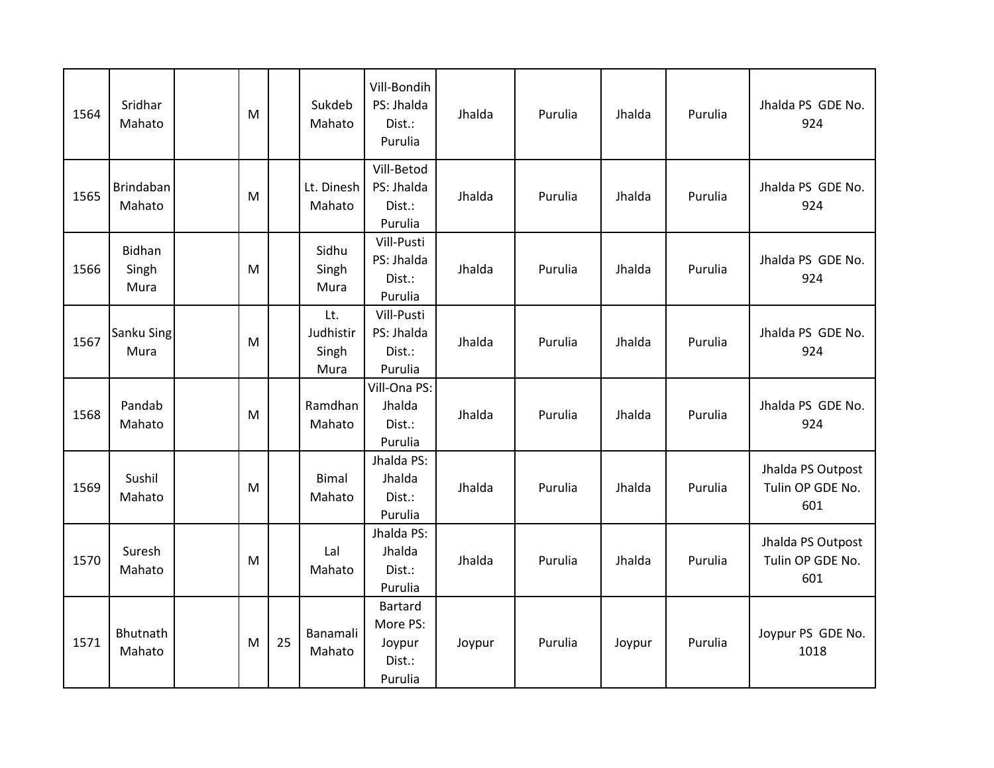| 1564 | Sridhar<br>Mahato              | M |    | Sukdeb<br>Mahato                  | Vill-Bondih<br>PS: Jhalda<br>Dist.:<br>Purulia            | Jhalda | Purulia | Jhalda | Purulia | Jhalda PS GDE No.<br>924                     |
|------|--------------------------------|---|----|-----------------------------------|-----------------------------------------------------------|--------|---------|--------|---------|----------------------------------------------|
| 1565 | Brindaban<br>Mahato            | M |    | Lt. Dinesh<br>Mahato              | Vill-Betod<br>PS: Jhalda<br>Dist.:<br>Purulia             | Jhalda | Purulia | Jhalda | Purulia | Jhalda PS GDE No.<br>924                     |
| 1566 | <b>Bidhan</b><br>Singh<br>Mura | M |    | Sidhu<br>Singh<br>Mura            | Vill-Pusti<br>PS: Jhalda<br>Dist.:<br>Purulia             | Jhalda | Purulia | Jhalda | Purulia | Jhalda PS GDE No.<br>924                     |
| 1567 | <b>Sanku Sing</b><br>Mura      | M |    | Lt.<br>Judhistir<br>Singh<br>Mura | Vill-Pusti<br>PS: Jhalda<br>Dist.:<br>Purulia             | Jhalda | Purulia | Jhalda | Purulia | Jhalda PS GDE No.<br>924                     |
| 1568 | Pandab<br>Mahato               | M |    | Ramdhan<br>Mahato                 | Vill-Ona PS:<br>Jhalda<br>Dist.:<br>Purulia               | Jhalda | Purulia | Jhalda | Purulia | Jhalda PS GDE No.<br>924                     |
| 1569 | Sushil<br>Mahato               | M |    | <b>Bimal</b><br>Mahato            | Jhalda PS:<br>Jhalda<br>Dist.:<br>Purulia                 | Jhalda | Purulia | Jhalda | Purulia | Jhalda PS Outpost<br>Tulin OP GDE No.<br>601 |
| 1570 | Suresh<br>Mahato               | M |    | Lal<br>Mahato                     | Jhalda PS:<br>Jhalda<br>Dist.:<br>Purulia                 | Jhalda | Purulia | Jhalda | Purulia | Jhalda PS Outpost<br>Tulin OP GDE No.<br>601 |
| 1571 | Bhutnath<br>Mahato             | M | 25 | Banamali<br>Mahato                | <b>Bartard</b><br>More PS:<br>Joypur<br>Dist.:<br>Purulia | Joypur | Purulia | Joypur | Purulia | Joypur PS GDE No.<br>1018                    |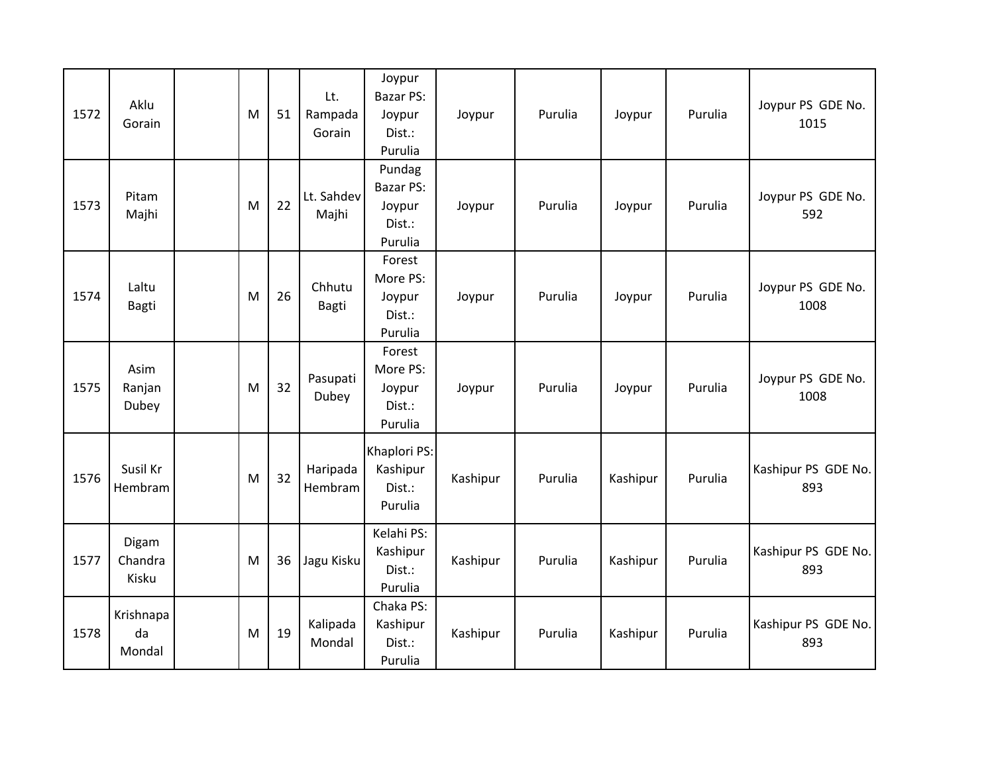| 1572 | Aklu<br>Gorain            | M | 51 | Lt.<br>Rampada<br>Gorain | Joypur<br><b>Bazar PS:</b><br>Joypur<br>Dist.:<br>Purulia | Joypur   | Purulia | Joypur   | Purulia | Joypur PS GDE No.<br>1015  |
|------|---------------------------|---|----|--------------------------|-----------------------------------------------------------|----------|---------|----------|---------|----------------------------|
| 1573 | Pitam<br>Majhi            | M | 22 | Lt. Sahdev<br>Majhi      | Pundag<br><b>Bazar PS:</b><br>Joypur<br>Dist.:<br>Purulia | Joypur   | Purulia | Joypur   | Purulia | Joypur PS GDE No.<br>592   |
| 1574 | Laltu<br><b>Bagti</b>     | M | 26 | Chhutu<br><b>Bagti</b>   | Forest<br>More PS:<br>Joypur<br>Dist.:<br>Purulia         | Joypur   | Purulia | Joypur   | Purulia | Joypur PS GDE No.<br>1008  |
| 1575 | Asim<br>Ranjan<br>Dubey   | M | 32 | Pasupati<br>Dubey        | Forest<br>More PS:<br>Joypur<br>Dist.:<br>Purulia         | Joypur   | Purulia | Joypur   | Purulia | Joypur PS GDE No.<br>1008  |
| 1576 | Susil Kr<br>Hembram       | M | 32 | Haripada<br>Hembram      | Khaplori PS:<br>Kashipur<br>Dist.:<br>Purulia             | Kashipur | Purulia | Kashipur | Purulia | Kashipur PS GDE No.<br>893 |
| 1577 | Digam<br>Chandra<br>Kisku | M | 36 | Jagu Kisku               | Kelahi PS:<br>Kashipur<br>Dist.:<br>Purulia               | Kashipur | Purulia | Kashipur | Purulia | Kashipur PS GDE No.<br>893 |
| 1578 | Krishnapa<br>da<br>Mondal | M | 19 | Kalipada<br>Mondal       | Chaka PS:<br>Kashipur<br>Dist.:<br>Purulia                | Kashipur | Purulia | Kashipur | Purulia | Kashipur PS GDE No.<br>893 |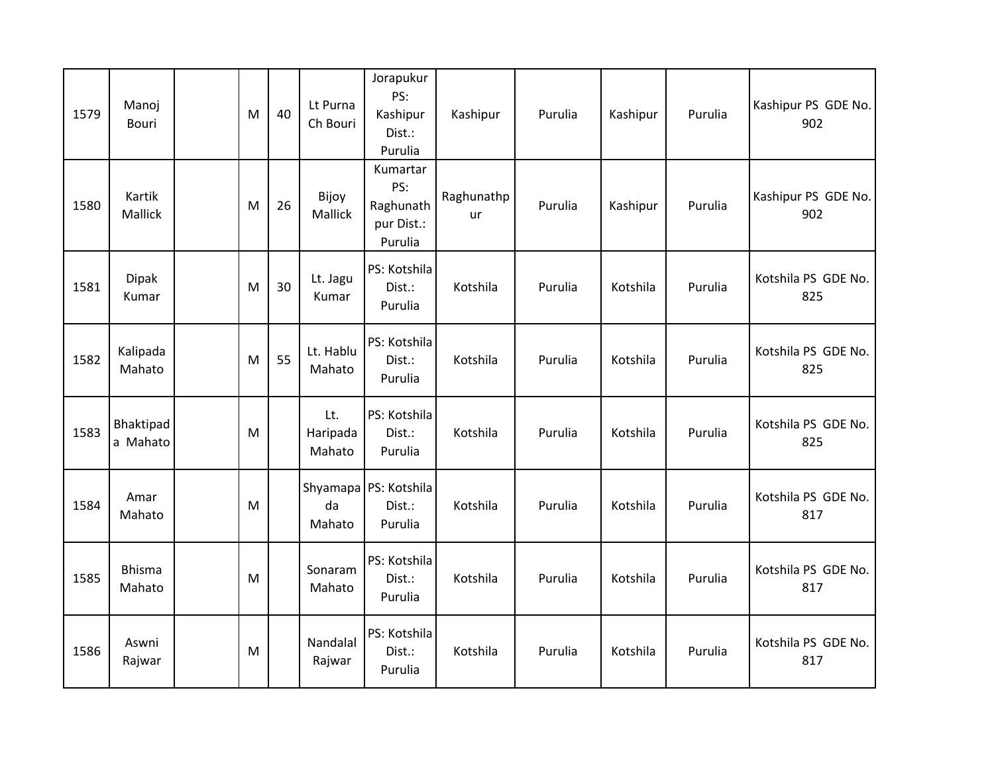| 1579 | Manoj<br>Bouri           | M | 40 | Lt Purna<br>Ch Bouri      | Jorapukur<br>PS:<br>Kashipur<br>Dist.:<br>Purulia     | Kashipur         | Purulia | Kashipur | Purulia | Kashipur PS GDE No.<br>902 |
|------|--------------------------|---|----|---------------------------|-------------------------------------------------------|------------------|---------|----------|---------|----------------------------|
| 1580 | Kartik<br><b>Mallick</b> | M | 26 | Bijoy<br><b>Mallick</b>   | Kumartar<br>PS:<br>Raghunath<br>pur Dist.:<br>Purulia | Raghunathp<br>ur | Purulia | Kashipur | Purulia | Kashipur PS GDE No.<br>902 |
| 1581 | <b>Dipak</b><br>Kumar    | M | 30 | Lt. Jagu<br>Kumar         | PS: Kotshila<br>Dist.:<br>Purulia                     | Kotshila         | Purulia | Kotshila | Purulia | Kotshila PS GDE No.<br>825 |
| 1582 | Kalipada<br>Mahato       | M | 55 | Lt. Hablu<br>Mahato       | PS: Kotshila<br>Dist.:<br>Purulia                     | Kotshila         | Purulia | Kotshila | Purulia | Kotshila PS GDE No.<br>825 |
| 1583 | Bhaktipad<br>a Mahato    | M |    | Lt.<br>Haripada<br>Mahato | PS: Kotshila<br>Dist.:<br>Purulia                     | Kotshila         | Purulia | Kotshila | Purulia | Kotshila PS GDE No.<br>825 |
| 1584 | Amar<br>Mahato           | M |    | da<br>Mahato              | Shyamapa PS: Kotshila<br>Dist.:<br>Purulia            | Kotshila         | Purulia | Kotshila | Purulia | Kotshila PS GDE No.<br>817 |
| 1585 | <b>Bhisma</b><br>Mahato  | M |    | Sonaram<br>Mahato         | PS: Kotshila<br>Dist.:<br>Purulia                     | Kotshila         | Purulia | Kotshila | Purulia | Kotshila PS GDE No.<br>817 |
| 1586 | Aswni<br>Rajwar          | M |    | Nandalal<br>Rajwar        | PS: Kotshila<br>Dist.:<br>Purulia                     | Kotshila         | Purulia | Kotshila | Purulia | Kotshila PS GDE No.<br>817 |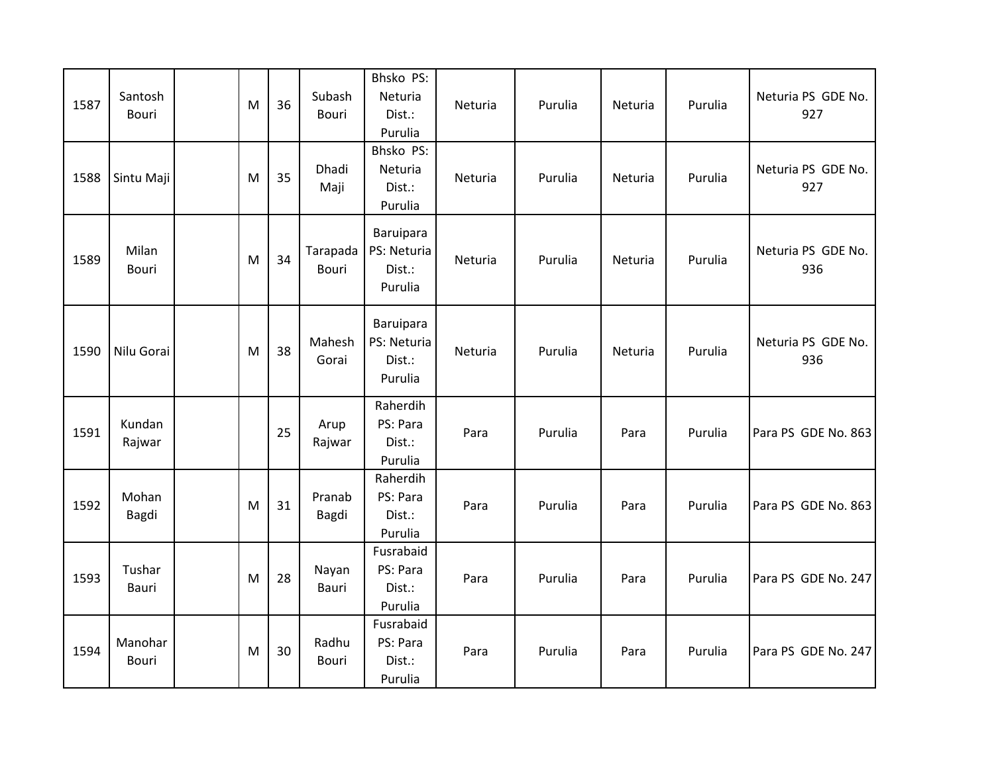| 1587 | Santosh<br>Bouri | M | 36 | Subash<br>Bouri   | Bhsko PS:<br>Neturia<br>Dist.:<br>Purulia     | Neturia | Purulia | Neturia | Purulia | Neturia PS GDE No.<br>927 |
|------|------------------|---|----|-------------------|-----------------------------------------------|---------|---------|---------|---------|---------------------------|
| 1588 | Sintu Maji       | M | 35 | Dhadi<br>Maji     | Bhsko PS:<br>Neturia<br>Dist.:<br>Purulia     | Neturia | Purulia | Neturia | Purulia | Neturia PS GDE No.<br>927 |
| 1589 | Milan<br>Bouri   | M | 34 | Tarapada<br>Bouri | Baruipara<br>PS: Neturia<br>Dist.:<br>Purulia | Neturia | Purulia | Neturia | Purulia | Neturia PS GDE No.<br>936 |
| 1590 | Nilu Gorai       | M | 38 | Mahesh<br>Gorai   | Baruipara<br>PS: Neturia<br>Dist.:<br>Purulia | Neturia | Purulia | Neturia | Purulia | Neturia PS GDE No.<br>936 |
| 1591 | Kundan<br>Rajwar |   | 25 | Arup<br>Rajwar    | Raherdih<br>PS: Para<br>Dist.:<br>Purulia     | Para    | Purulia | Para    | Purulia | Para PS GDE No. 863       |
| 1592 | Mohan<br>Bagdi   | M | 31 | Pranab<br>Bagdi   | Raherdih<br>PS: Para<br>Dist.:<br>Purulia     | Para    | Purulia | Para    | Purulia | Para PS GDE No. 863       |
| 1593 | Tushar<br>Bauri  | M | 28 | Nayan<br>Bauri    | Fusrabaid<br>PS: Para<br>Dist.:<br>Purulia    | Para    | Purulia | Para    | Purulia | Para PS GDE No. 247       |
| 1594 | Manohar<br>Bouri | M | 30 | Radhu<br>Bouri    | Fusrabaid<br>PS: Para<br>Dist.:<br>Purulia    | Para    | Purulia | Para    | Purulia | Para PS GDE No. 247       |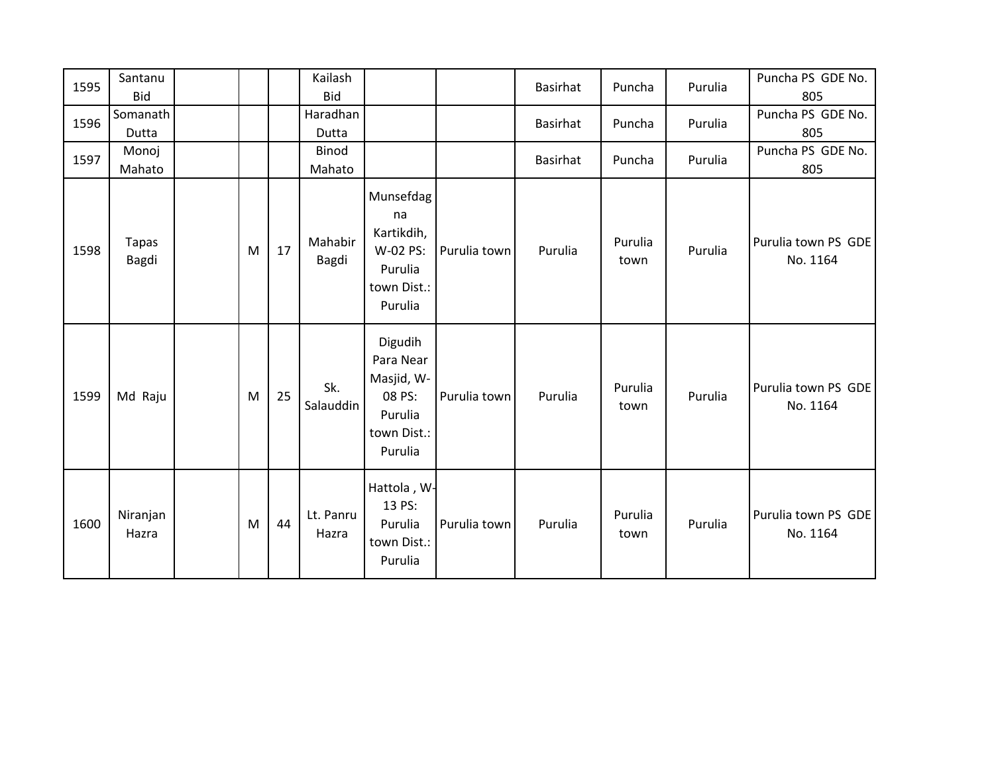| 1595 | Santanu<br><b>Bid</b> |   |    | Kailash<br><b>Bid</b> |                                                                                   |              | Basirhat        | Puncha          | Purulia | Puncha PS GDE No.<br>805        |
|------|-----------------------|---|----|-----------------------|-----------------------------------------------------------------------------------|--------------|-----------------|-----------------|---------|---------------------------------|
| 1596 | Somanath<br>Dutta     |   |    | Haradhan<br>Dutta     |                                                                                   |              | <b>Basirhat</b> | Puncha          | Purulia | Puncha PS GDE No.<br>805        |
| 1597 | Monoj<br>Mahato       |   |    | Binod<br>Mahato       |                                                                                   |              | <b>Basirhat</b> | Puncha          | Purulia | Puncha PS GDE No.<br>805        |
| 1598 | Tapas<br><b>Bagdi</b> | M | 17 | Mahabir<br>Bagdi      | Munsefdag<br>na<br>Kartikdih,<br>W-02 PS:<br>Purulia<br>town Dist.:<br>Purulia    | Purulia town | Purulia         | Purulia<br>town | Purulia | Purulia town PS GDE<br>No. 1164 |
| 1599 | Md Raju               | M | 25 | Sk.<br>Salauddin      | Digudih<br>Para Near<br>Masjid, W-<br>08 PS:<br>Purulia<br>town Dist.:<br>Purulia | Purulia town | Purulia         | Purulia<br>town | Purulia | Purulia town PS GDE<br>No. 1164 |
| 1600 | Niranjan<br>Hazra     | M | 44 | Lt. Panru<br>Hazra    | Hattola, W-<br>13 PS:<br>Purulia<br>town Dist.:<br>Purulia                        | Purulia town | Purulia         | Purulia<br>town | Purulia | Purulia town PS GDE<br>No. 1164 |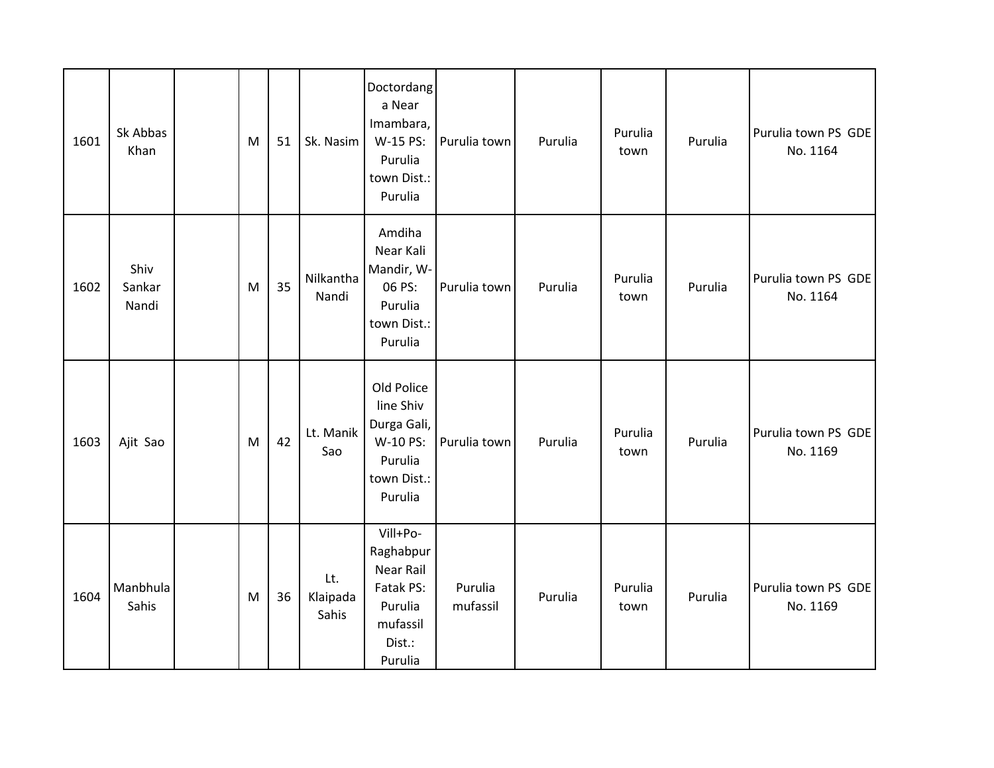| 1601 | Sk Abbas<br>Khan        | M | 51 | Sk. Nasim                | Doctordang<br>a Near<br>Imambara,<br>W-15 PS:<br>Purulia<br>town Dist.:<br>Purulia                 | Purulia town        | Purulia | Purulia<br>town | Purulia | Purulia town PS GDE<br>No. 1164 |
|------|-------------------------|---|----|--------------------------|----------------------------------------------------------------------------------------------------|---------------------|---------|-----------------|---------|---------------------------------|
| 1602 | Shiv<br>Sankar<br>Nandi | M | 35 | Nilkantha<br>Nandi       | Amdiha<br>Near Kali<br>Mandir, W-<br>06 PS:<br>Purulia<br>town Dist.:<br>Purulia                   | Purulia town        | Purulia | Purulia<br>town | Purulia | Purulia town PS GDE<br>No. 1164 |
| 1603 | Ajit Sao                | M | 42 | Lt. Manik<br>Sao         | Old Police<br>line Shiv<br>Durga Gali,<br>W-10 PS:<br>Purulia<br>town Dist.:<br>Purulia            | Purulia town        | Purulia | Purulia<br>town | Purulia | Purulia town PS GDE<br>No. 1169 |
| 1604 | Manbhula<br>Sahis       | M | 36 | Lt.<br>Klaipada<br>Sahis | Vill+Po-<br>Raghabpur<br><b>Near Rail</b><br>Fatak PS:<br>Purulia<br>mufassil<br>Dist.:<br>Purulia | Purulia<br>mufassil | Purulia | Purulia<br>town | Purulia | Purulia town PS GDE<br>No. 1169 |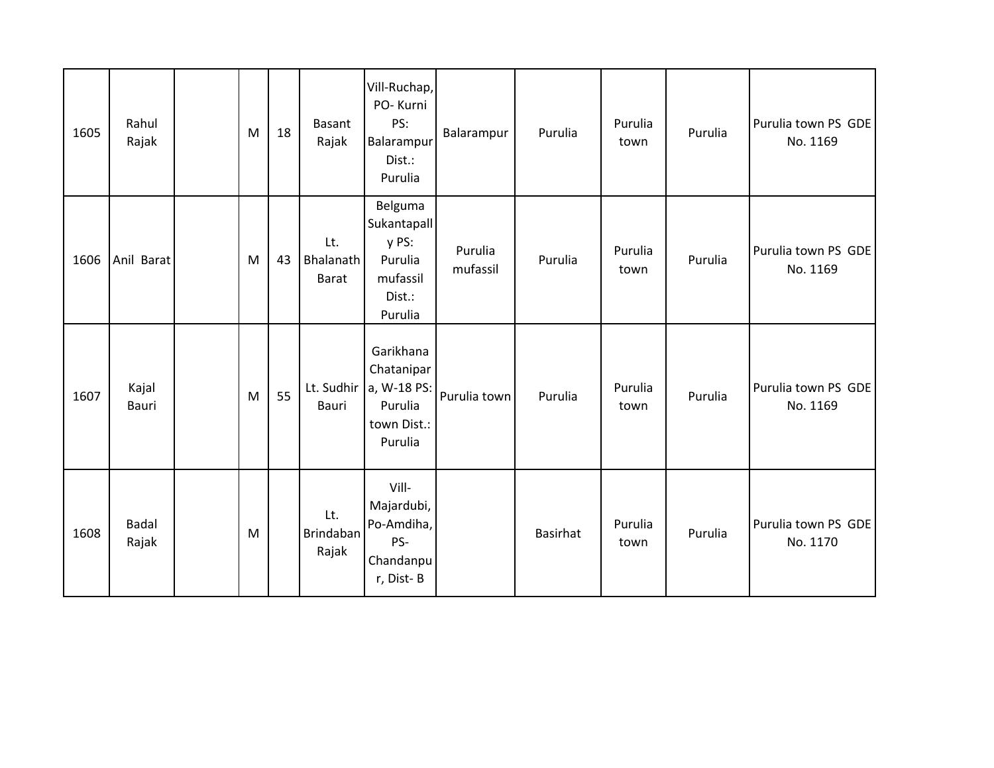| 1605 | Rahul<br>Rajak        | M | 18 | <b>Basant</b><br>Rajak           | Vill-Ruchap,<br>PO-Kurni<br>PS:<br>Balarampur<br>Dist.:<br>Purulia          | Balarampur          | Purulia         | Purulia<br>town | Purulia | Purulia town PS GDE<br>No. 1169 |
|------|-----------------------|---|----|----------------------------------|-----------------------------------------------------------------------------|---------------------|-----------------|-----------------|---------|---------------------------------|
| 1606 | Anil Barat            | M | 43 | Lt.<br>Bhalanath<br><b>Barat</b> | Belguma<br>Sukantapall<br>y PS:<br>Purulia<br>mufassil<br>Dist.:<br>Purulia | Purulia<br>mufassil | Purulia         | Purulia<br>town | Purulia | Purulia town PS GDE<br>No. 1169 |
| 1607 | Kajal<br>Bauri        | M | 55 | Lt. Sudhir<br><b>Bauri</b>       | Garikhana<br>Chatanipar<br>a, W-18 PS:<br>Purulia<br>town Dist.:<br>Purulia | Purulia town        | Purulia         | Purulia<br>town | Purulia | Purulia town PS GDE<br>No. 1169 |
| 1608 | <b>Badal</b><br>Rajak | M |    | Lt.<br>Brindaban<br>Rajak        | Vill-<br>Majardubi,<br>Po-Amdiha,<br>PS-<br>Chandanpu<br>r, Dist-B          |                     | <b>Basirhat</b> | Purulia<br>town | Purulia | Purulia town PS GDE<br>No. 1170 |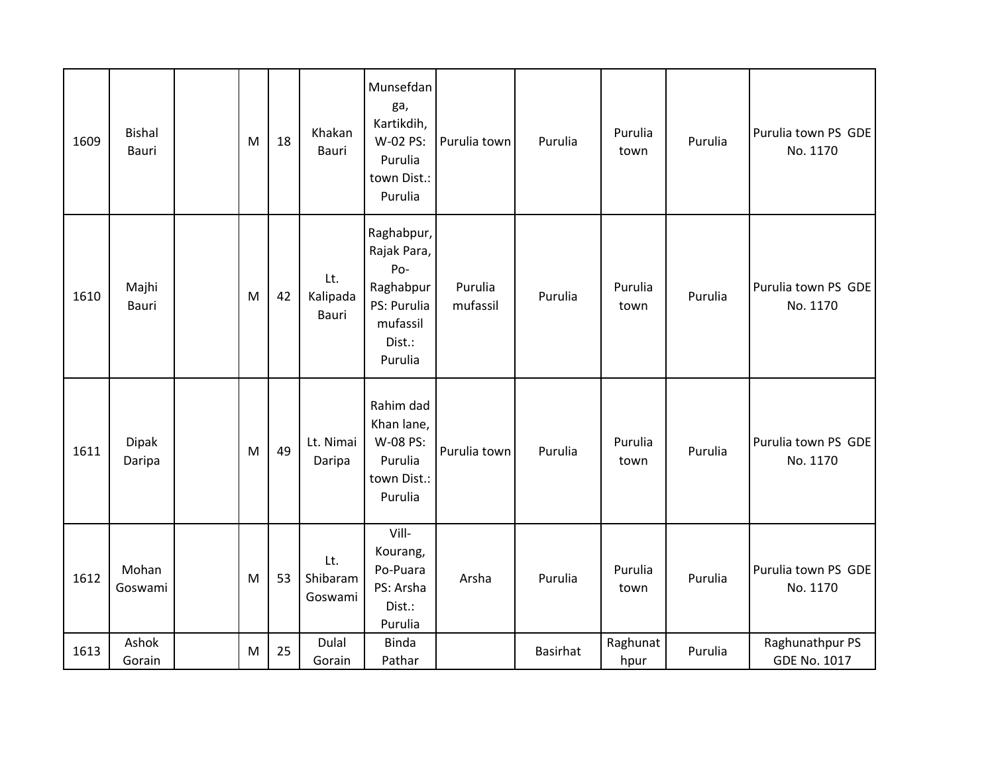| 1609 | <b>Bishal</b><br>Bauri | M | 18 | Khakan<br>Bauri            | Munsefdan<br>ga,<br>Kartikdih,<br>W-02 PS:<br>Purulia<br>town Dist.:<br>Purulia               | Purulia town        | Purulia         | Purulia<br>town  | Purulia | Purulia town PS GDE<br>No. 1170        |
|------|------------------------|---|----|----------------------------|-----------------------------------------------------------------------------------------------|---------------------|-----------------|------------------|---------|----------------------------------------|
| 1610 | Majhi<br>Bauri         | M | 42 | Lt.<br>Kalipada<br>Bauri   | Raghabpur,<br>Rajak Para,<br>Po-<br>Raghabpur<br>PS: Purulia<br>mufassil<br>Dist.:<br>Purulia | Purulia<br>mufassil | Purulia         | Purulia<br>town  | Purulia | Purulia town PS GDE<br>No. 1170        |
| 1611 | Dipak<br>Daripa        | M | 49 | Lt. Nimai<br>Daripa        | Rahim dad<br>Khan lane,<br>W-08 PS:<br>Purulia<br>town Dist.:<br>Purulia                      | Purulia town        | Purulia         | Purulia<br>town  | Purulia | Purulia town PS GDE<br>No. 1170        |
| 1612 | Mohan<br>Goswami       | M | 53 | Lt.<br>Shibaram<br>Goswami | Vill-<br>Kourang,<br>Po-Puara<br>PS: Arsha<br>Dist.:<br>Purulia                               | Arsha               | Purulia         | Purulia<br>town  | Purulia | Purulia town PS GDE<br>No. 1170        |
| 1613 | Ashok<br>Gorain        | M | 25 | Dulal<br>Gorain            | <b>Binda</b><br>Pathar                                                                        |                     | <b>Basirhat</b> | Raghunat<br>hpur | Purulia | Raghunathpur PS<br><b>GDE No. 1017</b> |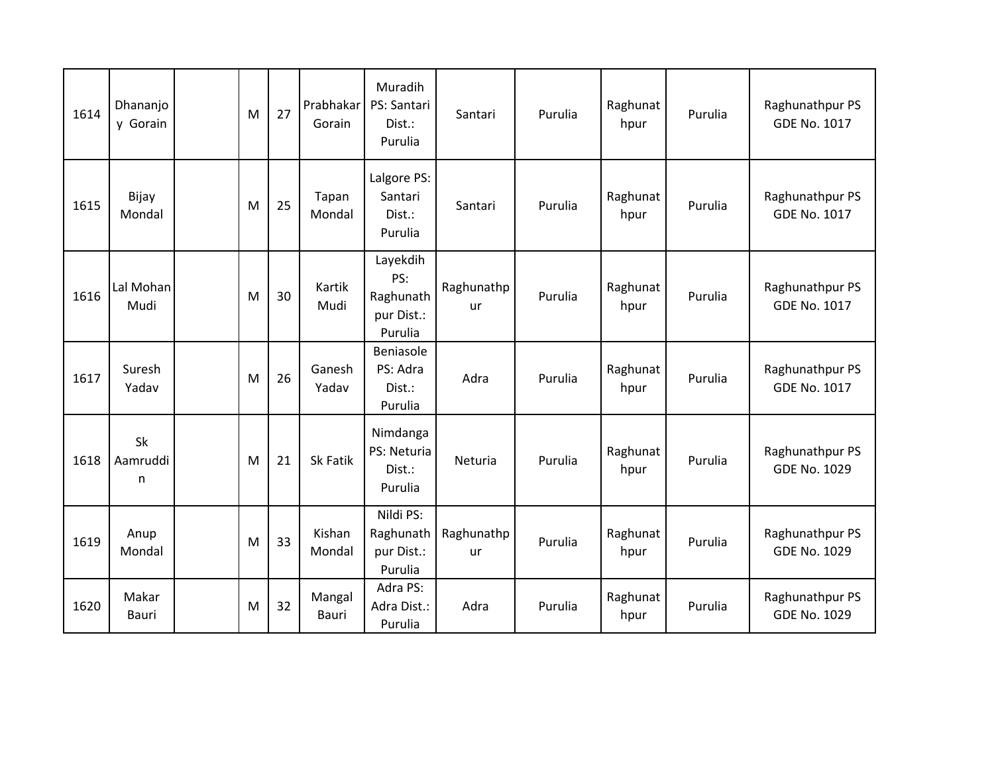| 1614 | Dhananjo<br>y Gorain | M | 27 | Prabhakar<br>Gorain | Muradih<br>PS: Santari<br>Dist.:<br>Purulia           | Santari          | Purulia | Raghunat<br>hpur | Purulia | Raghunathpur PS<br><b>GDE No. 1017</b> |
|------|----------------------|---|----|---------------------|-------------------------------------------------------|------------------|---------|------------------|---------|----------------------------------------|
| 1615 | Bijay<br>Mondal      | M | 25 | Tapan<br>Mondal     | Lalgore PS:<br>Santari<br>Dist.:<br>Purulia           | Santari          | Purulia | Raghunat<br>hpur | Purulia | Raghunathpur PS<br><b>GDE No. 1017</b> |
| 1616 | Lal Mohan<br>Mudi    | M | 30 | Kartik<br>Mudi      | Layekdih<br>PS:<br>Raghunath<br>pur Dist.:<br>Purulia | Raghunathp<br>ur | Purulia | Raghunat<br>hpur | Purulia | Raghunathpur PS<br><b>GDE No. 1017</b> |
| 1617 | Suresh<br>Yadav      | M | 26 | Ganesh<br>Yadav     | Beniasole<br>PS: Adra<br>Dist.:<br>Purulia            | Adra             | Purulia | Raghunat<br>hpur | Purulia | Raghunathpur PS<br><b>GDE No. 1017</b> |
| 1618 | Sk<br>Aamruddi<br>n  | M | 21 | Sk Fatik            | Nimdanga<br>PS: Neturia<br>Dist.:<br>Purulia          | Neturia          | Purulia | Raghunat<br>hpur | Purulia | Raghunathpur PS<br><b>GDE No. 1029</b> |
| 1619 | Anup<br>Mondal       | M | 33 | Kishan<br>Mondal    | Nildi PS:<br>Raghunath<br>pur Dist.:<br>Purulia       | Raghunathp<br>ur | Purulia | Raghunat<br>hpur | Purulia | Raghunathpur PS<br><b>GDE No. 1029</b> |
| 1620 | Makar<br>Bauri       | M | 32 | Mangal<br>Bauri     | Adra PS:<br>Adra Dist.:<br>Purulia                    | Adra             | Purulia | Raghunat<br>hpur | Purulia | Raghunathpur PS<br><b>GDE No. 1029</b> |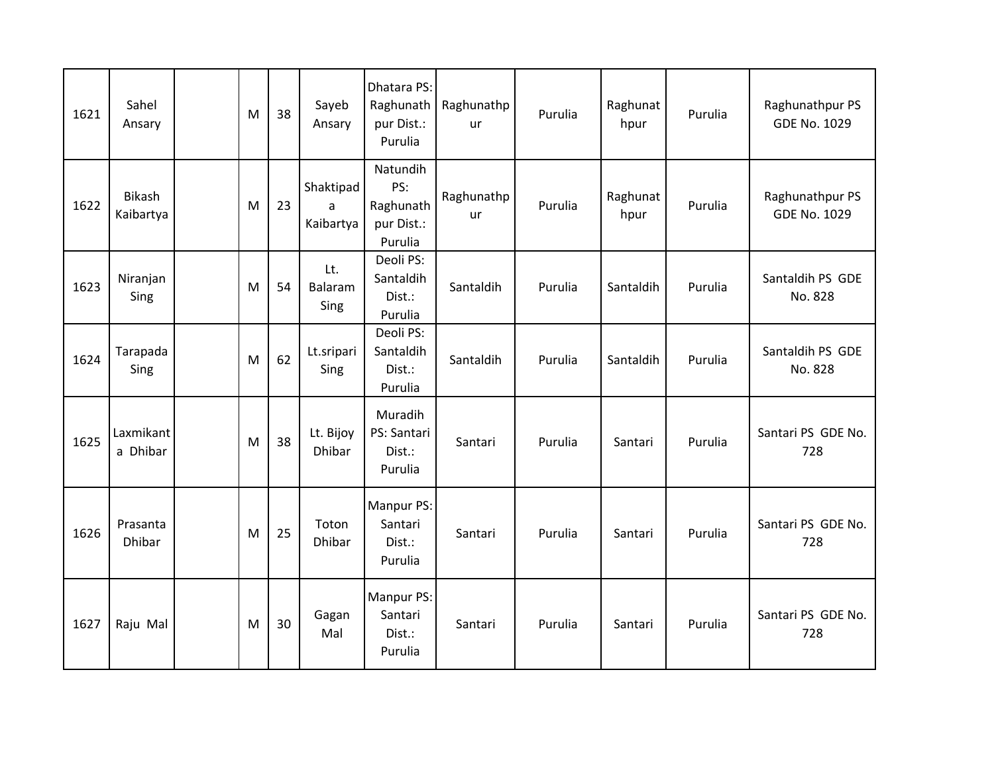| 1621 | Sahel<br>Ansary       | M | 38 | Sayeb<br>Ansary             | Dhatara PS:<br>Raghunath<br>pur Dist.:<br>Purulia     | Raghunathp<br>ur        | Purulia | Raghunat<br>hpur | Purulia | Raghunathpur PS<br>GDE No. 1029        |
|------|-----------------------|---|----|-----------------------------|-------------------------------------------------------|-------------------------|---------|------------------|---------|----------------------------------------|
| 1622 | Bikash<br>Kaibartya   | M | 23 | Shaktipad<br>a<br>Kaibartya | Natundih<br>PS:<br>Raghunath<br>pur Dist.:<br>Purulia | Raghunathp<br><b>ur</b> | Purulia | Raghunat<br>hpur | Purulia | Raghunathpur PS<br><b>GDE No. 1029</b> |
| 1623 | Niranjan<br>Sing      | M | 54 | Lt.<br>Balaram<br>Sing      | Deoli PS:<br>Santaldih<br>Dist.:<br>Purulia           | Santaldih               | Purulia | Santaldih        | Purulia | Santaldih PS GDE<br>No. 828            |
| 1624 | Tarapada<br>Sing      | M | 62 | Lt.sripari<br>Sing          | Deoli PS:<br>Santaldih<br>Dist.:<br>Purulia           | Santaldih               | Purulia | Santaldih        | Purulia | Santaldih PS GDE<br>No. 828            |
| 1625 | Laxmikant<br>a Dhibar | M | 38 | Lt. Bijoy<br><b>Dhibar</b>  | Muradih<br>PS: Santari<br>Dist.:<br>Purulia           | Santari                 | Purulia | Santari          | Purulia | Santari PS GDE No.<br>728              |
| 1626 | Prasanta<br>Dhibar    | M | 25 | Toton<br><b>Dhibar</b>      | Manpur PS:<br>Santari<br>Dist.:<br>Purulia            | Santari                 | Purulia | Santari          | Purulia | Santari PS GDE No.<br>728              |
| 1627 | Raju Mal              | M | 30 | Gagan<br>Mal                | Manpur PS:<br>Santari<br>Dist.:<br>Purulia            | Santari                 | Purulia | Santari          | Purulia | Santari PS GDE No.<br>728              |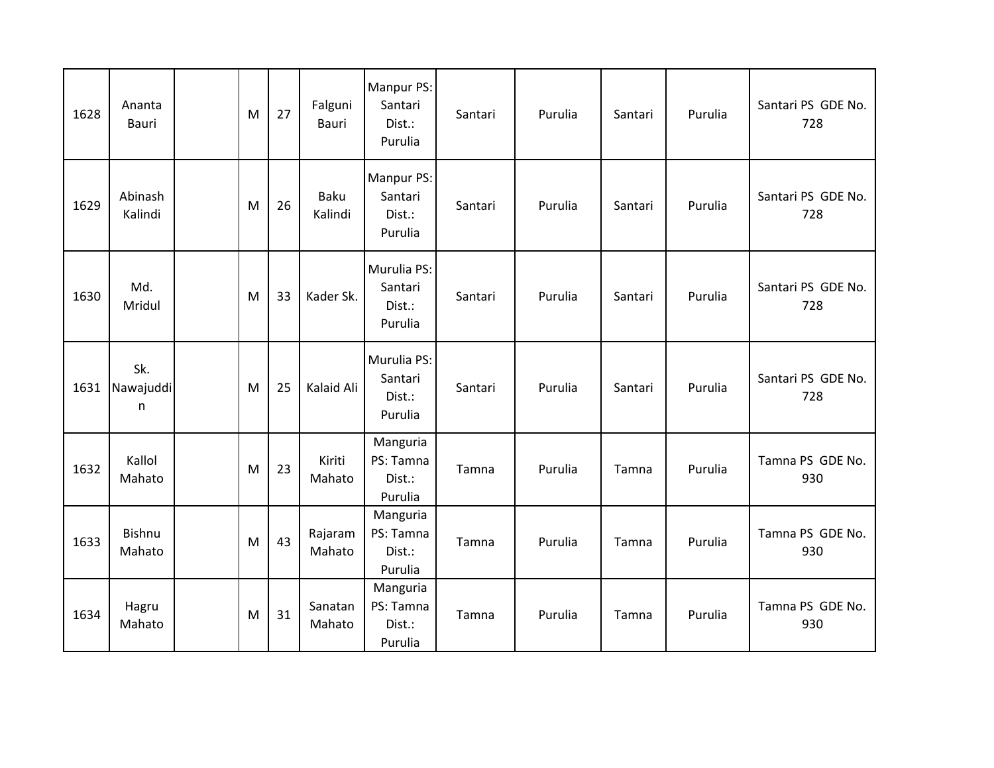| 1628 | Ananta<br>Bauri         | M | 27 | Falguni<br>Bauri       | Manpur PS:<br>Santari<br>Dist.:<br>Purulia  | Santari | Purulia | Santari | Purulia | Santari PS GDE No.<br>728 |
|------|-------------------------|---|----|------------------------|---------------------------------------------|---------|---------|---------|---------|---------------------------|
| 1629 | Abinash<br>Kalindi      | M | 26 | <b>Baku</b><br>Kalindi | Manpur PS:<br>Santari<br>Dist.:<br>Purulia  | Santari | Purulia | Santari | Purulia | Santari PS GDE No.<br>728 |
| 1630 | Md.<br>Mridul           | M | 33 | Kader Sk.              | Murulia PS:<br>Santari<br>Dist.:<br>Purulia | Santari | Purulia | Santari | Purulia | Santari PS GDE No.<br>728 |
| 1631 | Sk.<br>Nawajuddi<br>n   | M | 25 | Kalaid Ali             | Murulia PS:<br>Santari<br>Dist.:<br>Purulia | Santari | Purulia | Santari | Purulia | Santari PS GDE No.<br>728 |
| 1632 | Kallol<br>Mahato        | M | 23 | Kiriti<br>Mahato       | Manguria<br>PS: Tamna<br>Dist.:<br>Purulia  | Tamna   | Purulia | Tamna   | Purulia | Tamna PS GDE No.<br>930   |
| 1633 | <b>Bishnu</b><br>Mahato | M | 43 | Rajaram<br>Mahato      | Manguria<br>PS: Tamna<br>Dist.:<br>Purulia  | Tamna   | Purulia | Tamna   | Purulia | Tamna PS GDE No.<br>930   |
| 1634 | Hagru<br>Mahato         | M | 31 | Sanatan<br>Mahato      | Manguria<br>PS: Tamna<br>Dist.:<br>Purulia  | Tamna   | Purulia | Tamna   | Purulia | Tamna PS GDE No.<br>930   |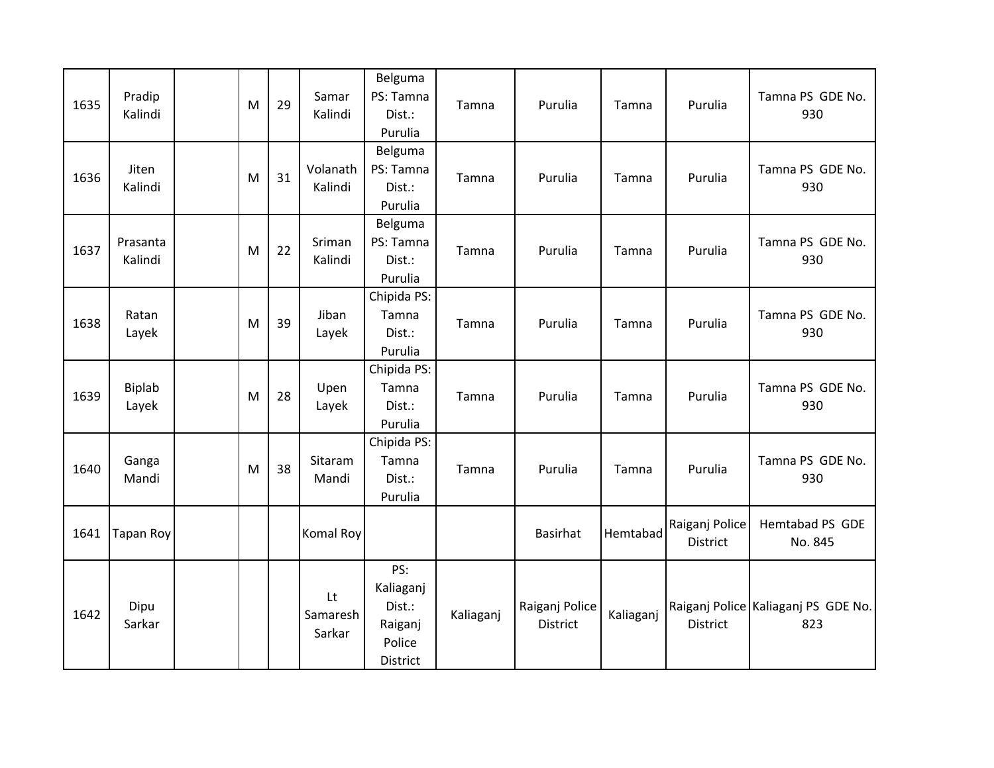| 1635 | Pradip<br>Kalindi   | M | 29 | Samar<br>Kalindi         | Belguma<br>PS: Tamna<br>Dist.:<br>Purulia                   | Tamna     | Purulia                           | Tamna     | Purulia                    | Tamna PS GDE No.<br>930                    |
|------|---------------------|---|----|--------------------------|-------------------------------------------------------------|-----------|-----------------------------------|-----------|----------------------------|--------------------------------------------|
| 1636 | Jiten<br>Kalindi    | M | 31 | Volanath<br>Kalindi      | Belguma<br>PS: Tamna<br>Dist.:<br>Purulia                   | Tamna     | Purulia                           | Tamna     | Purulia                    | Tamna PS GDE No.<br>930                    |
| 1637 | Prasanta<br>Kalindi | M | 22 | Sriman<br>Kalindi        | Belguma<br>PS: Tamna<br>Dist.:<br>Purulia                   | Tamna     | Purulia                           | Tamna     | Purulia                    | Tamna PS GDE No.<br>930                    |
| 1638 | Ratan<br>Layek      | M | 39 | Jiban<br>Layek           | Chipida PS:<br>Tamna<br>Dist.:<br>Purulia                   | Tamna     | Purulia                           | Tamna     | Purulia                    | Tamna PS GDE No.<br>930                    |
| 1639 | Biplab<br>Layek     | M | 28 | Upen<br>Layek            | Chipida PS:<br>Tamna<br>Dist.:<br>Purulia                   | Tamna     | Purulia                           | Tamna     | Purulia                    | Tamna PS GDE No.<br>930                    |
| 1640 | Ganga<br>Mandi      | M | 38 | Sitaram<br>Mandi         | Chipida PS:<br>Tamna<br>Dist.:<br>Purulia                   | Tamna     | Purulia                           | Tamna     | Purulia                    | Tamna PS GDE No.<br>930                    |
| 1641 | <b>Tapan Roy</b>    |   |    | Komal Roy                |                                                             |           | <b>Basirhat</b>                   | Hemtabad  | Raiganj Police<br>District | Hemtabad PS GDE<br>No. 845                 |
| 1642 | Dipu<br>Sarkar      |   |    | Lt<br>Samaresh<br>Sarkar | PS:<br>Kaliaganj<br>Dist.:<br>Raiganj<br>Police<br>District | Kaliaganj | Raiganj Police<br><b>District</b> | Kaliaganj | <b>District</b>            | Raiganj Police Kaliaganj PS GDE No.<br>823 |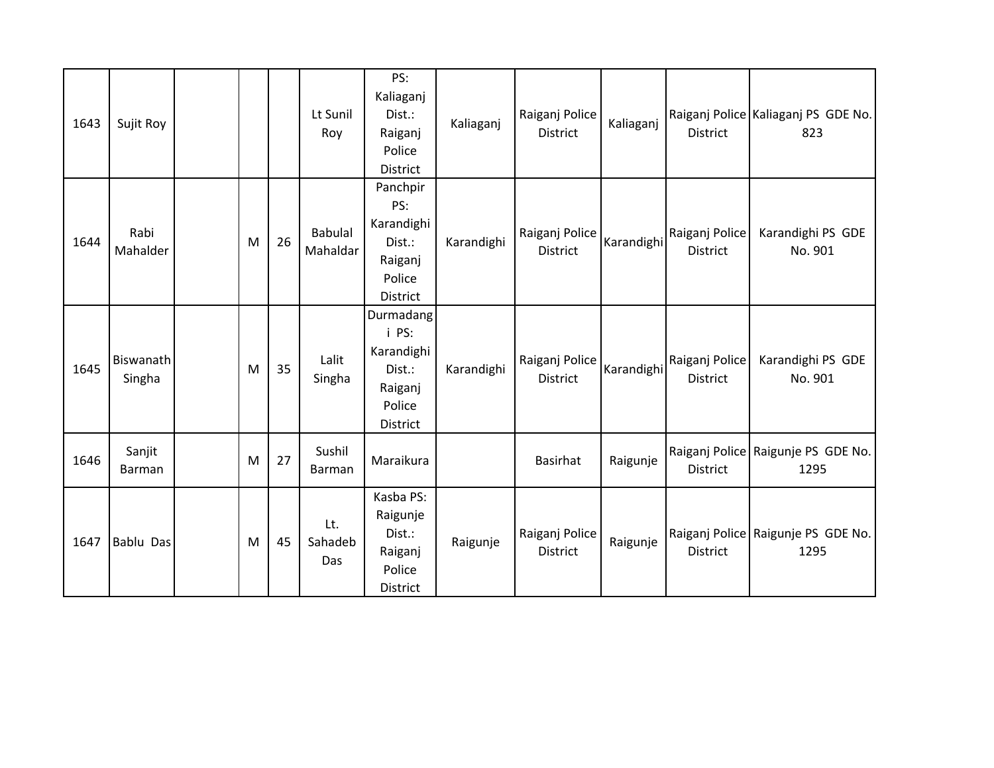| 1643 | Sujit Roy               |   |    | Lt Sunil<br>Roy            | PS:<br>Kaliaganj<br>Dist.:<br>Raiganj<br>Police<br><b>District</b>          | Kaliaganj  | Raiganj Police<br><b>District</b> | Kaliaganj  | <b>District</b>                   | Raiganj Police Kaliaganj PS GDE No.<br>823 |
|------|-------------------------|---|----|----------------------------|-----------------------------------------------------------------------------|------------|-----------------------------------|------------|-----------------------------------|--------------------------------------------|
| 1644 | Rabi<br>Mahalder        | M | 26 | <b>Babulal</b><br>Mahaldar | Panchpir<br>PS:<br>Karandighi<br>Dist.:<br>Raiganj<br>Police<br>District    | Karandighi | Raiganj Police<br><b>District</b> | Karandighi | Raiganj Police<br><b>District</b> | Karandighi PS GDE<br>No. 901               |
| 1645 | Biswanath<br>Singha     | M | 35 | Lalit<br>Singha            | Durmadang<br>i PS:<br>Karandighi<br>Dist.:<br>Raiganj<br>Police<br>District | Karandighi | Raiganj Police<br><b>District</b> | Karandighi | Raiganj Police<br><b>District</b> | Karandighi PS GDE<br>No. 901               |
| 1646 | Sanjit<br><b>Barman</b> | M | 27 | Sushil<br><b>Barman</b>    | Maraikura                                                                   |            | Basirhat                          | Raigunje   | <b>District</b>                   | Raiganj Police Raigunje PS GDE No.<br>1295 |
| 1647 | Bablu Das               | M | 45 | Lt.<br>Sahadeb<br>Das      | Kasba PS:<br>Raigunje<br>Dist.:<br>Raiganj<br>Police<br>District            | Raigunje   | Raiganj Police<br><b>District</b> | Raigunje   | <b>District</b>                   | Raiganj Police Raigunje PS GDE No.<br>1295 |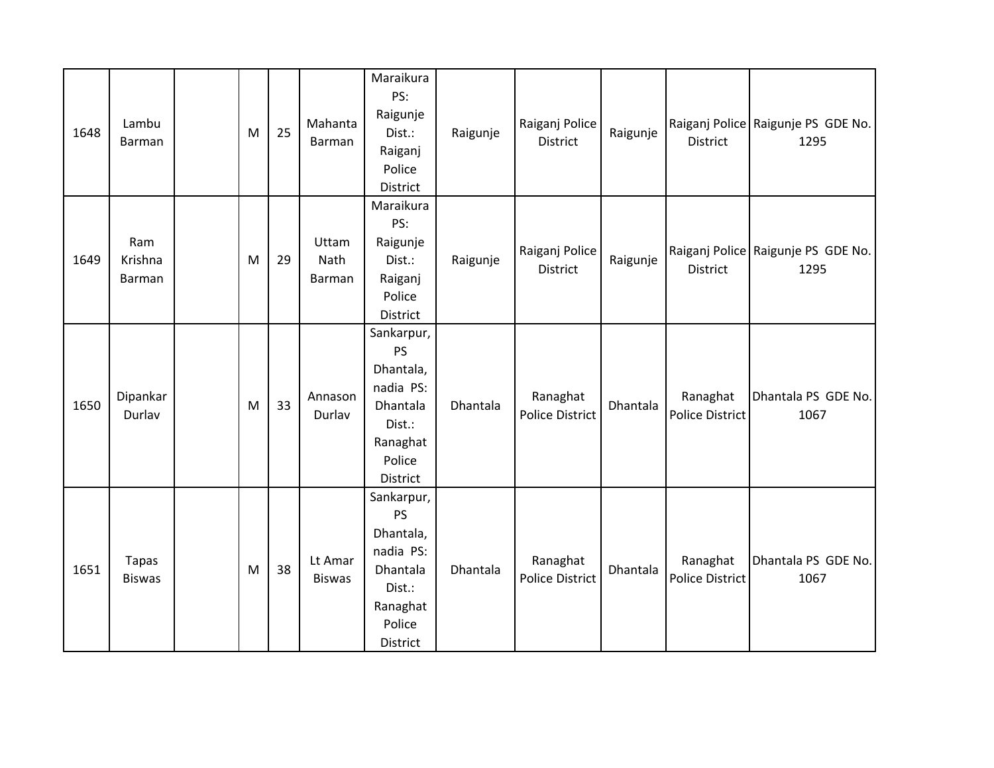| 1648 | Lambu<br>Barman               | M | 25 | Mahanta<br>Barman        | Maraikura<br>PS:<br>Raigunje<br>Dist.:<br>Raiganj<br>Police<br>District                                   | Raigunje | Raiganj Police<br><b>District</b>  | Raigunje | <b>District</b>                    | Raiganj Police Raigunje PS GDE No.<br>1295 |
|------|-------------------------------|---|----|--------------------------|-----------------------------------------------------------------------------------------------------------|----------|------------------------------------|----------|------------------------------------|--------------------------------------------|
| 1649 | Ram<br>Krishna<br>Barman      | M | 29 | Uttam<br>Nath<br>Barman  | Maraikura<br>PS:<br>Raigunje<br>Dist.:<br>Raiganj<br>Police<br>District                                   | Raigunje | Raiganj Police<br>District         | Raigunje | District                           | Raiganj Police Raigunje PS GDE No.<br>1295 |
| 1650 | Dipankar<br>Durlav            | M | 33 | Annason<br>Durlav        | Sankarpur,<br><b>PS</b><br>Dhantala,<br>nadia PS:<br>Dhantala<br>Dist.:<br>Ranaghat<br>Police<br>District | Dhantala | Ranaghat<br><b>Police District</b> | Dhantala | Ranaghat<br><b>Police District</b> | Dhantala PS GDE No.<br>1067                |
| 1651 | <b>Tapas</b><br><b>Biswas</b> | M | 38 | Lt Amar<br><b>Biswas</b> | Sankarpur,<br><b>PS</b><br>Dhantala,<br>nadia PS:<br>Dhantala<br>Dist.:<br>Ranaghat<br>Police<br>District | Dhantala | Ranaghat<br><b>Police District</b> | Dhantala | Ranaghat<br><b>Police District</b> | Dhantala PS GDE No.<br>1067                |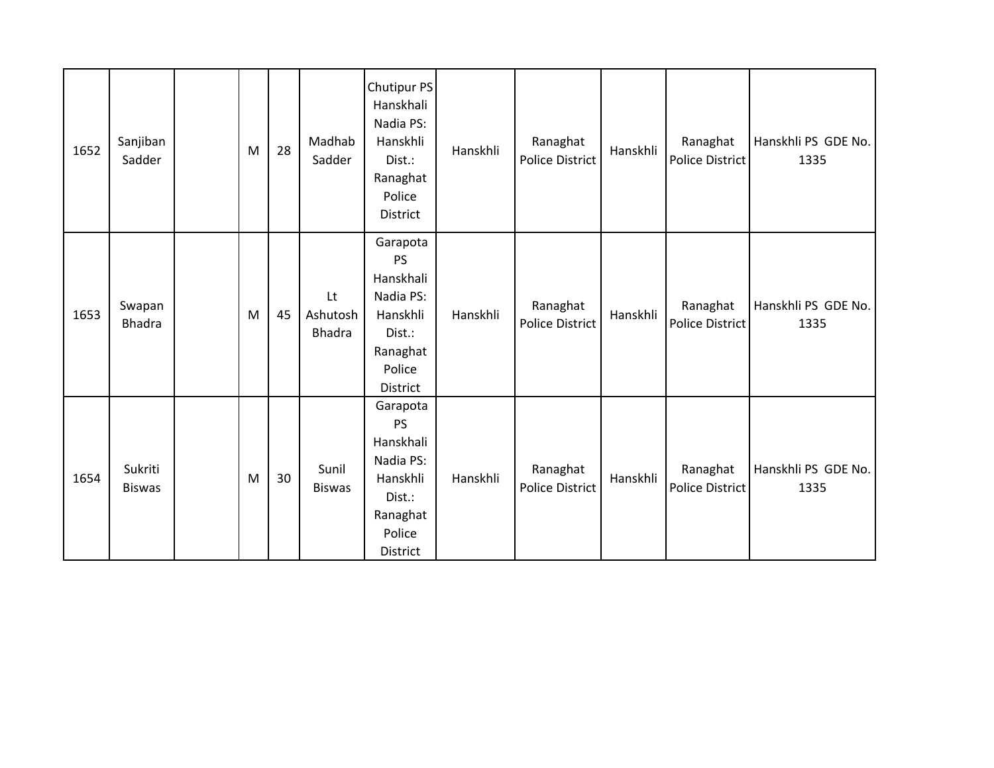| 1652 | Sanjiban<br>Sadder       | M | 28 | Madhab<br>Sadder                | Chutipur PS<br>Hanskhali<br>Nadia PS:<br>Hanskhli<br>Dist.:<br>Ranaghat<br>Police<br>District           | Hanskhli | Ranaghat<br><b>Police District</b> | Hanskhli | Ranaghat<br><b>Police District</b> | Hanskhli PS GDE No.<br>1335 |
|------|--------------------------|---|----|---------------------------------|---------------------------------------------------------------------------------------------------------|----------|------------------------------------|----------|------------------------------------|-----------------------------|
| 1653 | Swapan<br><b>Bhadra</b>  | M | 45 | Lt<br>Ashutosh<br><b>Bhadra</b> | Garapota<br><b>PS</b><br>Hanskhali<br>Nadia PS:<br>Hanskhli<br>Dist.:<br>Ranaghat<br>Police<br>District | Hanskhli | Ranaghat<br><b>Police District</b> | Hanskhli | Ranaghat<br>Police District        | Hanskhli PS GDE No.<br>1335 |
| 1654 | Sukriti<br><b>Biswas</b> | M | 30 | Sunil<br><b>Biswas</b>          | Garapota<br><b>PS</b><br>Hanskhali<br>Nadia PS:<br>Hanskhli<br>Dist.:<br>Ranaghat<br>Police<br>District | Hanskhli | Ranaghat<br><b>Police District</b> | Hanskhli | Ranaghat<br>Police District        | Hanskhli PS GDE No.<br>1335 |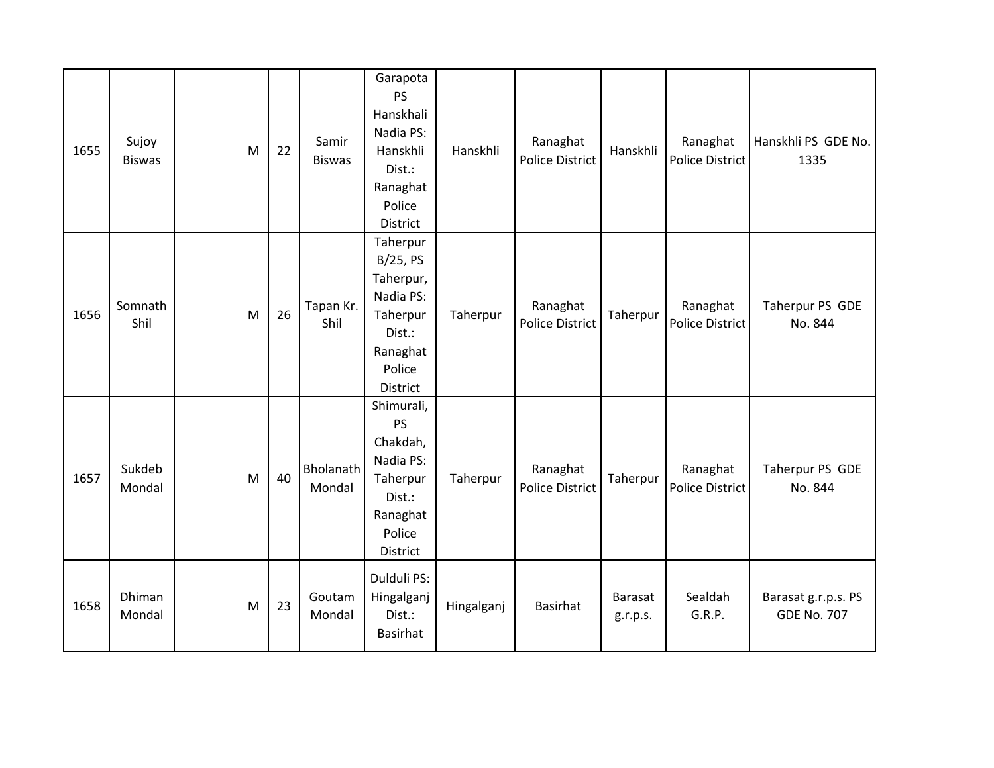| 1655 | Sujoy<br><b>Biswas</b> | M | 22 | Samir<br><b>Biswas</b> | Garapota<br><b>PS</b><br>Hanskhali<br>Nadia PS:<br>Hanskhli<br>Dist.:<br>Ranaghat<br>Police<br>District  | Hanskhli   | Ranaghat<br><b>Police District</b> | Hanskhli            | Ranaghat<br><b>Police District</b> | Hanskhli PS GDE No.<br>1335               |
|------|------------------------|---|----|------------------------|----------------------------------------------------------------------------------------------------------|------------|------------------------------------|---------------------|------------------------------------|-------------------------------------------|
| 1656 | Somnath<br>Shil        | M | 26 | Tapan Kr.<br>Shil      | Taherpur<br>B/25, PS<br>Taherpur,<br>Nadia PS:<br>Taherpur<br>Dist.:<br>Ranaghat<br>Police<br>District   | Taherpur   | Ranaghat<br><b>Police District</b> | Taherpur            | Ranaghat<br>Police District        | Taherpur PS GDE<br>No. 844                |
| 1657 | Sukdeb<br>Mondal       | M | 40 | Bholanath<br>Mondal    | Shimurali,<br><b>PS</b><br>Chakdah,<br>Nadia PS:<br>Taherpur<br>Dist.:<br>Ranaghat<br>Police<br>District | Taherpur   | Ranaghat<br><b>Police District</b> | Taherpur            | Ranaghat<br>Police District        | Taherpur PS GDE<br>No. 844                |
| 1658 | Dhiman<br>Mondal       | M | 23 | Goutam<br>Mondal       | Dulduli PS:<br>Hingalganj<br>Dist.:<br><b>Basirhat</b>                                                   | Hingalganj | <b>Basirhat</b>                    | Barasat<br>g.r.p.s. | Sealdah<br>G.R.P.                  | Barasat g.r.p.s. PS<br><b>GDE No. 707</b> |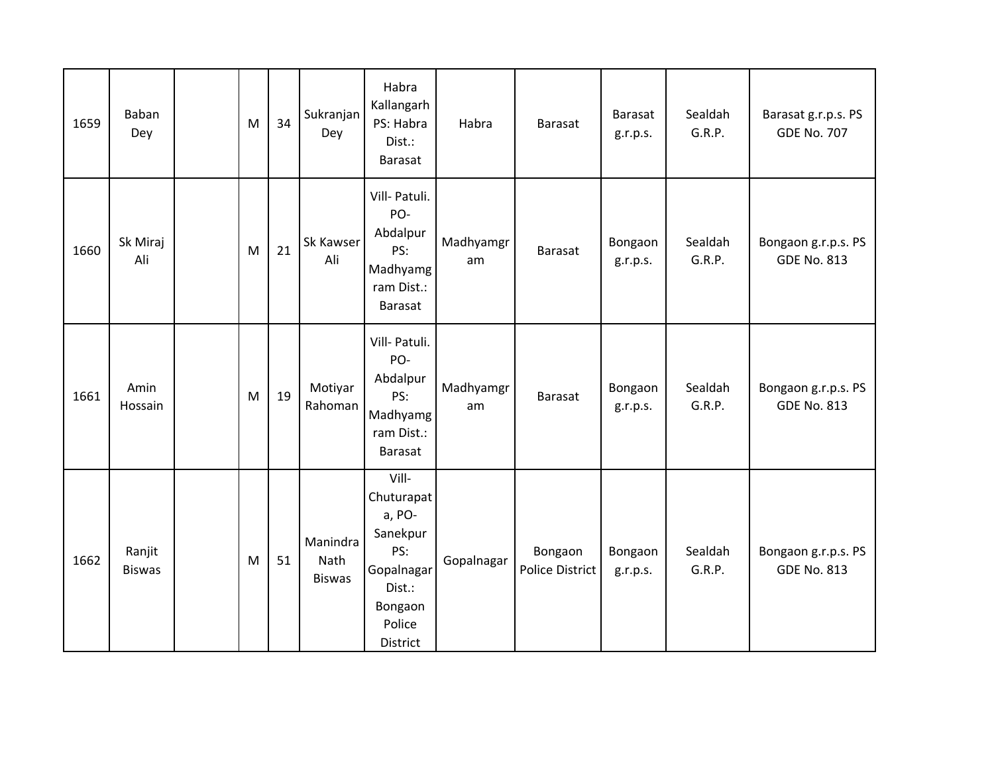| 1659 | Baban<br>Dey            | M | 34 | Sukranjan<br>Dey                  | Habra<br>Kallangarh<br>PS: Habra<br>Dist.:<br><b>Barasat</b>                                              | Habra           | <b>Barasat</b>                    | <b>Barasat</b><br>g.r.p.s. | Sealdah<br>G.R.P. | Barasat g.r.p.s. PS<br><b>GDE No. 707</b> |
|------|-------------------------|---|----|-----------------------------------|-----------------------------------------------------------------------------------------------------------|-----------------|-----------------------------------|----------------------------|-------------------|-------------------------------------------|
| 1660 | Sk Miraj<br>Ali         | M | 21 | <b>Sk Kawser</b><br>Ali           | Vill- Patuli.<br>PO-<br>Abdalpur<br>PS:<br>Madhyamg<br>ram Dist.:<br>Barasat                              | Madhyamgr<br>am | <b>Barasat</b>                    | Bongaon<br>g.r.p.s.        | Sealdah<br>G.R.P. | Bongaon g.r.p.s. PS<br><b>GDE No. 813</b> |
| 1661 | Amin<br>Hossain         | M | 19 | Motiyar<br>Rahoman                | Vill- Patuli.<br>PO-<br>Abdalpur<br>PS:<br>Madhyamg<br>ram Dist.:<br>Barasat                              | Madhyamgr<br>am | <b>Barasat</b>                    | Bongaon<br>g.r.p.s.        | Sealdah<br>G.R.P. | Bongaon g.r.p.s. PS<br><b>GDE No. 813</b> |
| 1662 | Ranjit<br><b>Biswas</b> | M | 51 | Manindra<br>Nath<br><b>Biswas</b> | Vill-<br>Chuturapat<br>a, PO-<br>Sanekpur<br>PS:<br>Gopalnagar<br>Dist.:<br>Bongaon<br>Police<br>District | Gopalnagar      | Bongaon<br><b>Police District</b> | Bongaon<br>g.r.p.s.        | Sealdah<br>G.R.P. | Bongaon g.r.p.s. PS<br><b>GDE No. 813</b> |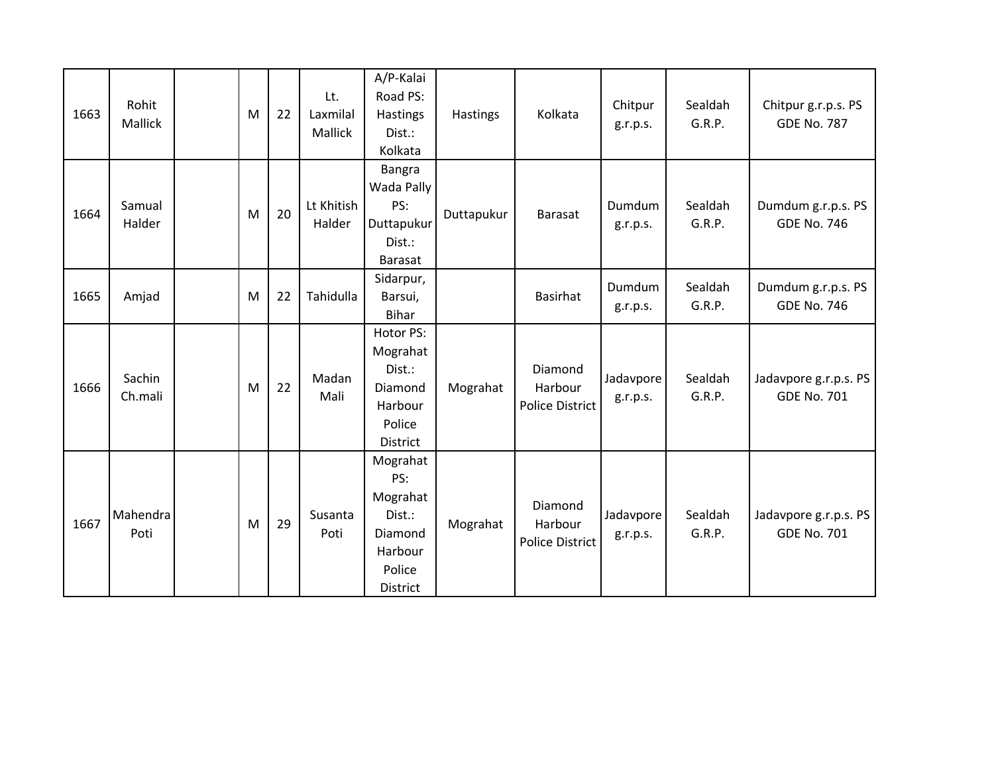| 1663 | Rohit<br><b>Mallick</b> | M | 22 | Lt.<br>Laxmilal<br>Mallick | A/P-Kalai<br>Road PS:<br>Hastings<br>Dist.:<br>Kolkata                             | <b>Hastings</b> | Kolkata                                      | Chitpur<br>g.r.p.s.   | Sealdah<br>G.R.P. | Chitpur g.r.p.s. PS<br><b>GDE No. 787</b>   |
|------|-------------------------|---|----|----------------------------|------------------------------------------------------------------------------------|-----------------|----------------------------------------------|-----------------------|-------------------|---------------------------------------------|
| 1664 | Samual<br>Halder        | M | 20 | Lt Khitish<br>Halder       | Bangra<br>Wada Pally<br>PS:<br>Duttapukur<br>Dist.:<br><b>Barasat</b>              | Duttapukur      | <b>Barasat</b>                               | Dumdum<br>g.r.p.s.    | Sealdah<br>G.R.P. | Dumdum g.r.p.s. PS<br><b>GDE No. 746</b>    |
| 1665 | Amjad                   | M | 22 | Tahidulla                  | Sidarpur,<br>Barsui,<br><b>Bihar</b>                                               |                 | <b>Basirhat</b>                              | Dumdum<br>g.r.p.s.    | Sealdah<br>G.R.P. | Dumdum g.r.p.s. PS<br><b>GDE No. 746</b>    |
| 1666 | Sachin<br>Ch.mali       | M | 22 | Madan<br>Mali              | Hotor PS:<br>Mograhat<br>Dist.:<br>Diamond<br>Harbour<br>Police<br><b>District</b> | Mograhat        | Diamond<br>Harbour<br><b>Police District</b> | Jadavpore<br>g.r.p.s. | Sealdah<br>G.R.P. | Jadavpore g.r.p.s. PS<br><b>GDE No. 701</b> |
| 1667 | Mahendra<br>Poti        | M | 29 | Susanta<br>Poti            | Mograhat<br>PS:<br>Mograhat<br>Dist.:<br>Diamond<br>Harbour<br>Police<br>District  | Mograhat        | Diamond<br>Harbour<br><b>Police District</b> | Jadavpore<br>g.r.p.s. | Sealdah<br>G.R.P. | Jadavpore g.r.p.s. PS<br><b>GDE No. 701</b> |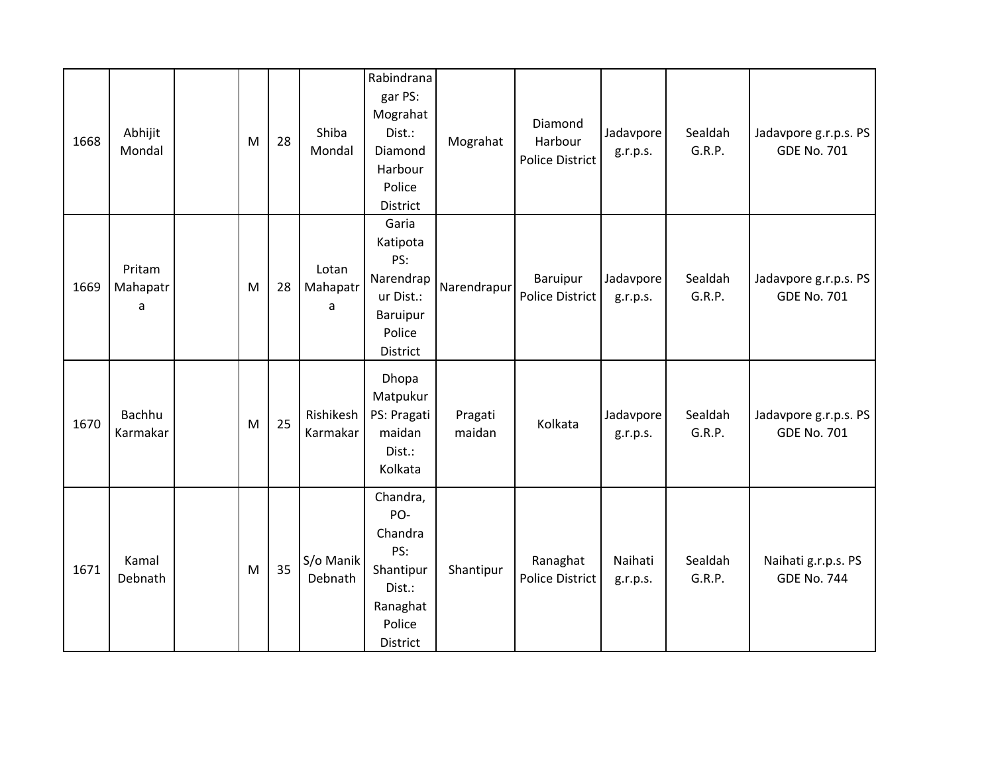| 1668 | Abhijit<br>Mondal       | M | 28 | Shiba<br>Mondal        | Rabindrana<br>gar PS:<br>Mograhat<br>Dist.:<br>Diamond<br>Harbour<br>Police<br>District     | Mograhat          | Diamond<br>Harbour<br><b>Police District</b> | Jadavpore<br>g.r.p.s. | Sealdah<br>G.R.P. | Jadavpore g.r.p.s. PS<br><b>GDE No. 701</b> |
|------|-------------------------|---|----|------------------------|---------------------------------------------------------------------------------------------|-------------------|----------------------------------------------|-----------------------|-------------------|---------------------------------------------|
| 1669 | Pritam<br>Mahapatr<br>a | M | 28 | Lotan<br>Mahapatr<br>a | Garia<br>Katipota<br>PS:<br>Narendrap<br>ur Dist.:<br>Baruipur<br>Police<br><b>District</b> | Narendrapur       | Baruipur<br><b>Police District</b>           | Jadavpore<br>g.r.p.s. | Sealdah<br>G.R.P. | Jadavpore g.r.p.s. PS<br><b>GDE No. 701</b> |
| 1670 | Bachhu<br>Karmakar      | M | 25 | Rishikesh<br>Karmakar  | Dhopa<br>Matpukur<br>PS: Pragati<br>maidan<br>Dist.:<br>Kolkata                             | Pragati<br>maidan | Kolkata                                      | Jadavpore<br>g.r.p.s. | Sealdah<br>G.R.P. | Jadavpore g.r.p.s. PS<br><b>GDE No. 701</b> |
| 1671 | Kamal<br>Debnath        | M | 35 | S/o Manik<br>Debnath   | Chandra,<br>PO-<br>Chandra<br>PS:<br>Shantipur<br>Dist.:<br>Ranaghat<br>Police<br>District  | Shantipur         | Ranaghat<br><b>Police District</b>           | Naihati<br>g.r.p.s.   | Sealdah<br>G.R.P. | Naihati g.r.p.s. PS<br><b>GDE No. 744</b>   |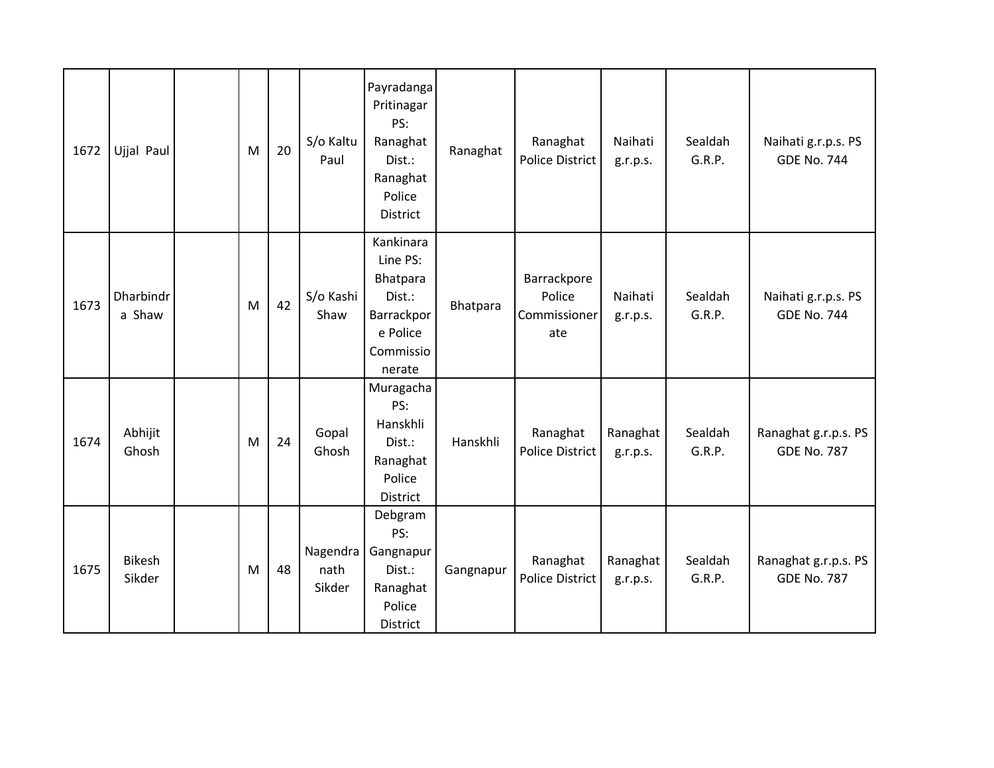| 1672 | Ujjal Paul              | M | 20 | S/o Kaltu<br>Paul          | Payradanga<br>Pritinagar<br>PS:<br>Ranaghat<br>Dist.:<br>Ranaghat<br>Police<br>District      | Ranaghat  | Ranaghat<br><b>Police District</b>           | Naihati<br>g.r.p.s.  | Sealdah<br>G.R.P. | Naihati g.r.p.s. PS<br><b>GDE No. 744</b>  |
|------|-------------------------|---|----|----------------------------|----------------------------------------------------------------------------------------------|-----------|----------------------------------------------|----------------------|-------------------|--------------------------------------------|
| 1673 | Dharbindr<br>a Shaw     | M | 42 | S/o Kashi<br>Shaw          | Kankinara<br>Line PS:<br>Bhatpara<br>Dist.:<br>Barrackpor<br>e Police<br>Commissio<br>nerate | Bhatpara  | Barrackpore<br>Police<br>Commissioner<br>ate | Naihati<br>g.r.p.s.  | Sealdah<br>G.R.P. | Naihati g.r.p.s. PS<br><b>GDE No. 744</b>  |
| 1674 | Abhijit<br>Ghosh        | M | 24 | Gopal<br>Ghosh             | Muragacha<br>PS:<br>Hanskhli<br>Dist.:<br>Ranaghat<br>Police<br>District                     | Hanskhli  | Ranaghat<br><b>Police District</b>           | Ranaghat<br>g.r.p.s. | Sealdah<br>G.R.P. | Ranaghat g.r.p.s. PS<br><b>GDE No. 787</b> |
| 1675 | <b>Bikesh</b><br>Sikder | M | 48 | Nagendra<br>nath<br>Sikder | Debgram<br>PS:<br>Gangnapur<br>Dist.:<br>Ranaghat<br>Police<br>District                      | Gangnapur | Ranaghat<br>Police District                  | Ranaghat<br>g.r.p.s. | Sealdah<br>G.R.P. | Ranaghat g.r.p.s. PS<br><b>GDE No. 787</b> |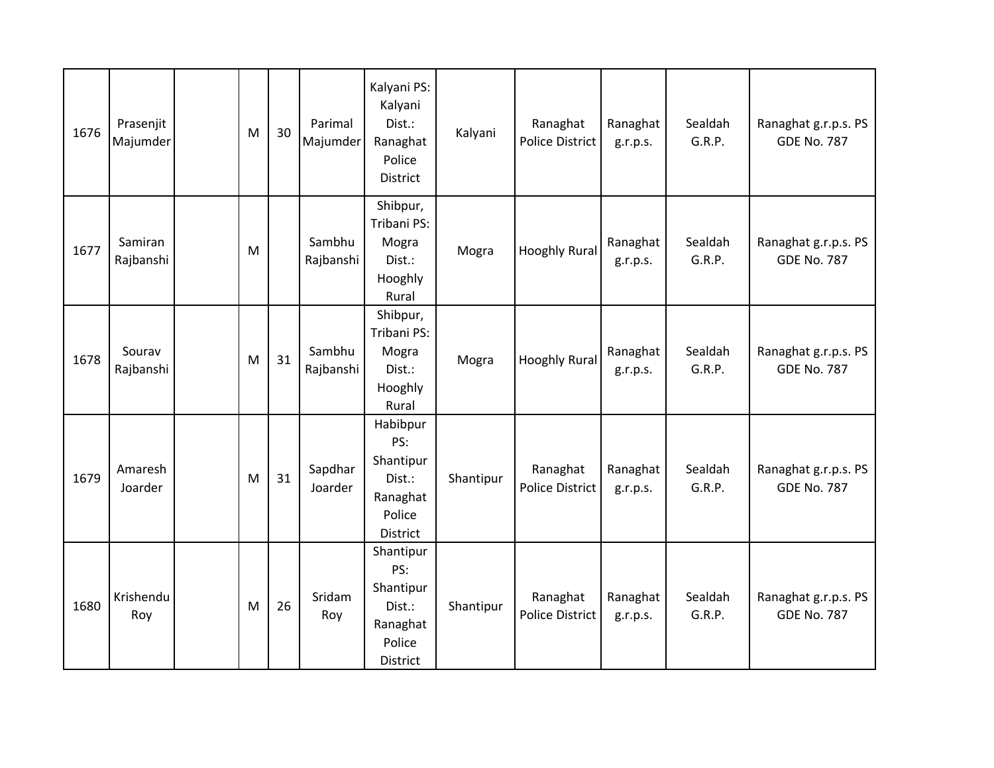| 1676 | Prasenjit<br>Majumder | M | 30 | Parimal<br>Majumder | Kalyani PS:<br>Kalyani<br>Dist.:<br>Ranaghat<br>Police<br>District        | Kalyani   | Ranaghat<br><b>Police District</b> | Ranaghat<br>g.r.p.s. | Sealdah<br>G.R.P. | Ranaghat g.r.p.s. PS<br><b>GDE No. 787</b> |
|------|-----------------------|---|----|---------------------|---------------------------------------------------------------------------|-----------|------------------------------------|----------------------|-------------------|--------------------------------------------|
| 1677 | Samiran<br>Rajbanshi  | M |    | Sambhu<br>Rajbanshi | Shibpur,<br>Tribani PS:<br>Mogra<br>Dist.:<br>Hooghly<br>Rural            | Mogra     | <b>Hooghly Rural</b>               | Ranaghat<br>g.r.p.s. | Sealdah<br>G.R.P. | Ranaghat g.r.p.s. PS<br><b>GDE No. 787</b> |
| 1678 | Sourav<br>Rajbanshi   | M | 31 | Sambhu<br>Rajbanshi | Shibpur,<br>Tribani PS:<br>Mogra<br>Dist.:<br>Hooghly<br>Rural            | Mogra     | <b>Hooghly Rural</b>               | Ranaghat<br>g.r.p.s. | Sealdah<br>G.R.P. | Ranaghat g.r.p.s. PS<br><b>GDE No. 787</b> |
| 1679 | Amaresh<br>Joarder    | M | 31 | Sapdhar<br>Joarder  | Habibpur<br>PS:<br>Shantipur<br>Dist.:<br>Ranaghat<br>Police<br>District  | Shantipur | Ranaghat<br><b>Police District</b> | Ranaghat<br>g.r.p.s. | Sealdah<br>G.R.P. | Ranaghat g.r.p.s. PS<br><b>GDE No. 787</b> |
| 1680 | Krishendu<br>Roy      | M | 26 | Sridam<br>Roy       | Shantipur<br>PS:<br>Shantipur<br>Dist.:<br>Ranaghat<br>Police<br>District | Shantipur | Ranaghat<br><b>Police District</b> | Ranaghat<br>g.r.p.s. | Sealdah<br>G.R.P. | Ranaghat g.r.p.s. PS<br><b>GDE No. 787</b> |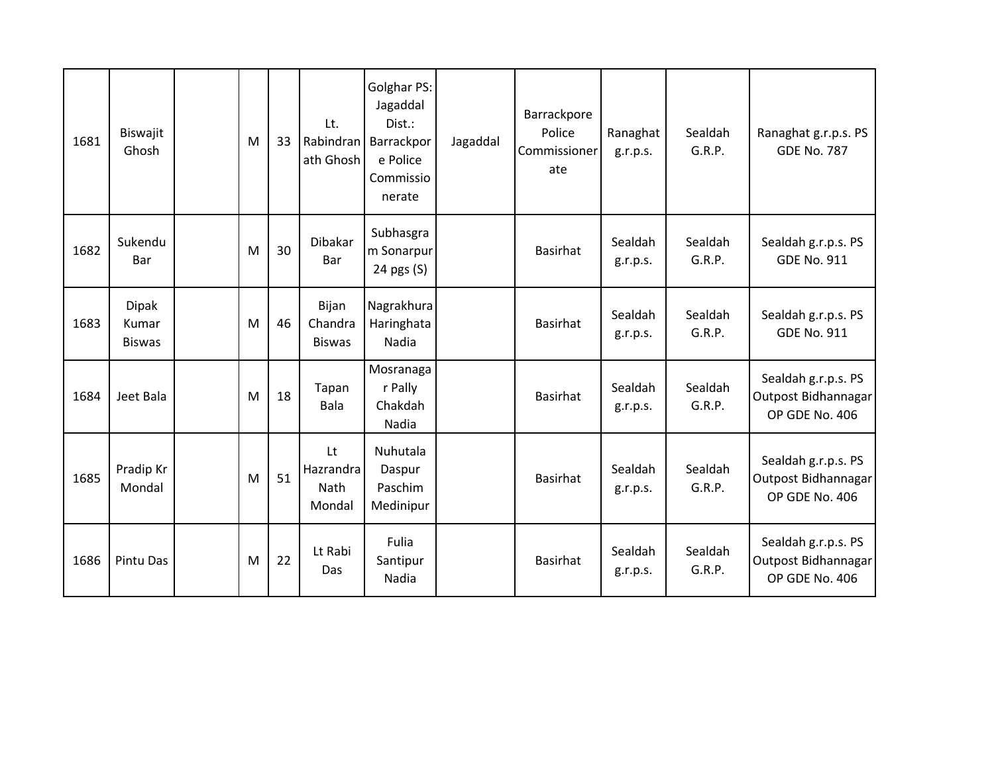| 1681 | Biswajit<br>Ghosh                      | M | 33 | Lt.<br>Rabindran<br>ath Ghosh     | Golghar PS:<br>Jagaddal<br>Dist.:<br>Barrackpor<br>e Police<br>Commissio<br>nerate | Jagaddal | Barrackpore<br>Police<br>Commissioner<br>ate | Ranaghat<br>g.r.p.s. | Sealdah<br>G.R.P. | Ranaghat g.r.p.s. PS<br><b>GDE No. 787</b>                   |
|------|----------------------------------------|---|----|-----------------------------------|------------------------------------------------------------------------------------|----------|----------------------------------------------|----------------------|-------------------|--------------------------------------------------------------|
| 1682 | Sukendu<br>Bar                         | M | 30 | <b>Dibakar</b><br>Bar             | Subhasgra<br>m Sonarpur<br>24 pgs (S)                                              |          | <b>Basirhat</b>                              | Sealdah<br>g.r.p.s.  | Sealdah<br>G.R.P. | Sealdah g.r.p.s. PS<br><b>GDE No. 911</b>                    |
| 1683 | <b>Dipak</b><br>Kumar<br><b>Biswas</b> | M | 46 | Bijan<br>Chandra<br><b>Biswas</b> | Nagrakhura<br>Haringhata<br>Nadia                                                  |          | <b>Basirhat</b>                              | Sealdah<br>g.r.p.s.  | Sealdah<br>G.R.P. | Sealdah g.r.p.s. PS<br><b>GDE No. 911</b>                    |
| 1684 | Jeet Bala                              | M | 18 | Tapan<br><b>Bala</b>              | Mosranaga<br>r Pally<br>Chakdah<br>Nadia                                           |          | <b>Basirhat</b>                              | Sealdah<br>g.r.p.s.  | Sealdah<br>G.R.P. | Sealdah g.r.p.s. PS<br>Outpost Bidhannagar<br>OP GDE No. 406 |
| 1685 | Pradip Kr<br>Mondal                    | M | 51 | Lt<br>Hazrandra<br>Nath<br>Mondal | Nuhutala<br>Daspur<br>Paschim<br>Medinipur                                         |          | <b>Basirhat</b>                              | Sealdah<br>g.r.p.s.  | Sealdah<br>G.R.P. | Sealdah g.r.p.s. PS<br>Outpost Bidhannagar<br>OP GDE No. 406 |
| 1686 | Pintu Das                              | M | 22 | Lt Rabi<br>Das                    | Fulia<br>Santipur<br>Nadia                                                         |          | <b>Basirhat</b>                              | Sealdah<br>g.r.p.s.  | Sealdah<br>G.R.P. | Sealdah g.r.p.s. PS<br>Outpost Bidhannagar<br>OP GDE No. 406 |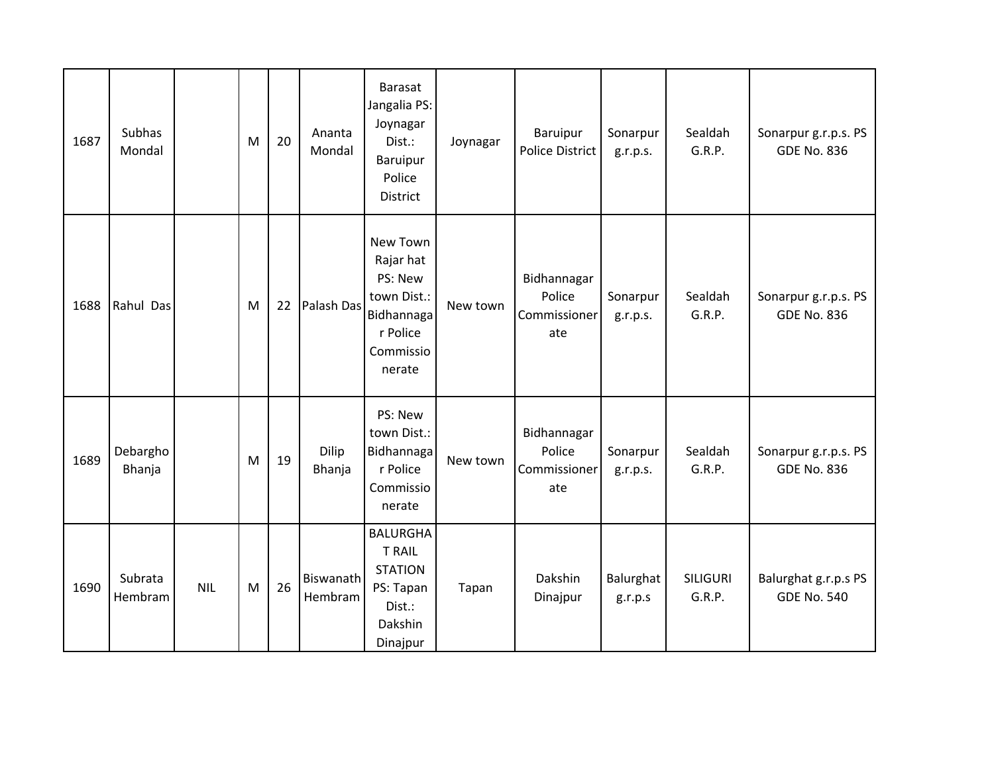| 1687 | Subhas<br>Mondal   |            | M | 20 | Ananta<br>Mondal            | <b>Barasat</b><br>Jangalia PS:<br>Joynagar<br>Dist.:<br><b>Baruipur</b><br>Police<br>District    | Joynagar | Baruipur<br><b>Police District</b>           | Sonarpur<br>g.r.p.s. | Sealdah<br>G.R.P.         | Sonarpur g.r.p.s. PS<br><b>GDE No. 836</b> |
|------|--------------------|------------|---|----|-----------------------------|--------------------------------------------------------------------------------------------------|----------|----------------------------------------------|----------------------|---------------------------|--------------------------------------------|
| 1688 | Rahul Das          |            | M | 22 | Palash Das                  | New Town<br>Rajar hat<br>PS: New<br>town Dist.:<br>Bidhannaga<br>r Police<br>Commissio<br>nerate | New town | Bidhannagar<br>Police<br>Commissioner<br>ate | Sonarpur<br>g.r.p.s. | Sealdah<br>G.R.P.         | Sonarpur g.r.p.s. PS<br><b>GDE No. 836</b> |
| 1689 | Debargho<br>Bhanja |            | M | 19 | Dilip<br>Bhanja             | PS: New<br>town Dist.:<br>Bidhannaga<br>r Police<br>Commissio<br>nerate                          | New town | Bidhannagar<br>Police<br>Commissioner<br>ate | Sonarpur<br>g.r.p.s. | Sealdah<br>G.R.P.         | Sonarpur g.r.p.s. PS<br><b>GDE No. 836</b> |
| 1690 | Subrata<br>Hembram | <b>NIL</b> | M | 26 | <b>Biswanath</b><br>Hembram | <b>BALURGHA</b><br><b>T RAIL</b><br><b>STATION</b><br>PS: Tapan<br>Dist.:<br>Dakshin<br>Dinajpur | Tapan    | Dakshin<br>Dinajpur                          | Balurghat<br>g.r.p.s | <b>SILIGURI</b><br>G.R.P. | Balurghat g.r.p.s PS<br><b>GDE No. 540</b> |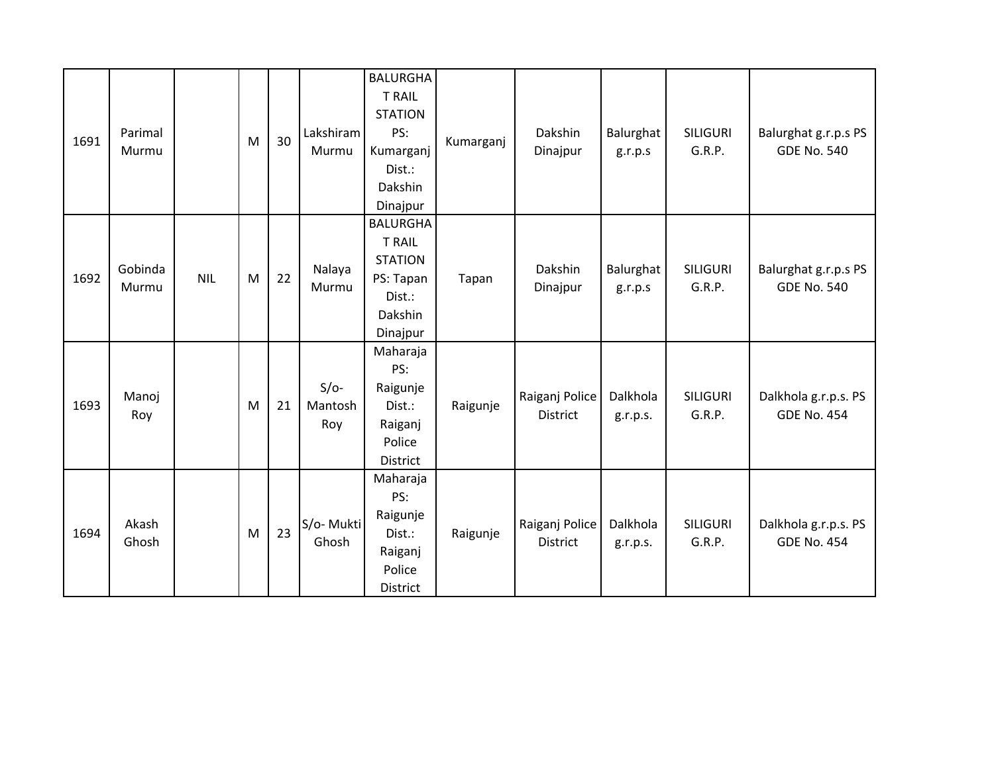| 1691 | Parimal<br>Murmu |            | M | 30 | Lakshiram<br>Murmu       | <b>BALURGHA</b><br><b>T RAIL</b><br><b>STATION</b><br>PS:<br>Kumarganj<br>Dist.:<br>Dakshin<br>Dinajpur | Kumarganj | Dakshin<br>Dinajpur               | Balurghat<br>g.r.p.s | <b>SILIGURI</b><br>G.R.P. | Balurghat g.r.p.s PS<br><b>GDE No. 540</b> |
|------|------------------|------------|---|----|--------------------------|---------------------------------------------------------------------------------------------------------|-----------|-----------------------------------|----------------------|---------------------------|--------------------------------------------|
| 1692 | Gobinda<br>Murmu | <b>NIL</b> | M | 22 | Nalaya<br>Murmu          | <b>BALURGHA</b><br><b>T RAIL</b><br><b>STATION</b><br>PS: Tapan<br>Dist.:<br>Dakshin<br>Dinajpur        | Tapan     | Dakshin<br>Dinajpur               | Balurghat<br>g.r.p.s | <b>SILIGURI</b><br>G.R.P. | Balurghat g.r.p.s PS<br><b>GDE No. 540</b> |
| 1693 | Manoj<br>Roy     |            | M | 21 | $S/O-$<br>Mantosh<br>Roy | Maharaja<br>PS:<br>Raigunje<br>Dist.:<br>Raiganj<br>Police<br>District                                  | Raigunje  | Raiganj Police<br><b>District</b> | Dalkhola<br>g.r.p.s. | <b>SILIGURI</b><br>G.R.P. | Dalkhola g.r.p.s. PS<br><b>GDE No. 454</b> |
| 1694 | Akash<br>Ghosh   |            | M | 23 | S/o- Mukti<br>Ghosh      | Maharaja<br>PS:<br>Raigunje<br>Dist.:<br>Raiganj<br>Police<br>District                                  | Raigunje  | Raiganj Police<br><b>District</b> | Dalkhola<br>g.r.p.s. | <b>SILIGURI</b><br>G.R.P. | Dalkhola g.r.p.s. PS<br><b>GDE No. 454</b> |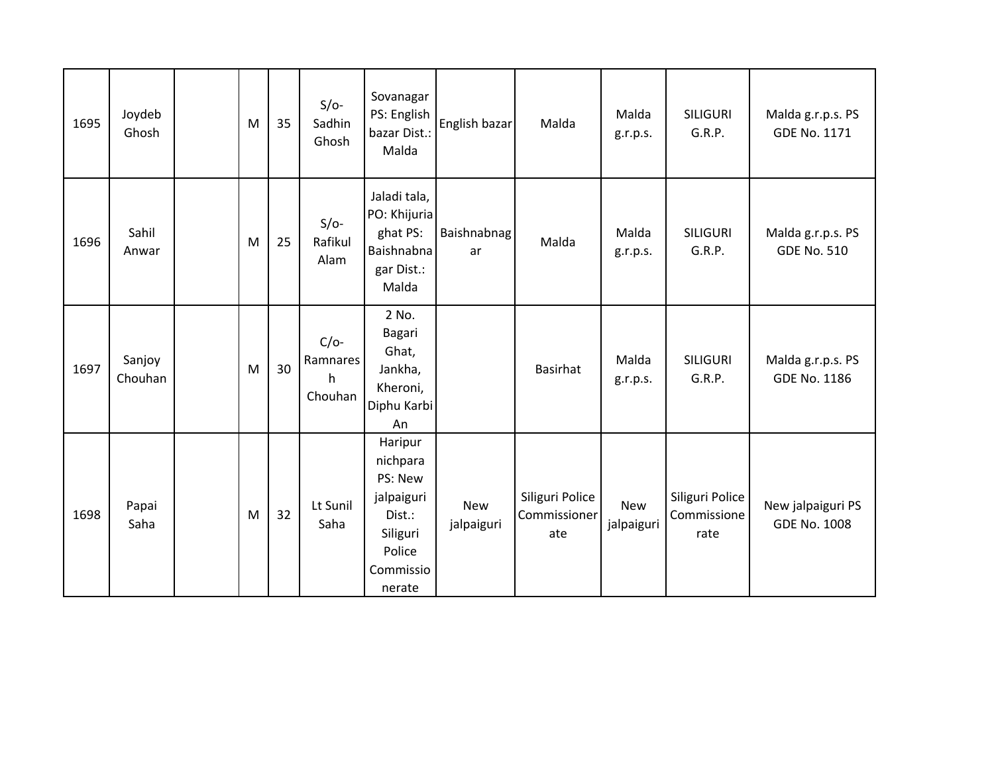| 1695 | Joydeb<br>Ghosh   | M | 35 | $S/O-$<br>Sadhin<br>Ghosh          | Sovanagar<br>PS: English<br>bazar Dist.:<br>Malda                                                   | English bazar            | Malda                                  | Malda<br>g.r.p.s.        | <b>SILIGURI</b><br>G.R.P.              | Malda g.r.p.s. PS<br><b>GDE No. 1171</b> |
|------|-------------------|---|----|------------------------------------|-----------------------------------------------------------------------------------------------------|--------------------------|----------------------------------------|--------------------------|----------------------------------------|------------------------------------------|
| 1696 | Sahil<br>Anwar    | M | 25 | $S/O-$<br>Rafikul<br>Alam          | Jaladi tala,<br>PO: Khijuria<br>ghat PS:<br>Baishnabna<br>gar Dist.:<br>Malda                       | Baishnabnag<br>ar        | Malda                                  | Malda<br>g.r.p.s.        | <b>SILIGURI</b><br>G.R.P.              | Malda g.r.p.s. PS<br><b>GDE No. 510</b>  |
| 1697 | Sanjoy<br>Chouhan | M | 30 | $C/O-$<br>Ramnares<br>h<br>Chouhan | 2 No.<br>Bagari<br>Ghat,<br>Jankha,<br>Kheroni,<br>Diphu Karbi<br>An                                |                          | <b>Basirhat</b>                        | Malda<br>g.r.p.s.        | <b>SILIGURI</b><br>G.R.P.              | Malda g.r.p.s. PS<br><b>GDE No. 1186</b> |
| 1698 | Papai<br>Saha     | M | 32 | Lt Sunil<br>Saha                   | Haripur<br>nichpara<br>PS: New<br>jalpaiguri<br>Dist.:<br>Siliguri<br>Police<br>Commissio<br>nerate | <b>New</b><br>jalpaiguri | Siliguri Police<br>Commissioner<br>ate | <b>New</b><br>jalpaiguri | Siliguri Police<br>Commissione<br>rate | New jalpaiguri PS<br><b>GDE No. 1008</b> |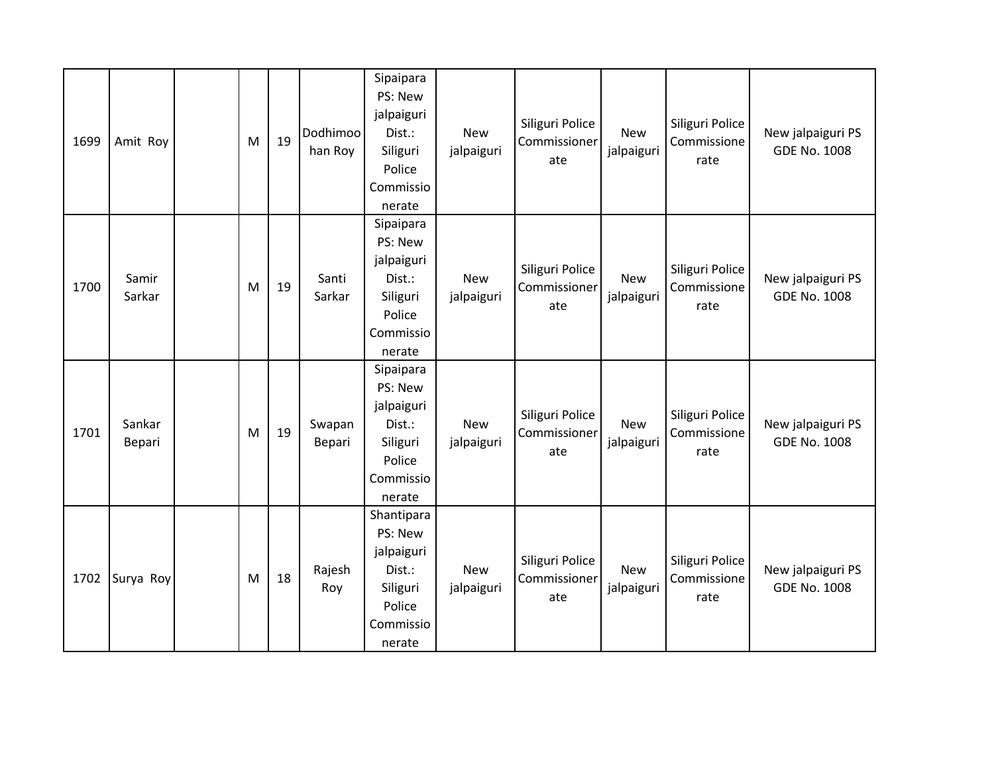| 1699 | Amit Roy         | M | 19 | Dodhimoo<br>han Roy | Sipaipara<br>PS: New<br>jalpaiguri<br>Dist.:<br>Siliguri<br>Police<br>Commissio<br>nerate  | <b>New</b><br>jalpaiguri | Siliguri Police<br>Commissioner<br>ate | <b>New</b><br>jalpaiguri | Siliguri Police<br>Commissione<br>rate | New jalpaiguri PS<br><b>GDE No. 1008</b> |
|------|------------------|---|----|---------------------|--------------------------------------------------------------------------------------------|--------------------------|----------------------------------------|--------------------------|----------------------------------------|------------------------------------------|
| 1700 | Samir<br>Sarkar  | M | 19 | Santi<br>Sarkar     | Sipaipara<br>PS: New<br>jalpaiguri<br>Dist.:<br>Siliguri<br>Police<br>Commissio<br>nerate  | <b>New</b><br>jalpaiguri | Siliguri Police<br>Commissioner<br>ate | <b>New</b><br>jalpaiguri | Siliguri Police<br>Commissione<br>rate | New jalpaiguri PS<br><b>GDE No. 1008</b> |
| 1701 | Sankar<br>Bepari | M | 19 | Swapan<br>Bepari    | Sipaipara<br>PS: New<br>jalpaiguri<br>Dist.:<br>Siliguri<br>Police<br>Commissio<br>nerate  | <b>New</b><br>jalpaiguri | Siliguri Police<br>Commissioner<br>ate | <b>New</b><br>jalpaiguri | Siliguri Police<br>Commissione<br>rate | New jalpaiguri PS<br><b>GDE No. 1008</b> |
| 1702 | Surya Roy        | M | 18 | Rajesh<br>Roy       | Shantipara<br>PS: New<br>jalpaiguri<br>Dist.:<br>Siliguri<br>Police<br>Commissio<br>nerate | <b>New</b><br>jalpaiguri | Siliguri Police<br>Commissioner<br>ate | New<br>jalpaiguri        | Siliguri Police<br>Commissione<br>rate | New jalpaiguri PS<br><b>GDE No. 1008</b> |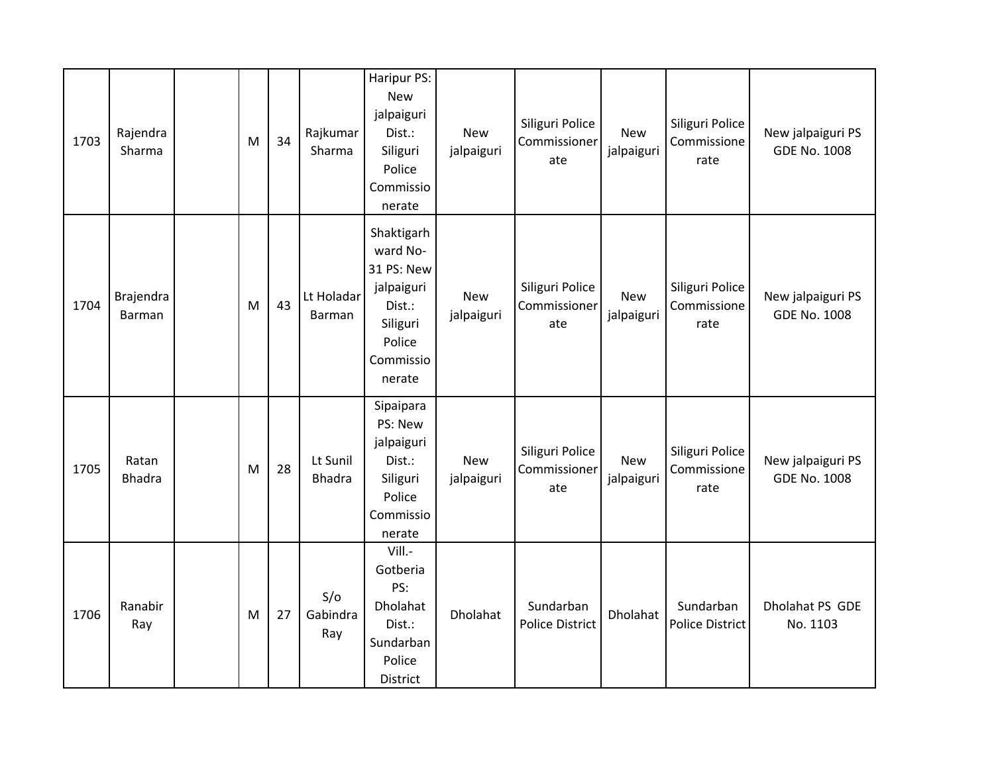| 1703 | Rajendra<br>Sharma     | M | 34 | Rajkumar<br>Sharma        | Haripur PS:<br><b>New</b><br>jalpaiguri<br>Dist.:<br>Siliguri<br>Police<br>Commissio<br>nerate            | <b>New</b><br>jalpaiguri | Siliguri Police<br>Commissioner<br>ate | <b>New</b><br>jalpaiguri | Siliguri Police<br>Commissione<br>rate | New jalpaiguri PS<br><b>GDE No. 1008</b> |
|------|------------------------|---|----|---------------------------|-----------------------------------------------------------------------------------------------------------|--------------------------|----------------------------------------|--------------------------|----------------------------------------|------------------------------------------|
| 1704 | Brajendra<br>Barman    | M | 43 | Lt Holadar<br>Barman      | Shaktigarh<br>ward No-<br>31 PS: New<br>jalpaiguri<br>Dist.:<br>Siliguri<br>Police<br>Commissio<br>nerate | <b>New</b><br>jalpaiguri | Siliguri Police<br>Commissioner<br>ate | <b>New</b><br>jalpaiguri | Siliguri Police<br>Commissione<br>rate | New jalpaiguri PS<br><b>GDE No. 1008</b> |
| 1705 | Ratan<br><b>Bhadra</b> | M | 28 | Lt Sunil<br><b>Bhadra</b> | Sipaipara<br>PS: New<br>jalpaiguri<br>Dist.:<br>Siliguri<br>Police<br>Commissio<br>nerate                 | <b>New</b><br>jalpaiguri | Siliguri Police<br>Commissioner<br>ate | New<br>jalpaiguri        | Siliguri Police<br>Commissione<br>rate | New jalpaiguri PS<br><b>GDE No. 1008</b> |
| 1706 | Ranabir<br>Ray         | M | 27 | S/O<br>Gabindra<br>Ray    | Vill.-<br>Gotberia<br>PS:<br>Dholahat<br>Dist.:<br>Sundarban<br>Police<br>District                        | Dholahat                 | Sundarban<br><b>Police District</b>    | Dholahat                 | Sundarban<br>Police District           | Dholahat PS GDE<br>No. 1103              |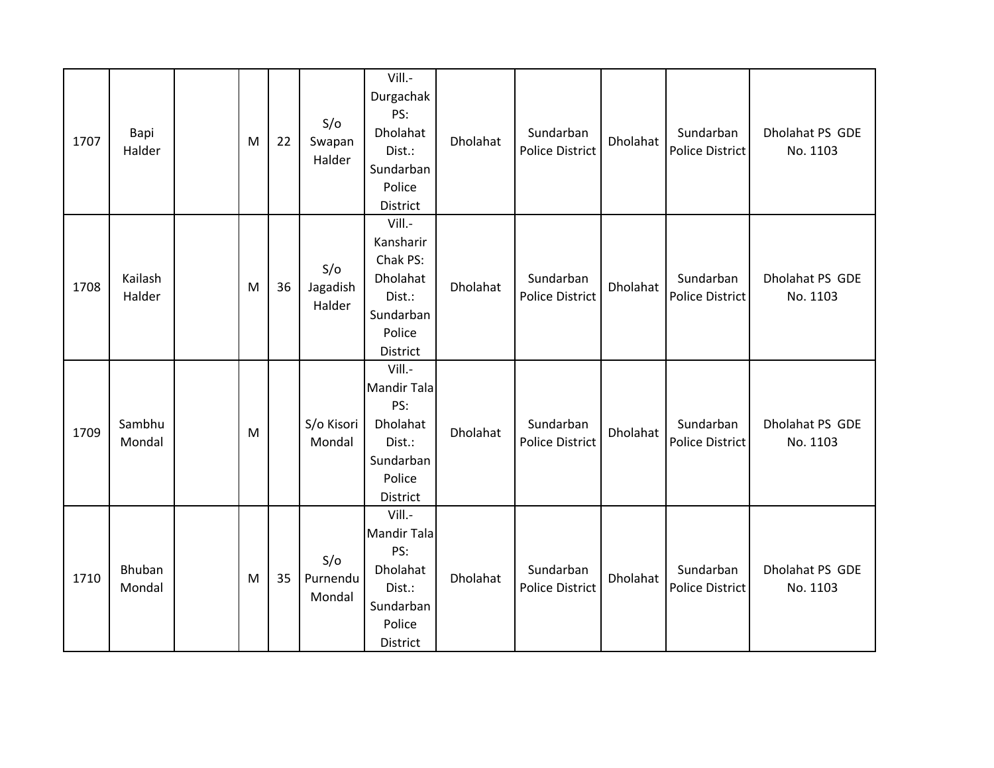| 1707 | Bapi<br>Halder    | M | 22 | S/O<br>Swapan<br>Halder   | Vill.-<br>Durgachak<br>PS:<br>Dholahat<br>Dist.:<br>Sundarban<br>Police<br>District          | Dholahat | Sundarban<br><b>Police District</b> | Dholahat | Sundarban<br><b>Police District</b> | Dholahat PS GDE<br>No. 1103 |
|------|-------------------|---|----|---------------------------|----------------------------------------------------------------------------------------------|----------|-------------------------------------|----------|-------------------------------------|-----------------------------|
| 1708 | Kailash<br>Halder | M | 36 | S/O<br>Jagadish<br>Halder | Vill.-<br>Kansharir<br>Chak PS:<br>Dholahat<br>Dist.:<br>Sundarban<br>Police<br>District     | Dholahat | Sundarban<br><b>Police District</b> | Dholahat | Sundarban<br><b>Police District</b> | Dholahat PS GDE<br>No. 1103 |
| 1709 | Sambhu<br>Mondal  | M |    | S/o Kisori<br>Mondal      | Vill.-<br><b>Mandir Tala</b><br>PS:<br>Dholahat<br>Dist.:<br>Sundarban<br>Police<br>District | Dholahat | Sundarban<br><b>Police District</b> | Dholahat | Sundarban<br><b>Police District</b> | Dholahat PS GDE<br>No. 1103 |
| 1710 | Bhuban<br>Mondal  | M | 35 | S/O<br>Purnendu<br>Mondal | Vill.-<br><b>Mandir Tala</b><br>PS:<br>Dholahat<br>Dist.:<br>Sundarban<br>Police<br>District | Dholahat | Sundarban<br><b>Police District</b> | Dholahat | Sundarban<br><b>Police District</b> | Dholahat PS GDE<br>No. 1103 |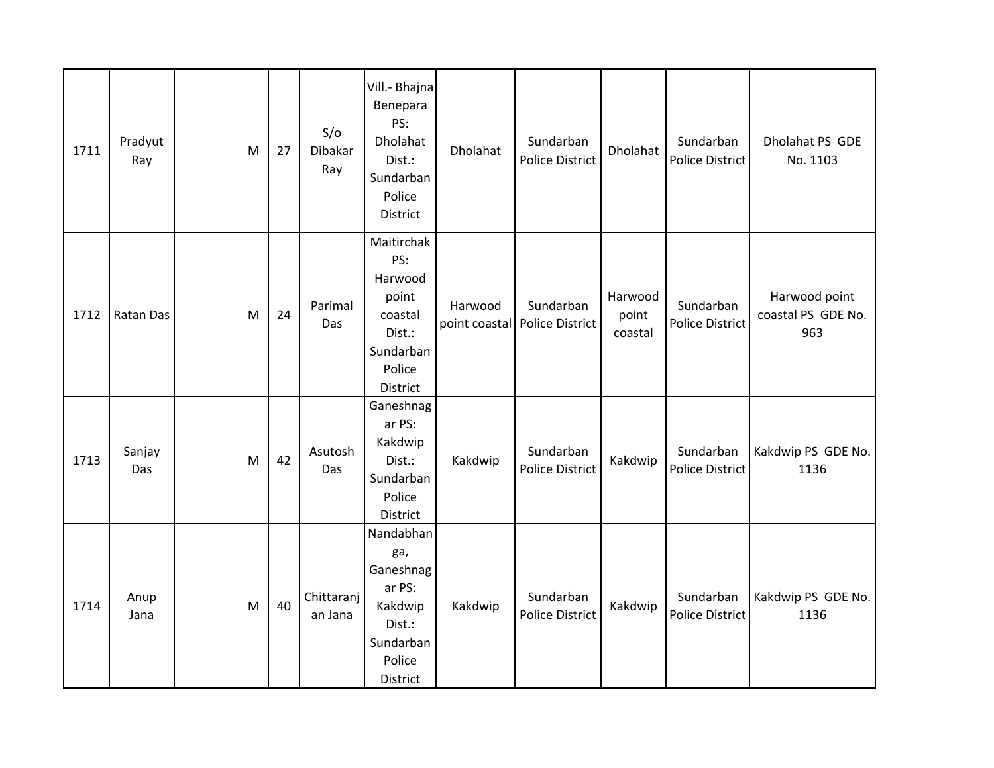| 1711 | Pradyut<br>Ray | M | 27 | S/O<br>Dibakar<br>Ray | Vill .- Bhajna<br>Benepara<br>PS:<br>Dholahat<br>Dist.:<br>Sundarban<br>Police<br>District      | Dholahat | Sundarban<br><b>Police District</b>          | Dholahat                    | Sundarban<br><b>Police District</b> | Dholahat PS GDE<br>No. 1103                |
|------|----------------|---|----|-----------------------|-------------------------------------------------------------------------------------------------|----------|----------------------------------------------|-----------------------------|-------------------------------------|--------------------------------------------|
| 1712 | Ratan Das      | M | 24 | Parimal<br>Das        | Maitirchak<br>PS:<br>Harwood<br>point<br>coastal<br>Dist.:<br>Sundarban<br>Police<br>District   | Harwood  | Sundarban<br>point coastal   Police District | Harwood<br>point<br>coastal | Sundarban<br><b>Police District</b> | Harwood point<br>coastal PS GDE No.<br>963 |
| 1713 | Sanjay<br>Das  | M | 42 | Asutosh<br>Das        | Ganeshnag<br>ar PS:<br>Kakdwip<br>Dist.:<br>Sundarban<br>Police<br>District                     | Kakdwip  | Sundarban<br><b>Police District</b>          | Kakdwip                     | Sundarban<br><b>Police District</b> | Kakdwip PS GDE No.<br>1136                 |
| 1714 | Anup<br>Jana   | M | 40 | Chittaranj<br>an Jana | Nandabhan<br>ga,<br>Ganeshnag<br>ar PS:<br>Kakdwip<br>Dist.:<br>Sundarban<br>Police<br>District | Kakdwip  | Sundarban<br><b>Police District</b>          | Kakdwip                     | Sundarban<br><b>Police District</b> | Kakdwip PS GDE No.<br>1136                 |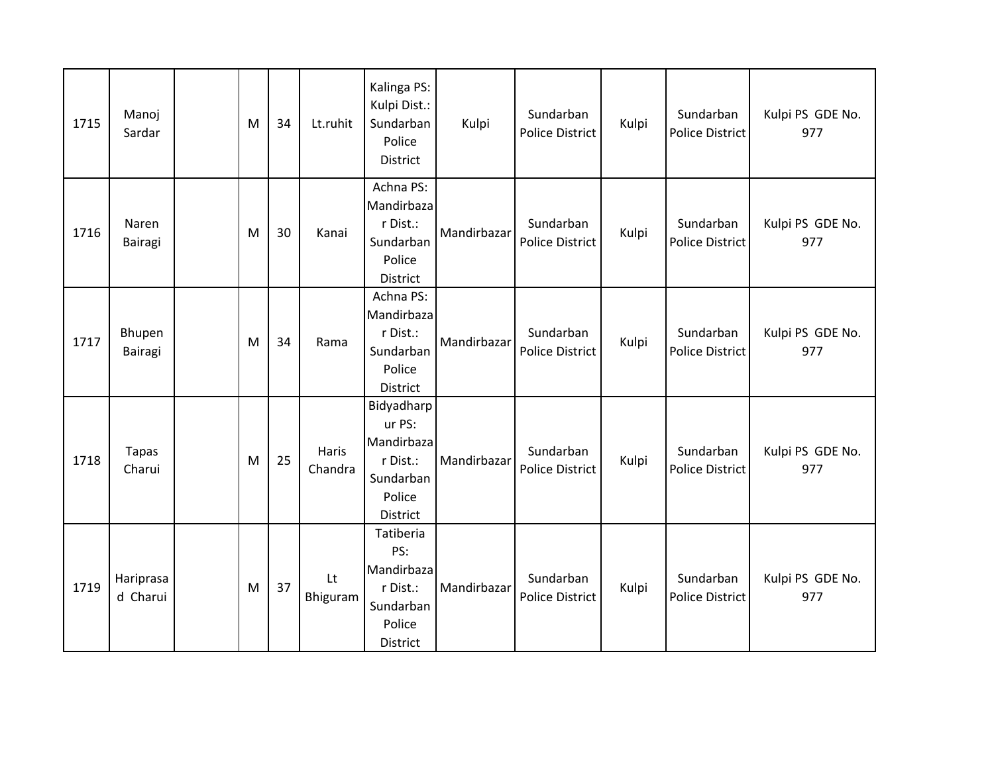| 1715 | Manoj<br>Sardar        | M | 34 | Lt.ruhit                | Kalinga PS:<br>Kulpi Dist.:<br>Sundarban<br>Police<br>District                    | Kulpi       | Sundarban<br><b>Police District</b> | Kulpi | Sundarban<br><b>Police District</b> | Kulpi PS GDE No.<br>977 |
|------|------------------------|---|----|-------------------------|-----------------------------------------------------------------------------------|-------------|-------------------------------------|-------|-------------------------------------|-------------------------|
| 1716 | Naren<br>Bairagi       | M | 30 | Kanai                   | Achna PS:<br>Mandirbaza<br>r Dist.:<br>Sundarban<br>Police<br>District            | Mandirbazar | Sundarban<br><b>Police District</b> | Kulpi | Sundarban<br><b>Police District</b> | Kulpi PS GDE No.<br>977 |
| 1717 | Bhupen<br>Bairagi      | M | 34 | Rama                    | Achna PS:<br>Mandirbaza<br>r Dist.:<br>Sundarban<br>Police<br><b>District</b>     | Mandirbazar | Sundarban<br><b>Police District</b> | Kulpi | Sundarban<br><b>Police District</b> | Kulpi PS GDE No.<br>977 |
| 1718 | <b>Tapas</b><br>Charui | M | 25 | <b>Haris</b><br>Chandra | Bidyadharp<br>ur PS:<br>Mandirbaza<br>r Dist.:<br>Sundarban<br>Police<br>District | Mandirbazar | Sundarban<br><b>Police District</b> | Kulpi | Sundarban<br><b>Police District</b> | Kulpi PS GDE No.<br>977 |
| 1719 | Hariprasa<br>d Charui  | M | 37 | Lt<br>Bhiguram          | Tatiberia<br>PS:<br>Mandirbaza<br>r Dist.:<br>Sundarban<br>Police<br>District     | Mandirbazar | Sundarban<br>Police District        | Kulpi | Sundarban<br><b>Police District</b> | Kulpi PS GDE No.<br>977 |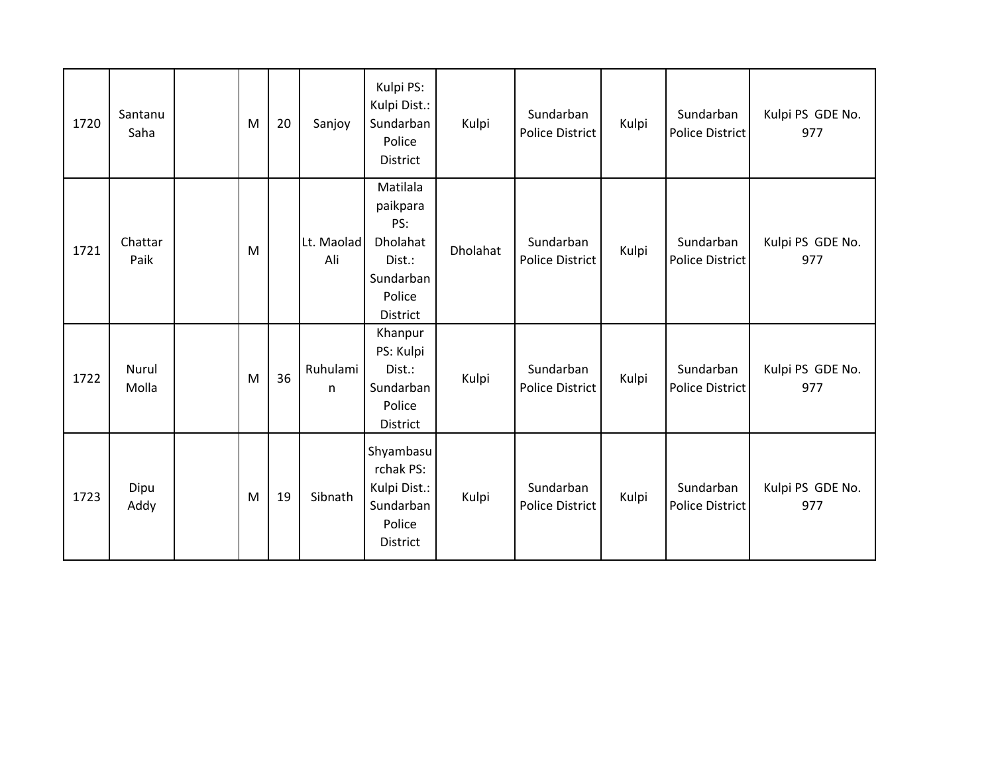| 1720 | Santanu<br>Saha | M | 20 | Sanjoy            | Kulpi PS:<br>Kulpi Dist.:<br>Sundarban<br>Police<br>District                                | Kulpi    | Sundarban<br><b>Police District</b> | Kulpi | Sundarban<br><b>Police District</b> | Kulpi PS GDE No.<br>977 |
|------|-----------------|---|----|-------------------|---------------------------------------------------------------------------------------------|----------|-------------------------------------|-------|-------------------------------------|-------------------------|
| 1721 | Chattar<br>Paik | M |    | Lt. Maolad<br>Ali | Matilala<br>paikpara<br>PS:<br>Dholahat<br>Dist.:<br>Sundarban<br>Police<br><b>District</b> | Dholahat | Sundarban<br><b>Police District</b> | Kulpi | Sundarban<br><b>Police District</b> | Kulpi PS GDE No.<br>977 |
| 1722 | Nurul<br>Molla  | M | 36 | Ruhulami<br>n     | Khanpur<br>PS: Kulpi<br>Dist.:<br>Sundarban<br>Police<br>District                           | Kulpi    | Sundarban<br><b>Police District</b> | Kulpi | Sundarban<br><b>Police District</b> | Kulpi PS GDE No.<br>977 |
| 1723 | Dipu<br>Addy    | M | 19 | Sibnath           | Shyambasu<br>rchak PS:<br>Kulpi Dist.:<br>Sundarban<br>Police<br>District                   | Kulpi    | Sundarban<br><b>Police District</b> | Kulpi | Sundarban<br><b>Police District</b> | Kulpi PS GDE No.<br>977 |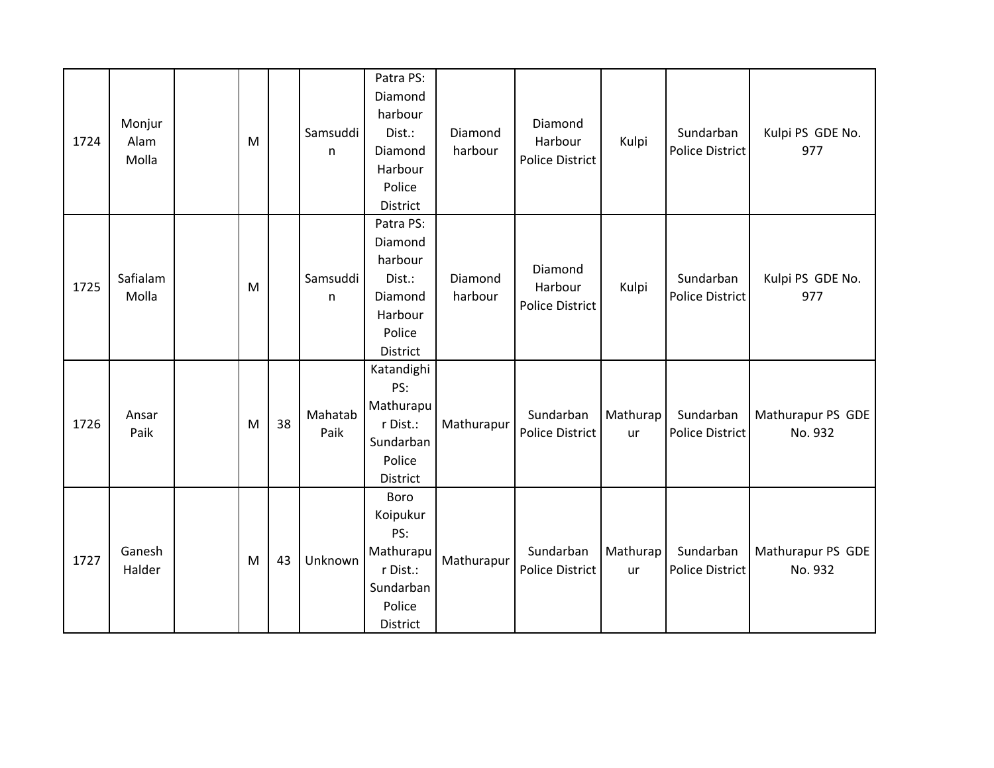| 1724 | Monjur<br>Alam<br>Molla | M |    | Samsuddi<br>$\mathsf{n}$ | Patra PS:<br>Diamond<br>harbour<br>Dist.:<br>Diamond<br>Harbour<br>Police<br>District | Diamond<br>harbour | Diamond<br>Harbour<br><b>Police District</b> | Kulpi          | Sundarban<br><b>Police District</b> | Kulpi PS GDE No.<br>977      |
|------|-------------------------|---|----|--------------------------|---------------------------------------------------------------------------------------|--------------------|----------------------------------------------|----------------|-------------------------------------|------------------------------|
| 1725 | Safialam<br>Molla       | M |    | Samsuddi<br>n            | Patra PS:<br>Diamond<br>harbour<br>Dist.:<br>Diamond<br>Harbour<br>Police<br>District | Diamond<br>harbour | Diamond<br>Harbour<br><b>Police District</b> | Kulpi          | Sundarban<br>Police District        | Kulpi PS GDE No.<br>977      |
| 1726 | Ansar<br>Paik           | M | 38 | Mahatab<br>Paik          | Katandighi<br>PS:<br>Mathurapu<br>r Dist.:<br>Sundarban<br>Police<br>District         | Mathurapur         | Sundarban<br><b>Police District</b>          | Mathurap<br>ur | Sundarban<br><b>Police District</b> | Mathurapur PS GDE<br>No. 932 |
| 1727 | Ganesh<br>Halder        | M | 43 | Unknown                  | Boro<br>Koipukur<br>PS:<br>Mathurapu<br>r Dist.:<br>Sundarban<br>Police<br>District   | Mathurapur         | Sundarban<br><b>Police District</b>          | Mathurap<br>ur | Sundarban<br><b>Police District</b> | Mathurapur PS GDE<br>No. 932 |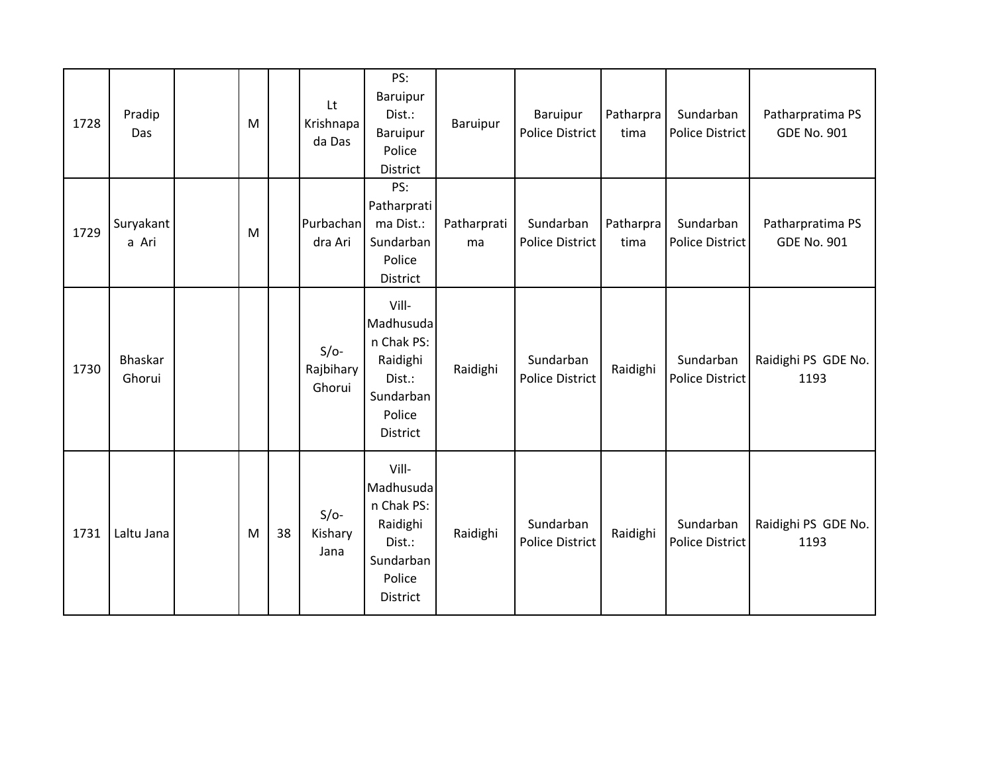| 1728 | Pradip<br>Das      | M |    | Lt<br>Krishnapa<br>da Das     | PS:<br>Baruipur<br>Dist.:<br>Baruipur<br>Police<br>District                                      | Baruipur          | Baruipur<br><b>Police District</b>  | Patharpra<br>tima | Sundarban<br><b>Police District</b> | Patharpratima PS<br><b>GDE No. 901</b> |
|------|--------------------|---|----|-------------------------------|--------------------------------------------------------------------------------------------------|-------------------|-------------------------------------|-------------------|-------------------------------------|----------------------------------------|
| 1729 | Suryakant<br>a Ari | M |    | Purbachan<br>dra Ari          | PS:<br>Patharprati<br>ma Dist.:<br>Sundarban<br>Police<br>District                               | Patharprati<br>ma | Sundarban<br><b>Police District</b> | Patharpra<br>tima | Sundarban<br><b>Police District</b> | Patharpratima PS<br><b>GDE No. 901</b> |
| 1730 | Bhaskar<br>Ghorui  |   |    | $S/O-$<br>Rajbihary<br>Ghorui | Vill-<br>Madhusuda<br>n Chak PS:<br>Raidighi<br>Dist.:<br>Sundarban<br>Police<br>District        | Raidighi          | Sundarban<br><b>Police District</b> | Raidighi          | Sundarban<br><b>Police District</b> | Raidighi PS GDE No.<br>1193            |
| 1731 | Laltu Jana         | M | 38 | $S/O-$<br>Kishary<br>Jana     | Vill-<br>Madhusuda<br>n Chak PS:<br>Raidighi<br>Dist.:<br>Sundarban<br>Police<br><b>District</b> | Raidighi          | Sundarban<br><b>Police District</b> | Raidighi          | Sundarban<br><b>Police District</b> | Raidighi PS GDE No.<br>1193            |